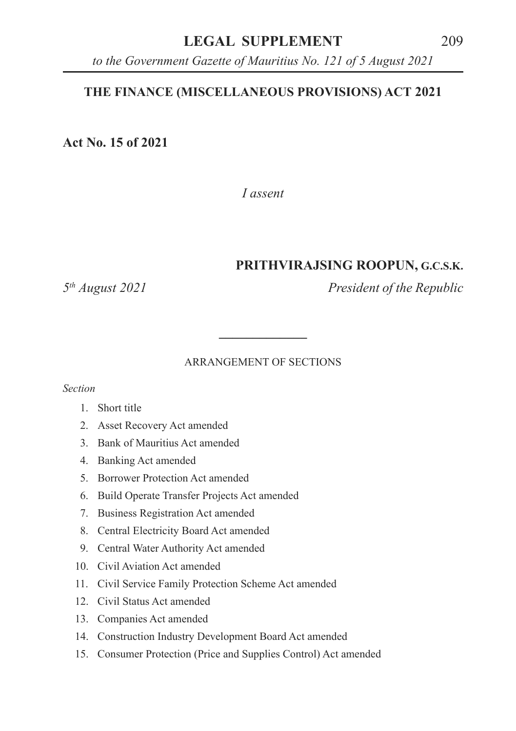# **LEGAL SUPPLEMENT** 209

*to the Government Gazette of Mauritius No. 121 of 5 August 2021*

# **THE FINANCE (MISCELLANEOUS PROVISIONS) ACT 2021**

**Act No. 15 of 2021**

*I assent*

### **PRITHVIRAJSING ROOPUN, G.C.S.K.**

*5th August 2021 President of the Republic*

#### ARRANGEMENT OF SECTIONS

**\_\_\_\_\_\_\_\_\_\_\_\_\_**

*Section*

- 1. Short title
- 2. Asset Recovery Act amended
- 3. Bank of Mauritius Act amended
- 4. Banking Act amended
- 5. Borrower Protection Act amended
- 6. Build Operate Transfer Projects Act amended
- 7. Business Registration Act amended
- 8. Central Electricity Board Act amended
- 9. Central Water Authority Act amended
- 10. Civil Aviation Act amended
- 11. Civil Service Family Protection Scheme Act amended
- 12. Civil Status Act amended
- 13. Companies Act amended
- 14. Construction Industry Development Board Act amended
- 15. Consumer Protection (Price and Supplies Control) Act amended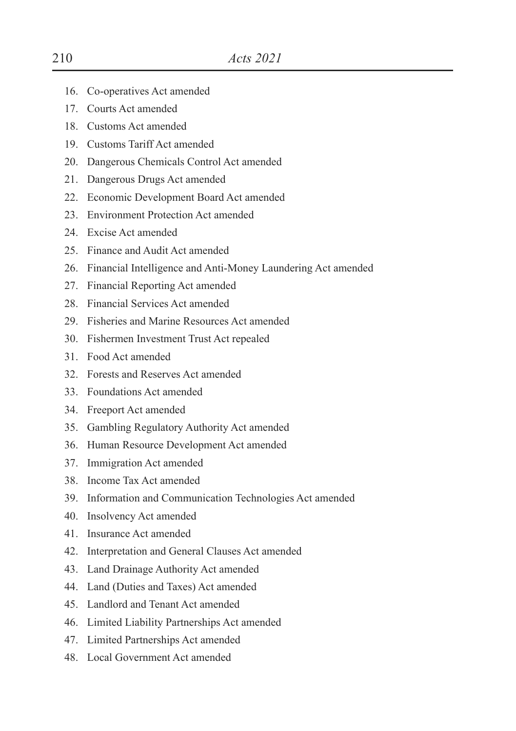- 16. Co-operatives Act amended
- 17. Courts Act amended
- 18. Customs Act amended
- 19. Customs Tariff Act amended
- 20. Dangerous Chemicals Control Act amended
- 21. Dangerous Drugs Act amended
- 22. Economic Development Board Act amended
- 23. Environment Protection Act amended
- 24. Excise Act amended
- 25. Finance and Audit Act amended
- 26. Financial Intelligence and Anti-Money Laundering Act amended
- 27. Financial Reporting Act amended
- 28. Financial Services Act amended
- 29. Fisheries and Marine Resources Act amended
- 30. Fishermen Investment Trust Act repealed
- 31. Food Act amended
- 32. Forests and Reserves Act amended
- 33. Foundations Act amended
- 34. Freeport Act amended
- 35. Gambling Regulatory Authority Act amended
- 36. Human Resource Development Act amended
- 37. Immigration Act amended
- 38. Income Tax Act amended
- 39. Information and Communication Technologies Act amended
- 40. Insolvency Act amended
- 41. Insurance Act amended
- 42. Interpretation and General Clauses Act amended
- 43. Land Drainage Authority Act amended
- 44. Land (Duties and Taxes) Act amended
- 45. Landlord and Tenant Act amended
- 46. Limited Liability Partnerships Act amended
- 47. Limited Partnerships Act amended
- 48. Local Government Act amended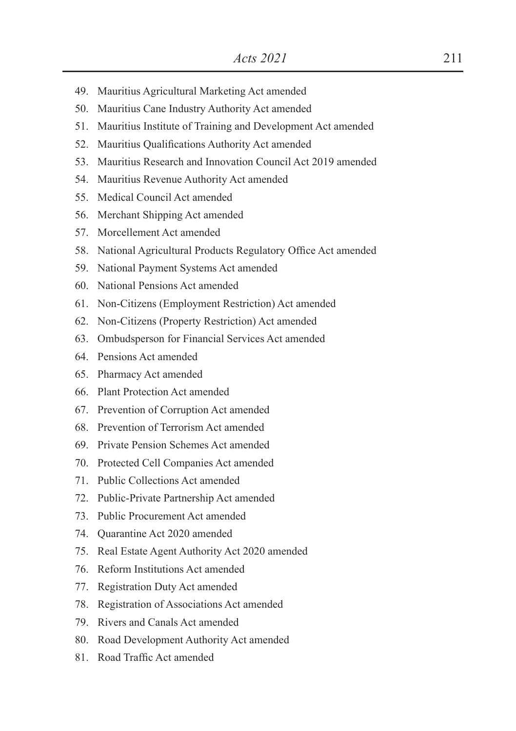- 49. Mauritius Agricultural Marketing Act amended
- 50. Mauritius Cane Industry Authority Act amended
- 51. Mauritius Institute of Training and Development Act amended
- 52. Mauritius Qualifications Authority Act amended
- 53. Mauritius Research and Innovation Council Act 2019 amended
- 54. Mauritius Revenue Authority Act amended
- 55. Medical Council Act amended
- 56. Merchant Shipping Act amended
- 57. Morcellement Act amended
- 58. National Agricultural Products Regulatory Office Act amended
- 59. National Payment Systems Act amended
- 60. National Pensions Act amended
- 61. Non-Citizens (Employment Restriction) Act amended
- 62. Non-Citizens (Property Restriction) Act amended
- 63. Ombudsperson for Financial Services Act amended
- 64. Pensions Act amended
- 65. Pharmacy Act amended
- 66. Plant Protection Act amended
- 67. Prevention of Corruption Act amended
- 68. Prevention of Terrorism Act amended
- 69. Private Pension Schemes Act amended
- 70. Protected Cell Companies Act amended
- 71. Public Collections Act amended
- 72. Public-Private Partnership Act amended
- 73. Public Procurement Act amended
- 74. Quarantine Act 2020 amended
- 75. Real Estate Agent Authority Act 2020 amended
- 76. Reform Institutions Act amended
- 77. Registration Duty Act amended
- 78. Registration of Associations Act amended
- 79. Rivers and Canals Act amended
- 80. Road Development Authority Act amended
- 81 Road Traffic Act amended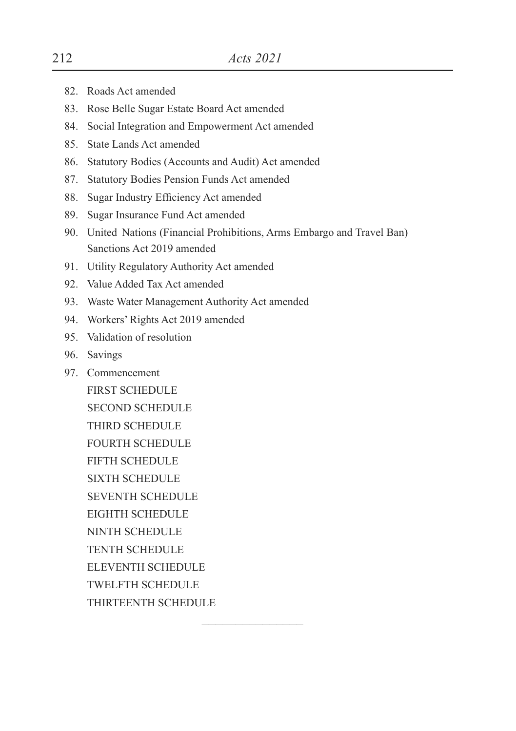- 82. Roads Act amended
- 83. Rose Belle Sugar Estate Board Act amended
- 84. Social Integration and Empowerment Act amended
- 85. State Lands Act amended
- 86. Statutory Bodies (Accounts and Audit) Act amended
- 87. Statutory Bodies Pension Funds Act amended
- 88. Sugar Industry Efficiency Act amended
- 89. Sugar Insurance Fund Act amended
- 90. United Nations (Financial Prohibitions, Arms Embargo and Travel Ban) Sanctions Act 2019 amended

 $\mathcal{L}_\text{max}$ 

- 91. Utility Regulatory Authority Act amended
- 92. Value Added Tax Act amended
- 93. Waste Water Management Authority Act amended
- 94. Workers' Rights Act 2019 amended
- 95. Validation of resolution
- 96. Savings
- 97. Commencement FIRST SCHEDULE SECOND SCHEDULE THIRD SCHEDULE FOURTH SCHEDULE FIFTH SCHEDULE SIXTH SCHEDULE SEVENTH SCHEDULE EIGHTH SCHEDULE NINTH SCHEDULE TENTH SCHEDULE ELEVENTH SCHEDULE TWELFTH SCHEDULE THIRTEENTH SCHEDULE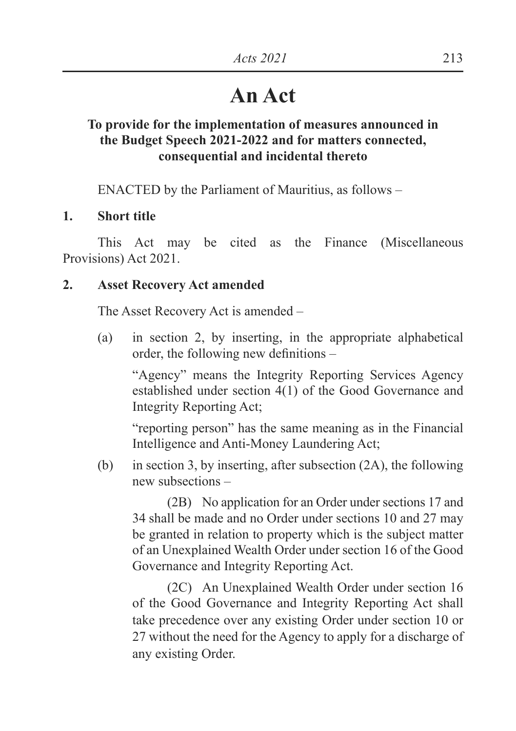# **An Act**

# **To provide for the implementation of measures announced in the Budget Speech 2021-2022 and for matters connected, consequential and incidental thereto**

ENACTED by the Parliament of Mauritius, as follows –

### **1. Short title**

 This Act may be cited as the Finance (Miscellaneous Provisions) Act 2021.

### **2. Asset Recovery Act amended**

The Asset Recovery Act is amended –

(a) in section 2, by inserting, in the appropriate alphabetical order, the following new definitions  $-$ 

 "Agency" means the Integrity Reporting Services Agency established under section 4(1) of the Good Governance and Integrity Reporting Act;

 "reporting person" has the same meaning as in the Financial Intelligence and Anti-Money Laundering Act;

(b) in section 3, by inserting, after subsection (2A), the following new subsections –

 (2B) No application for an Order under sections 17 and 34 shall be made and no Order under sections 10 and 27 may be granted in relation to property which is the subject matter of an Unexplained Wealth Order under section 16 of the Good Governance and Integrity Reporting Act.

 (2C) An Unexplained Wealth Order under section 16 of the Good Governance and Integrity Reporting Act shall take precedence over any existing Order under section 10 or 27 without the need for the Agency to apply for a discharge of any existing Order.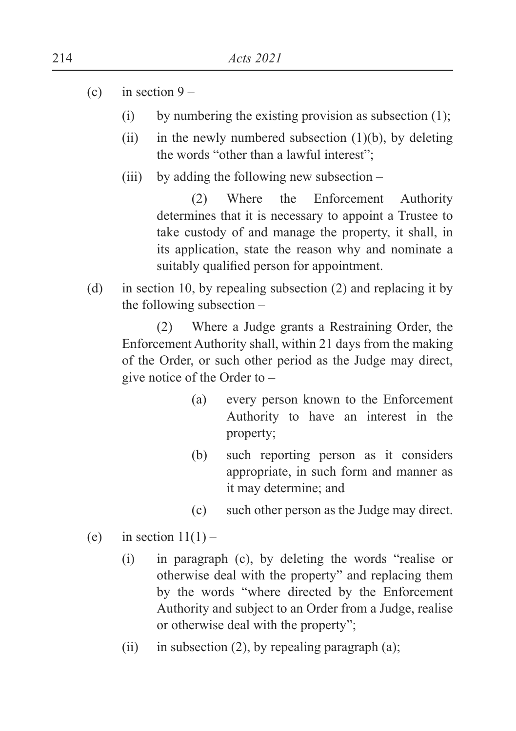- (c) in section  $9 -$ 
	- (i) by numbering the existing provision as subsection  $(1)$ ;
	- (ii) in the newly numbered subsection  $(1)(b)$ , by deleting the words "other than a lawful interest";
	- (iii) by adding the following new subsection –

 (2) Where the Enforcement Authority determines that it is necessary to appoint a Trustee to take custody of and manage the property, it shall, in its application, state the reason why and nominate a suitably qualified person for appointment.

(d) in section 10, by repealing subsection (2) and replacing it by the following subsection –

 (2) Where a Judge grants a Restraining Order, the Enforcement Authority shall, within 21 days from the making of the Order, or such other period as the Judge may direct, give notice of the Order to –

- (a) every person known to the Enforcement Authority to have an interest in the property;
- (b) such reporting person as it considers appropriate, in such form and manner as it may determine; and
- (c) such other person as the Judge may direct.
- (e) in section  $11(1)$ 
	- (i) in paragraph (c), by deleting the words "realise or otherwise deal with the property" and replacing them by the words "where directed by the Enforcement Authority and subject to an Order from a Judge, realise or otherwise deal with the property";
	- (ii) in subsection (2), by repealing paragraph (a);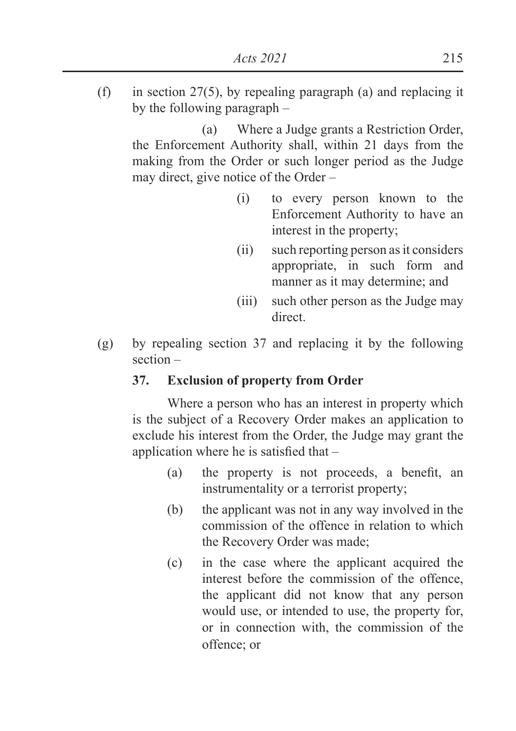(f) in section  $27(5)$ , by repealing paragraph (a) and replacing it by the following paragraph –

 (a) Where a Judge grants a Restriction Order, the Enforcement Authority shall, within 21 days from the making from the Order or such longer period as the Judge may direct, give notice of the Order –

- (i) to every person known to the Enforcement Authority to have an interest in the property;
- (ii) such reporting person as it considers appropriate, in such form and manner as it may determine; and
- (iii) such other person as the Judge may direct.
- (g) by repealing section 37 and replacing it by the following section –

# **37. Exclusion of property from Order**

 Where a person who has an interest in property which is the subject of a Recovery Order makes an application to exclude his interest from the Order, the Judge may grant the application where he is satisfied that  $-$ 

- (a) the property is not proceeds, a benefit, an instrumentality or a terrorist property;
- (b) the applicant was not in any way involved in the commission of the offence in relation to which the Recovery Order was made;
- (c) in the case where the applicant acquired the interest before the commission of the offence, the applicant did not know that any person would use, or intended to use, the property for, or in connection with, the commission of the offence; or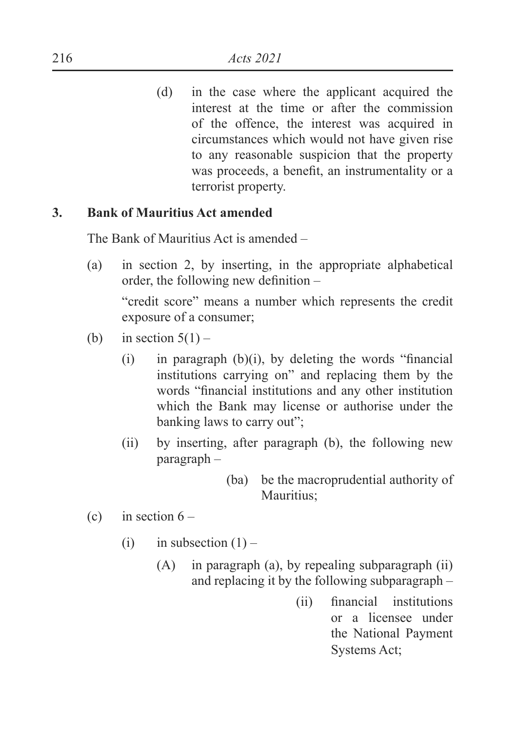(d) in the case where the applicant acquired the interest at the time or after the commission of the offence, the interest was acquired in circumstances which would not have given rise to any reasonable suspicion that the property was proceeds, a benefit, an instrumentality or a terrorist property.

### **3. Bank of Mauritius Act amended**

The Bank of Mauritius Act is amended –

(a) in section 2, by inserting, in the appropriate alphabetical order, the following new definition  $-$ 

 "credit score" means a number which represents the credit exposure of a consumer;

- (b) in section  $5(1)$ 
	- $(i)$  in paragraph  $(b)(i)$ , by deleting the words "financial institutions carrying on" and replacing them by the words "financial institutions and any other institution which the Bank may license or authorise under the banking laws to carry out";
	- (ii) by inserting, after paragraph (b), the following new paragraph –
		- (ba) be the macroprudential authority of Mauritius;
- (c) in section  $6 -$ 
	- (i) in subsection  $(1)$ 
		- (A) in paragraph (a), by repealing subparagraph (ii) and replacing it by the following subparagraph –
			- $(i)$  financial institutions or a licensee under the National Payment Systems Act;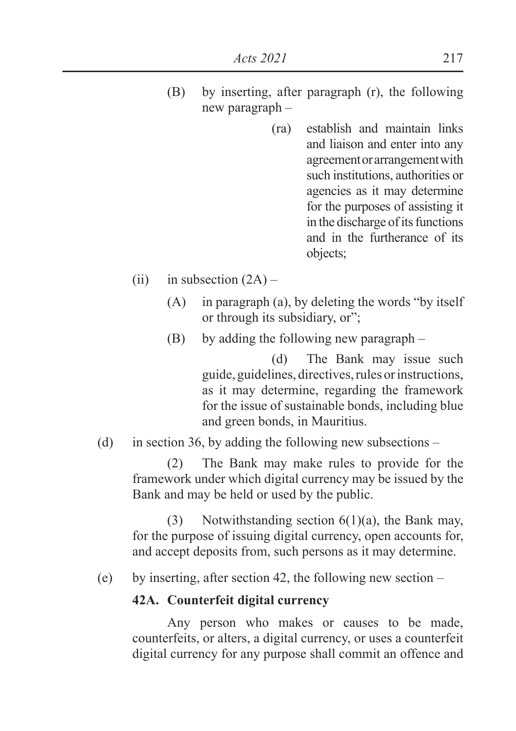- (B) by inserting, after paragraph (r), the following new paragraph –
	- (ra) establish and maintain links and liaison and enter into any agreement or arrangement with such institutions, authorities or agencies as it may determine for the purposes of assisting it in the discharge of its functions and in the furtherance of its objects;
- (ii) in subsection  $(2A)$ 
	- (A) in paragraph (a), by deleting the words "by itself or through its subsidiary, or";
	- (B) by adding the following new paragraph –

 (d) The Bank may issue such guide, guidelines, directives, rules or instructions, as it may determine, regarding the framework for the issue of sustainable bonds, including blue and green bonds, in Mauritius.

(d) in section 36, by adding the following new subsections –

 (2) The Bank may make rules to provide for the framework under which digital currency may be issued by the Bank and may be held or used by the public.

 (3) Notwithstanding section 6(1)(a), the Bank may, for the purpose of issuing digital currency, open accounts for, and accept deposits from, such persons as it may determine.

(e) by inserting, after section 42, the following new section –

#### **42A. Counterfeit digital currency**

 Any person who makes or causes to be made, counterfeits, or alters, a digital currency, or uses a counterfeit digital currency for any purpose shall commit an offence and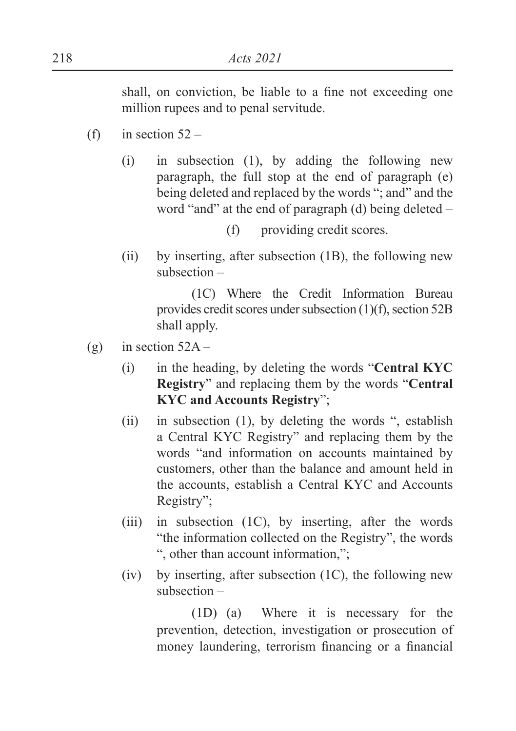shall, on conviction, be liable to a fine not exceeding one million rupees and to penal servitude.

- (f) in section  $52 -$ 
	- (i) in subsection (1), by adding the following new paragraph, the full stop at the end of paragraph (e) being deleted and replaced by the words "; and" and the word "and" at the end of paragraph (d) being deleted –
		- (f) providing credit scores.
	- (ii) by inserting, after subsection (1B), the following new subsection –

 (1C) Where the Credit Information Bureau provides credit scores under subsection (1)(f), section 52B shall apply.

- (g) in section  $52A -$ 
	- (i) in the heading, by deleting the words "**Central KYC Registry**" and replacing them by the words "**Central KYC and Accounts Registry**";
	- (ii) in subsection (1), by deleting the words ", establish a Central KYC Registry" and replacing them by the words "and information on accounts maintained by customers, other than the balance and amount held in the accounts, establish a Central KYC and Accounts Registry";
	- (iii) in subsection (1C), by inserting, after the words "the information collected on the Registry", the words ", other than account information,";
	- $(iv)$  by inserting, after subsection  $(1C)$ , the following new subsection –

 (1D) (a) Where it is necessary for the prevention, detection, investigation or prosecution of money laundering, terrorism financing or a financial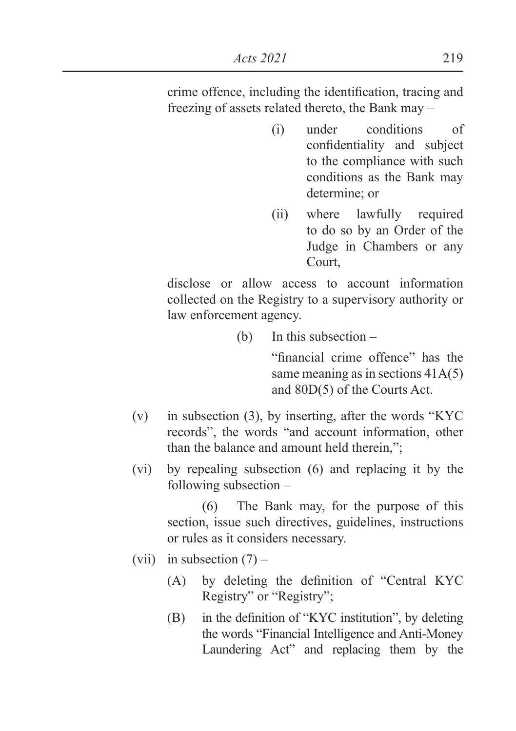crime offence, including the identification, tracing and freezing of assets related thereto, the Bank may –

- (i) under conditions of confidentiality and subject to the compliance with such conditions as the Bank may determine; or
- (ii) where lawfully required to do so by an Order of the Judge in Chambers or any Court,

 disclose or allow access to account information collected on the Registry to a supervisory authority or law enforcement agency.

(b) In this subsection –

"financial crime offence" has the same meaning as in sections 41A(5) and 80D(5) of the Courts Act.

- (v) in subsection (3), by inserting, after the words "KYC records", the words "and account information, other than the balance and amount held therein.":
- (vi) by repealing subsection (6) and replacing it by the following subsection –

 (6) The Bank may, for the purpose of this section, issue such directives, guidelines, instructions or rules as it considers necessary.

- (vii) in subsection  $(7)$ 
	- $(A)$  by deleting the definition of "Central KYC Registry" or "Registry";
	- $(B)$  in the definition of "KYC institution", by deleting the words "Financial Intelligence and Anti-Money Laundering Act" and replacing them by the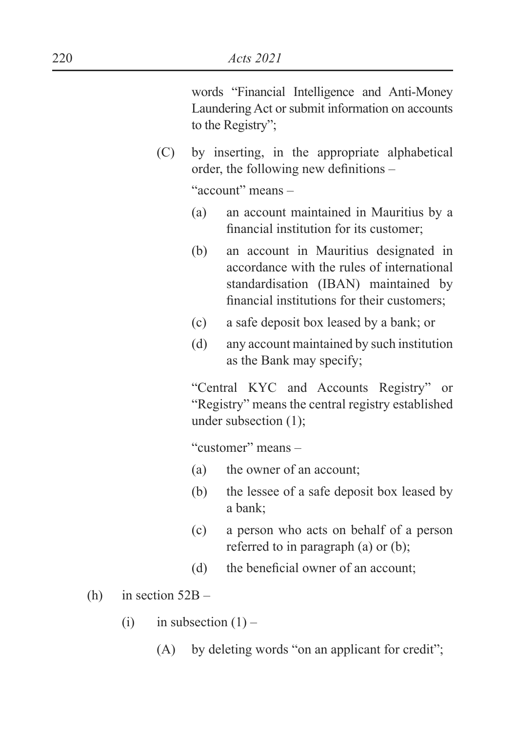words "Financial Intelligence and Anti-Money Laundering Act or submit information on accounts to the Registry";

(C) by inserting, in the appropriate alphabetical order, the following new definitions  $-$ 

"account" means –

- (a) an account maintained in Mauritius by a financial institution for its customer:
- (b) an account in Mauritius designated in accordance with the rules of international standardisation (IBAN) maintained by financial institutions for their customers;
- (c) a safe deposit box leased by a bank; or
- (d) any account maintained by such institution as the Bank may specify;

 "Central KYC and Accounts Registry" or "Registry" means the central registry established under subsection (1);

"customer" means –

- (a) the owner of an account;
- (b) the lessee of a safe deposit box leased by a bank;
- (c) a person who acts on behalf of a person referred to in paragraph (a) or (b);
- $(d)$  the beneficial owner of an account:

(h) in section  $52B -$ 

- (i) in subsection  $(1)$ 
	- (A) by deleting words "on an applicant for credit";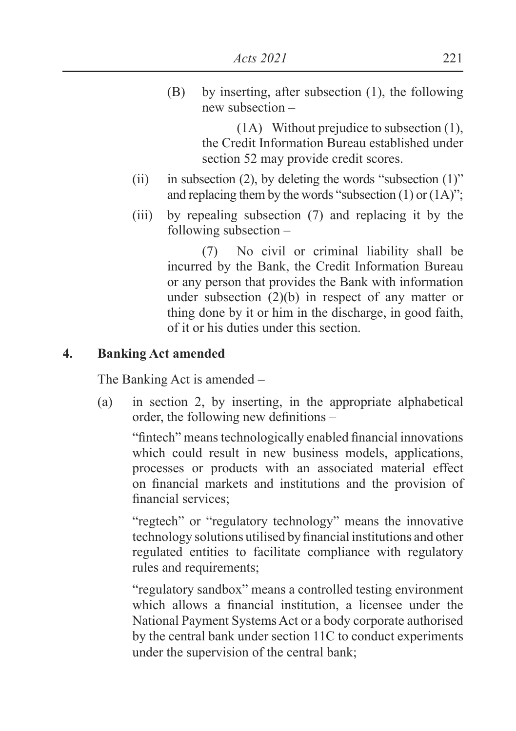(B) by inserting, after subsection (1), the following new subsection –

> (1A) Without prejudice to subsection (1), the Credit Information Bureau established under section 52 may provide credit scores.

- (ii) in subsection (2), by deleting the words "subsection  $(1)$ " and replacing them by the words "subsection  $(1)$  or  $(1A)$ ";
- (iii) by repealing subsection (7) and replacing it by the following subsection –

 (7) No civil or criminal liability shall be incurred by the Bank, the Credit Information Bureau or any person that provides the Bank with information under subsection (2)(b) in respect of any matter or thing done by it or him in the discharge, in good faith, of it or his duties under this section.

### **4. Banking Act amended**

The Banking Act is amended –

(a) in section 2, by inserting, in the appropriate alphabetical order, the following new definitions  $-$ 

"fintech" means technologically enabled financial innovations which could result in new business models, applications, processes or products with an associated material effect on financial markets and institutions and the provision of financial services:

 "regtech" or "regulatory technology" means the innovative technology solutions utilised by financial institutions and other regulated entities to facilitate compliance with regulatory rules and requirements;

 "regulatory sandbox" means a controlled testing environment which allows a financial institution, a licensee under the National Payment Systems Act or a body corporate authorised by the central bank under section 11C to conduct experiments under the supervision of the central bank;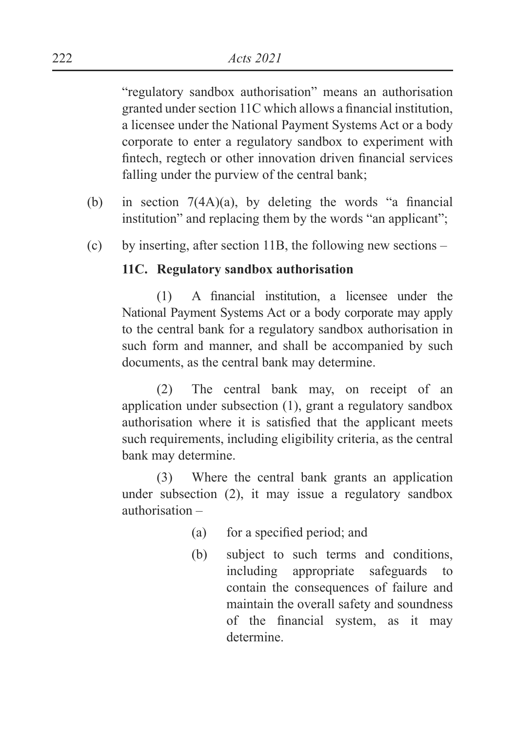"regulatory sandbox authorisation" means an authorisation granted under section  $11C$  which allows a financial institution, a licensee under the National Payment Systems Act or a body corporate to enter a regulatory sandbox to experiment with fintech, regtech or other innovation driven financial services falling under the purview of the central bank;

- (b) in section  $7(4A)(a)$ , by deleting the words "a financial institution" and replacing them by the words "an applicant";
- (c) by inserting, after section 11B, the following new sections –

### **11C. Regulatory sandbox authorisation**

 $(1)$  A financial institution, a licensee under the National Payment Systems Act or a body corporate may apply to the central bank for a regulatory sandbox authorisation in such form and manner, and shall be accompanied by such documents, as the central bank may determine.

 (2) The central bank may, on receipt of an application under subsection (1), grant a regulatory sandbox authorisation where it is satisfied that the applicant meets such requirements, including eligibility criteria, as the central bank may determine.

 (3) Where the central bank grants an application under subsection (2), it may issue a regulatory sandbox authorisation –

- $(a)$  for a specified period; and
- (b) subject to such terms and conditions, including appropriate safeguards to contain the consequences of failure and maintain the overall safety and soundness of the financial system, as it may determine.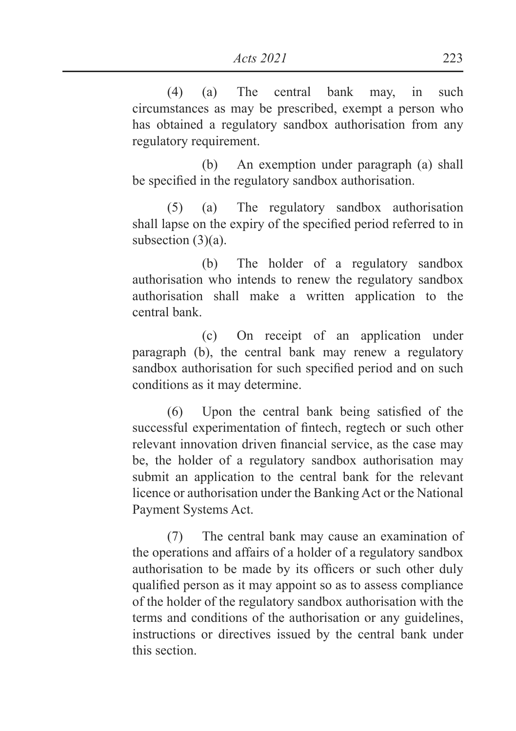(4) (a) The central bank may, in such circumstances as may be prescribed, exempt a person who has obtained a regulatory sandbox authorisation from any regulatory requirement.

 (b) An exemption under paragraph (a) shall be specified in the regulatory sandbox authorisation.

 (5) (a) The regulatory sandbox authorisation shall lapse on the expiry of the specified period referred to in subsection (3)(a).

 (b) The holder of a regulatory sandbox authorisation who intends to renew the regulatory sandbox authorisation shall make a written application to the central bank.

 (c) On receipt of an application under paragraph (b), the central bank may renew a regulatory sandbox authorisation for such specified period and on such conditions as it may determine.

 $(6)$  Upon the central bank being satisfied of the successful experimentation of fintech, regtech or such other relevant innovation driven financial service, as the case may be, the holder of a regulatory sandbox authorisation may submit an application to the central bank for the relevant licence or authorisation under the Banking Act or the National Payment Systems Act.

 (7) The central bank may cause an examination of the operations and affairs of a holder of a regulatory sandbox authorisation to be made by its officers or such other duly qualified person as it may appoint so as to assess compliance of the holder of the regulatory sandbox authorisation with the terms and conditions of the authorisation or any guidelines, instructions or directives issued by the central bank under this section.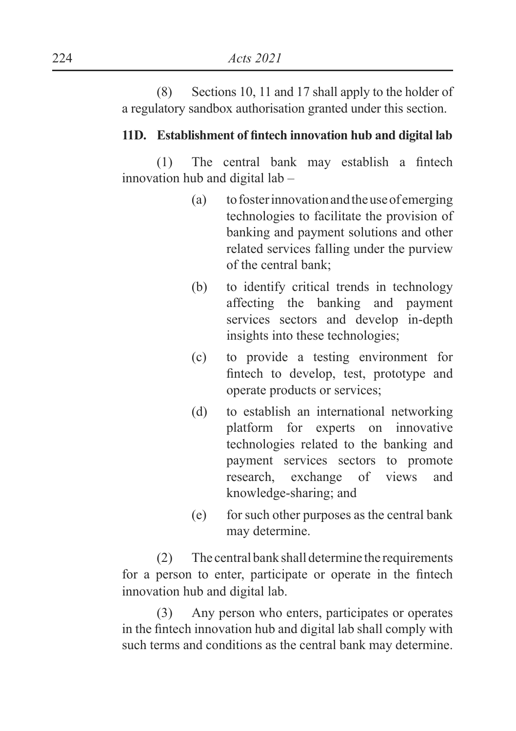(8) Sections 10, 11 and 17 shall apply to the holder of a regulatory sandbox authorisation granted under this section.

### 11D. Establishment of fintech innovation hub and digital lab

 $(1)$  The central bank may establish a fintech innovation hub and digital lab –

- (a) to foster innovation and the use of emerging technologies to facilitate the provision of banking and payment solutions and other related services falling under the purview of the central bank;
- (b) to identify critical trends in technology affecting the banking and payment services sectors and develop in-depth insights into these technologies;
- (c) to provide a testing environment for fintech to develop, test, prototype and operate products or services;
- (d) to establish an international networking platform for experts on innovative technologies related to the banking and payment services sectors to promote research, exchange of views and knowledge-sharing; and
- (e) for such other purposes as the central bank may determine.

 (2) The central bank shall determine the requirements for a person to enter, participate or operate in the fintech innovation hub and digital lab.

 (3) Any person who enters, participates or operates in the fintech innovation hub and digital lab shall comply with such terms and conditions as the central bank may determine.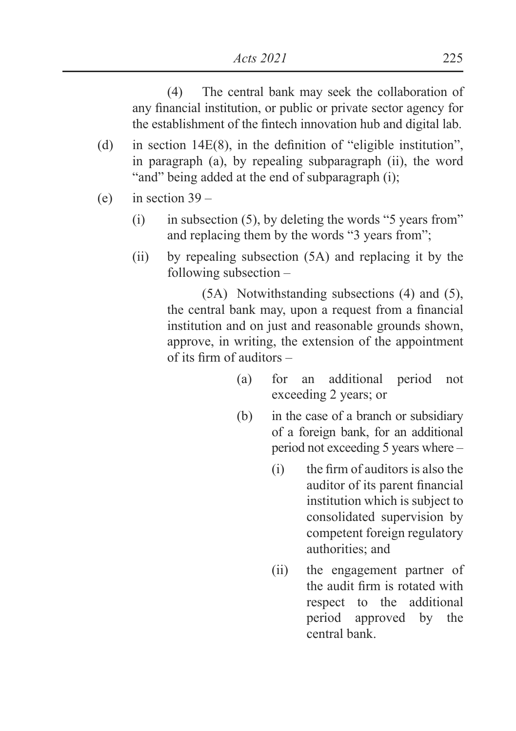(4) The central bank may seek the collaboration of any financial institution, or public or private sector agency for the establishment of the fintech innovation hub and digital lab.

- (d) in section  $14E(8)$ , in the definition of "eligible institution". in paragraph (a), by repealing subparagraph (ii), the word "and" being added at the end of subparagraph (i);
- (e) in section  $39 -$ 
	- $(i)$  in subsection (5), by deleting the words "5 years from" and replacing them by the words "3 years from";
	- (ii) by repealing subsection (5A) and replacing it by the following subsection –

 (5A) Notwithstanding subsections (4) and (5), the central bank may, upon a request from a financial institution and on just and reasonable grounds shown, approve, in writing, the extension of the appointment of its firm of auditors  $-$ 

- (a) for an additional period not exceeding 2 years; or
- (b) in the case of a branch or subsidiary of a foreign bank, for an additional period not exceeding 5 years where –
	- $(i)$  the firm of auditors is also the auditor of its parent financial institution which is subject to consolidated supervision by competent foreign regulatory authorities; and
	- (ii) the engagement partner of the audit firm is rotated with respect to the additional period approved by the central bank.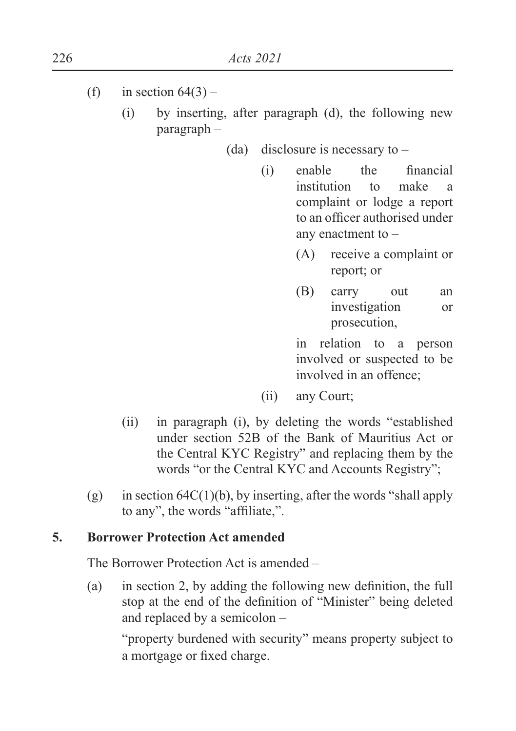- (f) in section  $64(3)$ 
	- (i) by inserting, after paragraph (d), the following new paragraph –
		- (da) disclosure is necessary to
			- $(i)$  enable the financial institution to make a complaint or lodge a report to an officer authorised under any enactment to –
				- (A) receive a complaint or report; or
				- (B) carry out an investigation or prosecution,

 in relation to a person involved or suspected to be involved in an offence;

- (ii) any Court;
- (ii) in paragraph (i), by deleting the words "established under section 52B of the Bank of Mauritius Act or the Central KYC Registry" and replacing them by the words "or the Central KYC and Accounts Registry";
- (g) in section  $64C(1)(b)$ , by inserting, after the words "shall apply to any", the words "affiliate,".

### **5. Borrower Protection Act amended**

The Borrower Protection Act is amended –

(a) in section 2, by adding the following new definition, the full stop at the end of the definition of "Minister" being deleted and replaced by a semicolon –

 "property burdened with security" means property subject to a mortgage or fixed charge.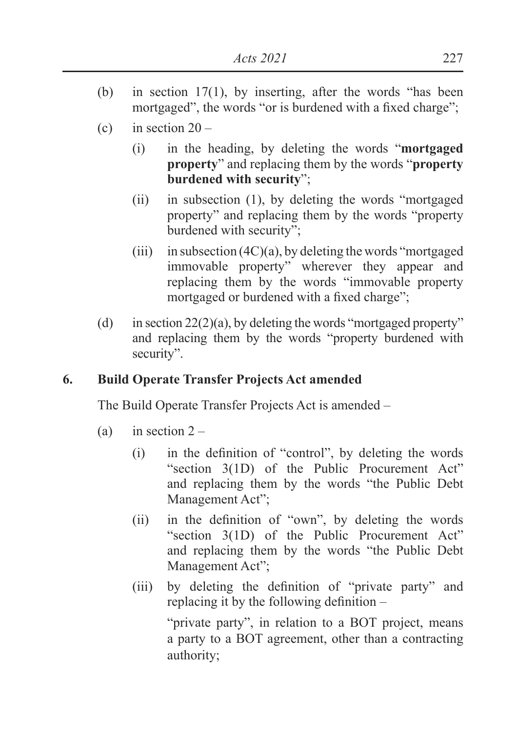- (b) in section 17(1), by inserting, after the words "has been mortgaged", the words "or is burdened with a fixed charge":
- (c) in section  $20 -$ 
	- (i) in the heading, by deleting the words "**mortgaged property**" and replacing them by the words "**property burdened with security**";
	- (ii) in subsection (1), by deleting the words "mortgaged property" and replacing them by the words "property burdened with security";
	- $(iii)$  in subsection  $(4C)(a)$ , by deleting the words "mortgaged" immovable property" wherever they appear and replacing them by the words "immovable property mortgaged or burdened with a fixed charge":
- (d) in section  $22(2)(a)$ , by deleting the words "mortgaged property" and replacing them by the words "property burdened with security".

# **6. Build Operate Transfer Projects Act amended**

The Build Operate Transfer Projects Act is amended –

- (a) in section  $2 -$ 
	- $\Delta$  in the definition of "control", by deleting the words "section 3(1D) of the Public Procurement Act" and replacing them by the words "the Public Debt Management Act";
	- $\lambda$  (ii) in the definition of "own", by deleting the words "section 3(1D) of the Public Procurement Act" and replacing them by the words "the Public Debt Management Act";
	- (iii) by deleting the definition of "private party" and replacing it by the following definition  $-$

 "private party", in relation to a BOT project, means a party to a BOT agreement, other than a contracting authority;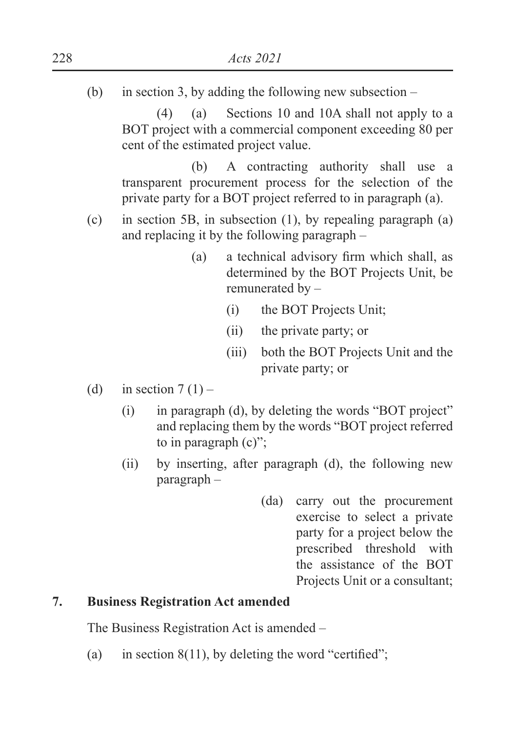(b) in section 3, by adding the following new subsection –

 (4) (a) Sections 10 and 10A shall not apply to a BOT project with a commercial component exceeding 80 per cent of the estimated project value.

 (b) A contracting authority shall use a transparent procurement process for the selection of the private party for a BOT project referred to in paragraph (a).

- (c) in section 5B, in subsection (1), by repealing paragraph (a) and replacing it by the following paragraph –
	- $\alpha$  a technical advisory firm which shall, as determined by the BOT Projects Unit, be remunerated by –
		- (i) the BOT Projects Unit;
		- (ii) the private party; or
		- (iii) both the BOT Projects Unit and the private party; or
- (d) in section  $7(1)$ 
	- (i) in paragraph (d), by deleting the words "BOT project" and replacing them by the words "BOT project referred to in paragraph (c)";
	- (ii) by inserting, after paragraph (d), the following new paragraph –
		- (da) carry out the procurement exercise to select a private party for a project below the prescribed threshold with the assistance of the BOT Projects Unit or a consultant;

### **7. Business Registration Act amended**

The Business Registration Act is amended –

(a) in section  $8(11)$ , by deleting the word "certified";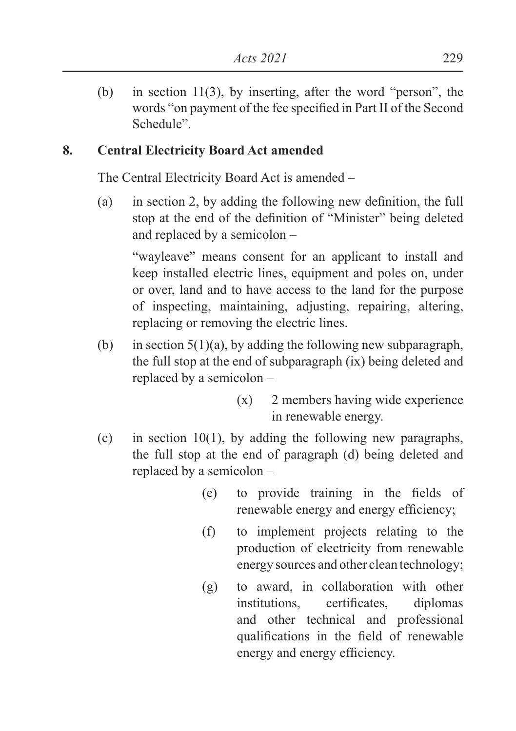(b) in section 11(3), by inserting, after the word "person", the words "on payment of the fee specified in Part II of the Second Schedule".

# **8. Central Electricity Board Act amended**

The Central Electricity Board Act is amended –

(a) in section 2, by adding the following new definition, the full stop at the end of the definition of "Minister" being deleted and replaced by a semicolon –

 "wayleave" means consent for an applicant to install and keep installed electric lines, equipment and poles on, under or over, land and to have access to the land for the purpose of inspecting, maintaining, adjusting, repairing, altering, replacing or removing the electric lines.

- (b) in section  $5(1)(a)$ , by adding the following new subparagraph, the full stop at the end of subparagraph (ix) being deleted and replaced by a semicolon –
	- (x) 2 members having wide experience in renewable energy.
- (c) in section 10(1), by adding the following new paragraphs, the full stop at the end of paragraph (d) being deleted and replaced by a semicolon –
	- $(e)$  to provide training in the fields of renewable energy and energy efficiency;
	- (f) to implement projects relating to the production of electricity from renewable energy sources and other clean technology;
	- (g) to award, in collaboration with other institutions, certificates, diplomas and other technical and professional qualifications in the field of renewable energy and energy efficiency.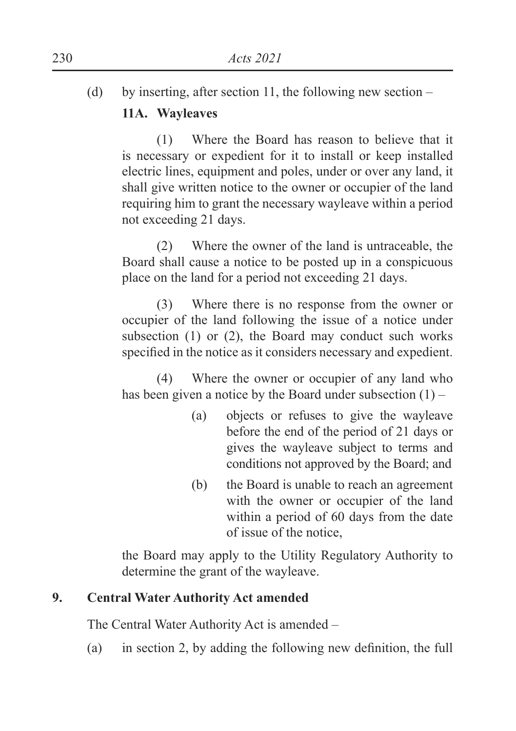(d) by inserting, after section 11, the following new section –

# **11A. Wayleaves**

 (1) Where the Board has reason to believe that it is necessary or expedient for it to install or keep installed electric lines, equipment and poles, under or over any land, it shall give written notice to the owner or occupier of the land requiring him to grant the necessary wayleave within a period not exceeding 21 days.

 (2) Where the owner of the land is untraceable, the Board shall cause a notice to be posted up in a conspicuous place on the land for a period not exceeding 21 days.

 (3) Where there is no response from the owner or occupier of the land following the issue of a notice under subsection (1) or (2), the Board may conduct such works specified in the notice as it considers necessary and expedient.

 (4) Where the owner or occupier of any land who has been given a notice by the Board under subsection  $(1)$  –

- (a) objects or refuses to give the wayleave before the end of the period of 21 days or gives the wayleave subject to terms and conditions not approved by the Board; and
- (b) the Board is unable to reach an agreement with the owner or occupier of the land within a period of 60 days from the date of issue of the notice,

 the Board may apply to the Utility Regulatory Authority to determine the grant of the wayleave.

# **9. Central Water Authority Act amended**

The Central Water Authority Act is amended –

(a) in section 2, by adding the following new definition, the full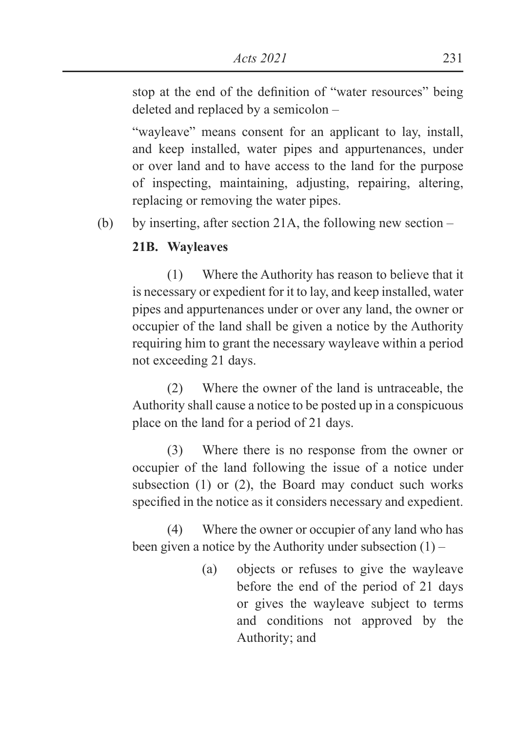stop at the end of the definition of "water resources" being deleted and replaced by a semicolon –

 "wayleave" means consent for an applicant to lay, install, and keep installed, water pipes and appurtenances, under or over land and to have access to the land for the purpose of inspecting, maintaining, adjusting, repairing, altering, replacing or removing the water pipes.

(b) by inserting, after section 21A, the following new section –

# **21B. Wayleaves**

 (1) Where the Authority has reason to believe that it is necessary or expedient for it to lay, and keep installed, water pipes and appurtenances under or over any land, the owner or occupier of the land shall be given a notice by the Authority requiring him to grant the necessary wayleave within a period not exceeding 21 days.

 (2) Where the owner of the land is untraceable, the Authority shall cause a notice to be posted up in a conspicuous place on the land for a period of 21 days.

 (3) Where there is no response from the owner or occupier of the land following the issue of a notice under subsection (1) or (2), the Board may conduct such works specified in the notice as it considers necessary and expedient.

 (4) Where the owner or occupier of any land who has been given a notice by the Authority under subsection (1) –

> (a) objects or refuses to give the wayleave before the end of the period of 21 days or gives the wayleave subject to terms and conditions not approved by the Authority; and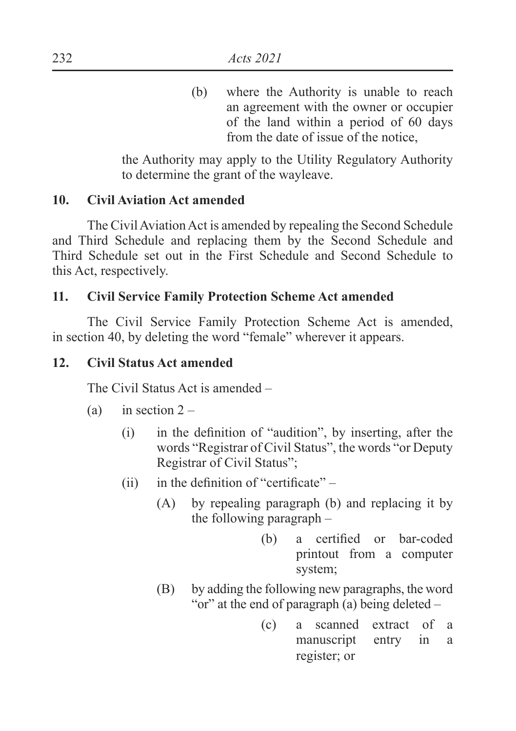(b) where the Authority is unable to reach an agreement with the owner or occupier of the land within a period of 60 days from the date of issue of the notice,

 the Authority may apply to the Utility Regulatory Authority to determine the grant of the wayleave.

### **10. Civil Aviation Act amended**

 The Civil Aviation Act is amended by repealing the Second Schedule and Third Schedule and replacing them by the Second Schedule and Third Schedule set out in the First Schedule and Second Schedule to this Act, respectively.

### **11. Civil Service Family Protection Scheme Act amended**

 The Civil Service Family Protection Scheme Act is amended, in section 40, by deleting the word "female" wherever it appears.

#### **12. Civil Status Act amended**

The Civil Status Act is amended –

- (a) in section  $2 -$ 
	- $\Delta$  in the definition of "audition", by inserting, after the words "Registrar of Civil Status", the words "or Deputy Registrar of Civil Status";
	- (ii) in the definition of "certificate"  $-$ 
		- (A) by repealing paragraph (b) and replacing it by the following paragraph –
			- $(b)$  a certified or bar-coded printout from a computer system;
		- (B) by adding the following new paragraphs, the word "or" at the end of paragraph (a) being deleted –
			- (c) a scanned extract of a manuscript entry in a register; or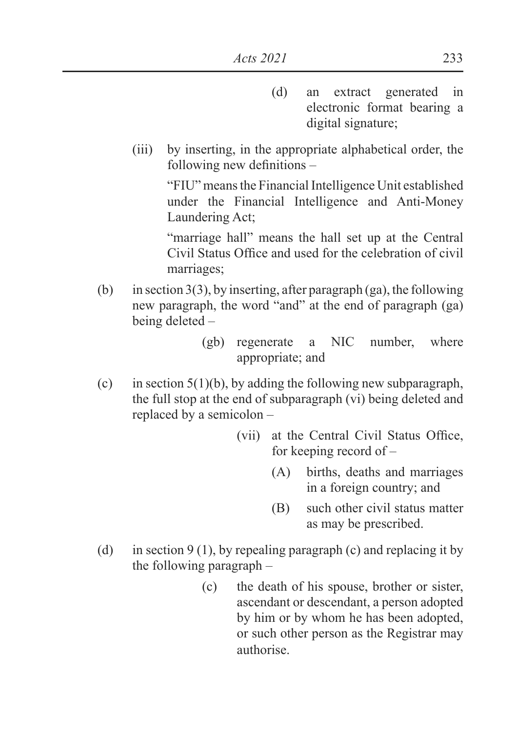- (d) an extract generated in electronic format bearing a digital signature;
- (iii) by inserting, in the appropriate alphabetical order, the following new definitions  $-$

 "FIU" means the Financial Intelligence Unit established under the Financial Intelligence and Anti-Money Laundering Act;

 "marriage hall" means the hall set up at the Central Civil Status Office and used for the celebration of civil marriages;

- (b) in section  $3(3)$ , by inserting, after paragraph (ga), the following new paragraph, the word "and" at the end of paragraph (ga) being deleted –
	- (gb) regenerate a NIC number, where appropriate; and
- (c) in section  $5(1)(b)$ , by adding the following new subparagraph, the full stop at the end of subparagraph (vi) being deleted and replaced by a semicolon –
	- (vii) at the Central Civil Status Office, for keeping record of –
		- (A) births, deaths and marriages in a foreign country; and
		- (B) such other civil status matter as may be prescribed.
- (d) in section 9 (1), by repealing paragraph (c) and replacing it by the following paragraph –
	- (c) the death of his spouse, brother or sister, ascendant or descendant, a person adopted by him or by whom he has been adopted, or such other person as the Registrar may authorise.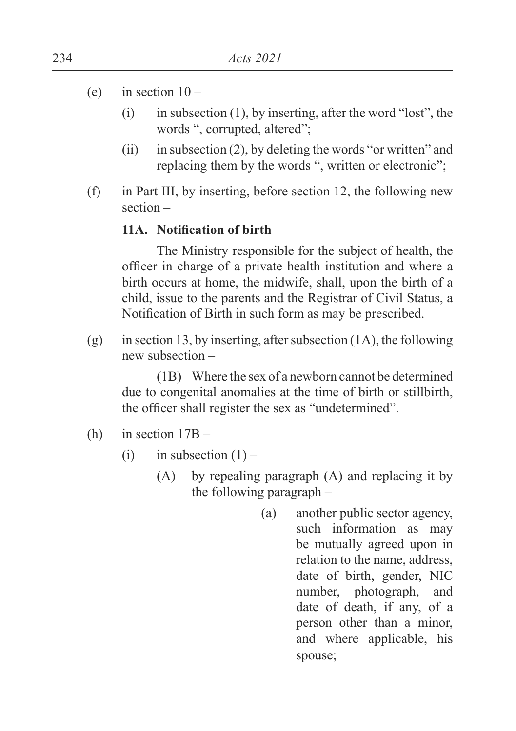- (e) in section  $10 -$ 
	- (i) in subsection (1), by inserting, after the word "lost", the words ", corrupted, altered";
	- (ii) in subsection (2), by deleting the words "or written" and replacing them by the words ", written or electronic";
- (f) in Part III, by inserting, before section 12, the following new section –

### 11A. Notification of birth

 The Ministry responsible for the subject of health, the officer in charge of a private health institution and where a birth occurs at home, the midwife, shall, upon the birth of a child, issue to the parents and the Registrar of Civil Status, a Notification of Birth in such form as may be prescribed.

(g) in section 13, by inserting, after subsection (1A), the following new subsection –

 (1B) Where the sex of a newborn cannot be determined due to congenital anomalies at the time of birth or stillbirth, the officer shall register the sex as "undetermined".

- (h) in section 17B
	- (i) in subsection  $(1)$ 
		- (A) by repealing paragraph (A) and replacing it by the following paragraph –
			- (a) another public sector agency, such information as may be mutually agreed upon in relation to the name, address, date of birth, gender, NIC number, photograph, and date of death, if any, of a person other than a minor, and where applicable, his spouse;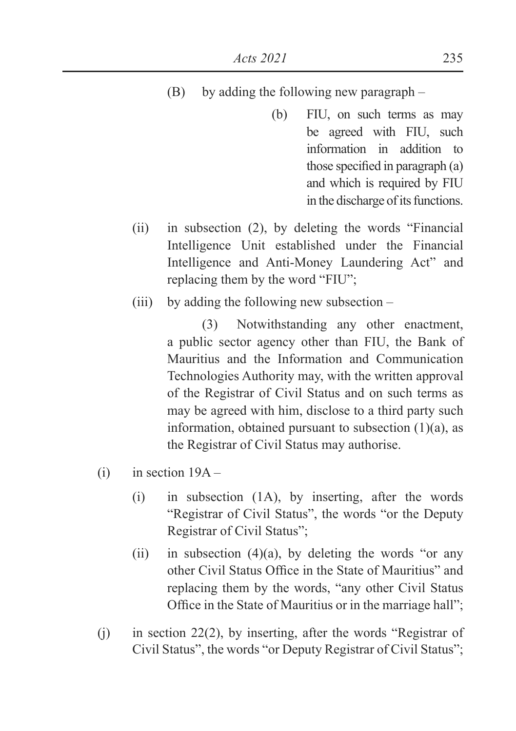- (B) by adding the following new paragraph
	- (b) FIU, on such terms as may be agreed with FIU, such information in addition to those specified in paragraph  $(a)$ and which is required by FIU in the discharge of its functions.
- (ii) in subsection (2), by deleting the words "Financial Intelligence Unit established under the Financial Intelligence and Anti-Money Laundering Act" and replacing them by the word "FIU";
- (iii) by adding the following new subsection –

 (3) Notwithstanding any other enactment, a public sector agency other than FIU, the Bank of Mauritius and the Information and Communication Technologies Authority may, with the written approval of the Registrar of Civil Status and on such terms as may be agreed with him, disclose to a third party such information, obtained pursuant to subsection  $(1)(a)$ , as the Registrar of Civil Status may authorise.

- $(i)$  in section  $19A -$ 
	- (i) in subsection (1A), by inserting, after the words "Registrar of Civil Status", the words "or the Deputy Registrar of Civil Status";
	- (ii) in subsection  $(4)(a)$ , by deleting the words "or any other Civil Status Office in the State of Mauritius" and replacing them by the words, "any other Civil Status Office in the State of Mauritius or in the marriage hall";
- (j) in section 22(2), by inserting, after the words "Registrar of Civil Status", the words "or Deputy Registrar of Civil Status";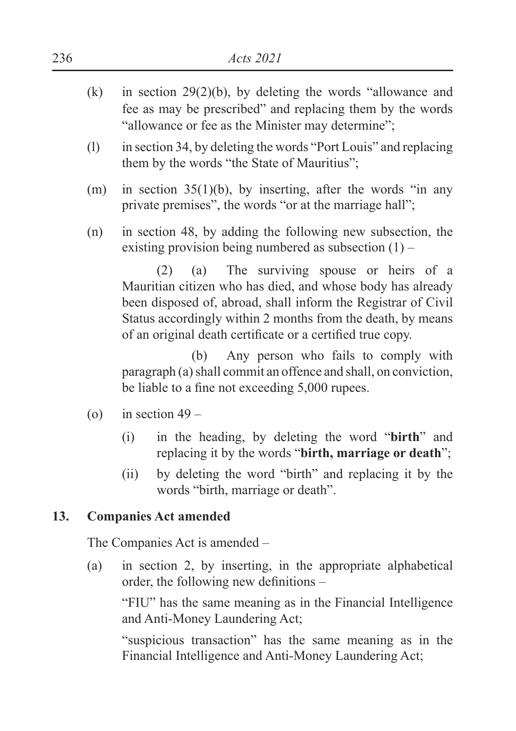- $(k)$  in section 29(2)(b), by deleting the words "allowance and fee as may be prescribed" and replacing them by the words "allowance or fee as the Minister may determine";
- (l) in section 34, by deleting the words "Port Louis" and replacing them by the words "the State of Mauritius";
- (m) in section 35(1)(b), by inserting, after the words "in any private premises", the words "or at the marriage hall";
- (n) in section 48, by adding the following new subsection, the existing provision being numbered as subsection  $(1)$  –

 (2) (a) The surviving spouse or heirs of a Mauritian citizen who has died, and whose body has already been disposed of, abroad, shall inform the Registrar of Civil Status accordingly within 2 months from the death, by means of an original death certificate or a certified true copy.

 (b) Any person who fails to comply with paragraph (a) shall commit an offence and shall, on conviction, be liable to a fine not exceeding 5,000 rupees.

- (o) in section  $49 -$ 
	- (i) in the heading, by deleting the word "**birth**" and replacing it by the words "**birth, marriage or death**";
	- (ii) by deleting the word "birth" and replacing it by the words "birth, marriage or death".

# **13. Companies Act amended**

The Companies Act is amended –

(a) in section 2, by inserting, in the appropriate alphabetical order, the following new definitions  $-$ 

 "FIU" has the same meaning as in the Financial Intelligence and Anti-Money Laundering Act;

 "suspicious transaction" has the same meaning as in the Financial Intelligence and Anti-Money Laundering Act;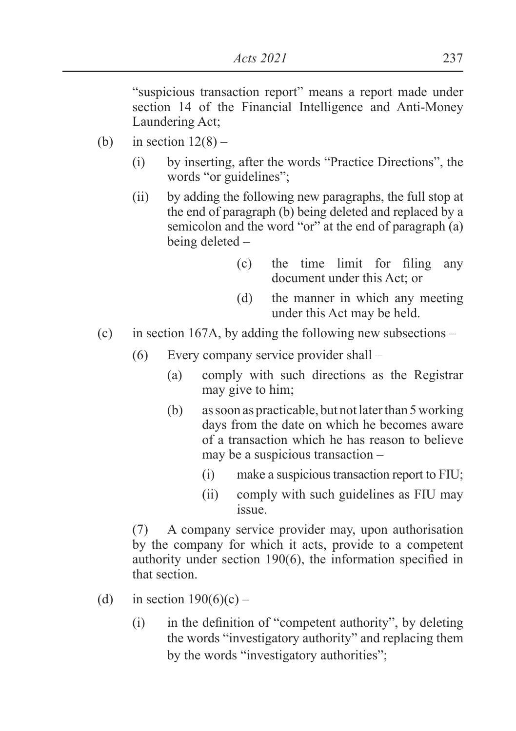"suspicious transaction report" means a report made under section 14 of the Financial Intelligence and Anti-Money Laundering Act;

- (b) in section  $12(8)$ 
	- (i) by inserting, after the words "Practice Directions", the words "or guidelines";
	- (ii) by adding the following new paragraphs, the full stop at the end of paragraph (b) being deleted and replaced by a semicolon and the word "or" at the end of paragraph (a) being deleted –
		- $(c)$  the time limit for filing any document under this Act; or
		- (d) the manner in which any meeting under this Act may be held.
- (c) in section 167A, by adding the following new subsections
	- (6) Every company service provider shall
		- (a) comply with such directions as the Registrar may give to him;
		- (b) as soon as practicable, but not later than 5 working days from the date on which he becomes aware of a transaction which he has reason to believe may be a suspicious transaction –
			- (i) make a suspicious transaction report to FIU;
			- (ii) comply with such guidelines as FIU may issue.

 (7) A company service provider may, upon authorisation by the company for which it acts, provide to a competent authority under section  $190(6)$ , the information specified in that section.

- (d) in section  $190(6)(c)$ 
	- $\mu$  in the definition of "competent authority", by deleting the words "investigatory authority" and replacing them by the words "investigatory authorities";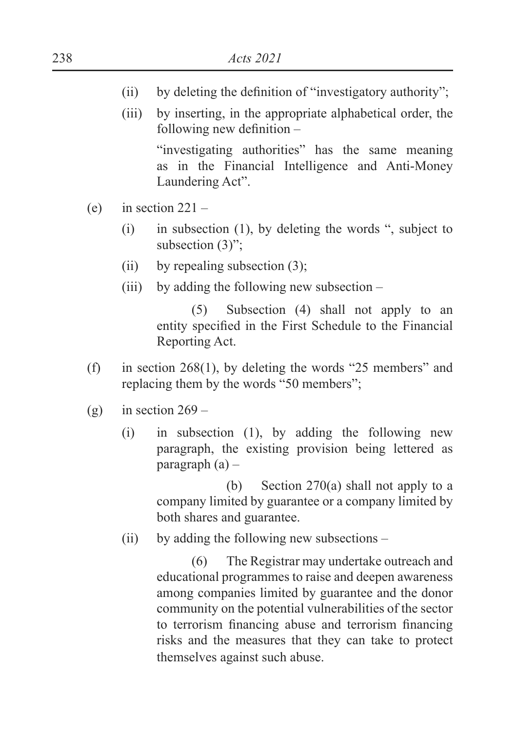- (ii) by deleting the definition of "investigatory authority";
- (iii) by inserting, in the appropriate alphabetical order, the following new definition  $-$

 "investigating authorities" has the same meaning as in the Financial Intelligence and Anti-Money Laundering Act".

- (e) in section  $221 -$ 
	- (i) in subsection (1), by deleting the words ", subject to subsection (3)";
	- (ii) by repealing subsection  $(3)$ ;
	- (iii) by adding the following new subsection –

 (5) Subsection (4) shall not apply to an entity specified in the First Schedule to the Financial Reporting Act.

- (f) in section 268(1), by deleting the words "25 members" and replacing them by the words "50 members";
- (g) in section  $269 -$ 
	- (i) in subsection (1), by adding the following new paragraph, the existing provision being lettered as paragraph  $(a)$  –

 (b) Section 270(a) shall not apply to a company limited by guarantee or a company limited by both shares and guarantee.

(ii) by adding the following new subsections –

 (6) The Registrar may undertake outreach and educational programmes to raise and deepen awareness among companies limited by guarantee and the donor community on the potential vulnerabilities of the sector to terrorism financing abuse and terrorism financing risks and the measures that they can take to protect themselves against such abuse.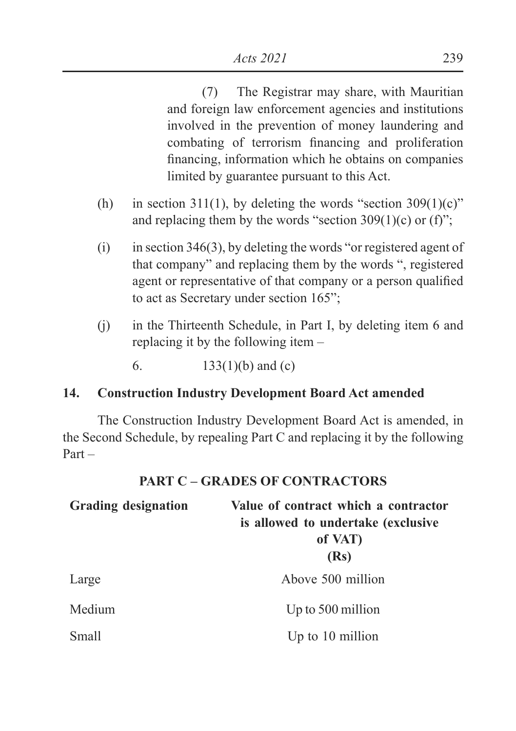(7) The Registrar may share, with Mauritian and foreign law enforcement agencies and institutions involved in the prevention of money laundering and combating of terrorism financing and proliferation financing, information which he obtains on companies limited by guarantee pursuant to this Act.

- (h) in section 311(1), by deleting the words "section  $309(1)(c)$ " and replacing them by the words "section  $309(1)(c)$  or (f)";
- $(i)$  in section 346(3), by deleting the words "or registered agent of that company" and replacing them by the words ", registered agent or representative of that company or a person qualified to act as Secretary under section 165";
- (j) in the Thirteenth Schedule, in Part I, by deleting item 6 and replacing it by the following item –
	- 6.  $133(1)(b)$  and (c)

# **14. Construction Industry Development Board Act amended**

 The Construction Industry Development Board Act is amended, in the Second Schedule, by repealing Part C and replacing it by the following Part –

# **PART C – GRADES OF CONTRACTORS**

| <b>Grading designation</b> | Value of contract which a contractor<br>is allowed to undertake (exclusive<br>of VAT)<br>(Rs) |
|----------------------------|-----------------------------------------------------------------------------------------------|
| Large                      | Above 500 million                                                                             |
| Medium                     | Up to 500 million                                                                             |
| Small                      | Up to 10 million                                                                              |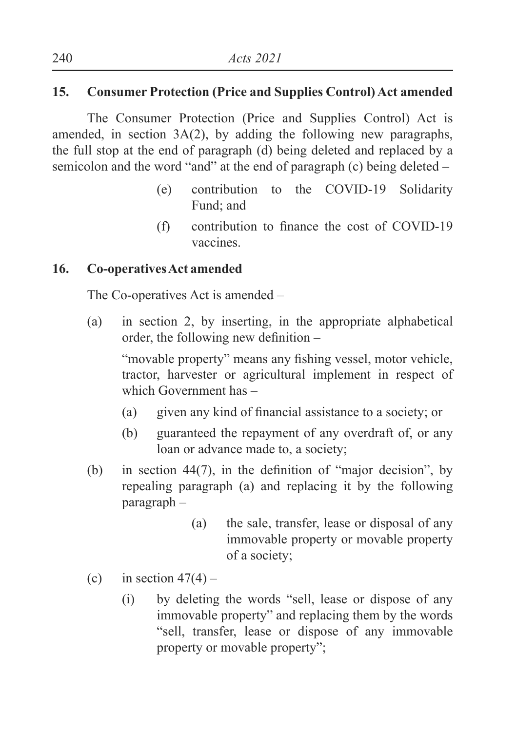# **15. Consumer Protection (Price and Supplies Control) Act amended**

 The Consumer Protection (Price and Supplies Control) Act is amended, in section 3A(2), by adding the following new paragraphs, the full stop at the end of paragraph (d) being deleted and replaced by a semicolon and the word "and" at the end of paragraph (c) being deleted –

- (e) contribution to the COVID-19 Solidarity Fund; and
- $(f)$  contribution to finance the cost of COVID-19 vaccines.

### **16. Co-operatives Act amended**

The Co-operatives Act is amended –

(a) in section 2, by inserting, in the appropriate alphabetical order, the following new definition  $-$ 

"movable property" means any fishing vessel, motor vehicle, tractor, harvester or agricultural implement in respect of which Government has –

- (a) given any kind of financial assistance to a society; or
- (b) guaranteed the repayment of any overdraft of, or any loan or advance made to, a society;
- (b) in section 44(7), in the definition of "maior decision", by repealing paragraph (a) and replacing it by the following paragraph –
	- (a) the sale, transfer, lease or disposal of any immovable property or movable property of a society;
- (c) in section  $47(4)$ 
	- (i) by deleting the words "sell, lease or dispose of any immovable property" and replacing them by the words "sell, transfer, lease or dispose of any immovable property or movable property";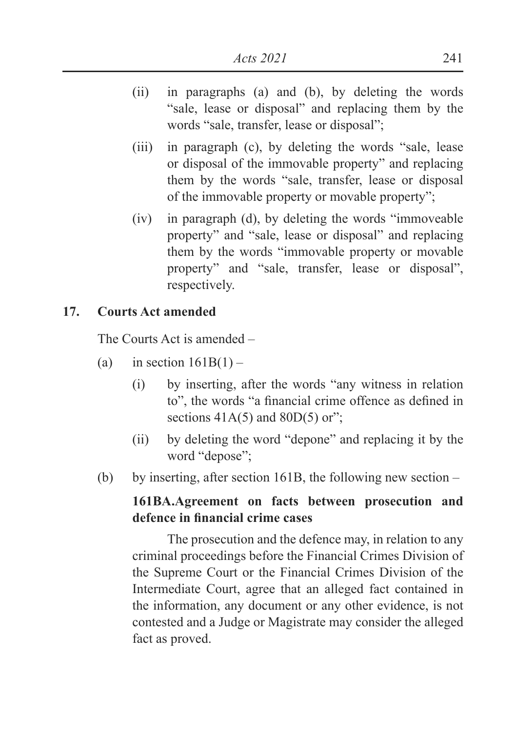- (ii) in paragraphs (a) and (b), by deleting the words "sale, lease or disposal" and replacing them by the words "sale, transfer, lease or disposal";
- (iii) in paragraph (c), by deleting the words "sale, lease or disposal of the immovable property" and replacing them by the words "sale, transfer, lease or disposal of the immovable property or movable property";
- (iv) in paragraph (d), by deleting the words "immoveable property" and "sale, lease or disposal" and replacing them by the words "immovable property or movable property" and "sale, transfer, lease or disposal", respectively.

### **17. Courts Act amended**

The Courts Act is amended –

- (a) in section  $161B(1)$ 
	- (i) by inserting, after the words "any witness in relation to", the words "a financial crime offence as defined in sections  $41A(5)$  and  $80D(5)$  or";
	- (ii) by deleting the word "depone" and replacing it by the word "depose";
- (b) by inserting, after section 161B, the following new section –

### **161BA.Agreement on facts between prosecution and defence in financial crime cases**

 The prosecution and the defence may, in relation to any criminal proceedings before the Financial Crimes Division of the Supreme Court or the Financial Crimes Division of the Intermediate Court, agree that an alleged fact contained in the information, any document or any other evidence, is not contested and a Judge or Magistrate may consider the alleged fact as proved.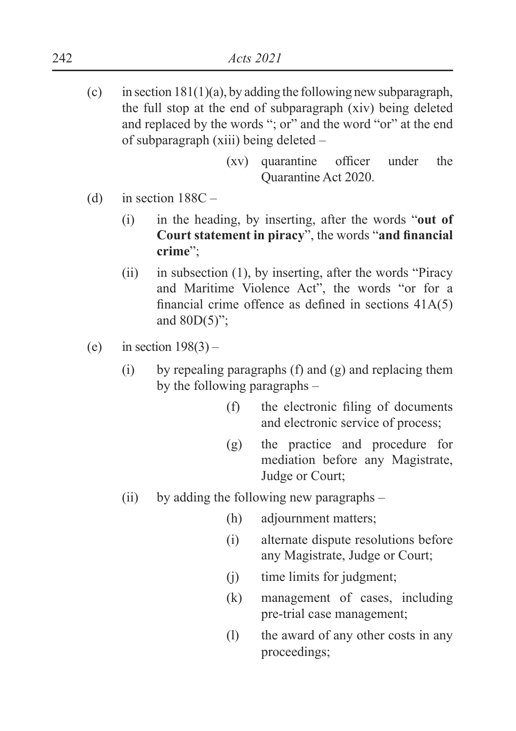- (c) in section  $181(1)(a)$ , by adding the following new subparagraph, the full stop at the end of subparagraph (xiv) being deleted and replaced by the words "; or" and the word "or" at the end of subparagraph (xiii) being deleted –
	- $(xv)$  quarantine officer under the Quarantine Act 2020.
- (d) in section  $188C -$ 
	- (i) in the heading, by inserting, after the words "**out of Court statement in piracy**", the words "**and financial crime**";
	- (ii) in subsection (1), by inserting, after the words "Piracy and Maritime Violence Act", the words "or for a financial crime offence as defined in sections  $41A(5)$ and  $80D(5)$ ":
- (e) in section  $198(3)$ 
	- (i) by repealing paragraphs (f) and (g) and replacing them by the following paragraphs –
		- $(f)$  the electronic filing of documents and electronic service of process;
		- (g) the practice and procedure for mediation before any Magistrate, Judge or Court;
	- (ii) by adding the following new paragraphs
		- (h) adjournment matters;
		- (i) alternate dispute resolutions before any Magistrate, Judge or Court;
		- (j) time limits for judgment;
		- (k) management of cases, including pre-trial case management;
		- (l) the award of any other costs in any proceedings;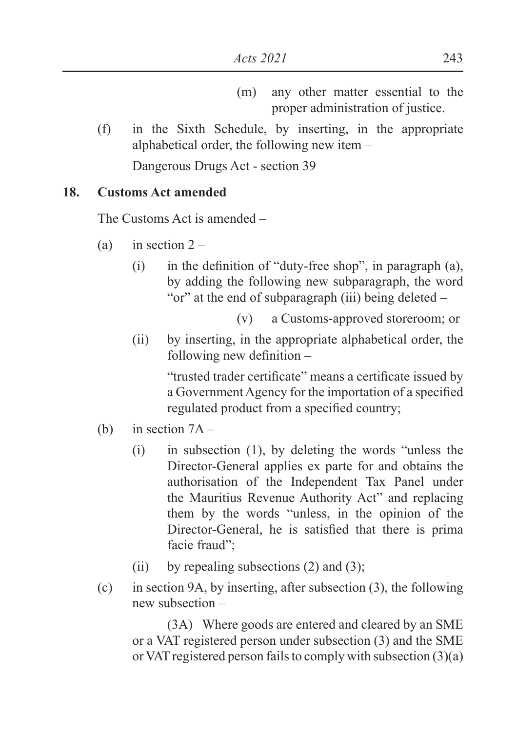- (m) any other matter essential to the proper administration of justice.
- (f) in the Sixth Schedule, by inserting, in the appropriate alphabetical order, the following new item –

Dangerous Drugs Act - section 39

# **18. Customs Act amended**

The Customs Act is amended –

- (a) in section  $2 -$ 
	- $\lambda$  in the definition of "duty-free shop", in paragraph (a), by adding the following new subparagraph, the word "or" at the end of subparagraph (iii) being deleted –

(v) a Customs-approved storeroom; or

(ii) by inserting, in the appropriate alphabetical order, the following new definition  $-$ 

> "trusted trader certificate" means a certificate issued by a Government Agency for the importation of a specified regulated product from a specified country;

- (b) in section 7A
	- (i) in subsection (1), by deleting the words "unless the Director-General applies ex parte for and obtains the authorisation of the Independent Tax Panel under the Mauritius Revenue Authority Act" and replacing them by the words "unless, in the opinion of the Director-General, he is satisfied that there is prima facie fraud";
	- (ii) by repealing subsections  $(2)$  and  $(3)$ ;
- (c) in section 9A, by inserting, after subsection (3), the following new subsection –

 (3A) Where goods are entered and cleared by an SME or a VAT registered person under subsection (3) and the SME or VAT registered person fails to comply with subsection (3)(a)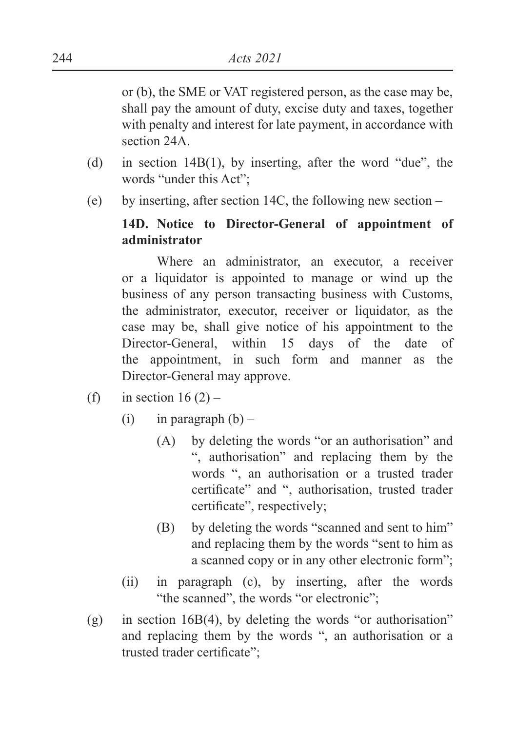or (b), the SME or VAT registered person, as the case may be, shall pay the amount of duty, excise duty and taxes, together with penalty and interest for late payment, in accordance with section 24A.

- (d) in section 14B(1), by inserting, after the word "due", the words "under this Act";
- (e) by inserting, after section 14C, the following new section –

# **14D. Notice to Director-General of appointment of administrator**

Where an administrator, an executor, a receiver or a liquidator is appointed to manage or wind up the business of any person transacting business with Customs, the administrator, executor, receiver or liquidator, as the case may be, shall give notice of his appointment to the Director-General, within 15 days of the date of the appointment, in such form and manner as the Director-General may approve.

- (f) in section  $16(2)$ 
	- (i) in paragraph  $(b)$ 
		- (A) by deleting the words "or an authorisation" and ", authorisation" and replacing them by the words ", an authorisation or a trusted trader certificate" and ", authorisation, trusted trader certificate", respectively;
		- (B) by deleting the words "scanned and sent to him" and replacing them by the words "sent to him as a scanned copy or in any other electronic form";
	- (ii) in paragraph (c), by inserting, after the words "the scanned", the words "or electronic";
- (g) in section 16B(4), by deleting the words "or authorisation" and replacing them by the words ", an authorisation or a trusted trader certificate";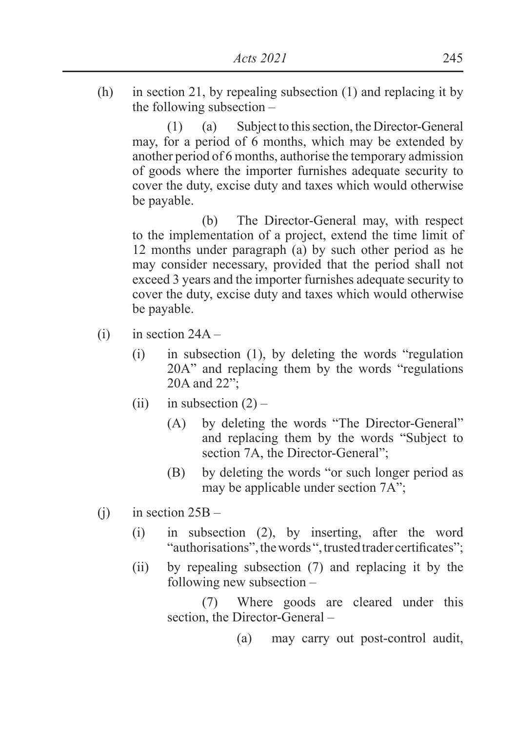(h) in section 21, by repealing subsection (1) and replacing it by the following subsection –

 (1) (a) Subject to this section, the Director-General may, for a period of 6 months, which may be extended by another period of 6 months, authorise the temporary admission of goods where the importer furnishes adequate security to cover the duty, excise duty and taxes which would otherwise be payable.

 (b) The Director-General may, with respect to the implementation of a project, extend the time limit of 12 months under paragraph (a) by such other period as he may consider necessary, provided that the period shall not exceed 3 years and the importer furnishes adequate security to cover the duty, excise duty and taxes which would otherwise be payable.

- $(i)$  in section  $24A -$ 
	- (i) in subsection (1), by deleting the words "regulation 20A" and replacing them by the words "regulations 20A and 22";
	- (ii) in subsection  $(2)$ 
		- (A) by deleting the words "The Director-General" and replacing them by the words "Subject to section 7A, the Director-General";
		- (B) by deleting the words "or such longer period as may be applicable under section 7A";
- (i) in section  $25B -$ 
	- (i) in subsection (2), by inserting, after the word "authorisations", the words", trusted trader certificates";
	- (ii) by repealing subsection (7) and replacing it by the following new subsection –

 (7) Where goods are cleared under this section, the Director-General –

(a) may carry out post-control audit,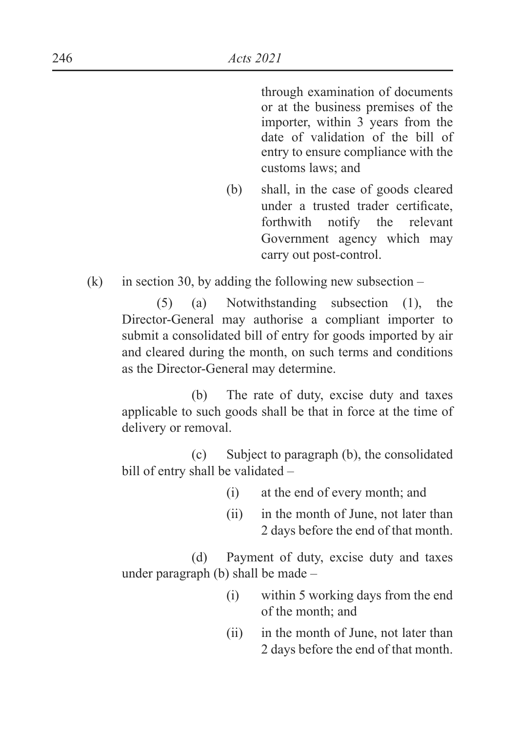through examination of documents or at the business premises of the importer, within 3 years from the date of validation of the bill of entry to ensure compliance with the customs laws; and

(b) shall, in the case of goods cleared under a trusted trader certificate. forthwith notify the relevant Government agency which may carry out post-control.

(k) in section 30, by adding the following new subsection –

 (5) (a) Notwithstanding subsection (1), the Director-General may authorise a compliant importer to submit a consolidated bill of entry for goods imported by air and cleared during the month, on such terms and conditions as the Director-General may determine.

 (b) The rate of duty, excise duty and taxes applicable to such goods shall be that in force at the time of delivery or removal.

 (c) Subject to paragraph (b), the consolidated bill of entry shall be validated –

- (i) at the end of every month; and
- (ii) in the month of June, not later than 2 days before the end of that month.

 (d) Payment of duty, excise duty and taxes under paragraph (b) shall be made –

- (i) within 5 working days from the end of the month; and
- (ii) in the month of June, not later than 2 days before the end of that month.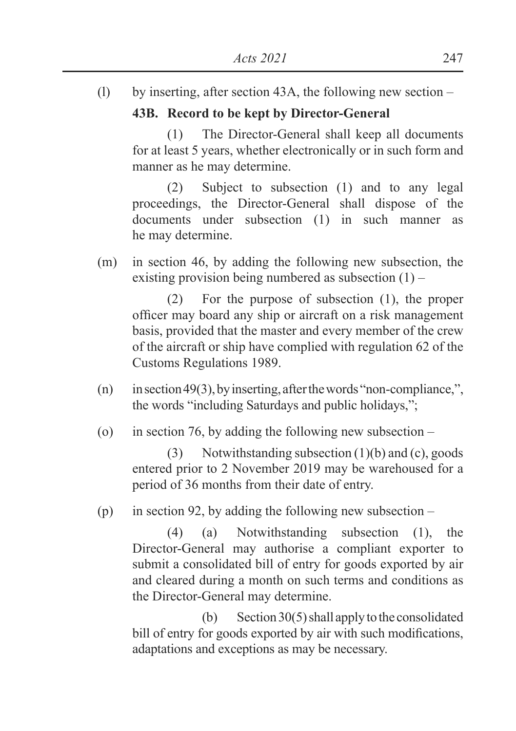(l) by inserting, after section 43A, the following new section –

## **43B. Record to be kept by Director-General**

 (1) The Director-General shall keep all documents for at least 5 years, whether electronically or in such form and manner as he may determine.

 (2) Subject to subsection (1) and to any legal proceedings, the Director-General shall dispose of the documents under subsection (1) in such manner as he may determine.

(m) in section 46, by adding the following new subsection, the existing provision being numbered as subsection  $(1)$  –

 (2) For the purpose of subsection (1), the proper officer may board any ship or aircraft on a risk management basis, provided that the master and every member of the crew of the aircraft or ship have complied with regulation 62 of the Customs Regulations 1989.

- (n) in section 49(3), by inserting, after the words "non-compliance,", the words "including Saturdays and public holidays,";
- (o) in section 76, by adding the following new subsection –

 (3) Notwithstanding subsection (1)(b) and (c), goods entered prior to 2 November 2019 may be warehoused for a period of 36 months from their date of entry.

(p) in section 92, by adding the following new subsection –

 (4) (a) Notwithstanding subsection (1), the Director-General may authorise a compliant exporter to submit a consolidated bill of entry for goods exported by air and cleared during a month on such terms and conditions as the Director-General may determine.

(b) Section  $30(5)$  shall apply to the consolidated bill of entry for goods exported by air with such modifications, adaptations and exceptions as may be necessary.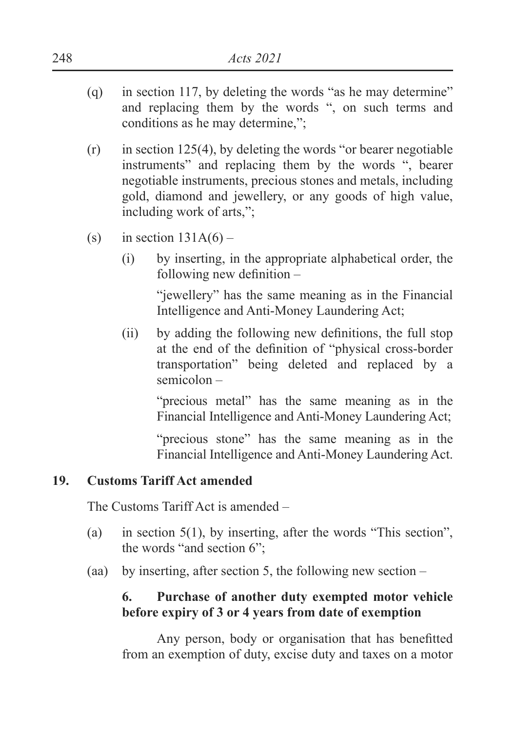- (q) in section 117, by deleting the words "as he may determine" and replacing them by the words ", on such terms and conditions as he may determine,";
- $(r)$  in section 125(4), by deleting the words "or bearer negotiable instruments" and replacing them by the words ", bearer negotiable instruments, precious stones and metals, including gold, diamond and jewellery, or any goods of high value, including work of arts,";
- (s) in section  $131A(6)$ 
	- (i) by inserting, in the appropriate alphabetical order, the following new definition  $-$

 "jewellery" has the same meaning as in the Financial Intelligence and Anti-Money Laundering Act;

 $\Omega$  by adding the following new definitions, the full stop at the end of the definition of "physical cross-border transportation" being deleted and replaced by a semicolon –

 "precious metal" has the same meaning as in the Financial Intelligence and Anti-Money Laundering Act;

 "precious stone" has the same meaning as in the Financial Intelligence and Anti-Money Laundering Act.

## **19. Customs Tariff Act amended**

The Customs Tariff Act is amended –

- (a) in section 5(1), by inserting, after the words "This section", the words "and section 6";
- (aa) by inserting, after section 5, the following new section –

## **6. Purchase of another duty exempted motor vehicle before expiry of 3 or 4 years from date of exemption**

Any person, body or organisation that has benefitted from an exemption of duty, excise duty and taxes on a motor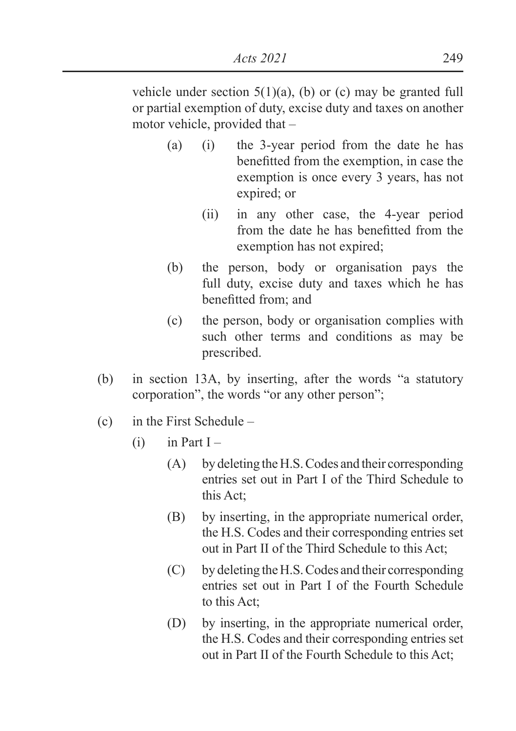*Acts 2021* 249

vehicle under section  $5(1)(a)$ , (b) or (c) may be granted full or partial exemption of duty, excise duty and taxes on another motor vehicle, provided that –

- (a) (i) the 3-year period from the date he has benefitted from the exemption, in case the exemption is once every 3 years, has not expired; or
	- (ii) in any other case, the 4-year period from the date he has benefitted from the exemption has not expired;
- (b) the person, body or organisation pays the full duty, excise duty and taxes which he has benefitted from: and
- (c) the person, body or organisation complies with such other terms and conditions as may be prescribed.
- (b) in section 13A, by inserting, after the words "a statutory corporation", the words "or any other person";
- (c) in the First Schedule
	- $(i)$  in Part I
		- (A) by deleting the H.S. Codes and their corresponding entries set out in Part I of the Third Schedule to this Act;
		- (B) by inserting, in the appropriate numerical order, the H.S. Codes and their corresponding entries set out in Part II of the Third Schedule to this Act;
		- (C) by deleting the H.S. Codes and their corresponding entries set out in Part I of the Fourth Schedule to this Act;
		- (D) by inserting, in the appropriate numerical order, the H.S. Codes and their corresponding entries set out in Part II of the Fourth Schedule to this Act;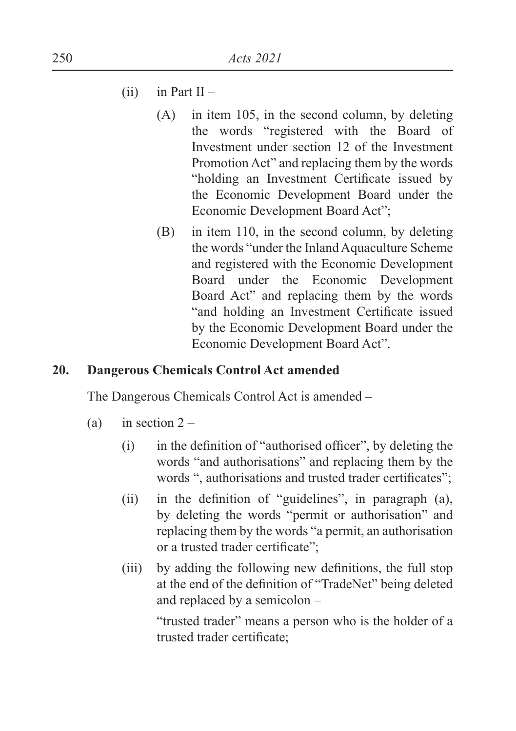- $(ii)$  in Part II
	- (A) in item 105, in the second column, by deleting the words "registered with the Board of Investment under section 12 of the Investment Promotion Act" and replacing them by the words "holding an Investment Certificate issued by the Economic Development Board under the Economic Development Board Act";
	- (B) in item 110, in the second column, by deleting the words "under the Inland Aquaculture Scheme and registered with the Economic Development Board under the Economic Development Board Act" and replacing them by the words "and holding an Investment Certificate issued by the Economic Development Board under the Economic Development Board Act".

## **20. Dangerous Chemicals Control Act amended**

The Dangerous Chemicals Control Act is amended –

- (a) in section  $2 -$ 
	- $\mu$  in the definition of "authorised officer", by deleting the words "and authorisations" and replacing them by the words ", authorisations and trusted trader certificates";
	- $\lambda$  in the definition of "guidelines", in paragraph  $\lambda$ , by deleting the words "permit or authorisation" and replacing them by the words "a permit, an authorisation or a trusted trader certificate":
	- $(iii)$  by adding the following new definitions, the full stop at the end of the definition of "TradeNet" being deleted and replaced by a semicolon –

 "trusted trader" means a person who is the holder of a trusted trader certificate;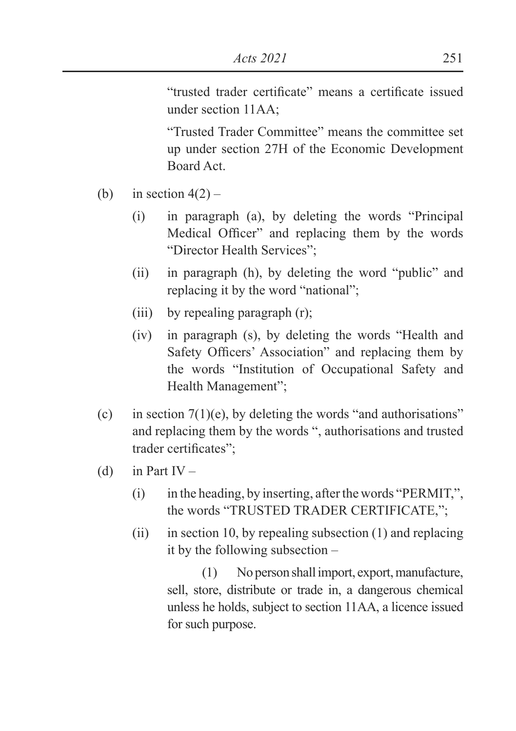"trusted trader certificate" means a certificate issued under section 11AA<sup>.</sup>

 "Trusted Trader Committee" means the committee set up under section 27H of the Economic Development Board Act.

- (b) in section  $4(2)$ 
	- (i) in paragraph (a), by deleting the words "Principal Medical Officer" and replacing them by the words "Director Health Services";
	- (ii) in paragraph (h), by deleting the word "public" and replacing it by the word "national";
	- (iii) by repealing paragraph (r);
	- (iv) in paragraph (s), by deleting the words "Health and Safety Officers' Association" and replacing them by the words "Institution of Occupational Safety and Health Management";
- (c) in section  $7(1)(e)$ , by deleting the words "and authorisations" and replacing them by the words ", authorisations and trusted trader certificates":
- (d) in Part IV
	- (i) in the heading, by inserting, after the words "PERMIT,", the words "TRUSTED TRADER CERTIFICATE,";
	- (ii) in section 10, by repealing subsection  $(1)$  and replacing it by the following subsection –

 (1) No person shall import, export, manufacture, sell, store, distribute or trade in, a dangerous chemical unless he holds, subject to section 11AA, a licence issued for such purpose.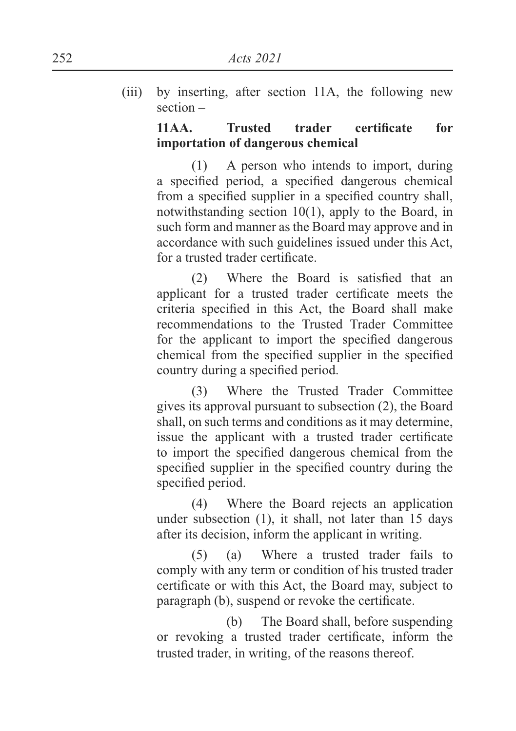(iii) by inserting, after section 11A, the following new section –

### **11AA.** Trusted trader certificate for **importation of dangerous chemical**

 (1) A person who intends to import, during a specified period, a specified dangerous chemical from a specified supplier in a specified country shall, notwithstanding section 10(1), apply to the Board, in such form and manner as the Board may approve and in accordance with such guidelines issued under this Act, for a trusted trader certificate.

 $(2)$  Where the Board is satisfied that an applicant for a trusted trader certificate meets the criteria specified in this Act, the Board shall make recommendations to the Trusted Trader Committee for the applicant to import the specified dangerous chemical from the specified supplier in the specified country during a specified period.

 (3) Where the Trusted Trader Committee gives its approval pursuant to subsection (2), the Board shall, on such terms and conditions as it may determine, issue the applicant with a trusted trader certificate to import the specified dangerous chemical from the specified supplier in the specified country during the specified period.

 (4) Where the Board rejects an application under subsection (1), it shall, not later than 15 days after its decision, inform the applicant in writing.

 (5) (a) Where a trusted trader fails to comply with any term or condition of his trusted trader certificate or with this Act, the Board may, subject to paragraph (b), suspend or revoke the certificate.

 (b) The Board shall, before suspending or revoking a trusted trader certificate, inform the trusted trader, in writing, of the reasons thereof.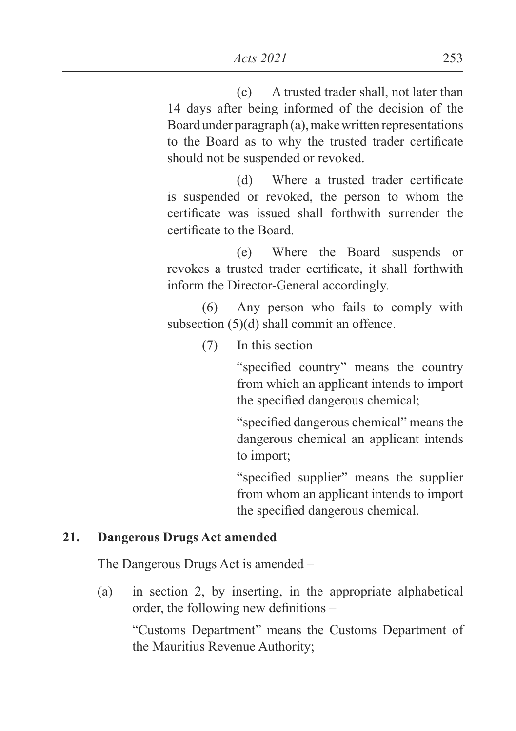(c) A trusted trader shall, not later than 14 days after being informed of the decision of the Board under paragraph (a), make written representations to the Board as to why the trusted trader certificate should not be suspended or revoked.

 $(d)$  Where a trusted trader certificate is suspended or revoked, the person to whom the certificate was issued shall forthwith surrender the certificate to the Board.

 (e) Where the Board suspends or revokes a trusted trader certificate, it shall forthwith inform the Director-General accordingly.

 (6) Any person who fails to comply with subsection (5)(d) shall commit an offence.

(7) In this section –

"specified country" means the country from which an applicant intends to import the specified dangerous chemical;

"specified dangerous chemical" means the dangerous chemical an applicant intends to import;

"specified supplier" means the supplier from whom an applicant intends to import the specified dangerous chemical.

## **21. Dangerous Drugs Act amended**

The Dangerous Drugs Act is amended –

(a) in section 2, by inserting, in the appropriate alphabetical order, the following new definitions  $-$ 

 "Customs Department" means the Customs Department of the Mauritius Revenue Authority;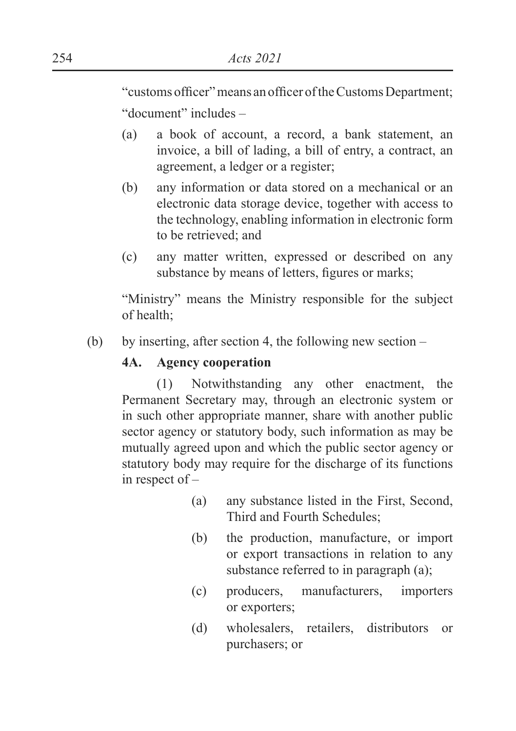"customs officer" means an officer of the Customs Department; "document" includes –

- (a) a book of account, a record, a bank statement, an invoice, a bill of lading, a bill of entry, a contract, an agreement, a ledger or a register;
- (b) any information or data stored on a mechanical or an electronic data storage device, together with access to the technology, enabling information in electronic form to be retrieved; and
- (c) any matter written, expressed or described on any substance by means of letters, figures or marks;

 "Ministry" means the Ministry responsible for the subject of health;

(b) by inserting, after section 4, the following new section –

### **4A. Agency cooperation**

 (1) Notwithstanding any other enactment, the Permanent Secretary may, through an electronic system or in such other appropriate manner, share with another public sector agency or statutory body, such information as may be mutually agreed upon and which the public sector agency or statutory body may require for the discharge of its functions in respect of –

- (a) any substance listed in the First, Second, Third and Fourth Schedules;
- (b) the production, manufacture, or import or export transactions in relation to any substance referred to in paragraph (a);
- (c) producers, manufacturers, importers or exporters;
- (d) wholesalers, retailers, distributors or purchasers; or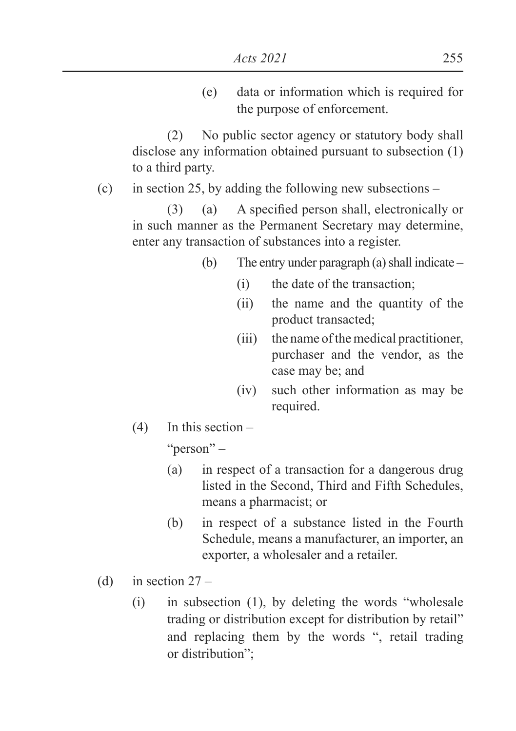(e) data or information which is required for the purpose of enforcement.

 (2) No public sector agency or statutory body shall disclose any information obtained pursuant to subsection (1) to a third party.

(c) in section 25, by adding the following new subsections –

 $(3)$  (a) A specified person shall, electronically or in such manner as the Permanent Secretary may determine, enter any transaction of substances into a register.

- (b) The entry under paragraph (a) shall indicate
	- (i) the date of the transaction;
	- (ii) the name and the quantity of the product transacted;
	- (iii) the name of the medical practitioner, purchaser and the vendor, as the case may be; and
	- (iv) such other information as may be required.
- $(4)$  In this section –

"person" –

- (a) in respect of a transaction for a dangerous drug listed in the Second, Third and Fifth Schedules, means a pharmacist; or
- (b) in respect of a substance listed in the Fourth Schedule, means a manufacturer, an importer, an exporter, a wholesaler and a retailer.
- (d) in section  $27 -$ 
	- (i) in subsection (1), by deleting the words "wholesale trading or distribution except for distribution by retail" and replacing them by the words ", retail trading or distribution";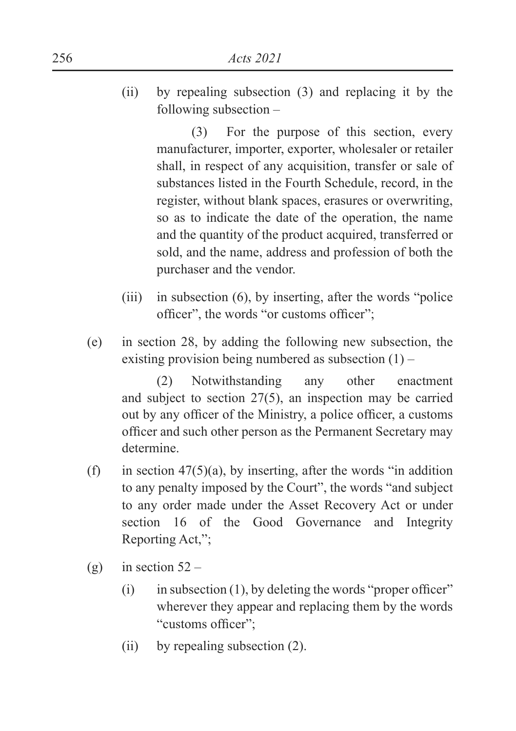(ii) by repealing subsection (3) and replacing it by the following subsection –

> (3) For the purpose of this section, every manufacturer, importer, exporter, wholesaler or retailer shall, in respect of any acquisition, transfer or sale of substances listed in the Fourth Schedule, record, in the register, without blank spaces, erasures or overwriting, so as to indicate the date of the operation, the name and the quantity of the product acquired, transferred or sold, and the name, address and profession of both the purchaser and the vendor.

- (iii) in subsection (6), by inserting, after the words "police officer", the words "or customs officer";
- (e) in section 28, by adding the following new subsection, the existing provision being numbered as subsection  $(1)$  –

 (2) Notwithstanding any other enactment and subject to section 27(5), an inspection may be carried out by any officer of the Ministry, a police officer, a customs officer and such other person as the Permanent Secretary may determine.

- (f) in section  $47(5)(a)$ , by inserting, after the words "in addition to any penalty imposed by the Court", the words "and subject to any order made under the Asset Recovery Act or under section 16 of the Good Governance and Integrity Reporting Act,";
- (g) in section  $52 -$ 
	- $(i)$  in subsection (1), by deleting the words "proper officer" wherever they appear and replacing them by the words "customs officer":
	- (ii) by repealing subsection (2).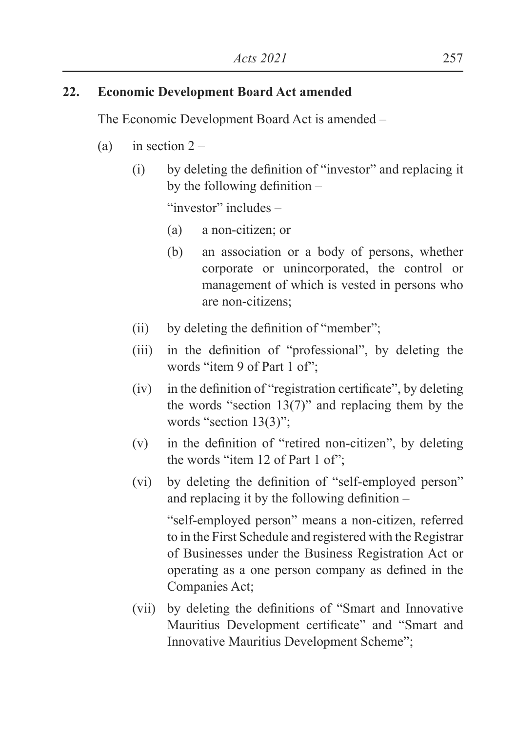## **22. Economic Development Board Act amended**

The Economic Development Board Act is amended –

- (a) in section  $2 -$ 
	- $\delta$  by deleting the definition of "investor" and replacing it by the following definition  $-$

"investor" includes –

- (a) a non-citizen; or
- (b) an association or a body of persons, whether corporate or unincorporated, the control or management of which is vested in persons who are non-citizens;
- $\text{(ii)}$  by deleting the definition of "member";
- $(iii)$  in the definition of "professional", by deleting the words "item 9 of Part 1 of":
- $(iv)$  in the definition of "registration certificate", by deleting the words "section  $13(7)$ " and replacing them by the words "section 13(3)";
- $(v)$  in the definition of "retired non-citizen", by deleting the words "item 12 of Part 1 of";
- $(vi)$  by deleting the definition of "self-employed person" and replacing it by the following definition  $-$

 "self-employed person" means a non-citizen, referred to in the First Schedule and registered with the Registrar of Businesses under the Business Registration Act or operating as a one person company as defined in the Companies Act;

(vii) by deleting the definitions of "Smart and Innovative" Mauritius Development certificate" and "Smart and Innovative Mauritius Development Scheme";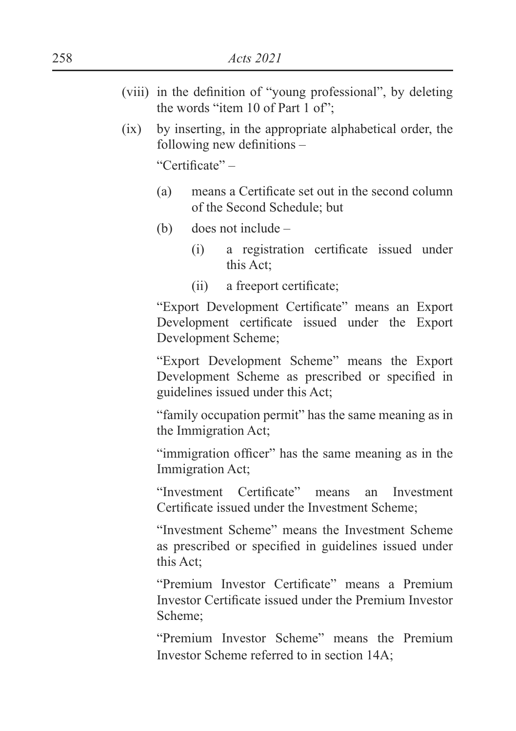- (viii) in the definition of "young professional", by deleting the words "item 10 of Part 1 of";
- (ix) by inserting, in the appropriate alphabetical order, the following new definitions  $-$

"Certificate" $-$ 

- $(a)$  means a Certificate set out in the second column of the Second Schedule; but
- (b) does not include
	- (i) a registration certificate issued under this Act;
	- $(ii)$  a freeport certificate;

"Export Development Certificate" means an Export Development certificate issued under the Export Development Scheme;

 "Export Development Scheme" means the Export Development Scheme as prescribed or specified in guidelines issued under this Act;

 "family occupation permit" has the same meaning as in the Immigration Act;

"immigration officer" has the same meaning as in the Immigration Act;

"Investment Certificate" means an Investment Certificate issued under the Investment Scheme:

 "Investment Scheme" means the Investment Scheme as prescribed or specified in guidelines issued under this Act;

"Premium Investor Certificate" means a Premium Investor Certificate issued under the Premium Investor Scheme;

 "Premium Investor Scheme" means the Premium Investor Scheme referred to in section 14A;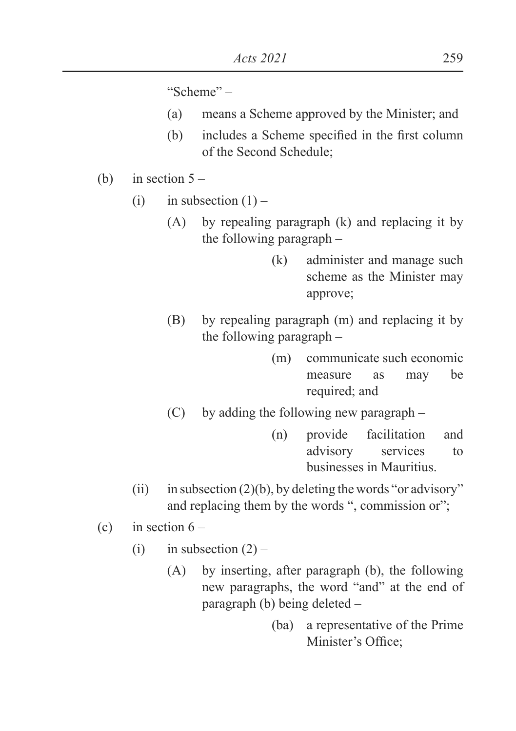"Scheme" –

- (a) means a Scheme approved by the Minister; and
- $(b)$  includes a Scheme specified in the first column of the Second Schedule;
- (b) in section  $5 -$ 
	- (i) in subsection  $(1)$ 
		- (A) by repealing paragraph (k) and replacing it by the following paragraph –
			- (k) administer and manage such scheme as the Minister may approve;
		- (B) by repealing paragraph (m) and replacing it by the following paragraph –
			- (m) communicate such economic measure as may be required; and
		- (C) by adding the following new paragraph
			- (n) provide facilitation and advisory services to businesses in Mauritius.
	- (ii) in subsection  $(2)(b)$ , by deleting the words "or advisory" and replacing them by the words ", commission or";
- (c) in section  $6 -$ 
	- (i) in subsection  $(2)$ 
		- (A) by inserting, after paragraph (b), the following new paragraphs, the word "and" at the end of paragraph (b) being deleted –
			- (ba) a representative of the Prime Minister's Office: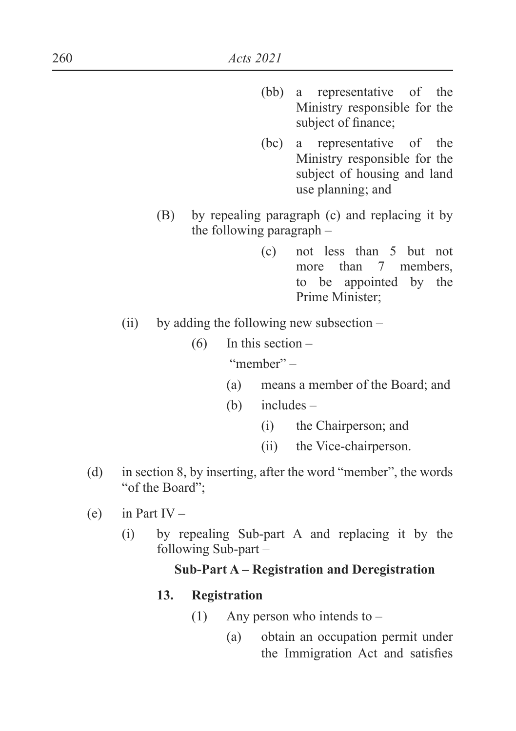- (bb) a representative of the Ministry responsible for the subject of finance;
- (bc) a representative of the Ministry responsible for the subject of housing and land use planning; and
- (B) by repealing paragraph (c) and replacing it by the following paragraph –
	- (c) not less than 5 but not more than 7 members. to be appointed by the Prime Minister;
- (ii) by adding the following new subsection
	- (6) In this section "member" –
		- (a) means a member of the Board; and
		- (b) includes
			- (i) the Chairperson; and
			- (ii) the Vice-chairperson.
- (d) in section 8, by inserting, after the word "member", the words "of the Board";
- (e) in Part IV
	- (i) by repealing Sub-part A and replacing it by the following Sub-part –

### **Sub-Part A – Registration and Deregistration**

#### **13. Registration**

- (1) Any person who intends to
	- (a) obtain an occupation permit under the Immigration Act and satisfies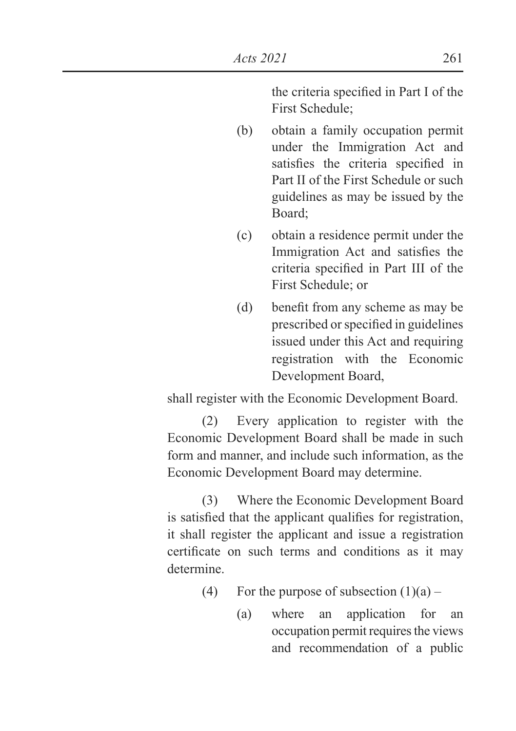the criteria specified in Part I of the First Schedule;

- (b) obtain a family occupation permit under the Immigration Act and satisfies the criteria specified in Part II of the First Schedule or such guidelines as may be issued by the Board;
- (c) obtain a residence permit under the Immigration Act and satisfies the criteria specified in Part III of the First Schedule; or
- $(d)$  benefit from any scheme as may be prescribed or specified in guidelines issued under this Act and requiring registration with the Economic Development Board,

shall register with the Economic Development Board.

 (2) Every application to register with the Economic Development Board shall be made in such form and manner, and include such information, as the Economic Development Board may determine.

 (3) Where the Economic Development Board is satisfied that the applicant qualifies for registration, it shall register the applicant and issue a registration certificate on such terms and conditions as it may determine.

- (4) For the purpose of subsection  $(1)(a)$ 
	- (a) where an application for an occupation permit requires the views and recommendation of a public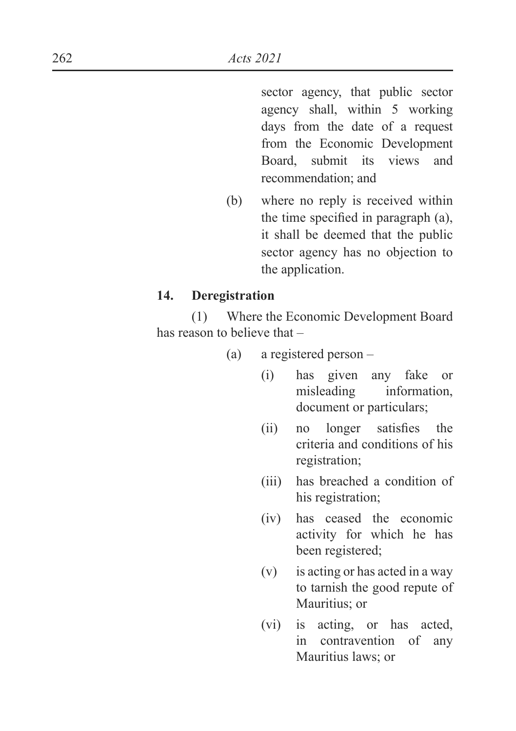sector agency, that public sector agency shall, within 5 working days from the date of a request from the Economic Development Board, submit its views and recommendation; and

(b) where no reply is received within the time specified in paragraph  $(a)$ , it shall be deemed that the public sector agency has no objection to the application.

#### **14. Deregistration**

 (1) Where the Economic Development Board has reason to believe that –

- (a) a registered person
	- (i) has given any fake or misleading information, document or particulars;
	- $\lambda$  (ii) no longer satisfies the criteria and conditions of his registration;
	- (iii) has breached a condition of his registration;
	- (iv) has ceased the economic activity for which he has been registered;
	- (v) is acting or has acted in a way to tarnish the good repute of Mauritius; or
	- (vi) is acting, or has acted, in contravention of any Mauritius laws; or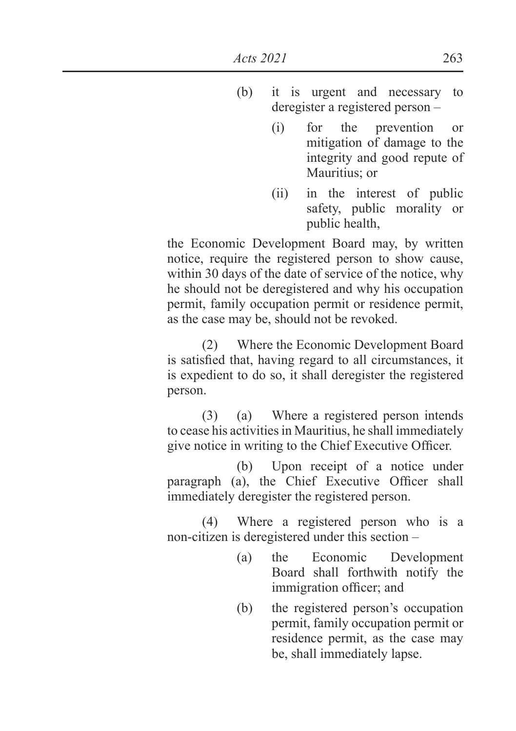- (b) it is urgent and necessary to deregister a registered person –
	- (i) for the prevention or mitigation of damage to the integrity and good repute of Mauritius; or
	- (ii) in the interest of public safety, public morality or public health,

 the Economic Development Board may, by written notice, require the registered person to show cause, within 30 days of the date of service of the notice, why he should not be deregistered and why his occupation permit, family occupation permit or residence permit, as the case may be, should not be revoked.

 (2) Where the Economic Development Board is satisfied that, having regard to all circumstances, it is expedient to do so, it shall deregister the registered person.

 (3) (a) Where a registered person intends to cease his activities in Mauritius, he shall immediately give notice in writing to the Chief Executive Officer.

 (b) Upon receipt of a notice under paragraph (a), the Chief Executive Officer shall immediately deregister the registered person.

 (4) Where a registered person who is a non-citizen is deregistered under this section –

- (a) the Economic Development Board shall forthwith notify the immigration officer; and
- (b) the registered person's occupation permit, family occupation permit or residence permit, as the case may be, shall immediately lapse.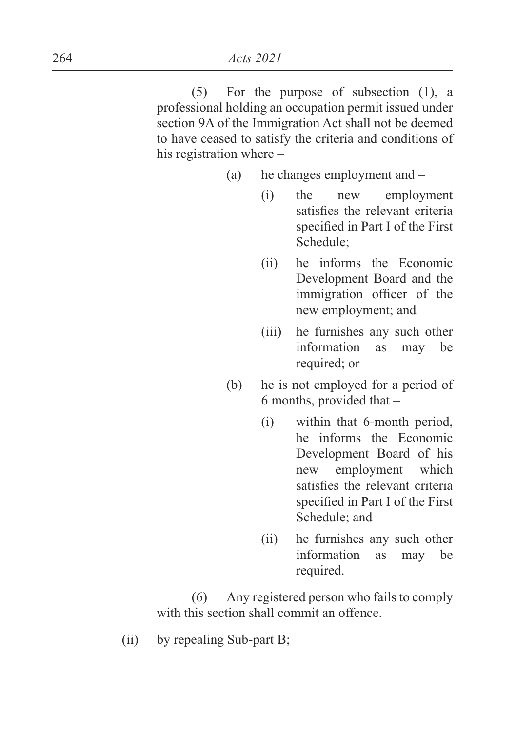(5) For the purpose of subsection (1), a professional holding an occupation permit issued under section 9A of the Immigration Act shall not be deemed to have ceased to satisfy the criteria and conditions of his registration where –

(a) he changes employment and –

- (i) the new employment satisfies the relevant criteria specified in Part I of the First Schedule;
- (ii) he informs the Economic Development Board and the immigration officer of the new employment; and
- (iii) he furnishes any such other information as may be required; or
- (b) he is not employed for a period of 6 months, provided that –
	- (i) within that 6-month period, he informs the Economic Development Board of his new employment which satisfies the relevant criteria specified in Part I of the First Schedule; and
	- (ii) he furnishes any such other information as may be required.

 (6) Any registered person who fails to comply with this section shall commit an offence.

(ii) by repealing Sub-part B;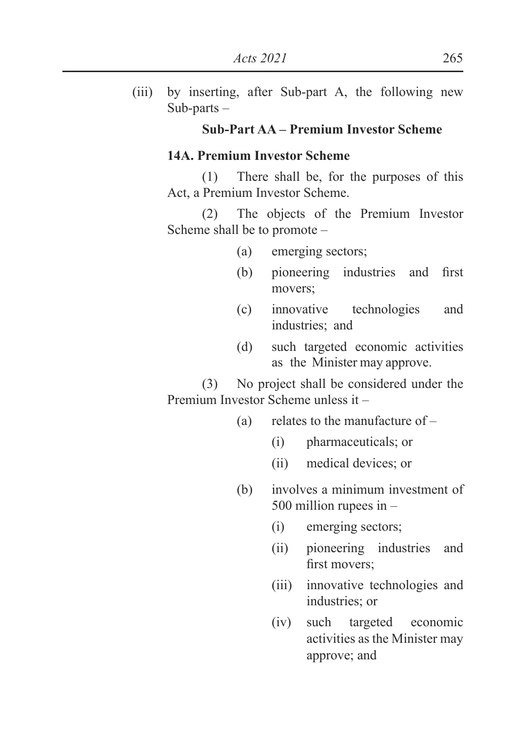(iii) by inserting, after Sub-part A, the following new Sub-parts –

## **Sub-Part AA – Premium Investor Scheme**

### **14A. Premium Investor Scheme**

 (1) There shall be, for the purposes of this Act, a Premium Investor Scheme.

 (2) The objects of the Premium Investor Scheme shall be to promote –

- (a) emerging sectors;
- $(b)$  pioneering industries and first movers;
- (c) innovative technologies and industries; and
- (d) such targeted economic activities as the Minister may approve.

 (3) No project shall be considered under the Premium Investor Scheme unless it –

- (a) relates to the manufacture of
	- (i) pharmaceuticals; or
	- (ii) medical devices; or
- (b) involves a minimum investment of 500 million rupees in –
	- (i) emerging sectors;
	- (ii) pioneering industries and first movers:
	- (iii) innovative technologies and industries; or
	- (iv) such targeted economic activities as the Minister may approve; and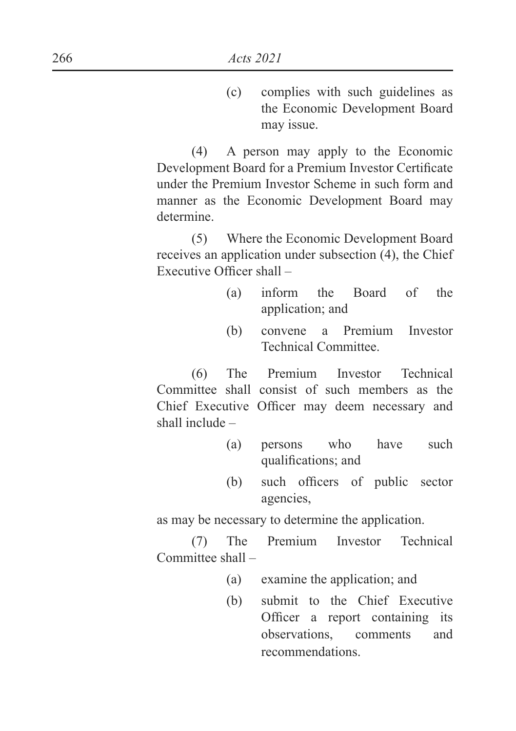(c) complies with such guidelines as the Economic Development Board may issue.

 (4) A person may apply to the Economic Development Board for a Premium Investor Certificate under the Premium Investor Scheme in such form and manner as the Economic Development Board may determine.

 (5) Where the Economic Development Board receives an application under subsection (4), the Chief Executive Officer shall  $-$ 

- (a) inform the Board of the application; and
- (b) convene a Premium Investor Technical Committee.

 (6) The Premium Investor Technical Committee shall consist of such members as the Chief Executive Officer may deem necessary and shall include –

- (a) persons who have such qualifications; and
- $(b)$  such officers of public sector agencies,

as may be necessary to determine the application.

 (7) The Premium Investor Technical Committee shall –

- (a) examine the application; and
- (b) submit to the Chief Executive Officer a report containing its observations, comments and recommendations.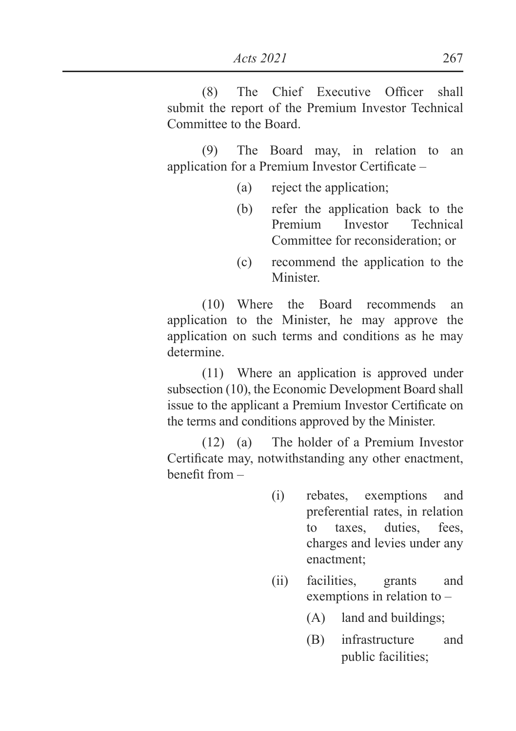*Acts 2021* 267

 $(8)$  The Chief Executive Officer shall submit the report of the Premium Investor Technical Committee to the Board.

 (9) The Board may, in relation to an application for a Premium Investor Certificate  $-$ 

- (a) reject the application;
- (b) refer the application back to the Premium Investor Technical Committee for reconsideration; or
- (c) recommend the application to the **Minister**

 (10) Where the Board recommends an application to the Minister, he may approve the application on such terms and conditions as he may determine.

 (11) Where an application is approved under subsection (10), the Economic Development Board shall issue to the applicant a Premium Investor Certificate on the terms and conditions approved by the Minister.

 (12) (a) The holder of a Premium Investor Certificate may, notwithstanding any other enactment, henefit from  $-$ 

- (i) rebates, exemptions and preferential rates, in relation to taxes, duties, fees, charges and levies under any enactment;
- (ii) facilities, grants and exemptions in relation to –
	- (A) land and buildings;
	- (B) infrastructure and public facilities;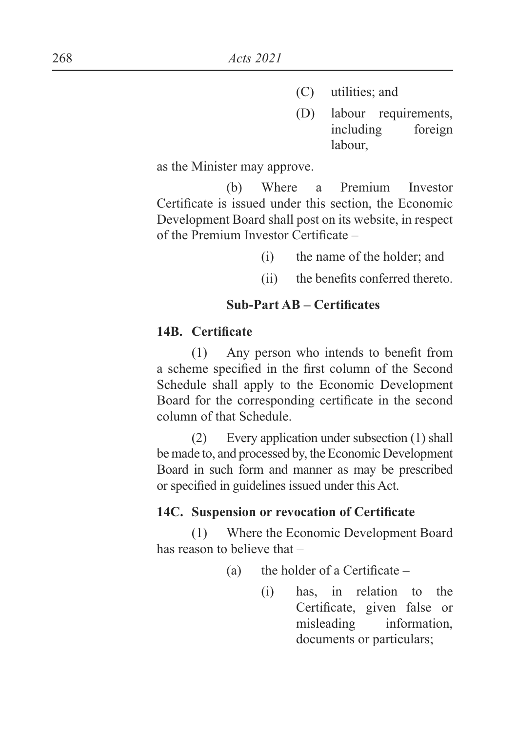- (C) utilities; and
- (D) labour requirements, including foreign labour,

as the Minister may approve.

 (b) Where a Premium Investor Certificate is issued under this section, the Economic Development Board shall post on its website, in respect of the Premium Investor Certificate  $-$ 

- (i) the name of the holder; and
- $(ii)$  the benefits conferred thereto

## **Sub-Part AB – Certificates**

### 14B. Certificate

 $(1)$  Any person who intends to benefit from a scheme specified in the first column of the Second Schedule shall apply to the Economic Development Board for the corresponding certificate in the second column of that Schedule.

 (2) Every application under subsection (1) shall be made to, and processed by, the Economic Development Board in such form and manner as may be prescribed or specified in guidelines issued under this Act.

## 14C. Suspension or revocation of Certificate

 (1) Where the Economic Development Board has reason to believe that –

- (a) the holder of a Certificate  $-$ 
	- (i) has, in relation to the Certificate, given false or misleading information, documents or particulars;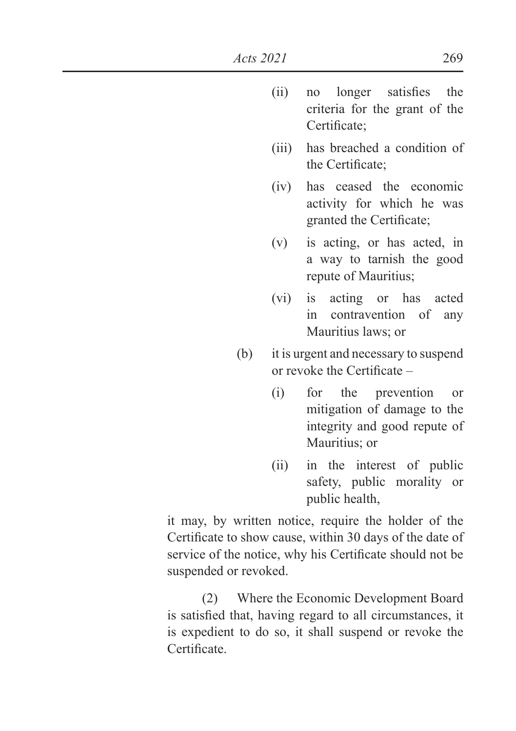- $\lambda$  ii) no longer satisfies the criteria for the grant of the Certificate:
- (iii) has breached a condition of the Certificate:
- (iv) has ceased the economic activity for which he was granted the Certificate;
- (v) is acting, or has acted, in a way to tarnish the good repute of Mauritius;
- (vi) is acting or has acted in contravention of any Mauritius laws; or
- (b) it is urgent and necessary to suspend or revoke the Certificate  $-$ 
	- (i) for the prevention or mitigation of damage to the integrity and good repute of Mauritius; or
	- (ii) in the interest of public safety, public morality or public health,

 it may, by written notice, require the holder of the Certificate to show cause, within 30 days of the date of service of the notice, why his Certificate should not be suspended or revoked.

 (2) Where the Economic Development Board is satisfied that, having regard to all circumstances, it is expedient to do so, it shall suspend or revoke the  $Centificance$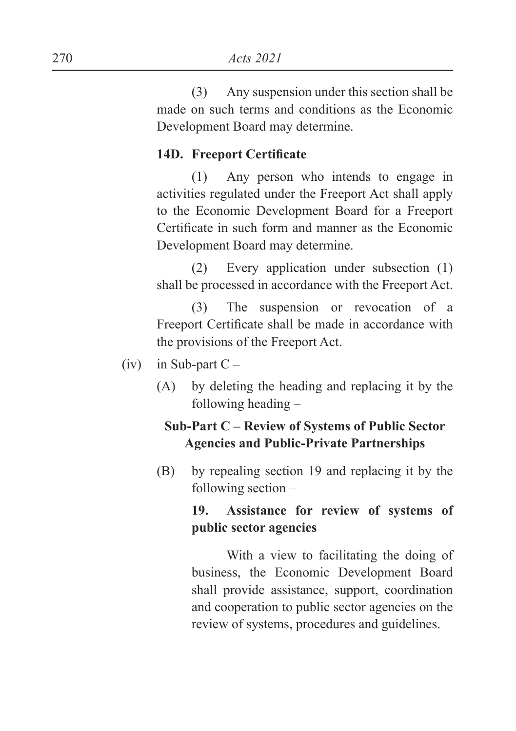(3) Any suspension under this section shall be made on such terms and conditions as the Economic Development Board may determine.

### 14D. Freeport Certificate

 (1) Any person who intends to engage in activities regulated under the Freeport Act shall apply to the Economic Development Board for a Freeport Certificate in such form and manner as the Economic Development Board may determine.

 (2) Every application under subsection (1) shall be processed in accordance with the Freeport Act.

 (3) The suspension or revocation of a Freeport Certificate shall be made in accordance with the provisions of the Freeport Act.

- $(iv)$  in Sub-part C
	- (A) by deleting the heading and replacing it by the following heading –

# **Sub-Part C – Review of Systems of Public Sector Agencies and Public-Private Partnerships**

(B) by repealing section 19 and replacing it by the following section –

# **19. Assistance for review of systems of public sector agencies**

 With a view to facilitating the doing of business, the Economic Development Board shall provide assistance, support, coordination and cooperation to public sector agencies on the review of systems, procedures and guidelines.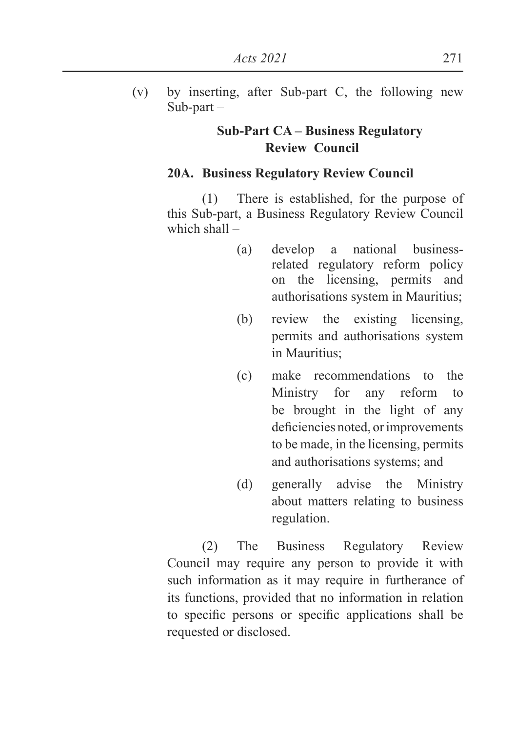(v) by inserting, after Sub-part C, the following new Sub-part –

## **Sub-Part CA – Business Regulatory Review Council**

#### **20A. Business Regulatory Review Council**

 (1) There is established, for the purpose of this Sub-part, a Business Regulatory Review Council which shall –

- (a) develop a national businessrelated regulatory reform policy on the licensing, permits and authorisations system in Mauritius;
- (b) review the existing licensing, permits and authorisations system in Mauritius;
- (c) make recommendations to the Ministry for any reform to be brought in the light of any deficiencies noted, or improvements to be made, in the licensing, permits and authorisations systems; and
- (d) generally advise the Ministry about matters relating to business regulation.

 (2) The Business Regulatory Review Council may require any person to provide it with such information as it may require in furtherance of its functions, provided that no information in relation to specific persons or specific applications shall be requested or disclosed.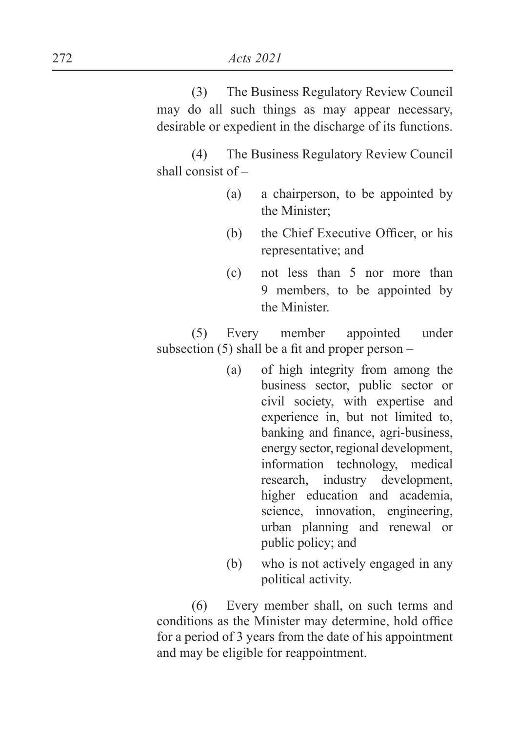(3) The Business Regulatory Review Council may do all such things as may appear necessary, desirable or expedient in the discharge of its functions.

 (4) The Business Regulatory Review Council shall consist of –

- (a) a chairperson, to be appointed by the Minister;
- $(b)$  the Chief Executive Officer, or his representative; and
- (c) not less than 5 nor more than 9 members, to be appointed by the Minister.

 (5) Every member appointed under subsection (5) shall be a fit and proper person  $-$ 

- (a) of high integrity from among the business sector, public sector or civil society, with expertise and experience in, but not limited to, banking and finance, agri-business, energy sector, regional development, information technology, medical research, industry development, higher education and academia, science, innovation, engineering, urban planning and renewal or public policy; and
- (b) who is not actively engaged in any political activity.

 (6) Every member shall, on such terms and conditions as the Minister may determine, hold office for a period of 3 years from the date of his appointment and may be eligible for reappointment.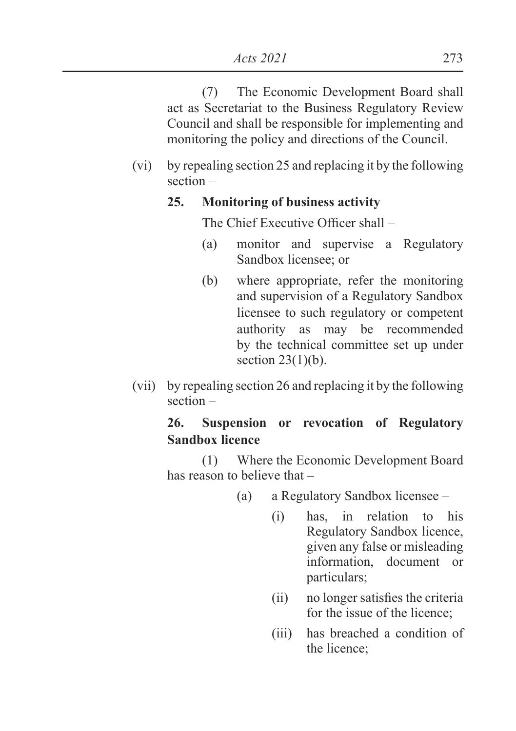(7) The Economic Development Board shall act as Secretariat to the Business Regulatory Review Council and shall be responsible for implementing and monitoring the policy and directions of the Council.

(vi) by repealing section 25 and replacing it by the following section –

#### **25. Monitoring of business activity**

The Chief Executive Officer shall  $-$ 

- (a) monitor and supervise a Regulatory Sandbox licensee; or
- (b) where appropriate, refer the monitoring and supervision of a Regulatory Sandbox licensee to such regulatory or competent authority as may be recommended by the technical committee set up under section  $23(1)(b)$ .
- (vii) by repealing section 26 and replacing it by the following section –

### **26. Suspension or revocation of Regulatory Sandbox licence**

 (1) Where the Economic Development Board has reason to believe that –

- (a) a Regulatory Sandbox licensee
	- (i) has, in relation to his Regulatory Sandbox licence, given any false or misleading information, document or particulars;
	- $(ii)$  no longer satisfies the criteria for the issue of the licence;
	- (iii) has breached a condition of the licence;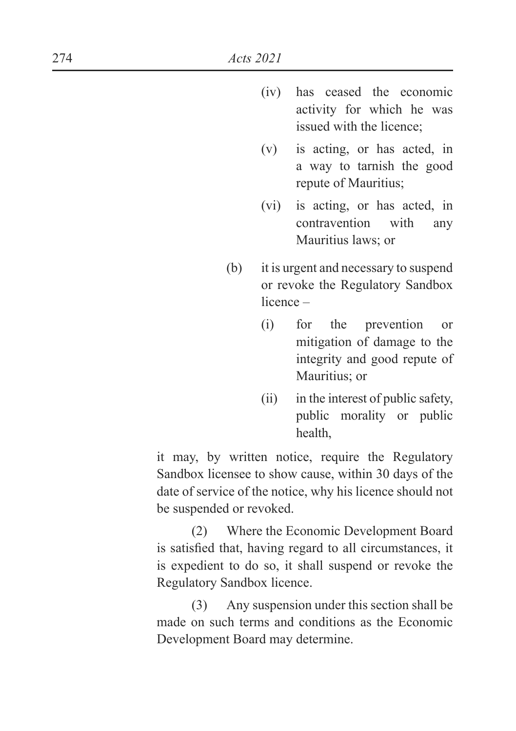- (iv) has ceased the economic activity for which he was issued with the licence;
- (v) is acting, or has acted, in a way to tarnish the good repute of Mauritius;
- (vi) is acting, or has acted, in contravention with any Mauritius laws; or
- (b) it is urgent and necessary to suspend or revoke the Regulatory Sandbox licence –
	- (i) for the prevention or mitigation of damage to the integrity and good repute of Mauritius; or
	- (ii) in the interest of public safety, public morality or public health,

 it may, by written notice, require the Regulatory Sandbox licensee to show cause, within 30 days of the date of service of the notice, why his licence should not be suspended or revoked.

 (2) Where the Economic Development Board is satisfied that, having regard to all circumstances, it is expedient to do so, it shall suspend or revoke the Regulatory Sandbox licence.

 (3) Any suspension under this section shall be made on such terms and conditions as the Economic Development Board may determine.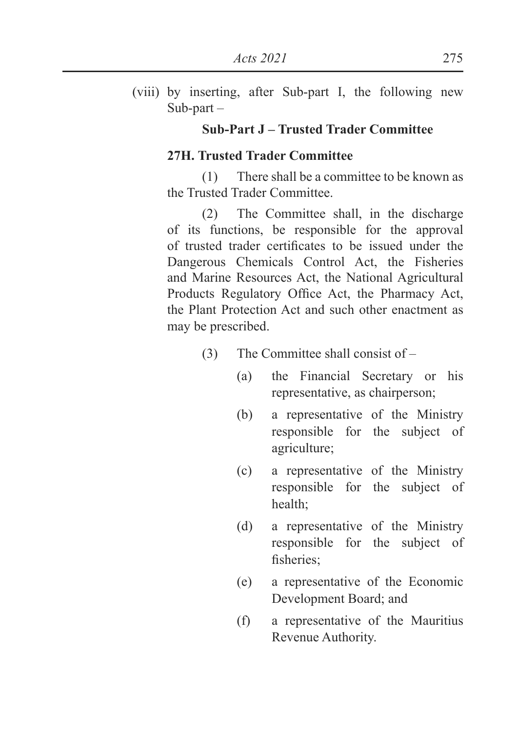(viii) by inserting, after Sub-part I, the following new Sub-part –

### **Sub-Part J – Trusted Trader Committee**

### **27H. Trusted Trader Committee**

 (1) There shall be a committee to be known as the Trusted Trader Committee.

 (2) The Committee shall, in the discharge of its functions, be responsible for the approval of trusted trader certificates to be issued under the Dangerous Chemicals Control Act, the Fisheries and Marine Resources Act, the National Agricultural Products Regulatory Office Act, the Pharmacy Act, the Plant Protection Act and such other enactment as may be prescribed.

- (3) The Committee shall consist of
	- (a) the Financial Secretary or his representative, as chairperson;
	- (b) a representative of the Ministry responsible for the subject of agriculture;
	- (c) a representative of the Ministry responsible for the subject of health;
	- (d) a representative of the Ministry responsible for the subject of fisheries:
	- (e) a representative of the Economic Development Board; and
	- (f) a representative of the Mauritius Revenue Authority.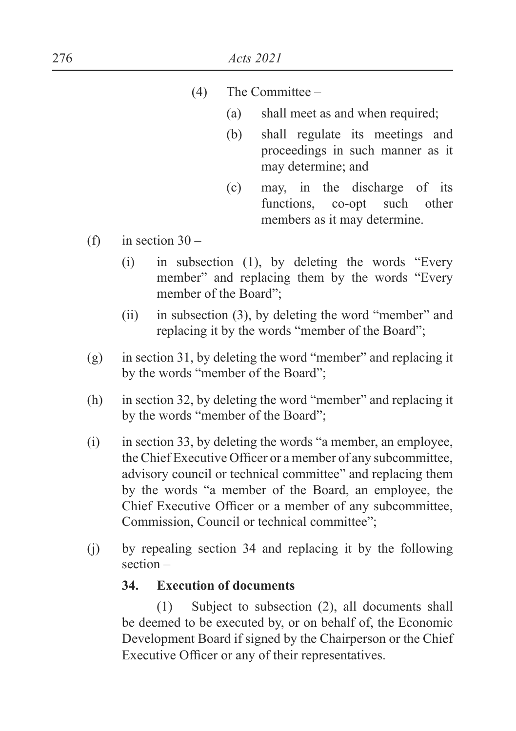- (4) The Committee
	- (a) shall meet as and when required;
	- (b) shall regulate its meetings and proceedings in such manner as it may determine; and
	- (c) may, in the discharge of its functions, co-opt such other members as it may determine.
- (f) in section  $30 -$ 
	- (i) in subsection (1), by deleting the words "Every member" and replacing them by the words "Every" member of the Board";
	- (ii) in subsection (3), by deleting the word "member" and replacing it by the words "member of the Board";
- (g) in section 31, by deleting the word "member" and replacing it by the words "member of the Board";
- (h) in section 32, by deleting the word "member" and replacing it by the words "member of the Board";
- (i) in section 33, by deleting the words "a member, an employee, the Chief Executive Officer or a member of any subcommittee, advisory council or technical committee" and replacing them by the words "a member of the Board, an employee, the Chief Executive Officer or a member of any subcommittee, Commission, Council or technical committee";
- (j) by repealing section 34 and replacing it by the following section –

## **34. Execution of documents**

 (1) Subject to subsection (2), all documents shall be deemed to be executed by, or on behalf of, the Economic Development Board if signed by the Chairperson or the Chief Executive Officer or any of their representatives.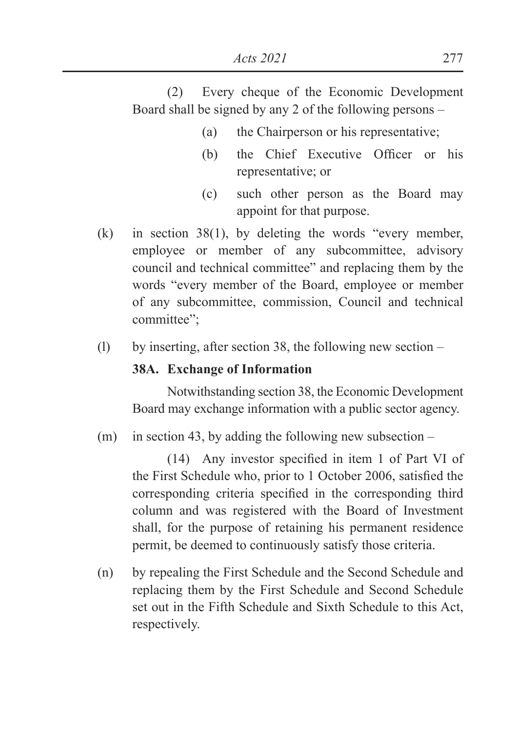(2) Every cheque of the Economic Development Board shall be signed by any 2 of the following persons –

- (a) the Chairperson or his representative;
- $(h)$  the Chief Executive Officer or his representative; or
- (c) such other person as the Board may appoint for that purpose.
- (k) in section 38(1), by deleting the words "every member, employee or member of any subcommittee, advisory council and technical committee" and replacing them by the words "every member of the Board, employee or member of any subcommittee, commission, Council and technical committee";
- (l) by inserting, after section 38, the following new section –

### **38A. Exchange of Information**

 Notwithstanding section 38, the Economic Development Board may exchange information with a public sector agency.

(m) in section 43, by adding the following new subsection –

 $(14)$  Any investor specified in item 1 of Part VI of the First Schedule who, prior to 1 October 2006, satisfied the corresponding criteria specified in the corresponding third column and was registered with the Board of Investment shall, for the purpose of retaining his permanent residence permit, be deemed to continuously satisfy those criteria.

(n) by repealing the First Schedule and the Second Schedule and replacing them by the First Schedule and Second Schedule set out in the Fifth Schedule and Sixth Schedule to this Act, respectively.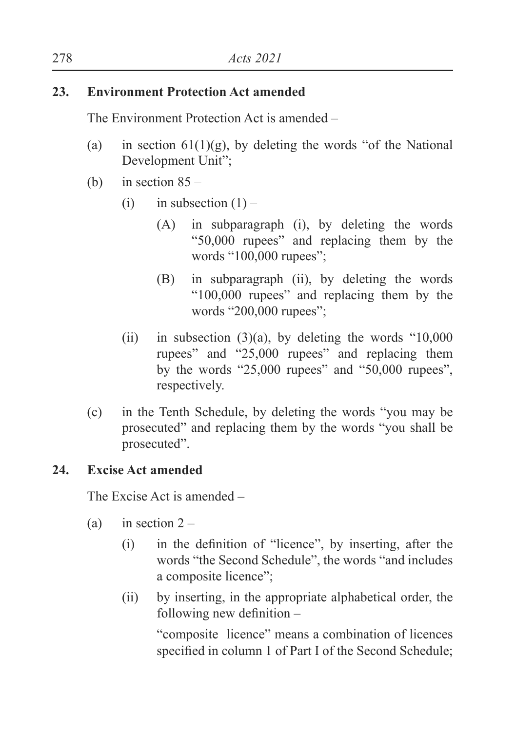## **23. Environment Protection Act amended**

The Environment Protection Act is amended –

- (a) in section  $61(1)(g)$ , by deleting the words "of the National Development Unit";
- (b) in section  $85 -$ 
	- (i) in subsection  $(1)$ 
		- (A) in subparagraph (i), by deleting the words "50,000 rupees" and replacing them by the words "100,000 rupees";
		- (B) in subparagraph (ii), by deleting the words "100,000 rupees" and replacing them by the words "200,000 rupees";
	- (ii) in subsection  $(3)(a)$ , by deleting the words "10,000 rupees" and "25,000 rupees" and replacing them by the words "25,000 rupees" and "50,000 rupees", respectively.
- (c) in the Tenth Schedule, by deleting the words "you may be prosecuted" and replacing them by the words "you shall be prosecuted".

# **24. Excise Act amended**

The Excise Act is amended –

- (a) in section  $2 -$ 
	- $(i)$  in the definition of "licence", by inserting, after the words "the Second Schedule", the words "and includes a composite licence";
	- (ii) by inserting, in the appropriate alphabetical order, the following new definition  $-$

 "composite licence" means a combination of licences specified in column 1 of Part I of the Second Schedule;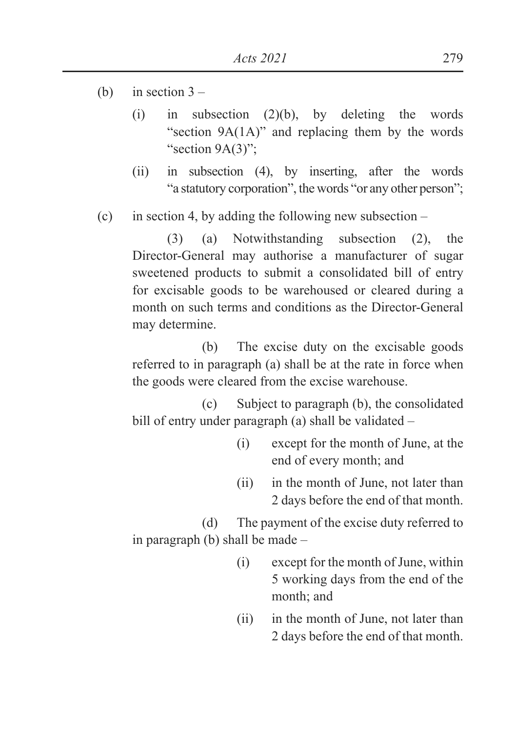- (b) in section  $3 -$ 
	- (i) in subsection  $(2)(b)$ , by deleting the words "section 9A(1A)" and replacing them by the words "section 9A(3)":
	- (ii) in subsection (4), by inserting, after the words "a statutory corporation", the words "or any other person";
- (c) in section 4, by adding the following new subsection –

 (3) (a) Notwithstanding subsection (2), the Director-General may authorise a manufacturer of sugar sweetened products to submit a consolidated bill of entry for excisable goods to be warehoused or cleared during a month on such terms and conditions as the Director-General may determine.

 (b) The excise duty on the excisable goods referred to in paragraph (a) shall be at the rate in force when the goods were cleared from the excise warehouse.

 (c) Subject to paragraph (b), the consolidated bill of entry under paragraph (a) shall be validated –

- (i) except for the month of June, at the end of every month; and
- (ii) in the month of June, not later than 2 days before the end of that month.

 (d) The payment of the excise duty referred to in paragraph (b) shall be made –

- (i) except for the month of June, within 5 working days from the end of the month; and
- (ii) in the month of June, not later than 2 days before the end of that month.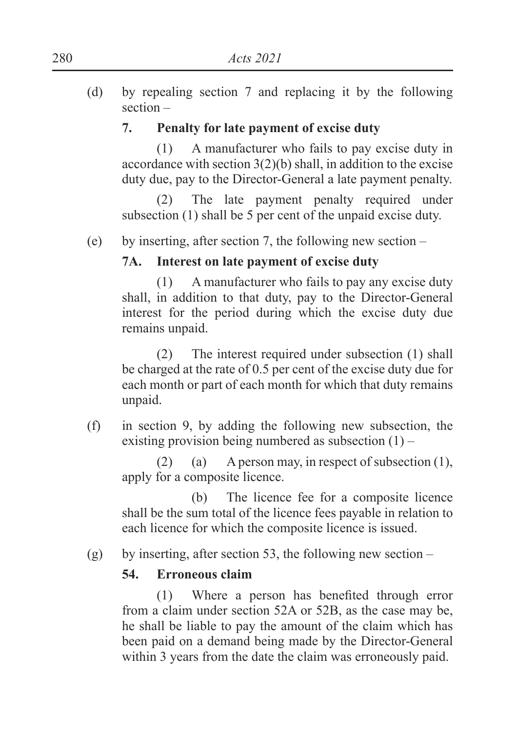(d) by repealing section 7 and replacing it by the following section –

## **7. Penalty for late payment of excise duty**

 (1) A manufacturer who fails to pay excise duty in accordance with section  $3(2)(b)$  shall, in addition to the excise duty due, pay to the Director-General a late payment penalty.

 (2) The late payment penalty required under subsection (1) shall be 5 per cent of the unpaid excise duty.

(e) by inserting, after section 7, the following new section –

# **7A. Interest on late payment of excise duty**

 (1) A manufacturer who fails to pay any excise duty shall, in addition to that duty, pay to the Director-General interest for the period during which the excise duty due remains unpaid.

 (2) The interest required under subsection (1) shall be charged at the rate of 0.5 per cent of the excise duty due for each month or part of each month for which that duty remains unpaid.

(f) in section 9, by adding the following new subsection, the existing provision being numbered as subsection  $(1)$  –

 (2) (a) A person may, in respect of subsection (1), apply for a composite licence.

 (b) The licence fee for a composite licence shall be the sum total of the licence fees payable in relation to each licence for which the composite licence is issued.

(g) by inserting, after section 53, the following new section –

# **54. Erroneous claim**

 $(1)$  Where a person has benefited through error from a claim under section 52A or 52B, as the case may be, he shall be liable to pay the amount of the claim which has been paid on a demand being made by the Director-General within 3 years from the date the claim was erroneously paid.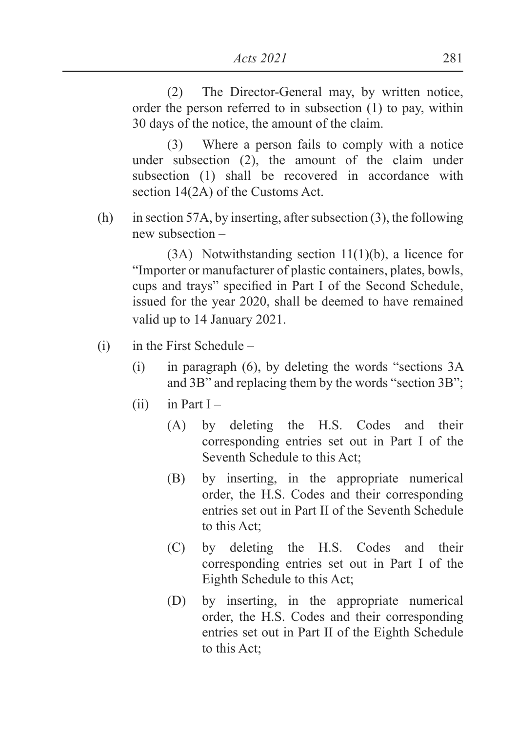(2) The Director-General may, by written notice, order the person referred to in subsection (1) to pay, within 30 days of the notice, the amount of the claim.

 (3) Where a person fails to comply with a notice under subsection (2), the amount of the claim under subsection (1) shall be recovered in accordance with section 14(2A) of the Customs Act.

(h) in section 57A, by inserting, after subsection (3), the following new subsection –

 (3A) Notwithstanding section 11(1)(b), a licence for "Importer or manufacturer of plastic containers, plates, bowls, cups and trays" specified in Part I of the Second Schedule, issued for the year 2020, shall be deemed to have remained valid up to 14 January 2021.

- $(i)$  in the First Schedule
	- (i) in paragraph (6), by deleting the words "sections 3A and 3B" and replacing them by the words "section 3B";
	- $(ii)$  in Part I
		- (A) by deleting the H.S. Codes and their corresponding entries set out in Part I of the Seventh Schedule to this Act;
		- (B) by inserting, in the appropriate numerical order, the H.S. Codes and their corresponding entries set out in Part II of the Seventh Schedule to this Act;
		- (C) by deleting the H.S. Codes and their corresponding entries set out in Part I of the Eighth Schedule to this Act;
		- (D) by inserting, in the appropriate numerical order, the H.S. Codes and their corresponding entries set out in Part II of the Eighth Schedule to this Act;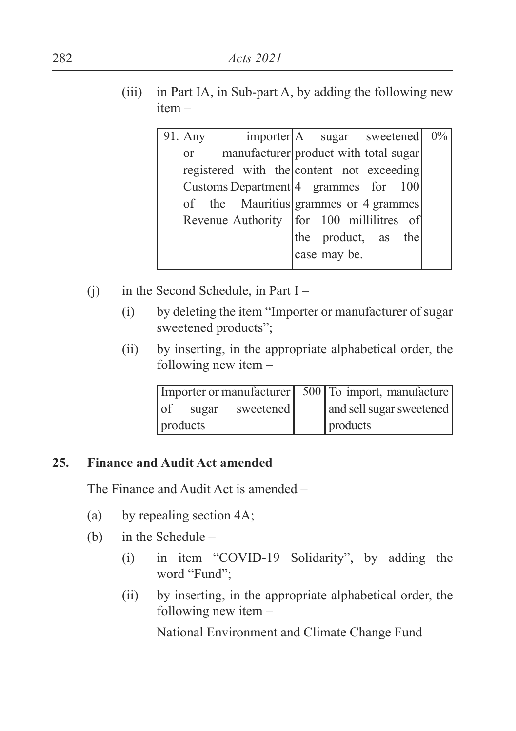(iii) in Part IA, in Sub-part A, by adding the following new item –

| $91$ . Any | importer   A sugar sweetened              |              |                     | $0\%$ |
|------------|-------------------------------------------|--------------|---------------------|-------|
| or         | manufacturer product with total sugar     |              |                     |       |
|            | registered with the content not exceeding |              |                     |       |
|            | Customs Department $ 4$ grammes for 100   |              |                     |       |
|            | of the Mauritius grammes or 4 grammes     |              |                     |       |
|            | Revenue Authority for 100 millilitres of  |              |                     |       |
|            |                                           |              | the product, as the |       |
|            |                                           | case may be. |                     |       |
|            |                                           |              |                     |       |

- (i) in the Second Schedule, in Part  $I -$ 
	- (i) by deleting the item "Importer or manufacturer of sugar sweetened products";
	- (ii) by inserting, in the appropriate alphabetical order, the following new item –

| Importer or manufacturer 500 To import, manufacture |                          |
|-----------------------------------------------------|--------------------------|
| $\circ$<br>sweetened<br>sugar                       | and sell sugar sweetened |
| products                                            | products                 |

# **25. Finance and Audit Act amended**

The Finance and Audit Act is amended –

- (a) by repealing section 4A;
- (b) in the Schedule
	- (i) in item "COVID-19 Solidarity", by adding the word "Fund";
	- (ii) by inserting, in the appropriate alphabetical order, the following new item –

National Environment and Climate Change Fund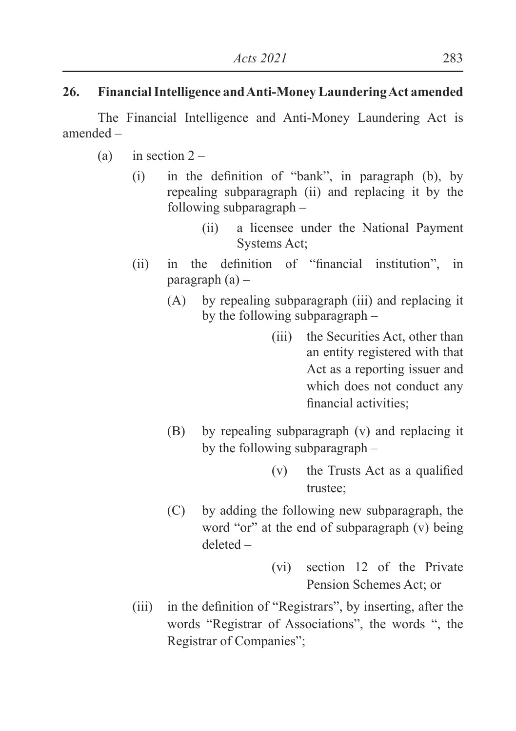# **26. Financial Intelligence and Anti-Money Laundering Act amended**

 The Financial Intelligence and Anti-Money Laundering Act is amended –

- (a) in section  $2 -$ 
	- $(i)$  in the definition of "bank", in paragraph  $(b)$ , by repealing subparagraph (ii) and replacing it by the following subparagraph –
		- (ii) a licensee under the National Payment Systems Act;
	- $\lambda$  (ii) in the definition of "financial institution", in paragraph  $(a)$  –
		- (A) by repealing subparagraph (iii) and replacing it by the following subparagraph –
			- (iii) the Securities Act, other than an entity registered with that Act as a reporting issuer and which does not conduct any financial activities:
		- (B) by repealing subparagraph (v) and replacing it by the following subparagraph –
			- $(v)$  the Trusts Act as a qualified trustee;
		- (C) by adding the following new subparagraph, the word "or" at the end of subparagraph (v) being deleted –
			- (vi) section 12 of the Private Pension Schemes Act: or
	- $(iii)$  in the definition of "Registrars", by inserting, after the words "Registrar of Associations", the words ", the Registrar of Companies";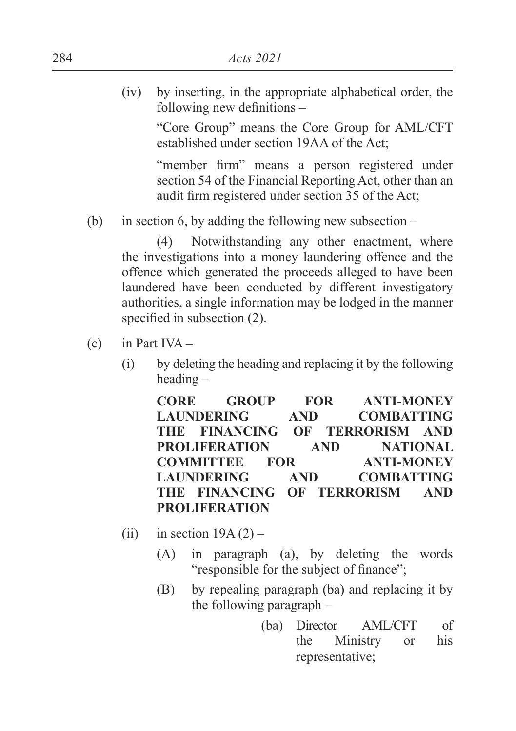(iv) by inserting, in the appropriate alphabetical order, the following new definitions  $-$ 

> "Core Group" means the Core Group for AML/CFT established under section 19AA of the Act;

> "member firm" means a person registered under section 54 of the Financial Reporting Act, other than an audit firm registered under section 35 of the Act;

(b) in section 6, by adding the following new subsection –

 (4) Notwithstanding any other enactment, where the investigations into a money laundering offence and the offence which generated the proceeds alleged to have been laundered have been conducted by different investigatory authorities, a single information may be lodged in the manner specified in subsection  $(2)$ .

- $(c)$  in Part IVA
	- (i) by deleting the heading and replacing it by the following heading –

**CORE GROUP FOR ANTI-MONEY LAUNDERING AND COMBATTING THE FINANCING OF TERRORISM AND PROLIFERATION AND NATIONAL COMMITTEE FOR ANTI-MONEY LAUNDERING AND COMBATTING THE FINANCING OF TERRORISM AND PROLIFERATION**

- (ii) in section  $19A(2)$ 
	- (A) in paragraph (a), by deleting the words "responsible for the subject of finance";
	- (B) by repealing paragraph (ba) and replacing it by the following paragraph –
		- (ba) Director AML/CFT of the Ministry or his representative;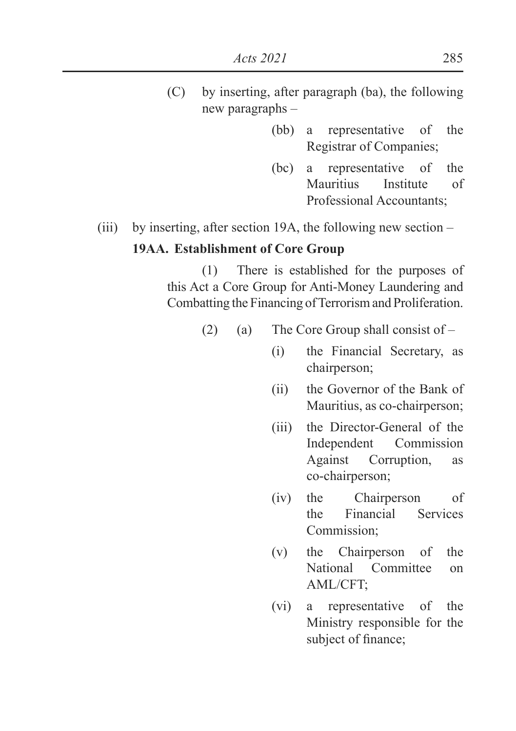- (C) by inserting, after paragraph (ba), the following new paragraphs –
	- (bb) a representative of the Registrar of Companies;
	- (bc) a representative of the Mauritius Institute of Professional Accountants;

# (iii) by inserting, after section 19A, the following new section – **19AA. Establishment of Core Group**

 (1) There is established for the purposes of this Act a Core Group for Anti-Money Laundering and Combatting the Financing of Terrorism and Proliferation.

- (2) (a) The Core Group shall consist of  $-$ 
	- (i) the Financial Secretary, as chairperson;
	- (ii) the Governor of the Bank of Mauritius, as co-chairperson;
	- (iii) the Director-General of the Independent Commission Against Corruption, as co-chairperson;
	- (iv) the Chairperson of the Financial Services Commission;
	- (v) the Chairperson of the National Committee on AML/CFT;
	- (vi) a representative of the Ministry responsible for the subject of finance;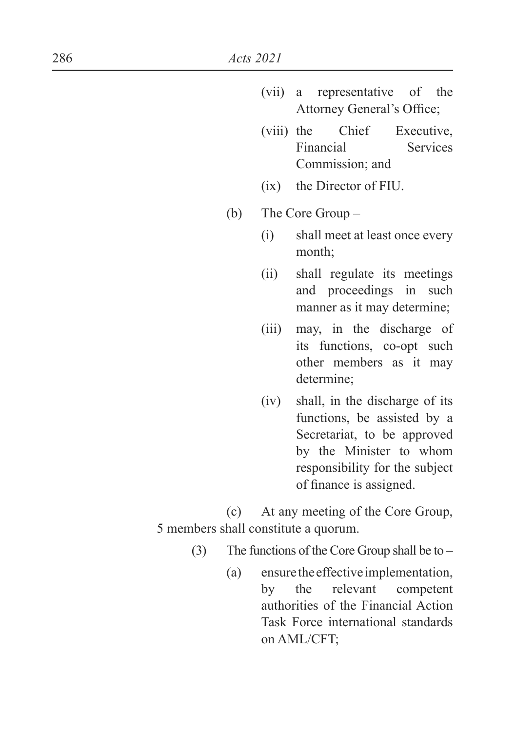- (vii) a representative of the Attorney General's Office;
- (viii) the Chief Executive, Financial Services Commission; and
- (ix) the Director of FIU.
- (b) The Core Group
	- (i) shall meet at least once every month;
	- (ii) shall regulate its meetings and proceedings in such manner as it may determine;
	- (iii) may, in the discharge of its functions, co-opt such other members as it may determine;
	- (iv) shall, in the discharge of its functions, be assisted by a Secretariat, to be approved by the Minister to whom responsibility for the subject of finance is assigned.

 (c) At any meeting of the Core Group, 5 members shall constitute a quorum.

- (3) The functions of the Core Group shall be to
	- (a) ensure the effective implementation, by the relevant competent authorities of the Financial Action Task Force international standards on AML/CFT;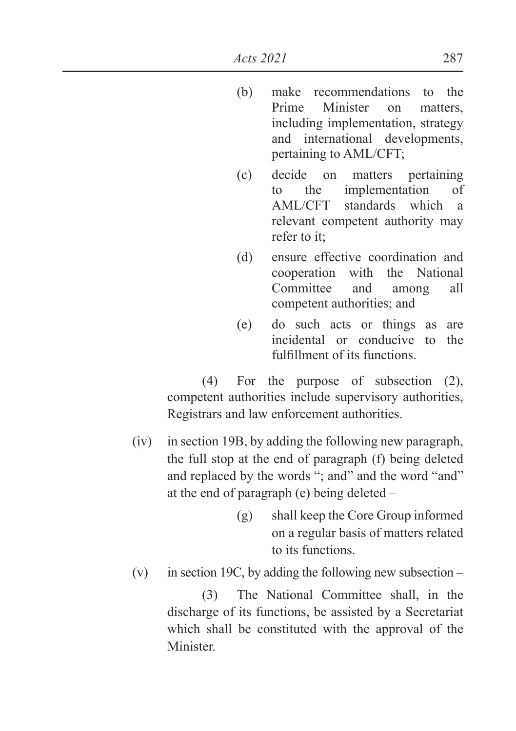- (b) make recommendations to the Prime Minister on matters including implementation, strategy and international developments, pertaining to AML/CFT;
- (c) decide on matters pertaining to the implementation of AML/CFT standards which a relevant competent authority may refer to it;
- (d) ensure effective coordination and cooperation with the National Committee and among all competent authorities; and
- (e) do such acts or things as are incidental or conducive to the fulfillment of its functions.

 (4) For the purpose of subsection (2), competent authorities include supervisory authorities, Registrars and law enforcement authorities.

- (iv) in section 19B, by adding the following new paragraph, the full stop at the end of paragraph (f) being deleted and replaced by the words "; and" and the word "and" at the end of paragraph (e) being deleted –
	- (g) shall keep the Core Group informed on a regular basis of matters related to its functions.
- (v) in section 19C, by adding the following new subsection –

 (3) The National Committee shall, in the discharge of its functions, be assisted by a Secretariat which shall be constituted with the approval of the **Minister**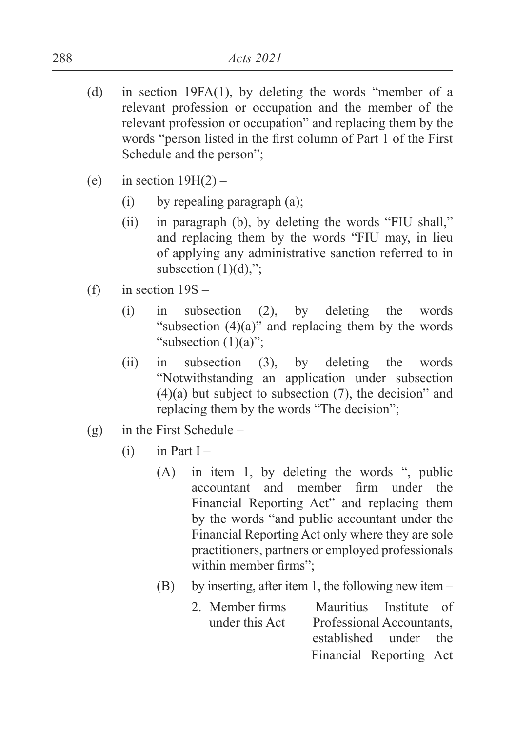- (d) in section 19FA(1), by deleting the words "member of a relevant profession or occupation and the member of the relevant profession or occupation" and replacing them by the words "person listed in the first column of Part 1 of the First Schedule and the person";
- (e) in section  $19H(2)$ 
	- (i) by repealing paragraph (a);
	- (ii) in paragraph (b), by deleting the words "FIU shall," and replacing them by the words "FIU may, in lieu of applying any administrative sanction referred to in subsection  $(1)(d)$ ,";
- (f) in section  $19S -$ 
	- (i) in subsection (2), by deleting the words "subsection  $(4)(a)$ " and replacing them by the words "subsection (1)(a)":
	- (ii) in subsection (3), by deleting the words "Notwithstanding an application under subsection  $(4)(a)$  but subject to subsection  $(7)$ , the decision" and replacing them by the words "The decision";
- (g) in the First Schedule
	- $(i)$  in Part I
		- (A) in item 1, by deleting the words ", public accountant and member firm under the Financial Reporting Act" and replacing them by the words "and public accountant under the Financial Reporting Act only where they are sole practitioners, partners or employed professionals within member firms":
		- (B) by inserting, after item 1, the following new item
			- 2 Member firms Mauritius Institute of under this Act Professional Accountants, established under the Financial Reporting Act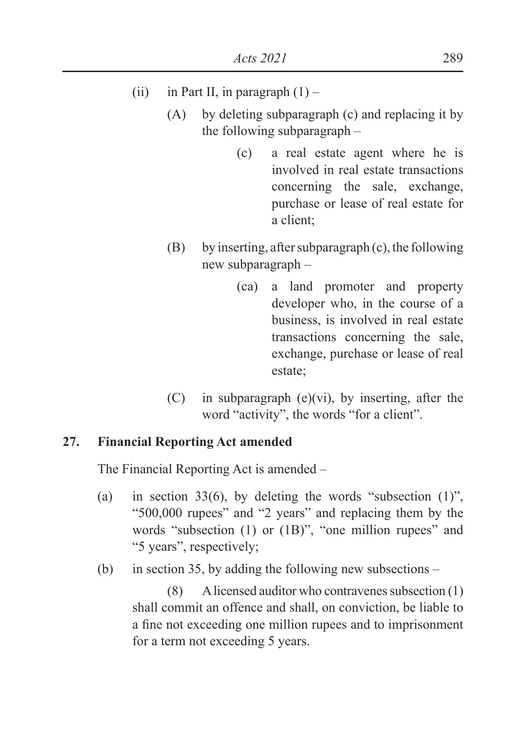# (ii) in Part II, in paragraph  $(1)$  –

- (A) by deleting subparagraph (c) and replacing it by the following subparagraph –
	- (c) a real estate agent where he is involved in real estate transactions concerning the sale, exchange, purchase or lease of real estate for a client;
- (B) by inserting, after subparagraph (c), the following new subparagraph –
	- (ca) a land promoter and property developer who, in the course of a business, is involved in real estate transactions concerning the sale, exchange, purchase or lease of real estate;
- (C) in subparagraph (e)(vi), by inserting, after the word "activity", the words "for a client".

### **27. Financial Reporting Act amended**

The Financial Reporting Act is amended –

- (a) in section 33(6), by deleting the words "subsection  $(1)$ ", "500,000 rupees" and "2 years" and replacing them by the words "subsection (1) or (1B)", "one million rupees" and "5 years", respectively;
- (b) in section 35, by adding the following new subsections –

 (8) A licensed auditor who contravenes subsection (1) shall commit an offence and shall, on conviction, be liable to a fine not exceeding one million rupees and to imprisonment for a term not exceeding 5 years.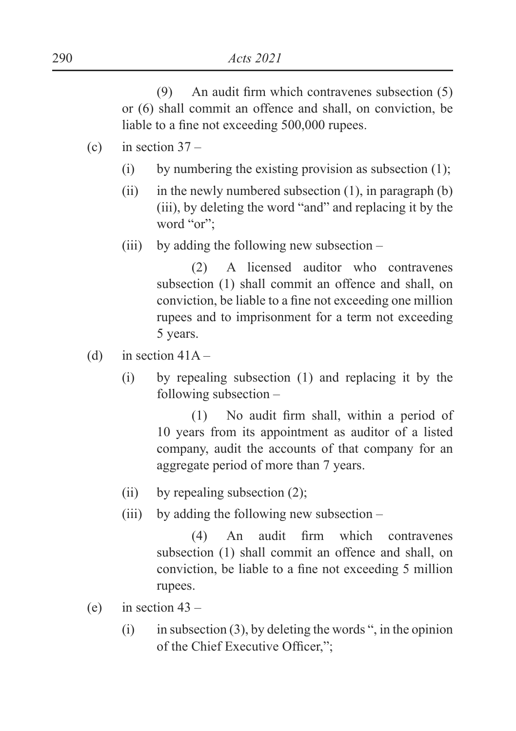$(9)$  An audit firm which contravenes subsection  $(5)$ or (6) shall commit an offence and shall, on conviction, be liable to a fine not exceeding 500,000 rupees.

- (c) in section  $37 -$ 
	- (i) by numbering the existing provision as subsection  $(1)$ ;
	- (ii) in the newly numbered subsection  $(1)$ , in paragraph  $(b)$ (iii), by deleting the word "and" and replacing it by the word "or";
	- (iii) by adding the following new subsection  $-$

 (2) A licensed auditor who contravenes subsection (1) shall commit an offence and shall, on conviction, be liable to a fine not exceeding one million rupees and to imprisonment for a term not exceeding 5 years.

- (d) in section  $41A -$ 
	- (i) by repealing subsection (1) and replacing it by the following subsection –

 $1$  No audit firm shall, within a period of 10 years from its appointment as auditor of a listed company, audit the accounts of that company for an aggregate period of more than 7 years.

- (ii) by repealing subsection  $(2)$ ;
- (iii) by adding the following new subsection –

 $(4)$  An audit firm which contravenes subsection (1) shall commit an offence and shall, on conviction, be liable to a fine not exceeding 5 million rupees.

- (e) in section  $43 -$ 
	- (i) in subsection (3), by deleting the words ", in the opinion of the Chief Executive Officer.":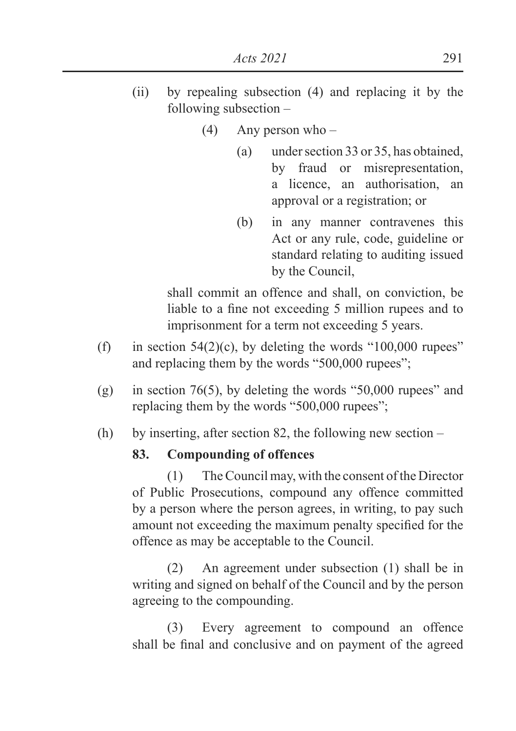- (ii) by repealing subsection (4) and replacing it by the following subsection –
	- (4) Any person who
		- (a) under section 33 or 35, has obtained, by fraud or misrepresentation, a licence, an authorisation, an approval or a registration; or
		- (b) in any manner contravenes this Act or any rule, code, guideline or standard relating to auditing issued by the Council,

 shall commit an offence and shall, on conviction, be liable to a fine not exceeding 5 million rupees and to imprisonment for a term not exceeding 5 years.

- (f) in section  $54(2)(c)$ , by deleting the words "100,000 rupees" and replacing them by the words "500,000 rupees";
- (g) in section 76(5), by deleting the words "50,000 rupees" and replacing them by the words "500,000 rupees";
- (h) by inserting, after section 82, the following new section –

# **83. Compounding of offences**

 (1) The Council may, with the consent of the Director of Public Prosecutions, compound any offence committed by a person where the person agrees, in writing, to pay such amount not exceeding the maximum penalty specified for the offence as may be acceptable to the Council.

 (2) An agreement under subsection (1) shall be in writing and signed on behalf of the Council and by the person agreeing to the compounding.

 (3) Every agreement to compound an offence shall be final and conclusive and on payment of the agreed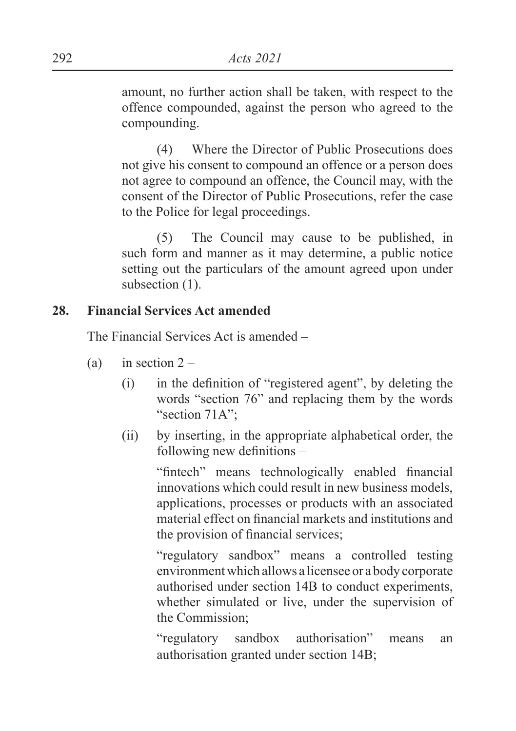amount, no further action shall be taken, with respect to the offence compounded, against the person who agreed to the compounding.

 (4) Where the Director of Public Prosecutions does not give his consent to compound an offence or a person does not agree to compound an offence, the Council may, with the consent of the Director of Public Prosecutions, refer the case to the Police for legal proceedings.

 (5) The Council may cause to be published, in such form and manner as it may determine, a public notice setting out the particulars of the amount agreed upon under subsection  $(1)$ .

### **28. Financial Services Act amended**

The Financial Services Act is amended –

- (a) in section  $2 -$ 
	- $\delta$  in the definition of "registered agent", by deleting the words "section 76" and replacing them by the words "section 71A":
	- (ii) by inserting, in the appropriate alphabetical order, the following new definitions  $-$

"fintech" means technologically enabled financial innovations which could result in new business models applications, processes or products with an associated material effect on financial markets and institutions and the provision of financial services:

 "regulatory sandbox" means a controlled testing environment which allows a licensee or a body corporate authorised under section 14B to conduct experiments, whether simulated or live, under the supervision of the Commission;

 "regulatory sandbox authorisation" means an authorisation granted under section 14B;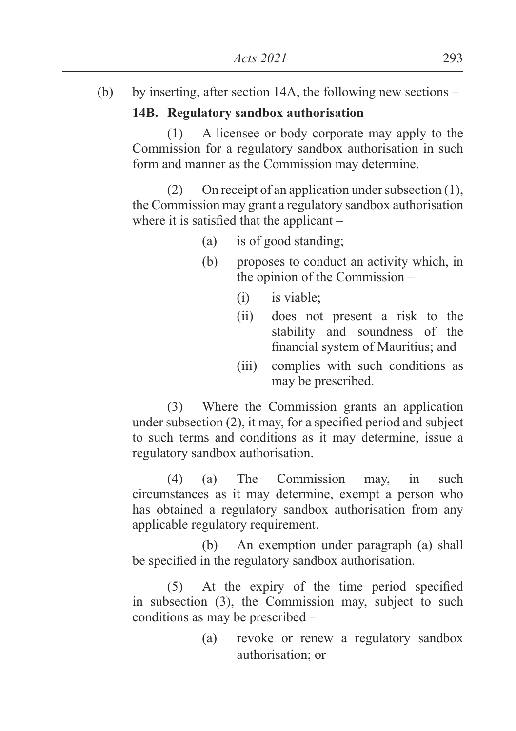(b) by inserting, after section 14A, the following new sections –

### **14B. Regulatory sandbox authorisation**

 (1) A licensee or body corporate may apply to the Commission for a regulatory sandbox authorisation in such form and manner as the Commission may determine.

 (2) On receipt of an application under subsection (1), the Commission may grant a regulatory sandbox authorisation where it is satisfied that the applicant  $-$ 

- (a) is of good standing;
- (b) proposes to conduct an activity which, in the opinion of the Commission –
	- (i) is viable;
	- (ii) does not present a risk to the stability and soundness of the financial system of Mauritius; and
	- (iii) complies with such conditions as may be prescribed.

 (3) Where the Commission grants an application under subsection  $(2)$ , it may, for a specified period and subject to such terms and conditions as it may determine, issue a regulatory sandbox authorisation.

 (4) (a) The Commission may, in such circumstances as it may determine, exempt a person who has obtained a regulatory sandbox authorisation from any applicable regulatory requirement.

 (b) An exemption under paragraph (a) shall be specified in the regulatory sandbox authorisation.

 $(5)$  At the expiry of the time period specified in subsection (3), the Commission may, subject to such conditions as may be prescribed –

> (a) revoke or renew a regulatory sandbox authorisation; or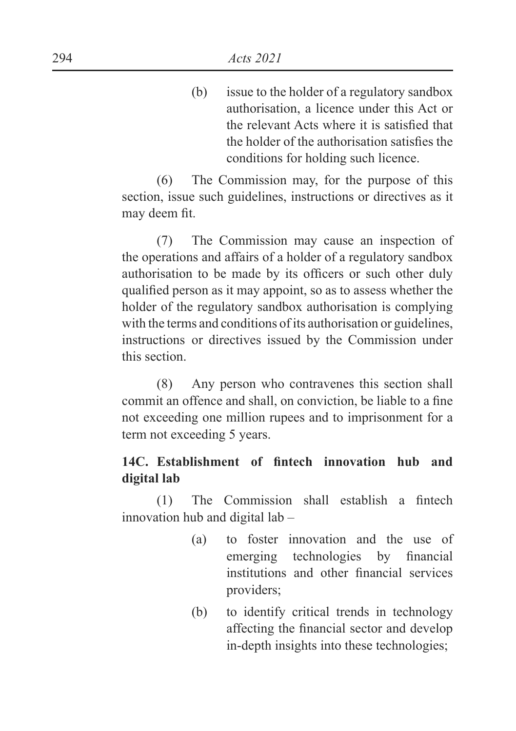(b) issue to the holder of a regulatory sandbox authorisation, a licence under this Act or the relevant Acts where it is satisfied that the holder of the authorisation satisfies the conditions for holding such licence.

 (6) The Commission may, for the purpose of this section, issue such guidelines, instructions or directives as it may deem fit.

 (7) The Commission may cause an inspection of the operations and affairs of a holder of a regulatory sandbox authorisation to be made by its officers or such other duly qualified person as it may appoint, so as to assess whether the holder of the regulatory sandbox authorisation is complying with the terms and conditions of its authorisation or guidelines, instructions or directives issued by the Commission under this section.

 (8) Any person who contravenes this section shall commit an offence and shall, on conviction, be liable to a fine not exceeding one million rupees and to imprisonment for a term not exceeding 5 years.

# 14C. Establishment of fintech innovation hub and **digital lab**

 $(1)$  The Commission shall establish a fintech innovation hub and digital lab –

- (a) to foster innovation and the use of emerging technologies by financial institutions and other financial services providers;
- (b) to identify critical trends in technology affecting the financial sector and develop in-depth insights into these technologies;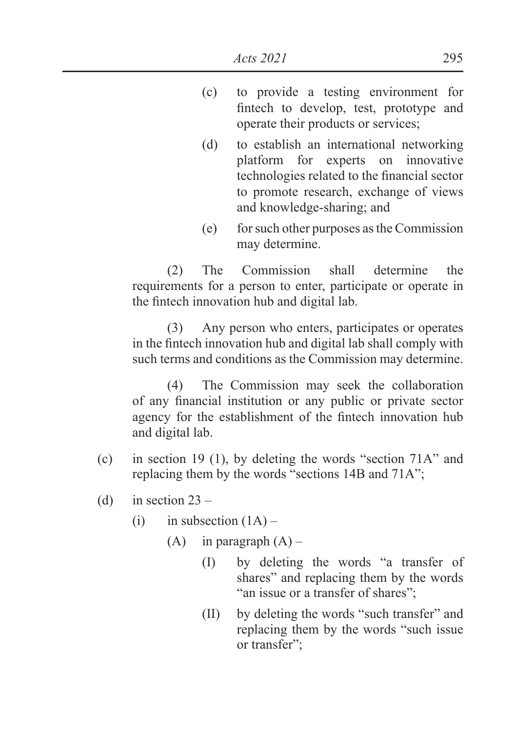- (c) to provide a testing environment for fintech to develop, test, prototype and operate their products or services;
- (d) to establish an international networking platform for experts on innovative technologies related to the financial sector to promote research, exchange of views and knowledge-sharing; and
- (e) for such other purposes as the Commission may determine.

 (2) The Commission shall determine the requirements for a person to enter, participate or operate in the fintech innovation hub and digital lab.

 (3) Any person who enters, participates or operates in the fintech innovation hub and digital lab shall comply with such terms and conditions as the Commission may determine.

 (4) The Commission may seek the collaboration of any financial institution or any public or private sector agency for the establishment of the fintech innovation hub and digital lab.

- (c) in section 19 (1), by deleting the words "section 71A" and replacing them by the words "sections 14B and 71A";
- (d) in section  $23 -$ 
	- (i) in subsection  $(1A)$ 
		- (A) in paragraph  $(A)$ 
			- (I) by deleting the words "a transfer of shares" and replacing them by the words "an issue or a transfer of shares";
			- (II) by deleting the words "such transfer" and replacing them by the words "such issue or transfer";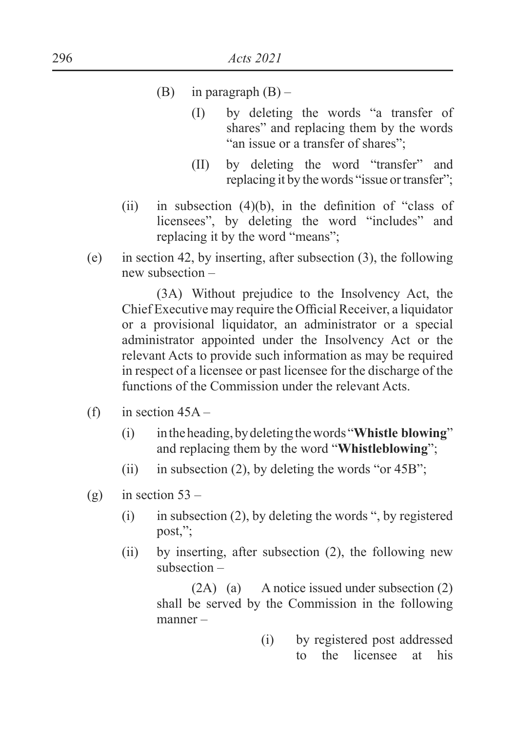### (B) in paragraph  $(B)$  –

- (I) by deleting the words "a transfer of shares" and replacing them by the words "an issue or a transfer of shares":
- (II) by deleting the word "transfer" and replacing it by the words "issue or transfer";
- $\lambda$  in subsection (4)(b), in the definition of "class of licensees", by deleting the word "includes" and replacing it by the word "means";
- (e) in section 42, by inserting, after subsection (3), the following new subsection –

 (3A) Without prejudice to the Insolvency Act, the Chief Executive may require the Official Receiver, a liquidator or a provisional liquidator, an administrator or a special administrator appointed under the Insolvency Act or the relevant Acts to provide such information as may be required in respect of a licensee or past licensee for the discharge of the functions of the Commission under the relevant Acts.

- (f) in section  $45A -$ 
	- (i) in the heading, by deleting the words "**Whistle blowing**" and replacing them by the word "**Whistleblowing**";
	- (ii) in subsection (2), by deleting the words "or  $45B$ ";
- (g) in section  $53 -$ 
	- (i) in subsection (2), by deleting the words ", by registered post,";
	- (ii) by inserting, after subsection (2), the following new subsection –

 (2A) (a) A notice issued under subsection (2) shall be served by the Commission in the following manner –

> (i) by registered post addressed to the licensee at his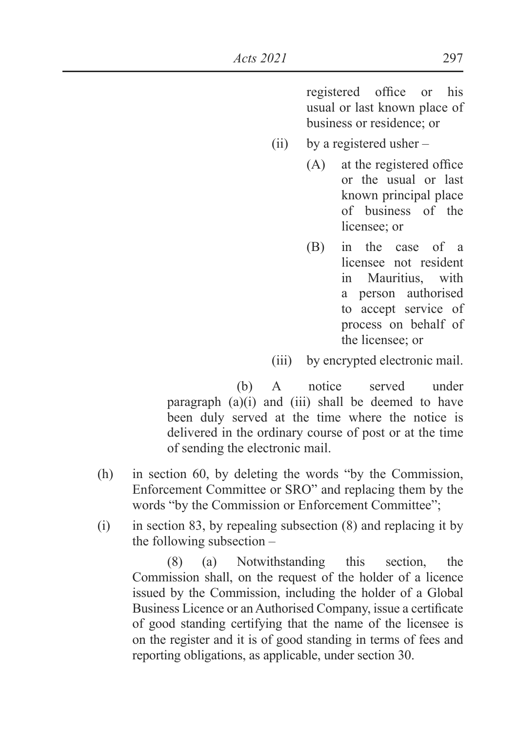registered office or his usual or last known place of business or residence; or

- (ii) by a registered usher
	- $(A)$  at the registered office or the usual or last known principal place of business of the licensee: or
	- (B) in the case of a licensee not resident in Mauritius, with a person authorised to accept service of process on behalf of the licensee; or

(iii) by encrypted electronic mail.

 (b) A notice served under paragraph  $(a)(i)$  and  $(iii)$  shall be deemed to have been duly served at the time where the notice is delivered in the ordinary course of post or at the time of sending the electronic mail.

- (h) in section 60, by deleting the words "by the Commission, Enforcement Committee or SRO" and replacing them by the words "by the Commission or Enforcement Committee";
- $(i)$  in section 83, by repealing subsection  $(8)$  and replacing it by the following subsection –

 (8) (a) Notwithstanding this section, the Commission shall, on the request of the holder of a licence issued by the Commission, including the holder of a Global Business Licence or an Authorised Company, issue a certificate of good standing certifying that the name of the licensee is on the register and it is of good standing in terms of fees and reporting obligations, as applicable, under section 30.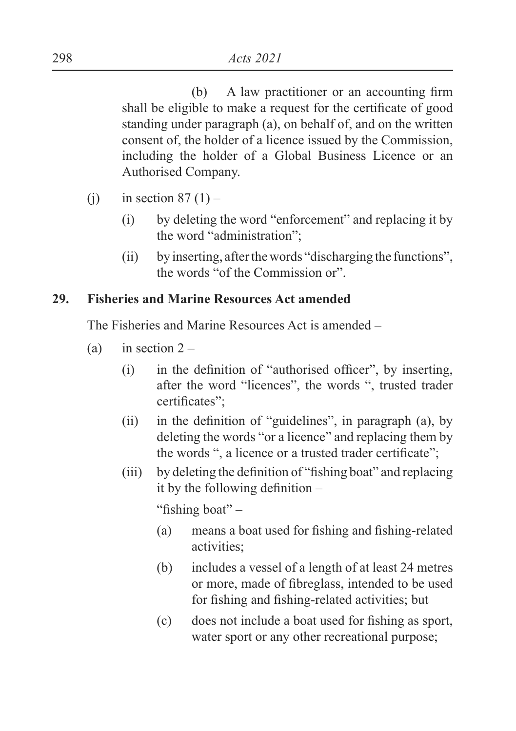$(b)$  A law practitioner or an accounting firm shall be eligible to make a request for the certificate of good standing under paragraph (a), on behalf of, and on the written consent of, the holder of a licence issued by the Commission, including the holder of a Global Business Licence or an Authorised Company.

- (i) in section  $87(1)$ 
	- (i) by deleting the word "enforcement" and replacing it by the word "administration";
	- (ii) by inserting, after the words "discharging the functions", the words "of the Commission or".

### **29. Fisheries and Marine Resources Act amended**

The Fisheries and Marine Resources Act is amended –

- (a) in section  $2 -$ 
	- $\Delta$  in the definition of "authorised officer", by inserting, after the word "licences", the words ", trusted trader certificates":
	- (ii) in the definition of "guidelines", in paragraph (a), by deleting the words "or a licence" and replacing them by the words ", a licence or a trusted trader certificate";
	- $(iii)$  by deleting the definition of "fishing boat" and replacing it by the following definition  $-$

"fishing boat" $-$ 

- $(a)$  means a boat used for fishing and fishing-related activities;
- (b) includes a vessel of a length of at least 24 metres or more, made of fibreglass, intended to be used for fishing and fishing-related activities; but
- $\text{f}$  does not include a boat used for fishing as sport, water sport or any other recreational purpose;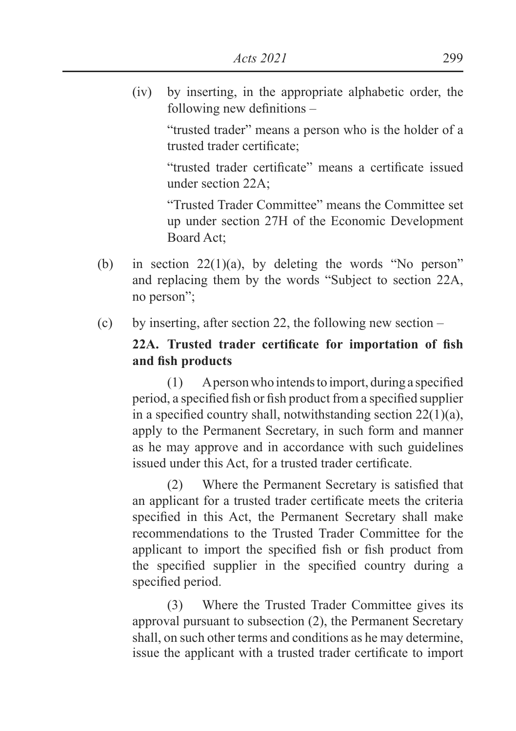(iv) by inserting, in the appropriate alphabetic order, the following new definitions  $-$ 

> "trusted trader" means a person who is the holder of a trusted trader certificate:

> "trusted trader certificate" means a certificate issued under section 22A;

> "Trusted Trader Committee" means the Committee set up under section 27H of the Economic Development Board Act;

- (b) in section 22(1)(a), by deleting the words "No person" and replacing them by the words "Subject to section 22A, no person";
- (c) by inserting, after section 22, the following new section –

# **22A.** Trusted trader certificate for importation of fish and fish products

 $(1)$  A person who intends to import, during a specified period, a specified fish or fish product from a specified supplier in a specified country shall, notwithstanding section  $22(1)(a)$ , apply to the Permanent Secretary, in such form and manner as he may approve and in accordance with such guidelines issued under this Act. for a trusted trader certificate.

 $(2)$  Where the Permanent Secretary is satisfied that an applicant for a trusted trader certificate meets the criteria specified in this Act, the Permanent Secretary shall make recommendations to the Trusted Trader Committee for the applicant to import the specified fish or fish product from the specified supplier in the specified country during a specified period.

 (3) Where the Trusted Trader Committee gives its approval pursuant to subsection (2), the Permanent Secretary shall, on such other terms and conditions as he may determine, issue the applicant with a trusted trader certificate to import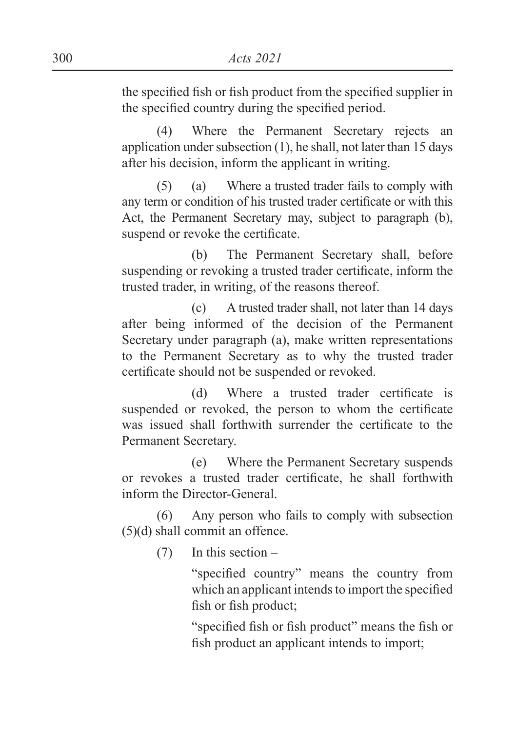the specified fish or fish product from the specified supplier in the specified country during the specified period.

 (4) Where the Permanent Secretary rejects an application under subsection (1), he shall, not later than 15 days after his decision, inform the applicant in writing.

 (5) (a) Where a trusted trader fails to comply with any term or condition of his trusted trader certificate or with this Act, the Permanent Secretary may, subject to paragraph (b), suspend or revoke the certificate.

 (b) The Permanent Secretary shall, before suspending or revoking a trusted trader certificate, inform the trusted trader, in writing, of the reasons thereof.

 (c) A trusted trader shall, not later than 14 days after being informed of the decision of the Permanent Secretary under paragraph (a), make written representations to the Permanent Secretary as to why the trusted trader certificate should not be suspended or revoked.

(d) Where a trusted trader certificate is suspended or revoked, the person to whom the certificate was issued shall forthwith surrender the certificate to the Permanent Secretary.

 (e) Where the Permanent Secretary suspends or revokes a trusted trader certificate, he shall forthwith inform the Director-General.

 (6) Any person who fails to comply with subsection (5)(d) shall commit an offence.

(7) In this section –

"specified country" means the country from which an applicant intends to import the specified fish or fish product:

"specified fish or fish product" means the fish or fish product an applicant intends to import: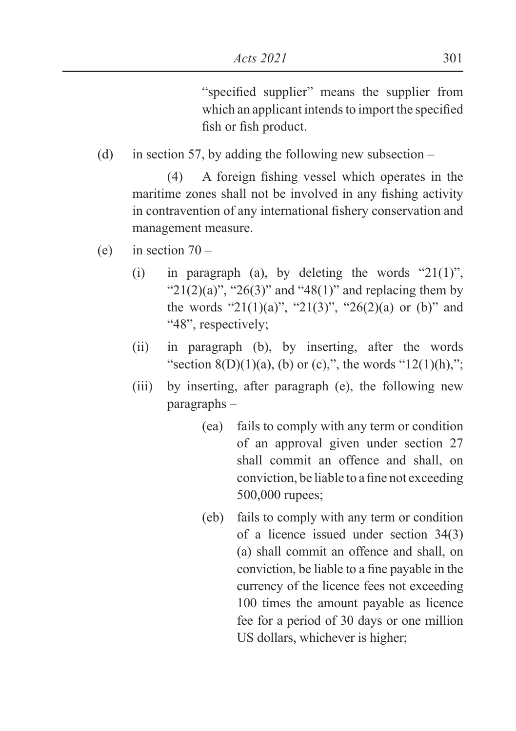"specified supplier" means the supplier from which an applicant intends to import the specified fish or fish product.

(d) in section 57, by adding the following new subsection  $-$ 

 $(4)$  A foreign fishing vessel which operates in the maritime zones shall not be involved in any fishing activity in contravention of any international fishery conservation and management measure.

- (e) in section  $70 -$ 
	- (i) in paragraph (a), by deleting the words " $21(1)$ ", " $21(2)(a)$ ", " $26(3)$ " and " $48(1)$ " and replacing them by the words "21(1)(a)", "21(3)", "26(2)(a) or (b)" and "48", respectively;
	- (ii) in paragraph (b), by inserting, after the words "section  $8(D)(1)(a)$ , (b) or (c),", the words "12(1)(h),";
	- (iii) by inserting, after paragraph (e), the following new paragraphs –
		- (ea) fails to comply with any term or condition of an approval given under section 27 shall commit an offence and shall, on conviction, be liable to a fine not exceeding 500,000 rupees;
		- (eb) fails to comply with any term or condition of a licence issued under section 34(3) (a) shall commit an offence and shall, on conviction, be liable to a fine pavable in the currency of the licence fees not exceeding 100 times the amount payable as licence fee for a period of 30 days or one million US dollars, whichever is higher;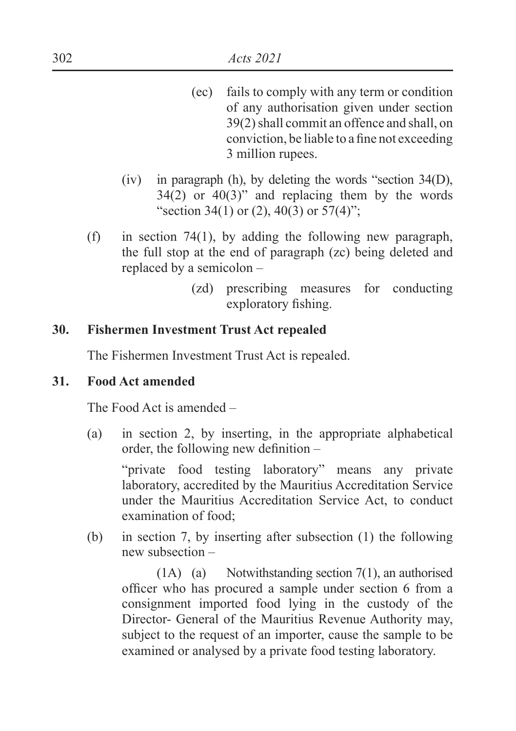- (ec) fails to comply with any term or condition of any authorisation given under section 39(2) shall commit an offence and shall, on conviction, be liable to a fine not exceeding 3 million rupees.
- (iv) in paragraph (h), by deleting the words "section 34(D),  $34(2)$  or  $40(3)$ " and replacing them by the words "section 34(1) or (2), 40(3) or  $57(4)$ ";
- (f) in section 74(1), by adding the following new paragraph, the full stop at the end of paragraph (zc) being deleted and replaced by a semicolon –
	- (zd) prescribing measures for conducting exploratory fishing.

### **30. Fishermen Investment Trust Act repealed**

The Fishermen Investment Trust Act is repealed.

#### **31. Food Act amended**

The Food Act is amended –

(a) in section 2, by inserting, in the appropriate alphabetical order, the following new definition  $-$ 

 "private food testing laboratory" means any private laboratory, accredited by the Mauritius Accreditation Service under the Mauritius Accreditation Service Act, to conduct examination of food;

(b) in section 7, by inserting after subsection (1) the following new subsection –

 (1A) (a) Notwithstanding section 7(1), an authorised officer who has procured a sample under section 6 from a consignment imported food lying in the custody of the Director- General of the Mauritius Revenue Authority may, subject to the request of an importer, cause the sample to be examined or analysed by a private food testing laboratory.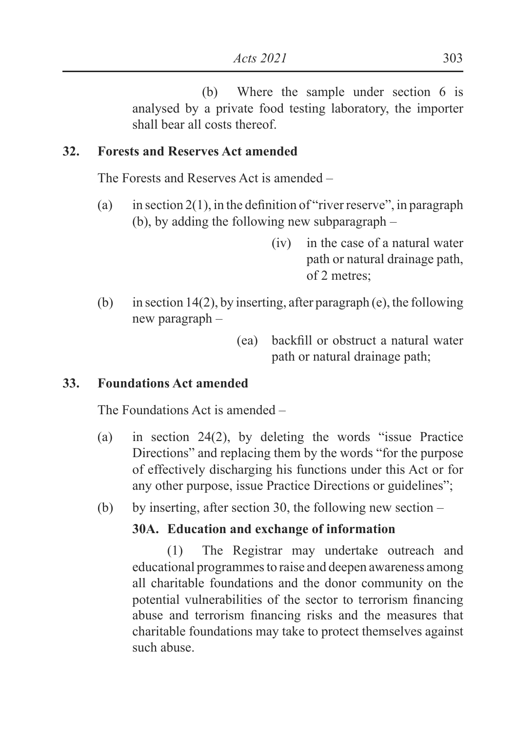(b) Where the sample under section 6 is analysed by a private food testing laboratory, the importer shall bear all costs thereof.

### **32. Forests and Reserves Act amended**

The Forests and Reserves Act is amended –

- (a) in section 2(1), in the definition of "river reserve", in paragraph (b), by adding the following new subparagraph –
	- (iv) in the case of a natural water path or natural drainage path, of 2 metres;
- (b) in section 14(2), by inserting, after paragraph (e), the following new paragraph –
	- $(ea)$  backfill or obstruct a natural water path or natural drainage path;

# **33. Foundations Act amended**

The Foundations Act is amended –

(a) in section 24(2), by deleting the words "issue Practice Directions" and replacing them by the words "for the purpose of effectively discharging his functions under this Act or for any other purpose, issue Practice Directions or guidelines";

(b) by inserting, after section 30, the following new section –

# **30A. Education and exchange of information**

 (1) The Registrar may undertake outreach and educational programmes to raise and deepen awareness among all charitable foundations and the donor community on the potential vulnerabilities of the sector to terrorism financing abuse and terrorism financing risks and the measures that charitable foundations may take to protect themselves against such abuse.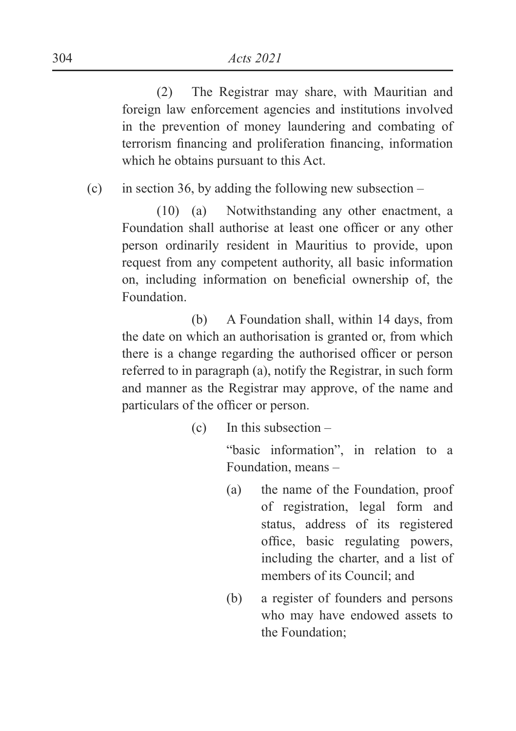(2) The Registrar may share, with Mauritian and foreign law enforcement agencies and institutions involved in the prevention of money laundering and combating of terrorism financing and proliferation financing, information which he obtains pursuant to this Act.

(c) in section 36, by adding the following new subsection –

 (10) (a) Notwithstanding any other enactment, a Foundation shall authorise at least one officer or any other person ordinarily resident in Mauritius to provide, upon request from any competent authority, all basic information on, including information on beneficial ownership of, the Foundation.

 (b) A Foundation shall, within 14 days, from the date on which an authorisation is granted or, from which there is a change regarding the authorised officer or person referred to in paragraph (a), notify the Registrar, in such form and manner as the Registrar may approve, of the name and particulars of the officer or person.

(c) In this subsection –

 "basic information", in relation to a Foundation, means –

- (a) the name of the Foundation, proof of registration, legal form and status, address of its registered office, basic regulating powers, including the charter, and a list of members of its Council; and
- (b) a register of founders and persons who may have endowed assets to the Foundation;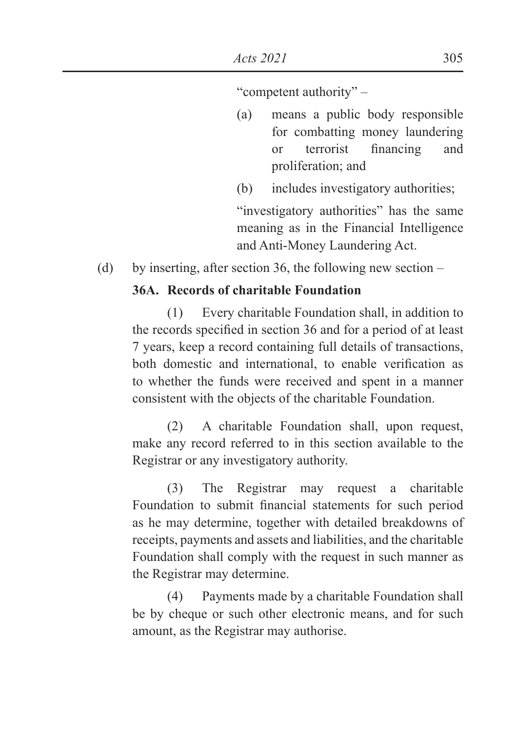"competent authority" –

- (a) means a public body responsible for combatting money laundering or terrorist financing and proliferation; and
- (b) includes investigatory authorities;

 "investigatory authorities" has the same meaning as in the Financial Intelligence and Anti-Money Laundering Act.

(d) by inserting, after section 36, the following new section –

# **36A. Records of charitable Foundation**

 (1) Every charitable Foundation shall, in addition to the records specified in section 36 and for a period of at least 7 years, keep a record containing full details of transactions, both domestic and international, to enable verification as to whether the funds were received and spent in a manner consistent with the objects of the charitable Foundation.

 (2) A charitable Foundation shall, upon request, make any record referred to in this section available to the Registrar or any investigatory authority.

 (3) The Registrar may request a charitable Foundation to submit financial statements for such period as he may determine, together with detailed breakdowns of receipts, payments and assets and liabilities, and the charitable Foundation shall comply with the request in such manner as the Registrar may determine.

 (4) Payments made by a charitable Foundation shall be by cheque or such other electronic means, and for such amount, as the Registrar may authorise.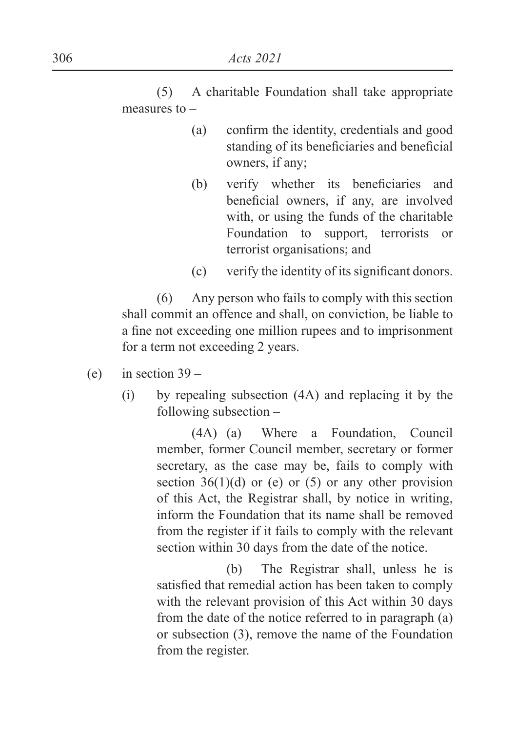(5) A charitable Foundation shall take appropriate measures to –

- $(a)$  confirm the identity, credentials and good standing of its beneficiaries and beneficial owners, if any;
- (b) verify whether its beneficiaries and beneficial owners, if any, are involved with, or using the funds of the charitable Foundation to support, terrorists or terrorist organisations; and
- $f(c)$  verify the identity of its significant donors.

 (6) Any person who fails to comply with this section shall commit an offence and shall, on conviction, be liable to a fine not exceeding one million rupees and to imprisonment for a term not exceeding 2 years.

- (e) in section  $39 -$ 
	- (i) by repealing subsection (4A) and replacing it by the following subsection –

 (4A) (a) Where a Foundation, Council member, former Council member, secretary or former secretary, as the case may be, fails to comply with section  $36(1)(d)$  or (e) or (5) or any other provision of this Act, the Registrar shall, by notice in writing, inform the Foundation that its name shall be removed from the register if it fails to comply with the relevant section within 30 days from the date of the notice.

 (b) The Registrar shall, unless he is satisfied that remedial action has been taken to comply with the relevant provision of this Act within 30 days from the date of the notice referred to in paragraph (a) or subsection (3), remove the name of the Foundation from the register.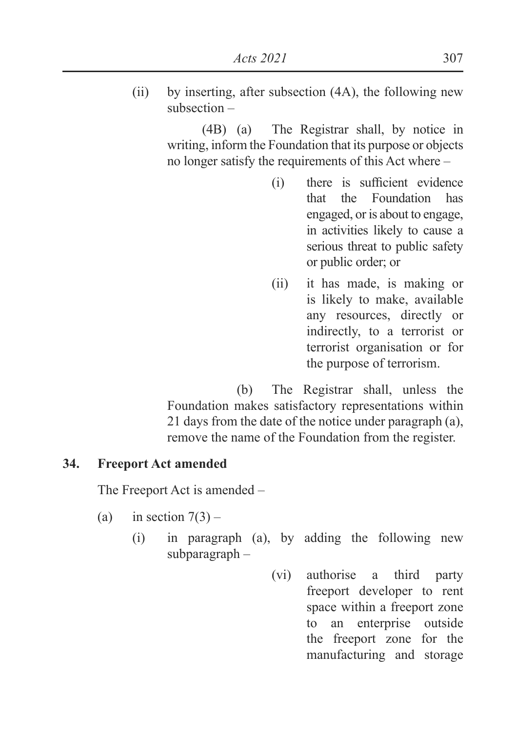(ii) by inserting, after subsection (4A), the following new subsection –

> (4B) (a) The Registrar shall, by notice in writing, inform the Foundation that its purpose or objects no longer satisfy the requirements of this Act where –

- $(i)$  there is sufficient evidence that the Foundation has engaged, or is about to engage, in activities likely to cause a serious threat to public safety or public order; or
- (ii) it has made, is making or is likely to make, available any resources, directly or indirectly, to a terrorist or terrorist organisation or for the purpose of terrorism.

 (b) The Registrar shall, unless the Foundation makes satisfactory representations within 21 days from the date of the notice under paragraph (a), remove the name of the Foundation from the register.

# **34. Freeport Act amended**

The Freeport Act is amended –

- (a) in section  $7(3)$ 
	- (i) in paragraph (a), by adding the following new subparagraph –
		- (vi) authorise a third party freeport developer to rent space within a freeport zone to an enterprise outside the freeport zone for the manufacturing and storage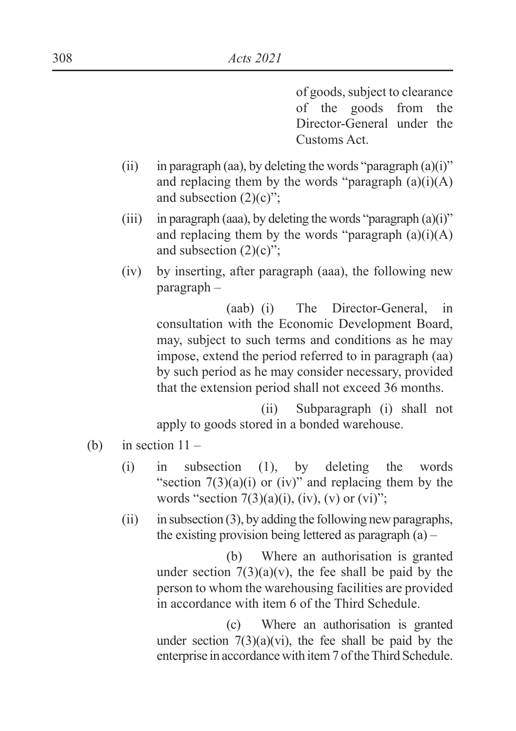of goods, subject to clearance of the goods from the Director-General under the Customs Act.

- (ii) in paragraph (aa), by deleting the words "paragraph  $(a)(i)$ " and replacing them by the words "paragraph  $(a)(i)(A)$ and subsection (2)(c)";
- (iii) in paragraph (aaa), by deleting the words "paragraph  $(a)(i)$ " and replacing them by the words "paragraph  $(a)(i)(A)$ and subsection  $(2)(c)$ ";
- (iv) by inserting, after paragraph (aaa), the following new paragraph –

 (aab) (i) The Director-General, in consultation with the Economic Development Board, may, subject to such terms and conditions as he may impose, extend the period referred to in paragraph (aa) by such period as he may consider necessary, provided that the extension period shall not exceed 36 months.

 (ii) Subparagraph (i) shall not apply to goods stored in a bonded warehouse.

- (b) in section  $11 -$ 
	- (i) in subsection (1), by deleting the words "section  $7(3)(a)(i)$  or (iv)" and replacing them by the words "section  $7(3)(a)(i)$ , (iv), (v) or (vi)";
	- (ii) in subsection  $(3)$ , by adding the following new paragraphs, the existing provision being lettered as paragraph  $(a)$  –

 (b) Where an authorisation is granted under section  $7(3)(a)(v)$ , the fee shall be paid by the person to whom the warehousing facilities are provided in accordance with item 6 of the Third Schedule.

 (c) Where an authorisation is granted under section  $7(3)(a)(vi)$ , the fee shall be paid by the enterprise in accordance with item 7 of the Third Schedule.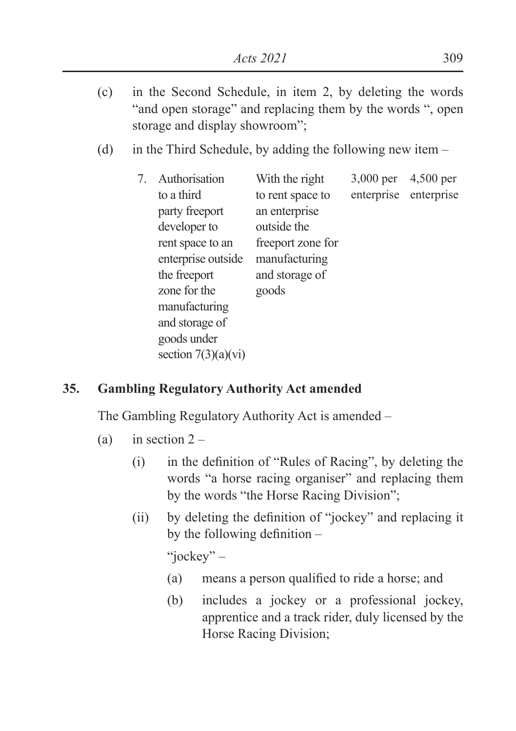- (c) in the Second Schedule, in item 2, by deleting the words "and open storage" and replacing them by the words ", open storage and display showroom";
- (d) in the Third Schedule, by adding the following new item –

| 7. | Authorisation         | With the right    | 3,000 per  | 4,500 per  |
|----|-----------------------|-------------------|------------|------------|
|    | to a third            | to rent space to  | enterprise | enterprise |
|    | party freeport        | an enterprise     |            |            |
|    | developer to          | outside the       |            |            |
|    | rent space to an      | freeport zone for |            |            |
|    | enterprise outside    | manufacturing     |            |            |
|    | the freeport          | and storage of    |            |            |
|    | zone for the          | goods             |            |            |
|    | manufacturing         |                   |            |            |
|    | and storage of        |                   |            |            |
|    | goods under           |                   |            |            |
|    | section $7(3)(a)(vi)$ |                   |            |            |

### **35. Gambling Regulatory Authority Act amended**

The Gambling Regulatory Authority Act is amended –

- (a) in section  $2 -$ 
	- $(i)$  in the definition of "Rules of Racing", by deleting the words "a horse racing organiser" and replacing them by the words "the Horse Racing Division";
	- (ii) by deleting the definition of "jockey" and replacing it by the following definition  $-$

"jockey" –

- $(a)$  means a person qualified to ride a horse; and
- (b) includes a jockey or a professional jockey, apprentice and a track rider, duly licensed by the Horse Racing Division;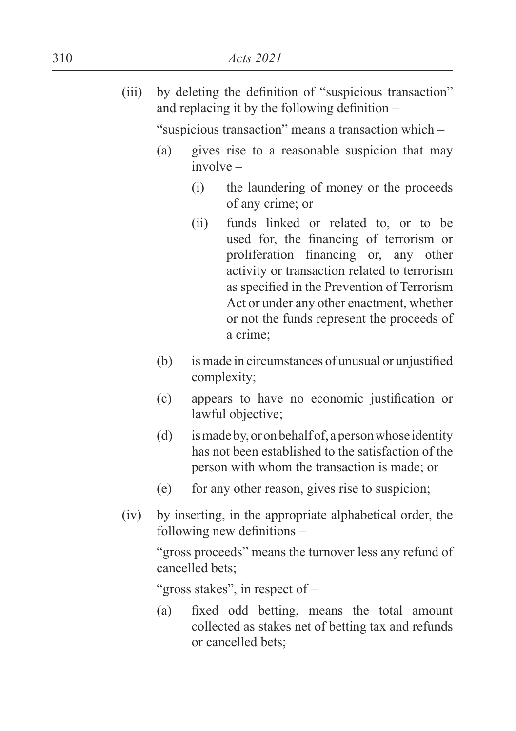$(iii)$  by deleting the definition of "suspicious transaction" and replacing it by the following definition  $-$ 

"suspicious transaction" means a transaction which –

- (a) gives rise to a reasonable suspicion that may involve –
	- (i) the laundering of money or the proceeds of any crime; or
	- (ii) funds linked or related to, or to be used for, the financing of terrorism or proliferation financing or, any other activity or transaction related to terrorism as specified in the Prevention of Terrorism Act or under any other enactment, whether or not the funds represent the proceeds of a crime;
- $(b)$  is made in circumstances of unusual or unjustified complexity;
- $\epsilon$ ) appears to have no economic justification or lawful objective;
- (d) is made by, or on behalf of, a person whose identity has not been established to the satisfaction of the person with whom the transaction is made; or
- (e) for any other reason, gives rise to suspicion;
- (iv) by inserting, in the appropriate alphabetical order, the following new definitions  $-$

 "gross proceeds" means the turnover less any refund of cancelled bets;

"gross stakes", in respect of -

(a) fixed odd betting, means the total amount collected as stakes net of betting tax and refunds or cancelled bets;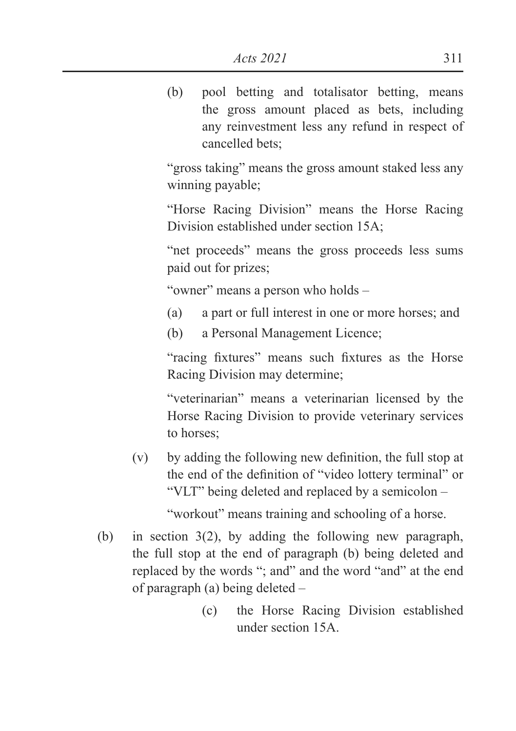(b) pool betting and totalisator betting, means the gross amount placed as bets, including any reinvestment less any refund in respect of cancelled bets;

 "gross taking" means the gross amount staked less any winning payable;

 "Horse Racing Division" means the Horse Racing Division established under section 15A;

 "net proceeds" means the gross proceeds less sums paid out for prizes;

"owner" means a person who holds –

(a) a part or full interest in one or more horses; and

(b) a Personal Management Licence;

"racing fixtures" means such fixtures as the Horse Racing Division may determine;

 "veterinarian" means a veterinarian licensed by the Horse Racing Division to provide veterinary services to horses;

 $(v)$  by adding the following new definition, the full stop at the end of the definition of "video lottery terminal" or "VLT" being deleted and replaced by a semicolon –

"workout" means training and schooling of a horse.

- (b) in section 3(2), by adding the following new paragraph, the full stop at the end of paragraph (b) being deleted and replaced by the words "; and" and the word "and" at the end of paragraph (a) being deleted –
	- (c) the Horse Racing Division established under section 15A.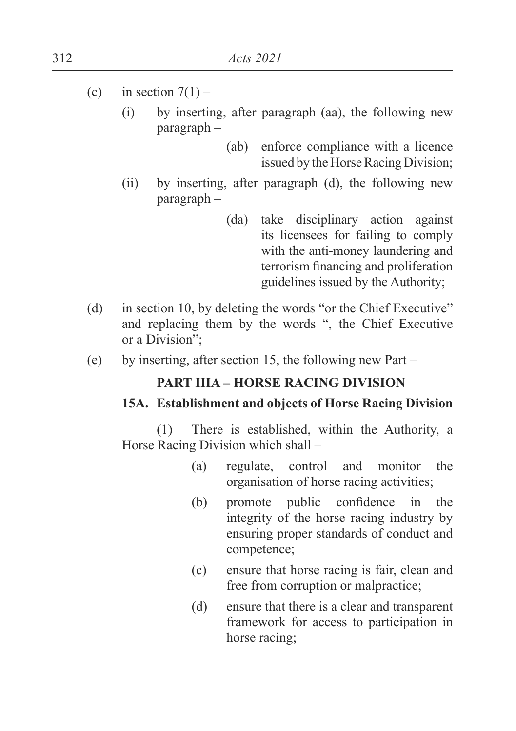- (c) in section  $7(1)$ 
	- (i) by inserting, after paragraph (aa), the following new paragraph –
		- (ab) enforce compliance with a licence issued by the Horse Racing Division;
	- (ii) by inserting, after paragraph (d), the following new paragraph –
		- (da) take disciplinary action against its licensees for failing to comply with the anti-money laundering and terrorism financing and proliferation guidelines issued by the Authority;
- (d) in section 10, by deleting the words "or the Chief Executive" and replacing them by the words ", the Chief Executive or a Division";
- (e) by inserting, after section 15, the following new Part –

# **PART IIIA – HORSE RACING DIVISION**

#### **15A. Establishment and objects of Horse Racing Division**

 (1) There is established, within the Authority, a Horse Racing Division which shall –

- (a) regulate, control and monitor the organisation of horse racing activities;
- $(b)$  promote public confidence in the integrity of the horse racing industry by ensuring proper standards of conduct and competence;
- (c) ensure that horse racing is fair, clean and free from corruption or malpractice;
- (d) ensure that there is a clear and transparent framework for access to participation in horse racing;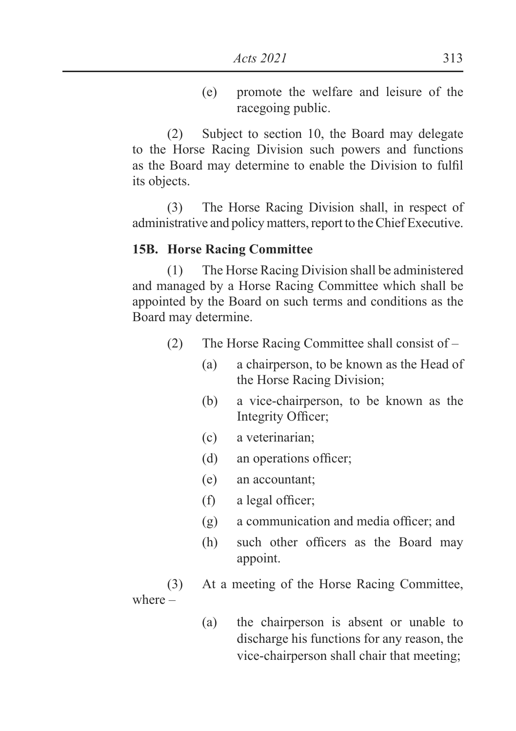(e) promote the welfare and leisure of the racegoing public.

 (2) Subject to section 10, the Board may delegate to the Horse Racing Division such powers and functions as the Board may determine to enable the Division to fulfil its objects.

 (3) The Horse Racing Division shall, in respect of administrative and policy matters, report to the Chief Executive.

### **15B. Horse Racing Committee**

 (1) The Horse Racing Division shall be administered and managed by a Horse Racing Committee which shall be appointed by the Board on such terms and conditions as the Board may determine.

- (2) The Horse Racing Committee shall consist of
	- (a) a chairperson, to be known as the Head of the Horse Racing Division;
	- (b) a vice-chairperson, to be known as the Integrity Officer;
	- (c) a veterinarian;
	- $(d)$  an operations officer;
	- (e) an accountant;
	- $(f)$  a legal officer;
	- $(g)$  a communication and media officer; and
	- $(h)$  such other officers as the Board may appoint.

 (3) At a meeting of the Horse Racing Committee, where –

> (a) the chairperson is absent or unable to discharge his functions for any reason, the vice-chairperson shall chair that meeting;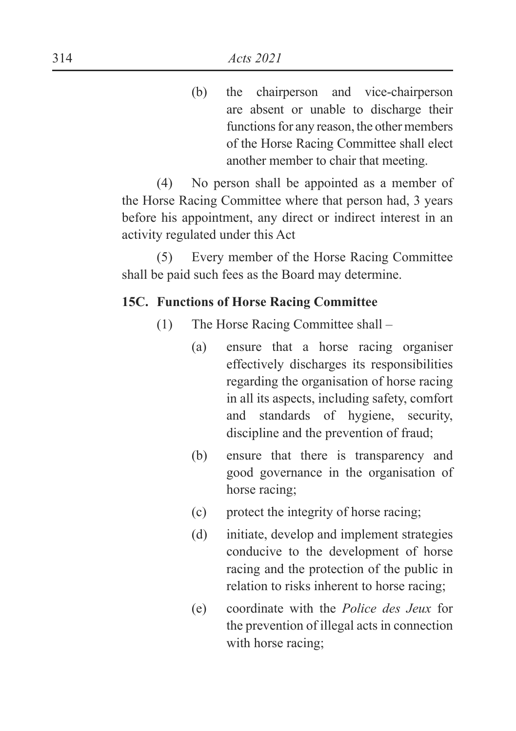(b) the chairperson and vice-chairperson are absent or unable to discharge their functions for any reason, the other members of the Horse Racing Committee shall elect another member to chair that meeting.

 (4) No person shall be appointed as a member of the Horse Racing Committee where that person had, 3 years before his appointment, any direct or indirect interest in an activity regulated under this Act

 (5) Every member of the Horse Racing Committee shall be paid such fees as the Board may determine.

### **15C. Functions of Horse Racing Committee**

- (1) The Horse Racing Committee shall
	- (a) ensure that a horse racing organiser effectively discharges its responsibilities regarding the organisation of horse racing in all its aspects, including safety, comfort and standards of hygiene, security, discipline and the prevention of fraud;
	- (b) ensure that there is transparency and good governance in the organisation of horse racing;
	- (c) protect the integrity of horse racing;
	- (d) initiate, develop and implement strategies conducive to the development of horse racing and the protection of the public in relation to risks inherent to horse racing;
	- (e) coordinate with the *Police des Jeux* for the prevention of illegal acts in connection with horse racing;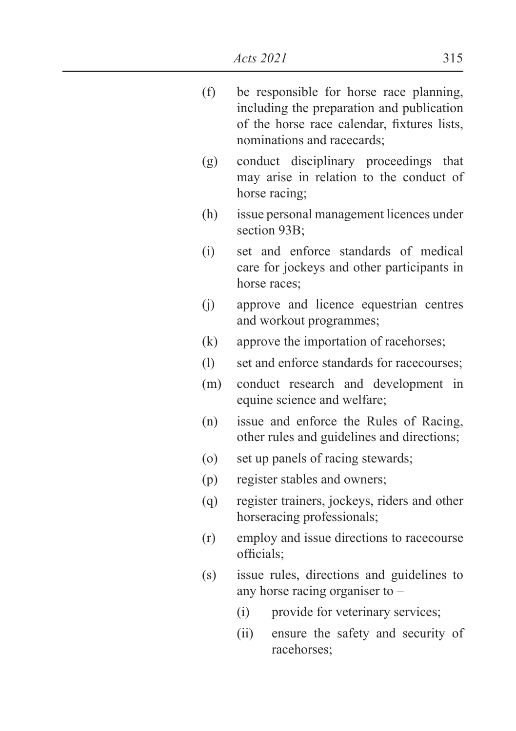| (f) | be responsible for horse race planning,     |  |  |  |  |  |
|-----|---------------------------------------------|--|--|--|--|--|
|     | including the preparation and publication   |  |  |  |  |  |
|     | of the horse race calendar, fixtures lists, |  |  |  |  |  |
|     | nominations and racecards;                  |  |  |  |  |  |

- (g) conduct disciplinary proceedings that may arise in relation to the conduct of horse racing;
- (h) issue personal management licences under section 93B:
- (i) set and enforce standards of medical care for jockeys and other participants in horse races;
- (j) approve and licence equestrian centres and workout programmes;
- (k) approve the importation of racehorses;
- (l) set and enforce standards for racecourses;
- (m) conduct research and development in equine science and welfare;
- (n) issue and enforce the Rules of Racing, other rules and guidelines and directions;
- (o) set up panels of racing stewards;
- (p) register stables and owners;
- (q) register trainers, jockeys, riders and other horseracing professionals;
- (r) employ and issue directions to racecourse officials:
- (s) issue rules, directions and guidelines to any horse racing organiser to –
	- (i) provide for veterinary services;
	- (ii) ensure the safety and security of racehorses;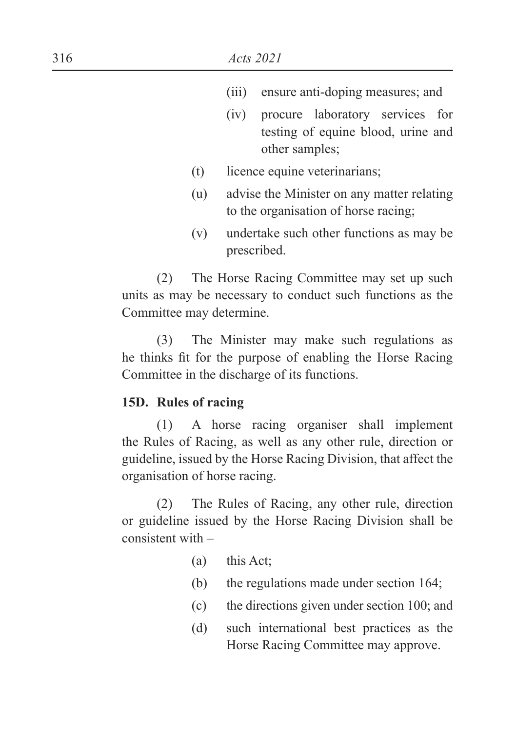- (iii) ensure anti-doping measures; and
- (iv) procure laboratory services for testing of equine blood, urine and other samples;
- (t) licence equine veterinarians;
- (u) advise the Minister on any matter relating to the organisation of horse racing;
- (v) undertake such other functions as may be prescribed.

 (2) The Horse Racing Committee may set up such units as may be necessary to conduct such functions as the Committee may determine.

 (3) The Minister may make such regulations as he thinks fit for the purpose of enabling the Horse Racing Committee in the discharge of its functions.

#### **15D. Rules of racing**

 (1) A horse racing organiser shall implement the Rules of Racing, as well as any other rule, direction or guideline, issued by the Horse Racing Division, that affect the organisation of horse racing.

 (2) The Rules of Racing, any other rule, direction or guideline issued by the Horse Racing Division shall be consistent with –

- (a) this Act;
- (b) the regulations made under section 164;
- (c) the directions given under section 100; and
- (d) such international best practices as the Horse Racing Committee may approve.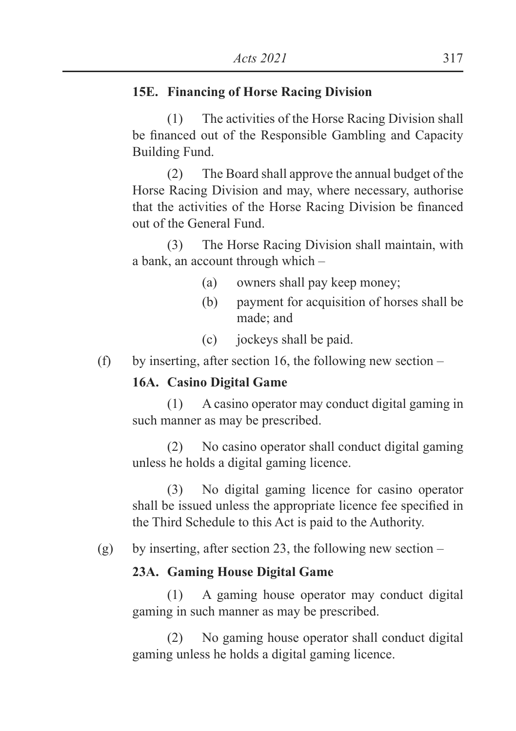### **15E. Financing of Horse Racing Division**

 (1) The activities of the Horse Racing Division shall be financed out of the Responsible Gambling and Capacity Building Fund.

 (2) The Board shall approve the annual budget of the Horse Racing Division and may, where necessary, authorise that the activities of the Horse Racing Division be financed out of the General Fund.

 (3) The Horse Racing Division shall maintain, with a bank, an account through which –

- (a) owners shall pay keep money;
- (b) payment for acquisition of horses shall be made; and
- (c) jockeys shall be paid.
- (f) by inserting, after section 16, the following new section  $-$

## **16A. Casino Digital Game**

 (1) A casino operator may conduct digital gaming in such manner as may be prescribed.

 (2) No casino operator shall conduct digital gaming unless he holds a digital gaming licence.

 (3) No digital gaming licence for casino operator shall be issued unless the appropriate licence fee specified in the Third Schedule to this Act is paid to the Authority.

(g) by inserting, after section 23, the following new section –

### **23A. Gaming House Digital Game**

 (1) A gaming house operator may conduct digital gaming in such manner as may be prescribed.

 (2) No gaming house operator shall conduct digital gaming unless he holds a digital gaming licence.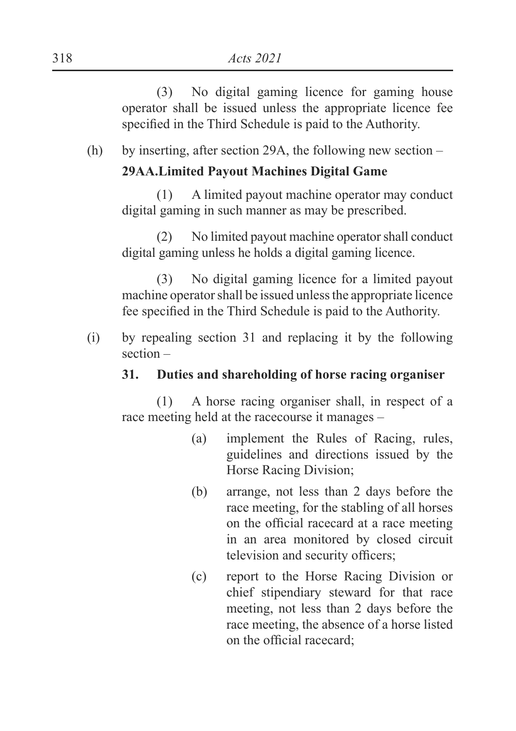(3) No digital gaming licence for gaming house operator shall be issued unless the appropriate licence fee specified in the Third Schedule is paid to the Authority.

(h) by inserting, after section 29A, the following new section –

## **29AA.Limited Payout Machines Digital Game**

 (1) A limited payout machine operator may conduct digital gaming in such manner as may be prescribed.

 (2) No limited payout machine operator shall conduct digital gaming unless he holds a digital gaming licence.

 (3) No digital gaming licence for a limited payout machine operator shall be issued unless the appropriate licence fee specified in the Third Schedule is paid to the Authority.

(i) by repealing section 31 and replacing it by the following section –

# **31. Duties and shareholding of horse racing organiser**

 (1) A horse racing organiser shall, in respect of a race meeting held at the racecourse it manages –

- (a) implement the Rules of Racing, rules, guidelines and directions issued by the Horse Racing Division;
- (b) arrange, not less than 2 days before the race meeting, for the stabling of all horses on the official racecard at a race meeting in an area monitored by closed circuit television and security officers;
- (c) report to the Horse Racing Division or chief stipendiary steward for that race meeting, not less than 2 days before the race meeting, the absence of a horse listed on the official racecard: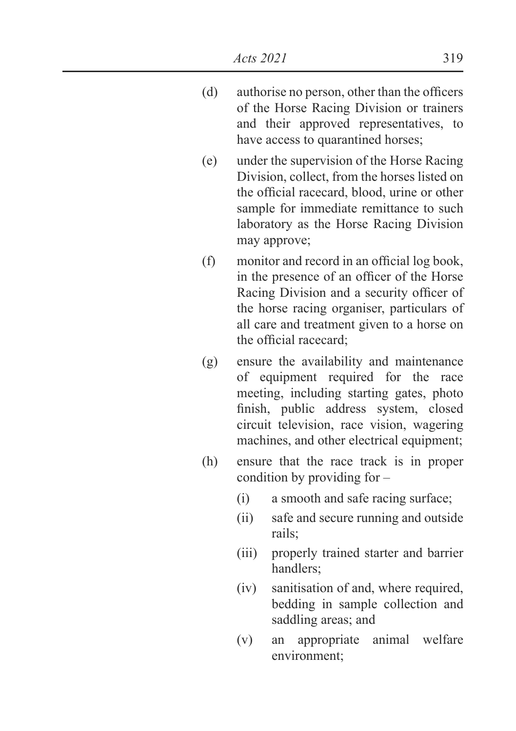- $(d)$  authorise no person, other than the officers of the Horse Racing Division or trainers and their approved representatives, to have access to quarantined horses;
- (e) under the supervision of the Horse Racing Division, collect, from the horses listed on the official racecard, blood, urine or other sample for immediate remittance to such laboratory as the Horse Racing Division may approve;
- $If \phi$  monitor and record in an official log book, in the presence of an officer of the Horse Racing Division and a security officer of the horse racing organiser, particulars of all care and treatment given to a horse on the official racecard;
- (g) ensure the availability and maintenance of equipment required for the race meeting, including starting gates, photo finish, public address system, closed circuit television, race vision, wagering machines, and other electrical equipment;
- (h) ensure that the race track is in proper condition by providing for –
	- (i) a smooth and safe racing surface;
	- (ii) safe and secure running and outside rails;
	- (iii) properly trained starter and barrier handlers;
	- (iv) sanitisation of and, where required, bedding in sample collection and saddling areas; and
	- (v) an appropriate animal welfare environment;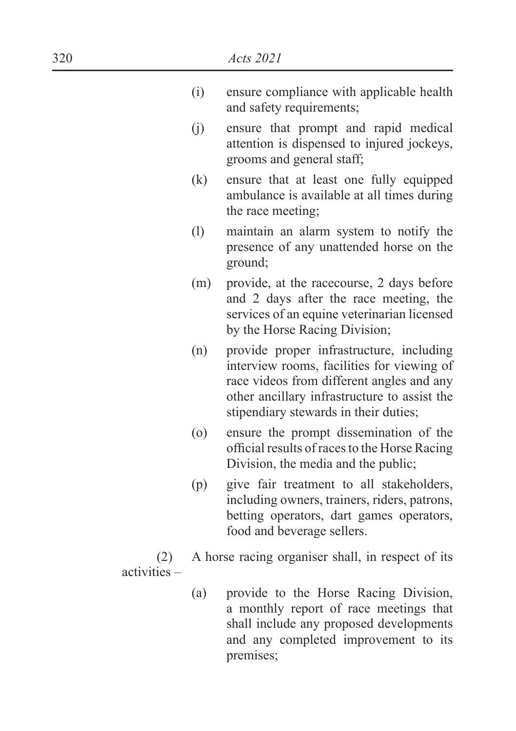- (i) ensure compliance with applicable health and safety requirements;
- (j) ensure that prompt and rapid medical attention is dispensed to injured jockeys, grooms and general staff;
- (k) ensure that at least one fully equipped ambulance is available at all times during the race meeting;
- (l) maintain an alarm system to notify the presence of any unattended horse on the ground;
- (m) provide, at the racecourse, 2 days before and 2 days after the race meeting, the services of an equine veterinarian licensed by the Horse Racing Division;
- (n) provide proper infrastructure, including interview rooms, facilities for viewing of race videos from different angles and any other ancillary infrastructure to assist the stipendiary stewards in their duties;
- (o) ensure the prompt dissemination of the official results of races to the Horse Racing Division, the media and the public;
- (p) give fair treatment to all stakeholders, including owners, trainers, riders, patrons, betting operators, dart games operators, food and beverage sellers.

 (2) A horse racing organiser shall, in respect of its activities –

> (a) provide to the Horse Racing Division, a monthly report of race meetings that shall include any proposed developments and any completed improvement to its premises;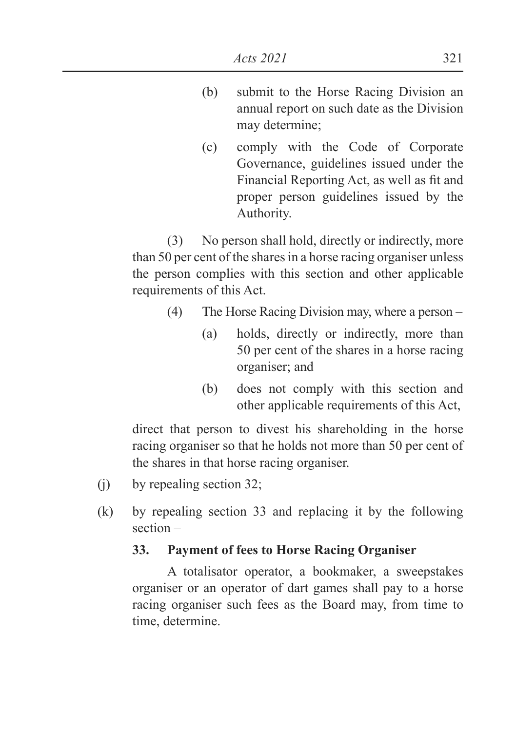- (b) submit to the Horse Racing Division an annual report on such date as the Division may determine;
- (c) comply with the Code of Corporate Governance, guidelines issued under the Financial Reporting Act, as well as fit and proper person guidelines issued by the Authority.

 (3) No person shall hold, directly or indirectly, more than 50 per cent of the shares in a horse racing organiser unless the person complies with this section and other applicable requirements of this Act.

- (4) The Horse Racing Division may, where a person
	- (a) holds, directly or indirectly, more than 50 per cent of the shares in a horse racing organiser; and
	- (b) does not comply with this section and other applicable requirements of this Act,

 direct that person to divest his shareholding in the horse racing organiser so that he holds not more than 50 per cent of the shares in that horse racing organiser.

- (j) by repealing section 32;
- (k) by repealing section 33 and replacing it by the following section –

### **33. Payment of fees to Horse Racing Organiser**

 A totalisator operator, a bookmaker, a sweepstakes organiser or an operator of dart games shall pay to a horse racing organiser such fees as the Board may, from time to time, determine.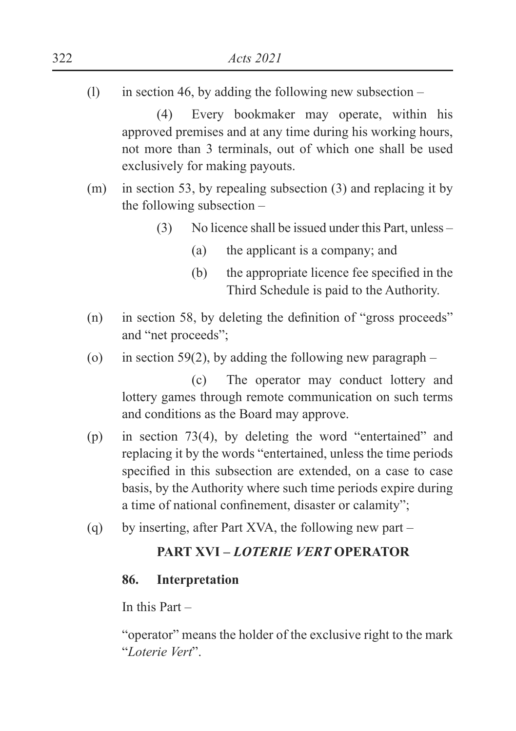(1) in section 46, by adding the following new subsection  $-$ 

 (4) Every bookmaker may operate, within his approved premises and at any time during his working hours, not more than 3 terminals, out of which one shall be used exclusively for making payouts.

- (m) in section 53, by repealing subsection (3) and replacing it by the following subsection –
	- (3) No licence shall be issued under this Part, unless
		- (a) the applicant is a company; and
		- $(b)$  the appropriate licence fee specified in the Third Schedule is paid to the Authority.
- (n) in section 58, by deleting the definition of "gross proceeds" and "net proceeds";
- (o) in section 59(2), by adding the following new paragraph –

 (c) The operator may conduct lottery and lottery games through remote communication on such terms and conditions as the Board may approve.

- (p) in section 73(4), by deleting the word "entertained" and replacing it by the words "entertained, unless the time periods specified in this subsection are extended, on a case to case basis, by the Authority where such time periods expire during a time of national confinement, disaster or calamity";
- (q) by inserting, after Part XVA, the following new part –

### **PART XVI –** *LOTERIE VERT* **OPERATOR**

### **86. Interpretation**

In this Part –

 "operator" means the holder of the exclusive right to the mark "*Loterie Vert*".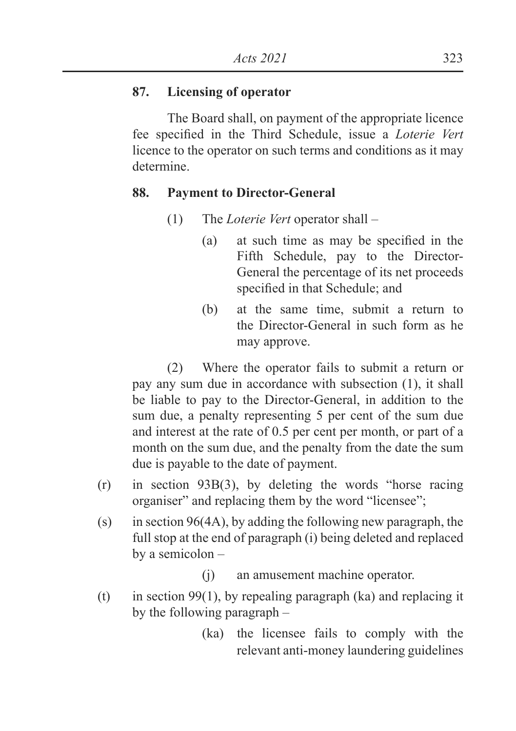### **87. Licensing of operator**

 The Board shall, on payment of the appropriate licence fee specified in the Third Schedule, issue a *Loterie Vert* licence to the operator on such terms and conditions as it may determine.

### **88. Payment to Director-General**

- (1) The *Loterie Vert* operator shall
	- $\alpha$  at such time as may be specified in the Fifth Schedule, pay to the Director-General the percentage of its net proceeds specified in that Schedule; and
	- (b) at the same time, submit a return to the Director-General in such form as he may approve.

 (2) Where the operator fails to submit a return or pay any sum due in accordance with subsection (1), it shall be liable to pay to the Director-General, in addition to the sum due, a penalty representing 5 per cent of the sum due and interest at the rate of 0.5 per cent per month, or part of a month on the sum due, and the penalty from the date the sum due is payable to the date of payment.

- (r) in section 93B(3), by deleting the words "horse racing organiser" and replacing them by the word "licensee";
- (s) in section 96(4A), by adding the following new paragraph, the full stop at the end of paragraph (i) being deleted and replaced by a semicolon –
	- (j) an amusement machine operator.
- (t) in section 99(1), by repealing paragraph (ka) and replacing it by the following paragraph –
	- (ka) the licensee fails to comply with the relevant anti-money laundering guidelines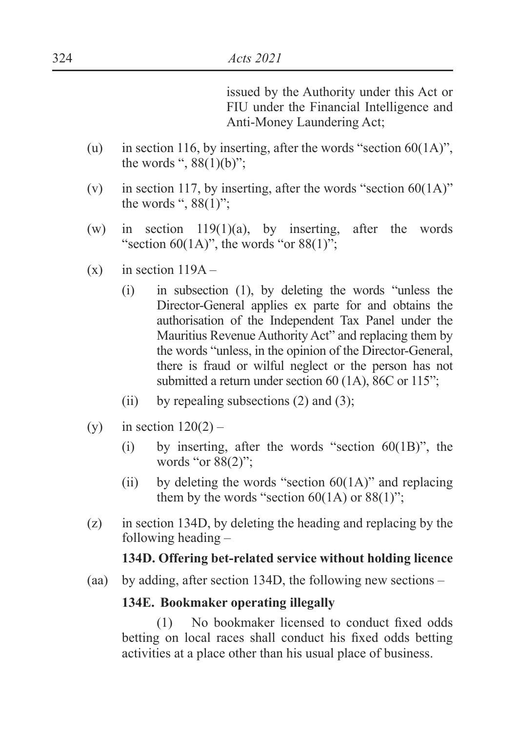issued by the Authority under this Act or FIU under the Financial Intelligence and Anti-Money Laundering Act;

- (u) in section 116, by inserting, after the words "section  $60(1A)$ ", the words ",  $88(1)(b)$ ";
- (v) in section 117, by inserting, after the words "section  $60(1\text{A})$ " the words ",  $88(1)$ ";
- (w) in section  $119(1)(a)$ , by inserting, after the words "section 60(1A)", the words "or  $88(1)$ ";
- $(x)$  in section  $119A -$ 
	- (i) in subsection (1), by deleting the words "unless the Director-General applies ex parte for and obtains the authorisation of the Independent Tax Panel under the Mauritius Revenue Authority Act" and replacing them by the words "unless, in the opinion of the Director-General, there is fraud or wilful neglect or the person has not submitted a return under section 60 (1A), 86C or 115";
	- (ii) by repealing subsections  $(2)$  and  $(3)$ ;
- (y) in section  $120(2)$ 
	- (i) by inserting, after the words "section  $60(1B)$ ", the words "or 88(2)";
	- (ii) by deleting the words "section  $60(1\text{A})$ " and replacing them by the words "section  $60(1A)$  or  $88(1)$ ";
- (z) in section 134D, by deleting the heading and replacing by the following heading –

### **134D. Offering bet-related service without holding licence**

(aa) by adding, after section 134D, the following new sections –

### **134E. Bookmaker operating illegally**

(1) No bookmaker licensed to conduct fixed odds betting on local races shall conduct his fixed odds betting activities at a place other than his usual place of business.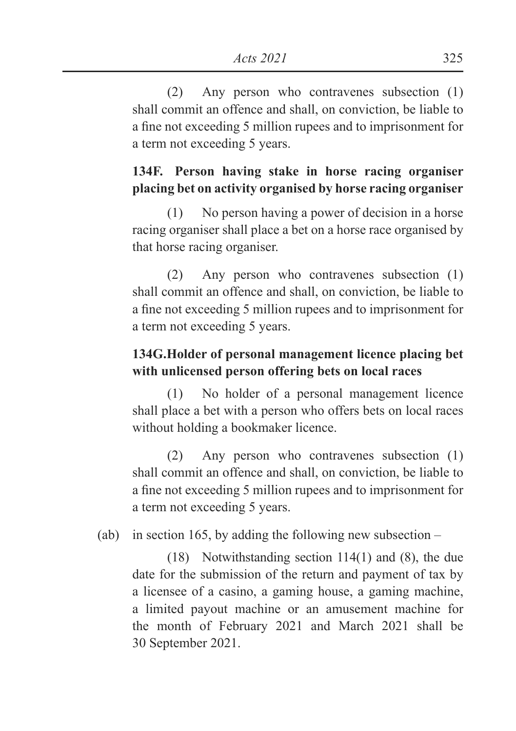(2) Any person who contravenes subsection (1) shall commit an offence and shall, on conviction, be liable to a fine not exceeding 5 million rupees and to imprisonment for a term not exceeding 5 years.

# **134F. Person having stake in horse racing organiser placing bet on activity organised by horse racing organiser**

 (1) No person having a power of decision in a horse racing organiser shall place a bet on a horse race organised by that horse racing organiser.

 (2) Any person who contravenes subsection (1) shall commit an offence and shall, on conviction, be liable to a fine not exceeding 5 million rupees and to imprisonment for a term not exceeding 5 years.

# **134G.Holder of personal management licence placing bet with unlicensed person offering bets on local races**

 (1) No holder of a personal management licence shall place a bet with a person who offers bets on local races without holding a bookmaker licence.

 (2) Any person who contravenes subsection (1) shall commit an offence and shall, on conviction, be liable to a fine not exceeding 5 million rupees and to imprisonment for a term not exceeding 5 years.

(ab) in section 165, by adding the following new subsection –

 (18) Notwithstanding section 114(1) and (8), the due date for the submission of the return and payment of tax by a licensee of a casino, a gaming house, a gaming machine, a limited payout machine or an amusement machine for the month of February 2021 and March 2021 shall be 30 September 2021.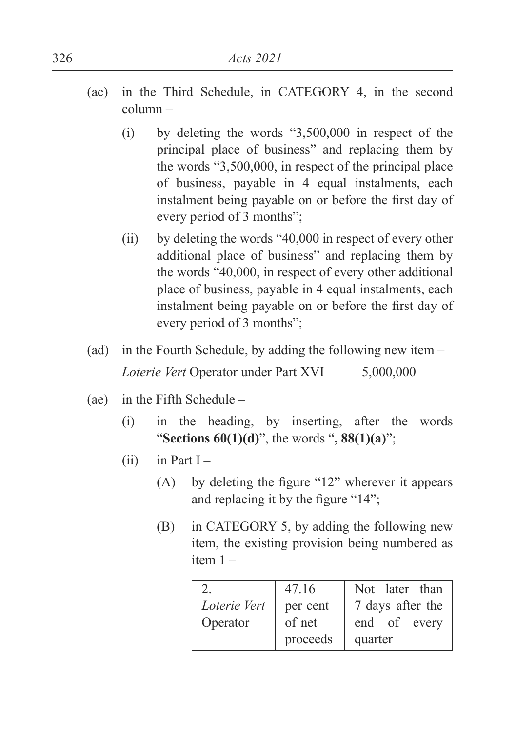- (ac) in the Third Schedule, in CATEGORY 4, in the second column –
	- (i) by deleting the words "3,500,000 in respect of the principal place of business" and replacing them by the words "3,500,000, in respect of the principal place of business, payable in 4 equal instalments, each instalment being payable on or before the first day of every period of 3 months";
	- (ii) by deleting the words "40,000 in respect of every other additional place of business" and replacing them by the words "40,000, in respect of every other additional place of business, payable in 4 equal instalments, each instalment being payable on or before the first day of every period of 3 months";
- (ad) in the Fourth Schedule, by adding the following new item  *Loterie Vert* Operator under Part XVI 5,000,000
- (ae) in the Fifth Schedule
	- (i) in the heading, by inserting, after the words "**Sections 60(1)(d)**", the words "**, 88(1)(a)**";
	- $(ii)$  in Part I
		- (A) by deleting the figure " $12$ " wherever it appears and replacing it by the figure " $14$ ";
		- (B) in CATEGORY 5, by adding the following new item, the existing provision being numbered as item 1 –

|              | 47.16    | Not later than   |
|--------------|----------|------------------|
| Loterie Vert | per cent | 7 days after the |
| Operator     | of net   | end of every     |
|              | proceeds | quarter          |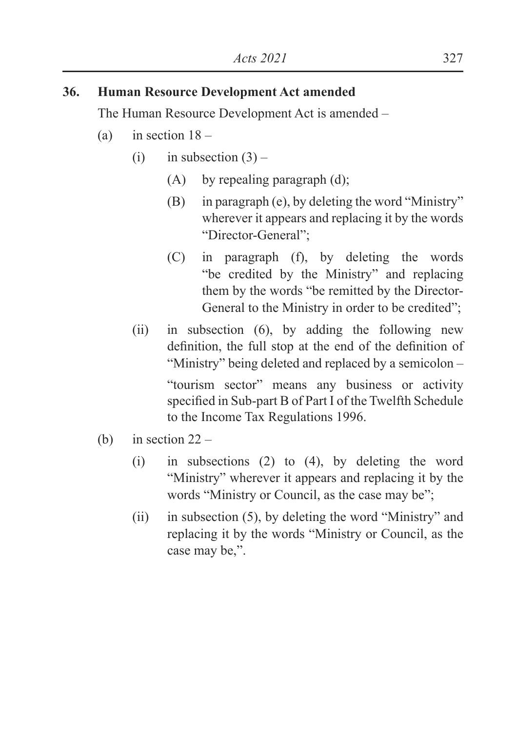## **36. Human Resource Development Act amended**

The Human Resource Development Act is amended –

- (a) in section  $18 -$ 
	- (i) in subsection  $(3)$ 
		- (A) by repealing paragraph (d);
		- (B) in paragraph (e), by deleting the word "Ministry" wherever it appears and replacing it by the words "Director-General";
		- (C) in paragraph (f), by deleting the words "be credited by the Ministry" and replacing them by the words "be remitted by the Director-General to the Ministry in order to be credited";
	- (ii) in subsection (6), by adding the following new definition, the full stop at the end of the definition of "Ministry" being deleted and replaced by a semicolon –

"tourism sector" means any business or activity specified in Sub-part B of Part I of the Twelfth Schedule to the Income Tax Regulations 1996.

- (b) in section  $22 -$ 
	- (i) in subsections (2) to (4), by deleting the word "Ministry" wherever it appears and replacing it by the words "Ministry or Council, as the case may be";
	- (ii) in subsection (5), by deleting the word "Ministry" and replacing it by the words "Ministry or Council, as the case may be,".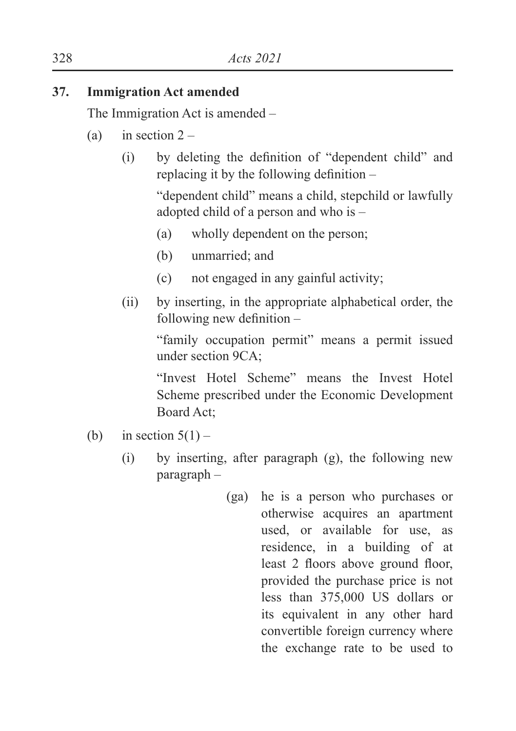## **37. Immigration Act amended**

The Immigration Act is amended –

- (a) in section  $2 -$ 
	- $(i)$  by deleting the definition of "dependent child" and replacing it by the following definition  $-$

"dependent child" means a child, stepchild or lawfully adopted child of a person and who is –

- (a) wholly dependent on the person;
- (b) unmarried; and
- (c) not engaged in any gainful activity;
- (ii) by inserting, in the appropriate alphabetical order, the following new definition  $-$

"family occupation permit" means a permit issued under section 9CA;

 "Invest Hotel Scheme" means the Invest Hotel Scheme prescribed under the Economic Development Board Act;

- (b) in section  $5(1)$ 
	- (i) by inserting, after paragraph (g), the following new paragraph –
		- (ga) he is a person who purchases or otherwise acquires an apartment used, or available for use, as residence, in a building of at least 2 floors above ground floor, provided the purchase price is not less than 375,000 US dollars or its equivalent in any other hard convertible foreign currency where the exchange rate to be used to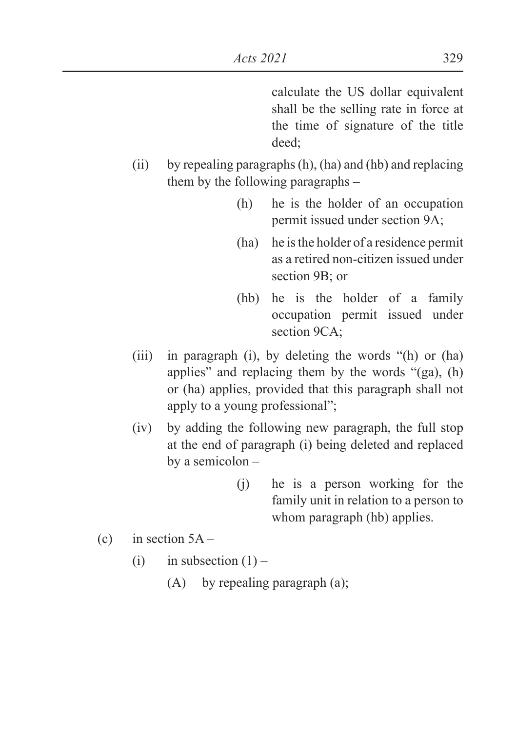calculate the US dollar equivalent shall be the selling rate in force at the time of signature of the title deed;

- (ii) by repealing paragraphs (h), (ha) and (hb) and replacing them by the following paragraphs –
	- (h) he is the holder of an occupation permit issued under section 9A;
	- (ha) he is the holder of a residence permit as a retired non-citizen issued under section 9B; or
	- (hb) he is the holder of a family occupation permit issued under section 9CA;
- (iii) in paragraph (i), by deleting the words "(h) or (ha) applies" and replacing them by the words "(ga), (h) or (ha) applies, provided that this paragraph shall not apply to a young professional";
- (iv) by adding the following new paragraph, the full stop at the end of paragraph (i) being deleted and replaced by a semicolon –
	- (j) he is a person working for the family unit in relation to a person to whom paragraph (hb) applies.
- (c) in section  $5A -$ 
	- (i) in subsection  $(1)$ 
		- (A) by repealing paragraph (a);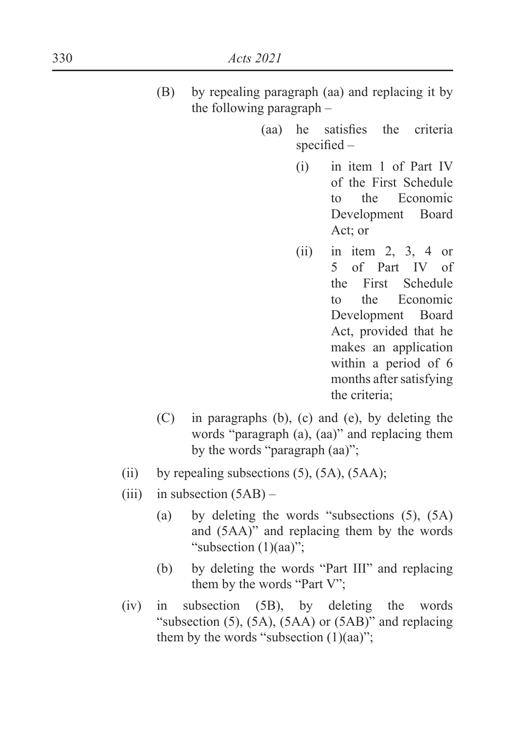- (B) by repealing paragraph (aa) and replacing it by the following paragraph –
	- $(aa)$  he satisfies the criteria specified  $-$ 
		- (i) in item 1 of Part IV of the First Schedule to the Economic Development Board Act; or
		- $(ii)$  in item 2, 3, 4 or 5 of Part IV of the First Schedule to the Economic Development Board Act, provided that he makes an application within a period of 6 months after satisfying the criteria;
- (C) in paragraphs (b), (c) and (e), by deleting the words "paragraph (a), (aa)" and replacing them by the words "paragraph (aa)";
- (ii) by repealing subsections  $(5)$ ,  $(5A)$ ,  $(5AA)$ ;
- (iii) in subsection  $(5AB)$ 
	- (a) by deleting the words "subsections (5), (5A) and (5AA)" and replacing them by the words "subsection (1)(aa)";
	- (b) by deleting the words "Part III" and replacing them by the words "Part V";
- (iv) in subsection (5B), by deleting the words "subsection (5), (5A), (5AA) or (5AB)" and replacing them by the words "subsection  $(1)(aa)$ ";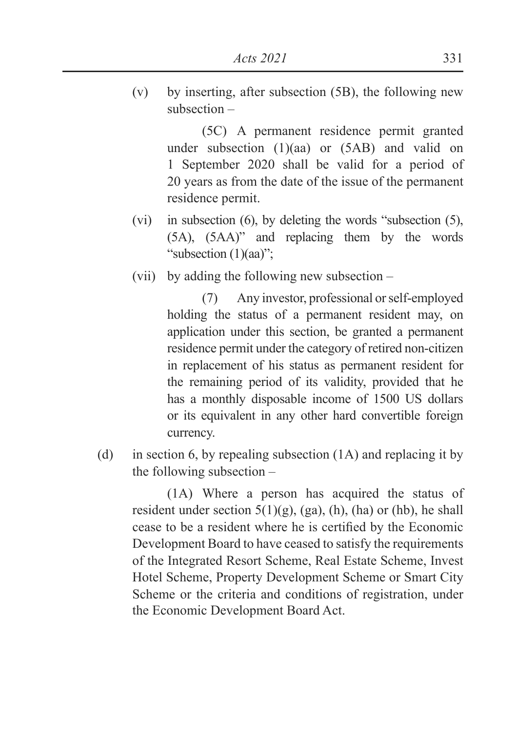(v) by inserting, after subsection (5B), the following new subsection –

(5C) A permanent residence permit granted under subsection (1)(aa) or (5AB) and valid on 1 September 2020 shall be valid for a period of 20 years as from the date of the issue of the permanent residence permit.

- (vi) in subsection (6), by deleting the words "subsection (5), (5A), (5AA)" and replacing them by the words "subsection (1)(aa)";
- (vii) by adding the following new subsection –

(7) Any investor, professional or self-employed holding the status of a permanent resident may, on application under this section, be granted a permanent residence permit under the category of retired non-citizen in replacement of his status as permanent resident for the remaining period of its validity, provided that he has a monthly disposable income of 1500 US dollars or its equivalent in any other hard convertible foreign currency.

(d) in section 6, by repealing subsection (1A) and replacing it by the following subsection –

(1A) Where a person has acquired the status of resident under section  $5(1)(g)$ , (ga), (h), (ha) or (hb), he shall cease to be a resident where he is certified by the Economic Development Board to have ceased to satisfy the requirements of the Integrated Resort Scheme, Real Estate Scheme, Invest Hotel Scheme, Property Development Scheme or Smart City Scheme or the criteria and conditions of registration, under the Economic Development Board Act.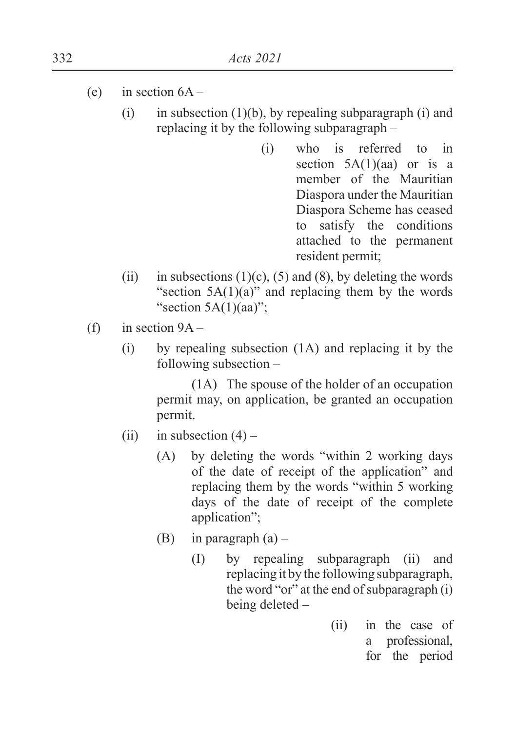- (e) in section  $6A -$ 
	- (i) in subsection  $(1)(b)$ , by repealing subparagraph (i) and replacing it by the following subparagraph –
		- (i) who is referred to in section  $5A(1)(aa)$  or is a member of the Mauritian Diaspora under the Mauritian Diaspora Scheme has ceased to satisfy the conditions attached to the permanent resident permit;
	- (ii) in subsections  $(1)(c)$ ,  $(5)$  and  $(8)$ , by deleting the words "section  $5A(1)(a)$ " and replacing them by the words "section  $5A(1)(aa)$ ";
- (f) in section  $9A -$ 
	- (i) by repealing subsection (1A) and replacing it by the following subsection –

(1A) The spouse of the holder of an occupation permit may, on application, be granted an occupation permit.

- (ii) in subsection  $(4)$ 
	- (A) by deleting the words "within 2 working days of the date of receipt of the application" and replacing them by the words "within 5 working days of the date of receipt of the complete application";
	- (B) in paragraph  $(a)$ 
		- (I) by repealing subparagraph (ii) and replacing it by the following subparagraph, the word "or" at the end of subparagraph (i) being deleted –
			- (ii) in the case of a professional, for the period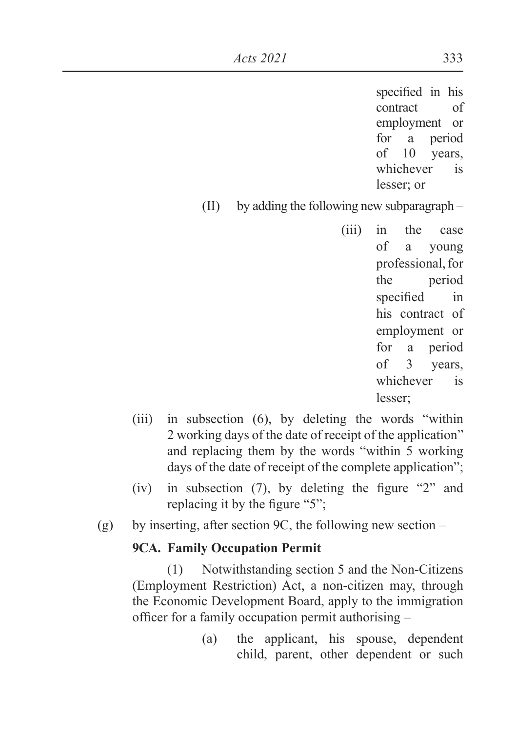specified in his contract of employment or for a period of 10 years, whichever is lesser; or

(II) by adding the following new subparagraph –

(iii) in the case of a young professional, for the period specified in his contract of employment or for a period of 3 years, whichever is lesser;

- (iii) in subsection (6), by deleting the words "within 2 working days of the date of receipt of the application" and replacing them by the words "within 5 working days of the date of receipt of the complete application";
- (iv) in subsection (7), by deleting the figure "2" and replacing it by the figure " $5$ ";
- (g) by inserting, after section 9C, the following new section –

### **9CA. Family Occupation Permit**

(1) Notwithstanding section 5 and the Non-Citizens (Employment Restriction) Act, a non-citizen may, through the Economic Development Board, apply to the immigration officer for a family occupation permit authorising  $-$ 

> (a) the applicant, his spouse, dependent child, parent, other dependent or such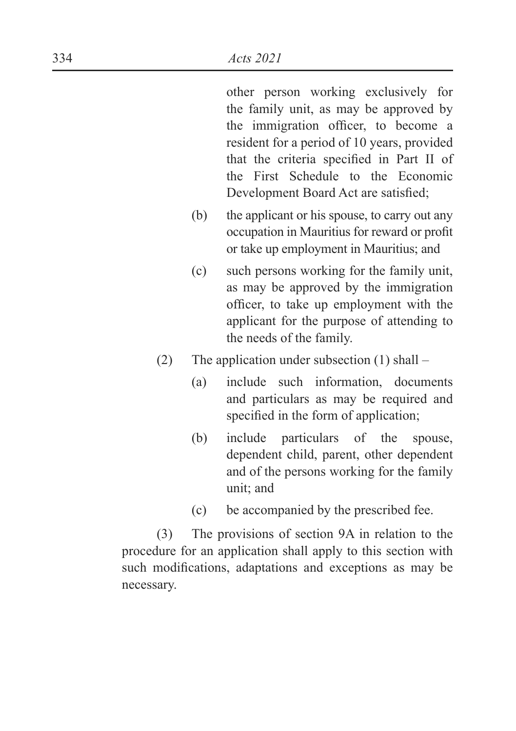other person working exclusively for the family unit, as may be approved by the immigration officer, to become a resident for a period of 10 years, provided that the criteria specified in Part II of the First Schedule to the Economic Development Board Act are satisfied:

- (b) the applicant or his spouse, to carry out any occupation in Mauritius for reward or profit or take up employment in Mauritius; and
- (c) such persons working for the family unit, as may be approved by the immigration officer, to take up employment with the applicant for the purpose of attending to the needs of the family.
- (2) The application under subsection (1) shall
	- (a) include such information, documents and particulars as may be required and specified in the form of application;
	- (b) include particulars of the spouse, dependent child, parent, other dependent and of the persons working for the family unit; and
	- (c) be accompanied by the prescribed fee.

(3) The provisions of section 9A in relation to the procedure for an application shall apply to this section with such modifications, adaptations and exceptions as may be necessary.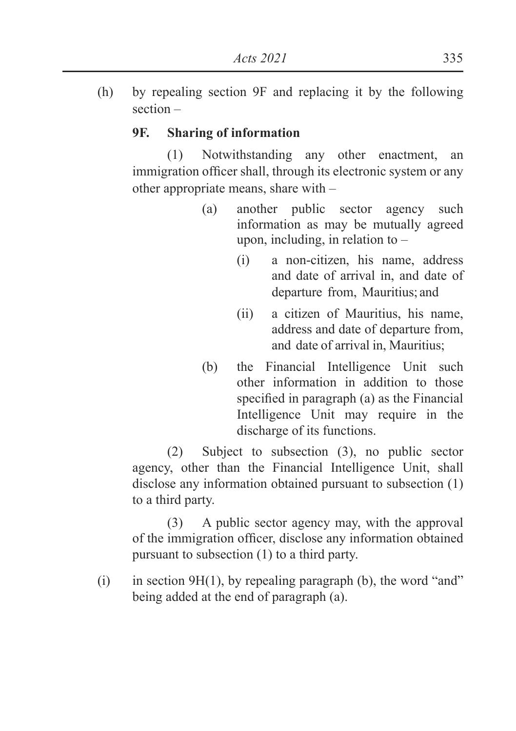(h) by repealing section 9F and replacing it by the following section –

## **9F. Sharing of information**

(1) Notwithstanding any other enactment, an immigration officer shall, through its electronic system or any other appropriate means, share with –

- (a) another public sector agency such information as may be mutually agreed upon, including, in relation to –
	- (i) a non-citizen, his name, address and date of arrival in, and date of departure from, Mauritius; and
	- (ii) a citizen of Mauritius, his name, address and date of departure from, and date of arrival in, Mauritius;
- (b) the Financial Intelligence Unit such other information in addition to those specified in paragraph  $(a)$  as the Financial Intelligence Unit may require in the discharge of its functions.

(2) Subject to subsection (3), no public sector agency, other than the Financial Intelligence Unit, shall disclose any information obtained pursuant to subsection (1) to a third party.

(3) A public sector agency may, with the approval of the immigration officer, disclose any information obtained pursuant to subsection (1) to a third party.

(i) in section 9H(1), by repealing paragraph (b), the word "and" being added at the end of paragraph (a).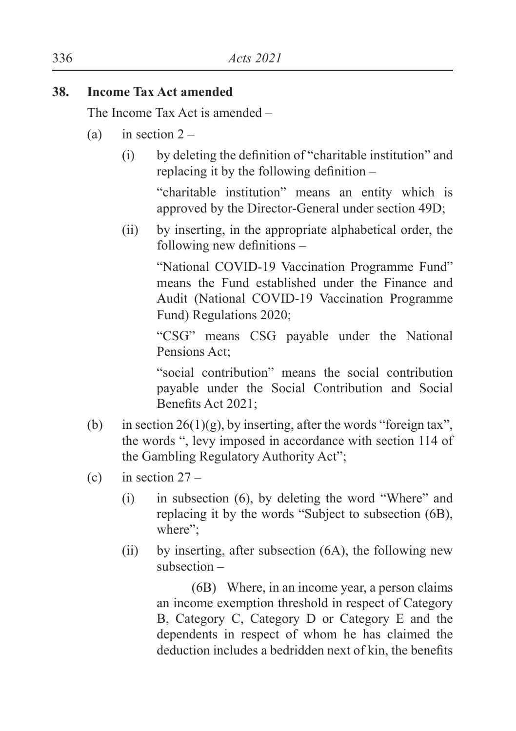### **38. Income Tax Act amended**

The Income Tax Act is amended –

- (a) in section  $2 -$ 
	- $(i)$  by deleting the definition of "charitable institution" and replacing it by the following definition  $-$

"charitable institution" means an entity which is approved by the Director-General under section 49D;

(ii) by inserting, in the appropriate alphabetical order, the following new definitions  $-$ 

"National COVID-19 Vaccination Programme Fund" means the Fund established under the Finance and Audit (National COVID-19 Vaccination Programme Fund) Regulations 2020;

"CSG" means CSG payable under the National Pensions Act;

"social contribution" means the social contribution payable under the Social Contribution and Social Benefits Act 2021:

- (b) in section  $26(1)(g)$ , by inserting, after the words "foreign tax". the words ", levy imposed in accordance with section 114 of the Gambling Regulatory Authority Act";
- (c) in section  $27 -$ 
	- (i) in subsection (6), by deleting the word "Where" and replacing it by the words "Subject to subsection (6B), where";
	- (ii) by inserting, after subsection (6A), the following new subsection –

(6B) Where, in an income year, a person claims an income exemption threshold in respect of Category B, Category C, Category D or Category E and the dependents in respect of whom he has claimed the deduction includes a bedridden next of kin, the benefits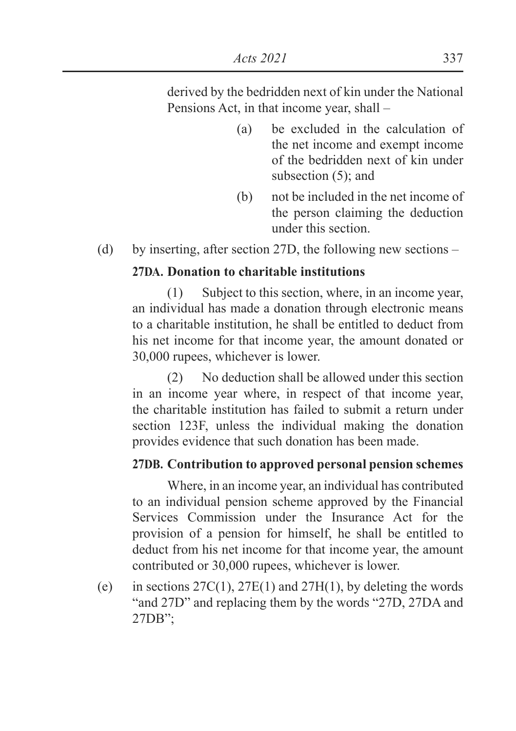derived by the bedridden next of kin under the National Pensions Act, in that income year, shall –

- (a) be excluded in the calculation of the net income and exempt income of the bedridden next of kin under subsection (5); and
- (b) not be included in the net income of the person claiming the deduction under this section.
- (d) by inserting, after section 27D, the following new sections –

## **27DA. Donation to charitable institutions**

(1) Subject to this section, where, in an income year, an individual has made a donation through electronic means to a charitable institution, he shall be entitled to deduct from his net income for that income year, the amount donated or 30,000 rupees, whichever is lower.

(2) No deduction shall be allowed under this section in an income year where, in respect of that income year, the charitable institution has failed to submit a return under section 123F, unless the individual making the donation provides evidence that such donation has been made.

# **27DB. Contribution to approved personal pension schemes**

Where, in an income year, an individual has contributed to an individual pension scheme approved by the Financial Services Commission under the Insurance Act for the provision of a pension for himself, he shall be entitled to deduct from his net income for that income year, the amount contributed or 30,000 rupees, whichever is lower.

(e) in sections  $27C(1)$ ,  $27E(1)$  and  $27H(1)$ , by deleting the words "and 27D" and replacing them by the words "27D, 27DA and 27DB";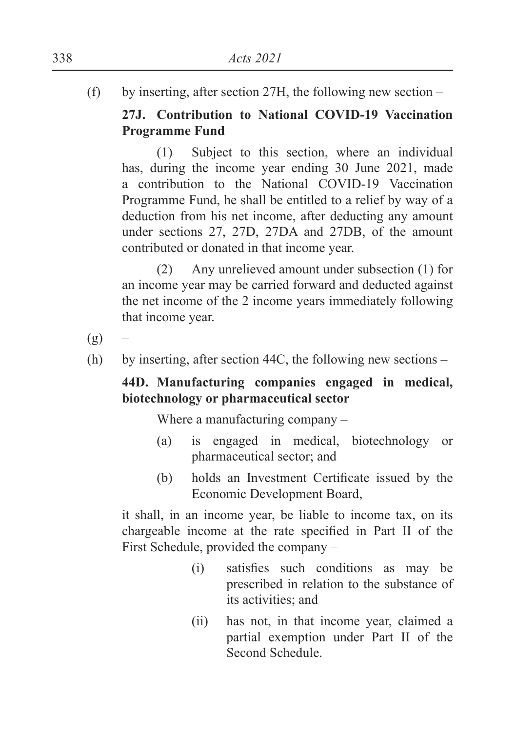(f) by inserting, after section 27H, the following new section –

# **27J. Contribution to National COVID-19 Vaccination Programme Fund**

(1) Subject to this section, where an individual has, during the income year ending 30 June 2021, made a contribution to the National COVID-19 Vaccination Programme Fund, he shall be entitled to a relief by way of a deduction from his net income, after deducting any amount under sections 27, 27D, 27DA and 27DB, of the amount contributed or donated in that income year.

(2) Any unrelieved amount under subsection (1) for an income year may be carried forward and deducted against the net income of the 2 income years immediately following that income year.

 $(g)$ 

(h) by inserting, after section 44C, the following new sections –

# **44D. Manufacturing companies engaged in medical, biotechnology or pharmaceutical sector**

Where a manufacturing company –

- (a) is engaged in medical, biotechnology or pharmaceutical sector; and
- $(b)$  holds an Investment Certificate issued by the Economic Development Board,

it shall, in an income year, be liable to income tax, on its chargeable income at the rate specified in Part II of the First Schedule, provided the company –

- $(i)$  satisfies such conditions as may be prescribed in relation to the substance of its activities; and
- (ii) has not, in that income year, claimed a partial exemption under Part II of the Second Schedule.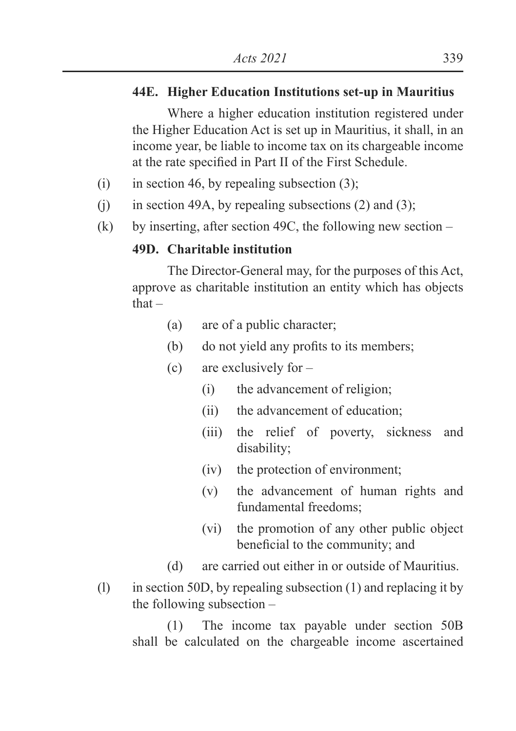## **44E. Higher Education Institutions set-up in Mauritius**

Where a higher education institution registered under the Higher Education Act is set up in Mauritius, it shall, in an income year, be liable to income tax on its chargeable income at the rate specified in Part II of the First Schedule.

- (i) in section 46, by repealing subsection  $(3)$ ;
- (i) in section 49A, by repealing subsections  $(2)$  and  $(3)$ ;
- (k) by inserting, after section 49C, the following new section  $-$

### **49D. Charitable institution**

The Director-General may, for the purposes of this Act, approve as charitable institution an entity which has objects that –

- (a) are of a public character;
- $(b)$  do not yield any profits to its members;
- (c) are exclusively for
	- (i) the advancement of religion;
	- (ii) the advancement of education;
	- (iii) the relief of poverty, sickness and disability;
	- (iv) the protection of environment;
	- (v) the advancement of human rights and fundamental freedoms;
	- (vi) the promotion of any other public object beneficial to the community; and
- (d) are carried out either in or outside of Mauritius.
- (l) in section 50D, by repealing subsection (1) and replacing it by the following subsection –

(1) The income tax payable under section 50B shall be calculated on the chargeable income ascertained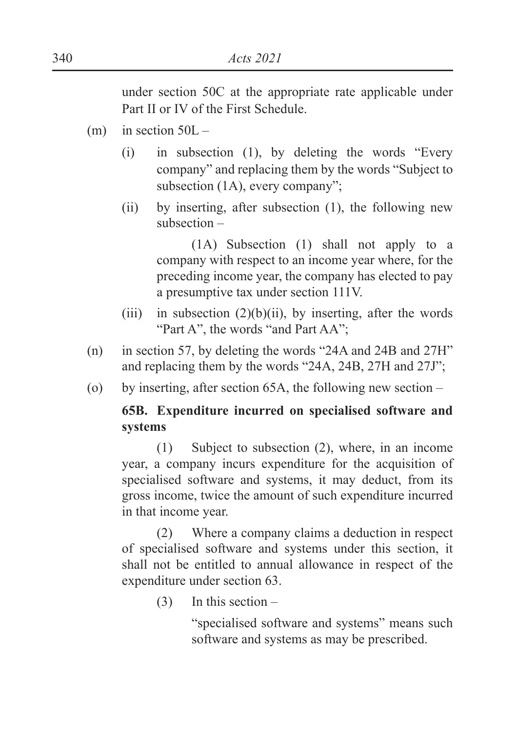under section 50C at the appropriate rate applicable under Part II or IV of the First Schedule.

- $(m)$  in section  $50L -$ 
	- (i) in subsection (1), by deleting the words "Every company" and replacing them by the words "Subject to subsection (1A), every company";
	- (ii) by inserting, after subsection (1), the following new subsection –

(1A) Subsection (1) shall not apply to a company with respect to an income year where, for the preceding income year, the company has elected to pay a presumptive tax under section 111V.

- (iii) in subsection  $(2)(b)(ii)$ , by inserting, after the words "Part A", the words "and Part AA":
- (n) in section 57, by deleting the words "24A and 24B and 27H" and replacing them by the words "24A, 24B, 27H and 27J";
- (o) by inserting, after section 65A, the following new section –

### **65B. Expenditure incurred on specialised software and systems**

(1) Subject to subsection (2), where, in an income year, a company incurs expenditure for the acquisition of specialised software and systems, it may deduct, from its gross income, twice the amount of such expenditure incurred in that income year.

(2) Where a company claims a deduction in respect of specialised software and systems under this section, it shall not be entitled to annual allowance in respect of the expenditure under section 63.

(3) In this section –

 "specialised software and systems" means such software and systems as may be prescribed.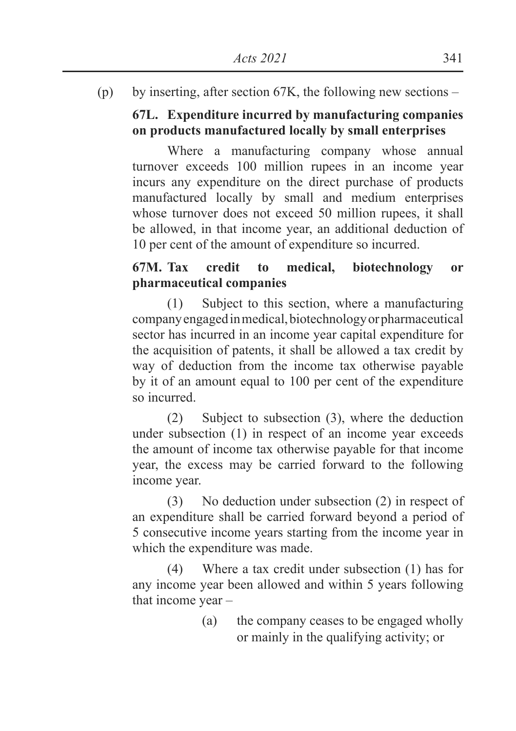(p) by inserting, after section 67K, the following new sections –

# **67L. Expenditure incurred by manufacturing companies on products manufactured locally by small enterprises**

Where a manufacturing company whose annual turnover exceeds 100 million rupees in an income year incurs any expenditure on the direct purchase of products manufactured locally by small and medium enterprises whose turnover does not exceed 50 million rupees, it shall be allowed, in that income year, an additional deduction of 10 per cent of the amount of expenditure so incurred.

# **67M. Tax credit to medical, biotechnology or pharmaceutical companies**

(1) Subject to this section, where a manufacturing company engaged in medical, biotechnology or pharmaceutical sector has incurred in an income year capital expenditure for the acquisition of patents, it shall be allowed a tax credit by way of deduction from the income tax otherwise payable by it of an amount equal to 100 per cent of the expenditure so incurred.

(2) Subject to subsection (3), where the deduction under subsection (1) in respect of an income year exceeds the amount of income tax otherwise payable for that income year, the excess may be carried forward to the following income year.

(3) No deduction under subsection (2) in respect of an expenditure shall be carried forward beyond a period of 5 consecutive income years starting from the income year in which the expenditure was made.

(4) Where a tax credit under subsection (1) has for any income year been allowed and within 5 years following that income year –

> (a) the company ceases to be engaged wholly or mainly in the qualifying activity; or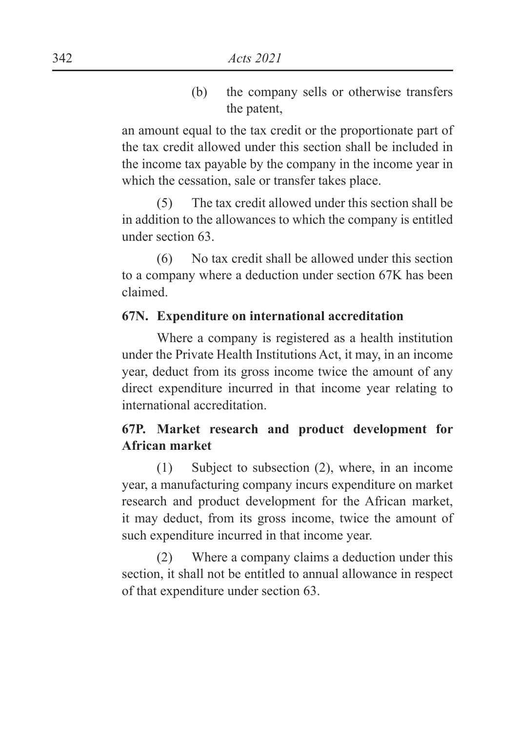(b) the company sells or otherwise transfers the patent,

an amount equal to the tax credit or the proportionate part of the tax credit allowed under this section shall be included in the income tax payable by the company in the income year in which the cessation, sale or transfer takes place.

(5) The tax credit allowed under this section shall be in addition to the allowances to which the company is entitled under section 63.

(6) No tax credit shall be allowed under this section to a company where a deduction under section 67K has been claimed.

### **67N. Expenditure on international accreditation**

Where a company is registered as a health institution under the Private Health Institutions Act, it may, in an income year, deduct from its gross income twice the amount of any direct expenditure incurred in that income year relating to international accreditation.

### **67P. Market research and product development for African market**

(1) Subject to subsection (2), where, in an income year, a manufacturing company incurs expenditure on market research and product development for the African market, it may deduct, from its gross income, twice the amount of such expenditure incurred in that income year.

(2) Where a company claims a deduction under this section, it shall not be entitled to annual allowance in respect of that expenditure under section 63.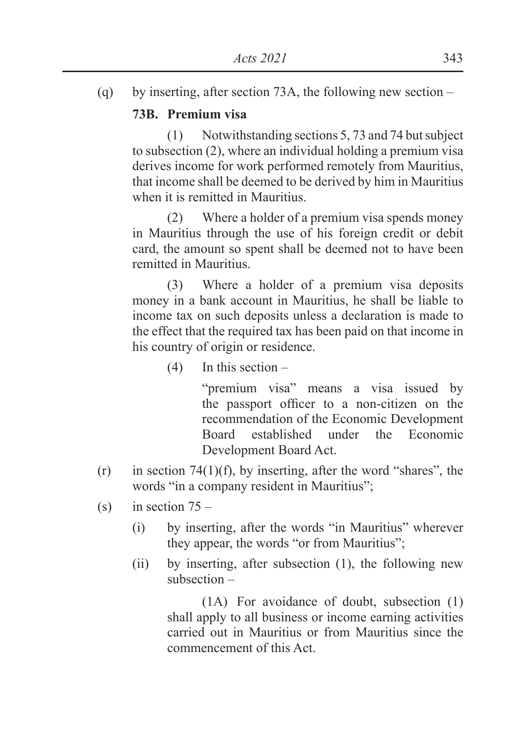(q) by inserting, after section 73A, the following new section –

### **73B. Premium visa**

(1) Notwithstanding sections 5, 73 and 74 but subject to subsection (2), where an individual holding a premium visa derives income for work performed remotely from Mauritius, that income shall be deemed to be derived by him in Mauritius when it is remitted in Mauritius.

(2) Where a holder of a premium visa spends money in Mauritius through the use of his foreign credit or debit card, the amount so spent shall be deemed not to have been remitted in Mauritius.

(3) Where a holder of a premium visa deposits money in a bank account in Mauritius, he shall be liable to income tax on such deposits unless a declaration is made to the effect that the required tax has been paid on that income in his country of origin or residence.

(4) In this section –

 "premium visa" means a visa issued by the passport officer to a non-citizen on the recommendation of the Economic Development Board established under the Economic Development Board Act.

- $(r)$  in section 74(1)(f), by inserting, after the word "shares", the words "in a company resident in Mauritius";
- (s) in section  $75 -$ 
	- (i) by inserting, after the words "in Mauritius" wherever they appear, the words "or from Mauritius";
	- (ii) by inserting, after subsection (1), the following new subsection –

(1A) For avoidance of doubt, subsection (1) shall apply to all business or income earning activities carried out in Mauritius or from Mauritius since the commencement of this Act.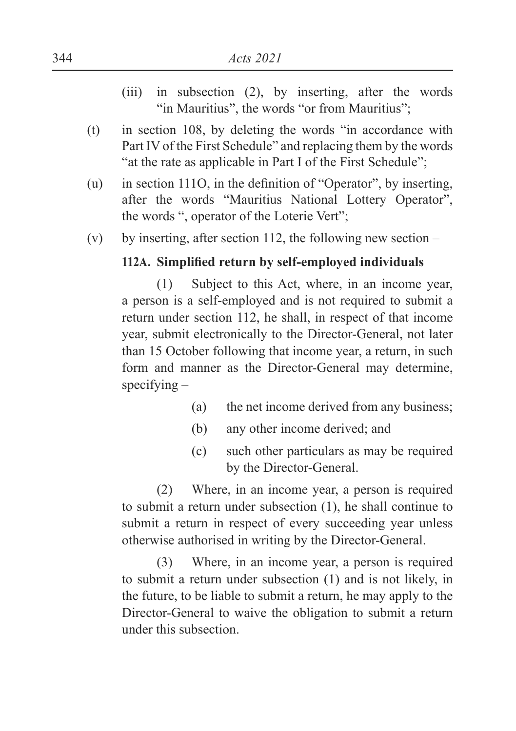- (iii) in subsection (2), by inserting, after the words "in Mauritius", the words "or from Mauritius":
- (t) in section 108, by deleting the words "in accordance with Part IV of the First Schedule" and replacing them by the words "at the rate as applicable in Part I of the First Schedule";
- (u) in section 1110, in the definition of "Operator", by inserting, after the words "Mauritius National Lottery Operator", the words ", operator of the Loterie Vert";
- (v) by inserting, after section 112, the following new section  $-$

#### **112A.** Simplified return by self-emploved individuals

(1) Subject to this Act, where, in an income year, a person is a self-employed and is not required to submit a return under section 112, he shall, in respect of that income year, submit electronically to the Director-General, not later than 15 October following that income year, a return, in such form and manner as the Director-General may determine, specifying –

- (a) the net income derived from any business;
- (b) any other income derived; and
- (c) such other particulars as may be required by the Director-General.

(2) Where, in an income year, a person is required to submit a return under subsection (1), he shall continue to submit a return in respect of every succeeding year unless otherwise authorised in writing by the Director-General.

(3) Where, in an income year, a person is required to submit a return under subsection (1) and is not likely, in the future, to be liable to submit a return, he may apply to the Director-General to waive the obligation to submit a return under this subsection.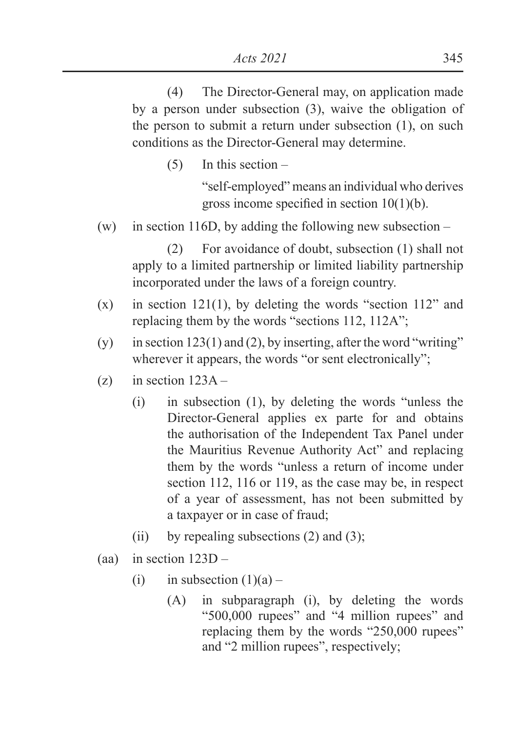(4) The Director-General may, on application made by a person under subsection (3), waive the obligation of the person to submit a return under subsection (1), on such conditions as the Director-General may determine.

(5) In this section –

 "self-employed" means an individual who derives gross income specified in section  $10(1)(b)$ .

(w) in section 116D, by adding the following new subsection –

(2) For avoidance of doubt, subsection (1) shall not apply to a limited partnership or limited liability partnership incorporated under the laws of a foreign country.

- $(x)$  in section 121(1), by deleting the words "section 112" and replacing them by the words "sections 112, 112A";
- (y) in section 123(1) and (2), by inserting, after the word "writing" wherever it appears, the words "or sent electronically";
- (z) in section  $123A -$ 
	- (i) in subsection (1), by deleting the words "unless the Director-General applies ex parte for and obtains the authorisation of the Independent Tax Panel under the Mauritius Revenue Authority Act" and replacing them by the words "unless a return of income under section 112, 116 or 119, as the case may be, in respect of a year of assessment, has not been submitted by a taxpayer or in case of fraud;
	- (ii) by repealing subsections  $(2)$  and  $(3)$ ;
- (aa) in section  $123D -$ 
	- (i) in subsection  $(1)(a)$ 
		- (A) in subparagraph (i), by deleting the words "500,000 rupees" and "4 million rupees" and replacing them by the words "250,000 rupees" and "2 million rupees", respectively;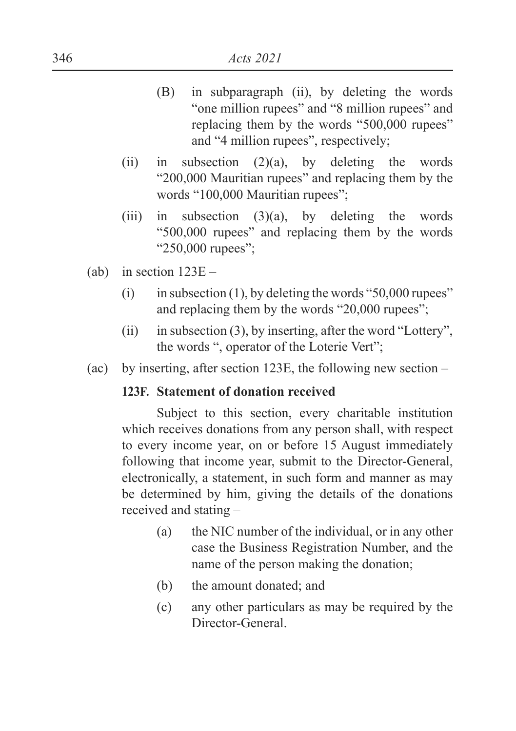- (B) in subparagraph (ii), by deleting the words "one million rupees" and "8 million rupees" and replacing them by the words "500,000 rupees" and "4 million rupees", respectively;
- (ii) in subsection (2)(a), by deleting the words "200,000 Mauritian rupees" and replacing them by the words "100,000 Mauritian rupees";
- (iii) in subsection (3)(a), by deleting the words "500,000 rupees" and replacing them by the words "250,000 rupees":
- (ab) in section  $123E -$ 
	- $(i)$  in subsection (1), by deleting the words "50,000 rupees" and replacing them by the words "20,000 rupees";
	- (ii) in subsection (3), by inserting, after the word "Lottery", the words ", operator of the Loterie Vert";
- (ac) by inserting, after section 123E, the following new section –

#### **123F. Statement of donation received**

Subject to this section, every charitable institution which receives donations from any person shall, with respect to every income year, on or before 15 August immediately following that income year, submit to the Director-General, electronically, a statement, in such form and manner as may be determined by him, giving the details of the donations received and stating –

- (a) the NIC number of the individual, or in any other case the Business Registration Number, and the name of the person making the donation;
- (b) the amount donated; and
- (c) any other particulars as may be required by the Director-General.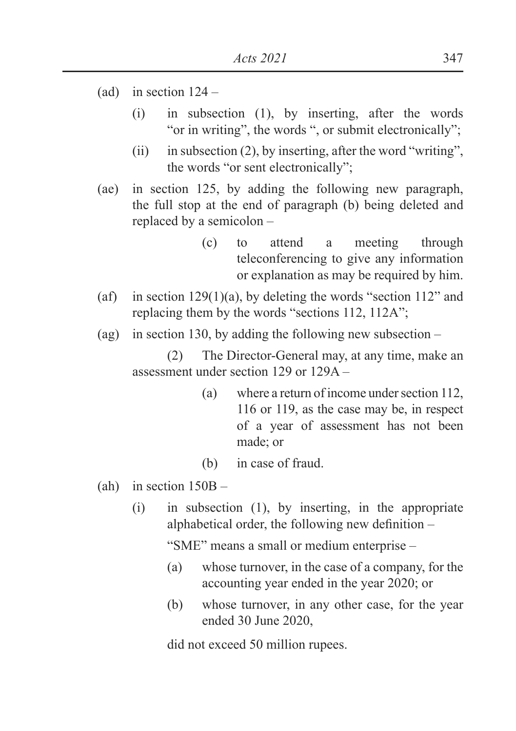- (ad) in section  $124 -$ 
	- (i) in subsection (1), by inserting, after the words "or in writing", the words ", or submit electronically";
	- (ii) in subsection (2), by inserting, after the word "writing", the words "or sent electronically";
- (ae) in section 125, by adding the following new paragraph, the full stop at the end of paragraph (b) being deleted and replaced by a semicolon –
	- (c) to attend a meeting through teleconferencing to give any information or explanation as may be required by him.
- (af) in section  $129(1)(a)$ , by deleting the words "section  $112$ " and replacing them by the words "sections 112, 112A";
- (ag) in section 130, by adding the following new subsection –

(2) The Director-General may, at any time, make an assessment under section 129 or 129A –

- (a) where a return of income under section 112, 116 or 119, as the case may be, in respect of a year of assessment has not been made; or
- (b) in case of fraud.
- (ah) in section 150B
	- (i) in subsection (1), by inserting, in the appropriate alphabetical order, the following new definition  $-$

"SME" means a small or medium enterprise –

- (a) whose turnover, in the case of a company, for the accounting year ended in the year 2020; or
- (b) whose turnover, in any other case, for the year ended 30 June 2020,

did not exceed 50 million rupees.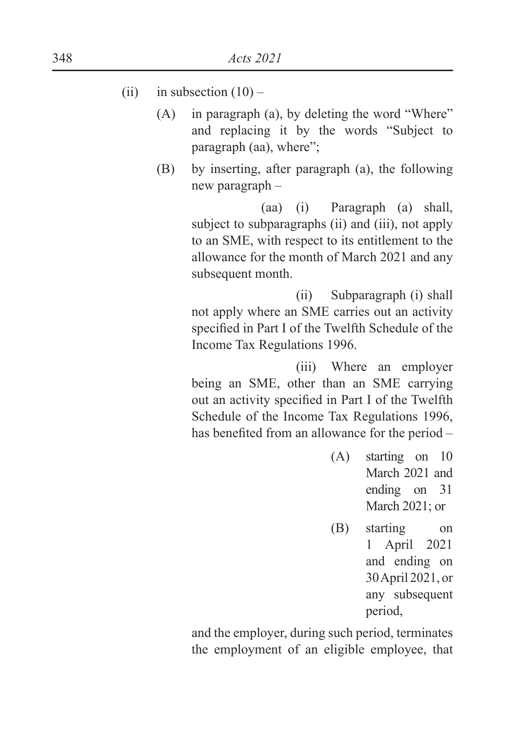- (ii) in subsection  $(10)$ 
	- (A) in paragraph (a), by deleting the word "Where" and replacing it by the words "Subject to paragraph (aa), where";
	- (B) by inserting, after paragraph (a), the following new paragraph –

 (aa) (i) Paragraph (a) shall, subject to subparagraphs (ii) and (iii), not apply to an SME, with respect to its entitlement to the allowance for the month of March 2021 and any subsequent month.

 (ii) Subparagraph (i) shall not apply where an SME carries out an activity specified in Part I of the Twelfth Schedule of the Income Tax Regulations 1996.

 (iii) Where an employer being an SME, other than an SME carrying out an activity specified in Part I of the Twelfth Schedule of the Income Tax Regulations 1996, has benefited from an allowance for the period  $-$ 

- (A) starting on 10 March 2021 and ending on 31 March 2021; or
- (B) starting on 1 April 2021 and ending on 30 April 2021, or any subsequent period,

and the employer, during such period, terminates the employment of an eligible employee, that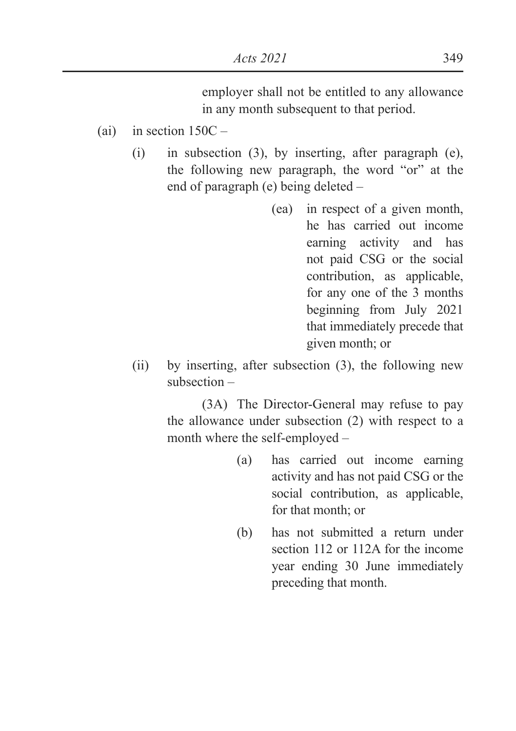employer shall not be entitled to any allowance in any month subsequent to that period.

- (ai) in section  $150C -$ 
	- (i) in subsection (3), by inserting, after paragraph (e), the following new paragraph, the word "or" at the end of paragraph (e) being deleted –
		- (ea) in respect of a given month, he has carried out income earning activity and has not paid CSG or the social contribution, as applicable, for any one of the 3 months beginning from July 2021 that immediately precede that given month; or
	- (ii) by inserting, after subsection (3), the following new subsection –

(3A) The Director-General may refuse to pay the allowance under subsection (2) with respect to a month where the self-employed –

- (a) has carried out income earning activity and has not paid CSG or the social contribution, as applicable, for that month; or
- (b) has not submitted a return under section 112 or 112A for the income year ending 30 June immediately preceding that month.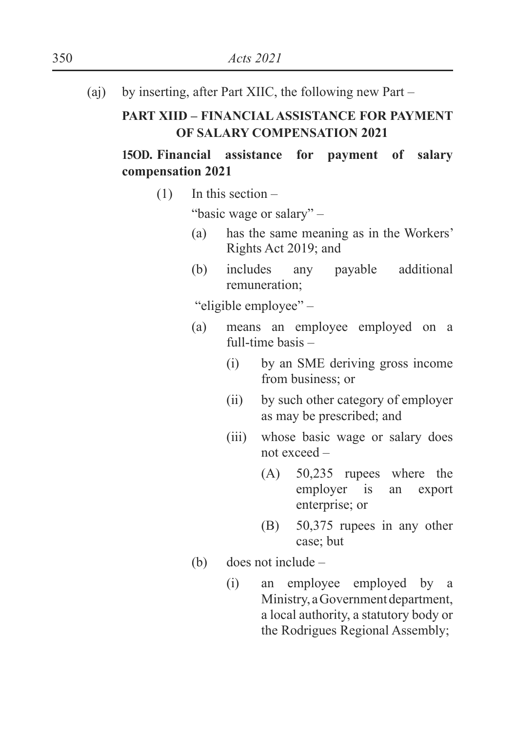(aj) by inserting, after Part XIIC, the following new Part –

### **PART XIID – FINANCIAL ASSISTANCE FOR PAYMENT OF SALARY COMPENSATION 2021**

# **15OD. Financial assistance for payment of salary compensation 2021**

 $(1)$  In this section –

"basic wage or salary" –

- (a) has the same meaning as in the Workers' Rights Act 2019; and
- (b) includes any payable additional remuneration;

"eligible employee" –

- (a) means an employee employed on a full-time basis –
	- (i) by an SME deriving gross income from business; or
	- (ii) by such other category of employer as may be prescribed; and
	- (iii) whose basic wage or salary does not exceed –
		- (A) 50,235 rupees where the employer is an export enterprise; or
		- (B) 50,375 rupees in any other case; but
- (b) does not include
	- (i) an employee employed by a Ministry, a Government department, a local authority, a statutory body or the Rodrigues Regional Assembly;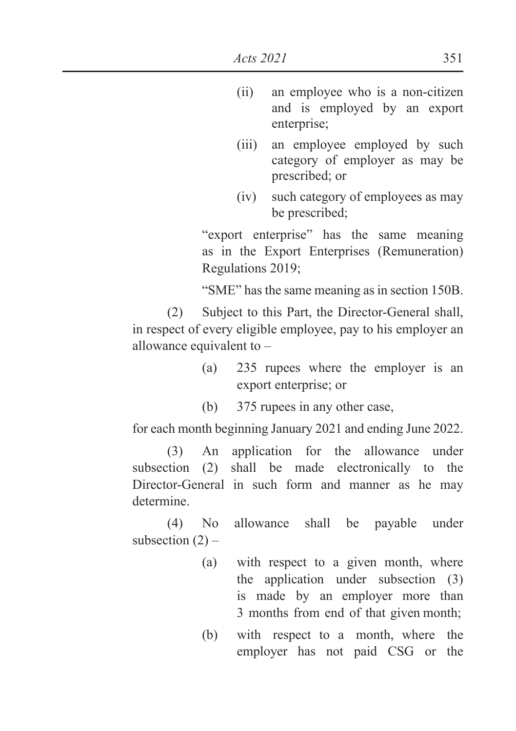- (ii) an employee who is a non-citizen and is employed by an export enterprise;
- (iii) an employee employed by such category of employer as may be prescribed; or
- (iv) such category of employees as may be prescribed;

 "export enterprise" has the same meaning as in the Export Enterprises (Remuneration) Regulations 2019;

"SME" has the same meaning as in section 150B.

(2) Subject to this Part, the Director-General shall, in respect of every eligible employee, pay to his employer an allowance equivalent to –

- (a) 235 rupees where the employer is an export enterprise; or
- (b) 375 rupees in any other case,

for each month beginning January 2021 and ending June 2022.

(3) An application for the allowance under subsection (2) shall be made electronically to the Director-General in such form and manner as he may determine.

(4) No allowance shall be payable under subsection  $(2)$  –

- (a) with respect to a given month, where the application under subsection (3) is made by an employer more than 3 months from end of that given month;
- (b) with respect to a month, where the employer has not paid CSG or the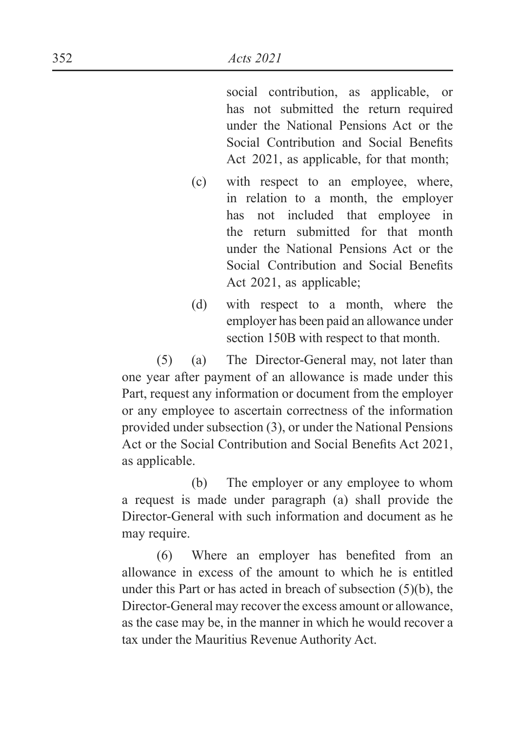social contribution, as applicable, or has not submitted the return required under the National Pensions Act or the Social Contribution and Social Benefits Act 2021, as applicable, for that month;

- (c) with respect to an employee, where, in relation to a month, the employer has not included that employee in the return submitted for that month under the National Pensions Act or the Social Contribution and Social Benefits Act 2021, as applicable;
- (d) with respect to a month, where the employer has been paid an allowance under section 150B with respect to that month.

(5) (a) The Director-General may, not later than one year after payment of an allowance is made under this Part, request any information or document from the employer or any employee to ascertain correctness of the information provided under subsection (3), or under the National Pensions Act or the Social Contribution and Social Benefits Act 2021, as applicable.

 (b) The employer or any employee to whom a request is made under paragraph (a) shall provide the Director-General with such information and document as he may require.

 $(6)$  Where an employer has benefited from an allowance in excess of the amount to which he is entitled under this Part or has acted in breach of subsection (5)(b), the Director-General may recover the excess amount or allowance, as the case may be, in the manner in which he would recover a tax under the Mauritius Revenue Authority Act.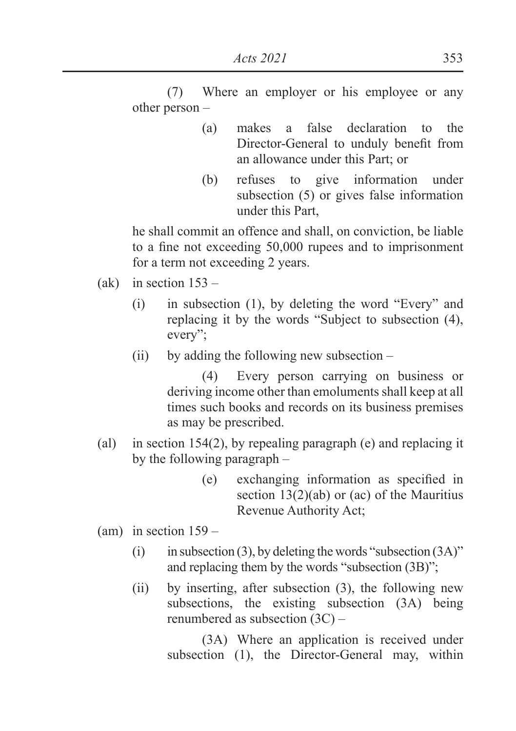(7) Where an employer or his employee or any other person –

- (a) makes a false declaration to the Director-General to unduly benefit from an allowance under this Part; or
- (b) refuses to give information under subsection (5) or gives false information under this Part,

he shall commit an offence and shall, on conviction, be liable to a fine not exceeding  $50,000$  rupees and to imprisonment for a term not exceeding 2 years.

- (ak) in section  $153 -$ 
	- (i) in subsection (1), by deleting the word "Every" and replacing it by the words "Subject to subsection (4), every";
	- (ii) by adding the following new subsection –

(4) Every person carrying on business or deriving income other than emoluments shall keep at all times such books and records on its business premises as may be prescribed.

- (al) in section 154(2), by repealing paragraph (e) and replacing it by the following paragraph –
	- $(e)$  exchanging information as specified in section 13(2)(ab) or (ac) of the Mauritius Revenue Authority Act;
- $\text{(am)}$  in section  $159$ 
	- (i) in subsection (3), by deleting the words "subsection  $(3A)$ " and replacing them by the words "subsection (3B)";
	- (ii) by inserting, after subsection (3), the following new subsections, the existing subsection (3A) being renumbered as subsection (3C) –

(3A) Where an application is received under subsection (1), the Director-General may, within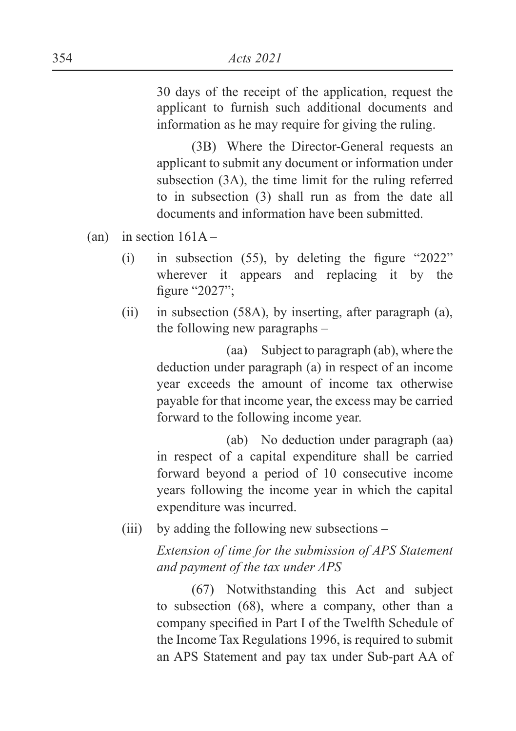30 days of the receipt of the application, request the applicant to furnish such additional documents and information as he may require for giving the ruling.

(3B) Where the Director-General requests an applicant to submit any document or information under subsection (3A), the time limit for the ruling referred to in subsection (3) shall run as from the date all documents and information have been submitted.

(an) in section  $161A -$ 

- $(i)$  in subsection (55), by deleting the figure "2022" wherever it appears and replacing it by the figure " $2027$ ";
- (ii) in subsection (58A), by inserting, after paragraph (a), the following new paragraphs –

 (aa) Subject to paragraph (ab), where the deduction under paragraph (a) in respect of an income year exceeds the amount of income tax otherwise payable for that income year, the excess may be carried forward to the following income year.

 (ab) No deduction under paragraph (aa) in respect of a capital expenditure shall be carried forward beyond a period of 10 consecutive income years following the income year in which the capital expenditure was incurred.

(iii) by adding the following new subsections –

 *Extension of time for the submission of APS Statement and payment of the tax under APS*

(67) Notwithstanding this Act and subject to subsection (68), where a company, other than a company specified in Part I of the Twelfth Schedule of the Income Tax Regulations 1996, is required to submit an APS Statement and pay tax under Sub-part AA of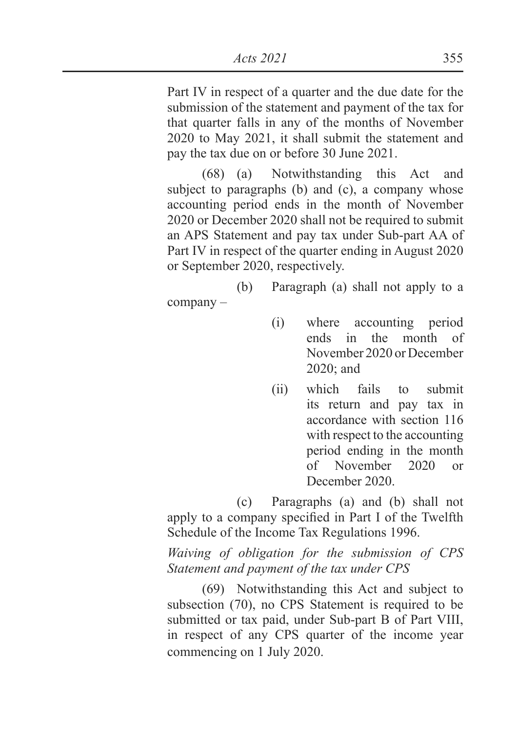Part IV in respect of a quarter and the due date for the submission of the statement and payment of the tax for that quarter falls in any of the months of November 2020 to May 2021, it shall submit the statement and pay the tax due on or before 30 June 2021.

(68) (a) Notwithstanding this Act and subject to paragraphs (b) and (c), a company whose accounting period ends in the month of November 2020 or December 2020 shall not be required to submit an APS Statement and pay tax under Sub-part AA of Part IV in respect of the quarter ending in August 2020 or September 2020, respectively.

 (b) Paragraph (a) shall not apply to a company –

- (i) where accounting period ends in the month of November 2020 or December 2020; and
- (ii) which fails to submit its return and pay tax in accordance with section 116 with respect to the accounting period ending in the month of November 2020 or December 2020.

 (c) Paragraphs (a) and (b) shall not apply to a company specified in Part I of the Twelfth Schedule of the Income Tax Regulations 1996.

 *Waiving of obligation for the submission of CPS Statement and payment of the tax under CPS*

(69) Notwithstanding this Act and subject to subsection (70), no CPS Statement is required to be submitted or tax paid, under Sub-part B of Part VIII, in respect of any CPS quarter of the income year commencing on 1 July 2020.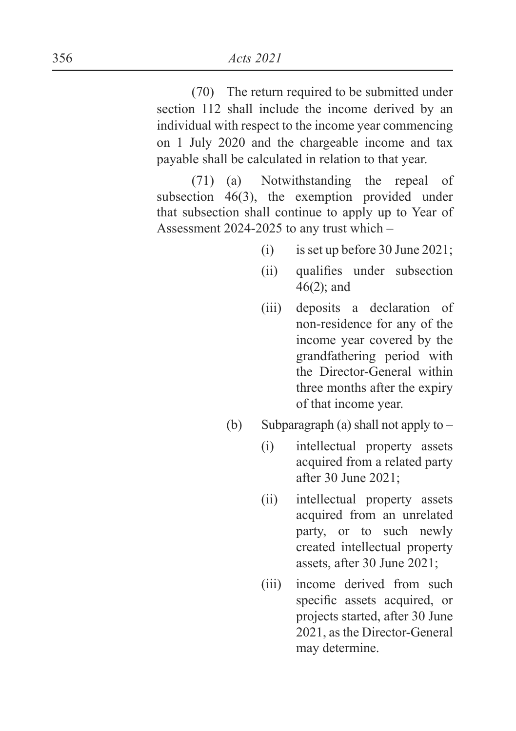(70) The return required to be submitted under section 112 shall include the income derived by an individual with respect to the income year commencing on 1 July 2020 and the chargeable income and tax payable shall be calculated in relation to that year.

(71) (a) Notwithstanding the repeal of subsection 46(3), the exemption provided under that subsection shall continue to apply up to Year of Assessment 2024-2025 to any trust which –

- (i) is set up before 30 June 2021;
- (ii) qualifies under subsection 46(2); and
- (iii) deposits a declaration of non-residence for any of the income year covered by the grandfathering period with the Director-General within three months after the expiry of that income year.
- (b) Subparagraph (a) shall not apply to  $-$ 
	- (i) intellectual property assets acquired from a related party after 30 June 2021;
	- (ii) intellectual property assets acquired from an unrelated party, or to such newly created intellectual property assets, after 30 June 2021;
	- (iii) income derived from such specific assets acquired, or projects started, after 30 June 2021, as the Director-General may determine.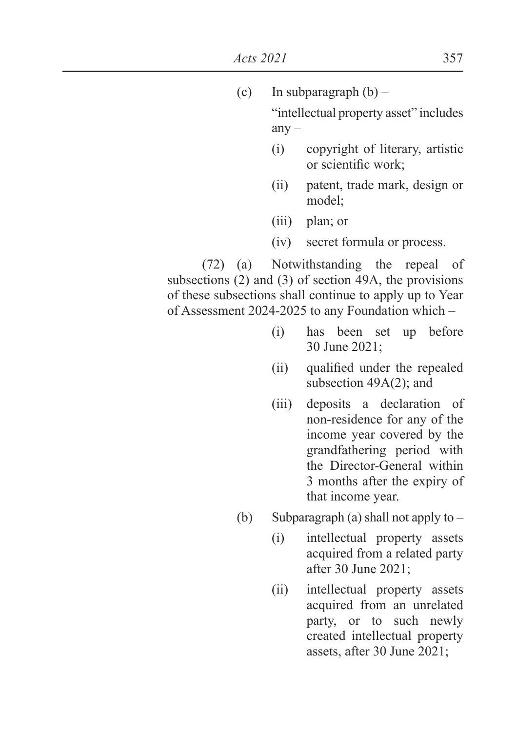| (c)                                                     | In subparagraph $(b)$ –                |                                                                                                      |  |  |
|---------------------------------------------------------|----------------------------------------|------------------------------------------------------------------------------------------------------|--|--|
|                                                         | "intellectual property asset" includes |                                                                                                      |  |  |
|                                                         | $any -$                                |                                                                                                      |  |  |
|                                                         | (i)                                    | copyright of literary, artistic<br>or scientific work;                                               |  |  |
|                                                         | (ii)                                   | patent, trade mark, design or<br>model;                                                              |  |  |
|                                                         | (iii)                                  | plan; or                                                                                             |  |  |
|                                                         |                                        | (iv) secret formula or process.                                                                      |  |  |
|                                                         |                                        | (72) (a) Notwithstanding the repeal of<br>subsections $(2)$ and $(3)$ of section 49A, the provisions |  |  |
| of these subsections shall continue to apply up to Year |                                        |                                                                                                      |  |  |

of Assessment 2024-2025 to any Foundation which –

- (i) has been set up before 30 June 2021;
- (ii) qualified under the repealed subsection 49A(2); and
- (iii) deposits a declaration of non-residence for any of the income year covered by the grandfathering period with the Director-General within 3 months after the expiry of that income year.
- (b) Subparagraph (a) shall not apply to
	- (i) intellectual property assets acquired from a related party after 30 June 2021;
	- (ii) intellectual property assets acquired from an unrelated party, or to such newly created intellectual property assets, after 30 June 2021;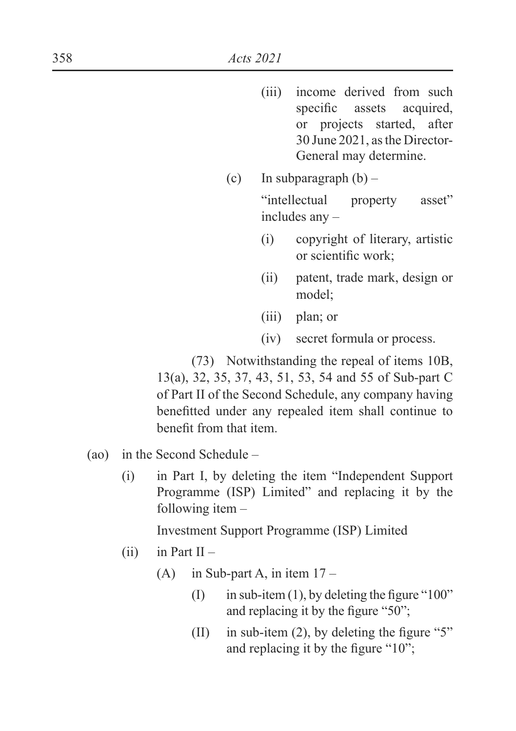- (iii) income derived from such specific assets acquired, or projects started, after 30 June 2021, as the Director-General may determine.
- (c) In subparagraph  $(b)$  –

 "intellectual property asset" includes any –

- (i) copyright of literary, artistic or scientific work:
- (ii) patent, trade mark, design or model;
- (iii) plan; or
- (iv) secret formula or process.

(73) Notwithstanding the repeal of items 10B, 13(a), 32, 35, 37, 43, 51, 53, 54 and 55 of Sub-part C of Part II of the Second Schedule, any company having benefitted under any repealed item shall continue to benefit from that item.

- (ao) in the Second Schedule
	- (i) in Part I, by deleting the item "Independent Support Programme (ISP) Limited" and replacing it by the following item –

Investment Support Programme (ISP) Limited

- $(ii)$  in Part II
	- (A) in Sub-part A, in item  $17 -$ 
		- $\text{I}$  in sub-item (1), by deleting the figure "100" and replacing it by the figure " $50$ ":
		- (II) in sub-item (2), by deleting the figure "5" and replacing it by the figure " $10$ ";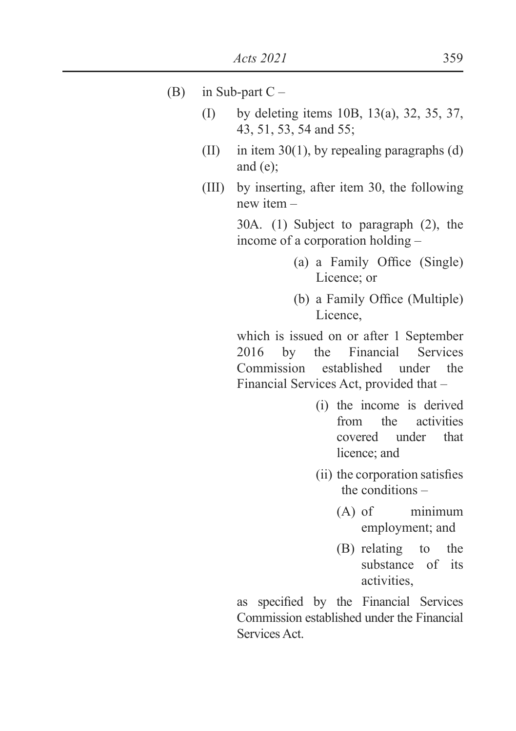- (B) in Sub-part  $C -$ 
	- (I) by deleting items 10B, 13(a), 32, 35, 37, 43, 51, 53, 54 and 55;
	- (II) in item 30(1), by repealing paragraphs (d) and (e);
	- (III) by inserting, after item 30, the following new item –

 30A. (1) Subject to paragraph (2), the income of a corporation holding –

- $(a)$  a Family Office (Single) Licence; or
- (b) a Family Office (Multiple) Licence,

 which is issued on or after 1 September 2016 by the Financial Services Commission established under the Financial Services Act, provided that –

- (i) the income is derived from the activities covered under that licence; and
- (ii) the corporation satisfies the conditions –
	- (A) of minimum employment; and
	- (B) relating to the substance of its activities,

as specified by the Financial Services Commission established under the Financial Services Act.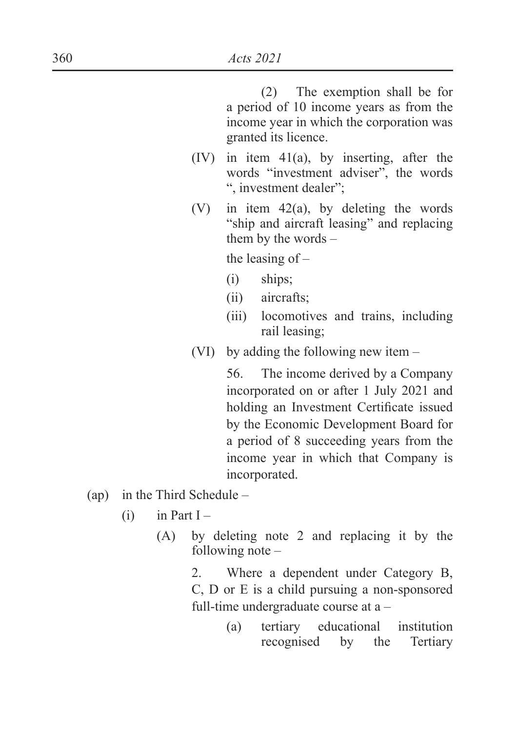(2) The exemption shall be for a period of 10 income years as from the income year in which the corporation was granted its licence.

- (IV) in item 41(a), by inserting, after the words "investment adviser", the words ", investment dealer";
- (V) in item 42(a), by deleting the words "ship and aircraft leasing" and replacing them by the words –

the leasing of –

- (i) ships;
- (ii) aircrafts;
- (iii) locomotives and trains, including rail leasing;
- (VI) by adding the following new item –

 56. The income derived by a Company incorporated on or after 1 July 2021 and holding an Investment Certificate issued by the Economic Development Board for a period of 8 succeeding years from the income year in which that Company is incorporated.

- (ap) in the Third Schedule
	- $(i)$  in Part I
		- (A) by deleting note 2 and replacing it by the following note –

 2. Where a dependent under Category B, C, D or E is a child pursuing a non-sponsored full-time undergraduate course at a –

> (a) tertiary educational institution recognised by the Tertiary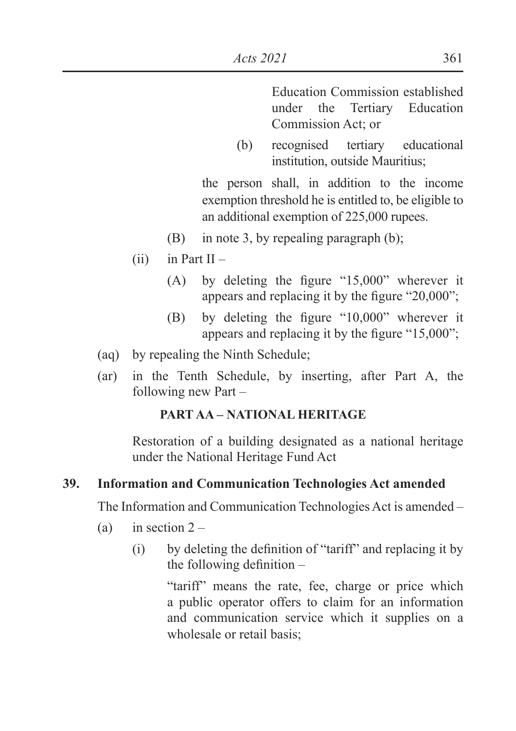Education Commission established under the Tertiary Education Commission Act; or

(b) recognised tertiary educational institution, outside Mauritius;

 the person shall, in addition to the income exemption threshold he is entitled to, be eligible to an additional exemption of 225,000 rupees.

- (B) in note 3, by repealing paragraph (b);
- $(ii)$  in Part II
	- (A) by deleting the figure " $15,000$ " wherever it appears and replacing it by the figure "20,000";
	- $(B)$  by deleting the figure "10,000" wherever it appears and replacing it by the figure " $15,000$ ";
- (aq) by repealing the Ninth Schedule;
- (ar) in the Tenth Schedule, by inserting, after Part A, the following new Part –

### **PART AA – NATIONAL HERITAGE**

Restoration of a building designated as a national heritage under the National Heritage Fund Act

#### **39. Information and Communication Technologies Act amended**

The Information and Communication Technologies Act is amended –

- (a) in section  $2 -$ 
	- $\Omega$  by deleting the definition of "tariff" and replacing it by the following definition  $-$

"tariff" means the rate, fee, charge or price which a public operator offers to claim for an information and communication service which it supplies on a wholesale or retail basis;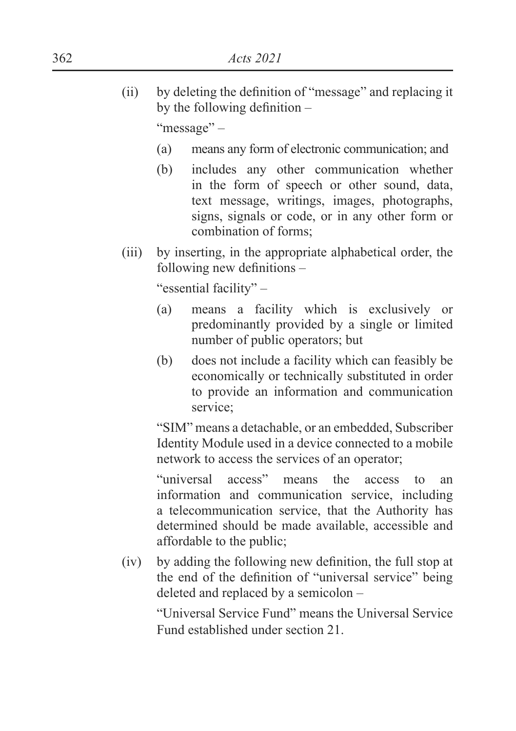$\delta$  ii) by deleting the definition of "message" and replacing it by the following definition  $-$ 

"message" –

- (a) means any form of electronic communication; and
- (b) includes any other communication whether in the form of speech or other sound, data, text message, writings, images, photographs, signs, signals or code, or in any other form or combination of forms;
- (iii) by inserting, in the appropriate alphabetical order, the following new definitions  $-$

"essential facility" –

- (a) means a facility which is exclusively or predominantly provided by a single or limited number of public operators; but
- (b) does not include a facility which can feasibly be economically or technically substituted in order to provide an information and communication service;

"SIM" means a detachable, or an embedded, Subscriber Identity Module used in a device connected to a mobile network to access the services of an operator;

"universal access" means the access to an information and communication service, including a telecommunication service, that the Authority has determined should be made available, accessible and affordable to the public;

 $(iv)$  by adding the following new definition, the full stop at the end of the definition of "universal service" being deleted and replaced by a semicolon –

> "Universal Service Fund" means the Universal Service Fund established under section 21.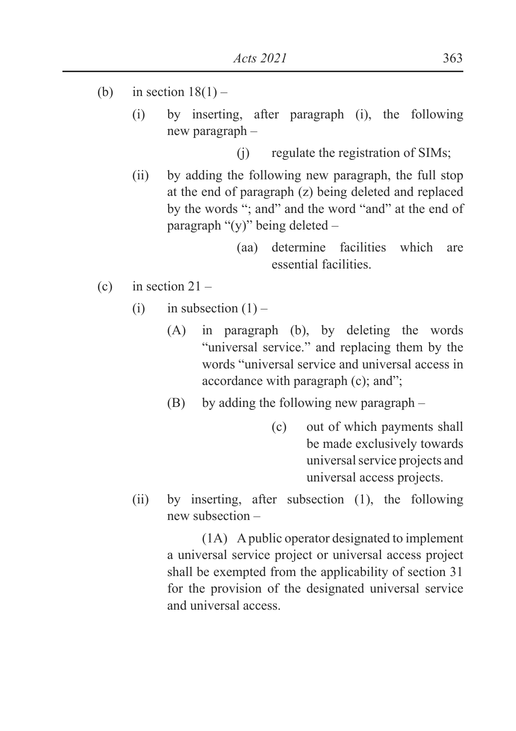- (b) in section  $18(1)$ 
	- (i) by inserting, after paragraph (i), the following new paragraph –
		- (j) regulate the registration of SIMs;
	- (ii) by adding the following new paragraph, the full stop at the end of paragraph (z) being deleted and replaced by the words "; and" and the word "and" at the end of paragraph "(y)" being deleted –
		- (aa) determine facilities which are essential facilities.
- (c) in section  $21 -$ 
	- (i) in subsection  $(1)$ 
		- (A) in paragraph (b), by deleting the words "universal service." and replacing them by the words "universal service and universal access in accordance with paragraph (c); and";
		- (B) by adding the following new paragraph
			- (c) out of which payments shall be made exclusively towards universal service projects and universal access projects.
	- (ii) by inserting, after subsection (1), the following new subsection –

(1A) A public operator designated to implement a universal service project or universal access project shall be exempted from the applicability of section 31 for the provision of the designated universal service and universal access.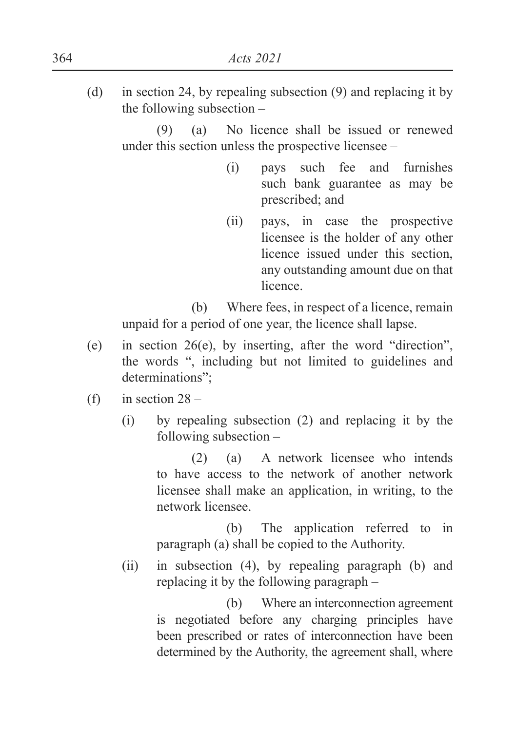(d) in section 24, by repealing subsection (9) and replacing it by the following subsection –

(9) (a) No licence shall be issued or renewed under this section unless the prospective licensee –

- (i) pays such fee and furnishes such bank guarantee as may be prescribed; and
- (ii) pays, in case the prospective licensee is the holder of any other licence issued under this section, any outstanding amount due on that licence.

 (b) Where fees, in respect of a licence, remain unpaid for a period of one year, the licence shall lapse.

- (e) in section 26(e), by inserting, after the word "direction", the words ", including but not limited to guidelines and determinations";
- (f) in section  $28 -$ 
	- (i) by repealing subsection (2) and replacing it by the following subsection –

(2) (a) A network licensee who intends to have access to the network of another network licensee shall make an application, in writing, to the network licensee.

 (b) The application referred to in paragraph (a) shall be copied to the Authority.

(ii) in subsection (4), by repealing paragraph (b) and replacing it by the following paragraph –

> (b) Where an interconnection agreement is negotiated before any charging principles have been prescribed or rates of interconnection have been determined by the Authority, the agreement shall, where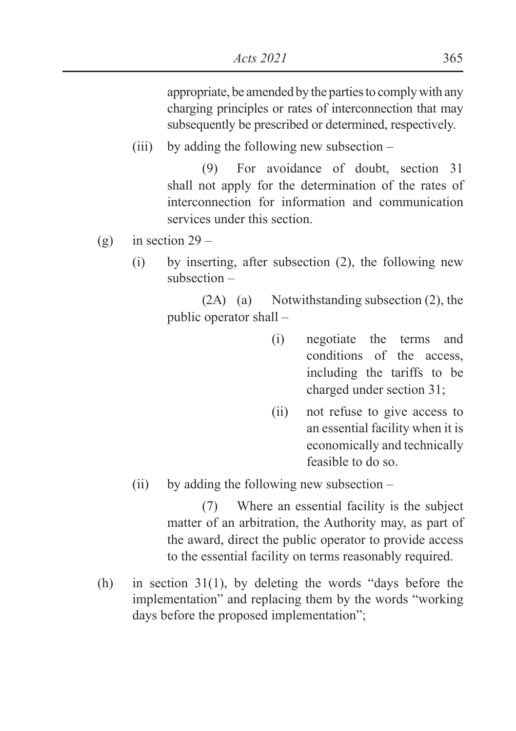appropriate, be amended by the parties to comply with any charging principles or rates of interconnection that may subsequently be prescribed or determined, respectively.

(iii) by adding the following new subsection –

(9) For avoidance of doubt, section 31 shall not apply for the determination of the rates of interconnection for information and communication services under this section.

- (g) in section  $29 -$ 
	- (i) by inserting, after subsection (2), the following new subsection –

(2A) (a) Notwithstanding subsection (2), the public operator shall –

- (i) negotiate the terms and conditions of the access, including the tariffs to be charged under section 31;
- (ii) not refuse to give access to an essential facility when it is economically and technically feasible to do so.
- (ii) by adding the following new subsection –

(7) Where an essential facility is the subject matter of an arbitration, the Authority may, as part of the award, direct the public operator to provide access to the essential facility on terms reasonably required.

(h) in section 31(1), by deleting the words "days before the implementation" and replacing them by the words "working days before the proposed implementation";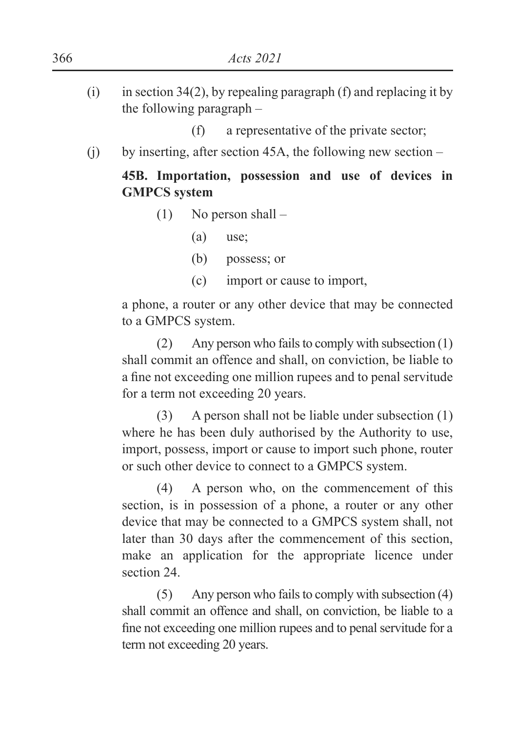- (i) in section 34(2), by repealing paragraph (f) and replacing it by the following paragraph –
	- (f) a representative of the private sector;
- (i) by inserting, after section 45A, the following new section  $-$

# **45B. Importation, possession and use of devices in GMPCS system**

- (1) No person shall
	- (a) use;
	- (b) possess; or
	- (c) import or cause to import,

a phone, a router or any other device that may be connected to a GMPCS system.

(2) Any person who fails to comply with subsection (1) shall commit an offence and shall, on conviction, be liable to a fine not exceeding one million rupees and to penal servitude for a term not exceeding 20 years.

(3) A person shall not be liable under subsection (1) where he has been duly authorised by the Authority to use, import, possess, import or cause to import such phone, router or such other device to connect to a GMPCS system.

(4) A person who, on the commencement of this section, is in possession of a phone, a router or any other device that may be connected to a GMPCS system shall, not later than 30 days after the commencement of this section, make an application for the appropriate licence under section 24.

(5) Any person who fails to comply with subsection (4) shall commit an offence and shall, on conviction, be liable to a fine not exceeding one million rupees and to penal servitude for a term not exceeding 20 years.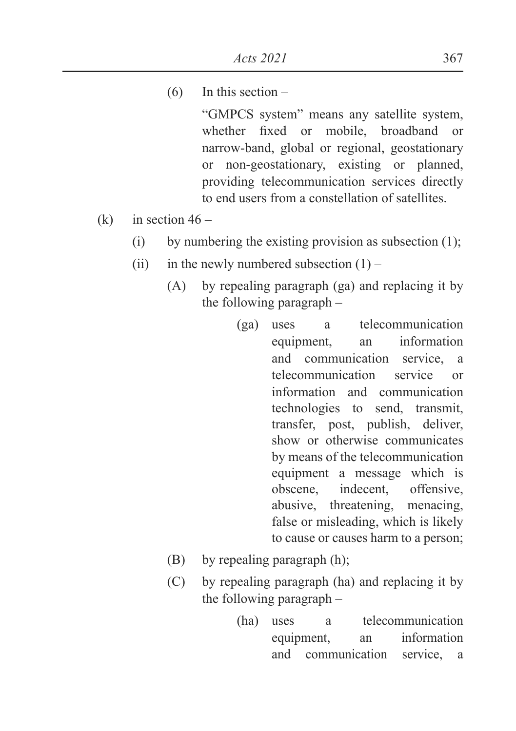(6) In this section –

"GMPCS system" means any satellite system, whether fixed or mobile, broadband or narrow-band, global or regional, geostationary or non-geostationary, existing or planned, providing telecommunication services directly to end users from a constellation of satellites.

- (k) in section  $46 -$ 
	- (i) by numbering the existing provision as subsection  $(1)$ ;
	- (ii) in the newly numbered subsection  $(1)$ 
		- (A) by repealing paragraph (ga) and replacing it by the following paragraph –
			- (ga) uses a telecommunication equipment, an information and communication service, a telecommunication service or information and communication technologies to send, transmit, transfer, post, publish, deliver, show or otherwise communicates by means of the telecommunication equipment a message which is obscene, indecent, offensive, abusive, threatening, menacing, false or misleading, which is likely to cause or causes harm to a person;
		- (B) by repealing paragraph (h);
		- (C) by repealing paragraph (ha) and replacing it by the following paragraph –
			- (ha) uses a telecommunication equipment, an information and communication service, a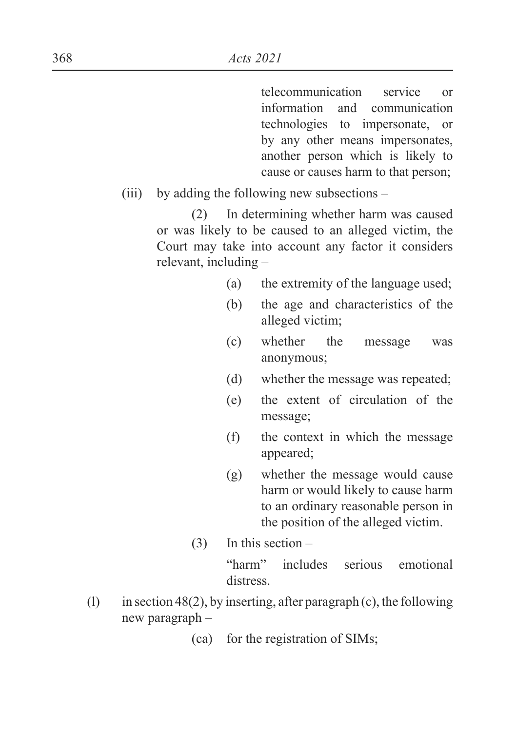telecommunication service or information and communication technologies to impersonate, or by any other means impersonates, another person which is likely to cause or causes harm to that person;

(iii) by adding the following new subsections –

(2) In determining whether harm was caused or was likely to be caused to an alleged victim, the Court may take into account any factor it considers relevant, including –

- (a) the extremity of the language used;
- (b) the age and characteristics of the alleged victim;
- (c) whether the message was anonymous;
- (d) whether the message was repeated;
- (e) the extent of circulation of the message;
- (f) the context in which the message appeared;
- (g) whether the message would cause harm or would likely to cause harm to an ordinary reasonable person in the position of the alleged victim.
- $(3)$  In this section –

"harm" includes serious emotional distress.

- (1) in section 48(2), by inserting, after paragraph (c), the following new paragraph –
	- (ca) for the registration of SIMs;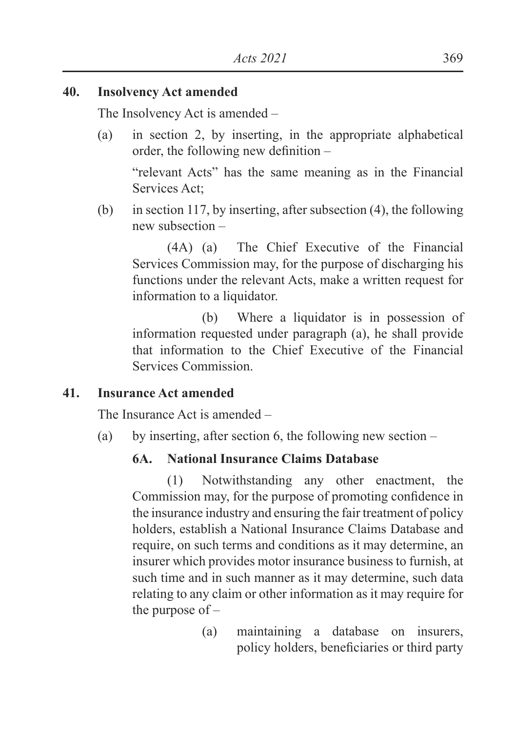### **40. Insolvency Act amended**

The Insolvency Act is amended –

(a) in section 2, by inserting, in the appropriate alphabetical order, the following new definition  $-$ 

"relevant Acts" has the same meaning as in the Financial Services Act;

(b) in section 117, by inserting, after subsection (4), the following new subsection –

(4A) (a) The Chief Executive of the Financial Services Commission may, for the purpose of discharging his functions under the relevant Acts, make a written request for information to a liquidator.

 (b) Where a liquidator is in possession of information requested under paragraph (a), he shall provide that information to the Chief Executive of the Financial Services Commission.

### **41. Insurance Act amended**

The Insurance Act is amended –

(a) by inserting, after section 6, the following new section –

### **6A. National Insurance Claims Database**

(1) Notwithstanding any other enactment, the Commission may, for the purpose of promoting confidence in the insurance industry and ensuring the fair treatment of policy holders, establish a National Insurance Claims Database and require, on such terms and conditions as it may determine, an insurer which provides motor insurance business to furnish, at such time and in such manner as it may determine, such data relating to any claim or other information as it may require for the purpose of –

> (a) maintaining a database on insurers, policy holders, beneficiaries or third party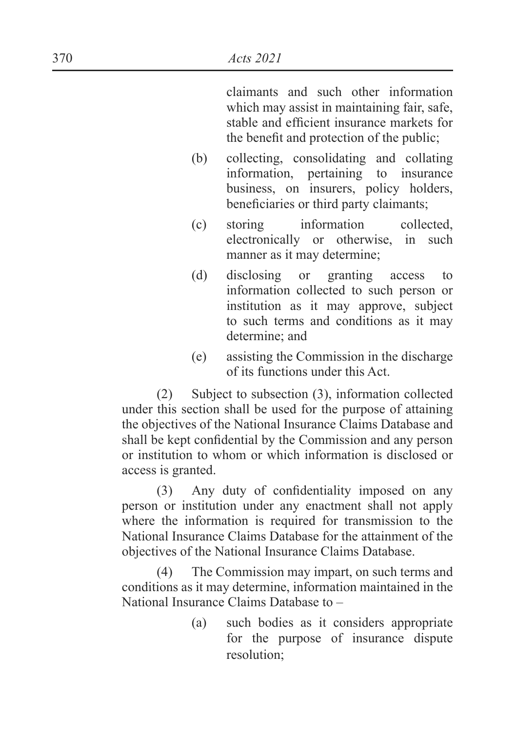claimants and such other information which may assist in maintaining fair, safe, stable and efficient insurance markets for the benefit and protection of the public:

- (b) collecting, consolidating and collating information, pertaining to insurance business, on insurers, policy holders, beneficiaries or third party claimants;
- (c) storing information collected, electronically or otherwise, in such manner as it may determine;
- (d) disclosing or granting access to information collected to such person or institution as it may approve, subject to such terms and conditions as it may determine; and
- (e) assisting the Commission in the discharge of its functions under this Act.

(2) Subject to subsection (3), information collected under this section shall be used for the purpose of attaining the objectives of the National Insurance Claims Database and shall be kept confidential by the Commission and any person or institution to whom or which information is disclosed or access is granted.

 $(3)$  Any duty of confidentiality imposed on any person or institution under any enactment shall not apply where the information is required for transmission to the National Insurance Claims Database for the attainment of the objectives of the National Insurance Claims Database.

(4) The Commission may impart, on such terms and conditions as it may determine, information maintained in the National Insurance Claims Database to –

> (a) such bodies as it considers appropriate for the purpose of insurance dispute resolution;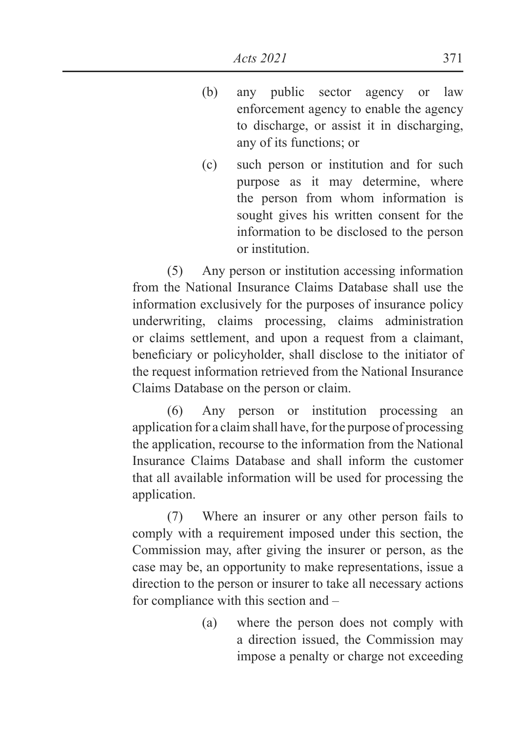- (b) any public sector agency or law enforcement agency to enable the agency to discharge, or assist it in discharging, any of its functions; or
- (c) such person or institution and for such purpose as it may determine, where the person from whom information is sought gives his written consent for the information to be disclosed to the person or institution.

(5) Any person or institution accessing information from the National Insurance Claims Database shall use the information exclusively for the purposes of insurance policy underwriting, claims processing, claims administration or claims settlement, and upon a request from a claimant, beneficiary or policyholder, shall disclose to the initiator of the request information retrieved from the National Insurance Claims Database on the person or claim.

(6) Any person or institution processing an application for a claim shall have, for the purpose of processing the application, recourse to the information from the National Insurance Claims Database and shall inform the customer that all available information will be used for processing the application.

(7) Where an insurer or any other person fails to comply with a requirement imposed under this section, the Commission may, after giving the insurer or person, as the case may be, an opportunity to make representations, issue a direction to the person or insurer to take all necessary actions for compliance with this section and –

> (a) where the person does not comply with a direction issued, the Commission may impose a penalty or charge not exceeding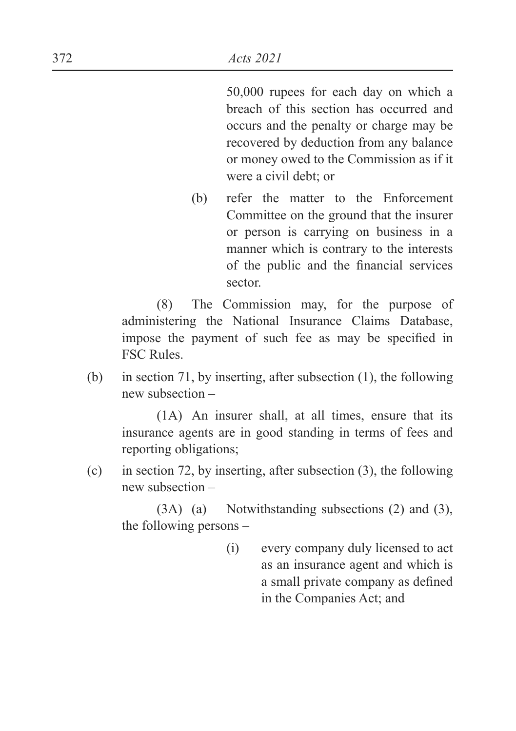50,000 rupees for each day on which a breach of this section has occurred and occurs and the penalty or charge may be recovered by deduction from any balance or money owed to the Commission as if it were a civil debt; or

(b) refer the matter to the Enforcement Committee on the ground that the insurer or person is carrying on business in a manner which is contrary to the interests of the public and the financial services sector.

(8) The Commission may, for the purpose of administering the National Insurance Claims Database, impose the payment of such fee as may be specified in FSC Rules.

(b) in section 71, by inserting, after subsection (1), the following new subsection –

(1A) An insurer shall, at all times, ensure that its insurance agents are in good standing in terms of fees and reporting obligations;

(c) in section 72, by inserting, after subsection (3), the following new subsection –

(3A) (a) Notwithstanding subsections (2) and (3), the following persons –

> (i) every company duly licensed to act as an insurance agent and which is a small private company as defined in the Companies Act; and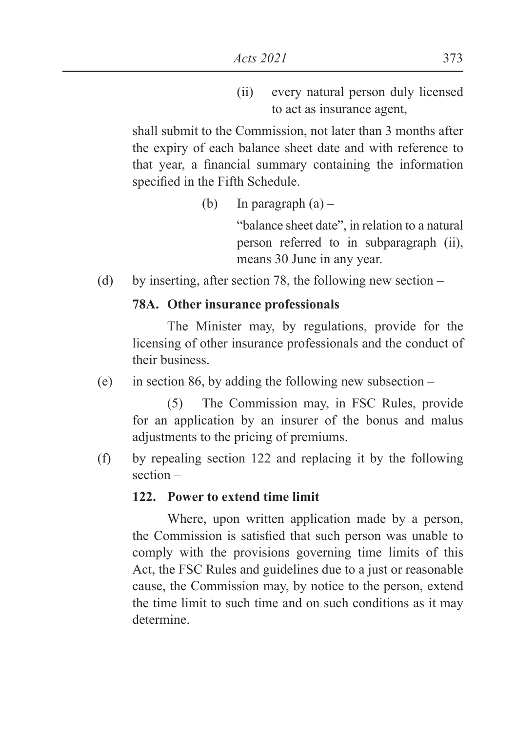(ii) every natural person duly licensed to act as insurance agent,

shall submit to the Commission, not later than 3 months after the expiry of each balance sheet date and with reference to that year, a financial summary containing the information specified in the Fifth Schedule.

(b) In paragraph  $(a)$  –

 "balance sheet date", in relation to a natural person referred to in subparagraph (ii), means 30 June in any year.

(d) by inserting, after section 78, the following new section –

## **78A. Other insurance professionals**

The Minister may, by regulations, provide for the licensing of other insurance professionals and the conduct of their business.

(e) in section 86, by adding the following new subsection –

(5) The Commission may, in FSC Rules, provide for an application by an insurer of the bonus and malus adjustments to the pricing of premiums.

(f) by repealing section 122 and replacing it by the following section –

## **122. Power to extend time limit**

Where, upon written application made by a person, the Commission is satisfied that such person was unable to comply with the provisions governing time limits of this Act, the FSC Rules and guidelines due to a just or reasonable cause, the Commission may, by notice to the person, extend the time limit to such time and on such conditions as it may determine.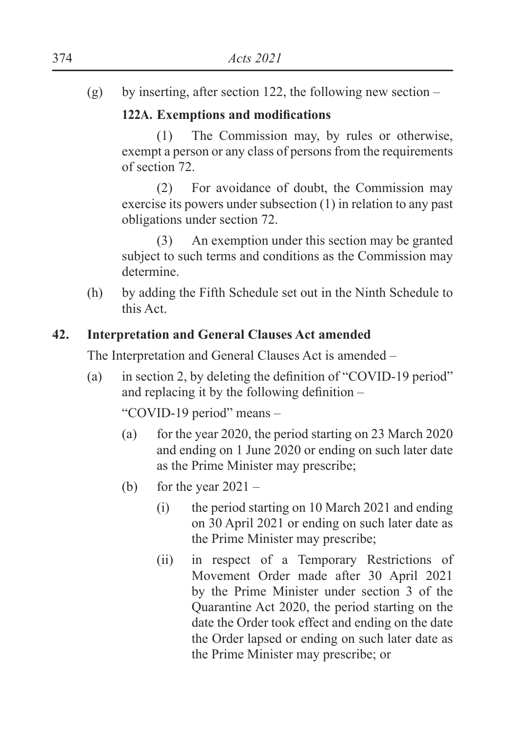(g) by inserting, after section 122, the following new section –

## **122A.** Exemptions and modifications

(1) The Commission may, by rules or otherwise, exempt a person or any class of persons from the requirements of section 72.

(2) For avoidance of doubt, the Commission may exercise its powers under subsection (1) in relation to any past obligations under section 72.

(3) An exemption under this section may be granted subject to such terms and conditions as the Commission may determine.

(h) by adding the Fifth Schedule set out in the Ninth Schedule to this Act.

## **42. Interpretation and General Clauses Act amended**

The Interpretation and General Clauses Act is amended –

(a) in section 2, by deleting the definition of "COVID-19 period" and replacing it by the following definition  $-$ 

"COVID-19 period" means –

- (a) for the year 2020, the period starting on 23 March 2020 and ending on 1 June 2020 or ending on such later date as the Prime Minister may prescribe;
- (b) for the year  $2021 -$ 
	- (i) the period starting on 10 March 2021 and ending on 30 April 2021 or ending on such later date as the Prime Minister may prescribe;
	- (ii) in respect of a Temporary Restrictions of Movement Order made after 30 April 2021 by the Prime Minister under section 3 of the Quarantine Act 2020, the period starting on the date the Order took effect and ending on the date the Order lapsed or ending on such later date as the Prime Minister may prescribe; or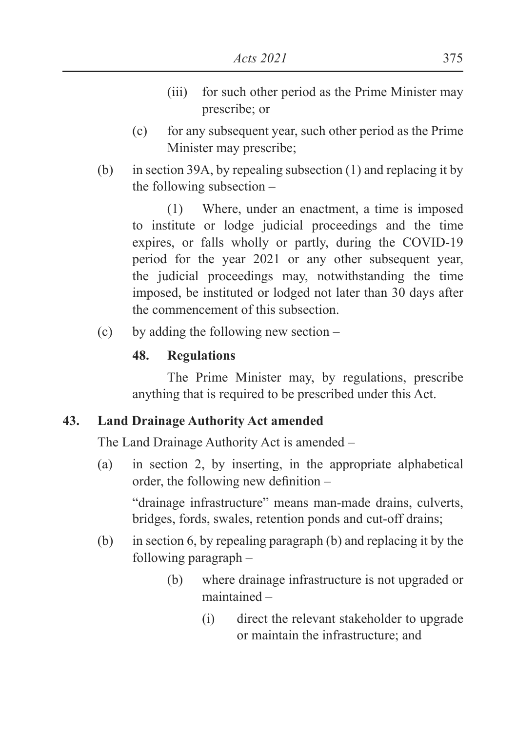- (iii) for such other period as the Prime Minister may prescribe; or
- (c) for any subsequent year, such other period as the Prime Minister may prescribe;
- (b) in section 39A, by repealing subsection (1) and replacing it by the following subsection –

(1) Where, under an enactment, a time is imposed to institute or lodge judicial proceedings and the time expires, or falls wholly or partly, during the COVID-19 period for the year 2021 or any other subsequent year, the judicial proceedings may, notwithstanding the time imposed, be instituted or lodged not later than 30 days after the commencement of this subsection.

(c) by adding the following new section –

## **48. Regulations**

The Prime Minister may, by regulations, prescribe anything that is required to be prescribed under this Act.

## **43. Land Drainage Authority Act amended**

The Land Drainage Authority Act is amended –

(a) in section 2, by inserting, in the appropriate alphabetical order, the following new definition  $-$ 

"drainage infrastructure" means man-made drains, culverts, bridges, fords, swales, retention ponds and cut-off drains;

- (b) in section 6, by repealing paragraph (b) and replacing it by the following paragraph –
	- (b) where drainage infrastructure is not upgraded or maintained –
		- (i) direct the relevant stakeholder to upgrade or maintain the infrastructure; and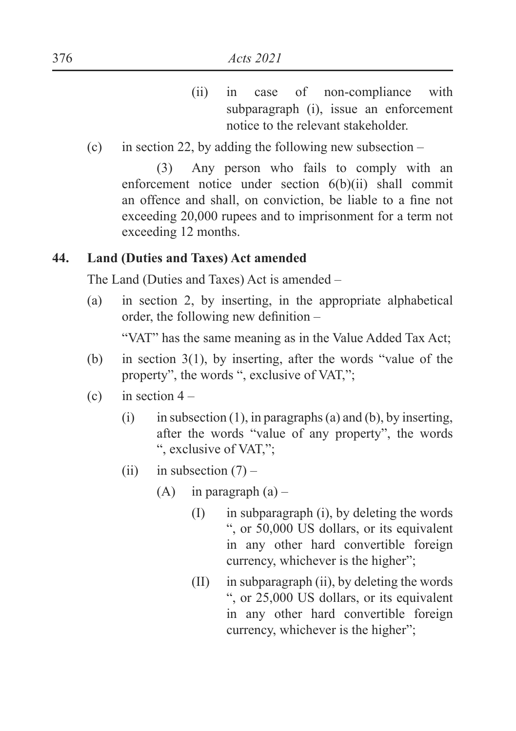- (ii) in case of non-compliance with subparagraph (i), issue an enforcement notice to the relevant stakeholder.
- (c) in section 22, by adding the following new subsection  $-$

(3) Any person who fails to comply with an enforcement notice under section 6(b)(ii) shall commit an offence and shall, on conviction, be liable to a fine not exceeding 20,000 rupees and to imprisonment for a term not exceeding 12 months.

## **44. Land (Duties and Taxes) Act amended**

The Land (Duties and Taxes) Act is amended –

(a) in section 2, by inserting, in the appropriate alphabetical order, the following new definition  $-$ 

"VAT" has the same meaning as in the Value Added Tax Act;

- (b) in section  $3(1)$ , by inserting, after the words "value of the property", the words ", exclusive of VAT,";
- (c) in section  $4 -$ 
	- (i) in subsection (1), in paragraphs (a) and (b), by inserting, after the words "value of any property", the words ", exclusive of VAT,";
	- (ii) in subsection  $(7)$ 
		- $(A)$  in paragraph  $(a)$ 
			- $(I)$  in subparagraph (i), by deleting the words ", or 50,000 US dollars, or its equivalent in any other hard convertible foreign currency, whichever is the higher";
			- $(II)$  in subparagraph  $(ii)$ , by deleting the words ", or 25,000 US dollars, or its equivalent in any other hard convertible foreign currency, whichever is the higher";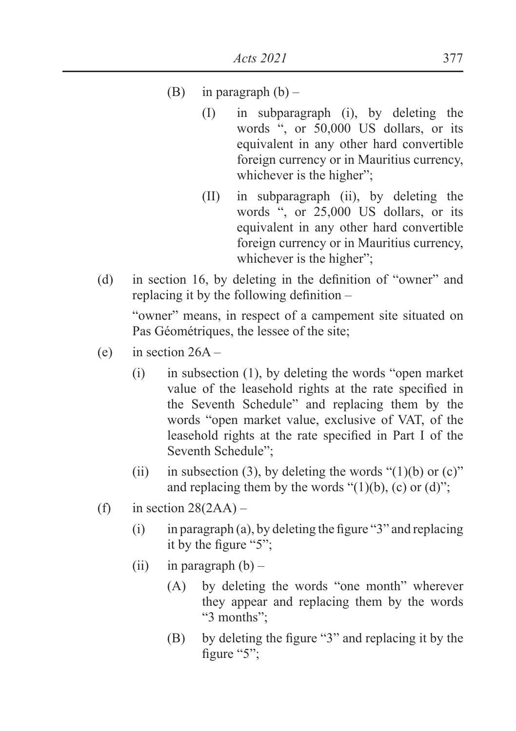- (B) in paragraph  $(b)$ 
	- (I) in subparagraph (i), by deleting the words ", or 50,000 US dollars, or its equivalent in any other hard convertible foreign currency or in Mauritius currency, whichever is the higher";
	- (II) in subparagraph (ii), by deleting the words ", or 25,000 US dollars, or its equivalent in any other hard convertible foreign currency or in Mauritius currency, whichever is the higher";
- (d) in section 16, by deleting in the definition of "owner" and replacing it by the following definition  $-$

"owner" means, in respect of a campement site situated on Pas Géométriques, the lessee of the site;

- (e) in section  $26A -$ 
	- (i) in subsection (1), by deleting the words "open market value of the leasehold rights at the rate specified in the Seventh Schedule" and replacing them by the words "open market value, exclusive of VAT, of the leasehold rights at the rate specified in Part I of the Seventh Schedule";
	- (ii) in subsection (3), by deleting the words " $(1)(b)$  or  $(c)$ " and replacing them by the words " $(1)(b)$ ,  $(c)$  or  $(d)$ ";
- (f) in section  $28(2AA)$ 
	- $(i)$  in paragraph  $(a)$ , by deleting the figure "3" and replacing it by the figure " $5$ ":
	- (ii) in paragraph  $(b)$ 
		- (A) by deleting the words "one month" wherever they appear and replacing them by the words "3 months"
		- $(B)$  by deleting the figure "3" and replacing it by the figure "5":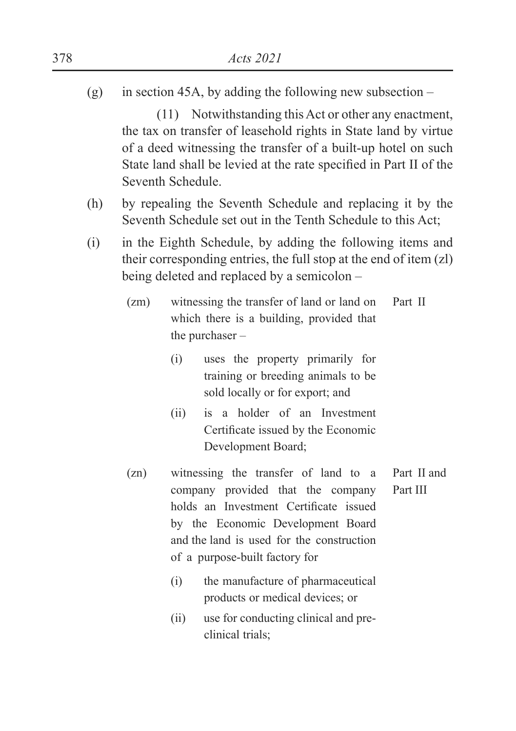(g) in section 45A, by adding the following new subsection –

(11) Notwithstanding this Act or other any enactment, the tax on transfer of leasehold rights in State land by virtue of a deed witnessing the transfer of a built-up hotel on such State land shall be levied at the rate specified in Part II of the Seventh Schedule.

- (h) by repealing the Seventh Schedule and replacing it by the Seventh Schedule set out in the Tenth Schedule to this Act;
- (i) in the Eighth Schedule, by adding the following items and their corresponding entries, the full stop at the end of item (zl) being deleted and replaced by a semicolon –
	- (zm) witnessing the transfer of land or land on which there is a building, provided that the purchaser – Part II
		- (i) uses the property primarily for training or breeding animals to be sold locally or for export; and
		- (ii) is a holder of an Investment Certificate issued by the Economic Development Board;
	- (zn) witnessing the transfer of land to a company provided that the company holds an Investment Certificate issued by the Economic Development Board and the land is used for the construction of a purpose-built factory for Part II and Part III
		- (i) the manufacture of pharmaceutical products or medical devices; or
		- (ii) use for conducting clinical and preclinical trials;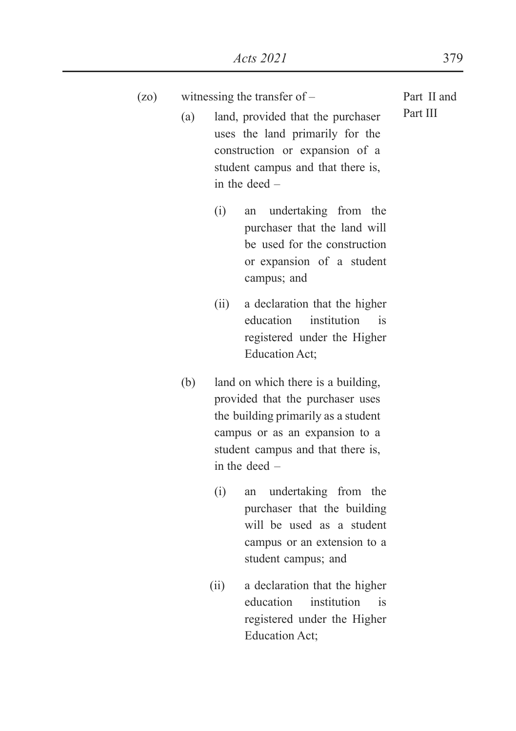| (z <sub>0</sub> ) |     | witnessing the transfer of $-$                                                                                                                                                                          |          |  |
|-------------------|-----|---------------------------------------------------------------------------------------------------------------------------------------------------------------------------------------------------------|----------|--|
|                   | (a) | land, provided that the purchaser<br>uses the land primarily for the<br>construction or expansion of a<br>student campus and that there is,<br>in the deed $-$                                          | Part III |  |
|                   |     | (i)<br>undertaking from the<br>an<br>purchaser that the land will<br>be used for the construction<br>or expansion of a student<br>campus; and                                                           |          |  |
|                   |     | a declaration that the higher<br>(ii)<br>education<br>institution<br>is<br>registered under the Higher<br>Education Act;                                                                                |          |  |
|                   | (b) | land on which there is a building,<br>provided that the purchaser uses<br>the building primarily as a student<br>campus or as an expansion to a<br>student campus and that there is,<br>in the deed $-$ |          |  |
|                   |     | undertaking from the<br>(i)<br>an<br>purchaser that the building<br>will be used as a student<br>campus or an extension to a<br>student campus; and                                                     |          |  |

(ii) a declaration that the higher education institution is registered under the Higher Education Act;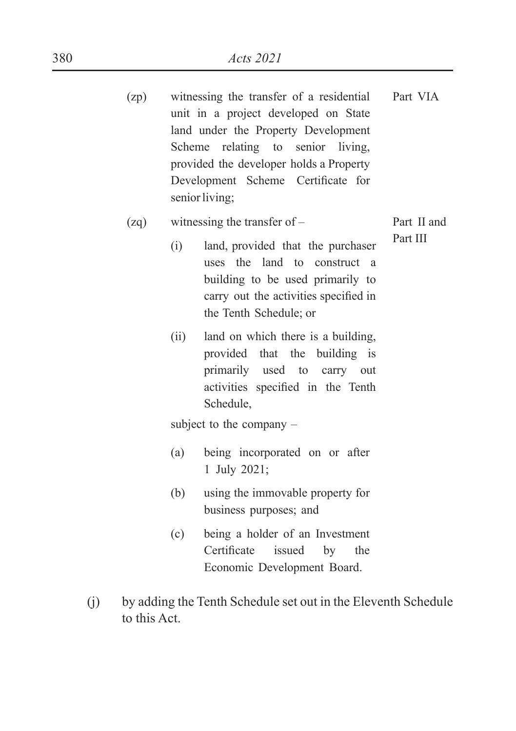| (zp) |      | witnessing the transfer of a residential<br>unit in a project developed on State<br>land under the Property Development<br>Scheme relating to senior living,<br>provided the developer holds a Property<br>Development Scheme Certificate for<br>senior living; | Part VIA |  |  |  |
|------|------|-----------------------------------------------------------------------------------------------------------------------------------------------------------------------------------------------------------------------------------------------------------------|----------|--|--|--|
| (zq) |      | witnessing the transfer of $-$                                                                                                                                                                                                                                  |          |  |  |  |
|      | (i)  | land, provided that the purchaser<br>uses the land to construct<br><sub>a</sub><br>building to be used primarily to<br>carry out the activities specified in<br>the Tenth Schedule; or                                                                          | Part III |  |  |  |
|      | (ii) | land on which there is a building,<br>provided that the building is<br>primarily used to carry out<br>activities specified in the Tenth<br>Schedule,                                                                                                            |          |  |  |  |
|      |      | subject to the company $-$                                                                                                                                                                                                                                      |          |  |  |  |
|      | (a)  | being incorporated on or after<br>1 July 2021;                                                                                                                                                                                                                  |          |  |  |  |
|      | (b)  | using the immovable property for<br>business purposes; and                                                                                                                                                                                                      |          |  |  |  |
|      | (c)  | being a holder of an Investment<br>Certificate issued<br>by<br>the<br>Economic Development Board.                                                                                                                                                               |          |  |  |  |

(j) by adding the Tenth Schedule set out in the Eleventh Schedule to this Act.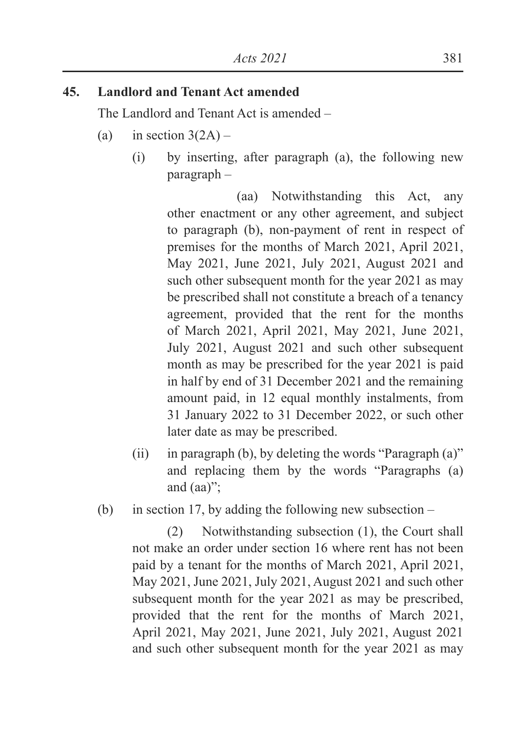### **45. Landlord and Tenant Act amended**

The Landlord and Tenant Act is amended –

- (a) in section  $3(2A)$ 
	- (i) by inserting, after paragraph (a), the following new paragraph –

 (aa) Notwithstanding this Act, any other enactment or any other agreement, and subject to paragraph (b), non-payment of rent in respect of premises for the months of March 2021, April 2021, May 2021, June 2021, July 2021, August 2021 and such other subsequent month for the year 2021 as may be prescribed shall not constitute a breach of a tenancy agreement, provided that the rent for the months of March 2021, April 2021, May 2021, June 2021, July 2021, August 2021 and such other subsequent month as may be prescribed for the year 2021 is paid in half by end of 31 December 2021 and the remaining amount paid, in 12 equal monthly instalments, from 31 January 2022 to 31 December 2022, or such other later date as may be prescribed.

- (ii) in paragraph (b), by deleting the words "Paragraph (a)" and replacing them by the words "Paragraphs (a) and (aa)";
- (b) in section 17, by adding the following new subsection –

(2) Notwithstanding subsection (1), the Court shall not make an order under section 16 where rent has not been paid by a tenant for the months of March 2021, April 2021, May 2021, June 2021, July 2021, August 2021 and such other subsequent month for the year 2021 as may be prescribed, provided that the rent for the months of March 2021, April 2021, May 2021, June 2021, July 2021, August 2021 and such other subsequent month for the year 2021 as may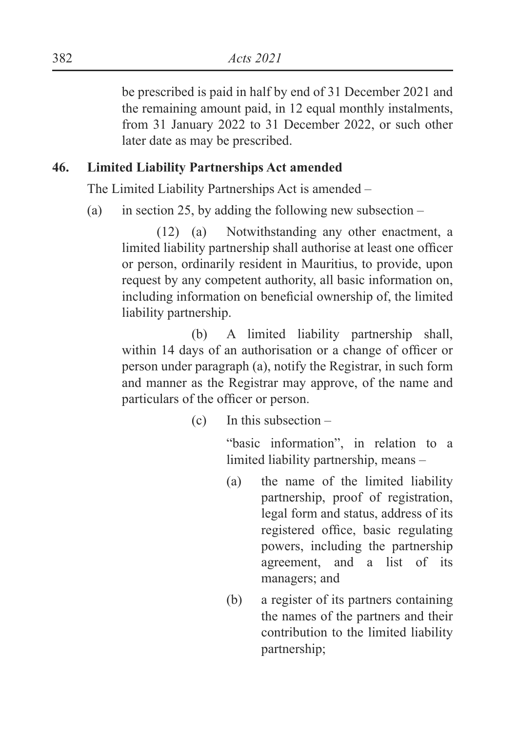be prescribed is paid in half by end of 31 December 2021 and the remaining amount paid, in 12 equal monthly instalments, from 31 January 2022 to 31 December 2022, or such other later date as may be prescribed.

### **46. Limited Liability Partnerships Act amended**

The Limited Liability Partnerships Act is amended –

(a) in section 25, by adding the following new subsection  $-$ 

(12) (a) Notwithstanding any other enactment, a limited liability partnership shall authorise at least one officer or person, ordinarily resident in Mauritius, to provide, upon request by any competent authority, all basic information on, including information on beneficial ownership of, the limited liability partnership.

 (b) A limited liability partnership shall, within 14 days of an authorisation or a change of officer or person under paragraph (a), notify the Registrar, in such form and manner as the Registrar may approve, of the name and particulars of the officer or person.

(c) In this subsection –

 "basic information", in relation to a limited liability partnership, means –

- (a) the name of the limited liability partnership, proof of registration, legal form and status, address of its registered office, basic regulating powers, including the partnership agreement, and a list of its managers; and
- (b) a register of its partners containing the names of the partners and their contribution to the limited liability partnership;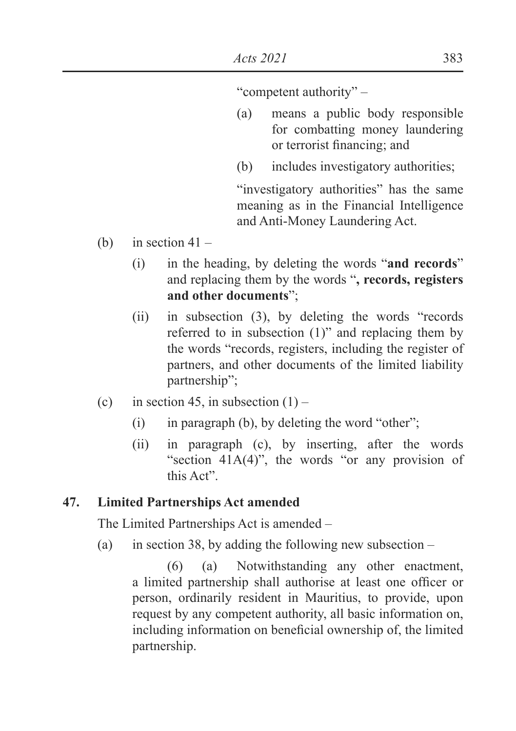"competent authority" –

- (a) means a public body responsible for combatting money laundering or terrorist financing; and
- (b) includes investigatory authorities;

 "investigatory authorities" has the same meaning as in the Financial Intelligence and Anti-Money Laundering Act.

- (b) in section  $41 -$ 
	- (i) in the heading, by deleting the words "**and records**" and replacing them by the words "**, records, registers and other documents**";
	- (ii) in subsection (3), by deleting the words "records referred to in subsection (1)" and replacing them by the words "records, registers, including the register of partners, and other documents of the limited liability partnership";
- (c) in section 45, in subsection  $(1)$ 
	- $(i)$  in paragraph (b), by deleting the word "other";
	- (ii) in paragraph (c), by inserting, after the words "section  $41A(4)$ ", the words "or any provision of this Act".

### **47. Limited Partnerships Act amended**

The Limited Partnerships Act is amended –

(a) in section 38, by adding the following new subsection  $-$ 

(6) (a) Notwithstanding any other enactment, a limited partnership shall authorise at least one officer or person, ordinarily resident in Mauritius, to provide, upon request by any competent authority, all basic information on, including information on beneficial ownership of, the limited partnership.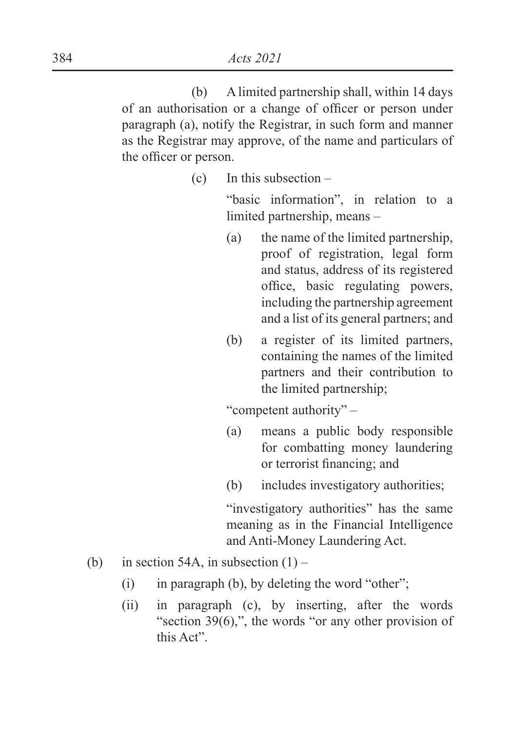(b) A limited partnership shall, within 14 days of an authorisation or a change of officer or person under paragraph (a), notify the Registrar, in such form and manner as the Registrar may approve, of the name and particulars of the officer or person.

(c) In this subsection –

 "basic information", in relation to a limited partnership, means –

- (a) the name of the limited partnership, proof of registration, legal form and status, address of its registered office, basic regulating powers. including the partnership agreement and a list of its general partners; and
- (b) a register of its limited partners, containing the names of the limited partners and their contribution to the limited partnership;

"competent authority" –

- (a) means a public body responsible for combatting money laundering or terrorist financing; and
- (b) includes investigatory authorities;

 "investigatory authorities" has the same meaning as in the Financial Intelligence and Anti-Money Laundering Act.

- (b) in section 54A, in subsection  $(1)$ 
	- (i) in paragraph (b), by deleting the word "other";
	- (ii) in paragraph (c), by inserting, after the words "section 39(6),", the words "or any other provision of this Act".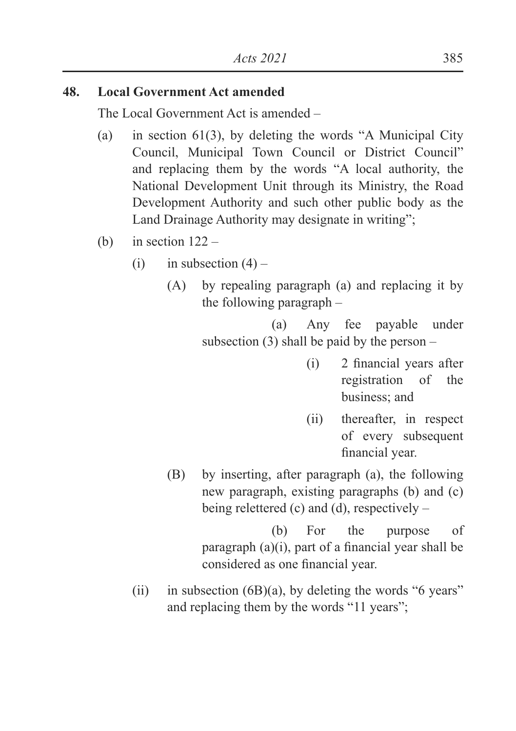#### **48. Local Government Act amended**

The Local Government Act is amended –

- (a) in section 61(3), by deleting the words "A Municipal City Council, Municipal Town Council or District Council" and replacing them by the words "A local authority, the National Development Unit through its Ministry, the Road Development Authority and such other public body as the Land Drainage Authority may designate in writing";
- (b) in section  $122 -$ 
	- (i) in subsection  $(4)$ 
		- (A) by repealing paragraph (a) and replacing it by the following paragraph –

 (a) Any fee payable under subsection  $(3)$  shall be paid by the person –

- $(i)$  2 financial vears after registration of the business; and
- (ii) thereafter, in respect of every subsequent financial vear.
- (B) by inserting, after paragraph (a), the following new paragraph, existing paragraphs (b) and (c) being relettered (c) and (d), respectively –

 (b) For the purpose of paragraph  $(a)(i)$ , part of a financial year shall be considered as one financial year.

(ii) in subsection  $(6B)(a)$ , by deleting the words "6 years" and replacing them by the words "11 years";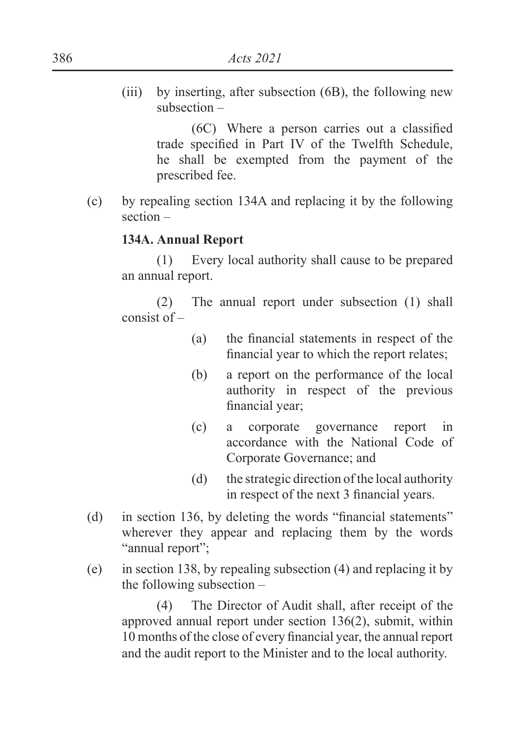(iii) by inserting, after subsection (6B), the following new subsection –

> $(6C)$  Where a person carries out a classified trade specified in Part IV of the Twelfth Schedule, he shall be exempted from the payment of the prescribed fee.

(c) by repealing section 134A and replacing it by the following section –

#### **134A. Annual Report**

(1) Every local authority shall cause to be prepared an annual report.

(2) The annual report under subsection (1) shall consist of –

- $(a)$  the financial statements in respect of the financial year to which the report relates;
- (b) a report on the performance of the local authority in respect of the previous financial year;
- (c) a corporate governance report in accordance with the National Code of Corporate Governance; and
- (d) the strategic direction of the local authority in respect of the next 3 financial years.
- (d) in section 136, by deleting the words "financial statements" wherever they appear and replacing them by the words "annual report";
- (e) in section 138, by repealing subsection (4) and replacing it by the following subsection –

(4) The Director of Audit shall, after receipt of the approved annual report under section 136(2), submit, within 10 months of the close of every financial year, the annual report and the audit report to the Minister and to the local authority.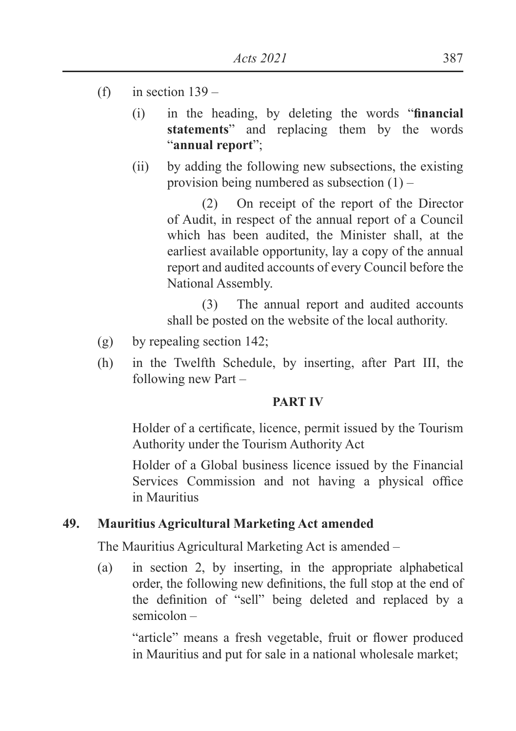- (f) in section  $139 -$ 
	- (i) in the heading, by deleting the words "**financial statements**" and replacing them by the words "**annual report**";
	- (ii) by adding the following new subsections, the existing provision being numbered as subsection  $(1)$  –

(2) On receipt of the report of the Director of Audit, in respect of the annual report of a Council which has been audited, the Minister shall, at the earliest available opportunity, lay a copy of the annual report and audited accounts of every Council before the National Assembly.

(3) The annual report and audited accounts shall be posted on the website of the local authority.

- (g) by repealing section 142;
- (h) in the Twelfth Schedule, by inserting, after Part III, the following new Part –

#### **PART IV**

Holder of a certificate, licence, permit issued by the Tourism Authority under the Tourism Authority Act

Holder of a Global business licence issued by the Financial Services Commission and not having a physical office in Mauritius

# **49. Mauritius Agricultural Marketing Act amended**

The Mauritius Agricultural Marketing Act is amended –

(a) in section 2, by inserting, in the appropriate alphabetical order, the following new definitions, the full stop at the end of the definition of "sell" being deleted and replaced by a semicolon –

"article" means a fresh vegetable, fruit or flower produced in Mauritius and put for sale in a national wholesale market;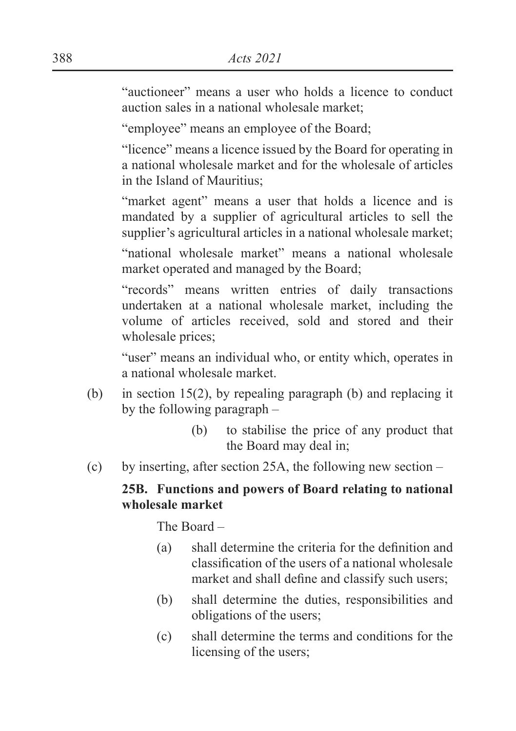"auctioneer" means a user who holds a licence to conduct auction sales in a national wholesale market;

"employee" means an employee of the Board;

"licence" means a licence issued by the Board for operating in a national wholesale market and for the wholesale of articles in the Island of Mauritius;

"market agent" means a user that holds a licence and is mandated by a supplier of agricultural articles to sell the supplier's agricultural articles in a national wholesale market;

"national wholesale market" means a national wholesale market operated and managed by the Board;

"records" means written entries of daily transactions undertaken at a national wholesale market, including the volume of articles received, sold and stored and their wholesale prices;

"user" means an individual who, or entity which, operates in a national wholesale market.

- (b) in section 15(2), by repealing paragraph (b) and replacing it by the following paragraph –
	- (b) to stabilise the price of any product that the Board may deal in;
- (c) by inserting, after section 25A, the following new section –

### **25B. Functions and powers of Board relating to national wholesale market**

The Board –

- $\alpha$  shall determine the criteria for the definition and classification of the users of a national wholesale market and shall define and classify such users:
- (b) shall determine the duties, responsibilities and obligations of the users;
- (c) shall determine the terms and conditions for the licensing of the users;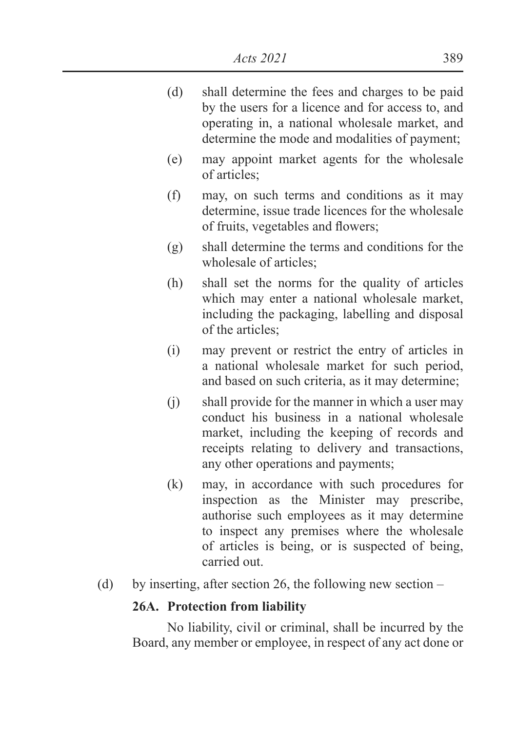- (d) shall determine the fees and charges to be paid by the users for a licence and for access to, and operating in, a national wholesale market, and determine the mode and modalities of payment;
- (e) may appoint market agents for the wholesale of articles;
- (f) may, on such terms and conditions as it may determine, issue trade licences for the wholesale of fruits, vegetables and flowers:
- (g) shall determine the terms and conditions for the wholesale of articles;
- (h) shall set the norms for the quality of articles which may enter a national wholesale market, including the packaging, labelling and disposal of the articles;
- (i) may prevent or restrict the entry of articles in a national wholesale market for such period, and based on such criteria, as it may determine;
- (j) shall provide for the manner in which a user may conduct his business in a national wholesale market, including the keeping of records and receipts relating to delivery and transactions, any other operations and payments;
- (k) may, in accordance with such procedures for inspection as the Minister may prescribe, authorise such employees as it may determine to inspect any premises where the wholesale of articles is being, or is suspected of being, carried out.
- (d) by inserting, after section 26, the following new section –

## **26A. Protection from liability**

No liability, civil or criminal, shall be incurred by the Board, any member or employee, in respect of any act done or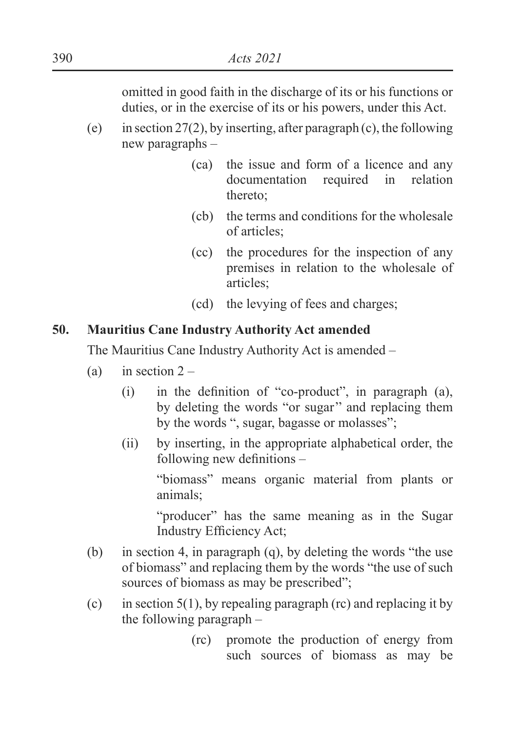omitted in good faith in the discharge of its or his functions or duties, or in the exercise of its or his powers, under this Act.

- (e) in section 27(2), by inserting, after paragraph (c), the following new paragraphs –
	- (ca) the issue and form of a licence and any documentation required in relation thereto;
	- (cb) the terms and conditions for the wholesale of articles;
	- (cc) the procedures for the inspection of any premises in relation to the wholesale of articles;
	- (cd) the levying of fees and charges;

#### **50. Mauritius Cane Industry Authority Act amended**

The Mauritius Cane Industry Authority Act is amended –

- (a) in section  $2 -$ 
	- $(i)$  in the definition of "co-product", in paragraph  $(a)$ , by deleting the words "or sugar'' and replacing them by the words ", sugar, bagasse or molasses";
	- (ii) by inserting, in the appropriate alphabetical order, the  $\overline{\text{following new definitions}}$  –

"biomass" means organic material from plants or animals;

"producer" has the same meaning as in the Sugar Industry Efficiency Act;

- (b) in section 4, in paragraph (q), by deleting the words "the use of biomass" and replacing them by the words "the use of such sources of biomass as may be prescribed";
- (c) in section  $5(1)$ , by repealing paragraph (rc) and replacing it by the following paragraph –
	- (rc) promote the production of energy from such sources of biomass as may be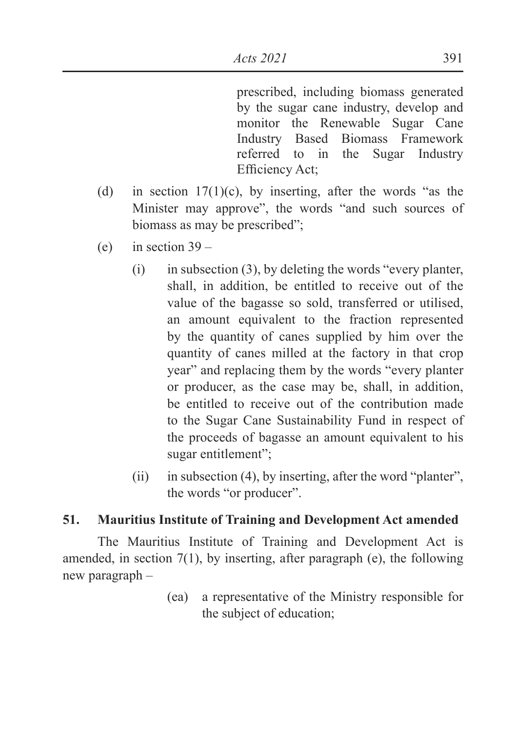prescribed, including biomass generated by the sugar cane industry, develop and monitor the Renewable Sugar Cane Industry Based Biomass Framework referred to in the Sugar Industry Efficiency Act;

- (d) in section  $17(1)(c)$ , by inserting, after the words "as the Minister may approve", the words "and such sources of biomass as may be prescribed";
- (e) in section  $39 -$ 
	- $(i)$  in subsection (3), by deleting the words "every planter, shall, in addition, be entitled to receive out of the value of the bagasse so sold, transferred or utilised, an amount equivalent to the fraction represented by the quantity of canes supplied by him over the quantity of canes milled at the factory in that crop year" and replacing them by the words "every planter or producer, as the case may be, shall, in addition, be entitled to receive out of the contribution made to the Sugar Cane Sustainability Fund in respect of the proceeds of bagasse an amount equivalent to his sugar entitlement";
	- (ii) in subsection (4), by inserting, after the word "planter", the words "or producer".

### **51. Mauritius Institute of Training and Development Act amended**

The Mauritius Institute of Training and Development Act is amended, in section  $7(1)$ , by inserting, after paragraph (e), the following new paragraph –

> (ea) a representative of the Ministry responsible for the subject of education;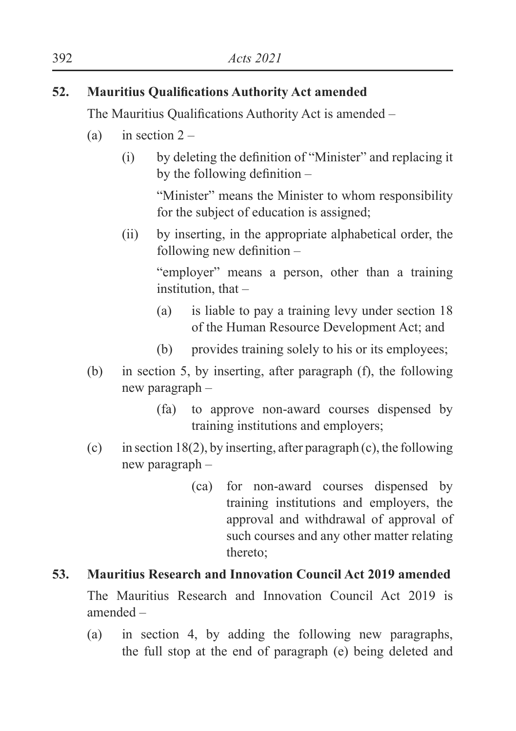## **52. Mauritius Oualifications Authority Act amended**

The Mauritius Oualifications Authority Act is amended  $-$ 

- (a) in section  $2 -$ 
	- $(i)$  by deleting the definition of "Minister" and replacing it by the following definition  $-$

 "Minister" means the Minister to whom responsibility for the subject of education is assigned;

(ii) by inserting, in the appropriate alphabetical order, the following new definition  $-$ 

> "employer" means a person, other than a training institution, that –

- (a) is liable to pay a training levy under section 18 of the Human Resource Development Act; and
- (b) provides training solely to his or its employees;
- (b) in section 5, by inserting, after paragraph (f), the following new paragraph –
	- (fa) to approve non-award courses dispensed by training institutions and employers;
- (c) in section 18(2), by inserting, after paragraph (c), the following new paragraph –
	- (ca) for non-award courses dispensed by training institutions and employers, the approval and withdrawal of approval of such courses and any other matter relating thereto;

#### **53. Mauritius Research and Innovation Council Act 2019 amended**

The Mauritius Research and Innovation Council Act 2019 is amended –

(a) in section 4, by adding the following new paragraphs, the full stop at the end of paragraph (e) being deleted and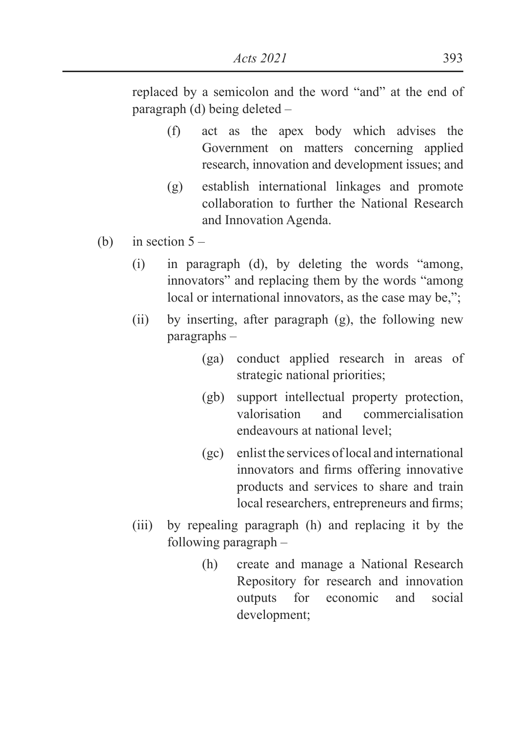replaced by a semicolon and the word "and" at the end of paragraph (d) being deleted –

- (f) act as the apex body which advises the Government on matters concerning applied research, innovation and development issues; and
- (g) establish international linkages and promote collaboration to further the National Research and Innovation Agenda.
- (b) in section  $5 -$ 
	- (i) in paragraph (d), by deleting the words "among, innovators" and replacing them by the words "among local or international innovators, as the case may be,";
	- (ii) by inserting, after paragraph (g), the following new paragraphs –
		- (ga) conduct applied research in areas of strategic national priorities;
		- (gb) support intellectual property protection, valorisation and commercialisation endeavours at national level;
		- (gc) enlist the services of local and international innovators and firms offering innovative products and services to share and train local researchers, entrepreneurs and firms;
	- (iii) by repealing paragraph (h) and replacing it by the following paragraph –
		- (h) create and manage a National Research Repository for research and innovation outputs for economic and social development;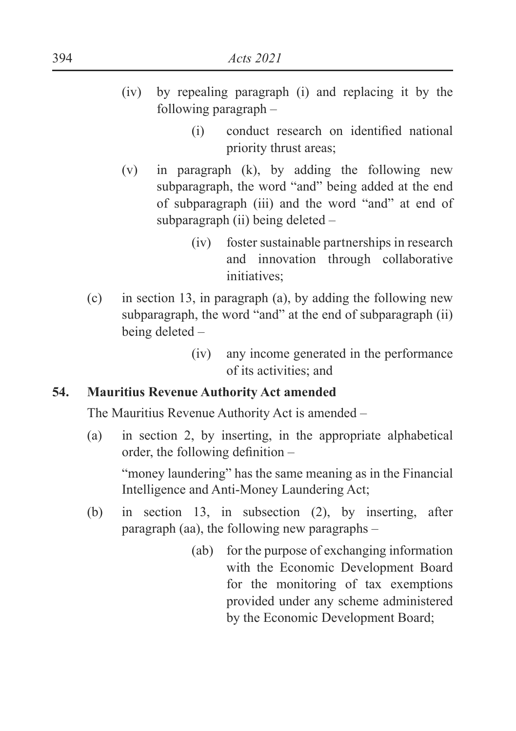- (iv) by repealing paragraph (i) and replacing it by the following paragraph –
	- $(i)$  conduct research on identified national priority thrust areas;
- (v) in paragraph (k), by adding the following new subparagraph, the word "and" being added at the end of subparagraph (iii) and the word "and" at end of subparagraph (ii) being deleted –
	- (iv) foster sustainable partnerships in research and innovation through collaborative initiatives:
- (c) in section 13, in paragraph (a), by adding the following new subparagraph, the word "and" at the end of subparagraph (ii) being deleted –
	- (iv) any income generated in the performance of its activities; and

## **54. Mauritius Revenue Authority Act amended**

The Mauritius Revenue Authority Act is amended –

(a) in section 2, by inserting, in the appropriate alphabetical order, the following definition  $-$ 

"money laundering" has the same meaning as in the Financial Intelligence and Anti-Money Laundering Act;

- (b) in section 13, in subsection (2), by inserting, after paragraph (aa), the following new paragraphs –
	- (ab) for the purpose of exchanging information with the Economic Development Board for the monitoring of tax exemptions provided under any scheme administered by the Economic Development Board;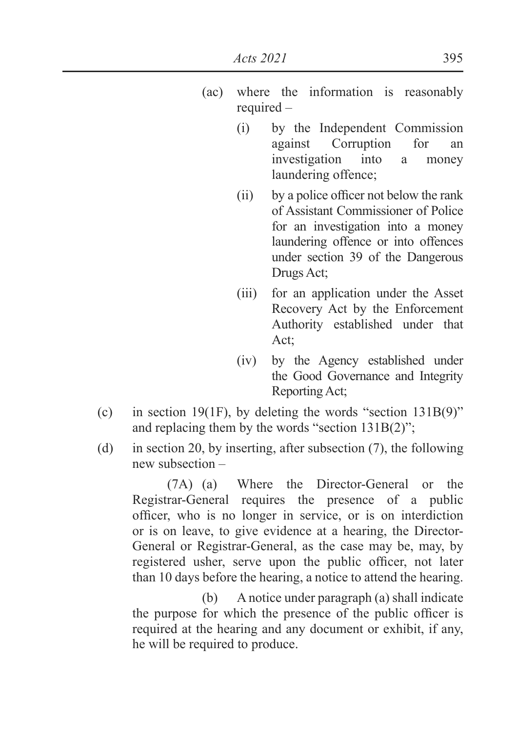- (ac) where the information is reasonably required –
	- (i) by the Independent Commission against Corruption for an investigation into a money laundering offence;
	- $\Omega$  by a police officer not below the rank of Assistant Commissioner of Police for an investigation into a money laundering offence or into offences under section 39 of the Dangerous Drugs Act;
	- (iii) for an application under the Asset Recovery Act by the Enforcement Authority established under that Act;
	- (iv) by the Agency established under the Good Governance and Integrity Reporting Act;
- (c) in section 19(1F), by deleting the words "section  $131B(9)$ " and replacing them by the words "section 131B(2)";
- (d) in section 20, by inserting, after subsection (7), the following new subsection –

(7A) (a) Where the Director-General or the Registrar-General requires the presence of a public officer, who is no longer in service, or is on interdiction or is on leave, to give evidence at a hearing, the Director-General or Registrar-General, as the case may be, may, by registered usher, serve upon the public officer, not later than 10 days before the hearing, a notice to attend the hearing.

 (b) A notice under paragraph (a) shall indicate the purpose for which the presence of the public officer is required at the hearing and any document or exhibit, if any, he will be required to produce.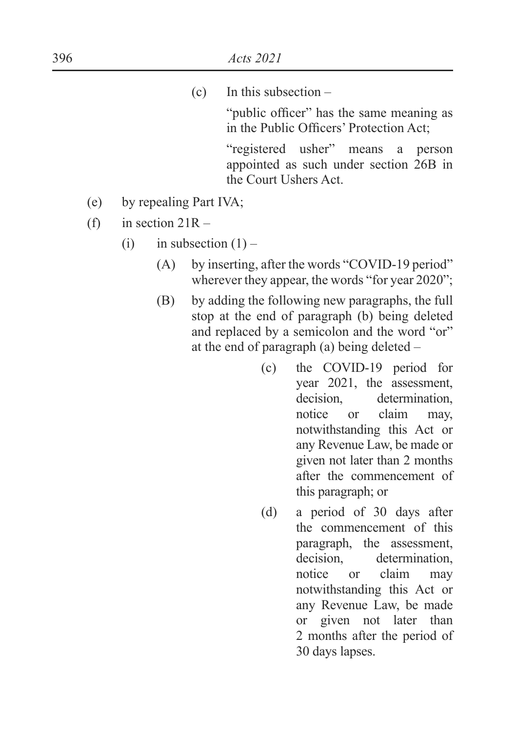(c) In this subsection –

"public officer" has the same meaning as in the Public Officers' Protection Act:

 "registered usher" means a person appointed as such under section 26B in the Court Ushers Act.

- (e) by repealing Part IVA;
- (f) in section  $21R -$ 
	- (i) in subsection  $(1)$ 
		- (A) by inserting, after the words "COVID-19 period" wherever they appear, the words "for year 2020";
		- (B) by adding the following new paragraphs, the full stop at the end of paragraph (b) being deleted and replaced by a semicolon and the word "or" at the end of paragraph (a) being deleted –
			- (c) the COVID-19 period for year 2021, the assessment, decision. determination, notice or claim may, notwithstanding this Act or any Revenue Law, be made or given not later than 2 months after the commencement of this paragraph; or
			- (d) a period of 30 days after the commencement of this paragraph, the assessment, decision, determination, notice or claim may notwithstanding this Act or any Revenue Law, be made or given not later than 2 months after the period of 30 days lapses.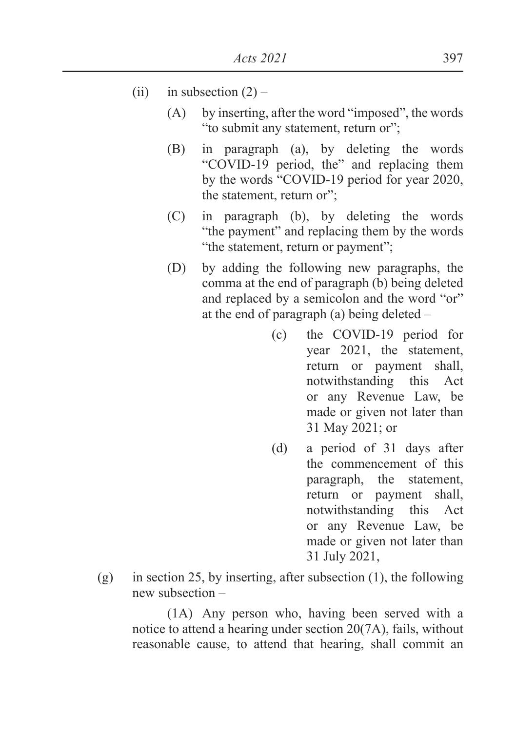- (ii) in subsection  $(2)$ 
	- (A) by inserting, after the word "imposed", the words "to submit any statement, return or";
	- (B) in paragraph (a), by deleting the words "COVID-19 period, the" and replacing them by the words "COVID-19 period for year 2020, the statement, return or";
	- (C) in paragraph (b), by deleting the words "the payment" and replacing them by the words "the statement, return or payment";
	- (D) by adding the following new paragraphs, the comma at the end of paragraph (b) being deleted and replaced by a semicolon and the word "or" at the end of paragraph (a) being deleted –
		- (c) the COVID-19 period for year 2021, the statement, return or payment shall, notwithstanding this Act or any Revenue Law, be made or given not later than 31 May 2021; or
		- (d) a period of 31 days after the commencement of this paragraph, the statement, return or payment shall, notwithstanding this Act or any Revenue Law, be made or given not later than 31 July 2021,
- (g) in section 25, by inserting, after subsection (1), the following new subsection –

(1A) Any person who, having been served with a notice to attend a hearing under section 20(7A), fails, without reasonable cause, to attend that hearing, shall commit an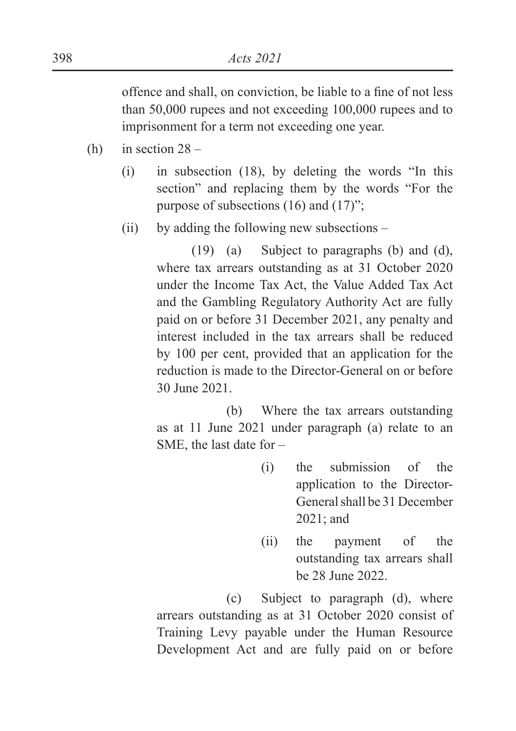offence and shall, on conviction, be liable to a fine of not less than 50,000 rupees and not exceeding 100,000 rupees and to imprisonment for a term not exceeding one year.

- (h) in section  $28 -$ 
	- (i) in subsection (18), by deleting the words "In this section" and replacing them by the words "For the purpose of subsections (16) and (17)";
	- (ii) by adding the following new subsections –

(19) (a) Subject to paragraphs (b) and (d), where tax arrears outstanding as at 31 October 2020 under the Income Tax Act, the Value Added Tax Act and the Gambling Regulatory Authority Act are fully paid on or before 31 December 2021, any penalty and interest included in the tax arrears shall be reduced by 100 per cent, provided that an application for the reduction is made to the Director-General on or before 30 June 2021.

 (b) Where the tax arrears outstanding as at 11 June 2021 under paragraph (a) relate to an SME, the last date for –

- (i) the submission of the application to the Director-General shall be 31 December 2021; and
- (ii) the payment of the outstanding tax arrears shall be 28 June 2022.

 (c) Subject to paragraph (d), where arrears outstanding as at 31 October 2020 consist of Training Levy payable under the Human Resource Development Act and are fully paid on or before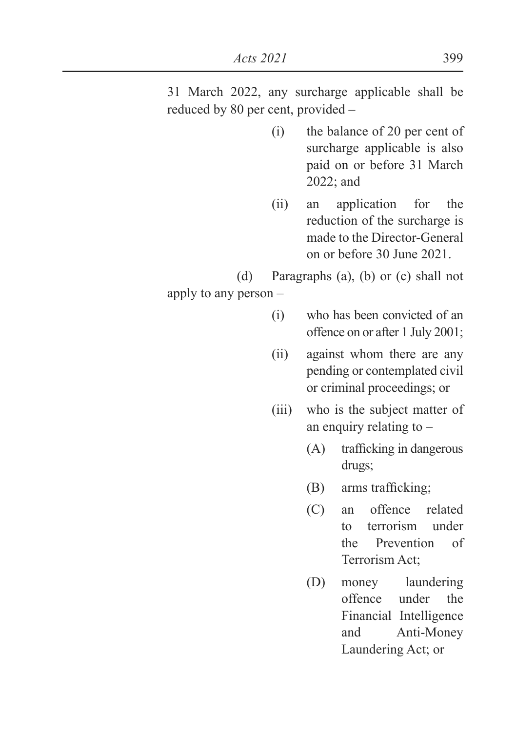31 March 2022, any surcharge applicable shall be reduced by 80 per cent, provided –

- (i) the balance of 20 per cent of surcharge applicable is also paid on or before 31 March 2022; and
- (ii) an application for the reduction of the surcharge is made to the Director-General on or before 30 June 2021.

(d) Paragraphs (a), (b) or (c) shall not

apply to any person –

- (i) who has been convicted of an offence on or after 1 July 2001;
- (ii) against whom there are any pending or contemplated civil or criminal proceedings; or
- (iii) who is the subject matter of an enquiry relating to –
	- $(A)$  trafficking in dangerous drugs;
	- $(B)$  arms trafficking;
	- (C) an offence related to terrorism under the Prevention of Terrorism Act;
	- (D) money laundering offence under the Financial Intelligence and Anti-Money Laundering Act; or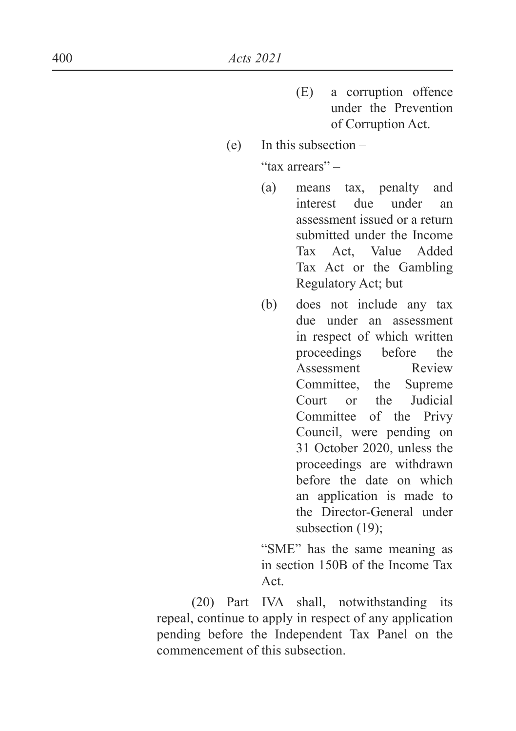- (E) a corruption offence under the Prevention of Corruption Act.
- (e) In this subsection "tax arrears" –
	- (a) means tax, penalty and interest due under an assessment issued or a return submitted under the Income Tax Act, Value Added Tax Act or the Gambling Regulatory Act; but
	- (b) does not include any tax due under an assessment in respect of which written proceedings before the Assessment Review Committee, the Supreme Court or the Judicial Committee of the Privy Council, were pending on 31 October 2020, unless the proceedings are withdrawn before the date on which an application is made to the Director-General under subsection (19):

 "SME" has the same meaning as in section 150B of the Income Tax Act.

(20) Part IVA shall, notwithstanding its repeal, continue to apply in respect of any application pending before the Independent Tax Panel on the commencement of this subsection.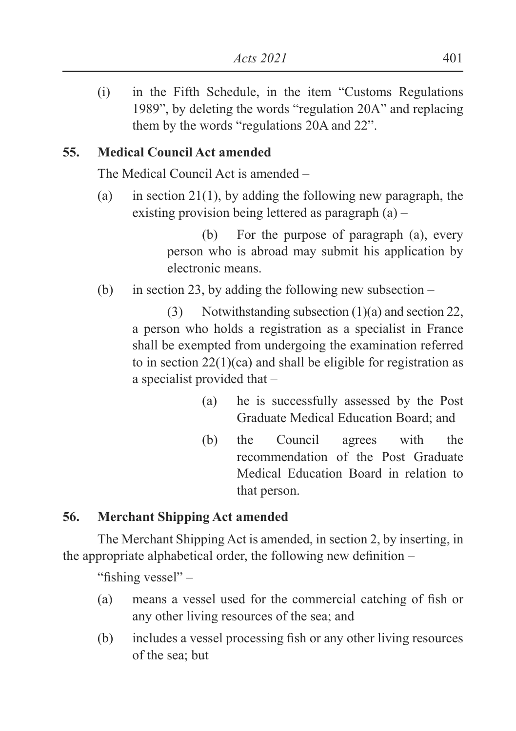(i) in the Fifth Schedule, in the item "Customs Regulations 1989", by deleting the words "regulation 20A" and replacing them by the words "regulations 20A and 22".

## **55. Medical Council Act amended**

The Medical Council Act is amended –

(a) in section 21(1), by adding the following new paragraph, the existing provision being lettered as paragraph (a) –

> (b) For the purpose of paragraph (a), every person who is abroad may submit his application by electronic means.

(b) in section 23, by adding the following new subsection –

(3) Notwithstanding subsection (1)(a) and section 22, a person who holds a registration as a specialist in France shall be exempted from undergoing the examination referred to in section 22(1)(ca) and shall be eligible for registration as a specialist provided that –

- (a) he is successfully assessed by the Post Graduate Medical Education Board; and
- (b) the Council agrees with the recommendation of the Post Graduate Medical Education Board in relation to that person.

## **56. Merchant Shipping Act amended**

The Merchant Shipping Act is amended, in section 2, by inserting, in the appropriate alphabetical order, the following new definition  $-$ 

"fishing vessel"  $-$ 

- (a) means a vessel used for the commercial catching of fish or any other living resources of the sea; and
- $(b)$  includes a vessel processing fish or any other living resources of the sea; but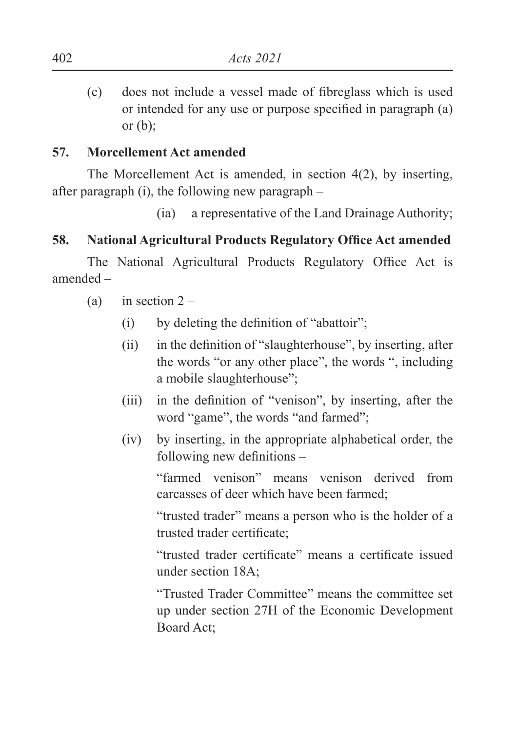$\epsilon$ ) does not include a vessel made of fibreglass which is used or intended for any use or purpose specified in paragraph  $(a)$ or  $(b)$ ;

### **57. Morcellement Act amended**

The Morcellement Act is amended, in section 4(2), by inserting, after paragraph (i), the following new paragraph –

(ia) a representative of the Land Drainage Authority;

### **58.** National Agricultural Products Regulatory Office Act amended

The National Agricultural Products Regulatory Office Act is amended –

- (a) in section  $2 -$ 
	- $(i)$  by deleting the definition of "abattoir":
	- $\delta$  in the definition of "slaughterhouse", by inserting, after the words "or any other place", the words ", including a mobile slaughterhouse";
	- $(iii)$  in the definition of "venison", by inserting, after the word "game", the words "and farmed";
	- (iv) by inserting, in the appropriate alphabetical order, the following new definitions  $-$

"farmed venison" means venison derived from carcasses of deer which have been farmed;

"trusted trader" means a person who is the holder of a trusted trader certificate:

"trusted trader certificate" means a certificate issued under section 18A;

"Trusted Trader Committee" means the committee set up under section 27H of the Economic Development Board Act;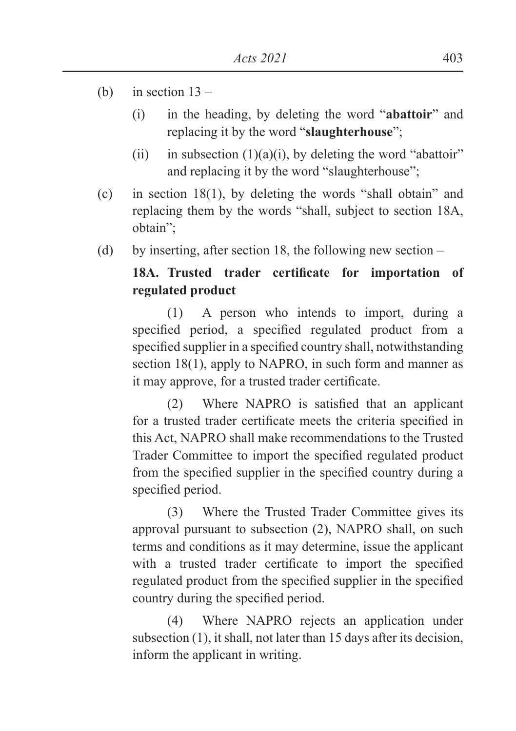- (b) in section  $13 -$ 
	- (i) in the heading, by deleting the word "**abattoir**" and replacing it by the word "**slaughterhouse**";
	- (ii) in subsection  $(1)(a)(i)$ , by deleting the word "abattoir" and replacing it by the word "slaughterhouse";
- (c) in section 18(1), by deleting the words "shall obtain" and replacing them by the words "shall, subject to section 18A, obtain";
- (d) by inserting, after section 18, the following new section –

## 18A. Trusted trader certificate for importation of **regulated product**

(1) A person who intends to import, during a specified period, a specified regulated product from a specified supplier in a specified country shall, notwithstanding section 18(1), apply to NAPRO, in such form and manner as it may approve, for a trusted trader certificate.

 $(2)$  Where NAPRO is satisfied that an applicant for a trusted trader certificate meets the criteria specified in this Act, NAPRO shall make recommendations to the Trusted Trader Committee to import the specified regulated product from the specified supplier in the specified country during a specified period.

(3) Where the Trusted Trader Committee gives its approval pursuant to subsection (2), NAPRO shall, on such terms and conditions as it may determine, issue the applicant with a trusted trader certificate to import the specified regulated product from the specified supplier in the specified country during the specified period.

(4) Where NAPRO rejects an application under subsection (1), it shall, not later than 15 days after its decision, inform the applicant in writing.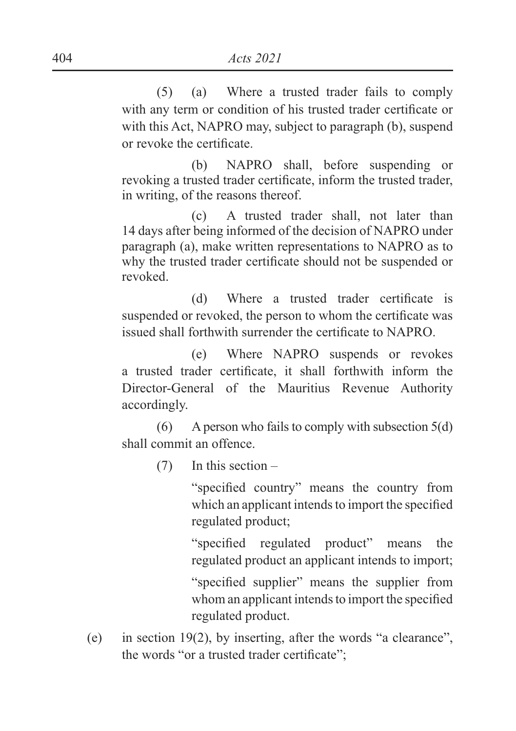(5) (a) Where a trusted trader fails to comply with any term or condition of his trusted trader certificate or with this Act, NAPRO may, subject to paragraph (b), suspend or revoke the certificate.

 (b) NAPRO shall, before suspending or revoking a trusted trader certificate, inform the trusted trader, in writing, of the reasons thereof.

 (c) A trusted trader shall, not later than 14 days after being informed of the decision of NAPRO under paragraph (a), make written representations to NAPRO as to why the trusted trader certificate should not be suspended or revoked.

(d) Where a trusted trader certificate is suspended or revoked, the person to whom the certificate was issued shall forthwith surrender the certificate to NAPRO.

 (e) Where NAPRO suspends or revokes a trusted trader certificate, it shall forthwith inform the Director-General of the Mauritius Revenue Authority accordingly.

 $(6)$  A person who fails to comply with subsection 5(d) shall commit an offence.

(7) In this section –

"specified country" means the country from which an applicant intends to import the specified regulated product;

"specified regulated product" means the regulated product an applicant intends to import;

"specified supplier" means the supplier from whom an applicant intends to import the specified regulated product.

(e) in section 19(2), by inserting, after the words "a clearance", the words "or a trusted trader certificate";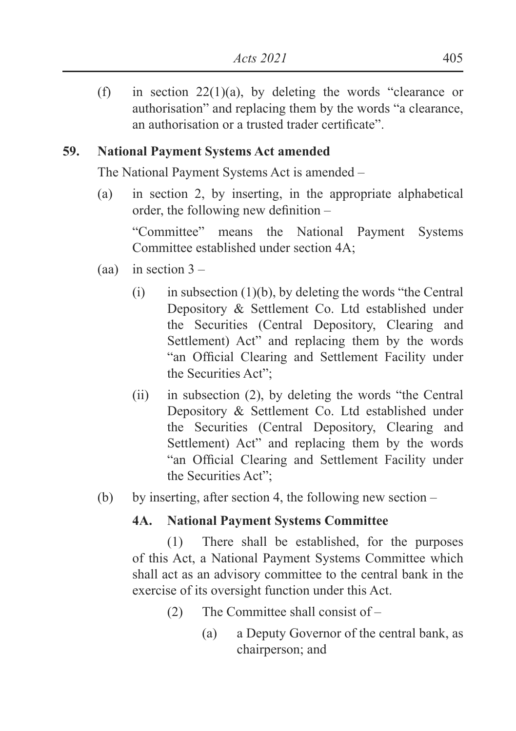(f) in section  $22(1)(a)$ , by deleting the words "clearance or authorisation" and replacing them by the words "a clearance, an authorisation or a trusted trader certificate"

## **59. National Payment Systems Act amended**

The National Payment Systems Act is amended –

(a) in section 2, by inserting, in the appropriate alphabetical order, the following new definition  $-$ 

"Committee" means the National Payment Systems Committee established under section 4A;

- (aa) in section  $3 -$ 
	- (i) in subsection  $(1)(b)$ , by deleting the words "the Central" Depository & Settlement Co. Ltd established under the Securities (Central Depository, Clearing and Settlement) Act" and replacing them by the words "an Official Clearing and Settlement Facility under the Securities Act";
	- (ii) in subsection (2), by deleting the words "the Central Depository & Settlement Co. Ltd established under the Securities (Central Depository, Clearing and Settlement) Act" and replacing them by the words "an Official Clearing and Settlement Facility under the Securities Act";
- (b) by inserting, after section 4, the following new section –

### **4A. National Payment Systems Committee**

(1) There shall be established, for the purposes of this Act, a National Payment Systems Committee which shall act as an advisory committee to the central bank in the exercise of its oversight function under this Act.

- (2) The Committee shall consist of
	- (a) a Deputy Governor of the central bank, as chairperson; and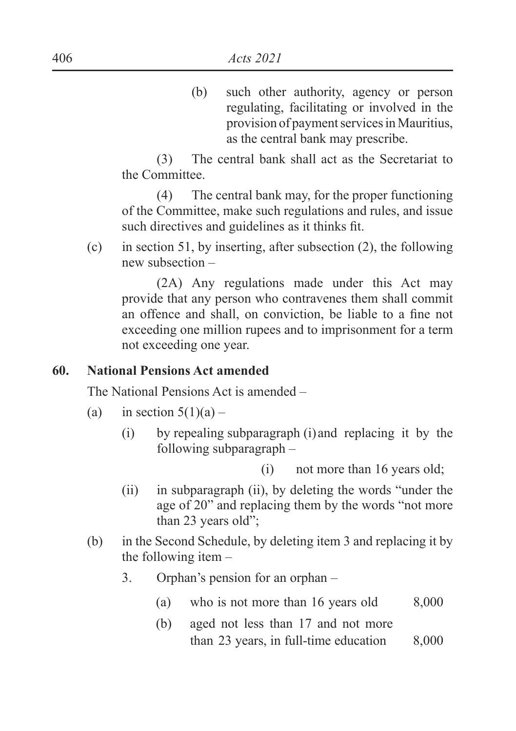(b) such other authority, agency or person regulating, facilitating or involved in the provision of payment services in Mauritius, as the central bank may prescribe.

(3) The central bank shall act as the Secretariat to the Committee.

(4) The central bank may, for the proper functioning of the Committee, make such regulations and rules, and issue such directives and guidelines as it thinks fit.

(c) in section 51, by inserting, after subsection  $(2)$ , the following new subsection –

(2A) Any regulations made under this Act may provide that any person who contravenes them shall commit an offence and shall, on conviction, be liable to a fine not exceeding one million rupees and to imprisonment for a term not exceeding one year.

#### **60. National Pensions Act amended**

The National Pensions Act is amended –

- (a) in section  $5(1)(a)$ 
	- (i) by repealing subparagraph (i) and replacing it by the following subparagraph –

(i) not more than 16 years old;

- (ii) in subparagraph (ii), by deleting the words "under the age of 20" and replacing them by the words "not more than 23 years old";
- (b) in the Second Schedule, by deleting item 3 and replacing it by the following item –
	- 3. Orphan's pension for an orphan
		- (a) who is not more than 16 years old  $8,000$
		- (b) aged not less than 17 and not more than 23 years, in full-time education 8,000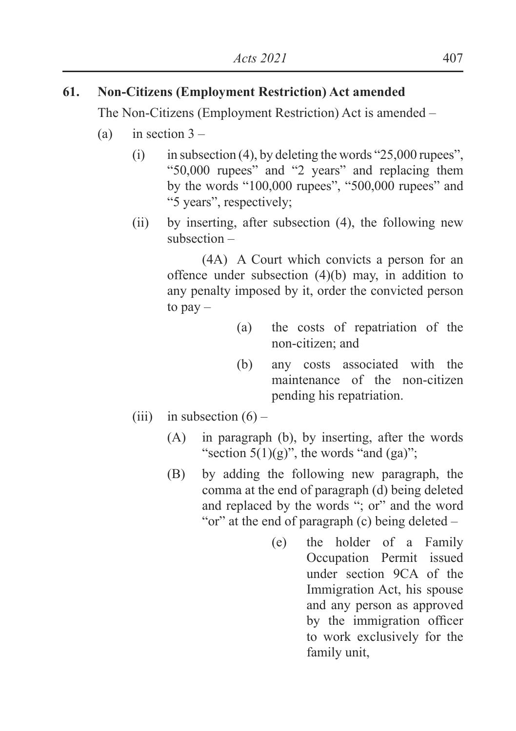## **61. Non-Citizens (Employment Restriction) Act amended**

The Non-Citizens (Employment Restriction) Act is amended –

- (a) in section  $3 -$ 
	- (i) in subsection (4), by deleting the words "25,000 rupees", "50,000 rupees" and "2 years" and replacing them by the words "100,000 rupees", "500,000 rupees" and "5 years", respectively;
	- (ii) by inserting, after subsection (4), the following new subsection –

(4A) A Court which convicts a person for an offence under subsection  $(4)(b)$  may, in addition to any penalty imposed by it, order the convicted person to  $pay -$ 

- (a) the costs of repatriation of the non-citizen; and
- (b) any costs associated with the maintenance of the non-citizen pending his repatriation.
- (iii) in subsection  $(6)$ 
	- (A) in paragraph (b), by inserting, after the words "section  $5(1)(g)$ ", the words "and  $(ga)$ ";
	- (B) by adding the following new paragraph, the comma at the end of paragraph (d) being deleted and replaced by the words "; or" and the word "or" at the end of paragraph (c) being deleted –
		- (e) the holder of a Family Occupation Permit issued under section 9CA of the Immigration Act, his spouse and any person as approved by the immigration officer to work exclusively for the family unit,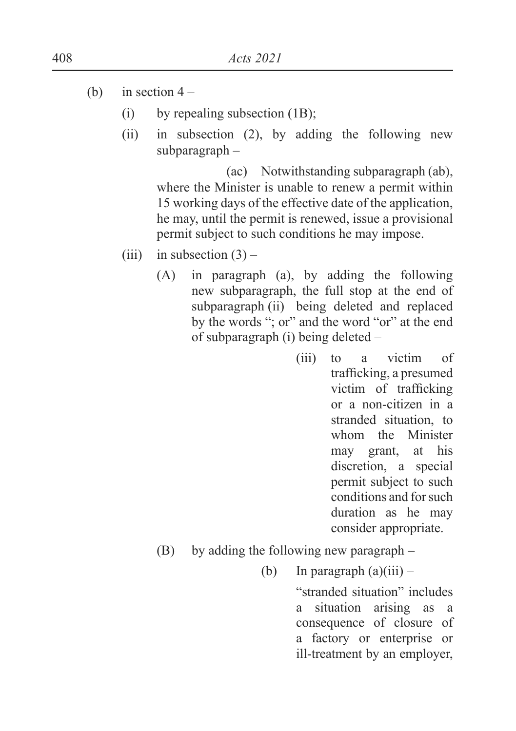- (b) in section  $4 -$ 
	- (i) by repealing subsection  $(1B)$ ;
	- (ii) in subsection (2), by adding the following new subparagraph –

 (ac) Notwithstanding subparagraph (ab), where the Minister is unable to renew a permit within 15 working days of the effective date of the application, he may, until the permit is renewed, issue a provisional permit subject to such conditions he may impose.

- (iii) in subsection  $(3)$ 
	- (A) in paragraph (a), by adding the following new subparagraph, the full stop at the end of subparagraph (ii) being deleted and replaced by the words "; or" and the word "or" at the end of subparagraph (i) being deleted –
		- (iii) to a victim of trafficking, a presumed victim of trafficking or a non-citizen in a stranded situation, to whom the Minister may grant, at his discretion, a special permit subject to such conditions and for such duration as he may consider appropriate.
	- (B) by adding the following new paragraph
		- (b) In paragraph  $(a)(iii)$  –

 "stranded situation" includes a situation arising as a consequence of closure of a factory or enterprise or ill-treatment by an employer,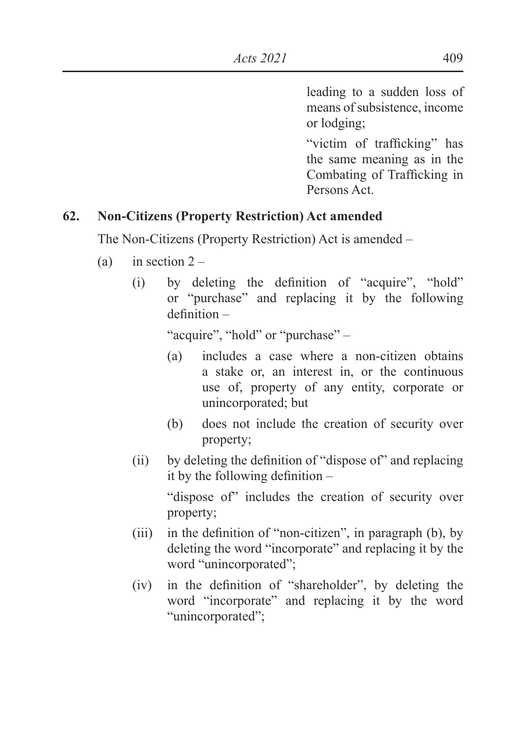leading to a sudden loss of means of subsistence, income or lodging;

"victim of trafficking" has the same meaning as in the Combating of Trafficking in Persons Act.

### **62. Non-Citizens (Property Restriction) Act amended**

The Non-Citizens (Property Restriction) Act is amended –

- (a) in section  $2 -$ 
	- $(i)$  by deleting the definition of "acquire", "hold" or "purchase" and replacing it by the following  $definition -$

"acquire", "hold" or "purchase" –

- (a) includes a case where a non-citizen obtains a stake or, an interest in, or the continuous use of, property of any entity, corporate or unincorporated; but
- (b) does not include the creation of security over property;
- (ii) by deleting the definition of "dispose of" and replacing it by the following definition  $-$  "dispose of" includes the creation of security over property;
- (iii) in the definition of "non-citizen", in paragraph (b), by deleting the word "incorporate" and replacing it by the word "unincorporated";
- $(iv)$  in the definition of "shareholder", by deleting the word "incorporate" and replacing it by the word "unincorporated":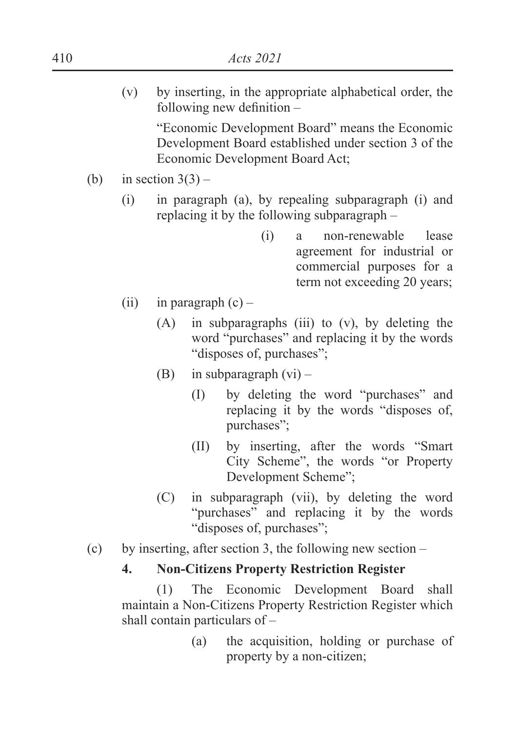(v) by inserting, in the appropriate alphabetical order, the  $following new definition –$ 

"Economic Development Board" means the Economic Development Board established under section 3 of the Economic Development Board Act;

- (b) in section  $3(3)$ 
	- (i) in paragraph (a), by repealing subparagraph (i) and replacing it by the following subparagraph –
		- (i) a non-renewable lease agreement for industrial or commercial purposes for a term not exceeding 20 years;
	- (ii) in paragraph  $(c)$ 
		- (A) in subparagraphs (iii) to (v), by deleting the word "purchases" and replacing it by the words "disposes of, purchases";
		- (B) in subparagraph  $(vi)$ 
			- (I) by deleting the word "purchases" and replacing it by the words "disposes of, purchases";
			- (II) by inserting, after the words "Smart City Scheme", the words "or Property Development Scheme";
		- (C) in subparagraph (vii), by deleting the word "purchases" and replacing it by the words "disposes of, purchases";
- (c) by inserting, after section 3, the following new section –

#### **4. Non-Citizens Property Restriction Register**

 (1) The Economic Development Board shall maintain a Non-Citizens Property Restriction Register which shall contain particulars of –

> (a) the acquisition, holding or purchase of property by a non-citizen;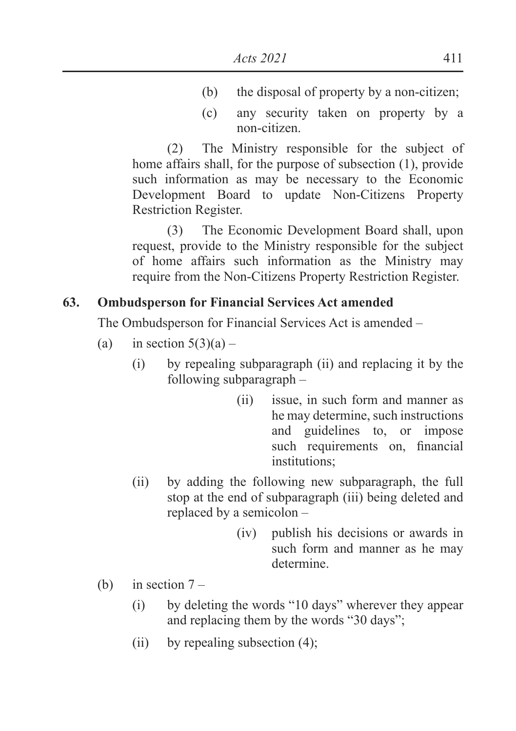- (b) the disposal of property by a non-citizen;
- (c) any security taken on property by a non-citizen.

 (2) The Ministry responsible for the subject of home affairs shall, for the purpose of subsection (1), provide such information as may be necessary to the Economic Development Board to update Non-Citizens Property Restriction Register.

 (3) The Economic Development Board shall, upon request, provide to the Ministry responsible for the subject of home affairs such information as the Ministry may require from the Non-Citizens Property Restriction Register.

### **63. Ombudsperson for Financial Services Act amended**

The Ombudsperson for Financial Services Act is amended –

- (a) in section  $5(3)(a)$ 
	- (i) by repealing subparagraph (ii) and replacing it by the following subparagraph –
		- (ii) issue, in such form and manner as he may determine, such instructions and guidelines to, or impose such requirements on, financial institutions;
	- (ii) by adding the following new subparagraph, the full stop at the end of subparagraph (iii) being deleted and replaced by a semicolon –
		- (iv) publish his decisions or awards in such form and manner as he may determine.
- (b) in section  $7 -$ 
	- (i) by deleting the words "10 days" wherever they appear and replacing them by the words "30 days";
	- (ii) by repealing subsection  $(4)$ ;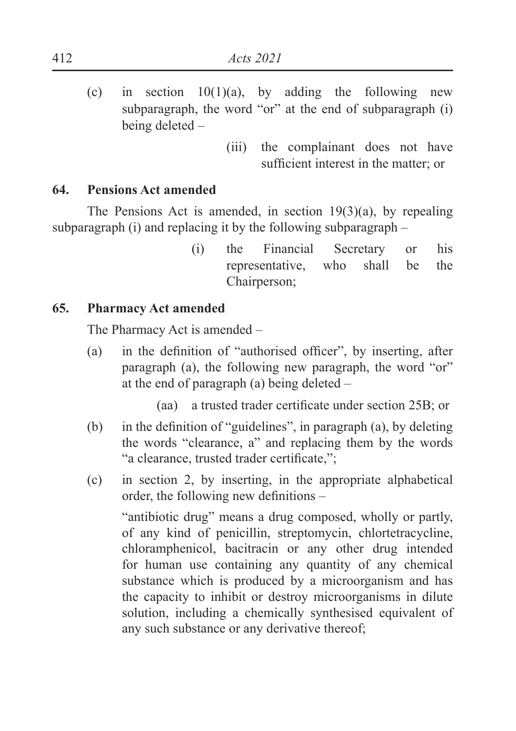- (c) in section  $10(1)(a)$ , by adding the following new subparagraph, the word "or" at the end of subparagraph (i) being deleted –
	- (iii) the complainant does not have sufficient interest in the matter: or

#### **64. Pensions Act amended**

The Pensions Act is amended, in section 19(3)(a), by repealing subparagraph (i) and replacing it by the following subparagraph –

> (i) the Financial Secretary or his representative, who shall be the Chairperson;

### **65. Pharmacy Act amended**

The Pharmacy Act is amended –

(a) in the definition of "authorised officer", by inserting, after paragraph (a), the following new paragraph, the word "or" at the end of paragraph (a) being deleted –

 $\alpha$  a trusted trader certificate under section 25B; or

- (b) in the definition of "guidelines", in paragraph (a), by deleting the words "clearance, a" and replacing them by the words "a clearance, trusted trader certificate,";
- (c) in section 2, by inserting, in the appropriate alphabetical order, the following new definitions  $-$

"antibiotic drug" means a drug composed, wholly or partly, of any kind of penicillin, streptomycin, chlortetracycline, chloramphenicol, bacitracin or any other drug intended for human use containing any quantity of any chemical substance which is produced by a microorganism and has the capacity to inhibit or destroy microorganisms in dilute solution, including a chemically synthesised equivalent of any such substance or any derivative thereof;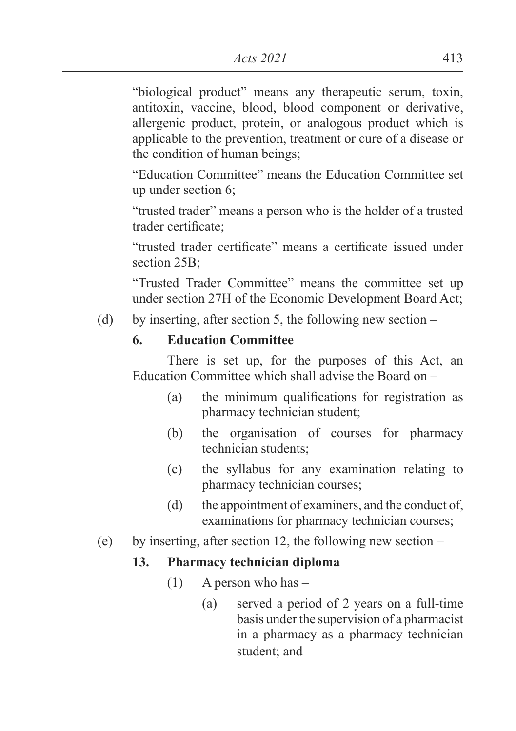"biological product" means any therapeutic serum, toxin, antitoxin, vaccine, blood, blood component or derivative, allergenic product, protein, or analogous product which is applicable to the prevention, treatment or cure of a disease or the condition of human beings;

"Education Committee" means the Education Committee set up under section 6;

"trusted trader" means a person who is the holder of a trusted trader certificate:

"trusted trader certificate" means a certificate issued under section 25B;

"Trusted Trader Committee" means the committee set up under section 27H of the Economic Development Board Act;

(d) by inserting, after section 5, the following new section –

## **6. Education Committee**

There is set up, for the purposes of this Act, an Education Committee which shall advise the Board on –

- $(a)$  the minimum qualifications for registration as pharmacy technician student;
- (b) the organisation of courses for pharmacy technician students;
- (c) the syllabus for any examination relating to pharmacy technician courses;
- (d) the appointment of examiners, and the conduct of, examinations for pharmacy technician courses;

### (e) by inserting, after section 12, the following new section –

### **13. Pharmacy technician diploma**

- $(1)$  A person who has
	- (a) served a period of 2 years on a full-time basis under the supervision of a pharmacist in a pharmacy as a pharmacy technician student; and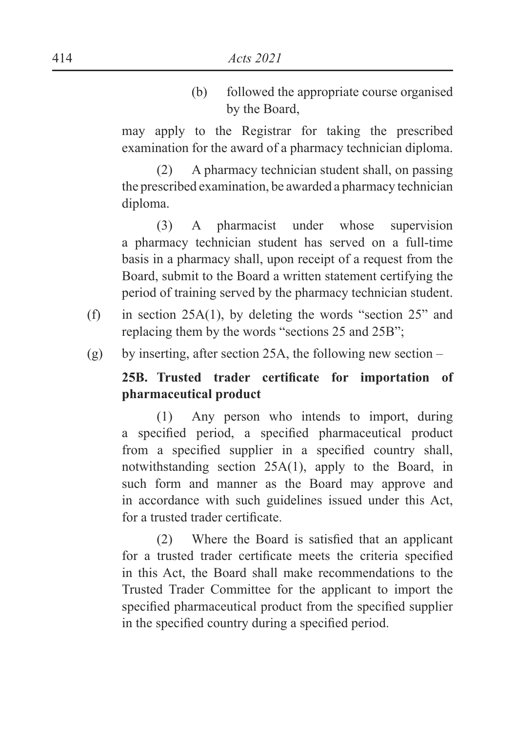(b) followed the appropriate course organised by the Board,

may apply to the Registrar for taking the prescribed examination for the award of a pharmacy technician diploma.

(2) A pharmacy technician student shall, on passing the prescribed examination, be awarded a pharmacy technician diploma.

(3) A pharmacist under whose supervision a pharmacy technician student has served on a full-time basis in a pharmacy shall, upon receipt of a request from the Board, submit to the Board a written statement certifying the period of training served by the pharmacy technician student.

- (f) in section 25A(1), by deleting the words "section 25" and replacing them by the words "sections 25 and 25B";
- (g) by inserting, after section 25A, the following new section –

## 25B. Trusted trader certificate for importation of **pharmaceutical product**

(1) Any person who intends to import, during a specified period, a specified pharmaceutical product from a specified supplier in a specified country shall. notwithstanding section 25A(1), apply to the Board, in such form and manner as the Board may approve and in accordance with such guidelines issued under this Act, for a trusted trader certificate

 $(2)$  Where the Board is satisfied that an applicant for a trusted trader certificate meets the criteria specified in this Act, the Board shall make recommendations to the Trusted Trader Committee for the applicant to import the specified pharmaceutical product from the specified supplier in the specified country during a specified period.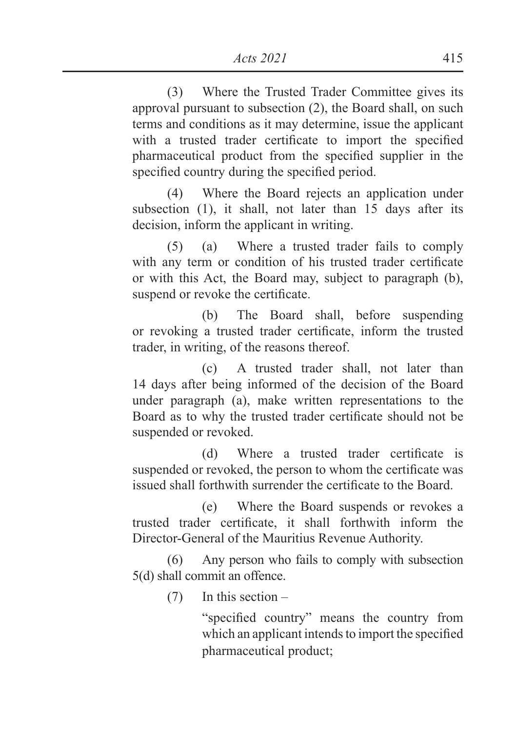(3) Where the Trusted Trader Committee gives its approval pursuant to subsection (2), the Board shall, on such terms and conditions as it may determine, issue the applicant with a trusted trader certificate to import the specified pharmaceutical product from the specified supplier in the specified country during the specified period.

(4) Where the Board rejects an application under subsection (1), it shall, not later than 15 days after its decision, inform the applicant in writing.

(5) (a) Where a trusted trader fails to comply with any term or condition of his trusted trader certificate or with this Act, the Board may, subject to paragraph (b), suspend or revoke the certificate.

 (b) The Board shall, before suspending or revoking a trusted trader certificate, inform the trusted trader, in writing, of the reasons thereof.

 (c) A trusted trader shall, not later than 14 days after being informed of the decision of the Board under paragraph (a), make written representations to the Board as to why the trusted trader certificate should not be suspended or revoked.

 $(d)$  Where a trusted trader certificate is suspended or revoked, the person to whom the certificate was issued shall forthwith surrender the certificate to the Board

 (e) Where the Board suspends or revokes a trusted trader certificate, it shall forthwith inform the Director-General of the Mauritius Revenue Authority.

(6) Any person who fails to comply with subsection 5(d) shall commit an offence.

(7) In this section –

"specified country" means the country from which an applicant intends to import the specified pharmaceutical product;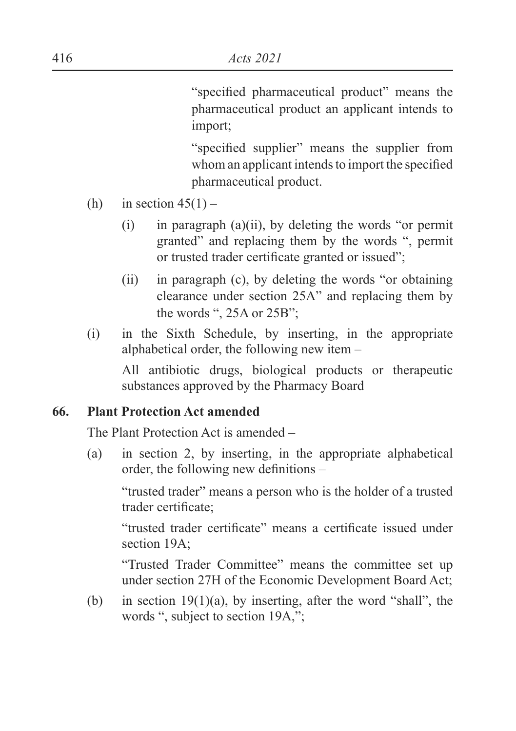"specified pharmaceutical product" means the pharmaceutical product an applicant intends to import;

"specified supplier" means the supplier from whom an applicant intends to import the specified pharmaceutical product.

- (h) in section  $45(1)$ 
	- $(i)$  in paragraph  $(a)(ii)$ , by deleting the words "or permit granted" and replacing them by the words ", permit or trusted trader certificate granted or issued";
	- (ii) in paragraph (c), by deleting the words "or obtaining clearance under section 25A" and replacing them by the words ", 25A or 25B";
- (i) in the Sixth Schedule, by inserting, in the appropriate alphabetical order, the following new item –

 All antibiotic drugs, biological products or therapeutic substances approved by the Pharmacy Board

#### **66. Plant Protection Act amended**

The Plant Protection Act is amended –

(a) in section 2, by inserting, in the appropriate alphabetical order, the following new definitions  $-$ 

"trusted trader" means a person who is the holder of a trusted trader certificate:

"trusted trader certificate" means a certificate issued under section 19A;

"Trusted Trader Committee" means the committee set up under section 27H of the Economic Development Board Act;

(b) in section  $19(1)(a)$ , by inserting, after the word "shall", the words ", subject to section 19A,";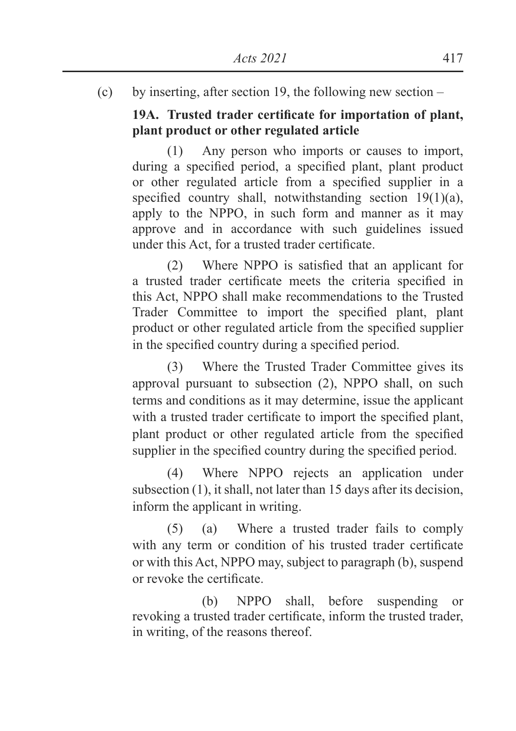(c) by inserting, after section 19, the following new section –

## 19A. Trusted trader certificate for importation of plant, **plant product or other regulated article**

(1) Any person who imports or causes to import, during a specified period, a specified plant, plant product or other regulated article from a specified supplier in a specified country shall, notwithstanding section  $19(1)(a)$ , apply to the NPPO, in such form and manner as it may approve and in accordance with such guidelines issued under this Act, for a trusted trader certificate.

 $(2)$  Where NPPO is satisfied that an applicant for a trusted trader certificate meets the criteria specified in this Act, NPPO shall make recommendations to the Trusted Trader Committee to import the specified plant, plant product or other regulated article from the specified supplier in the specified country during a specified period.

(3) Where the Trusted Trader Committee gives its approval pursuant to subsection (2), NPPO shall, on such terms and conditions as it may determine, issue the applicant with a trusted trader certificate to import the specified plant, plant product or other regulated article from the specified supplier in the specified country during the specified period.

(4) Where NPPO rejects an application under subsection (1), it shall, not later than 15 days after its decision, inform the applicant in writing.

(5) (a) Where a trusted trader fails to comply with any term or condition of his trusted trader certificate or with this Act, NPPO may, subject to paragraph (b), suspend or revoke the certificate.

 (b) NPPO shall, before suspending or revoking a trusted trader certificate, inform the trusted trader, in writing, of the reasons thereof.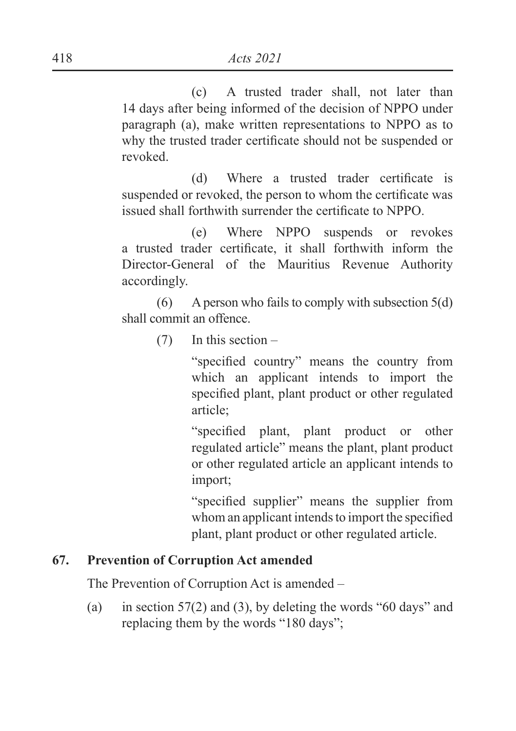(c) A trusted trader shall, not later than 14 days after being informed of the decision of NPPO under paragraph (a), make written representations to NPPO as to why the trusted trader certificate should not be suspended or revoked.

 $(d)$  Where a trusted trader certificate is suspended or revoked, the person to whom the certificate was issued shall forthwith surrender the certificate to NPPO.

 (e) Where NPPO suspends or revokes a trusted trader certificate, it shall forthwith inform the Director-General of the Mauritius Revenue Authority accordingly.

 $(6)$  A person who fails to comply with subsection  $5(d)$ shall commit an offence.

(7) In this section –

"specified country" means the country from which an applicant intends to import the specified plant, plant product or other regulated article;

"specified plant, plant product or other regulated article" means the plant, plant product or other regulated article an applicant intends to import;

"specified supplier" means the supplier from whom an applicant intends to import the specified plant, plant product or other regulated article.

#### **67. Prevention of Corruption Act amended**

The Prevention of Corruption Act is amended –

(a) in section 57(2) and (3), by deleting the words "60 days" and replacing them by the words "180 days";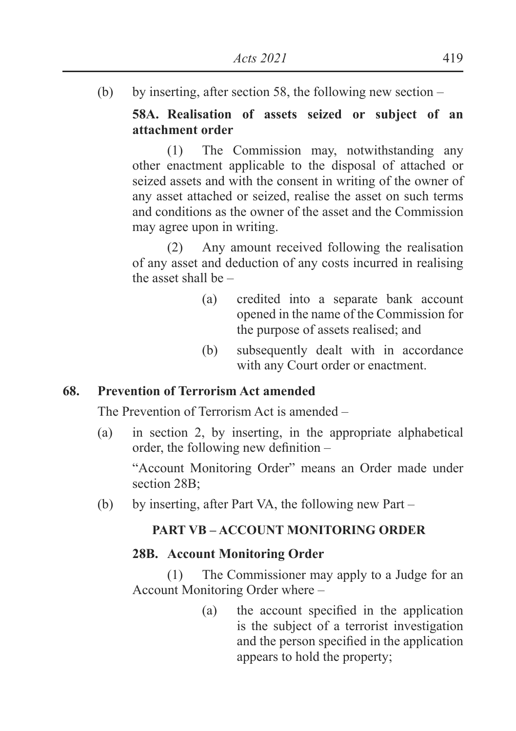(b) by inserting, after section 58, the following new section –

## **58A. Realisation of assets seized or subject of an attachment order**

(1) The Commission may, notwithstanding any other enactment applicable to the disposal of attached or seized assets and with the consent in writing of the owner of any asset attached or seized, realise the asset on such terms and conditions as the owner of the asset and the Commission may agree upon in writing.

(2) Any amount received following the realisation of any asset and deduction of any costs incurred in realising the asset shall be –

- (a) credited into a separate bank account opened in the name of the Commission for the purpose of assets realised; and
- (b) subsequently dealt with in accordance with any Court order or enactment.

#### **68. Prevention of Terrorism Act amended**

The Prevention of Terrorism Act is amended –

(a) in section 2, by inserting, in the appropriate alphabetical order, the following new definition  $-$ 

 "Account Monitoring Order" means an Order made under section 28B;

(b) by inserting, after Part VA, the following new Part –

#### **PART VB – ACCOUNT MONITORING ORDER**

### **28B. Account Monitoring Order**

(1) The Commissioner may apply to a Judge for an Account Monitoring Order where –

> $(a)$  the account specified in the application is the subject of a terrorist investigation and the person specified in the application appears to hold the property;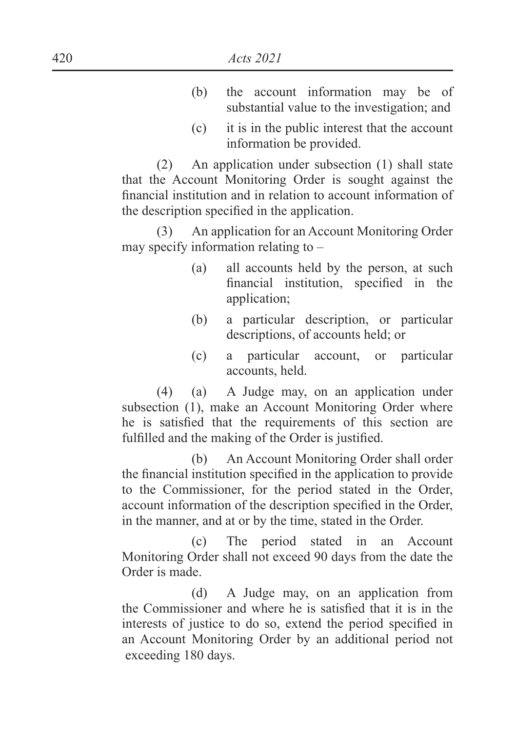- (b) the account information may be of substantial value to the investigation; and
- (c) it is in the public interest that the account information be provided.

(2) An application under subsection (1) shall state that the Account Monitoring Order is sought against the financial institution and in relation to account information of the description specified in the application.

(3) An application for an Account Monitoring Order may specify information relating to –

- (a) all accounts held by the person, at such financial institution, specified in the application;
- (b) a particular description, or particular descriptions, of accounts held; or
- (c) a particular account, or particular accounts, held.

(4) (a) A Judge may, on an application under subsection (1), make an Account Monitoring Order where he is satisfied that the requirements of this section are fulfilled and the making of the Order is justified.

 (b) An Account Monitoring Order shall order the financial institution specified in the application to provide to the Commissioner, for the period stated in the Order, account information of the description specified in the Order, in the manner, and at or by the time, stated in the Order.

 (c) The period stated in an Account Monitoring Order shall not exceed 90 days from the date the Order is made.

 (d) A Judge may, on an application from the Commissioner and where he is satisfied that it is in the interests of justice to do so, extend the period specified in an Account Monitoring Order by an additional period not exceeding 180 days.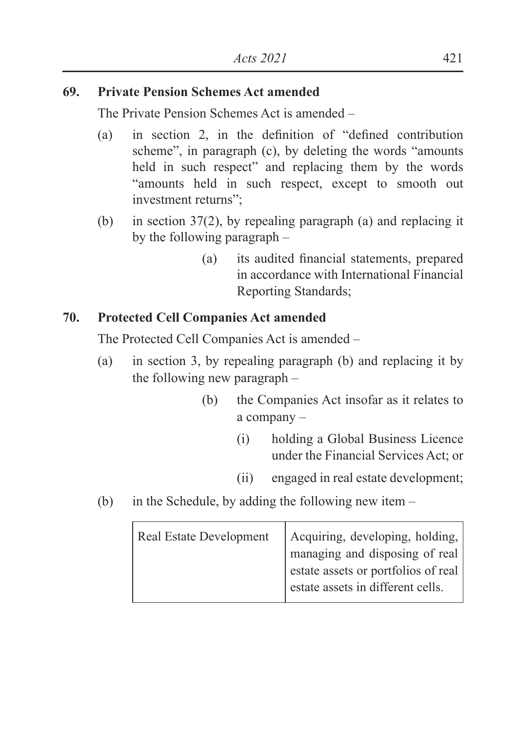### **69. Private Pension Schemes Act amended**

The Private Pension Schemes Act is amended –

- (a) in section 2, in the definition of "defined contribution" scheme", in paragraph (c), by deleting the words "amounts held in such respect" and replacing them by the words "amounts held in such respect, except to smooth out investment returns"
- (b) in section 37(2), by repealing paragraph (a) and replacing it by the following paragraph –
	- (a) its audited financial statements, prepared in accordance with International Financial Reporting Standards;

## **70. Protected Cell Companies Act amended**

The Protected Cell Companies Act is amended –

- (a) in section 3, by repealing paragraph (b) and replacing it by the following new paragraph –
	- (b) the Companies Act insofar as it relates to a company –
		- (i) holding a Global Business Licence under the Financial Services Act; or
		- (ii) engaged in real estate development;
- (b) in the Schedule, by adding the following new item –

| <b>Real Estate Development</b> | Acquiring, developing, holding,     |
|--------------------------------|-------------------------------------|
|                                | managing and disposing of real      |
|                                | estate assets or portfolios of real |
|                                | estate assets in different cells.   |
|                                |                                     |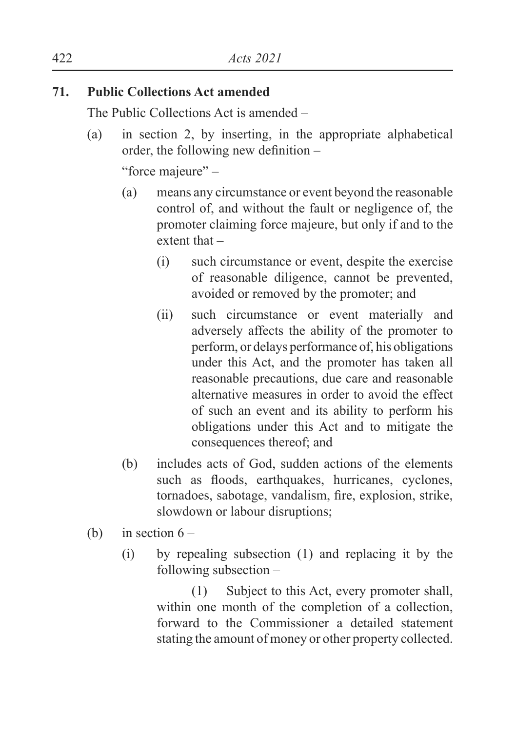## **71. Public Collections Act amended**

The Public Collections Act is amended –

(a) in section 2, by inserting, in the appropriate alphabetical order, the following new definition  $-$ 

"force majeure" –

- (a) means any circumstance or event beyond the reasonable control of, and without the fault or negligence of, the promoter claiming force majeure, but only if and to the extent that –
	- (i) such circumstance or event, despite the exercise of reasonable diligence, cannot be prevented, avoided or removed by the promoter; and
	- (ii) such circumstance or event materially and adversely affects the ability of the promoter to perform, or delays performance of, his obligations under this Act, and the promoter has taken all reasonable precautions, due care and reasonable alternative measures in order to avoid the effect of such an event and its ability to perform his obligations under this Act and to mitigate the consequences thereof; and
- (b) includes acts of God, sudden actions of the elements such as floods, earthquakes, hurricanes, cyclones, tornadoes, sabotage, vandalism, fire, explosion, strike, slowdown or labour disruptions;
- (b) in section  $6 -$ 
	- (i) by repealing subsection (1) and replacing it by the following subsection –

(1) Subject to this Act, every promoter shall, within one month of the completion of a collection. forward to the Commissioner a detailed statement stating the amount of money or other property collected.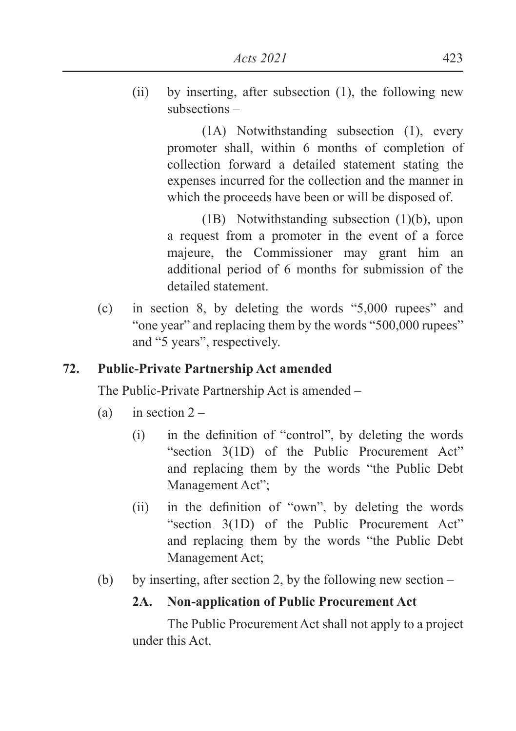(ii) by inserting, after subsection (1), the following new subsections –

> (1A) Notwithstanding subsection (1), every promoter shall, within 6 months of completion of collection forward a detailed statement stating the expenses incurred for the collection and the manner in which the proceeds have been or will be disposed of.

> (1B) Notwithstanding subsection (1)(b), upon a request from a promoter in the event of a force majeure, the Commissioner may grant him an additional period of 6 months for submission of the detailed statement.

(c) in section 8, by deleting the words "5,000 rupees" and "one year" and replacing them by the words "500,000 rupees" and "5 years", respectively.

## **72. Public-Private Partnership Act amended**

The Public-Private Partnership Act is amended –

- (a) in section  $2 -$ 
	- $\Delta$  in the definition of "control", by deleting the words "section 3(1D) of the Public Procurement Act" and replacing them by the words "the Public Debt Management Act";
	- $\text{(ii)}$  in the definition of "own", by deleting the words "section 3(1D) of the Public Procurement Act" and replacing them by the words "the Public Debt Management Act;
- (b) by inserting, after section 2, by the following new section –

# **2A. Non-application of Public Procurement Act**

The Public Procurement Act shall not apply to a project under this Act.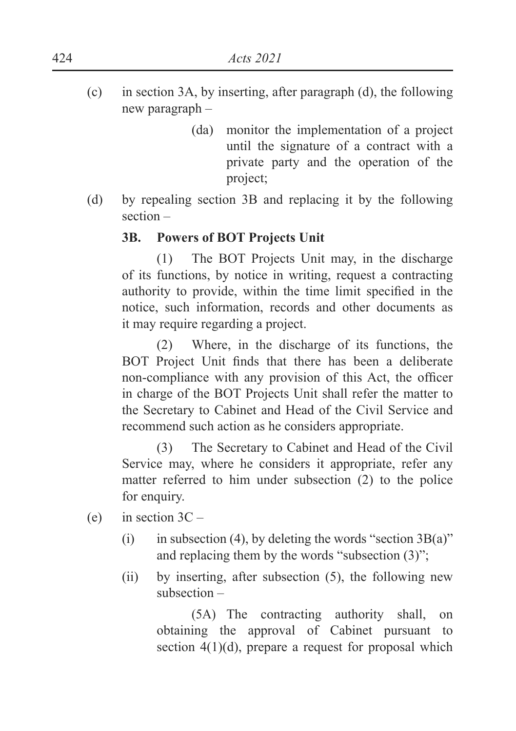- (c) in section 3A, by inserting, after paragraph (d), the following new paragraph –
	- (da) monitor the implementation of a project until the signature of a contract with a private party and the operation of the project;
- (d) by repealing section 3B and replacing it by the following section –

### **3B. Powers of BOT Projects Unit**

(1) The BOT Projects Unit may, in the discharge of its functions, by notice in writing, request a contracting authority to provide, within the time limit specified in the notice, such information, records and other documents as it may require regarding a project.

(2) Where, in the discharge of its functions, the BOT Project Unit finds that there has been a deliberate non-compliance with any provision of this Act, the officer in charge of the BOT Projects Unit shall refer the matter to the Secretary to Cabinet and Head of the Civil Service and recommend such action as he considers appropriate.

(3) The Secretary to Cabinet and Head of the Civil Service may, where he considers it appropriate, refer any matter referred to him under subsection (2) to the police for enquiry.

- (e) in section  $3C -$ 
	- (i) in subsection (4), by deleting the words "section  $3B(a)$ " and replacing them by the words "subsection (3)";
	- (ii) by inserting, after subsection (5), the following new subsection –

(5A) The contracting authority shall, on obtaining the approval of Cabinet pursuant to section  $4(1)(d)$ , prepare a request for proposal which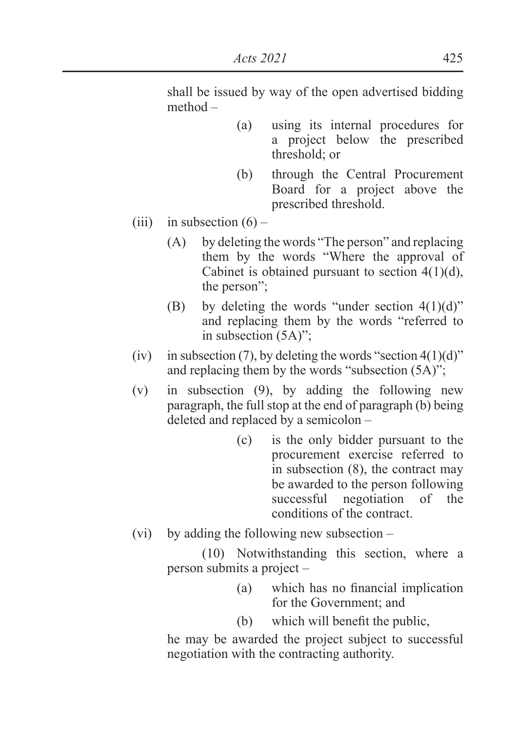shall be issued by way of the open advertised bidding method –

- (a) using its internal procedures for a project below the prescribed threshold; or
- (b) through the Central Procurement Board for a project above the prescribed threshold.
- (iii) in subsection  $(6)$ 
	- (A) by deleting the words "The person" and replacing them by the words "Where the approval of Cabinet is obtained pursuant to section  $4(1)(d)$ , the person";
	- (B) by deleting the words "under section  $4(1)(d)$ " and replacing them by the words "referred to in subsection (5A)";
- (iv) in subsection (7), by deleting the words "section  $4(1)(d)$ " and replacing them by the words "subsection (5A)";
- (v) in subsection (9), by adding the following new paragraph, the full stop at the end of paragraph (b) being deleted and replaced by a semicolon –
	- (c) is the only bidder pursuant to the procurement exercise referred to in subsection (8), the contract may be awarded to the person following successful negotiation of the conditions of the contract.
- (vi) by adding the following new subsection –

(10) Notwithstanding this section, where a person submits a project –

- $(a)$  which has no financial implication for the Government; and
- $(b)$  which will benefit the public.

he may be awarded the project subject to successful negotiation with the contracting authority.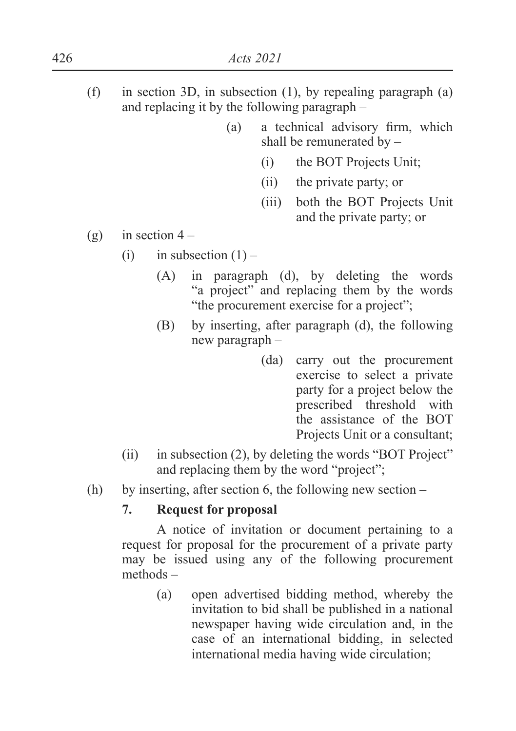- (f) in section 3D, in subsection (1), by repealing paragraph (a) and replacing it by the following paragraph –
	- $(a)$  a technical advisory firm, which shall be remunerated by –
		- (i) the BOT Projects Unit;
		- (ii) the private party; or
		- (iii) both the BOT Projects Unit and the private party; or
- (g) in section  $4 -$ 
	- (i) in subsection  $(1)$ 
		- (A) in paragraph (d), by deleting the words "a project" and replacing them by the words "the procurement exercise for a project";
		- (B) by inserting, after paragraph (d), the following new paragraph –
			- (da) carry out the procurement exercise to select a private party for a project below the prescribed threshold with the assistance of the BOT Projects Unit or a consultant;
	- (ii) in subsection (2), by deleting the words "BOT Project" and replacing them by the word "project";
- (h) by inserting, after section 6, the following new section –

# **7. Request for proposal**

A notice of invitation or document pertaining to a request for proposal for the procurement of a private party may be issued using any of the following procurement methods –

> (a) open advertised bidding method, whereby the invitation to bid shall be published in a national newspaper having wide circulation and, in the case of an international bidding, in selected international media having wide circulation;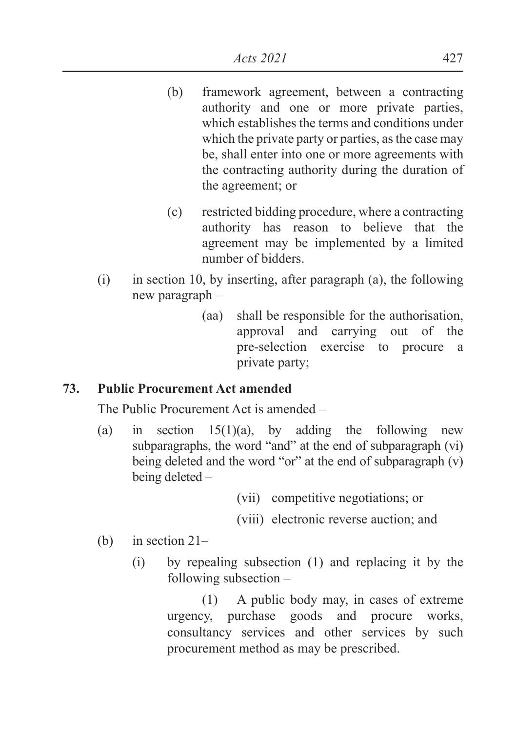- (b) framework agreement, between a contracting authority and one or more private parties, which establishes the terms and conditions under which the private party or parties, as the case may be, shall enter into one or more agreements with the contracting authority during the duration of the agreement; or
- (c) restricted bidding procedure, where a contracting authority has reason to believe that the agreement may be implemented by a limited number of bidders.
- (i) in section 10, by inserting, after paragraph (a), the following new paragraph –
	- (aa) shall be responsible for the authorisation, approval and carrying out of the pre-selection exercise to procure a private party;

# **73. Public Procurement Act amended**

The Public Procurement Act is amended –

(a) in section  $15(1)(a)$ , by adding the following new subparagraphs, the word "and" at the end of subparagraph (vi) being deleted and the word "or" at the end of subparagraph (v) being deleted –

(vii) competitive negotiations; or

(viii) electronic reverse auction; and

- (b) in section 21–
	- (i) by repealing subsection (1) and replacing it by the following subsection –

(1) A public body may, in cases of extreme urgency, purchase goods and procure works, consultancy services and other services by such procurement method as may be prescribed.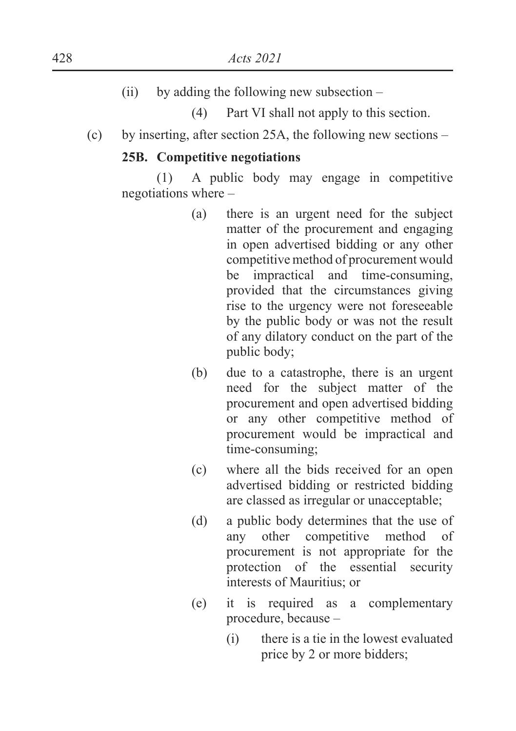$(ii)$  by adding the following new subsection –

(4) Part VI shall not apply to this section.

(c) by inserting, after section 25A, the following new sections –

#### **25B. Competitive negotiations**

(1) A public body may engage in competitive negotiations where –

- (a) there is an urgent need for the subject matter of the procurement and engaging in open advertised bidding or any other competitive method of procurement would be impractical and time-consuming, provided that the circumstances giving rise to the urgency were not foreseeable by the public body or was not the result of any dilatory conduct on the part of the public body;
- (b) due to a catastrophe, there is an urgent need for the subject matter of the procurement and open advertised bidding or any other competitive method of procurement would be impractical and time-consuming;
- (c) where all the bids received for an open advertised bidding or restricted bidding are classed as irregular or unacceptable;
- (d) a public body determines that the use of any other competitive method of procurement is not appropriate for the protection of the essential security interests of Mauritius; or
- (e) it is required as a complementary procedure, because –
	- (i) there is a tie in the lowest evaluated price by 2 or more bidders;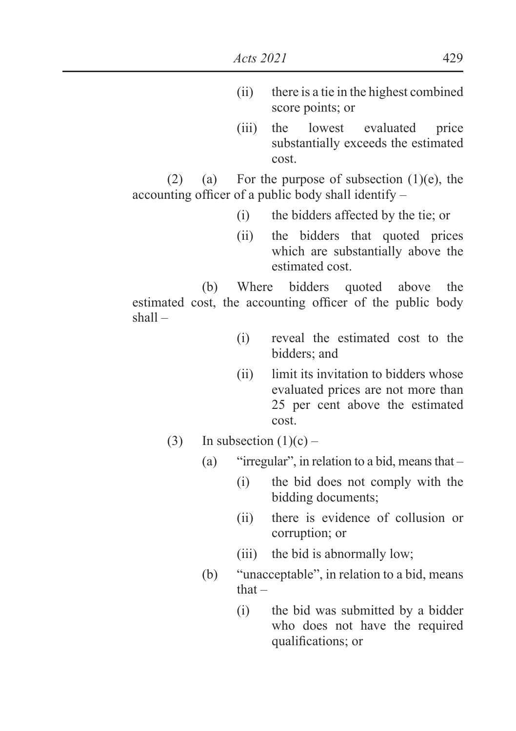- (ii) there is a tie in the highest combined score points; or
- (iii) the lowest evaluated price substantially exceeds the estimated cost.

(2) (a) For the purpose of subsection  $(1)(e)$ , the accounting officer of a public body shall identify  $-$ 

- (i) the bidders affected by the tie; or
- (ii) the bidders that quoted prices which are substantially above the estimated cost.

 (b) Where bidders quoted above the estimated cost, the accounting officer of the public body shall –

- (i) reveal the estimated cost to the bidders; and
- (ii) limit its invitation to bidders whose evaluated prices are not more than 25 per cent above the estimated cost.
- (3) In subsection  $(1)(c)$ 
	- (a) "irregular", in relation to a bid, means that
		- (i) the bid does not comply with the bidding documents;
		- (ii) there is evidence of collusion or corruption; or
		- (iii) the bid is abnormally low;
	- (b) "unacceptable", in relation to a bid, means that –
		- (i) the bid was submitted by a bidder who does not have the required qualifications; or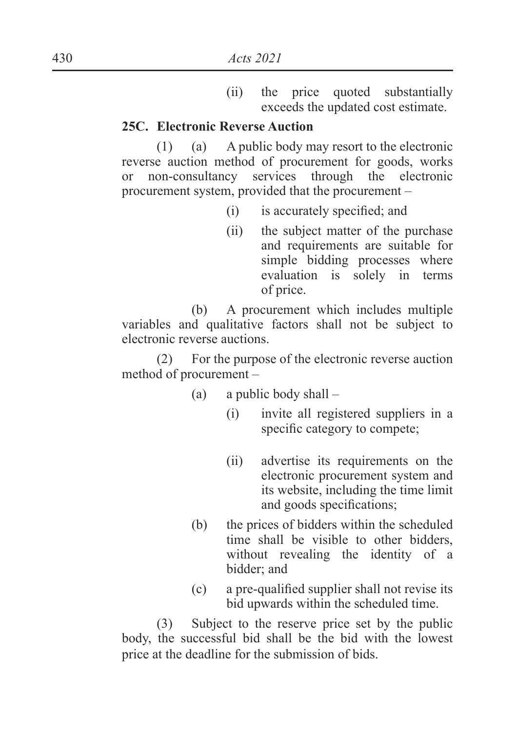(ii) the price quoted substantially exceeds the updated cost estimate.

#### **25C. Electronic Reverse Auction**

 $(1)$  (a) A public body may resort to the electronic reverse auction method of procurement for goods, works or non-consultancy services through the electronic procurement system, provided that the procurement –

- $(i)$  is accurately specified; and
- (ii) the subject matter of the purchase and requirements are suitable for simple bidding processes where evaluation is solely in terms of price.

 (b) A procurement which includes multiple variables and qualitative factors shall not be subject to electronic reverse auctions.

(2) For the purpose of the electronic reverse auction method of procurement –

- (a) a public body shall
	- (i) invite all registered suppliers in a specific category to compete:
	- (ii) advertise its requirements on the electronic procurement system and its website, including the time limit and goods specifications;
- (b) the prices of bidders within the scheduled time shall be visible to other bidders, without revealing the identity of a bidder; and
- $\epsilon$  a pre-qualified supplier shall not revise its bid upwards within the scheduled time.

(3) Subject to the reserve price set by the public body, the successful bid shall be the bid with the lowest price at the deadline for the submission of bids.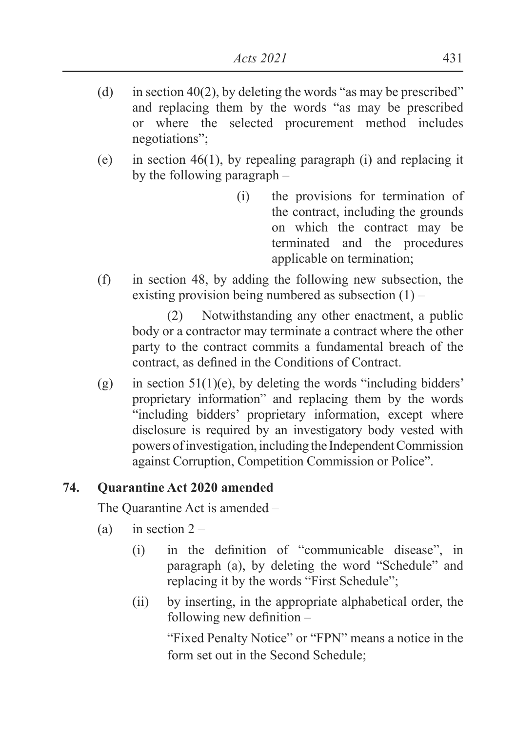- (d) in section 40(2), by deleting the words "as may be prescribed" and replacing them by the words "as may be prescribed or where the selected procurement method includes negotiations";
- (e) in section 46(1), by repealing paragraph (i) and replacing it by the following paragraph –
	- (i) the provisions for termination of the contract, including the grounds on which the contract may be terminated and the procedures applicable on termination;
- (f) in section 48, by adding the following new subsection, the existing provision being numbered as subsection  $(1)$  –

(2) Notwithstanding any other enactment, a public body or a contractor may terminate a contract where the other party to the contract commits a fundamental breach of the contract, as defined in the Conditions of Contract.

(g) in section  $51(1)(e)$ , by deleting the words "including bidders" proprietary information" and replacing them by the words "including bidders' proprietary information, except where disclosure is required by an investigatory body vested with powers of investigation, including the Independent Commission against Corruption, Competition Commission or Police".

# **74. Quarantine Act 2020 amended**

The Quarantine Act is amended –

- (a) in section  $2 -$ 
	- $(i)$  in the definition of "communicable disease", in paragraph (a), by deleting the word "Schedule" and replacing it by the words "First Schedule";
	- (ii) by inserting, in the appropriate alphabetical order, the following new definition  $-$

"Fixed Penalty Notice" or "FPN" means a notice in the form set out in the Second Schedule;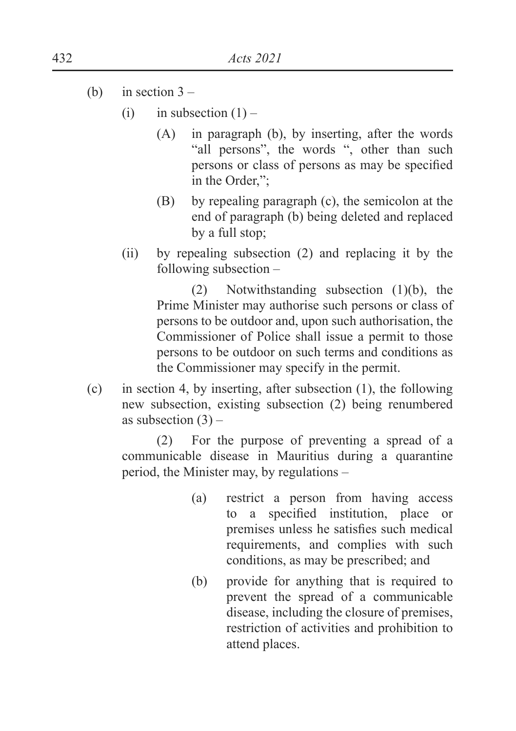- (b) in section  $3 -$ 
	- (i) in subsection  $(1)$ 
		- (A) in paragraph (b), by inserting, after the words "all persons", the words ", other than such persons or class of persons as may be specified in the Order,";
		- (B) by repealing paragraph (c), the semicolon at the end of paragraph (b) being deleted and replaced by a full stop;
	- (ii) by repealing subsection (2) and replacing it by the following subsection –

(2) Notwithstanding subsection (1)(b), the Prime Minister may authorise such persons or class of persons to be outdoor and, upon such authorisation, the Commissioner of Police shall issue a permit to those persons to be outdoor on such terms and conditions as the Commissioner may specify in the permit.

(c) in section 4, by inserting, after subsection (1), the following new subsection, existing subsection (2) being renumbered as subsection  $(3)$  –

(2) For the purpose of preventing a spread of a communicable disease in Mauritius during a quarantine period, the Minister may, by regulations –

- (a) restrict a person from having access to a specified institution, place or premises unless he satisfies such medical requirements, and complies with such conditions, as may be prescribed; and
- (b) provide for anything that is required to prevent the spread of a communicable disease, including the closure of premises, restriction of activities and prohibition to attend places.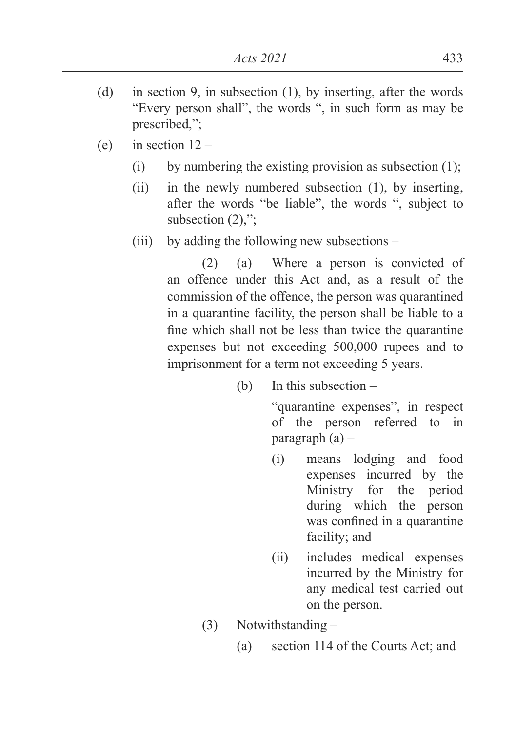- (d) in section 9, in subsection (1), by inserting, after the words "Every person shall", the words ", in such form as may be prescribed,";
- (e) in section  $12 -$ 
	- (i) by numbering the existing provision as subsection  $(1)$ ;
	- (ii) in the newly numbered subsection (1), by inserting, after the words "be liable", the words ", subject to subsection  $(2)$ ,";
	- (iii) by adding the following new subsections –

(2) (a) Where a person is convicted of an offence under this Act and, as a result of the commission of the offence, the person was quarantined in a quarantine facility, the person shall be liable to a fine which shall not be less than twice the quarantine expenses but not exceeding 500,000 rupees and to imprisonment for a term not exceeding 5 years.

(b) In this subsection –

 "quarantine expenses", in respect of the person referred to in paragraph (a) –

- (i) means lodging and food expenses incurred by the Ministry for the period during which the person was confined in a quarantine facility; and
- (ii) includes medical expenses incurred by the Ministry for any medical test carried out on the person.
- (3) Notwithstanding
	- (a) section 114 of the Courts Act; and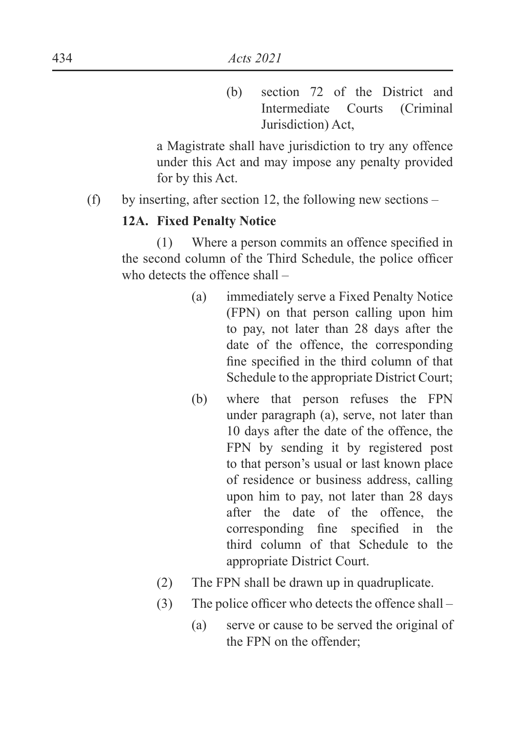(b) section 72 of the District and Intermediate Courts (Criminal Jurisdiction) Act,

a Magistrate shall have jurisdiction to try any offence under this Act and may impose any penalty provided for by this Act.

(f) by inserting, after section 12, the following new sections –

## **12A. Fixed Penalty Notice**

 $(1)$  Where a person commits an offence specified in the second column of the Third Schedule, the police officer who detects the offence shall –

- (a) immediately serve a Fixed Penalty Notice (FPN) on that person calling upon him to pay, not later than 28 days after the date of the offence, the corresponding fine specified in the third column of that Schedule to the appropriate District Court;
- (b) where that person refuses the FPN under paragraph (a), serve, not later than 10 days after the date of the offence, the FPN by sending it by registered post to that person's usual or last known place of residence or business address, calling upon him to pay, not later than 28 days after the date of the offence, the corresponding fine specified in the third column of that Schedule to the appropriate District Court.
- (2) The FPN shall be drawn up in quadruplicate.
- $(3)$  The police officer who detects the offence shall
	- (a) serve or cause to be served the original of the FPN on the offender;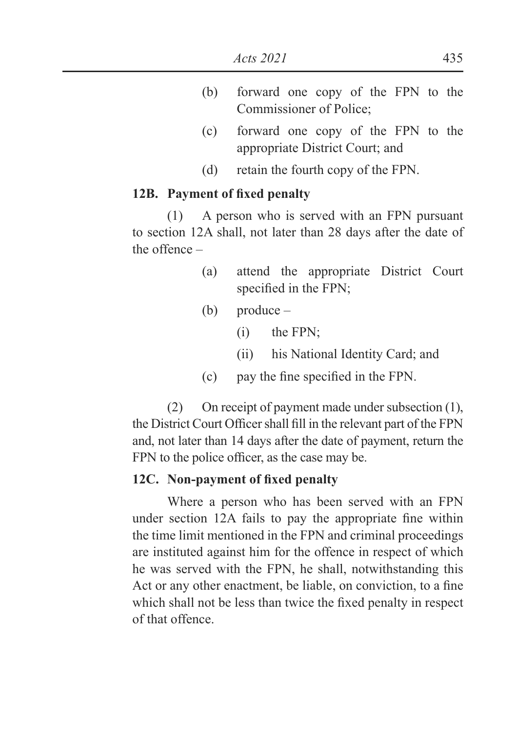- (b) forward one copy of the FPN to the Commissioner of Police;
- (c) forward one copy of the FPN to the appropriate District Court; and
- (d) retain the fourth copy of the FPN.

#### **12B.** Payment of fixed penalty

(1) A person who is served with an FPN pursuant to section 12A shall, not later than 28 days after the date of the offence –

- (a) attend the appropriate District Court specified in the FPN;
- (b) produce
	- (i) the FPN;
	- (ii) his National Identity Card; and
- $\text{C}$  bay the fine specified in the FPN.

(2) On receipt of payment made under subsection (1), the District Court Officer shall fill in the relevant part of the FPN and, not later than 14 days after the date of payment, return the FPN to the police officer, as the case may be.

#### 12C. Non-payment of fixed penalty

Where a person who has been served with an FPN under section 12A fails to pay the appropriate fine within the time limit mentioned in the FPN and criminal proceedings are instituted against him for the offence in respect of which he was served with the FPN, he shall, notwithstanding this Act or any other enactment, be liable, on conviction, to a fine which shall not be less than twice the fixed penalty in respect of that offence.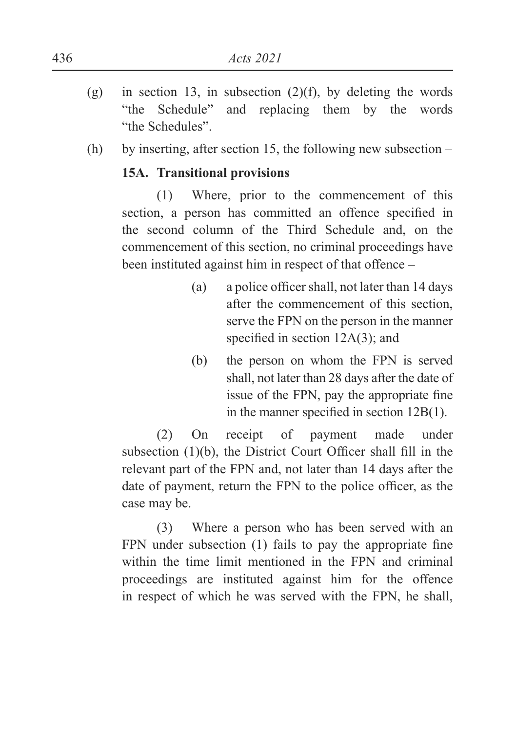- (g) in section 13, in subsection  $(2)(f)$ , by deleting the words "the Schedule" and replacing them by the words "the Schedules".
- (h) by inserting, after section 15, the following new subsection –

# **15A. Transitional provisions**

(1) Where, prior to the commencement of this section, a person has committed an offence specified in the second column of the Third Schedule and, on the commencement of this section, no criminal proceedings have been instituted against him in respect of that offence –

- (a) a police officer shall, not later than  $14$  days after the commencement of this section, serve the FPN on the person in the manner specified in section  $12A(3)$ ; and
- (b) the person on whom the FPN is served shall, not later than 28 days after the date of issue of the FPN, pay the appropriate fine in the manner specified in section  $12B(1)$ .

(2) On receipt of payment made under subsection  $(1)(b)$ , the District Court Officer shall fill in the relevant part of the FPN and, not later than 14 days after the date of payment, return the FPN to the police officer, as the case may be.

(3) Where a person who has been served with an FPN under subsection  $(1)$  fails to pay the appropriate fine within the time limit mentioned in the FPN and criminal proceedings are instituted against him for the offence in respect of which he was served with the FPN, he shall,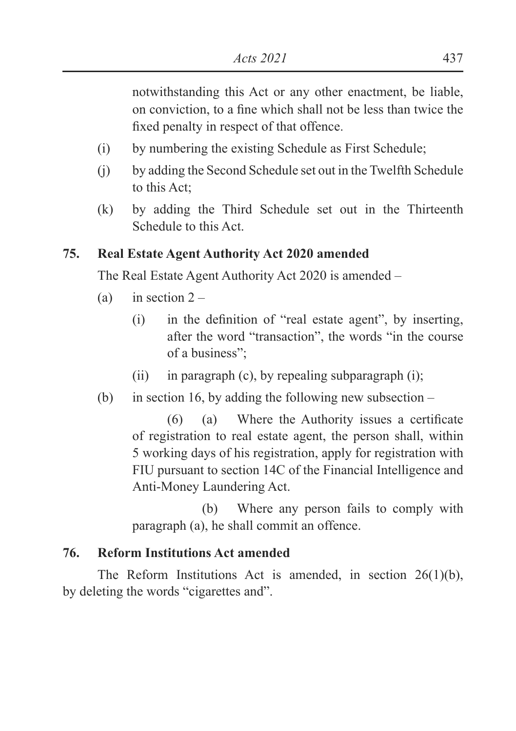notwithstanding this Act or any other enactment, be liable, on conviction, to a fine which shall not be less than twice the fixed penalty in respect of that offence.

- (i) by numbering the existing Schedule as First Schedule;
- (j) by adding the Second Schedule set out in the Twelfth Schedule to this Act;
- (k) by adding the Third Schedule set out in the Thirteenth Schedule to this Act.

# **75. Real Estate Agent Authority Act 2020 amended**

The Real Estate Agent Authority Act 2020 is amended –

- (a) in section  $2 -$ 
	- $\Delta$  in the definition of "real estate agent", by inserting, after the word "transaction", the words "in the course of a business";
	- (ii) in paragraph (c), by repealing subparagraph (i);
- (b) in section 16, by adding the following new subsection  $-$

 $(6)$  (a) Where the Authority issues a certificate of registration to real estate agent, the person shall, within 5 working days of his registration, apply for registration with FIU pursuant to section 14C of the Financial Intelligence and Anti-Money Laundering Act.

 (b) Where any person fails to comply with paragraph (a), he shall commit an offence.

# **76. Reform Institutions Act amended**

The Reform Institutions Act is amended, in section 26(1)(b), by deleting the words "cigarettes and".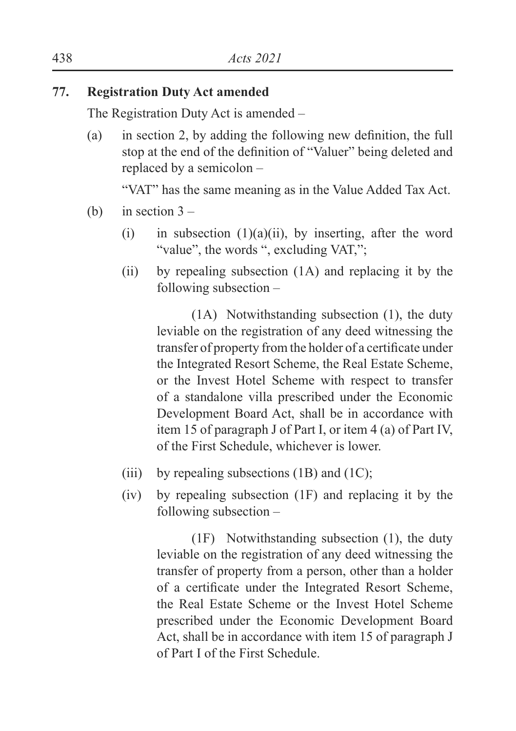# **77. Registration Duty Act amended**

The Registration Duty Act is amended –

(a) in section 2, by adding the following new definition, the full stop at the end of the definition of "Valuer" being deleted and replaced by a semicolon –

"VAT" has the same meaning as in the Value Added Tax Act.

- (b) in section  $3 -$ 
	- (i) in subsection  $(1)(a)(ii)$ , by inserting, after the word "value", the words ", excluding VAT,";
	- (ii) by repealing subsection (1A) and replacing it by the following subsection –

(1A) Notwithstanding subsection (1), the duty leviable on the registration of any deed witnessing the transfer of property from the holder of a certificate under the Integrated Resort Scheme, the Real Estate Scheme, or the Invest Hotel Scheme with respect to transfer of a standalone villa prescribed under the Economic Development Board Act, shall be in accordance with item 15 of paragraph J of Part I, or item 4 (a) of Part IV, of the First Schedule, whichever is lower.

- (iii) by repealing subsections  $(1B)$  and  $(1C)$ ;
- (iv) by repealing subsection (1F) and replacing it by the following subsection –

(1F) Notwithstanding subsection (1), the duty leviable on the registration of any deed witnessing the transfer of property from a person, other than a holder of a certificate under the Integrated Resort Scheme, the Real Estate Scheme or the Invest Hotel Scheme prescribed under the Economic Development Board Act, shall be in accordance with item 15 of paragraph J of Part I of the First Schedule.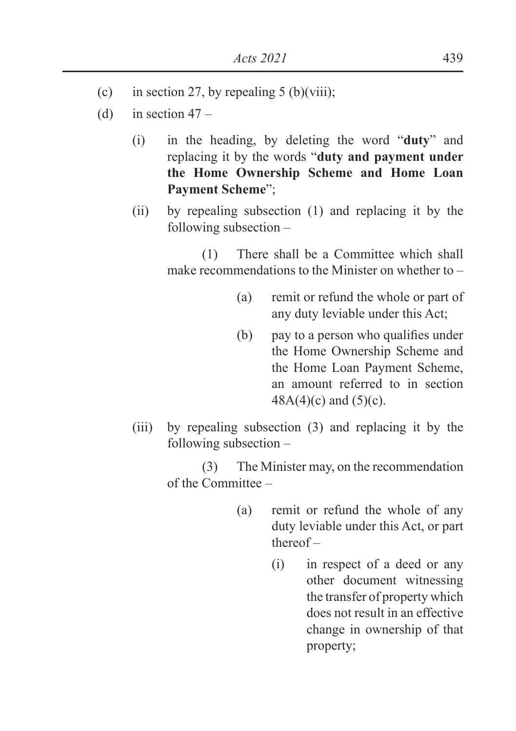- (c) in section 27, by repealing 5 (b)(viii);
- (d) in section  $47 -$ 
	- (i) in the heading, by deleting the word "**duty**" and replacing it by the words "**duty and payment under the Home Ownership Scheme and Home Loan Payment Scheme**";
	- (ii) by repealing subsection (1) and replacing it by the following subsection –

(1) There shall be a Committee which shall make recommendations to the Minister on whether to –

- (a) remit or refund the whole or part of any duty leviable under this Act;
- (b) pay to a person who qualifies under the Home Ownership Scheme and the Home Loan Payment Scheme, an amount referred to in section  $48A(4)(c)$  and  $(5)(c)$ .
- (iii) by repealing subsection (3) and replacing it by the following subsection –

(3) The Minister may, on the recommendation of the Committee –

- (a) remit or refund the whole of any duty leviable under this Act, or part thereof –
	- (i) in respect of a deed or any other document witnessing the transfer of property which does not result in an effective change in ownership of that property;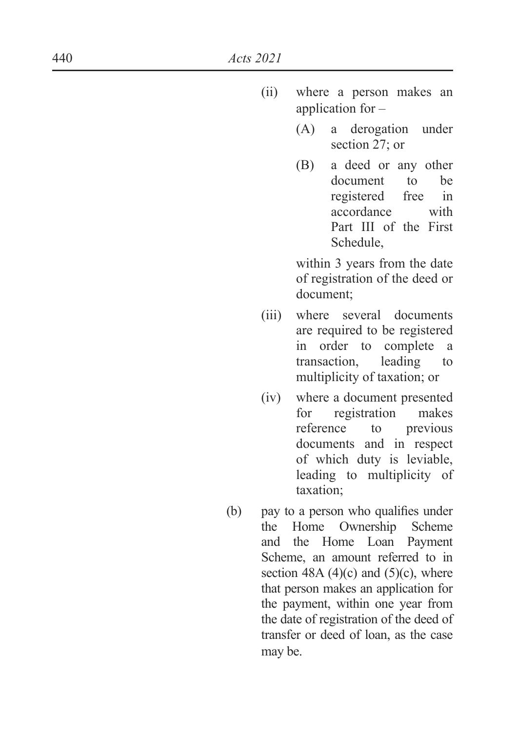- (ii) where a person makes an application for –
	- (A) a derogation under section 27; or
	- (B) a deed or any other document to be registered free in accordance with Part III of the First Schedule,

within 3 years from the date of registration of the deed or document;

- (iii) where several documents are required to be registered in order to complete a transaction, leading to multiplicity of taxation; or
- (iv) where a document presented for registration makes reference to previous documents and in respect of which duty is leviable, leading to multiplicity of taxation;
- $(b)$  pay to a person who qualifies under the Home Ownership Scheme and the Home Loan Payment Scheme, an amount referred to in section 48A  $(4)(c)$  and  $(5)(c)$ , where that person makes an application for the payment, within one year from the date of registration of the deed of transfer or deed of loan, as the case may be.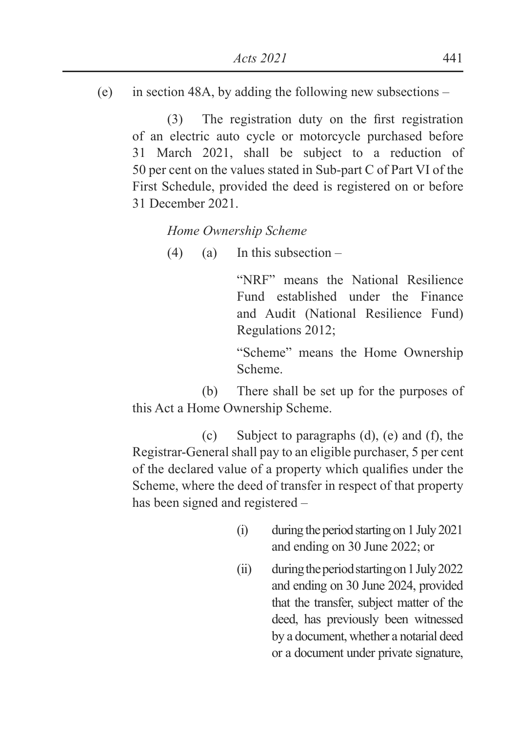(e) in section 48A, by adding the following new subsections –

 $(3)$  The registration duty on the first registration of an electric auto cycle or motorcycle purchased before 31 March 2021, shall be subject to a reduction of 50 per cent on the values stated in Sub-part C of Part VI of the First Schedule, provided the deed is registered on or before 31 December 2021.

*Home Ownership Scheme*

 $(4)$  (a) In this subsection –

"NRF" means the National Resilience Fund established under the Finance and Audit (National Resilience Fund) Regulations 2012;

"Scheme" means the Home Ownership Scheme.

 (b) There shall be set up for the purposes of this Act a Home Ownership Scheme.

 (c) Subject to paragraphs (d), (e) and (f), the Registrar-General shall pay to an eligible purchaser, 5 per cent of the declared value of a property which qualifies under the Scheme, where the deed of transfer in respect of that property has been signed and registered –

- (i) during the period starting on 1 July 2021 and ending on 30 June 2022; or
- (ii) during the period starting on 1 July 2022 and ending on 30 June 2024, provided that the transfer, subject matter of the deed, has previously been witnessed by a document, whether a notarial deed or a document under private signature,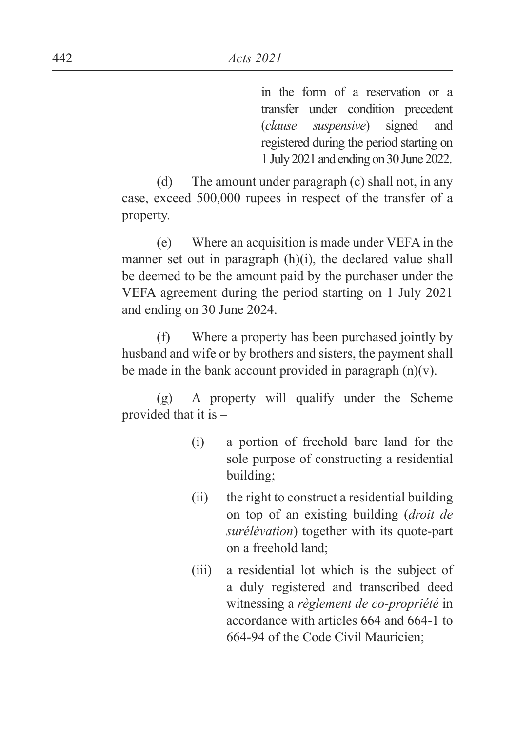in the form of a reservation or a transfer under condition precedent (*clause suspensive*) signed and registered during the period starting on 1 July 2021 and ending on 30 June 2022.

(d) The amount under paragraph (c) shall not, in any case, exceed 500,000 rupees in respect of the transfer of a property.

(e) Where an acquisition is made under VEFA in the manner set out in paragraph (h)(i), the declared value shall be deemed to be the amount paid by the purchaser under the VEFA agreement during the period starting on 1 July 2021 and ending on 30 June 2024.

(f) Where a property has been purchased jointly by husband and wife or by brothers and sisters, the payment shall be made in the bank account provided in paragraph  $(n)(v)$ .

(g) A property will qualify under the Scheme provided that it is –

- (i) a portion of freehold bare land for the sole purpose of constructing a residential building;
- (ii) the right to construct a residential building on top of an existing building (*droit de surélévation*) together with its quote-part on a freehold land;
- (iii) a residential lot which is the subject of a duly registered and transcribed deed witnessing a *règlement de co-propriété* in accordance with articles 664 and 664-1 to 664-94 of the Code Civil Mauricien;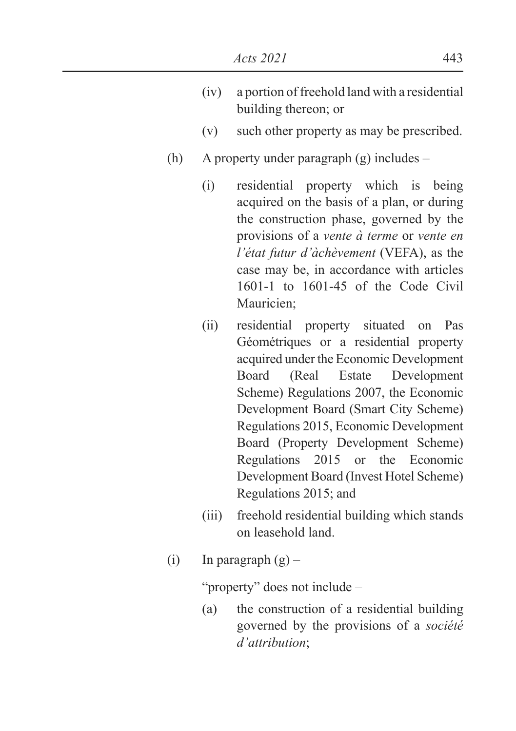- (iv) a portion of freehold land with a residential building thereon; or
- (v) such other property as may be prescribed.
- (h) A property under paragraph (g) includes
	- (i) residential property which is being acquired on the basis of a plan, or during the construction phase, governed by the provisions of a *vente à terme* or *vente en l'état futur d'àchèvement* (VEFA), as the case may be, in accordance with articles 1601-1 to 1601-45 of the Code Civil Mauricien;
	- (ii) residential property situated on Pas Géométriques or a residential property acquired under the Economic Development Board (Real Estate Development Scheme) Regulations 2007, the Economic Development Board (Smart City Scheme) Regulations 2015, Economic Development Board (Property Development Scheme) Regulations 2015 or the Economic Development Board (Invest Hotel Scheme) Regulations 2015; and
	- (iii) freehold residential building which stands on leasehold land.
- (i) In paragraph  $(g)$  –

"property" does not include –

(a) the construction of a residential building governed by the provisions of a *société d'attribution*;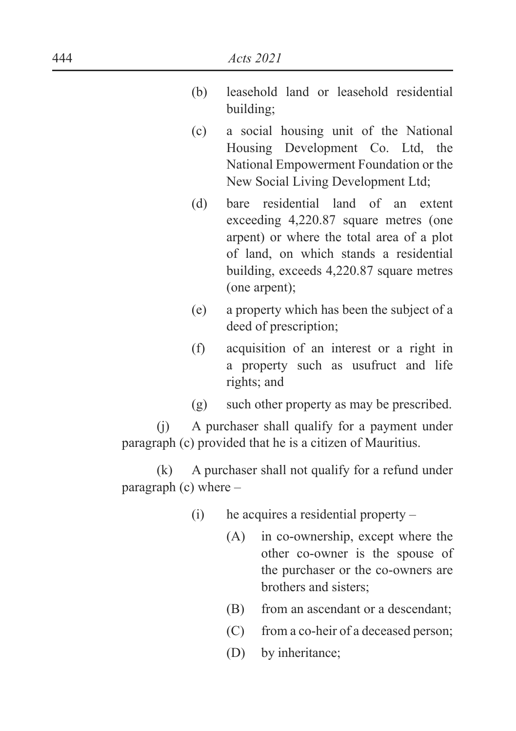- (b) leasehold land or leasehold residential building;
- (c) a social housing unit of the National Housing Development Co. Ltd, the National Empowerment Foundation or the New Social Living Development Ltd;
- (d) bare residential land of an extent exceeding 4,220.87 square metres (one arpent) or where the total area of a plot of land, on which stands a residential building, exceeds 4,220.87 square metres (one arpent);
- (e) a property which has been the subject of a deed of prescription;
- (f) acquisition of an interest or a right in a property such as usufruct and life rights; and
- (g) such other property as may be prescribed.

(j) A purchaser shall qualify for a payment under paragraph (c) provided that he is a citizen of Mauritius.

(k) A purchaser shall not qualify for a refund under paragraph  $(c)$  where  $-$ 

- (i) he acquires a residential property
	- (A) in co-ownership, except where the other co-owner is the spouse of the purchaser or the co-owners are brothers and sisters;
	- (B) from an ascendant or a descendant;
	- (C) from a co-heir of a deceased person;
	- (D) by inheritance;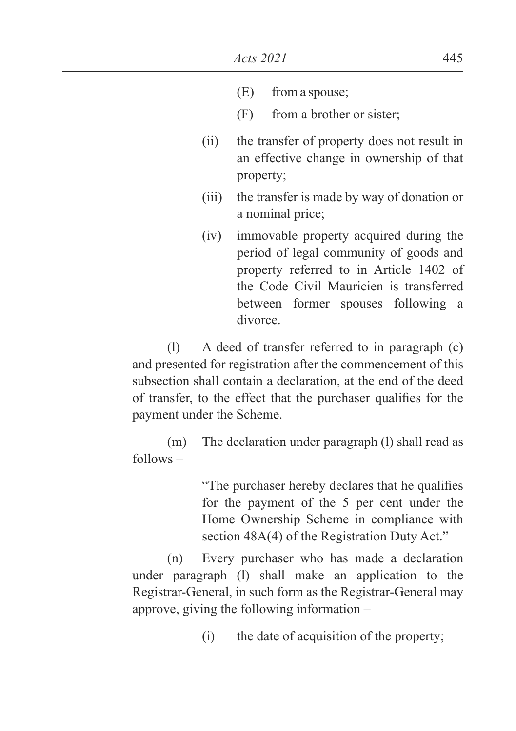- (E) from a spouse;
- (F) from a brother or sister;
- (ii) the transfer of property does not result in an effective change in ownership of that property;
- (iii) the transfer is made by way of donation or a nominal price;
- (iv) immovable property acquired during the period of legal community of goods and property referred to in Article 1402 of the Code Civil Mauricien is transferred between former spouses following a divorce.

(l) A deed of transfer referred to in paragraph (c) and presented for registration after the commencement of this subsection shall contain a declaration, at the end of the deed of transfer, to the effect that the purchaser qualifies for the payment under the Scheme.

(m) The declaration under paragraph (l) shall read as follows –

> "The purchaser hereby declares that he qualifies" for the payment of the 5 per cent under the Home Ownership Scheme in compliance with section 48A(4) of the Registration Duty Act."

(n) Every purchaser who has made a declaration under paragraph (l) shall make an application to the Registrar-General, in such form as the Registrar-General may approve, giving the following information –

(i) the date of acquisition of the property;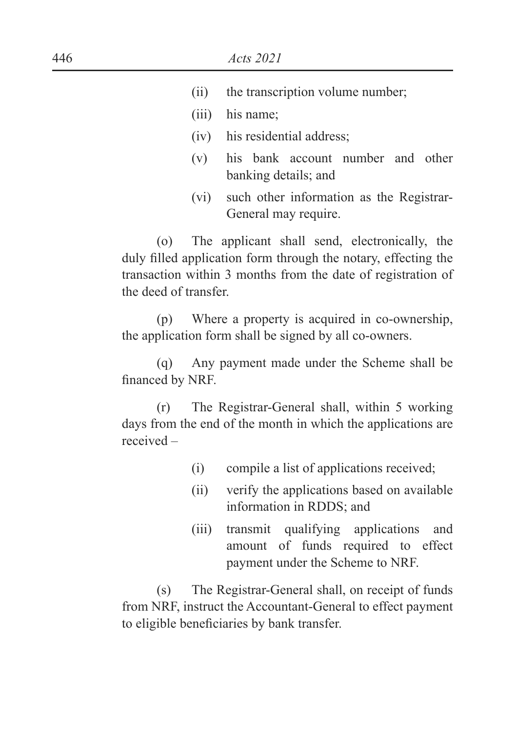- (ii) the transcription volume number;
- (iii) his name;
- (iv) his residential address;
- (v) his bank account number and other banking details; and
- (vi) such other information as the Registrar-General may require.

(o) The applicant shall send, electronically, the duly filled application form through the notary, effecting the transaction within 3 months from the date of registration of the deed of transfer.

(p) Where a property is acquired in co-ownership, the application form shall be signed by all co-owners.

(q) Any payment made under the Scheme shall be financed by NRF.

(r) The Registrar-General shall, within 5 working days from the end of the month in which the applications are received –

- (i) compile a list of applications received;
- (ii) verify the applications based on available information in RDDS; and
- (iii) transmit qualifying applications and amount of funds required to effect payment under the Scheme to NRF.

(s) The Registrar-General shall, on receipt of funds from NRF, instruct the Accountant-General to effect payment to eligible beneficiaries by bank transfer.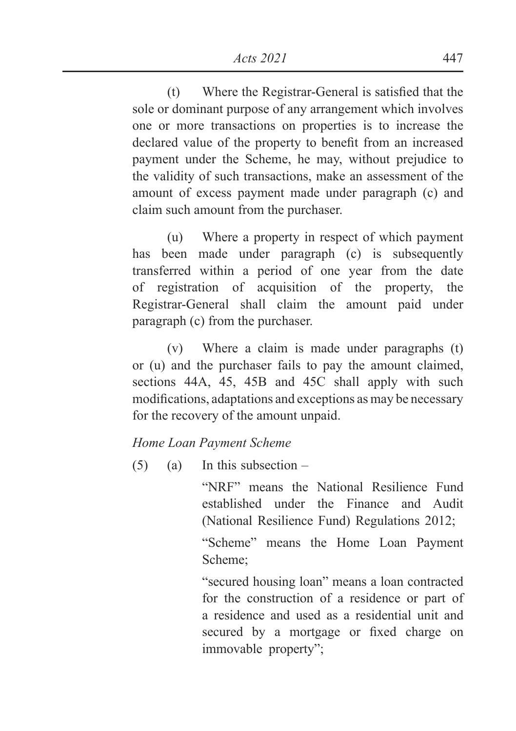$(t)$  Where the Registrar-General is satisfied that the sole or dominant purpose of any arrangement which involves one or more transactions on properties is to increase the declared value of the property to benefit from an increased payment under the Scheme, he may, without prejudice to the validity of such transactions, make an assessment of the amount of excess payment made under paragraph (c) and claim such amount from the purchaser.

(u) Where a property in respect of which payment has been made under paragraph (c) is subsequently transferred within a period of one year from the date of registration of acquisition of the property, the Registrar-General shall claim the amount paid under paragraph (c) from the purchaser.

(v) Where a claim is made under paragraphs (t) or (u) and the purchaser fails to pay the amount claimed, sections 44A, 45, 45B and 45C shall apply with such modifications, adaptations and exceptions as may be necessary for the recovery of the amount unpaid.

### *Home Loan Payment Scheme*

 $(5)$  (a) In this subsection –

"NRF" means the National Resilience Fund established under the Finance and Audit (National Resilience Fund) Regulations 2012;

"Scheme" means the Home Loan Payment Scheme;

"secured housing loan" means a loan contracted for the construction of a residence or part of a residence and used as a residential unit and secured by a mortgage or fixed charge on immovable property";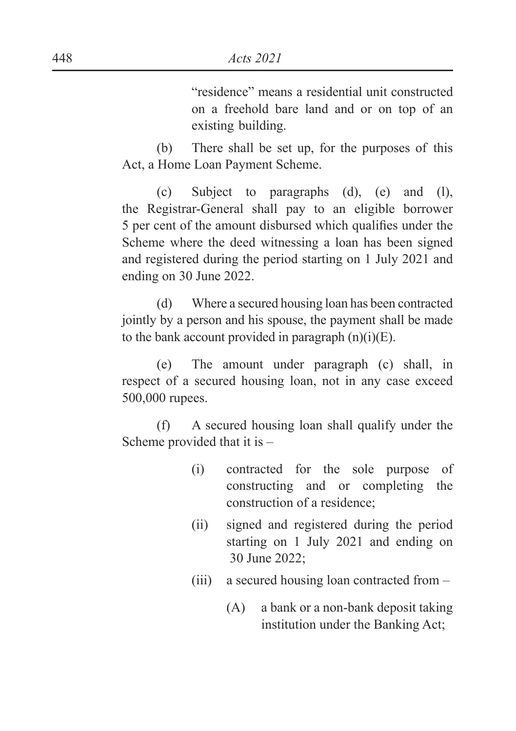"residence" means a residential unit constructed on a freehold bare land and or on top of an existing building.

(b) There shall be set up, for the purposes of this Act, a Home Loan Payment Scheme.

(c) Subject to paragraphs (d), (e) and (l), the Registrar-General shall pay to an eligible borrower 5 per cent of the amount disbursed which qualifies under the Scheme where the deed witnessing a loan has been signed and registered during the period starting on 1 July 2021 and ending on 30 June 2022.

(d) Where a secured housing loan has been contracted jointly by a person and his spouse, the payment shall be made to the bank account provided in paragraph  $(n)(i)(E)$ .

(e) The amount under paragraph (c) shall, in respect of a secured housing loan, not in any case exceed 500,000 rupees.

(f) A secured housing loan shall qualify under the Scheme provided that it is –

- (i) contracted for the sole purpose of constructing and or completing the construction of a residence;
- (ii) signed and registered during the period starting on 1 July 2021 and ending on 30 June 2022;
- (iii) a secured housing loan contracted from
	- (A) a bank or a non-bank deposit taking institution under the Banking Act;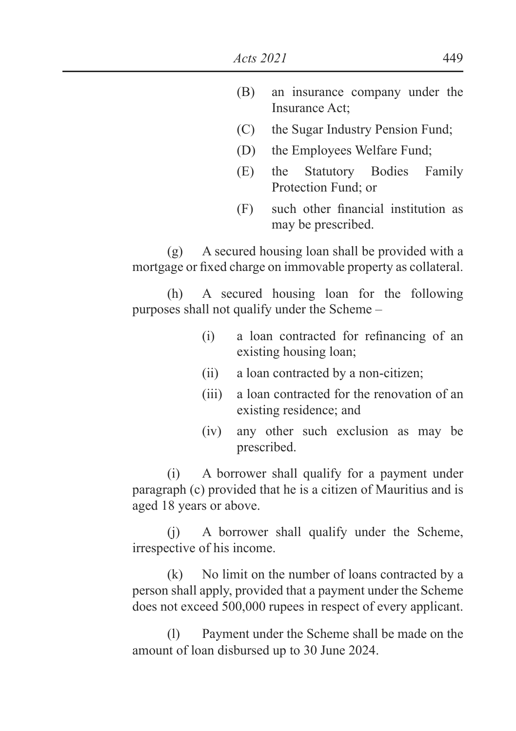- (B) an insurance company under the Insurance Act;
- (C) the Sugar Industry Pension Fund;
- (D) the Employees Welfare Fund;
- (E) the Statutory Bodies Family Protection Fund; or
- $(F)$  such other financial institution as may be prescribed.

(g) A secured housing loan shall be provided with a mortgage or fixed charge on immovable property as collateral.

(h) A secured housing loan for the following purposes shall not qualify under the Scheme –

- $(i)$  a loan contracted for refinancing of an existing housing loan;
- (ii) a loan contracted by a non-citizen;
- (iii) a loan contracted for the renovation of an existing residence; and
- (iv) any other such exclusion as may be prescribed.

(i) A borrower shall qualify for a payment under paragraph (c) provided that he is a citizen of Mauritius and is aged 18 years or above.

(j) A borrower shall qualify under the Scheme, irrespective of his income.

(k) No limit on the number of loans contracted by a person shall apply, provided that a payment under the Scheme does not exceed 500,000 rupees in respect of every applicant.

(l) Payment under the Scheme shall be made on the amount of loan disbursed up to 30 June 2024.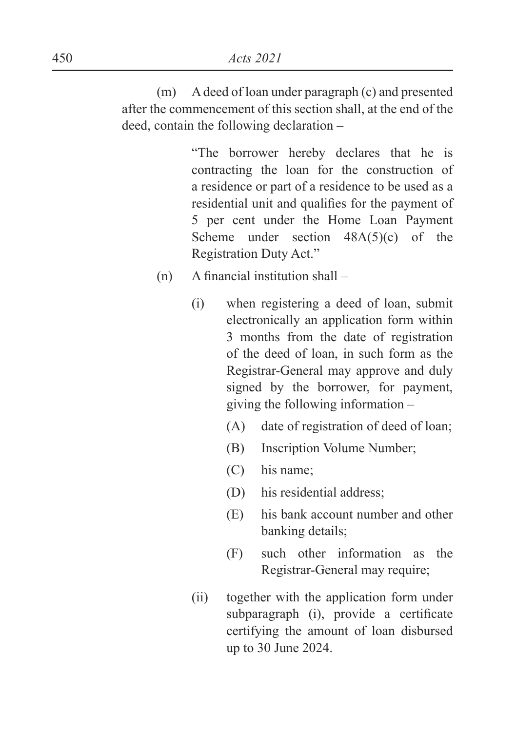(m) A deed of loan under paragraph (c) and presented after the commencement of this section shall, at the end of the deed, contain the following declaration –

> "The borrower hereby declares that he is contracting the loan for the construction of a residence or part of a residence to be used as a residential unit and qualifies for the payment of 5 per cent under the Home Loan Payment Scheme under section  $48A(5)(c)$  of the Registration Duty Act."

- $(n)$  A financial institution shall
	- (i) when registering a deed of loan, submit electronically an application form within 3 months from the date of registration of the deed of loan, in such form as the Registrar-General may approve and duly signed by the borrower, for payment, giving the following information –
		- (A) date of registration of deed of loan;
		- (B) Inscription Volume Number;
		- (C) his name;
		- (D) his residential address;
		- (E) his bank account number and other banking details;
		- (F) such other information as the Registrar-General may require;
	- (ii) together with the application form under subparagraph (i), provide a certificate certifying the amount of loan disbursed up to 30 June 2024.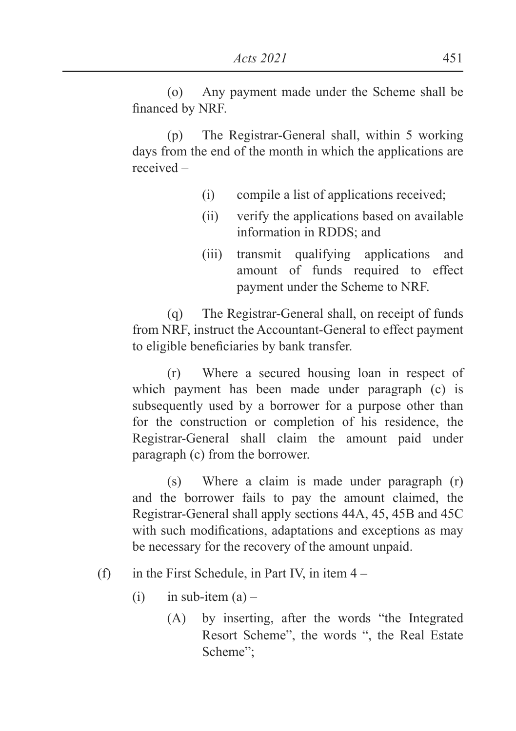(o) Any payment made under the Scheme shall be financed by NRF.

(p) The Registrar-General shall, within 5 working days from the end of the month in which the applications are received –

- (i) compile a list of applications received;
- (ii) verify the applications based on available information in RDDS; and
- (iii) transmit qualifying applications and amount of funds required to effect payment under the Scheme to NRF.

(q) The Registrar-General shall, on receipt of funds from NRF, instruct the Accountant-General to effect payment to eligible beneficiaries by bank transfer.

(r) Where a secured housing loan in respect of which payment has been made under paragraph (c) is subsequently used by a borrower for a purpose other than for the construction or completion of his residence, the Registrar-General shall claim the amount paid under paragraph (c) from the borrower.

(s) Where a claim is made under paragraph (r) and the borrower fails to pay the amount claimed, the Registrar-General shall apply sections 44A, 45, 45B and 45C with such modifications, adaptations and exceptions as may be necessary for the recovery of the amount unpaid.

### (f) in the First Schedule, in Part IV, in item  $4 -$

- $(i)$  in sub-item  $(a)$ 
	- (A) by inserting, after the words "the Integrated Resort Scheme", the words ", the Real Estate Scheme";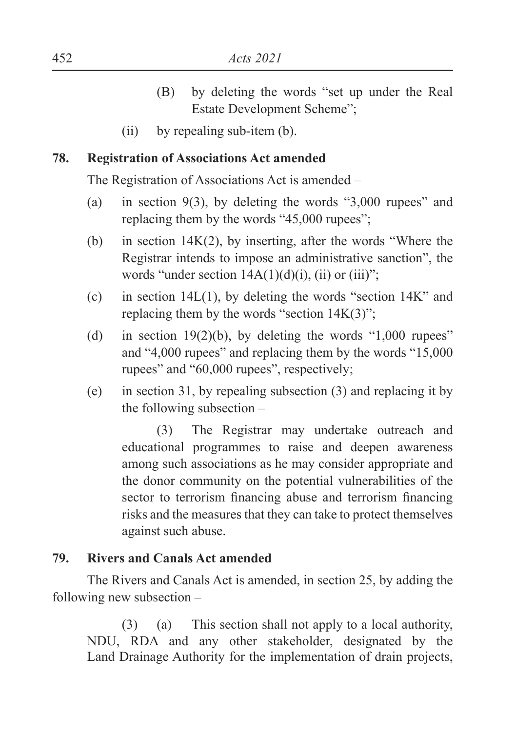- (B) by deleting the words "set up under the Real Estate Development Scheme";
- (ii) by repealing sub-item (b).

### **78. Registration of Associations Act amended**

The Registration of Associations Act is amended –

- (a) in section 9(3), by deleting the words "3,000 rupees" and replacing them by the words "45,000 rupees";
- (b) in section 14K(2), by inserting, after the words "Where the Registrar intends to impose an administrative sanction", the words "under section  $14A(1)(d)(i)$ , (ii) or (iii)";
- (c) in section  $14L(1)$ , by deleting the words "section  $14K$ " and replacing them by the words "section  $14K(3)$ ";
- (d) in section  $19(2)(b)$ , by deleting the words "1,000 rupees" and "4,000 rupees" and replacing them by the words "15,000 rupees" and "60,000 rupees", respectively;
- (e) in section 31, by repealing subsection (3) and replacing it by the following subsection –

(3) The Registrar may undertake outreach and educational programmes to raise and deepen awareness among such associations as he may consider appropriate and the donor community on the potential vulnerabilities of the sector to terrorism financing abuse and terrorism financing risks and the measures that they can take to protect themselves against such abuse.

#### **79. Rivers and Canals Act amended**

 The Rivers and Canals Act is amended, in section 25, by adding the following new subsection –

(3) (a) This section shall not apply to a local authority, NDU, RDA and any other stakeholder, designated by the Land Drainage Authority for the implementation of drain projects,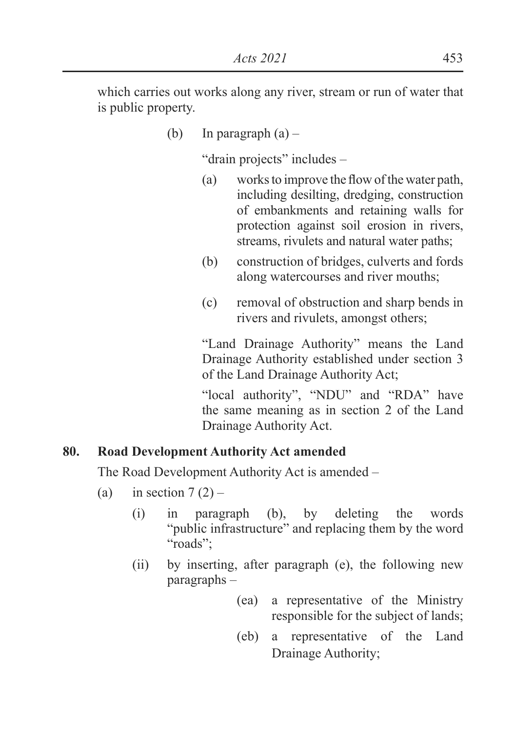which carries out works along any river, stream or run of water that is public property.

(b) In paragraph  $(a)$  –

"drain projects" includes –

- $(a)$  works to improve the flow of the water path, including desilting, dredging, construction of embankments and retaining walls for protection against soil erosion in rivers, streams, rivulets and natural water paths;
- (b) construction of bridges, culverts and fords along watercourses and river mouths;
- (c) removal of obstruction and sharp bends in rivers and rivulets, amongst others;

"Land Drainage Authority" means the Land Drainage Authority established under section 3 of the Land Drainage Authority Act;

"local authority", "NDU" and "RDA" have the same meaning as in section 2 of the Land Drainage Authority Act.

# **80. Road Development Authority Act amended**

The Road Development Authority Act is amended –

- (a) in section  $7(2)$ 
	- (i) in paragraph (b), by deleting the words "public infrastructure" and replacing them by the word "roads";
	- (ii) by inserting, after paragraph (e), the following new paragraphs –
		- (ea) a representative of the Ministry responsible for the subject of lands;
		- (eb) a representative of the Land Drainage Authority;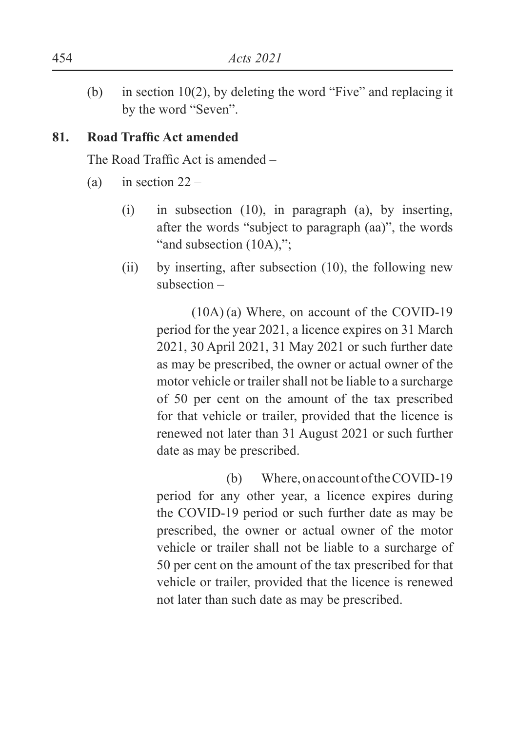(b) in section 10(2), by deleting the word "Five" and replacing it by the word "Seven".

### 81. Road Traffic Act amended

The Road Traffic Act is amended  $-$ 

- (a) in section  $22 -$ 
	- (i) in subsection (10), in paragraph (a), by inserting, after the words "subject to paragraph (aa)", the words "and subsection (10A),":
	- (ii) by inserting, after subsection (10), the following new subsection –

(10A) (a) Where, on account of the COVID-19 period for the year 2021, a licence expires on 31 March 2021, 30 April 2021, 31 May 2021 or such further date as may be prescribed, the owner or actual owner of the motor vehicle or trailer shall not be liable to a surcharge of 50 per cent on the amount of the tax prescribed for that vehicle or trailer, provided that the licence is renewed not later than 31 August 2021 or such further date as may be prescribed.

 (b) Where, on account of the COVID-19 period for any other year, a licence expires during the COVID-19 period or such further date as may be prescribed, the owner or actual owner of the motor vehicle or trailer shall not be liable to a surcharge of 50 per cent on the amount of the tax prescribed for that vehicle or trailer, provided that the licence is renewed not later than such date as may be prescribed.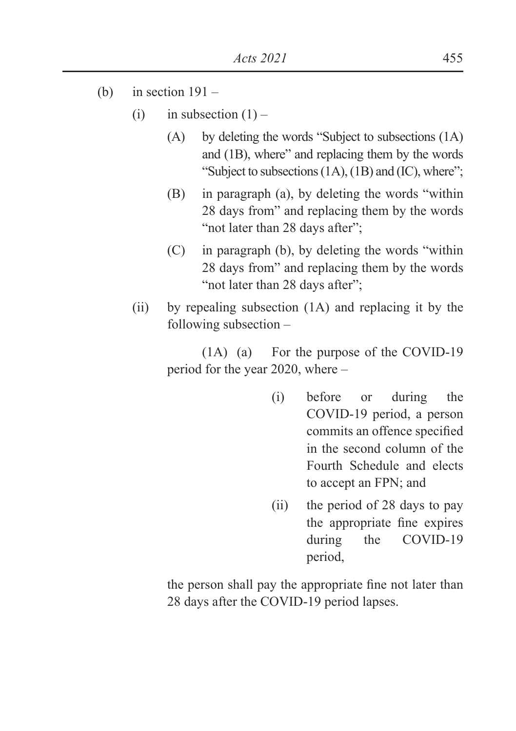- (b) in section  $191 -$ 
	- (i) in subsection  $(1)$ 
		- (A) by deleting the words "Subject to subsections (1A) and (1B), where" and replacing them by the words "Subject to subsections (1A), (1B) and (IC), where";
		- (B) in paragraph (a), by deleting the words "within 28 days from" and replacing them by the words "not later than 28 days after":
		- (C) in paragraph (b), by deleting the words "within 28 days from" and replacing them by the words "not later than 28 days after";
	- (ii) by repealing subsection (1A) and replacing it by the following subsection –

(1A) (a) For the purpose of the COVID-19 period for the year 2020, where –

- (i) before or during the COVID-19 period, a person commits an offence specified in the second column of the Fourth Schedule and elects to accept an FPN; and
- (ii) the period of 28 days to pay the appropriate fine expires during the COVID-19 period,

the person shall pay the appropriate fine not later than 28 days after the COVID-19 period lapses.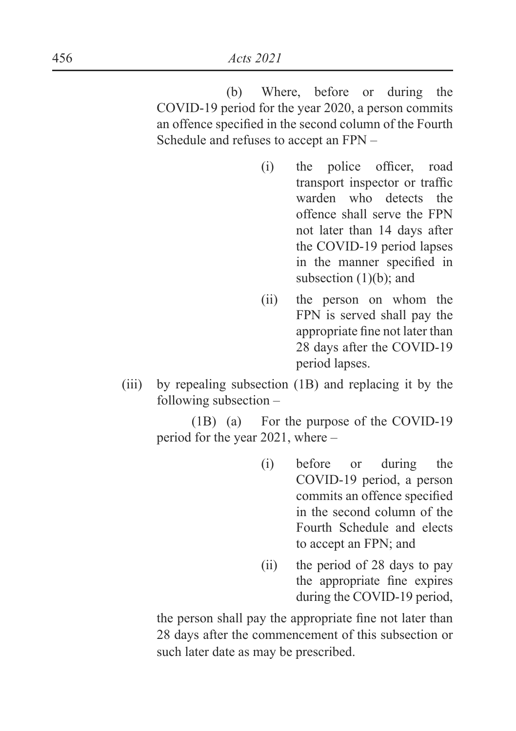(b) Where, before or during the COVID-19 period for the year 2020, a person commits an offence specified in the second column of the Fourth Schedule and refuses to accept an FPN –

- $(i)$  the police officer, road transport inspector or traffic warden who detects the offence shall serve the FPN not later than 14 days after the COVID-19 period lapses in the manner specified in subsection (1)(b); and
- (ii) the person on whom the FPN is served shall pay the appropriate fine not later than 28 days after the COVID-19 period lapses.
- (iii) by repealing subsection (1B) and replacing it by the following subsection –

(1B) (a) For the purpose of the COVID-19 period for the year 2021, where –

- (i) before or during the COVID-19 period, a person commits an offence specified in the second column of the Fourth Schedule and elects to accept an FPN; and
- (ii) the period of 28 days to pay the appropriate fine expires during the COVID-19 period,

the person shall pay the appropriate fine not later than 28 days after the commencement of this subsection or such later date as may be prescribed.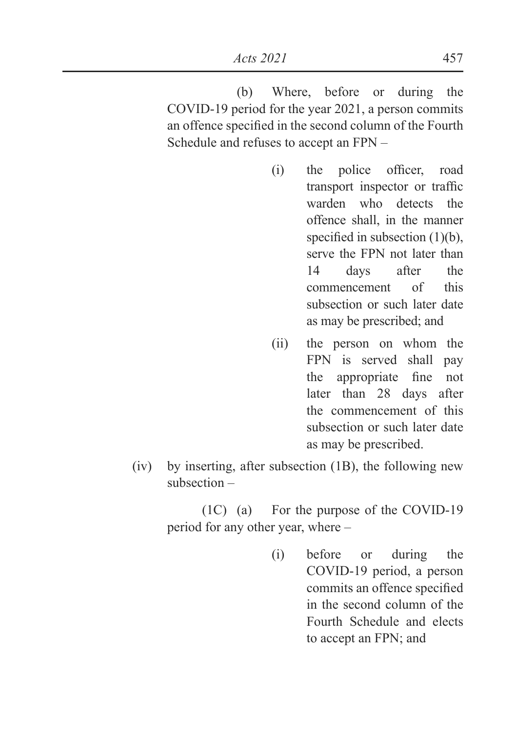(b) Where, before or during the COVID-19 period for the year 2021, a person commits an offence specified in the second column of the Fourth Schedule and refuses to accept an FPN –

- $(i)$  the police officer, road transport inspector or traffic warden who detects the offence shall, in the manner specified in subsection  $(1)(b)$ , serve the FPN not later than 14 days after the commencement of this subsection or such later date as may be prescribed; and
- (ii) the person on whom the FPN is served shall pay the appropriate fine not later than 28 days after the commencement of this subsection or such later date as may be prescribed.
- (iv) by inserting, after subsection (1B), the following new subsection –

(1C) (a) For the purpose of the COVID-19 period for any other year, where –

> (i) before or during the COVID-19 period, a person commits an offence specified in the second column of the Fourth Schedule and elects to accept an FPN; and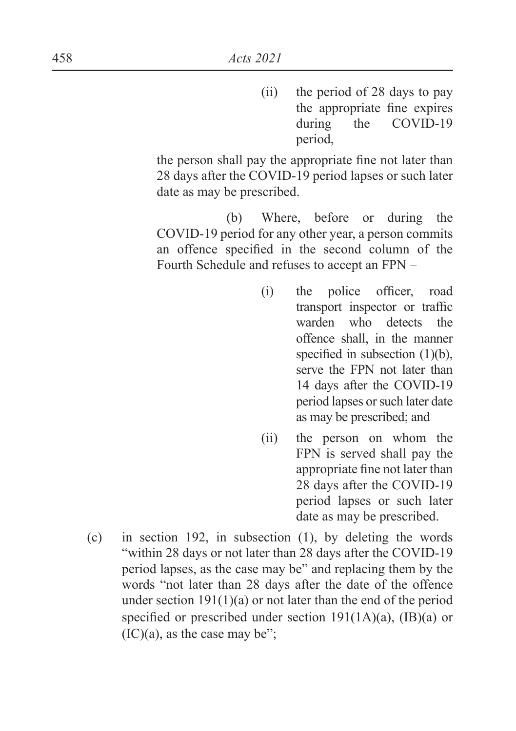(ii) the period of 28 days to pay the appropriate fine expires during the COVID-19 period,

the person shall pay the appropriate fine not later than 28 days after the COVID-19 period lapses or such later date as may be prescribed.

 (b) Where, before or during the COVID-19 period for any other year, a person commits an offence specified in the second column of the Fourth Schedule and refuses to accept an FPN –

- (i) the police officer, road transport inspector or traffic warden who detects the offence shall, in the manner specified in subsection  $(1)(b)$ , serve the FPN not later than 14 days after the COVID-19 period lapses or such later date as may be prescribed; and
- (ii) the person on whom the FPN is served shall pay the appropriate fine not later than 28 days after the COVID-19 period lapses or such later date as may be prescribed.
- (c) in section 192, in subsection (1), by deleting the words "within 28 days or not later than 28 days after the COVID-19 period lapses, as the case may be" and replacing them by the words "not later than 28 days after the date of the offence under section  $191(1)(a)$  or not later than the end of the period specified or prescribed under section  $191(1A)(a)$ ,  $(IB)(a)$  or  $(IC)(a)$ , as the case may be":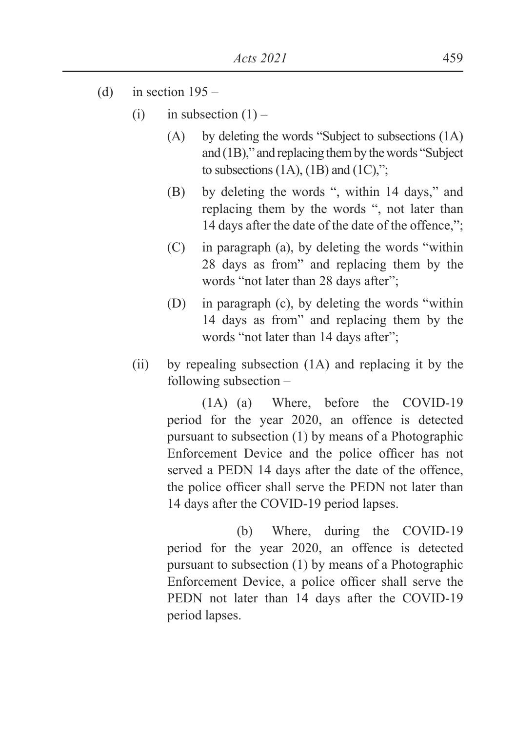- (d) in section  $195 -$ 
	- (i) in subsection  $(1)$ 
		- (A) by deleting the words "Subject to subsections (1A) and (1B)," and replacing them by the words "Subject to subsections  $(1A)$ ,  $(1B)$  and  $(1C)$ ,";
		- (B) by deleting the words ", within 14 days," and replacing them by the words ", not later than 14 days after the date of the date of the offence,";
		- (C) in paragraph (a), by deleting the words "within 28 days as from" and replacing them by the words "not later than 28 days after";
		- (D) in paragraph (c), by deleting the words "within 14 days as from" and replacing them by the words "not later than 14 days after";
	- (ii) by repealing subsection (1A) and replacing it by the following subsection –

(1A) (a) Where, before the COVID-19 period for the year 2020, an offence is detected pursuant to subsection (1) by means of a Photographic Enforcement Device and the police officer has not served a PEDN 14 days after the date of the offence, the police officer shall serve the PEDN not later than 14 days after the COVID-19 period lapses.

 (b) Where, during the COVID-19 period for the year 2020, an offence is detected pursuant to subsection (1) by means of a Photographic Enforcement Device, a police officer shall serve the PEDN not later than 14 days after the COVID-19 period lapses.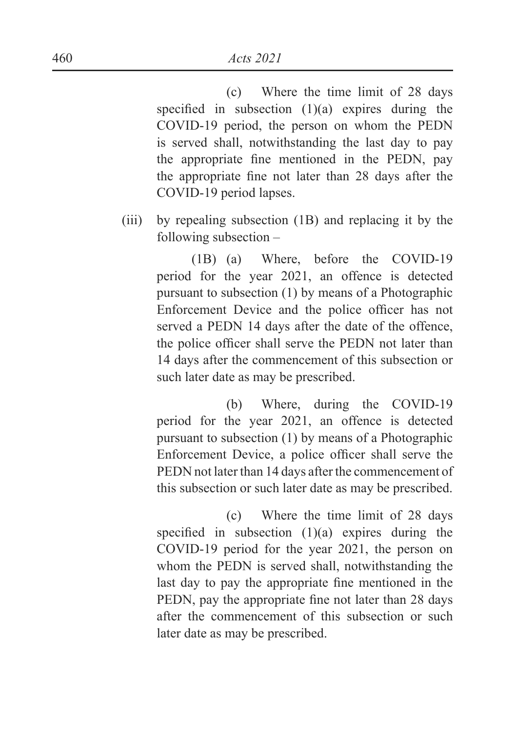(c) Where the time limit of 28 days specified in subsection  $(1)(a)$  expires during the COVID-19 period, the person on whom the PEDN is served shall, notwithstanding the last day to pay the appropriate fine mentioned in the PEDN, pay the appropriate fine not later than 28 days after the COVID-19 period lapses.

(iii) by repealing subsection (1B) and replacing it by the following subsection –

> (1B) (a) Where, before the COVID-19 period for the year 2021, an offence is detected pursuant to subsection (1) by means of a Photographic Enforcement Device and the police officer has not served a PEDN 14 days after the date of the offence, the police officer shall serve the PEDN not later than 14 days after the commencement of this subsection or such later date as may be prescribed.

> (b) Where, during the COVID-19 period for the year 2021, an offence is detected pursuant to subsection (1) by means of a Photographic Enforcement Device, a police officer shall serve the PEDN not later than 14 days after the commencement of this subsection or such later date as may be prescribed.

> (c) Where the time limit of 28 days specified in subsection  $(1)(a)$  expires during the COVID-19 period for the year 2021, the person on whom the PEDN is served shall, notwithstanding the last day to pay the appropriate fine mentioned in the PEDN, pay the appropriate fine not later than 28 days after the commencement of this subsection or such later date as may be prescribed.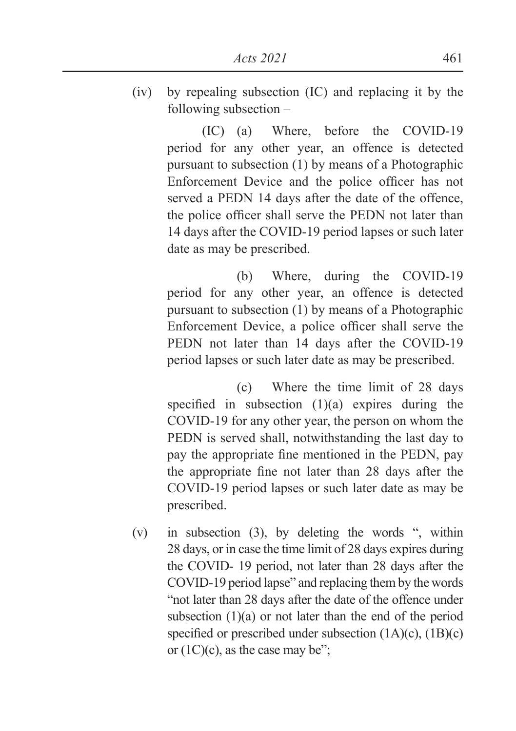(iv) by repealing subsection (IC) and replacing it by the following subsection –

> (IC) (a) Where, before the COVID-19 period for any other year, an offence is detected pursuant to subsection (1) by means of a Photographic Enforcement Device and the police officer has not served a PEDN 14 days after the date of the offence, the police officer shall serve the PEDN not later than 14 days after the COVID-19 period lapses or such later date as may be prescribed.

> (b) Where, during the COVID-19 period for any other year, an offence is detected pursuant to subsection (1) by means of a Photographic Enforcement Device, a police officer shall serve the PEDN not later than 14 days after the COVID-19 period lapses or such later date as may be prescribed.

> (c) Where the time limit of 28 days specified in subsection  $(1)(a)$  expires during the COVID-19 for any other year, the person on whom the PEDN is served shall, notwithstanding the last day to pay the appropriate fine mentioned in the PEDN, pay the appropriate fine not later than 28 days after the COVID-19 period lapses or such later date as may be prescribed.

(v) in subsection (3), by deleting the words ", within 28 days, or in case the time limit of 28 days expires during the COVID- 19 period, not later than 28 days after the COVID-19 period lapse" and replacing them by the words "not later than 28 days after the date of the offence under subsection  $(1)(a)$  or not later than the end of the period specified or prescribed under subsection  $(1A)(c)$ ,  $(1B)(c)$ or  $(1C)(c)$ , as the case may be";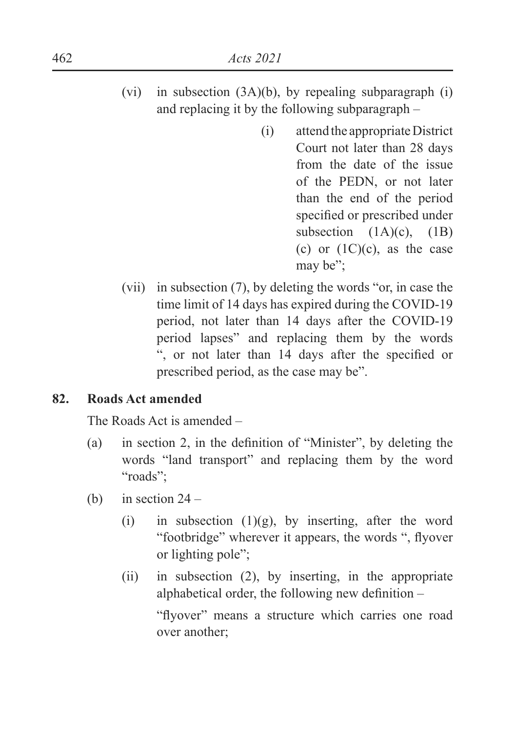- (vi) in subsection (3A)(b), by repealing subparagraph (i) and replacing it by the following subparagraph –
	- (i) attend the appropriate District Court not later than 28 days from the date of the issue of the PEDN, or not later than the end of the period specified or prescribed under subsection  $(1A)(c)$ ,  $(1B)$ (c) or  $(1C)(c)$ , as the case may be";
- (vii) in subsection (7), by deleting the words "or, in case the time limit of 14 days has expired during the COVID-19 period, not later than 14 days after the COVID-19 period lapses" and replacing them by the words ", or not later than 14 days after the specified or prescribed period, as the case may be".

#### **82. Roads Act amended**

The Roads Act is amended –

- (a) in section 2, in the definition of "Minister", by deleting the words "land transport" and replacing them by the word "roads";
- (b) in section  $24 -$ 
	- (i) in subsection  $(1)(g)$ , by inserting, after the word "footbridge" wherever it appears, the words ", flyover or lighting pole";
	- (ii) in subsection (2), by inserting, in the appropriate alphabetical order, the following new definition  $-$

"flyover" means a structure which carries one road over another;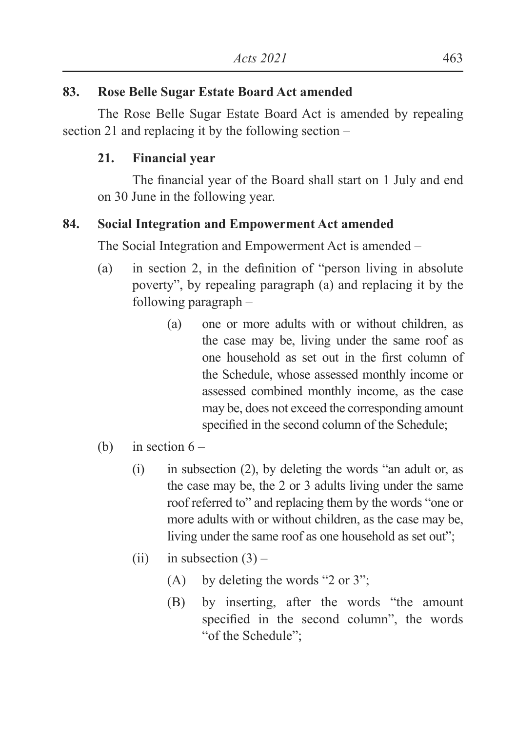# **83. Rose Belle Sugar Estate Board Act amended**

 The Rose Belle Sugar Estate Board Act is amended by repealing section 21 and replacing it by the following section –

# **21. Financial year**

The financial year of the Board shall start on 1 July and end on 30 June in the following year.

# **84. Social Integration and Empowerment Act amended**

The Social Integration and Empowerment Act is amended –

- (a) in section 2, in the definition of "person living in absolute poverty", by repealing paragraph (a) and replacing it by the following paragraph –
	- (a) one or more adults with or without children, as the case may be, living under the same roof as one household as set out in the first column of the Schedule, whose assessed monthly income or assessed combined monthly income, as the case may be, does not exceed the corresponding amount specified in the second column of the Schedule;
- (b) in section  $6 -$ 
	- (i) in subsection (2), by deleting the words "an adult or, as the case may be, the 2 or 3 adults living under the same roof referred to" and replacing them by the words "one or more adults with or without children, as the case may be, living under the same roof as one household as set out";
	- (ii) in subsection  $(3)$ 
		- (A) by deleting the words "2 or 3";
		- (B) by inserting, after the words "the amount specified in the second column", the words "of the Schedule";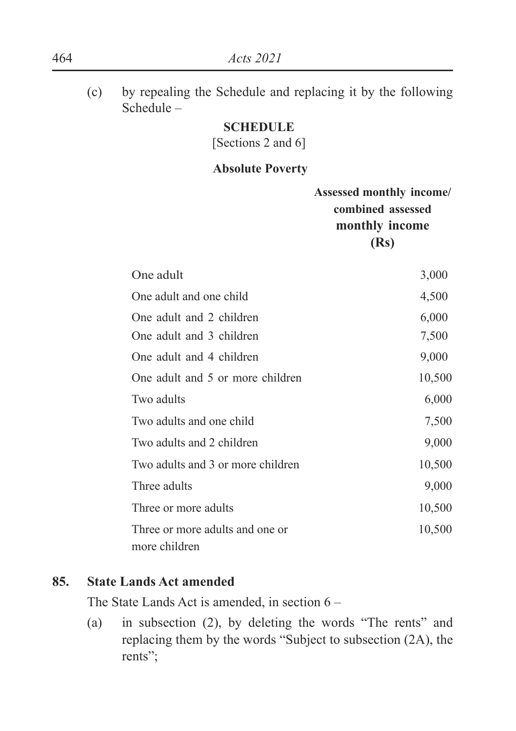(c) by repealing the Schedule and replacing it by the following Schedule –

#### **SCHEDULE**

[Sections 2 and 6]

#### **Absolute Poverty**

|                                                  | Assessed monthly income/<br>combined assessed<br>monthly income<br>(Rs) |
|--------------------------------------------------|-------------------------------------------------------------------------|
| One adult                                        | 3,000                                                                   |
| One adult and one child                          | 4,500                                                                   |
| One adult and 2 children                         | 6,000                                                                   |
| One adult and 3 children                         | 7,500                                                                   |
| One adult and 4 children                         | 9,000                                                                   |
| One adult and 5 or more children                 | 10,500                                                                  |
| Two adults                                       | 6,000                                                                   |
| Two adults and one child                         | 7,500                                                                   |
| Two adults and 2 children                        | 9,000                                                                   |
| Two adults and 3 or more children                | 10,500                                                                  |
| Three adults                                     | 9,000                                                                   |
| Three or more adults                             | 10,500                                                                  |
| Three or more adults and one or<br>more children | 10,500                                                                  |

### **85. State Lands Act amended**

The State Lands Act is amended, in section 6 –

(a) in subsection (2), by deleting the words "The rents" and replacing them by the words "Subject to subsection (2A), the rents";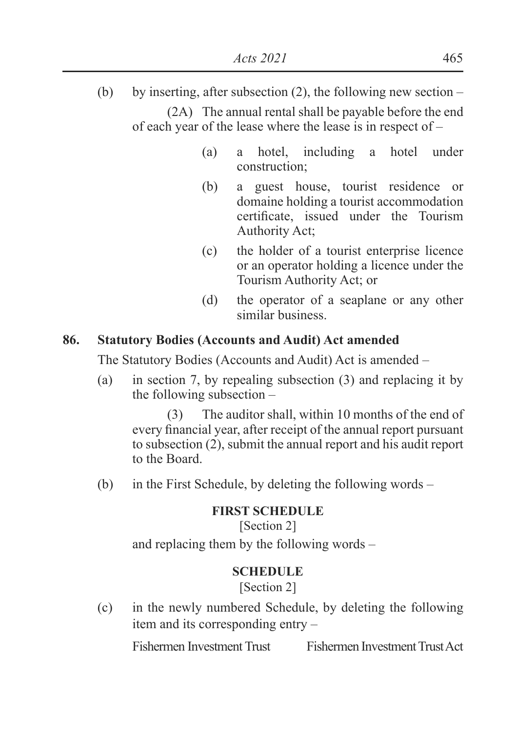- (b) by inserting, after subsection (2), the following new section (2A) The annual rental shall be payable before the end of each year of the lease where the lease is in respect of –
	- (a) a hotel, including a hotel under construction;
	- (b) a guest house, tourist residence or domaine holding a tourist accommodation certificate, issued under the Tourism Authority Act;
	- (c) the holder of a tourist enterprise licence or an operator holding a licence under the Tourism Authority Act; or
	- (d) the operator of a seaplane or any other similar business.

# **86. Statutory Bodies (Accounts and Audit) Act amended**

The Statutory Bodies (Accounts and Audit) Act is amended –

(a) in section 7, by repealing subsection (3) and replacing it by the following subsection –

(3) The auditor shall, within 10 months of the end of every financial year, after receipt of the annual report pursuant to subsection (2), submit the annual report and his audit report to the Board.

(b) in the First Schedule, by deleting the following words –

## **FIRST SCHEDULE**

[Section 2] and replacing them by the following words –

## **SCHEDULE**

[Section 2]

(c) in the newly numbered Schedule, by deleting the following item and its corresponding entry –

Fishermen Investment Trust Fishermen Investment Trust Act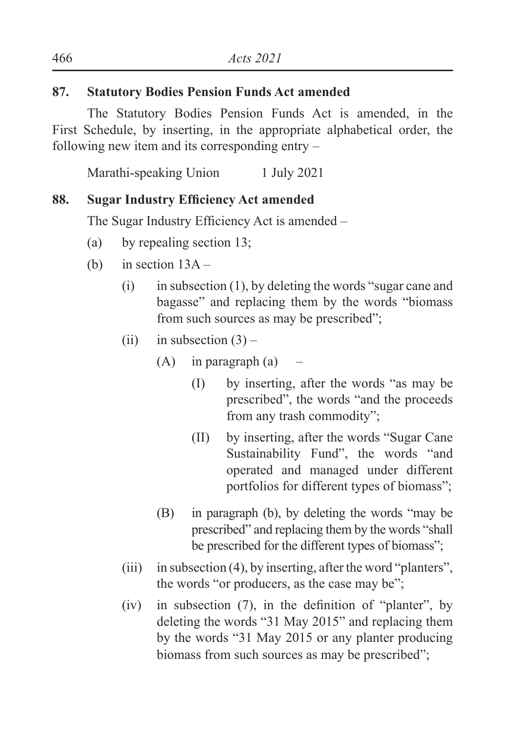# **87. Statutory Bodies Pension Funds Act amended**

 The Statutory Bodies Pension Funds Act is amended, in the First Schedule, by inserting, in the appropriate alphabetical order, the following new item and its corresponding entry –

Marathi-speaking Union 1 July 2021

# **88.** Sugar Industry Efficiency Act amended

The Sugar Industry Efficiency Act is amended –

- (a) by repealing section 13;
- (b) in section  $13A -$ 
	- $(i)$  in subsection  $(1)$ , by deleting the words "sugar cane and bagasse" and replacing them by the words "biomass from such sources as may be prescribed";
	- (ii) in subsection  $(3)$ 
		- $(A)$  in paragraph  $(a)$ 
			- (I) by inserting, after the words "as may be prescribed", the words "and the proceeds from any trash commodity";
			- (II) by inserting, after the words "Sugar Cane Sustainability Fund", the words "and operated and managed under different portfolios for different types of biomass";
		- (B) in paragraph (b), by deleting the words "may be prescribed" and replacing them by the words "shall be prescribed for the different types of biomass";
	- (iii) in subsection (4), by inserting, after the word "planters", the words "or producers, as the case may be";
	- $(iv)$  in subsection (7), in the definition of "planter", by deleting the words "31 May 2015" and replacing them by the words "31 May 2015 or any planter producing biomass from such sources as may be prescribed";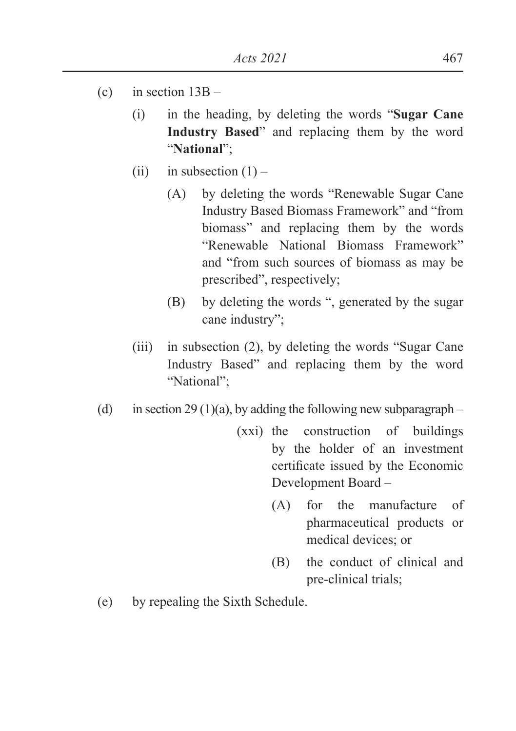- (c) in section  $13B -$ 
	- (i) in the heading, by deleting the words "**Sugar Cane Industry Based**" and replacing them by the word "**National**";
	- (ii) in subsection  $(1)$ 
		- (A) by deleting the words "Renewable Sugar Cane Industry Based Biomass Framework" and "from biomass" and replacing them by the words "Renewable National Biomass Framework" and "from such sources of biomass as may be prescribed", respectively;
		- (B) by deleting the words ", generated by the sugar cane industry";
	- (iii) in subsection (2), by deleting the words "Sugar Cane Industry Based" and replacing them by the word "National";
- (d) in section 29 (1)(a), by adding the following new subparagraph
	- (xxi) the construction of buildings by the holder of an investment certificate issued by the Economic Development Board –
		- (A) for the manufacture of pharmaceutical products or medical devices; or
		- (B) the conduct of clinical and pre-clinical trials;
- (e) by repealing the Sixth Schedule.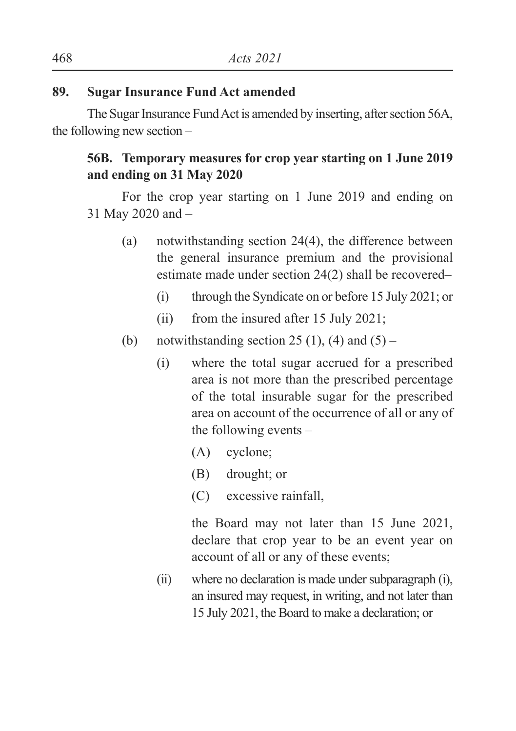### **89. Sugar Insurance Fund Act amended**

 The Sugar Insurance Fund Act is amended by inserting, after section 56A, the following new section –

# **56B. Temporary measures for crop year starting on 1 June 2019 and ending on 31 May 2020**

For the crop year starting on 1 June 2019 and ending on 31 May 2020 and –

- (a) notwithstanding section 24(4), the difference between the general insurance premium and the provisional estimate made under section 24(2) shall be recovered–
	- (i) through the Syndicate on or before 15 July 2021; or
	- (ii) from the insured after 15 July 2021;
- (b) notwithstanding section 25 (1), (4) and  $(5)$ 
	- (i) where the total sugar accrued for a prescribed area is not more than the prescribed percentage of the total insurable sugar for the prescribed area on account of the occurrence of all or any of the following events –
		- (A) cyclone;
		- (B) drought; or
		- (C) excessive rainfall,

the Board may not later than 15 June 2021, declare that crop year to be an event year on account of all or any of these events;

(ii) where no declaration is made under subparagraph (i), an insured may request, in writing, and not later than 15 July 2021, the Board to make a declaration; or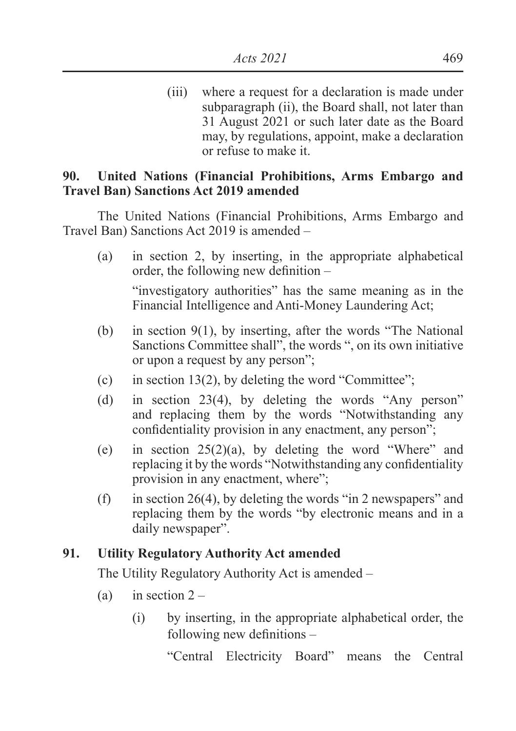(iii) where a request for a declaration is made under subparagraph (ii), the Board shall, not later than 31 August 2021 or such later date as the Board may, by regulations, appoint, make a declaration or refuse to make it.

### **90. United Nations (Financial Prohibitions, Arms Embargo and Travel Ban) Sanctions Act 2019 amended**

 The United Nations (Financial Prohibitions, Arms Embargo and Travel Ban) Sanctions Act 2019 is amended –

(a) in section 2, by inserting, in the appropriate alphabetical order, the following new definition  $-$ 

"investigatory authorities" has the same meaning as in the Financial Intelligence and Anti-Money Laundering Act;

- (b) in section 9(1), by inserting, after the words "The National Sanctions Committee shall", the words ", on its own initiative or upon a request by any person";
- (c) in section 13(2), by deleting the word "Committee";
- (d) in section 23(4), by deleting the words "Any person" and replacing them by the words "Notwithstanding any confidentiality provision in any enactment, any person";
- (e) in section  $25(2)(a)$ , by deleting the word "Where" and replacing it by the words "Notwithstanding any confidentiality provision in any enactment, where";
- (f) in section 26(4), by deleting the words "in 2 newspapers" and replacing them by the words "by electronic means and in a daily newspaper".

## **91. Utility Regulatory Authority Act amended**

The Utility Regulatory Authority Act is amended –

- (a) in section  $2 -$ 
	- (i) by inserting, in the appropriate alphabetical order, the following new definitions  $-$

"Central Electricity Board" means the Central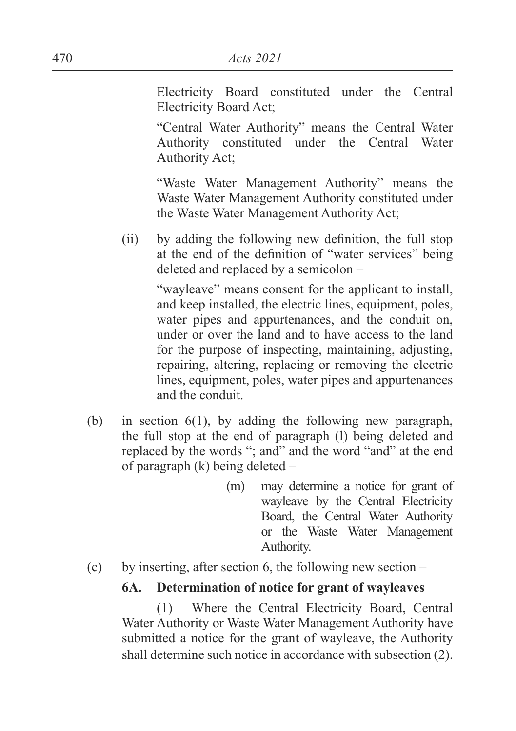Electricity Board constituted under the Central Electricity Board Act;

"Central Water Authority" means the Central Water Authority constituted under the Central Water Authority Act;

"Waste Water Management Authority" means the Waste Water Management Authority constituted under the Waste Water Management Authority Act;

 $\delta$  ii) by adding the following new definition, the full stop at the end of the definition of "water services" being deleted and replaced by a semicolon –

> "wayleave" means consent for the applicant to install, and keep installed, the electric lines, equipment, poles, water pipes and appurtenances, and the conduit on, under or over the land and to have access to the land for the purpose of inspecting, maintaining, adjusting, repairing, altering, replacing or removing the electric lines, equipment, poles, water pipes and appurtenances and the conduit.

- (b) in section 6(1), by adding the following new paragraph, the full stop at the end of paragraph (l) being deleted and replaced by the words "; and" and the word "and" at the end of paragraph (k) being deleted –
	- (m) may determine a notice for grant of wayleave by the Central Electricity Board, the Central Water Authority or the Waste Water Management Authority.
- (c) by inserting, after section 6, the following new section –

#### **6A. Determination of notice for grant of wayleaves**

(1) Where the Central Electricity Board, Central Water Authority or Waste Water Management Authority have submitted a notice for the grant of wayleave, the Authority shall determine such notice in accordance with subsection (2).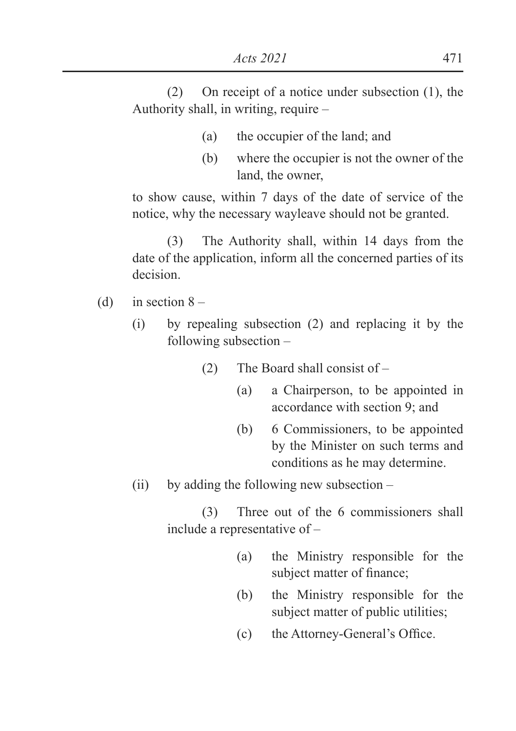(2) On receipt of a notice under subsection (1), the Authority shall, in writing, require –

- (a) the occupier of the land; and
- (b) where the occupier is not the owner of the land, the owner,

to show cause, within 7 days of the date of service of the notice, why the necessary wayleave should not be granted.

(3) The Authority shall, within 14 days from the date of the application, inform all the concerned parties of its decision.

- (d) in section  $8 -$ 
	- (i) by repealing subsection (2) and replacing it by the following subsection –
		- (2) The Board shall consist of
			- (a) a Chairperson, to be appointed in accordance with section 9; and
			- (b) 6 Commissioners, to be appointed by the Minister on such terms and conditions as he may determine.
	- $(ii)$  by adding the following new subsection –

(3) Three out of the 6 commissioners shall include a representative of –

- (a) the Ministry responsible for the subject matter of finance:
- (b) the Ministry responsible for the subject matter of public utilities;
- $F(x)$  the Attorney-General's Office.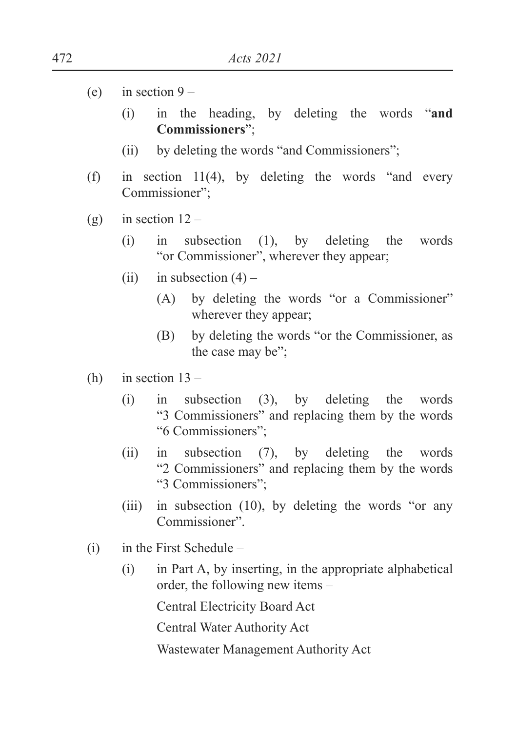- (e) in section  $9 -$ 
	- (i) in the heading, by deleting the words "**and Commissioners**";
	- (ii) by deleting the words "and Commissioners";
- (f) in section 11(4), by deleting the words "and every Commissioner";
- (g) in section  $12 -$ 
	- (i) in subsection (1), by deleting the words "or Commissioner", wherever they appear;
	- (ii) in subsection  $(4)$ 
		- (A) by deleting the words "or a Commissioner" wherever they appear;
		- (B) by deleting the words "or the Commissioner, as the case may be";
- (h) in section  $13 -$ 
	- (i) in subsection (3), by deleting the words "3 Commissioners" and replacing them by the words "6 Commissioners";
	- (ii) in subsection (7), by deleting the words "2 Commissioners" and replacing them by the words "3 Commissioners";
	- (iii) in subsection (10), by deleting the words "or any Commissioner".
- $(i)$  in the First Schedule
	- (i) in Part A, by inserting, in the appropriate alphabetical order, the following new items –

Central Electricity Board Act

Central Water Authority Act

Wastewater Management Authority Act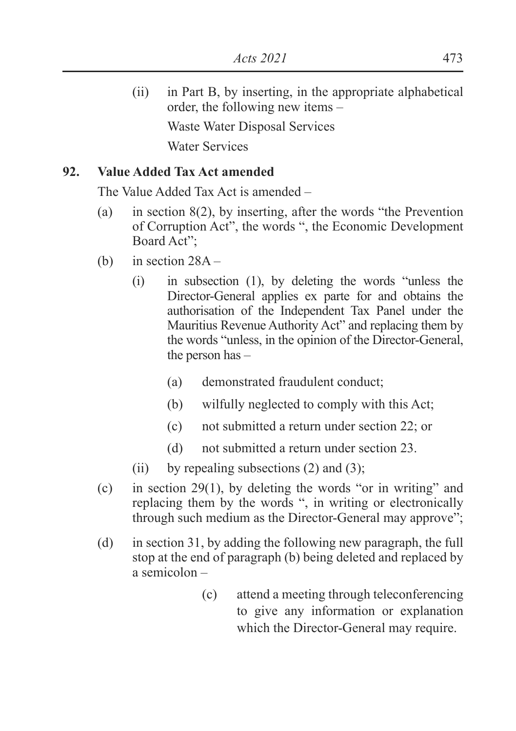(ii) in Part B, by inserting, in the appropriate alphabetical order, the following new items – Waste Water Disposal Services Water Services

### **92. Value Added Tax Act amended**

The Value Added Tax Act is amended –

- (a) in section 8(2), by inserting, after the words "the Prevention of Corruption Act", the words ", the Economic Development Board Act";
- (b) in section 28A
	- (i) in subsection (1), by deleting the words "unless the Director-General applies ex parte for and obtains the authorisation of the Independent Tax Panel under the Mauritius Revenue Authority Act" and replacing them by the words "unless, in the opinion of the Director-General, the person has –
		- (a) demonstrated fraudulent conduct;
		- (b) wilfully neglected to comply with this Act;
		- (c) not submitted a return under section 22; or
		- (d) not submitted a return under section 23.
	- (ii) by repealing subsections  $(2)$  and  $(3)$ ;
- (c) in section 29(1), by deleting the words "or in writing" and replacing them by the words ", in writing or electronically through such medium as the Director-General may approve";
- (d) in section 31, by adding the following new paragraph, the full stop at the end of paragraph (b) being deleted and replaced by a semicolon –
	- (c) attend a meeting through teleconferencing to give any information or explanation which the Director-General may require.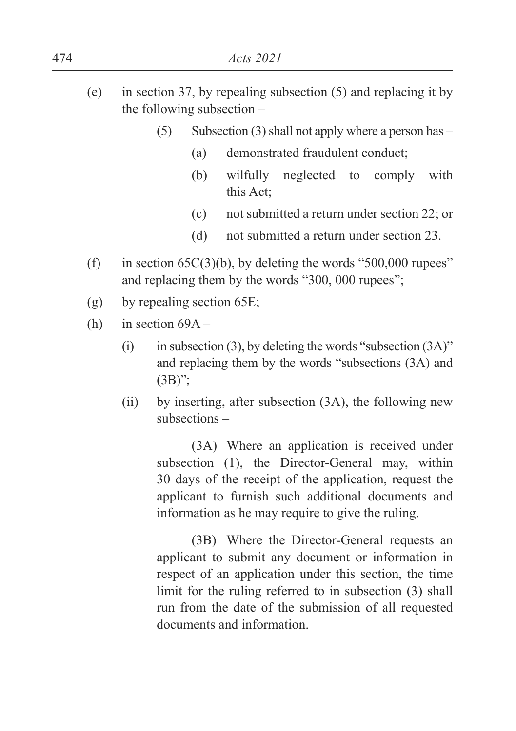- (e) in section 37, by repealing subsection (5) and replacing it by the following subsection –
	- (5) Subsection (3) shall not apply where a person has  $-$ 
		- (a) demonstrated fraudulent conduct;
		- (b) wilfully neglected to comply with this Act;
		- (c) not submitted a return under section 22; or
		- (d) not submitted a return under section 23.
- (f) in section  $65C(3)(b)$ , by deleting the words "500,000 rupees" and replacing them by the words "300, 000 rupees";
- (g) by repealing section 65E;
- (h) in section  $69A -$ 
	- (i) in subsection (3), by deleting the words "subsection  $(3A)$ " and replacing them by the words "subsections (3A) and  $(3B)$ ";
	- (ii) by inserting, after subsection (3A), the following new subsections –

(3A) Where an application is received under subsection (1), the Director-General may, within 30 days of the receipt of the application, request the applicant to furnish such additional documents and information as he may require to give the ruling.

(3B) Where the Director-General requests an applicant to submit any document or information in respect of an application under this section, the time limit for the ruling referred to in subsection (3) shall run from the date of the submission of all requested documents and information.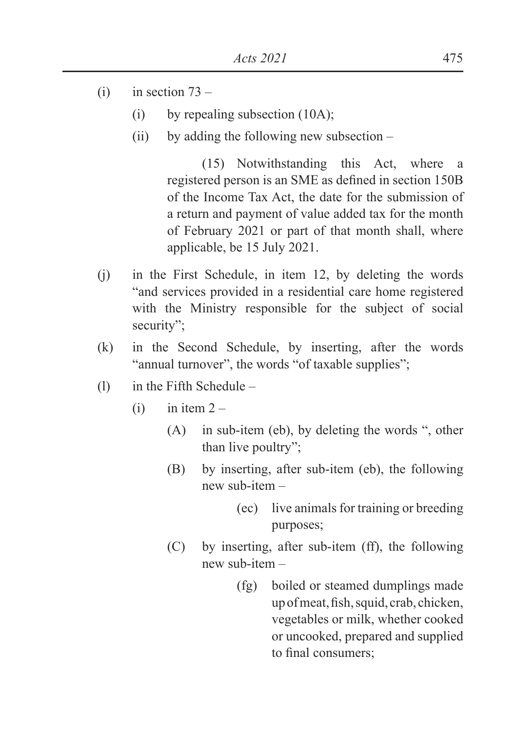- $(i)$  in section  $73 -$ 
	- (i) by repealing subsection (10A);
	- (ii) by adding the following new subsection –

(15) Notwithstanding this Act, where a registered person is an SME as defined in section 150B of the Income Tax Act, the date for the submission of a return and payment of value added tax for the month of February 2021 or part of that month shall, where applicable, be 15 July 2021.

- (j) in the First Schedule, in item 12, by deleting the words "and services provided in a residential care home registered with the Ministry responsible for the subject of social security";
- (k) in the Second Schedule, by inserting, after the words "annual turnover", the words "of taxable supplies";
- (l) in the Fifth Schedule
	- $(i)$  in item  $2 -$ 
		- (A) in sub-item (eb), by deleting the words ", other than live poultry";
		- (B) by inserting, after sub-item (eb), the following new sub-item –
			- (ec) live animals for training or breeding purposes;
		- (C) by inserting, after sub-item (ff), the following new sub-item –
			- (fg) boiled or steamed dumplings made up of meat, fish, squid, crab, chicken, vegetables or milk, whether cooked or uncooked, prepared and supplied to final consumers: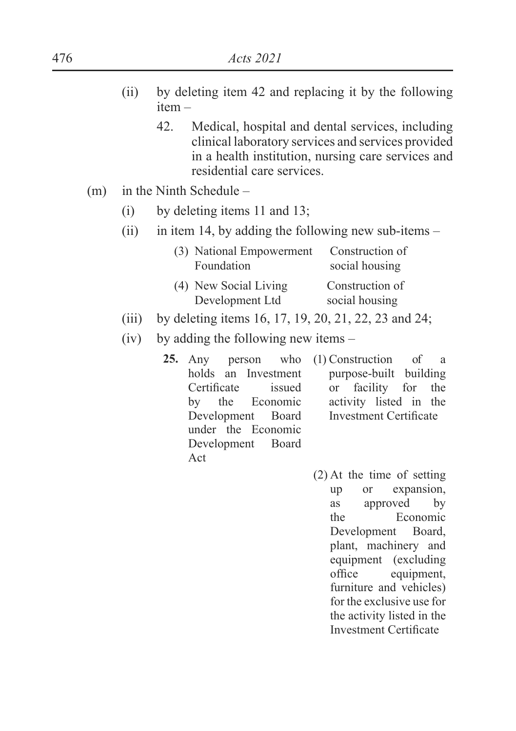- (ii) by deleting item 42 and replacing it by the following item –
	- 42. Medical, hospital and dental services, including clinical laboratory services and services provided in a health institution, nursing care services and residential care services.
- (m) in the Ninth Schedule
	- (i) by deleting items 11 and 13;
	- (ii) in item 14, by adding the following new sub-items  $-$

| (3) National Empowerment | Construction of |
|--------------------------|-----------------|
| Foundation               | social housing  |
| (4) New Social Living    | Construction of |
| Development Ltd          | social housing  |

- (iii) by deleting items 16, 17, 19, 20, 21, 22, 23 and 24;
- (iv) by adding the following new items
	- 25. Any person holds an Investment Certificate issued<br>by the Economic Economic Development Board under the Economic Development Board Act who (1) Construction of a purpose-built building or facility for the activity listed in the Investment Certificate
		- (2) At the time of setting up or expansion, as approved by the Economic Development Board, plant, machinery and equipment (excluding office equipment. furniture and vehicles) for the exclusive use for the activity listed in the Investment Certificate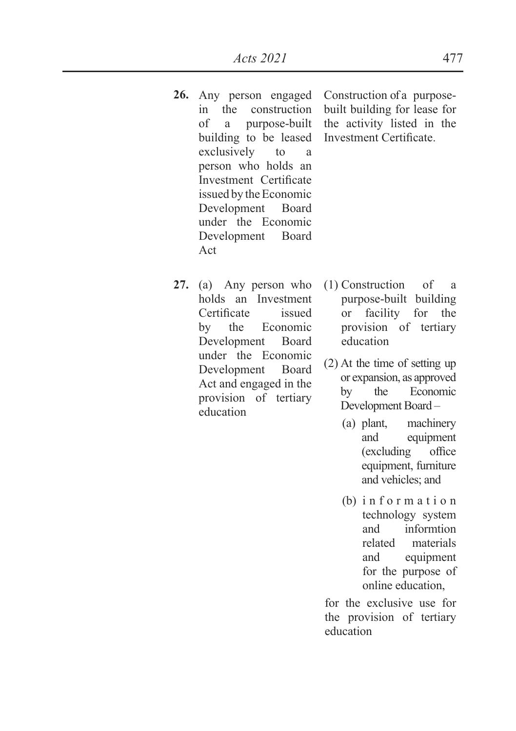- **26.** Any person engaged in the construction of a purpose-built building to be leased exclusively to a person who holds an Investment Certificate issued by the Economic Development Board under the Economic Development Board Act
- **27.** (a) Any person who holds an Investment Certificate issued by the Economic Development Board under the Economic Development Board Act and engaged in the provision of tertiary education

Construction of a purposebuilt building for lease for the activity listed in the Investment Certificate.

- (1) Construction of a purpose-built building or facility for the provision of tertiary education
- (2) At the time of setting up or expansion, as approved by the Economic Development Board –
	- (a) plant, machinery and equipment (excluding office) equipment, furniture and vehicles; and
	- $(b)$  information technology system and informtion related materials and equipment for the purpose of online education,

for the exclusive use for the provision of tertiary education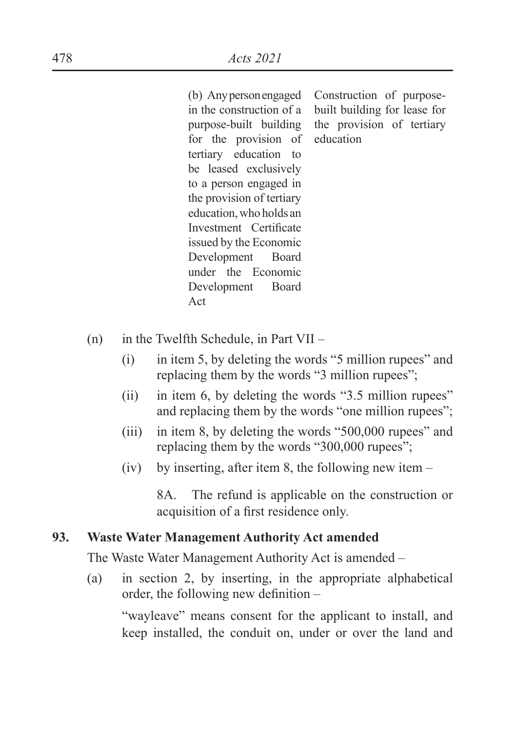(b) Any person engaged in the construction of a purpose-built building for the provision of tertiary education to be leased exclusively to a person engaged in the provision of tertiary education, who holds an Investment Certificate issued by the Economic Development Board under the Economic Development Board Act

Construction of purposebuilt building for lease for the provision of tertiary education

- (n) in the Twelfth Schedule, in Part VII
	- (i) in item 5, by deleting the words "5 million rupees" and replacing them by the words "3 million rupees";
	- (ii) in item 6, by deleting the words "3.5 million rupees" and replacing them by the words "one million rupees";
	- (iii) in item 8, by deleting the words "500,000 rupees" and replacing them by the words "300,000 rupees";
	- (iv) by inserting, after item 8, the following new item –

8A. The refund is applicable on the construction or acquisition of a first residence only.

#### **93. Waste Water Management Authority Act amended**

The Waste Water Management Authority Act is amended –

(a) in section 2, by inserting, in the appropriate alphabetical order, the following new definition  $-$ 

"wayleave" means consent for the applicant to install, and keep installed, the conduit on, under or over the land and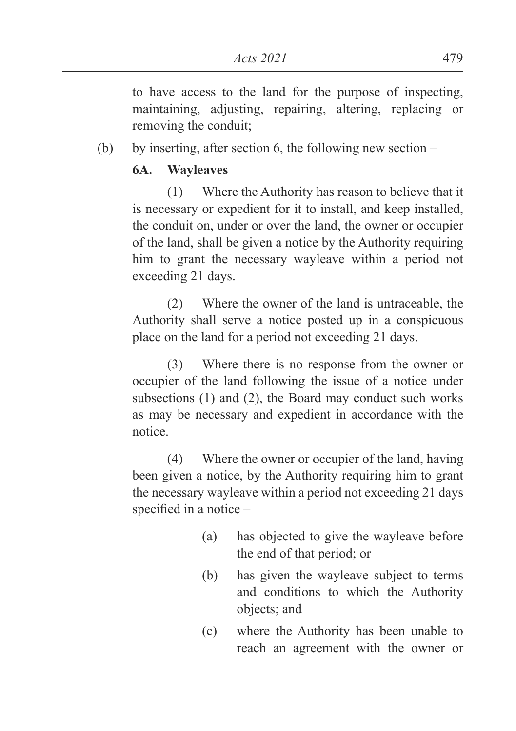to have access to the land for the purpose of inspecting, maintaining, adjusting, repairing, altering, replacing or removing the conduit;

(b) by inserting, after section 6, the following new section –

### **6A. Wayleaves**

(1) Where the Authority has reason to believe that it is necessary or expedient for it to install, and keep installed, the conduit on, under or over the land, the owner or occupier of the land, shall be given a notice by the Authority requiring him to grant the necessary wayleave within a period not exceeding 21 days.

(2) Where the owner of the land is untraceable, the Authority shall serve a notice posted up in a conspicuous place on the land for a period not exceeding 21 days.

(3) Where there is no response from the owner or occupier of the land following the issue of a notice under subsections (1) and (2), the Board may conduct such works as may be necessary and expedient in accordance with the notice.

(4) Where the owner or occupier of the land, having been given a notice, by the Authority requiring him to grant the necessary wayleave within a period not exceeding 21 days specified in a notice  $-$ 

- (a) has objected to give the wayleave before the end of that period; or
- (b) has given the wayleave subject to terms and conditions to which the Authority objects; and
- (c) where the Authority has been unable to reach an agreement with the owner or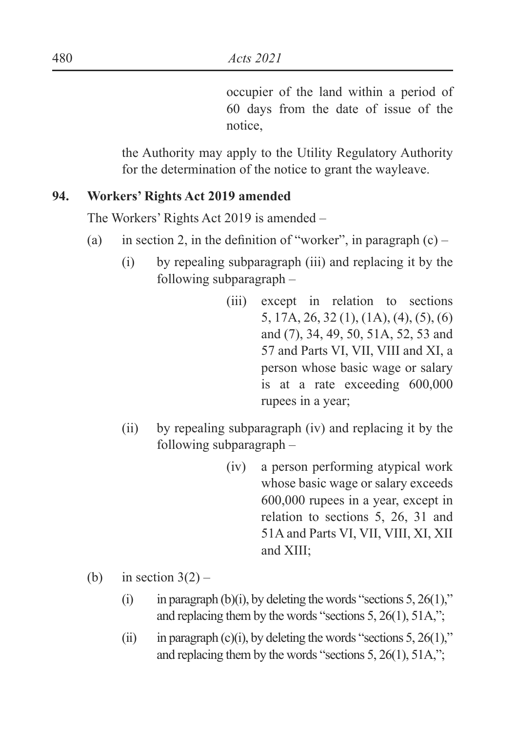occupier of the land within a period of 60 days from the date of issue of the notice,

the Authority may apply to the Utility Regulatory Authority for the determination of the notice to grant the wayleave.

### **94. Workers' Rights Act 2019 amended**

The Workers' Rights Act 2019 is amended –

- (a) in section 2, in the definition of "worker", in paragraph  $(c)$ 
	- (i) by repealing subparagraph (iii) and replacing it by the following subparagraph –
		- (iii) except in relation to sections 5, 17A, 26, 32 (1), (1A), (4), (5), (6) and (7), 34, 49, 50, 51A, 52, 53 and 57 and Parts VI, VII, VIII and XI, a person whose basic wage or salary is at a rate exceeding 600,000 rupees in a year;
	- (ii) by repealing subparagraph (iv) and replacing it by the following subparagraph –
		- (iv) a person performing atypical work whose basic wage or salary exceeds 600,000 rupees in a year, except in relation to sections 5, 26, 31 and 51A and Parts VI, VII, VIII, XI, XII and XIII;
- (b) in section  $3(2)$ 
	- (i) in paragraph (b)(i), by deleting the words "sections  $5, 26(1)$ ," and replacing them by the words "sections 5, 26(1), 51A,";
	- (ii) in paragraph (c)(i), by deleting the words "sections  $5, 26(1)$ ," and replacing them by the words "sections 5, 26(1), 51A,";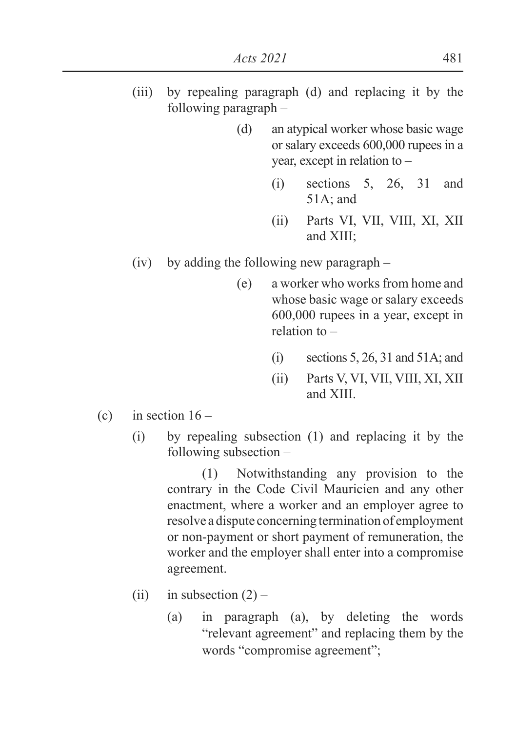- (iii) by repealing paragraph (d) and replacing it by the following paragraph –
	- (d) an atypical worker whose basic wage or salary exceeds 600,000 rupees in a year, except in relation to –
		- (i) sections 5, 26, 31 and 51A; and
		- (ii) Parts VI, VII, VIII, XI, XII and XIII;
- (iv) by adding the following new paragraph
	- (e) a worker who works from home and whose basic wage or salary exceeds 600,000 rupees in a year, except in relation to –
		- $(i)$  sections 5, 26, 31 and 51A; and
		- (ii) Parts V, VI, VII, VIII, XI, XII and XIII.
- (c) in section  $16 -$ 
	- (i) by repealing subsection (1) and replacing it by the following subsection –

(1) Notwithstanding any provision to the contrary in the Code Civil Mauricien and any other enactment, where a worker and an employer agree to resolve a dispute concerning termination of employment or non-payment or short payment of remuneration, the worker and the employer shall enter into a compromise agreement.

- (ii) in subsection  $(2)$ 
	- (a) in paragraph (a), by deleting the words "relevant agreement" and replacing them by the words "compromise agreement";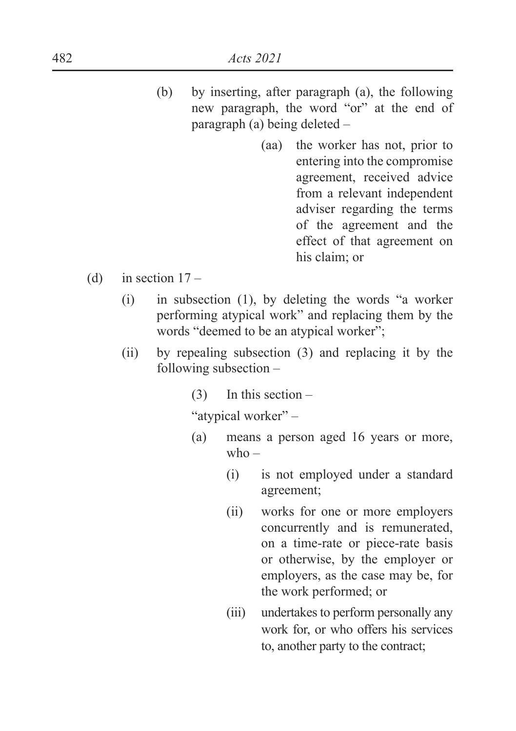- (b) by inserting, after paragraph (a), the following new paragraph, the word "or" at the end of paragraph (a) being deleted –
	- (aa) the worker has not, prior to entering into the compromise agreement, received advice from a relevant independent adviser regarding the terms of the agreement and the effect of that agreement on his claim; or
- (d) in section  $17 -$ 
	- (i) in subsection (1), by deleting the words "a worker performing atypical work" and replacing them by the words "deemed to be an atypical worker";
	- (ii) by repealing subsection (3) and replacing it by the following subsection –
		- (3) In this section –

"atypical worker" –

- (a) means a person aged 16 years or more,  $who -$ 
	- (i) is not employed under a standard agreement;
	- (ii) works for one or more employers concurrently and is remunerated, on a time-rate or piece-rate basis or otherwise, by the employer or employers, as the case may be, for the work performed; or
	- (iii) undertakes to perform personally any work for, or who offers his services to, another party to the contract;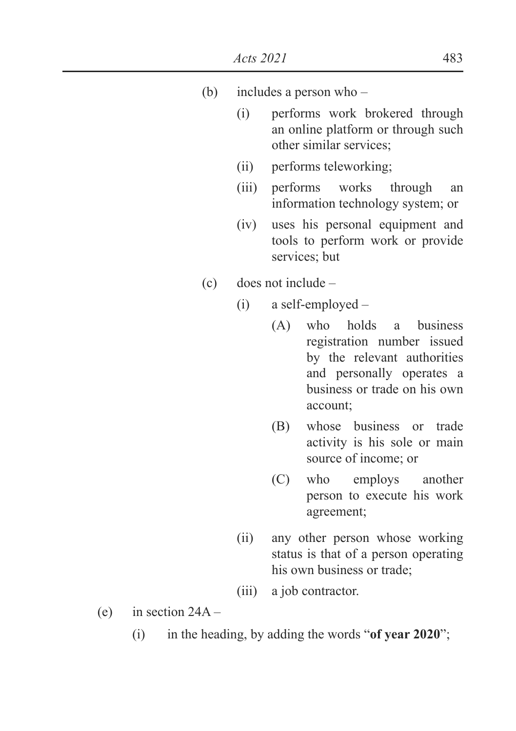- (b) includes a person who
	- (i) performs work brokered through an online platform or through such other similar services;
	- (ii) performs teleworking;
	- (iii) performs works through an information technology system; or
	- (iv) uses his personal equipment and tools to perform work or provide services: but
- (c) does not include
	- (i) a self-employed
		- (A) who holds a business registration number issued by the relevant authorities and personally operates a business or trade on his own account;
		- (B) whose business or trade activity is his sole or main source of income; or
		- (C) who employs another person to execute his work agreement;
	- (ii) any other person whose working status is that of a person operating his own business or trade;
	- (iii) a job contractor.
- (e) in section  $24A -$ 
	- (i) in the heading, by adding the words "**of year 2020**";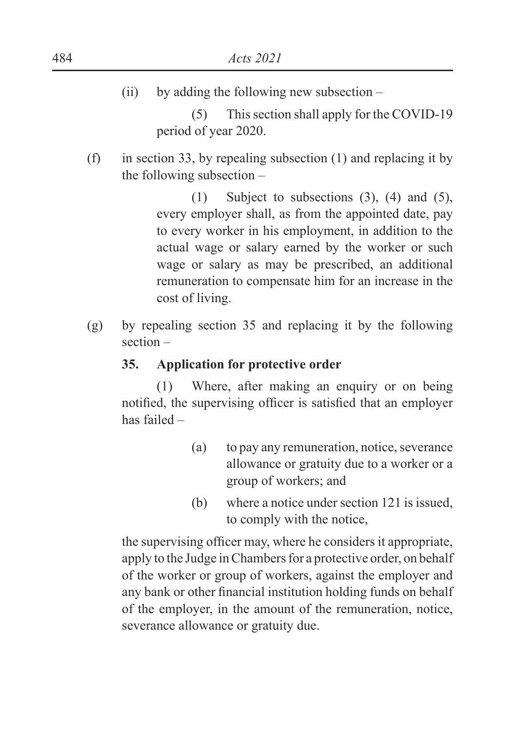$(ii)$  by adding the following new subsection –

(5) This section shall apply for the COVID-19 period of year 2020.

 $(f)$  in section 33, by repealing subsection (1) and replacing it by the following subsection –

> (1) Subject to subsections (3), (4) and (5), every employer shall, as from the appointed date, pay to every worker in his employment, in addition to the actual wage or salary earned by the worker or such wage or salary as may be prescribed, an additional remuneration to compensate him for an increase in the cost of living.

(g) by repealing section 35 and replacing it by the following section –

### **35. Application for protective order**

(1) Where, after making an enquiry or on being notified, the supervising officer is satisfied that an employer has failed –

- (a) to pay any remuneration, notice, severance allowance or gratuity due to a worker or a group of workers; and
- (b) where a notice under section 121 is issued, to comply with the notice,

the supervising officer may, where he considers it appropriate, apply to the Judge in Chambers for a protective order, on behalf of the worker or group of workers, against the employer and any bank or other financial institution holding funds on behalf of the employer, in the amount of the remuneration, notice, severance allowance or gratuity due.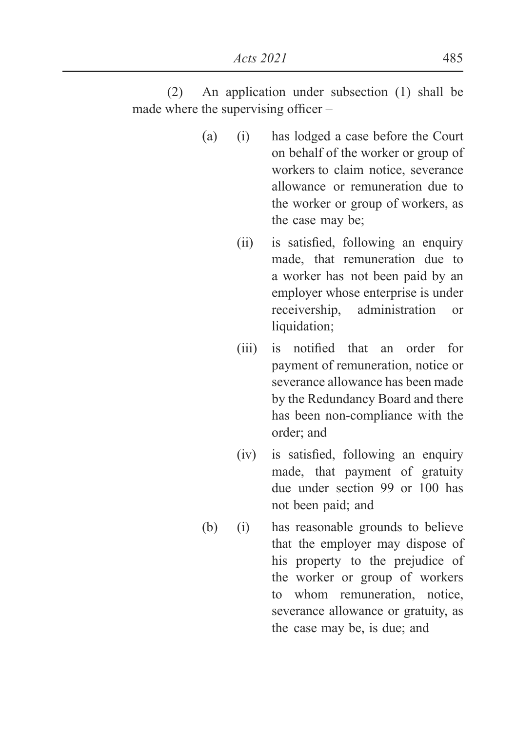(2) An application under subsection (1) shall be made where the supervising officer  $-$ 

- (a) (i) has lodged a case before the Court on behalf of the worker or group of workers to claim notice, severance allowance or remuneration due to the worker or group of workers, as the case may be;
	- $\lambda$  is satisfied, following an enquiry made, that remuneration due to a worker has not been paid by an employer whose enterprise is under receivership, administration or liquidation;
	- $(iii)$  is notified that an order for payment of remuneration, notice or severance allowance has been made by the Redundancy Board and there has been non-compliance with the order; and
	- $(iv)$  is satisfied, following an enquiry made, that payment of gratuity due under section 99 or 100 has not been paid; and
- (b) (i) has reasonable grounds to believe that the employer may dispose of his property to the prejudice of the worker or group of workers to whom remuneration, notice, severance allowance or gratuity, as the case may be, is due; and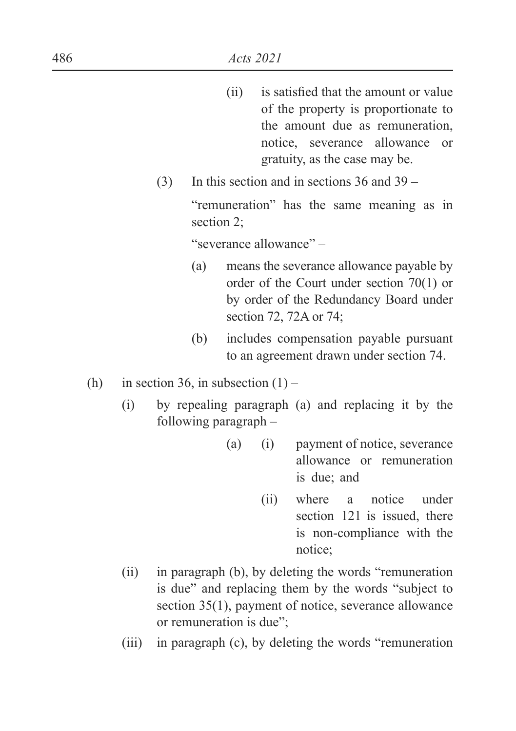- $\delta$  liferally is satisfied that the amount or value of the property is proportionate to the amount due as remuneration, notice, severance allowance or gratuity, as the case may be.
- (3) In this section and in sections 36 and 39 –

"remuneration" has the same meaning as in section 2;

"severance allowance" –

- (a) means the severance allowance payable by order of the Court under section 70(1) or by order of the Redundancy Board under section 72, 72A or 74;
- (b) includes compensation payable pursuant to an agreement drawn under section 74.
- (h) in section 36, in subsection  $(1)$ 
	- (i) by repealing paragraph (a) and replacing it by the following paragraph –
		- (a) (i) payment of notice, severance allowance or remuneration is due; and
			- (ii) where a notice under section 121 is issued, there is non-compliance with the notice;
	- (ii) in paragraph (b), by deleting the words "remuneration is due" and replacing them by the words "subject to section 35(1), payment of notice, severance allowance or remuneration is due";
	- (iii) in paragraph (c), by deleting the words "remuneration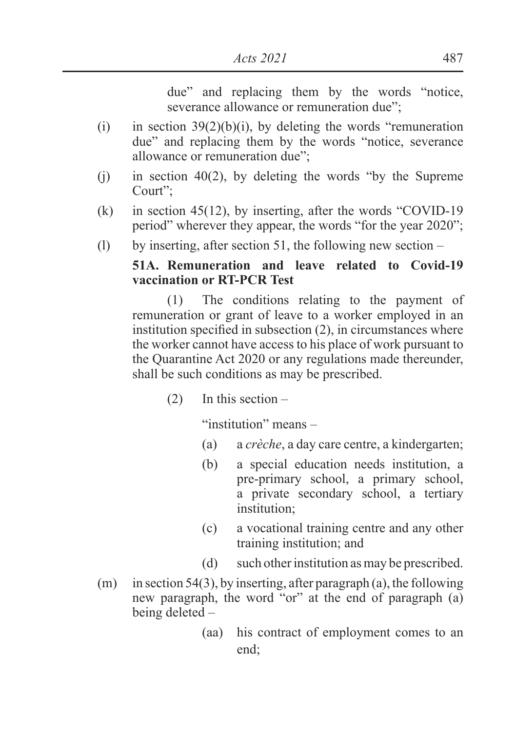due" and replacing them by the words "notice, severance allowance or remuneration due":

- (i) in section  $39(2)(b)(i)$ , by deleting the words "remuneration" due" and replacing them by the words "notice, severance allowance or remuneration due";
- (i) in section 40(2), by deleting the words "by the Supreme" Court";
- (k) in section 45(12), by inserting, after the words "COVID-19 period" wherever they appear, the words "for the year 2020";
- (l) by inserting, after section 51, the following new section  $-$

## **51A. Remuneration and leave related to Covid-19 vaccination or RT-PCR Test**

(1) The conditions relating to the payment of remuneration or grant of leave to a worker employed in an institution specified in subsection  $(2)$ , in circumstances where the worker cannot have access to his place of work pursuant to the Quarantine Act 2020 or any regulations made thereunder, shall be such conditions as may be prescribed.

(2) In this section –

"institution" means –

- (a) a *crèche*, a day care centre, a kindergarten;
- (b) a special education needs institution, a pre-primary school, a primary school, a private secondary school, a tertiary institution;
- (c) a vocational training centre and any other training institution; and
- (d) such other institution as may be prescribed.
- $(m)$  in section 54(3), by inserting, after paragraph (a), the following new paragraph, the word "or" at the end of paragraph (a) being deleted –
	- (aa) his contract of employment comes to an end;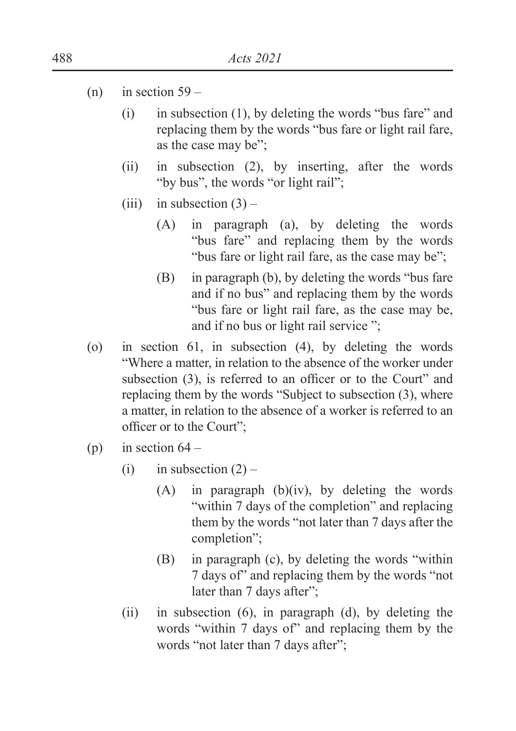- $(n)$  in section 59
	- (i) in subsection (1), by deleting the words "bus fare" and replacing them by the words "bus fare or light rail fare, as the case may be";
	- (ii) in subsection (2), by inserting, after the words "by bus", the words "or light rail";
	- (iii) in subsection  $(3)$ 
		- (A) in paragraph (a), by deleting the words "bus fare" and replacing them by the words "bus fare or light rail fare, as the case may be";
		- (B) in paragraph (b), by deleting the words "bus fare and if no bus" and replacing them by the words "bus fare or light rail fare, as the case may be, and if no bus or light rail service ";
- (o) in section 61, in subsection (4), by deleting the words "Where a matter, in relation to the absence of the worker under subsection  $(3)$ , is referred to an officer or to the Court" and replacing them by the words "Subject to subsection (3), where a matter, in relation to the absence of a worker is referred to an officer or to the Court":
- (p) in section  $64 -$ 
	- (i) in subsection  $(2)$ 
		- (A) in paragraph (b)(iv), by deleting the words "within 7 days of the completion" and replacing them by the words "not later than 7 days after the completion";
		- (B) in paragraph (c), by deleting the words "within 7 days of" and replacing them by the words "not later than 7 days after";
	- (ii) in subsection (6), in paragraph (d), by deleting the words "within 7 days of" and replacing them by the words "not later than 7 days after";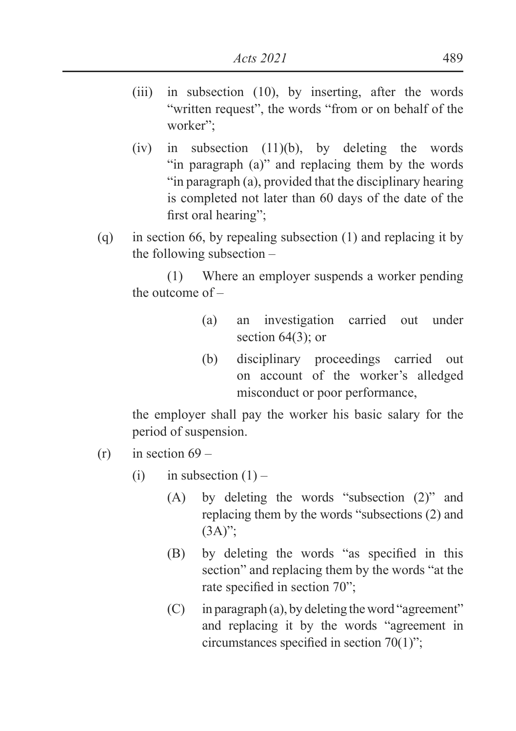- (iii) in subsection (10), by inserting, after the words "written request", the words "from or on behalf of the worker";
- (iv) in subsection (11)(b), by deleting the words "in paragraph (a)" and replacing them by the words "in paragraph (a), provided that the disciplinary hearing is completed not later than 60 days of the date of the first oral hearing":
- (q) in section 66, by repealing subsection (1) and replacing it by the following subsection –

(1) Where an employer suspends a worker pending the outcome of –

- (a) an investigation carried out under section  $64(3)$ ; or
- (b) disciplinary proceedings carried out on account of the worker's alledged misconduct or poor performance,

the employer shall pay the worker his basic salary for the period of suspension.

- $(r)$  in section 69
	- (i) in subsection  $(1)$ 
		- (A) by deleting the words "subsection (2)" and replacing them by the words "subsections (2) and  $(3A)$ ";
		- $(B)$  by deleting the words "as specified in this section" and replacing them by the words "at the rate specified in section  $70$ ";
		- (C) in paragraph (a), by deleting the word "agreement" and replacing it by the words "agreement in circumstances specified in section  $70(1)$ ";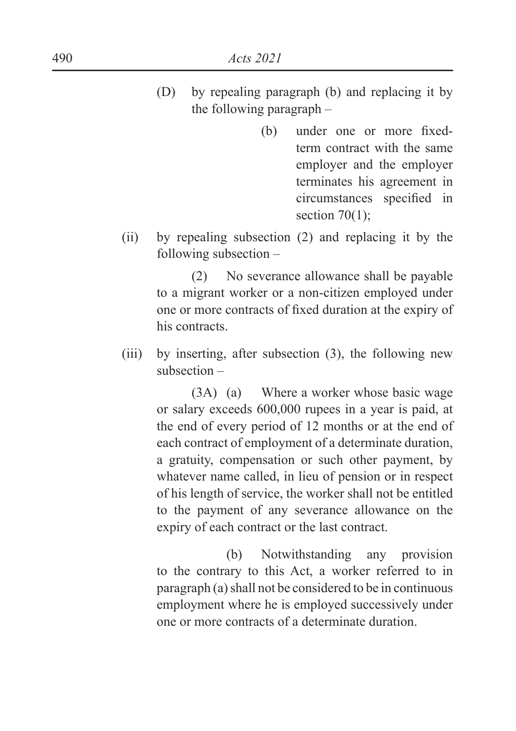- (D) by repealing paragraph (b) and replacing it by the following paragraph –
	- $(h)$  under one or more fixedterm contract with the same employer and the employer terminates his agreement in circumstances specified in section  $70(1)$ ;
- (ii) by repealing subsection (2) and replacing it by the following subsection –

(2) No severance allowance shall be payable to a migrant worker or a non-citizen employed under one or more contracts of fixed duration at the expiry of his contracts.

(iii) by inserting, after subsection (3), the following new subsection –

> (3A) (a) Where a worker whose basic wage or salary exceeds 600,000 rupees in a year is paid, at the end of every period of 12 months or at the end of each contract of employment of a determinate duration, a gratuity, compensation or such other payment, by whatever name called, in lieu of pension or in respect of his length of service, the worker shall not be entitled to the payment of any severance allowance on the expiry of each contract or the last contract.

> (b) Notwithstanding any provision to the contrary to this Act, a worker referred to in paragraph (a) shall not be considered to be in continuous employment where he is employed successively under one or more contracts of a determinate duration.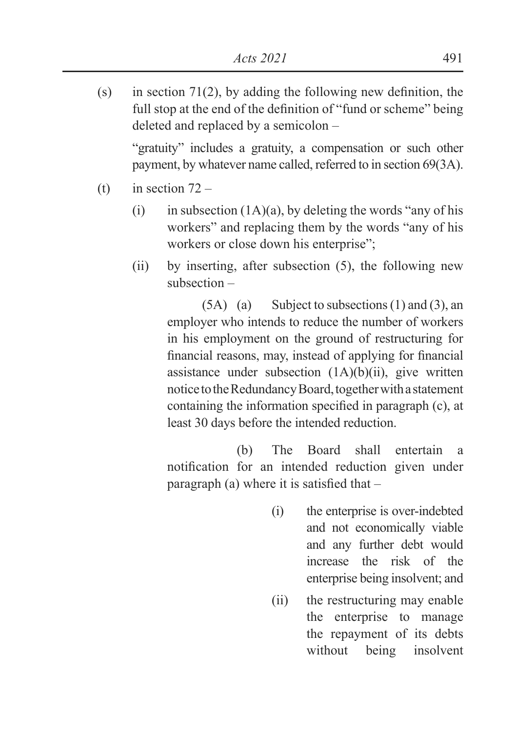(s) in section 71(2), by adding the following new definition, the full stop at the end of the definition of "fund or scheme" being deleted and replaced by a semicolon –

"gratuity" includes a gratuity, a compensation or such other payment, by whatever name called, referred to in section 69(3A).

- (t) in section  $72 -$ 
	- (i) in subsection  $(1A)(a)$ , by deleting the words "any of his workers" and replacing them by the words "any of his workers or close down his enterprise";
	- (ii) by inserting, after subsection (5), the following new subsection –

 $(5A)$  (a) Subject to subsections  $(1)$  and  $(3)$ , an employer who intends to reduce the number of workers in his employment on the ground of restructuring for financial reasons, may, instead of applying for financial assistance under subsection  $(1A)(b)(ii)$ , give written notice to the Redundancy Board, together with a statement containing the information specified in paragraph  $(c)$ , at least 30 days before the intended reduction.

 (b) The Board shall entertain a notification for an intended reduction given under paragraph (a) where it is satisfied that  $-$ 

- (i) the enterprise is over-indebted and not economically viable and any further debt would increase the risk of the enterprise being insolvent; and
- (ii) the restructuring may enable the enterprise to manage the repayment of its debts without being insolvent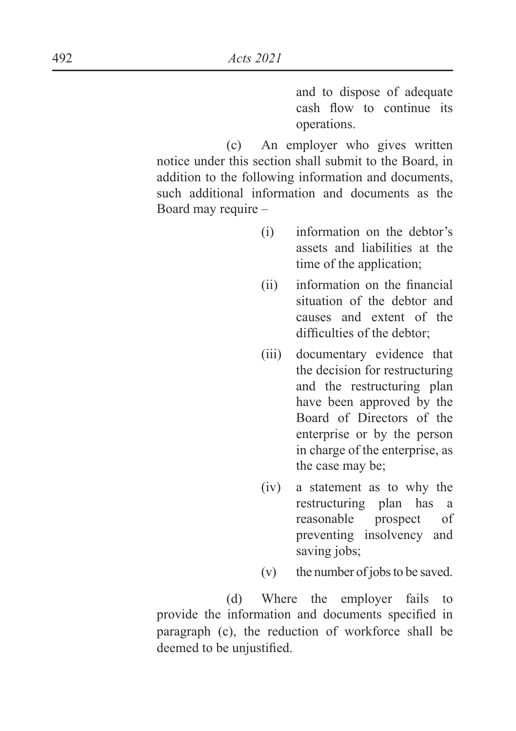and to dispose of adequate cash flow to continue its operations.

 (c) An employer who gives written notice under this section shall submit to the Board, in addition to the following information and documents, such additional information and documents as the Board may require –

- (i) information on the debtor's assets and liabilities at the time of the application;
- $(i)$  information on the financial situation of the debtor and causes and extent of the difficulties of the debtor:
- (iii) documentary evidence that the decision for restructuring and the restructuring plan have been approved by the Board of Directors of the enterprise or by the person in charge of the enterprise, as the case may be;
- (iv) a statement as to why the restructuring plan has a reasonable prospect of preventing insolvency and saving jobs;
- (v) the number of jobs to be saved.

 (d) Where the employer fails to provide the information and documents specified in paragraph (c), the reduction of workforce shall be deemed to be unjustified.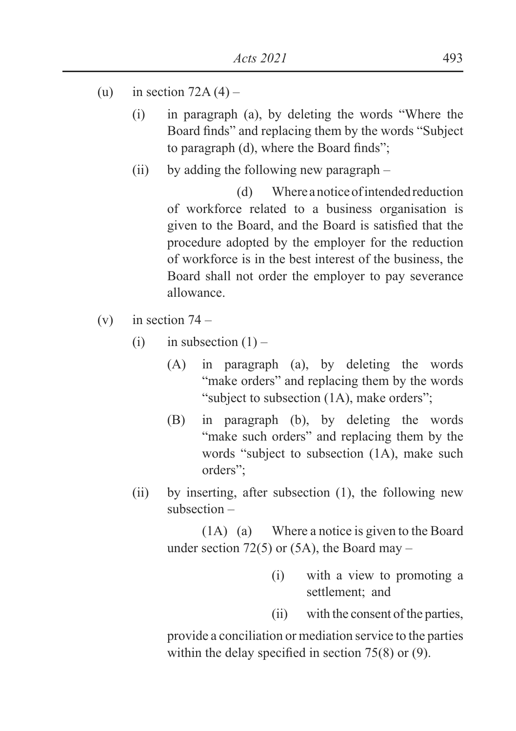- (u) in section  $72A(4)$ 
	- (i) in paragraph (a), by deleting the words "Where the Board finds" and replacing them by the words "Subject" to paragraph (d), where the Board finds";
	- (ii) by adding the following new paragraph –

 (d) Where a notice of intended reduction of workforce related to a business organisation is given to the Board, and the Board is satisfied that the procedure adopted by the employer for the reduction of workforce is in the best interest of the business, the Board shall not order the employer to pay severance allowance.

- (v) in section  $74 -$ 
	- (i) in subsection  $(1)$ 
		- (A) in paragraph (a), by deleting the words "make orders" and replacing them by the words "subject to subsection (1A), make orders";
		- (B) in paragraph (b), by deleting the words "make such orders" and replacing them by the words "subject to subsection (1A), make such orders";
	- (ii) by inserting, after subsection (1), the following new subsection –

(1A) (a) Where a notice is given to the Board under section 72(5) or  $(5A)$ , the Board may –

- (i) with a view to promoting a settlement; and
- (ii) with the consent of the parties,

provide a conciliation or mediation service to the parties within the delay specified in section  $75(8)$  or (9).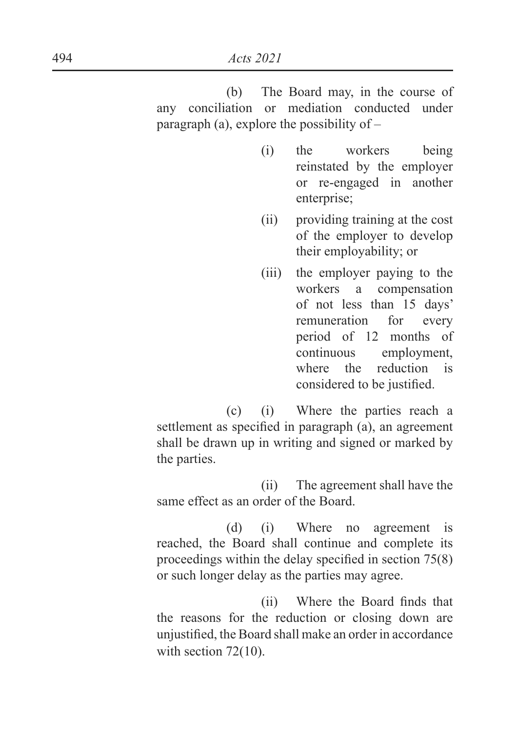(b) The Board may, in the course of any conciliation or mediation conducted under paragraph (a), explore the possibility of  $-$ 

- (i) the workers being reinstated by the employer or re-engaged in another enterprise;
- (ii) providing training at the cost of the employer to develop their employability; or
- (iii) the employer paying to the workers a compensation of not less than 15 days' remuneration for every period of 12 months of continuous employment, where the reduction is considered to be justified.

 (c) (i) Where the parties reach a settlement as specified in paragraph (a), an agreement shall be drawn up in writing and signed or marked by the parties.

 (ii) The agreement shall have the same effect as an order of the Board.

 (d) (i) Where no agreement is reached, the Board shall continue and complete its proceedings within the delay specified in section  $75(8)$ or such longer delay as the parties may agree.

(ii) Where the Board finds that the reasons for the reduction or closing down are unjustified, the Board shall make an order in accordance with section 72(10).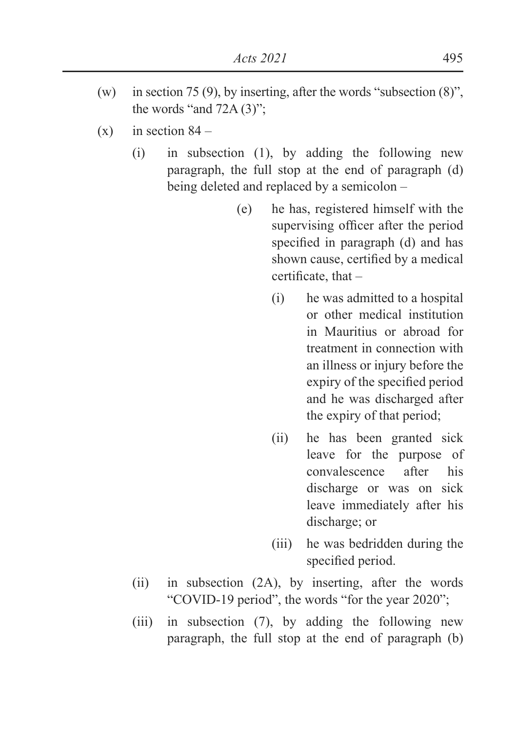- (w) in section 75 (9), by inserting, after the words "subsection (8)", the words "and 72A (3)";
- $(x)$  in section 84
	- (i) in subsection (1), by adding the following new paragraph, the full stop at the end of paragraph (d) being deleted and replaced by a semicolon –
		- (e) he has, registered himself with the supervising officer after the period specified in paragraph (d) and has shown cause, certified by a medical certificate, that  $-$ 
			- (i) he was admitted to a hospital or other medical institution in Mauritius or abroad for treatment in connection with an illness or injury before the expiry of the specified period and he was discharged after the expiry of that period;
			- (ii) he has been granted sick leave for the purpose of convalescence after his discharge or was on sick leave immediately after his discharge; or
			- (iii) he was bedridden during the specified period.
	- (ii) in subsection (2A), by inserting, after the words "COVID-19 period", the words "for the year 2020";
	- (iii) in subsection (7), by adding the following new paragraph, the full stop at the end of paragraph (b)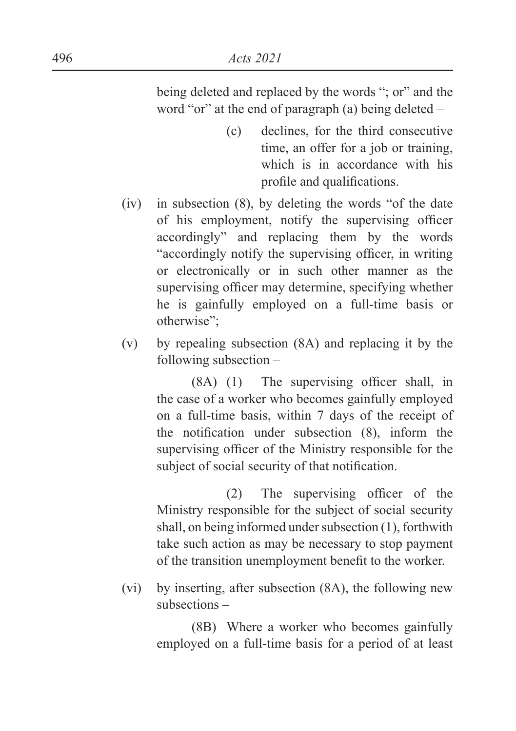being deleted and replaced by the words "; or" and the word "or" at the end of paragraph (a) being deleted –

- (c) declines, for the third consecutive time, an offer for a job or training, which is in accordance with his profile and qualifications.
- (iv) in subsection (8), by deleting the words "of the date of his employment, notify the supervising officer accordingly" and replacing them by the words "accordingly notify the supervising officer, in writing or electronically or in such other manner as the supervising officer may determine, specifying whether he is gainfully employed on a full-time basis or otherwise";
- (v) by repealing subsection (8A) and replacing it by the following subsection –

 $(8A)$  (1) The supervising officer shall, in the case of a worker who becomes gainfully employed on a full-time basis, within 7 days of the receipt of the notification under subsection  $(8)$ , inform the supervising officer of the Ministry responsible for the subject of social security of that notification.

 $(2)$  The supervising officer of the Ministry responsible for the subject of social security shall, on being informed under subsection (1), forthwith take such action as may be necessary to stop payment of the transition unemployment benefit to the worker.

(vi) by inserting, after subsection (8A), the following new subsections –

> (8B) Where a worker who becomes gainfully employed on a full-time basis for a period of at least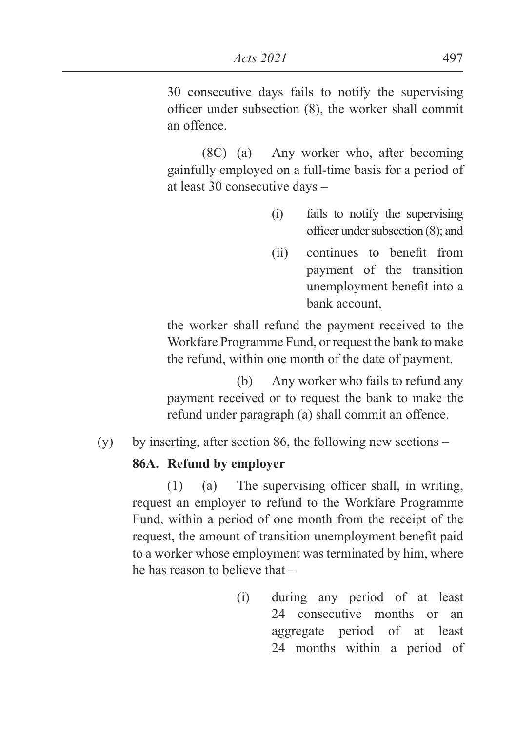30 consecutive days fails to notify the supervising officer under subsection  $(8)$ , the worker shall commit an offence.

(8C) (a) Any worker who, after becoming gainfully employed on a full-time basis for a period of at least 30 consecutive days –

- (i) fails to notify the supervising officer under subsection  $(8)$ : and
- $(ii)$  continues to benefit from payment of the transition unemployment benefit into a bank account,

the worker shall refund the payment received to the Workfare Programme Fund, or request the bank to make the refund, within one month of the date of payment.

 (b) Any worker who fails to refund any payment received or to request the bank to make the refund under paragraph (a) shall commit an offence.

(y) by inserting, after section 86, the following new sections –

#### **86A. Refund by employer**

 $(1)$  (a) The supervising officer shall, in writing, request an employer to refund to the Workfare Programme Fund, within a period of one month from the receipt of the request, the amount of transition unemployment benefit paid to a worker whose employment was terminated by him, where he has reason to believe that –

> (i) during any period of at least 24 consecutive months or an aggregate period of at least 24 months within a period of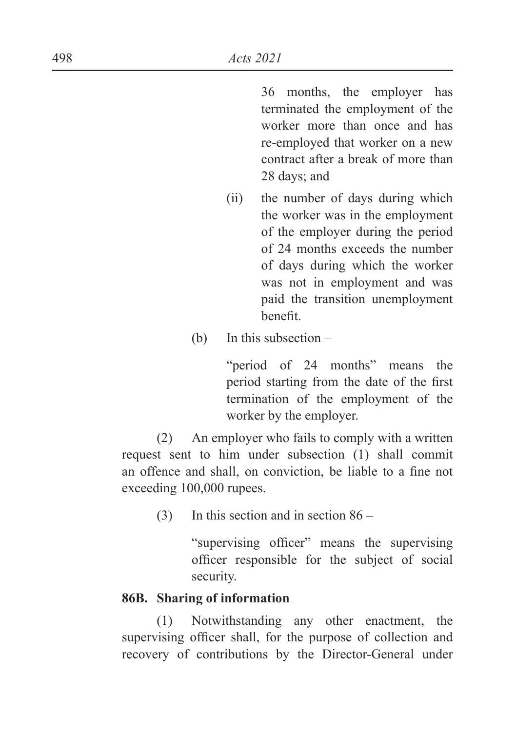36 months, the employer has terminated the employment of the worker more than once and has re-employed that worker on a new contract after a break of more than 28 days; and

- (ii) the number of days during which the worker was in the employment of the employer during the period of 24 months exceeds the number of days during which the worker was not in employment and was paid the transition unemployment henefit
- (b) In this subsection –

"period of 24 months" means the period starting from the date of the first termination of the employment of the worker by the employer.

(2) An employer who fails to comply with a written request sent to him under subsection (1) shall commit an offence and shall, on conviction, be liable to a fine not exceeding 100,000 rupees.

(3) In this section and in section 86 –

"supervising officer" means the supervising officer responsible for the subject of social security.

#### **86B. Sharing of information**

(1) Notwithstanding any other enactment, the supervising officer shall, for the purpose of collection and recovery of contributions by the Director-General under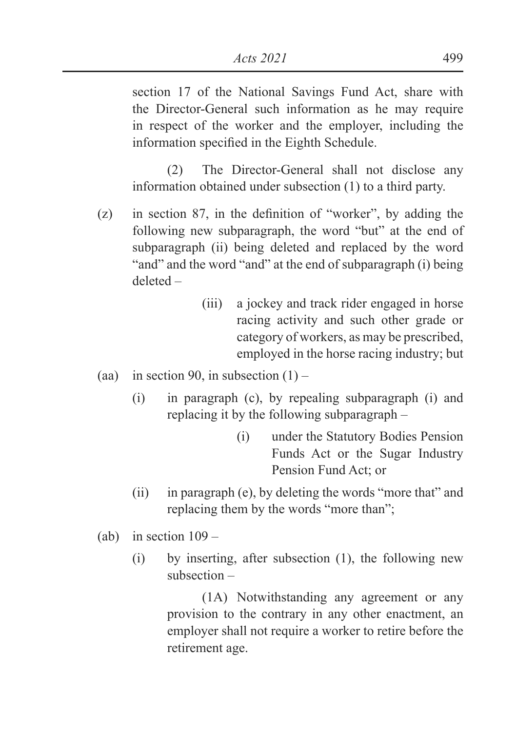section 17 of the National Savings Fund Act, share with the Director-General such information as he may require in respect of the worker and the employer, including the information specified in the Eighth Schedule.

(2) The Director-General shall not disclose any information obtained under subsection (1) to a third party.

- $\alpha$  in section 87, in the definition of "worker", by adding the following new subparagraph, the word "but" at the end of subparagraph (ii) being deleted and replaced by the word "and" and the word "and" at the end of subparagraph (i) being deleted –
	- (iii) a jockey and track rider engaged in horse racing activity and such other grade or category of workers, as may be prescribed, employed in the horse racing industry; but
- (aa) in section 90, in subsection  $(1)$ 
	- (i) in paragraph (c), by repealing subparagraph (i) and replacing it by the following subparagraph –
		- (i) under the Statutory Bodies Pension Funds Act or the Sugar Industry Pension Fund Act; or
	- (ii) in paragraph (e), by deleting the words "more that" and replacing them by the words "more than";
- (ab) in section  $109 -$ 
	- (i) by inserting, after subsection (1), the following new subsection –

(1A) Notwithstanding any agreement or any provision to the contrary in any other enactment, an employer shall not require a worker to retire before the retirement age.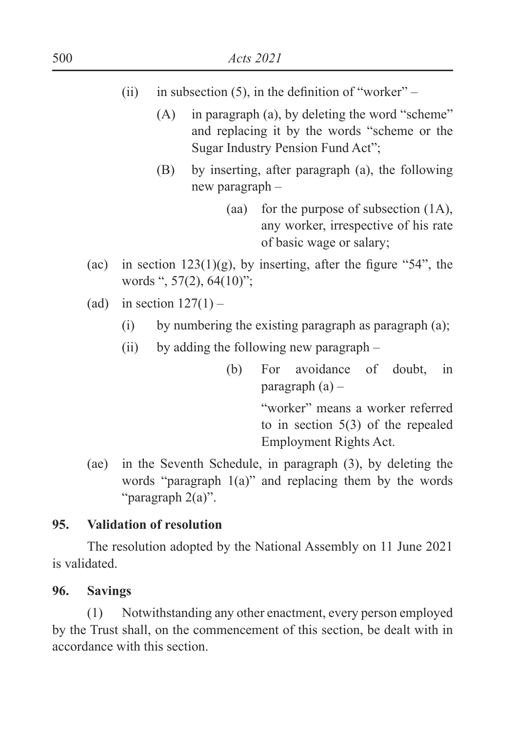- (ii) in subsection (5), in the definition of "worker"  $-$ 
	- (A) in paragraph (a), by deleting the word "scheme" and replacing it by the words "scheme or the Sugar Industry Pension Fund Act";
	- (B) by inserting, after paragraph (a), the following new paragraph –
		- (aa) for the purpose of subsection (1A), any worker, irrespective of his rate of basic wage or salary;
- (ac) in section  $123(1)(g)$ , by inserting, after the figure "54", the words ", 57(2), 64(10)";
- (ad) in section  $127(1)$ 
	- (i) by numbering the existing paragraph as paragraph (a);
	- (ii) by adding the following new paragraph
		- (b) For avoidance of doubt, in paragraph (a) –

"worker" means a worker referred to in section 5(3) of the repealed Employment Rights Act.

(ae) in the Seventh Schedule, in paragraph (3), by deleting the words "paragraph 1(a)" and replacing them by the words "paragraph 2(a)".

#### **95. Validation of resolution**

 The resolution adopted by the National Assembly on 11 June 2021 is validated.

#### **96. Savings**

(1) Notwithstanding any other enactment, every person employed by the Trust shall, on the commencement of this section, be dealt with in accordance with this section.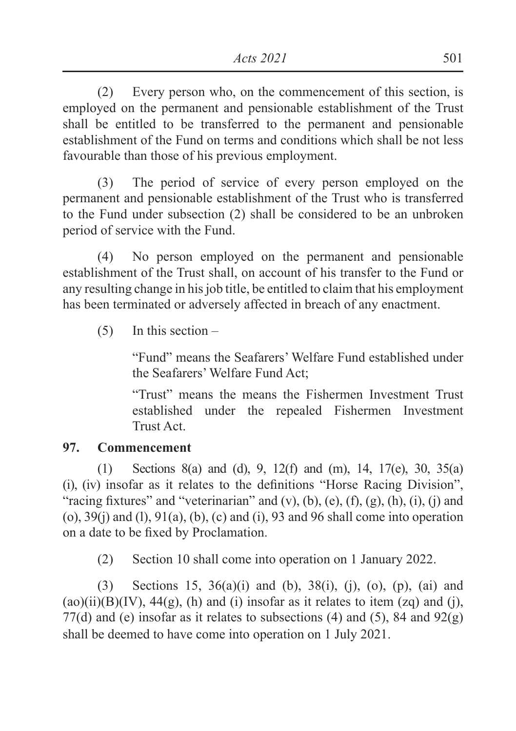(2) Every person who, on the commencement of this section, is employed on the permanent and pensionable establishment of the Trust shall be entitled to be transferred to the permanent and pensionable establishment of the Fund on terms and conditions which shall be not less favourable than those of his previous employment.

(3) The period of service of every person employed on the permanent and pensionable establishment of the Trust who is transferred to the Fund under subsection (2) shall be considered to be an unbroken period of service with the Fund.

(4) No person employed on the permanent and pensionable establishment of the Trust shall, on account of his transfer to the Fund or any resulting change in his job title, be entitled to claim that his employment has been terminated or adversely affected in breach of any enactment.

 $(5)$  In this section –

"Fund" means the Seafarers' Welfare Fund established under the Seafarers' Welfare Fund Act;

"Trust" means the means the Fishermen Investment Trust established under the repealed Fishermen Investment Trust Act.

#### **97. Commencement**

(1) Sections 8(a) and (d), 9, 12(f) and (m), 14, 17(e), 30, 35(a)  $\chi$  (i), (iv) insofar as it relates to the definitions "Horse Racing Division", "racing fixtures" and "veterinarian" and (v), (b), (e), (f), (g), (h), (i), (j) and  $(0, 39(i)$  and  $(1, 91(a), (b), (c)$  and  $(i), 93$  and 96 shall come into operation on a date to be fixed by Proclamation.

(2) Section 10 shall come into operation on 1 January 2022.

(3) Sections 15, 36(a)(i) and (b), 38(i), (j), (o), (p), (ai) and  $(ao)(ii)(B)(IV)$ ,  $44(g)$ , (h) and (i) insofar as it relates to item (zq) and (i), 77(d) and (e) insofar as it relates to subsections (4) and (5), 84 and  $92(g)$ shall be deemed to have come into operation on 1 July 2021.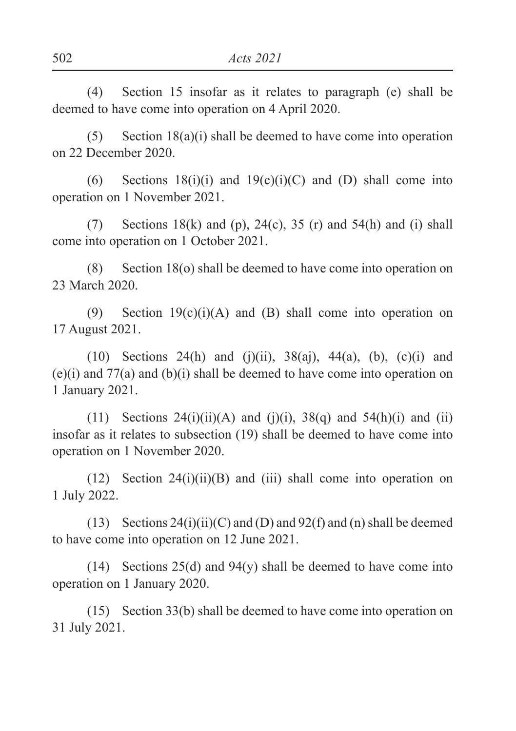(4) Section 15 insofar as it relates to paragraph (e) shall be deemed to have come into operation on 4 April 2020.

(5) Section  $18(a)(i)$  shall be deemed to have come into operation on 22 December 2020.

(6) Sections  $18(i)(i)$  and  $19(c)(i)(C)$  and (D) shall come into operation on 1 November 2021.

(7) Sections 18(k) and (p), 24(c), 35 (r) and 54(h) and (i) shall come into operation on 1 October 2021.

(8) Section 18(o) shall be deemed to have come into operation on 23 March 2020.

(9) Section  $19(c)(i)(A)$  and (B) shall come into operation on 17 August 2021.

(10) Sections 24(h) and (j)(ii),  $38(ai)$ ,  $44(a)$ , (b), (c)(i) and (e)(i) and 77(a) and (b)(i) shall be deemed to have come into operation on 1 January 2021.

(11) Sections  $24(i)(ii)(A)$  and (i)(i),  $38(q)$  and  $54(h)(i)$  and (ii) insofar as it relates to subsection (19) shall be deemed to have come into operation on 1 November 2020.

(12) Section 24(i)(ii)(B) and (iii) shall come into operation on 1 July 2022.

(13) Sections  $24(i)(ii)(C)$  and (D) and  $92(f)$  and (n) shall be deemed to have come into operation on 12 June 2021.

(14) Sections 25(d) and 94(y) shall be deemed to have come into operation on 1 January 2020.

(15) Section 33(b) shall be deemed to have come into operation on 31 July 2021.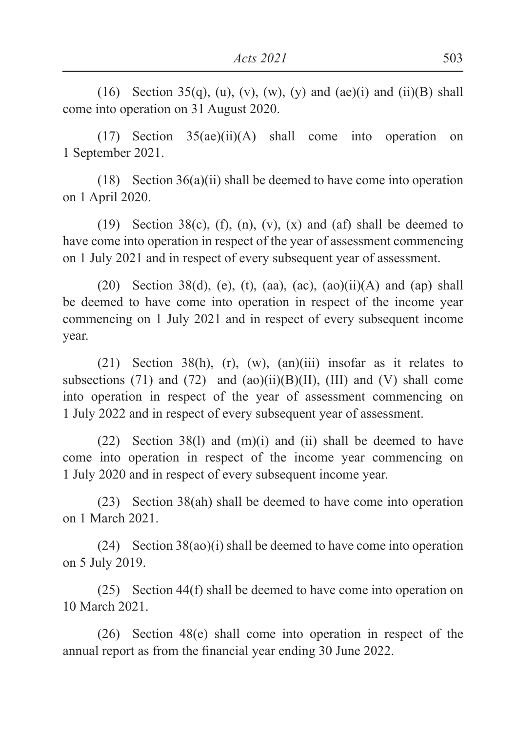(16) Section 35(q), (u), (v), (w), (y) and (ae)(i) and (ii)(B) shall come into operation on 31 August 2020.

(17) Section 35(ae)(ii)(A) shall come into operation on 1 September 2021.

(18) Section  $36(a)(ii)$  shall be deemed to have come into operation on 1 April 2020.

(19) Section 38(c), (f), (n), (v), (x) and (af) shall be deemed to have come into operation in respect of the year of assessment commencing on 1 July 2021 and in respect of every subsequent year of assessment.

(20) Section 38(d), (e), (t), (aa), (ac), (ao)(ii)(A) and (ap) shall be deemed to have come into operation in respect of the income year commencing on 1 July 2021 and in respect of every subsequent income year.

(21) Section 38(h), (r), (w), (an)(iii) insofar as it relates to subsections (71) and (72) and  $(ao)(ii)(B)(II)$ , (III) and (V) shall come into operation in respect of the year of assessment commencing on 1 July 2022 and in respect of every subsequent year of assessment.

(22) Section 38(l) and (m)(i) and (ii) shall be deemed to have come into operation in respect of the income year commencing on 1 July 2020 and in respect of every subsequent income year.

(23) Section 38(ah) shall be deemed to have come into operation on 1 March 2021.

(24) Section 38(ao)(i) shall be deemed to have come into operation on 5 July 2019.

(25) Section 44(f) shall be deemed to have come into operation on 10 March 2021.

(26) Section 48(e) shall come into operation in respect of the annual report as from the financial vear ending 30 June 2022.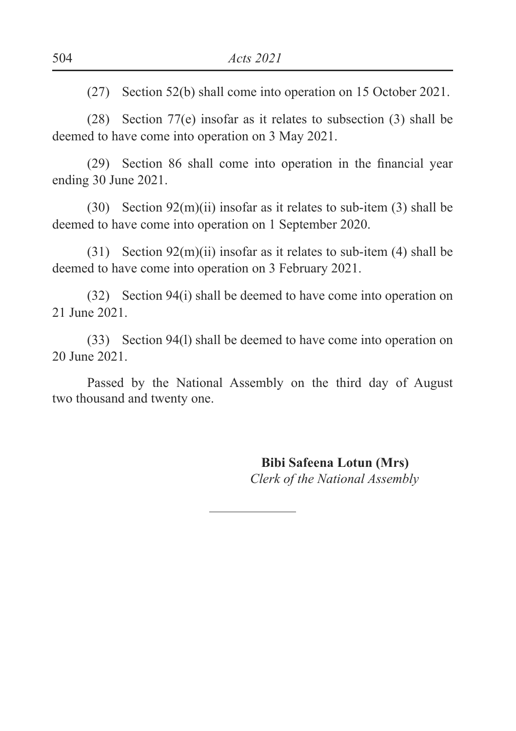(27) Section 52(b) shall come into operation on 15 October 2021.

(28) Section 77(e) insofar as it relates to subsection (3) shall be deemed to have come into operation on 3 May 2021.

 $(29)$  Section 86 shall come into operation in the financial year ending 30 June 2021.

(30) Section 92(m)(ii) insofar as it relates to sub-item (3) shall be deemed to have come into operation on 1 September 2020.

(31) Section  $92(m)(ii)$  insofar as it relates to sub-item (4) shall be deemed to have come into operation on 3 February 2021.

(32) Section 94(i) shall be deemed to have come into operation on 21 June 2021.

(33) Section 94(l) shall be deemed to have come into operation on 20 June 2021.

Passed by the National Assembly on the third day of August two thousand and twenty one.

> **Bibi Safeena Lotun (Mrs)** *Clerk of the National Assembly*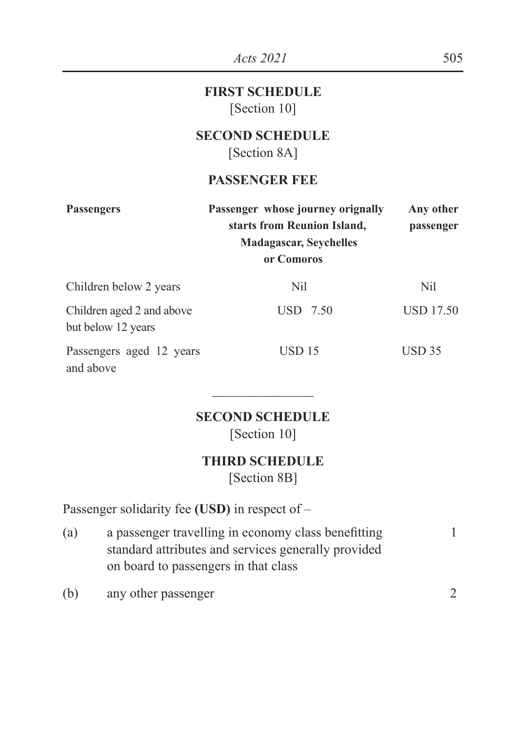|                                                 | <i>Acts</i> 2021                                                                                                | 505                    |
|-------------------------------------------------|-----------------------------------------------------------------------------------------------------------------|------------------------|
|                                                 | <b>FIRST SCHEDULE</b><br>[Section 10]                                                                           |                        |
|                                                 | <b>SECOND SCHEDULE</b><br>[Section 8A]                                                                          |                        |
|                                                 | <b>PASSENGER FEE</b>                                                                                            |                        |
| <b>Passengers</b>                               | Passenger whose journey orignally<br>starts from Reunion Island,<br><b>Madagascar, Seychelles</b><br>or Comoros | Any other<br>passenger |
| Children below 2 years                          | Nil                                                                                                             | Nil                    |
| Children aged 2 and above<br>but below 12 years | USD 7.50                                                                                                        | <b>USD 17.50</b>       |
| Passengers aged 12 years<br>and above           | <b>USD 15</b>                                                                                                   | $\overline{USD}$ 35    |

#### **SECOND SCHEDULE**

 $\overline{\phantom{a}}$  , where  $\overline{\phantom{a}}$ 

[Section 10]

#### **THIRD SCHEDULE**

[Section 8B]

Passenger solidarity fee **(USD)** in respect of –

- (a) a passenger travelling in economy class benefitting 1 standard attributes and services generally provided on board to passengers in that class
- (b) any other passenger 2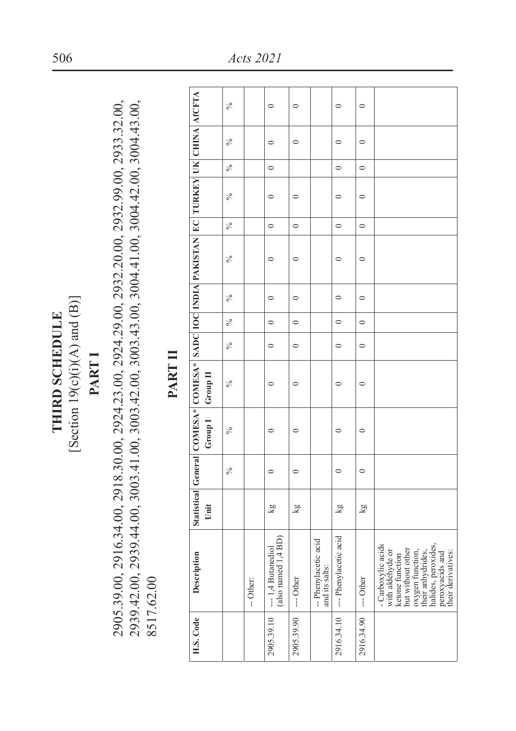[Section  $19(c)(i)(A)$  and  $(B)]$ [Section  $19(c)(i)(A)$  and  $(B)$ ] THIRD SCHEDULE **THIRD SCHEDULE**

# **PART I**

2905.39.00, 2916.34.00, 2918.30.00, 2924.23.00, 2924.29.00, 2932.20.00, 2932.99.00, 2933.32.00, 2905.39.00, 2916.34.00, 2918.30.00, 2924.23.00, 2924.29.00, 2932.20.00, 2932.99.00, 2933.32.00, 2939.42.00, 2939.44.00, 3003.41.00, 3003.42.00, 3003.43.00, 3004.41.00, 3004.42.00, 3004.43.00, 2939.42.00, 2939.44.00, 3003.41.00, 3003.42.00, 3003.43.00, 3004.41.00, 3004.42.00, 3004.43.00, 8517.62.00 8517.62.00

## PART II **PART II**

|                                                                                       | $\frac{5}{6}$ |           | $\circ$                                   | $\circ$    |                                        | $\circ$               | $\circ$    |                                                                                                                                                                                        |
|---------------------------------------------------------------------------------------|---------------|-----------|-------------------------------------------|------------|----------------------------------------|-----------------------|------------|----------------------------------------------------------------------------------------------------------------------------------------------------------------------------------------|
|                                                                                       | $\%$          |           | $\circ$                                   | $\circ$    |                                        | $\circ$               | $\circ$    |                                                                                                                                                                                        |
|                                                                                       | $\frac{5}{6}$ |           | $\circ$                                   |            |                                        | $\circ$               | $\circ$    |                                                                                                                                                                                        |
|                                                                                       | ℅             |           | $\circ$                                   | $\circ$    |                                        | $\circ$               | $\circ$    |                                                                                                                                                                                        |
|                                                                                       | $\frac{5}{6}$ |           | $\circ$                                   | $\circ$    |                                        | $\circ$               | $\circ$    |                                                                                                                                                                                        |
| Statistical General COMESA* COMESA* SADC IOC INDIA PAKISTAN EC TURKEY UK CHINA AfCFTA | $\%$          |           | $\circ$                                   | $\circ$    |                                        | $\circ$               | $\circ$    |                                                                                                                                                                                        |
|                                                                                       | ℅             |           | $\circ$                                   | $\circ$    |                                        | $\circ$               | $\circ$    |                                                                                                                                                                                        |
|                                                                                       | $\frac{5}{6}$ |           | $\circ$                                   | $\circ$    |                                        | $\circ$               | $\circ$    |                                                                                                                                                                                        |
|                                                                                       | $\frac{5}{6}$ |           | $\circ$                                   | $\circ$    |                                        | $\circ$               | $\circ$    |                                                                                                                                                                                        |
|                                                                                       | $\%$          |           | 0                                         | $\circ$    |                                        | $\circ$               | $\circ$    |                                                                                                                                                                                        |
| Group I Group II                                                                      | ℅             |           | $\circ$                                   | $\circ$    |                                        | $\circ$               | $\circ$    |                                                                                                                                                                                        |
|                                                                                       | ℅             |           | $\circ$                                   | $\circ$    |                                        | $\circ$               | $\circ$    |                                                                                                                                                                                        |
| Unit                                                                                  |               |           | kg                                        | kg         |                                        | kg                    | kg         |                                                                                                                                                                                        |
| Description                                                                           |               | -- Other: | (also named 1,4 BD)<br>--- 1,4 Butanediol | --- Other  | -- Phenylacetic acid<br>and its salts: | --- Phenylacetic acid | --- Other  | - Carboxylic acids<br>halides, peroxides,<br>peroxyacids and<br>but without other<br>oxygen function,<br>with aldehyde or<br>their derivatives:<br>heir anhydrides,<br>ketone function |
| H.S. Code                                                                             |               |           | 2905.39.10                                | 2905.39.90 |                                        | 2916.34.10            | 2916.34.90 |                                                                                                                                                                                        |
|                                                                                       |               |           |                                           |            |                                        |                       |            |                                                                                                                                                                                        |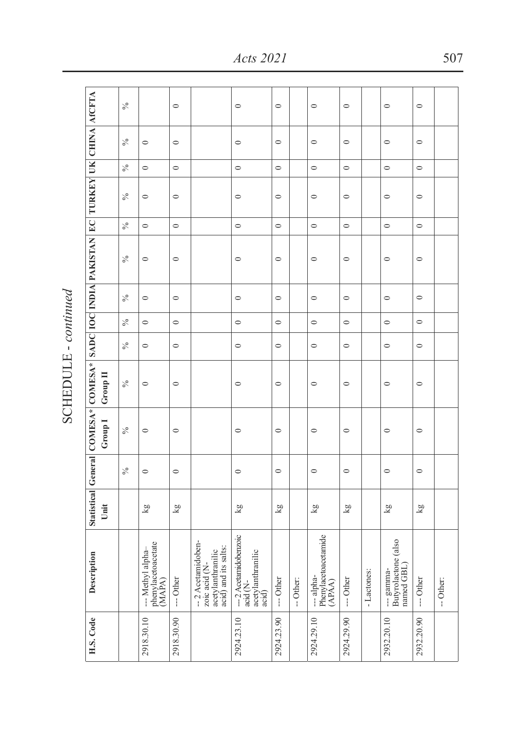| ī |
|---|
|   |
|   |

|                                                                                      | $\frac{5}{6}$ |                                                  | $\circ$                 |                                                                                 | $\circ$                                                         | $\circ$       |           | $\circ$                                      | $\circ$                 |            | $\circ$                                         | $\circ$       |           |
|--------------------------------------------------------------------------------------|---------------|--------------------------------------------------|-------------------------|---------------------------------------------------------------------------------|-----------------------------------------------------------------|---------------|-----------|----------------------------------------------|-------------------------|------------|-------------------------------------------------|---------------|-----------|
|                                                                                      | $\frac{5}{6}$ | $\circ$                                          | $\circ$                 |                                                                                 | $\circ$                                                         | $\circ$       |           | $\circ$                                      | $\circ$                 |            | $\circ$                                         | $\circ$       |           |
|                                                                                      | $\frac{5}{6}$ | $\circ$                                          | $\circ$                 |                                                                                 | $\circ$                                                         | $\circ$       |           | $\circ$                                      | $\circ$                 |            | $\circ$                                         | $\circ$       |           |
|                                                                                      | $\frac{5}{6}$ | $\circ$                                          | $\circ$                 |                                                                                 | $\circ$                                                         | $\circ$       |           | $\circ$                                      | $\circ$                 |            | $\circ$                                         | $\circ$       |           |
|                                                                                      | $\%$          | $\circ$                                          | $\circ$                 |                                                                                 | $\circ$                                                         | $\circ$       |           | $\circ$                                      | $\circ$                 |            | $\circ$                                         | $\circ$       |           |
| Statistical General COMESA* COMESA* SADC IOC INDIA PAKISTAN EC TURKEY UK CHINA ACFTA | $\frac{5}{6}$ | $\circ$                                          | $\circ$                 |                                                                                 | $\circ$                                                         | $\circ$       |           | $\circ$                                      | $\circ$                 |            | $\circ$                                         | $\circ$       |           |
|                                                                                      | $\%$          | $\circ$                                          | $\circ$                 |                                                                                 | $\circ$                                                         | $\circ$       |           | $\circ$                                      | $\circ$                 |            | $\circ$                                         | $\circ$       |           |
|                                                                                      | $\%$          | $\circ$                                          | $\circ$                 |                                                                                 | $\circ$                                                         | $\circ$       |           | $\circ$                                      | $\circ$                 |            | $\circ$                                         | $\circ$       |           |
|                                                                                      | $\frac{5}{6}$ | $\circ$                                          | $\circ$                 |                                                                                 | $\circ$                                                         | $\circ$       |           | $\circ$                                      | $\circ$                 |            | $\circ$                                         | $\circ$       |           |
| Group II                                                                             | ℅             | $\circ$                                          | $\circ$                 |                                                                                 | $\circ$                                                         | $\circ$       |           | $\circ$                                      | $\circ$                 |            | $\circ$                                         | $\circ$       |           |
| Group <sub>1</sub>                                                                   | $\frac{5}{6}$ | $\circ$                                          | $\circ$                 |                                                                                 | $\circ$                                                         | $\circ$       |           | $\circ$                                      | $\circ$                 |            | $\circ$                                         | $\circ$       |           |
|                                                                                      | $\frac{5}{6}$ | $\circ$                                          | $\circ$                 |                                                                                 | $\circ$                                                         | $\circ$       |           | $\circ$                                      | $\circ$                 |            | $\circ$                                         | $\circ$       |           |
| Unit                                                                                 |               | $\frac{8}{5}$                                    | $\overline{\mathbf{g}}$ |                                                                                 | $\frac{8}{5}$                                                   | $\frac{8}{5}$ |           | $\frac{8}{3}$                                | $\overline{\mathbf{g}}$ |            | $\frac{8}{5}$                                   | $\frac{8}{3}$ |           |
| Description                                                                          |               | phenylacetoacetate<br>-- Methyl alpha-<br>(MAPA) | --- Other               | --2 Acetamidoben-<br>acid) and its salts:<br>acetylanthranilic<br>zoic acid (N- | -- 2 Acetamidobenzoic<br>acetylanthranilic<br>acid (N-<br>acid) | --- Other     | -- Other: | --- alpha-<br>Phenylacetoacetamide<br>(APÁA) | --- Other               | -Lactones: | --- gamma-<br>Butyrolactone (also<br>named GBL) | --- Other     | -- Other: |
| H.S. Code                                                                            |               | 2918.30.10                                       | 2918.30.90              |                                                                                 | 2924.23.10                                                      | 2924.23.90    |           | 2924.29.10                                   | 2924.29.90              |            | 2932.20.10                                      | 2932.20.90    |           |

*Acts 2021* 507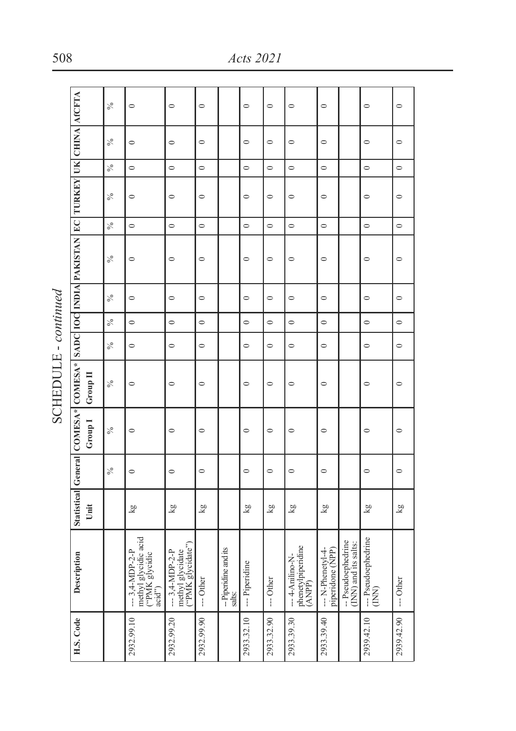| í<br>i |  |
|--------|--|
| Ĺ      |  |

| H.S. Code | Description                                                        |      |            |         |                 |               |               |               | Statistical General COMESA* COMESA* SADC 10C INDIA PAKISTAN EC TURKEY UK CHINA ACCFTA |                          |               |               |               |               |
|-----------|--------------------------------------------------------------------|------|------------|---------|-----------------|---------------|---------------|---------------|---------------------------------------------------------------------------------------|--------------------------|---------------|---------------|---------------|---------------|
|           |                                                                    | Unit |            | Group I | <b>Group</b> II |               |               |               |                                                                                       |                          |               |               |               |               |
|           |                                                                    |      | $\delta_0$ | $\%$    | $\frac{5}{6}$   | $\frac{5}{6}$ | $\frac{5}{6}$ | $\frac{5}{6}$ | $\frac{5}{6}$                                                                         | $\frac{5}{6}$            | $\frac{5}{6}$ | $\frac{5}{6}$ | $\frac{5}{6}$ | $\frac{5}{6}$ |
|           | methyl glycidic acid<br>("PMK glycidic<br>$-3,4-MDP-2-P$<br>acid") | kg   | $\circ$    | $\circ$ | $\circ$         | $\circ$       | $\circ$       | $\circ$       | $\circ$                                                                               | $\circ$                  | $\circ$       | $\circ$       | $\circ$       | $\circ$       |
|           | methyl glycidate<br>("PMK glycidate")<br>$--$ 3,4-MDP-2-P          | kg   | $\circ$    | $\circ$ | $\circ$         | $\circ$       | $\circ$       | $\circ$       | $\circ$                                                                               | $\overline{\phantom{0}}$ | $\circ$       | $\circ$       | $\circ$       | $\circ$       |
|           | --- Other                                                          | kg   | $\circ$    | $\circ$ | $\circ$         | $\circ$       | $\circ$       | $\circ$       | $\circ$                                                                               | $\circ$                  | $\circ$       | $\circ$       | $\circ$       | $\circ$       |
|           | -- Piperidine and its<br>salts:                                    |      |            |         |                 |               |               |               |                                                                                       |                          |               |               |               |               |
|           | --- Piperidine                                                     | kg   | $\circ$    | $\circ$ | $\circ$         | $\circ$       | $\circ$       | $\circ$       | $\circ$                                                                               | $\circ$                  | $\circ$       | $\circ$       | $\circ$       | $\circ$       |
|           | --- Other                                                          | χg   | $\circ$    | $\circ$ | $\circ$         | $\circ$       | $\circ$       | $\circ$       | $\circ$                                                                               | $\circ$                  | $\circ$       | $\circ$       | $\circ$       | $\circ$       |
|           | phenetylpiperidine<br>(ANPP)<br>--- 4-Anilino-N-                   | kg   | $\circ$    | $\circ$ | $\circ$         | $\circ$       | $\circ$       | $\circ$       | $\circ$                                                                               | $\circ$                  | $\circ$       | $\circ$       | $\circ$       | $\circ$       |
|           | --- N-Phenetyl-4-<br>piperidone (NPP)                              | kg   | $\circ$    | $\circ$ | $\circ$         | $\circ$       | $\circ$       | $\circ$       | $\circ$                                                                               | $\circ$                  | $\circ$       | $\circ$       | $\circ$       | $\circ$       |
|           | -- Pseudoephedrine<br>INN) and its salts:                          |      |            |         |                 |               |               |               |                                                                                       |                          |               |               |               |               |
|           | --- Pseudoephedrine<br>$\sum_{i=1}^{n}$                            | kg   | $\circ$    | $\circ$ | $\circ$         | $\circ$       | $\circ$       | $\circ$       | $\circ$                                                                               | $\circ$                  | $\circ$       | $\circ$       | $\circ$       | $\circ$       |
|           | $-$ Other                                                          | kg   | $\circ$    | $\circ$ | $\circ$         | $\circ$       | $\circ$       | $\circ$       | $\circ$                                                                               | $\circ$                  | $\circ$       | $\circ$       | $\circ$       | $\circ$       |

508 *Acts 2021*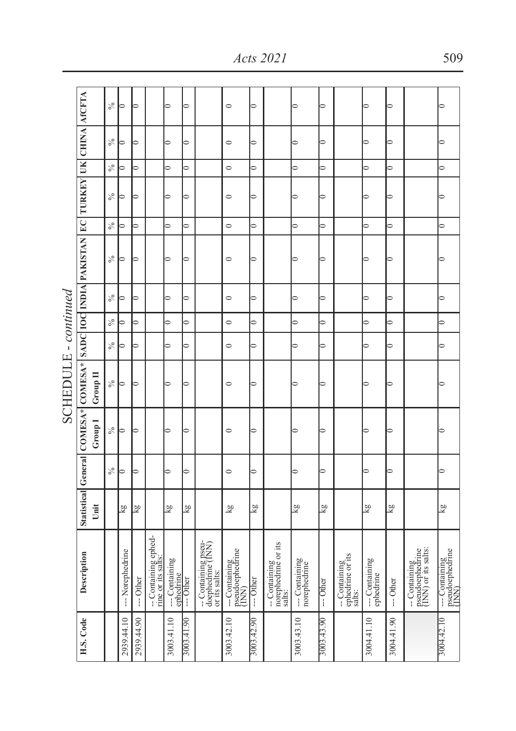|                      |                                                                                                       | $\frac{6}{6}$ | $\Rightarrow$            | ∍                        |                                           | ∍                           | ∍                         |                                                           | $\circ$                                                         | $\Rightarrow$            |                                                | ⊃                             | ∍                        |                                             | ⋍                           | ⊃                        |                                                         |                                            |
|----------------------|-------------------------------------------------------------------------------------------------------|---------------|--------------------------|--------------------------|-------------------------------------------|-----------------------------|---------------------------|-----------------------------------------------------------|-----------------------------------------------------------------|--------------------------|------------------------------------------------|-------------------------------|--------------------------|---------------------------------------------|-----------------------------|--------------------------|---------------------------------------------------------|--------------------------------------------|
|                      |                                                                                                       | $\%$          | ۵                        | $\overline{a}$           |                                           | 5                           | $\overline{\phantom{0}}$  |                                                           | $\circ$                                                         | $\overline{\phantom{0}}$ |                                                | ∍                             | $\overline{\phantom{0}}$ |                                             | ∍                           | ∍                        |                                                         | ∍                                          |
|                      |                                                                                                       | $\frac{6}{2}$ | $\overline{a}$           | $\Rightarrow$            |                                           | $\overline{\phantom{0}}$    | $\overline{\phantom{0}}$  |                                                           | $\circ$                                                         | $\overline{\phantom{0}}$ |                                                | $\overline{\phantom{0}}$      | $\overline{\phantom{0}}$ |                                             | $\overline{\phantom{0}}$    | $\overline{\phantom{0}}$ |                                                         | $\overline{\phantom{0}}$                   |
|                      |                                                                                                       | $\frac{5}{6}$ | $\Rightarrow$            | $\overline{\phantom{0}}$ |                                           | $\Rightarrow$               | ∍                         |                                                           | $\circ$                                                         | $\overline{\phantom{0}}$ |                                                |                               | ∍                        |                                             |                             | ∍                        |                                                         | ∍                                          |
|                      |                                                                                                       | $\%$          | $\overline{a}$           | $\overline{\phantom{0}}$ |                                           | $\overline{\phantom{0}}$    | $\overline{\phantom{0}}$  |                                                           | $\circ$                                                         | $\overline{\phantom{0}}$ |                                                | $\overline{\phantom{0}}$      | $\overline{\phantom{0}}$ |                                             | $\overline{\phantom{0}}$    | $\overline{\phantom{0}}$ |                                                         | $\overline{\phantom{0}}$                   |
|                      | Statistical General COMESA* COMESA*   SADC   IOC   INDIA PAKISTAN   EC   TURKEY   UK   CHINA   AfCFTA | ℅             | 5                        | $\Rightarrow$            |                                           | 5                           | ⇒                         |                                                           | $\circ$                                                         | $\Rightarrow$            |                                                |                               | ⇒                        |                                             |                             | ∍                        |                                                         |                                            |
|                      |                                                                                                       | ℅             | $\Rightarrow$            | $\overline{\phantom{0}}$ |                                           | $\overline{\phantom{0}}$    | $\circ$                   |                                                           | $\circ$                                                         | $\overline{\phantom{0}}$ |                                                | ⇒                             | $\circ$                  |                                             | ≘                           | 0                        |                                                         | 5                                          |
|                      |                                                                                                       | $\%$          | $\overline{\phantom{0}}$ | $\Rightarrow$            |                                           | $\overline{\phantom{0}}$    | $\overline{\phantom{0}}$  |                                                           | $\circ$                                                         | $\overline{\phantom{0}}$ |                                                | $\overline{\phantom{0}}$      | $\overline{\phantom{0}}$ |                                             | 0                           | $\overline{\phantom{0}}$ |                                                         | ∍                                          |
|                      |                                                                                                       | $\frac{6}{6}$ | ∍                        | ∍                        |                                           | ∍                           | 0                         |                                                           | $\circ$                                                         | $\circ$                  |                                                | $\circ$                       | $\circ$                  |                                             | 0                           | $\circ$                  |                                                         | $\circ$                                    |
| SCHEDULE - continued | Group II                                                                                              | $\frac{5}{6}$ | $\Rightarrow$            | $\overline{a}$           |                                           |                             | ∍                         |                                                           | $\circ$                                                         | $\Rightarrow$            |                                                |                               | ∍                        |                                             |                             | ⊃                        |                                                         |                                            |
|                      | Group I                                                                                               | $\frac{5}{6}$ | ∍                        | ∍                        |                                           | ∍                           | ∍                         |                                                           | $\circ$                                                         | ∍                        |                                                |                               | ⋍                        |                                             |                             | ∍                        |                                                         |                                            |
|                      |                                                                                                       | $\%$          | ∍                        | $\overline{\phantom{0}}$ |                                           | $\Rightarrow$               | $\overline{\phantom{0}}$  |                                                           | $\circ$                                                         | $\overline{\phantom{0}}$ |                                                | ∍                             | $\overline{\phantom{0}}$ |                                             | ∍                           | 5                        |                                                         | $\overline{\phantom{0}}$                   |
|                      | Unit                                                                                                  |               | $\frac{8}{3}$            | $\overline{\mathbf{g}}$  |                                           | kg                          | kg                        |                                                           | $\overline{\mathbf{g}}$                                         | $\overline{\mathbf{g}}$  |                                                | $\overline{\mathbf{g}}$       | $\frac{8}{8}$            |                                             | $\overline{\mathbf{g}}$     | kg                       |                                                         | $\frac{8}{2}$                              |
|                      | Description                                                                                           |               | --- Norephedrine         | --- Other                | - Containing ephed-<br>rine or its salts: | --- Containing<br>ephedrine | $-$ Other                 | -- Containing pseu-<br>doephedrine (INN)<br>or its salts: | $\frac{1 - \text{Continuing}}{\text{pseudo} \cdot \text{beta}}$ | --- Other                | -- Containing<br>norephedrine or its<br>salts: | -- Containing<br>norephedrine | -- Other                 | -- Containing<br>ephedrine or its<br>salts: | --- Containing<br>ephedrine | $-$ Other                | -- Containing<br>pseudoephedrine<br>(INN) or its salts: | --- Containing<br>pseudoephedrine<br>(INN) |
|                      | H.S. Code                                                                                             |               | 2939.44.10               | 2939.44.90               |                                           | 3003.41.10                  | $\overline{6}$<br>3003.41 |                                                           | 3003.42.10                                                      | 3003.42.90               |                                                | 3003.43.10                    | 3003.43.90               |                                             | 3004.41.10                  | 3004.41.90               |                                                         | 3004.42.10                                 |

SCHEDULE - *continued*÷ **COUPDITE** 

#### *Acts 2021* 509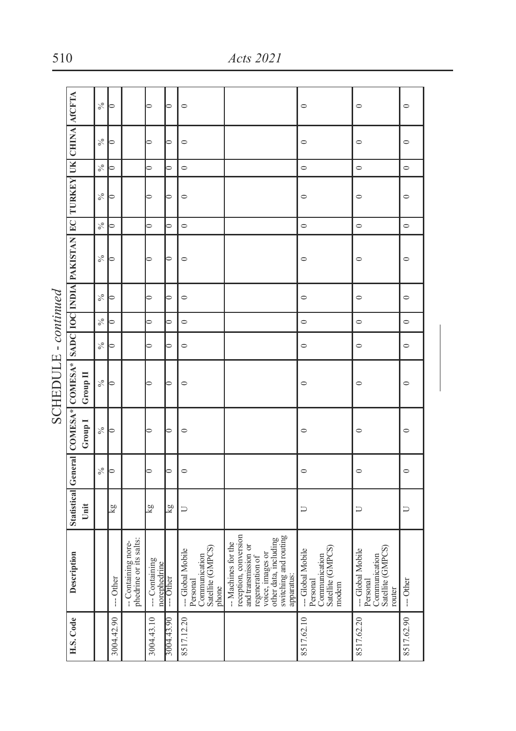|                      |                                                                                                  |          | $\frac{5}{6}$   | ∍              |                                               | ∍                             | 0                        | $\circ$                                                                   |                                                                                                                                                                           | $\circ$                                                                   | $\circ$                                                                    | $\circ$    |
|----------------------|--------------------------------------------------------------------------------------------------|----------|-----------------|----------------|-----------------------------------------------|-------------------------------|--------------------------|---------------------------------------------------------------------------|---------------------------------------------------------------------------------------------------------------------------------------------------------------------------|---------------------------------------------------------------------------|----------------------------------------------------------------------------|------------|
|                      |                                                                                                  |          | $\%$            | $\overline{ }$ |                                               | $\overline{ }$                | $\overline{a}$           | $\circ$                                                                   |                                                                                                                                                                           | $\circ$                                                                   | $\circ$                                                                    | $\circ$    |
|                      |                                                                                                  |          | $\frac{6}{6}$   | $\Rightarrow$  |                                               | $\Rightarrow$                 | $\Rightarrow$            | $\circ$                                                                   |                                                                                                                                                                           | $\circ$                                                                   | $\circ$                                                                    | $\circ$    |
|                      |                                                                                                  |          | $\%$            | ⊃              |                                               | ∍                             | $\overline{\phantom{0}}$ | $\circ$                                                                   |                                                                                                                                                                           | $\circ$                                                                   | $\circ$                                                                    | $\circ$    |
|                      |                                                                                                  |          | $\delta_0$      | $\Rightarrow$  |                                               | $\Rightarrow$                 | $\Rightarrow$            | $\circ$                                                                   |                                                                                                                                                                           | $\circ$                                                                   | $\circ$                                                                    | $\circ$    |
|                      | Statistical General COMESA* COMESA* [SADC IQC INDIA] PAKISTAN [EC   TURKEY   UK   CHINA   AfCFTA |          | $\%$            | ∍              |                                               |                               | $\Rightarrow$            | $\circ$                                                                   |                                                                                                                                                                           | $\circ$                                                                   | $\circ$                                                                    | $\circ$    |
|                      |                                                                                                  |          | $\%$            | $\overline{a}$ |                                               | ∍                             | $\Rightarrow$            | $\circ$                                                                   |                                                                                                                                                                           | $\circ$                                                                   | $\circ$                                                                    | $\circ$    |
|                      |                                                                                                  |          | $\delta_0$      | ∍              |                                               | ∍                             | $\overline{a}$           | $\circ$                                                                   |                                                                                                                                                                           | $\circ$                                                                   | $\circ$                                                                    | $\circ$    |
|                      |                                                                                                  |          | $\%$            | $\Rightarrow$  |                                               | ∍                             | $\overline{a}$           | $\circ$                                                                   |                                                                                                                                                                           | $\circ$                                                                   | $\circ$                                                                    | $\circ$    |
| SCHEDULE - continued |                                                                                                  | Group II | $\mathcal{S}_0$ | ∍              |                                               | ⋍                             | $\overline{\phantom{0}}$ | $\circ$                                                                   |                                                                                                                                                                           | $\circ$                                                                   | $\circ$                                                                    | $\circ$    |
|                      |                                                                                                  | Group I  | $\frac{5}{6}$   | ∍              |                                               | ⊃                             | $\overline{a}$           | $\circ$                                                                   |                                                                                                                                                                           | $\circ$                                                                   | $\circ$                                                                    | $\circ$    |
|                      |                                                                                                  |          | $\%$            | $\Rightarrow$  |                                               | ⊃                             | $\overline{\phantom{0}}$ | $\circ$                                                                   |                                                                                                                                                                           | $\circ$                                                                   | $\circ$                                                                    | $\circ$    |
|                      |                                                                                                  | Unit     |                 | δğ             |                                               | kg                            | kg                       | υ                                                                         |                                                                                                                                                                           | コ                                                                         | $\Box$                                                                     | Þ          |
|                      | Description                                                                                      |          |                 | -- Other       | phedrine or its salts:<br>-- Containing nore- | -- Containing<br>norephedrine | --- Other                | Satellite (GMPCS)<br>-Global Mobile<br>Communication<br>Personal<br>phone | reception, conversion<br>switching and routing<br>voice, images or<br>other data, including<br>- Machines for the<br>and transmission or<br>regeneration of<br>apparatus: | Satellite (GMPCS)<br>-Global Mobile<br>Communication<br>Personal<br>modem | Satellite (GMPCS)<br>-Global Mobile<br>Communication<br>Personal<br>router | $-$ Other  |
|                      | H.S. Code                                                                                        |          |                 | 3004.42.90     |                                               | 3004.43.10                    | 3004.43.90               | 8517.12.20                                                                |                                                                                                                                                                           | 8517.62.10                                                                | 8517.62.20                                                                 | 8517.62.90 |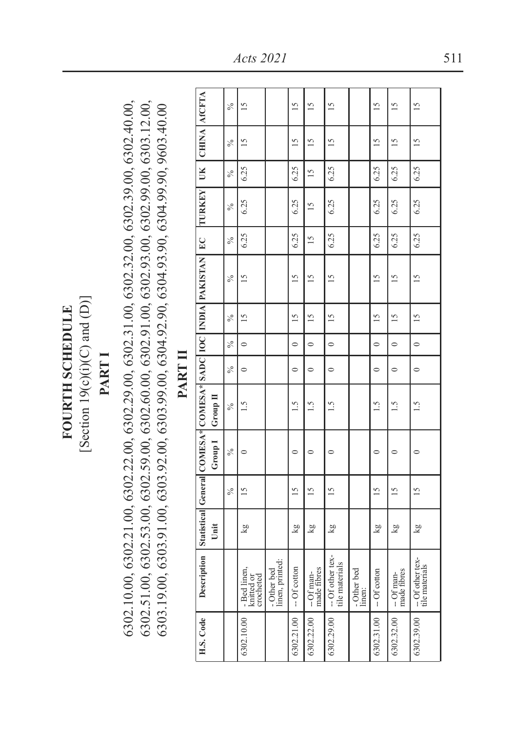[Section  $19(c)(i)(C)$  and  $(D)$ ] [Section  $19(c)(i)(C)$  and  $(D)$ ] **FOURTH SCHEDULE FOURTH SCHEDULE**

# **PART I**

 $6302.10.00, 6302.21.00, 6302.22.00, 6302.29.00, 6302.31.00, 6302.32.00, 6302.39.00, 6302.40.00,$ 6302.10.00, 6302.21.00, 6302.22.00, 6302.29.00, 6302.31.00, 6302.32.00, 6302.39.00, 6302.40.00,  $6302.51.00, 6302.53.00, 6302.59.00, 6302.60.00, 6302.91.00, 6302.93.00, 6302.99.00, 6303.12.00,$ 6302.51.00, 6302.53.00, 6302.59.00, 6302.60.00, 6302.91.00, 6302.93.00, 6302.99.00, 6303.12.00, 6303.19.00, 6303.91.00, 6303.92.00, 6303.99.00, 6304.92.90, 6304.93.90, 6304.99.90, 9603.40.00 6303.19.00, 6303.91.00, 6303.92.00, 6303.99.00, 6304.92.90, 6304.93.90, 6304.99.90, 9603.40.00

|                                              |                                                                                  | $\frac{8}{2}$ | $\overline{15}$                         |                                | $\overline{15}$ | $\overline{15}$          | $\overline{15}$                    |                       | $\frac{5}{1}$ | $\frac{5}{2}$              | $\frac{5}{2}$                    |
|----------------------------------------------|----------------------------------------------------------------------------------|---------------|-----------------------------------------|--------------------------------|-----------------|--------------------------|------------------------------------|-----------------------|---------------|----------------------------|----------------------------------|
|                                              | UK   CHINA   AfCFTA                                                              | $\frac{5}{6}$ | $\overline{15}$                         |                                | $\overline{15}$ | $\frac{5}{2}$            | $\overline{15}$                    |                       | $\frac{5}{2}$ | $\frac{5}{2}$              | $\frac{5}{2}$                    |
|                                              |                                                                                  | ×,            | 6.25                                    |                                | 6.25            | $\frac{5}{2}$            | 6.25                               |                       | 6.25          | 6.25                       | 6.25                             |
|                                              | <b>TURKEY</b>                                                                    | $\frac{6}{2}$ | 6.25                                    |                                | 6.25            | $\frac{5}{2}$            | 6.25                               |                       | 6.25          | 6.25                       | 6.25                             |
|                                              |                                                                                  | $\frac{6}{2}$ | 6.25                                    |                                | 6.25            | $\overline{15}$          | 6.25                               |                       | 6.25          | 6.25                       | 6.25                             |
|                                              |                                                                                  | $\frac{6}{2}$ | $\overline{15}$                         |                                | $\frac{5}{2}$   | $\frac{5}{2}$            | $\frac{5}{2}$                      |                       | $\frac{5}{2}$ | $\frac{5}{2}$              | $\frac{5}{2}$                    |
|                                              |                                                                                  | $\frac{5}{6}$ | $\frac{5}{2}$                           |                                | $\frac{5}{2}$   | $\frac{5}{2}$            | $\frac{5}{2}$                      |                       | $\frac{5}{2}$ | $\frac{5}{2}$              | $\frac{5}{2}$                    |
|                                              |                                                                                  | $\frac{6}{2}$ | $\circ$                                 |                                | $\circ$         | $\circ$                  | $\circ$                            |                       | $\circ$       | $\circ$                    | $\circ$                          |
| $\frac{1}{2}$ , and the set of $\frac{1}{2}$ |                                                                                  | $\frac{5}{6}$ | $\circ$                                 |                                | $\circ$         | $\circ$                  | $\circ$                            |                       | $\circ$       | $\circ$                    | $\circ$                          |
|                                              |                                                                                  | $\frac{5}{6}$ | ڹ                                       |                                | $\ddot{3}$      | $\overline{5}$           | $\overline{15}$                    |                       | $\frac{5}{1}$ | $\frac{15}{1}$             | $\frac{5}{1}$                    |
|                                              | Group I Group II                                                                 | $\frac{5}{6}$ | $\circ$                                 |                                | 0               | $\circ$                  | $\mathbf{\subset}$                 |                       | $\circ$       | $\circ$                    | $\subset$                        |
|                                              |                                                                                  | $\frac{8}{2}$ | $\overline{15}$                         |                                | $\frac{5}{2}$   | $\frac{5}{2}$            | $\frac{5}{2}$                      |                       | $\frac{5}{2}$ | $\frac{5}{2}$              | $\frac{5}{2}$                    |
|                                              | Unit                                                                             |               | Δğ                                      |                                | kg              | kg                       | kg                                 |                       | kg            | kg                         | kg                               |
|                                              | Description Statistical General COMESA* COMESA* SADC   IOC   INDIA PAKISTAN   EC |               | - Bed linen,<br>knitted or<br>crocheted | - Other bed<br>linen, printed: | $-$ Of cotton   | made fibres<br>--Of man- | -- Of other tex-<br>tile materials | - Other bed<br>linen: | $-$ Of cotton | made fibres<br>$-$ Of man- | -Of other tex-<br>tile materials |
|                                              | H.S. Code                                                                        |               | 6302.10.00                              |                                | 6302.21.00      | 6302.22.00               | 6302.29.00                         |                       | 6302.31.00    | 6302.32.00                 | 6302.39.00                       |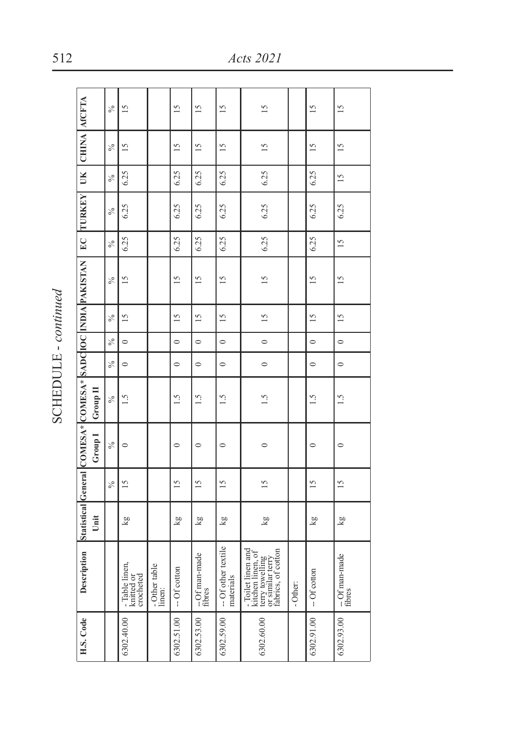| J.<br>í<br>ú<br>i |
|-------------------|
|                   |
|                   |
|                   |
|                   |

|                                                            |          | $\frac{5}{6}$ | $\overline{15}$                           |                         | $\overline{15}$ | 15                      | $\overline{15}$                  | $\overline{15}$                                                                                      |          | 15              | 15                       |
|------------------------------------------------------------|----------|---------------|-------------------------------------------|-------------------------|-----------------|-------------------------|----------------------------------|------------------------------------------------------------------------------------------------------|----------|-----------------|--------------------------|
| UK CHINA ACFTA                                             |          | $\frac{5}{6}$ | $\overline{15}$                           |                         | $\overline{15}$ | $\overline{15}$         | $\overline{15}$                  | $\frac{5}{2}$                                                                                        |          | $\overline{15}$ | $\overline{15}$          |
|                                                            |          | $\frac{5}{6}$ | 6.25                                      |                         | 6.25            | 6.25                    | 6.25                             | 6.25                                                                                                 |          | 6.25            | $\frac{5}{2}$            |
| EC TURKEY                                                  |          | $\frac{5}{6}$ | 6.25                                      |                         | 6.25            | 6.25                    | 6.25                             | 6.25                                                                                                 |          | 6.25            | 6.25                     |
|                                                            |          | $\delta_0$    | 6.25                                      |                         | 6.25            | 6.25                    | 6.25                             | 6.25                                                                                                 |          | 6.25            | $\frac{5}{2}$            |
|                                                            |          | $\frac{5}{6}$ | $\frac{5}{2}$                             |                         | $\overline{15}$ | $\frac{5}{2}$           | $\frac{5}{2}$                    | $\overline{15}$                                                                                      |          | $\frac{5}{2}$   | $\overline{15}$          |
|                                                            |          | $\frac{5}{6}$ | $\overline{15}$                           |                         | $\frac{5}{2}$   | $\overline{15}$         | $\overline{15}$                  | $\frac{5}{2}$                                                                                        |          | $\overline{15}$ | $\frac{5}{2}$            |
|                                                            |          | $\frac{5}{6}$ | $\circ$                                   |                         | $\circ$         | $\circ$                 | $\circ$                          | $\circ$                                                                                              |          | $\circ$         | $\circ$                  |
|                                                            |          | $\frac{5}{6}$ | $\circ$                                   |                         | $\circ$         | $\circ$                 | $\circ$                          | $\circ$                                                                                              |          | $\circ$         | $\circ$                  |
| Statistical General COMESA* COMESA* SADCIOC INDIA PAKISTAN | Group II | $\frac{8}{2}$ | $\frac{5}{1}$                             |                         | 1.5             | $\frac{5}{1}$           | $\frac{1}{2}$                    | $\frac{5}{1}$                                                                                        |          | 1.5             | $\frac{5}{1}$            |
|                                                            | Group I  | $\frac{5}{6}$ | $\circ$                                   |                         | $\circ$         | $\circ$                 | $\circ$                          | 0                                                                                                    |          | $\circ$         | $\circ$                  |
|                                                            |          | $\frac{5}{6}$ | $\frac{5}{2}$                             |                         | 15              | $\frac{5}{2}$           | $\frac{5}{2}$                    | $\frac{5}{2}$                                                                                        |          | $\frac{5}{2}$   | $\frac{5}{2}$            |
|                                                            | Unit     |               | kg                                        |                         | kg              | lg<br>S                 | kg                               | $\overline{\mathbf{g}}$                                                                              |          | kg              | Δg                       |
| Description                                                |          |               | - Table linen,<br>knitted or<br>crocheted | - Other table<br>linen: | -- Of cotton    | --Of man-made<br>fibres | -- Of other textile<br>materials | - Toilet linen and<br>kitchen linen, of<br>fabrics, of cotton<br>terry towelling<br>or similar terry | - Other: | $-$ Of cotton   | -- Of man-made<br>fibres |
| H.S. Code                                                  |          |               | 6302.40.00                                |                         | 6302.51.00      | 6302.53.00              | 6302.59.00                       | 6302.60.00                                                                                           |          | 6302.91.00      | 6302.93.00               |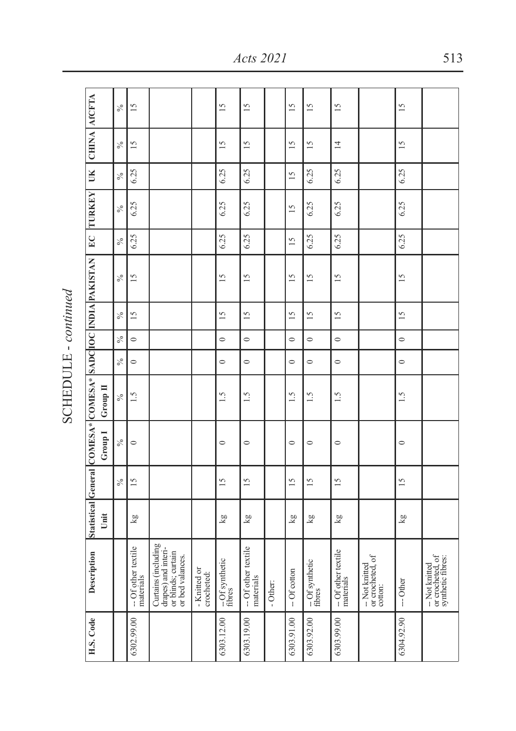| UK CHINA AfCFTA                                            |          | $\frac{6}{6}$ | $\overline{15}$                  |                                                                                      |                            | $\frac{5}{2}$           | $\overline{15}$                  |          | $\overline{5}$  | $\overline{15}$           | $\overline{15}$                  |                                               | $\overline{15}$ |                                                         |
|------------------------------------------------------------|----------|---------------|----------------------------------|--------------------------------------------------------------------------------------|----------------------------|-------------------------|----------------------------------|----------|-----------------|---------------------------|----------------------------------|-----------------------------------------------|-----------------|---------------------------------------------------------|
|                                                            |          | $\%$          | $\overline{15}$                  |                                                                                      |                            | $\frac{5}{2}$           | $\overline{15}$                  |          | $\overline{15}$ | $\overline{15}$           | $\overline{4}$                   |                                               | $\overline{15}$ |                                                         |
|                                                            |          | $\%$          | 6.25                             |                                                                                      |                            | 6.25                    | 6.25                             |          | $\overline{15}$ | 6.25                      | 6.25                             |                                               | 6.25            |                                                         |
| <b>TURKEY</b>                                              |          | $\%$          | 6.25                             |                                                                                      |                            | 6.25                    | 6.25                             |          | $\overline{15}$ | 6.25                      | 6.25                             |                                               | 6.25            |                                                         |
| E                                                          |          | $\%$          | 6.25                             |                                                                                      |                            | 6.25                    | 6.25                             |          | 15              | 6.25                      | 6.25                             |                                               | 6.25            |                                                         |
|                                                            |          | $\%$          | $\overline{15}$                  |                                                                                      |                            | $\overline{15}$         | $\overline{15}$                  |          | $\overline{15}$ | $\overline{15}$           | $\overline{15}$                  |                                               | $\overline{15}$ |                                                         |
|                                                            |          | $\%$          | $\overline{15}$                  |                                                                                      |                            | 51                      | $\overline{15}$                  |          | $\overline{5}$  | $\overline{15}$           | $\overline{15}$                  |                                               | $\overline{15}$ |                                                         |
|                                                            |          | $\%$          | $\circ$                          |                                                                                      |                            | $\circ$                 | $\circ$                          |          | $\circ$         | $\circ$                   | $\circ$                          |                                               | $\circ$         |                                                         |
|                                                            |          | $\%$          | $\circ$                          |                                                                                      |                            | $\circ$                 | $\circ$                          |          | $\circ$         | $\circ$                   | $\circ$                          |                                               | $\circ$         |                                                         |
|                                                            | Group II | $\frac{6}{6}$ | $\frac{5}{1}$                    |                                                                                      |                            | $\ddot{5}$              | 1.5                              |          | 1.5             | $\frac{5}{1}$             | 1.5                              |                                               | 1.5             |                                                         |
| Statistical Ceneral COMESA* COMESA* SADCIOC INDIA PAKISTAN | Group I  | $\frac{5}{6}$ | $\circ$                          |                                                                                      |                            | $\circ$                 | $\circ$                          |          | $\circ$         | $\circ$                   | $\circ$                          |                                               | $\circ$         |                                                         |
|                                                            |          | $\%$          | $\overline{15}$                  |                                                                                      |                            | $\overline{15}$         | 15                               |          | $\overline{15}$ | $\overline{15}$           | 15                               |                                               | 15              |                                                         |
|                                                            | Unit     |               | kg                               |                                                                                      |                            | kg                      | kg                               |          | ΣX              | kg                        | kg                               |                                               | kg              |                                                         |
| Description                                                |          |               | -- Of other textile<br>materials | Curtains (including<br>drapes) and interi-<br>or blinds; curtain<br>or bed valances. | - Knitted or<br>crocheted: | -Of synthetic<br>fibres | -- Of other textile<br>materials | - Other: | $-$ Of cotton   | $-\,$ Of synthetic fibres | -- Of other textile<br>materials | -- Not knitted<br>or crocheted, of<br>cotton: | -- Other        | or crocheted, of<br>synthetic fibres:<br>-- Not knitted |
| H.S. Code                                                  |          |               | 6302.99.00                       |                                                                                      |                            | 6303.12.00              | 6303.19.00                       |          | 6303.91.00      | 6303.92.00                | 6303.99.00                       |                                               | 6304.92.90      |                                                         |

SCHEDULE - continued SCHEDULE - *continued*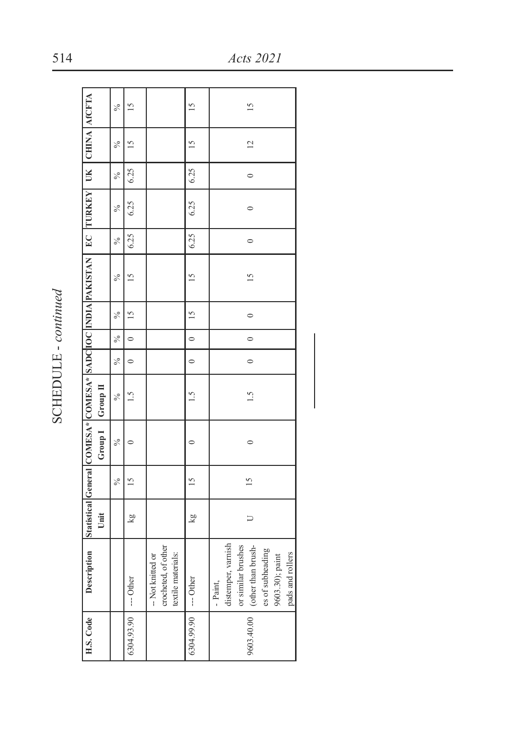| Š<br>í<br>ú<br>i |
|------------------|
|                  |
|                  |
|                  |
|                  |

|                                                                                              |                  | ℅             | $\frac{5}{2}$ |                                                                | $\frac{15}{2}$           | $\frac{5}{2}$                                                                                                                         |
|----------------------------------------------------------------------------------------------|------------------|---------------|---------------|----------------------------------------------------------------|--------------------------|---------------------------------------------------------------------------------------------------------------------------------------|
|                                                                                              |                  | $\frac{5}{6}$ | $\frac{5}{2}$ |                                                                | $\frac{5}{2}$            | $\overline{c}$                                                                                                                        |
|                                                                                              |                  | ℅             | 6.25          |                                                                | 6.25                     | $\circ$                                                                                                                               |
|                                                                                              |                  | ℅             | 6.25          |                                                                | 6.25                     | $\circ$                                                                                                                               |
|                                                                                              |                  | ☆             | 6.25          |                                                                | 6.25                     | $\circ$                                                                                                                               |
| Statistical General COMESA* COMESA* SADCIOC INDIA PAKISTAN   EC TURKEY   UK   CHINA   AfCFTA |                  | ℅             | $\frac{5}{2}$ |                                                                | 15                       | $\frac{5}{2}$                                                                                                                         |
|                                                                                              |                  | $\frac{6}{6}$ | $\frac{5}{2}$ |                                                                | $\frac{15}{2}$           | $\circ$                                                                                                                               |
|                                                                                              |                  | ℅             | $\circ$       |                                                                | $\overline{\phantom{0}}$ | $\circ$                                                                                                                               |
|                                                                                              |                  | ℅             | $\circ$       |                                                                | $\ddot{\phantom{0}}$     | $\circ$                                                                                                                               |
|                                                                                              |                  | $\frac{6}{6}$ | $\frac{5}{1}$ |                                                                | 1.5                      | 1.5                                                                                                                                   |
|                                                                                              | Group I Group II | ℅             |               |                                                                |                          | $\circ$                                                                                                                               |
|                                                                                              |                  | ℅             | $\frac{5}{2}$ |                                                                | 15                       | $\frac{5}{2}$                                                                                                                         |
|                                                                                              | Unit             |               | kg            |                                                                | kg                       | コ                                                                                                                                     |
| Description                                                                                  |                  |               | --- Other     | crocheted, of other<br>-- Not knitted or<br>textile materials: |                          | distemper, varnish<br>or similar brushes<br>(other than brush-<br>es of subheading<br>pads and rollers<br>9603.30); paint<br>- Paint, |
| H.S. Code                                                                                    |                  |               | 6304.93.90    |                                                                | 6304.99.90 --- Other     | 9603.40.00                                                                                                                            |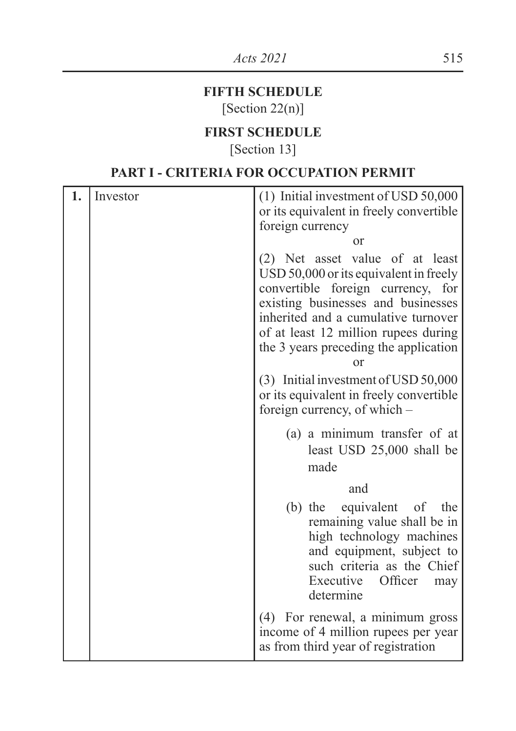### **FIFTH SCHEDULE**

[Section 22(n)]

#### **FIRST SCHEDULE**

[Section 13]

#### **PART I - CRITERIA FOR OCCUPATION PERMIT**

| 1. | Investor | (1) Initial investment of USD 50,000                                                                                                                                                                                                                                               |
|----|----------|------------------------------------------------------------------------------------------------------------------------------------------------------------------------------------------------------------------------------------------------------------------------------------|
|    |          | or its equivalent in freely convertible<br>foreign currency                                                                                                                                                                                                                        |
|    |          | or                                                                                                                                                                                                                                                                                 |
|    |          | (2) Net asset value of at least<br>USD 50,000 or its equivalent in freely<br>convertible foreign currency, for<br>existing businesses and businesses<br>inherited and a cumulative turnover<br>of at least 12 million rupees during<br>the 3 years preceding the application<br>or |
|    |          | (3) Initial investment of USD 50,000<br>or its equivalent in freely convertible<br>foreign currency, of which –                                                                                                                                                                    |
|    |          | (a) a minimum transfer of at<br>least USD 25,000 shall be<br>made                                                                                                                                                                                                                  |
|    |          | and                                                                                                                                                                                                                                                                                |
|    |          | (b) the equivalent of the<br>remaining value shall be in<br>high technology machines<br>and equipment, subject to<br>such criteria as the Chief<br>Executive<br>Officer<br>may<br>determine                                                                                        |
|    |          | (4) For renewal, a minimum gross<br>income of 4 million rupees per year<br>as from third year of registration                                                                                                                                                                      |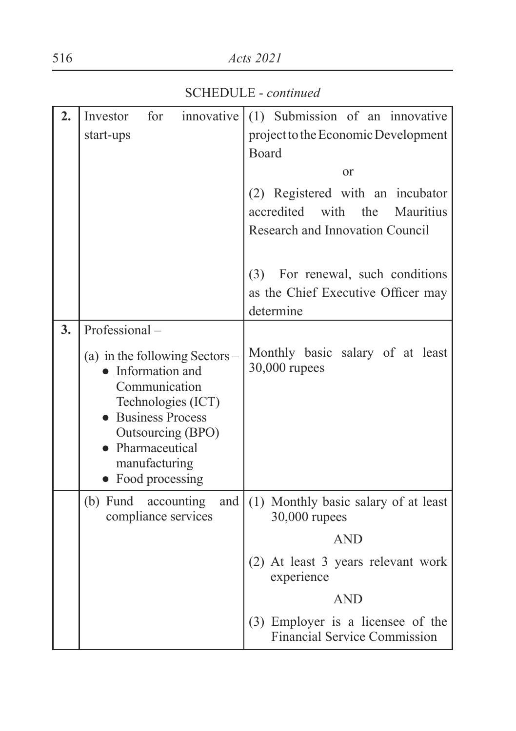#### 516 *Acts 2021*

| 2. | for<br>innovative<br>Investor                                                                                                                                                                     | (1) Submission of an innovative                                                     |
|----|---------------------------------------------------------------------------------------------------------------------------------------------------------------------------------------------------|-------------------------------------------------------------------------------------|
|    | start-ups                                                                                                                                                                                         | project to the Economic Development                                                 |
|    |                                                                                                                                                                                                   | Board                                                                               |
|    |                                                                                                                                                                                                   | or                                                                                  |
|    |                                                                                                                                                                                                   | (2) Registered with an incubator                                                    |
|    |                                                                                                                                                                                                   | accredited with<br>the<br><b>Mauritius</b><br>Research and Innovation Council       |
|    |                                                                                                                                                                                                   |                                                                                     |
|    |                                                                                                                                                                                                   | (3) For renewal, such conditions<br>as the Chief Executive Officer may<br>determine |
| 3. | Professional-                                                                                                                                                                                     |                                                                                     |
|    | (a) in the following Sectors $-$<br>• Information and<br>Communication<br>Technologies (ICT)<br>• Business Process<br>Outsourcing (BPO)<br>• Pharmaceutical<br>manufacturing<br>• Food processing | Monthly basic salary of at least<br>30,000 rupees                                   |
|    | $(b)$ Fund<br>and  <br>accounting<br>compliance services                                                                                                                                          | (1) Monthly basic salary of at least<br>30,000 rupees                               |
|    |                                                                                                                                                                                                   | <b>AND</b>                                                                          |
|    |                                                                                                                                                                                                   | (2) At least 3 years relevant work<br>experience                                    |
|    |                                                                                                                                                                                                   | <b>AND</b>                                                                          |
|    |                                                                                                                                                                                                   | (3) Employer is a licensee of the<br><b>Financial Service Commission</b>            |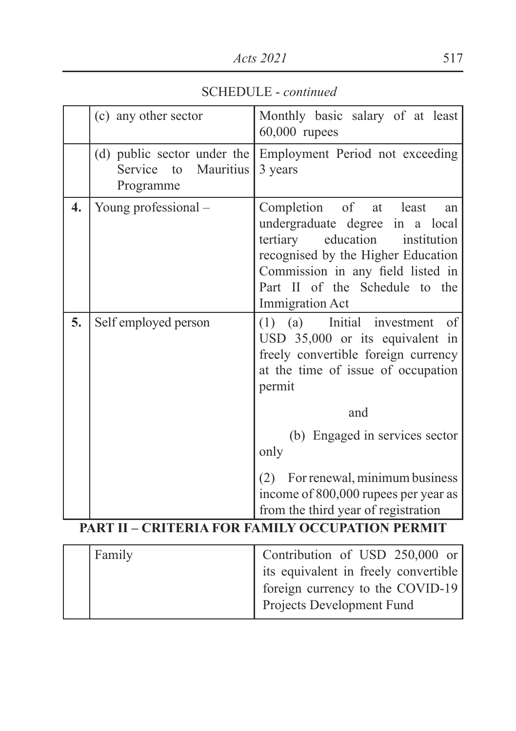SCHEDULE - *continued*

|    | (c) any other sector              | Monthly basic salary of at least<br>$60,000$ rupees                                                                                                                                                                                         |
|----|-----------------------------------|---------------------------------------------------------------------------------------------------------------------------------------------------------------------------------------------------------------------------------------------|
|    | Service to Mauritius<br>Programme | (d) public sector under the Employment Period not exceeding<br>3 years                                                                                                                                                                      |
| 4. | Young professional -              | Completion of at least<br>an<br>undergraduate degree in a local<br>tertiary education<br>institution<br>recognised by the Higher Education<br>Commission in any field listed in<br>Part II of the Schedule to the<br><b>Immigration Act</b> |
| 5. | Self employed person              | (a) Initial investment<br>of<br>(1)<br>USD 35,000 or its equivalent in<br>freely convertible foreign currency<br>at the time of issue of occupation<br>permit                                                                               |
|    |                                   | and                                                                                                                                                                                                                                         |
|    |                                   | (b) Engaged in services sector<br>only                                                                                                                                                                                                      |
|    |                                   | (2) For renewal, minimum business<br>income of 800,000 rupees per year as<br>from the third year of registration                                                                                                                            |
|    |                                   | <b>PART II - CRITERIA FOR FAMILY OCCUPATION PERMIT</b>                                                                                                                                                                                      |
|    | $\cdot$ 1<br>$\blacksquare$       | $\sim$ $\sim$ $\sim$<br>$C$ TIOD                                                                                                                                                                                                            |

| Family | Contribution of USD 250,000 or       |
|--------|--------------------------------------|
|        | its equivalent in freely convertible |
|        | foreign currency to the COVID-19     |
|        | <b>Projects Development Fund</b>     |
|        |                                      |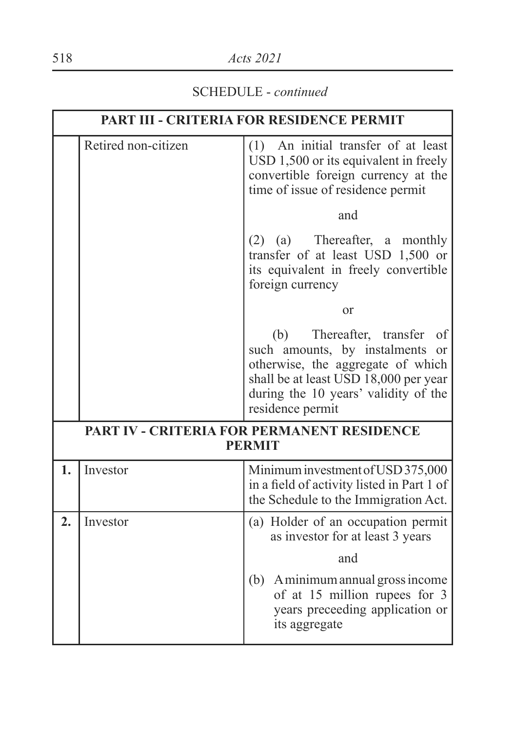#### SCHEDULE - *continued*

|    |                     | <b>PART III - CRITERIA FOR RESIDENCE PERMIT</b>                                                                                                                                                                |  |  |
|----|---------------------|----------------------------------------------------------------------------------------------------------------------------------------------------------------------------------------------------------------|--|--|
|    | Retired non-citizen | An initial transfer of at least<br>(1)<br>USD 1,500 or its equivalent in freely<br>convertible foreign currency at the<br>time of issue of residence permit                                                    |  |  |
|    |                     | and                                                                                                                                                                                                            |  |  |
|    |                     | Thereafter, a monthly<br>(a)<br>(2)<br>transfer of at least USD 1,500 or<br>its equivalent in freely convertible<br>foreign currency                                                                           |  |  |
|    |                     | <sub>or</sub>                                                                                                                                                                                                  |  |  |
|    |                     | Thereafter, transfer<br>(b)<br>of<br>such amounts, by instalments or<br>otherwise, the aggregate of which<br>shall be at least USD 18,000 per year<br>during the 10 years' validity of the<br>residence permit |  |  |
|    |                     | PART IV - CRITERIA FOR PERMANENT RESIDENCE<br><b>PERMIT</b>                                                                                                                                                    |  |  |
| 1. | Investor            | Minimum investment of USD 375,000<br>in a field of activity listed in Part 1 of<br>the Schedule to the Immigration Act.                                                                                        |  |  |
| 2. | Investor            | (a) Holder of an occupation permit<br>as investor for at least 3 years                                                                                                                                         |  |  |
|    |                     | and                                                                                                                                                                                                            |  |  |
|    |                     | (b) A minimum annual gross income<br>of at 15 million rupees for 3<br>years preceeding application or<br>its aggregate                                                                                         |  |  |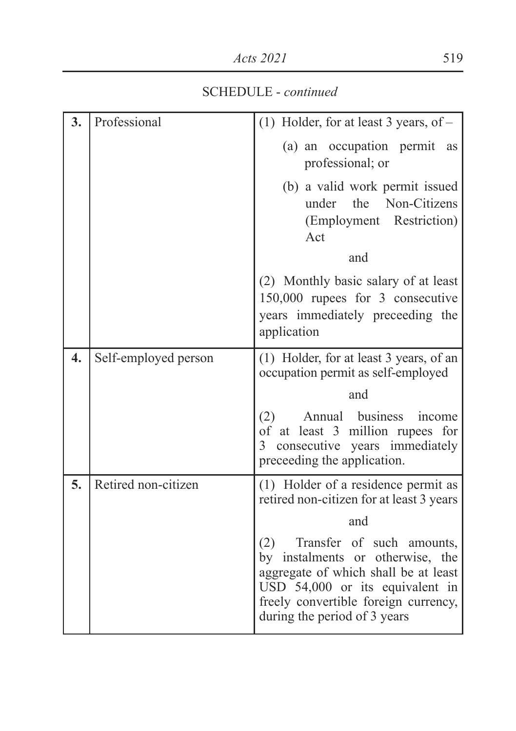SCHEDULE - *continued*

| 3. | Professional         | (1) Holder, for at least 3 years, of $-$                                                                                                                                                                                |
|----|----------------------|-------------------------------------------------------------------------------------------------------------------------------------------------------------------------------------------------------------------------|
|    |                      | (a) an occupation permit<br>as<br>professional; or                                                                                                                                                                      |
|    |                      | (b) a valid work permit issued<br>under the Non-Citizens<br>(Employment Restriction)<br>Act<br>and                                                                                                                      |
|    |                      |                                                                                                                                                                                                                         |
|    |                      | (2) Monthly basic salary of at least<br>150,000 rupees for 3 consecutive<br>years immediately preceeding the<br>application                                                                                             |
| 4. | Self-employed person | (1) Holder, for at least 3 years, of an<br>occupation permit as self-employed                                                                                                                                           |
|    |                      | and                                                                                                                                                                                                                     |
|    |                      | Annual business<br>(2)<br>income<br>of at least 3 million rupees for<br>consecutive years immediately<br>$\mathcal{E}$<br>preceeding the application.                                                                   |
| 5. | Retired non-citizen  | (1) Holder of a residence permit as<br>retired non-citizen for at least 3 years                                                                                                                                         |
|    |                      | and                                                                                                                                                                                                                     |
|    |                      | Transfer of such amounts,<br>(2)<br>by instalments or otherwise, the<br>aggregate of which shall be at least<br>USD 54,000 or its equivalent in<br>freely convertible foreign currency,<br>during the period of 3 years |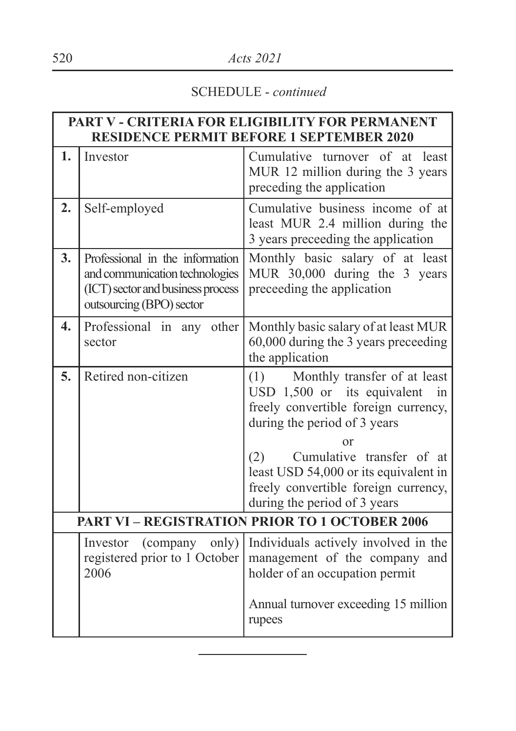#### SCHEDULE - *continued*

|    | PART V - CRITERIA FOR ELIGIBILITY FOR PERMANENT<br><b>RESIDENCE PERMIT BEFORE 1 SEPTEMBER 2020</b>                                 |                                                                                                                                                                                                                                                                                                             |  |  |  |
|----|------------------------------------------------------------------------------------------------------------------------------------|-------------------------------------------------------------------------------------------------------------------------------------------------------------------------------------------------------------------------------------------------------------------------------------------------------------|--|--|--|
| 1. | Investor                                                                                                                           | Cumulative turnover of at least<br>MUR 12 million during the 3 years<br>preceding the application                                                                                                                                                                                                           |  |  |  |
| 2. | Self-employed                                                                                                                      | Cumulative business income of at<br>least MUR 2.4 million during the<br>3 years preceeding the application                                                                                                                                                                                                  |  |  |  |
| 3. | Professional in the information<br>and communication technologies<br>(ICT) sector and business process<br>outsourcing (BPO) sector | Monthly basic salary of at least<br>MUR 30,000 during the 3 years<br>preceeding the application                                                                                                                                                                                                             |  |  |  |
| 4. | Professional in any other<br>sector                                                                                                | Monthly basic salary of at least MUR<br>60,000 during the 3 years preceeding<br>the application                                                                                                                                                                                                             |  |  |  |
| 5. | Retired non-citizen                                                                                                                | Monthly transfer of at least<br>(1)<br>USD 1,500 or its equivalent<br>in<br>freely convertible foreign currency,<br>during the period of 3 years<br>or<br>Cumulative transfer of at<br>(2)<br>least USD 54,000 or its equivalent in<br>freely convertible foreign currency,<br>during the period of 3 years |  |  |  |
|    |                                                                                                                                    | <b>PART VI - REGISTRATION PRIOR TO 1 OCTOBER 2006</b>                                                                                                                                                                                                                                                       |  |  |  |
|    | (company only)<br>Investor<br>registered prior to 1 October<br>2006                                                                | Individuals actively involved in the<br>management of the company and<br>holder of an occupation permit<br>Annual turnover exceeding 15 million<br>rupees                                                                                                                                                   |  |  |  |
|    |                                                                                                                                    |                                                                                                                                                                                                                                                                                                             |  |  |  |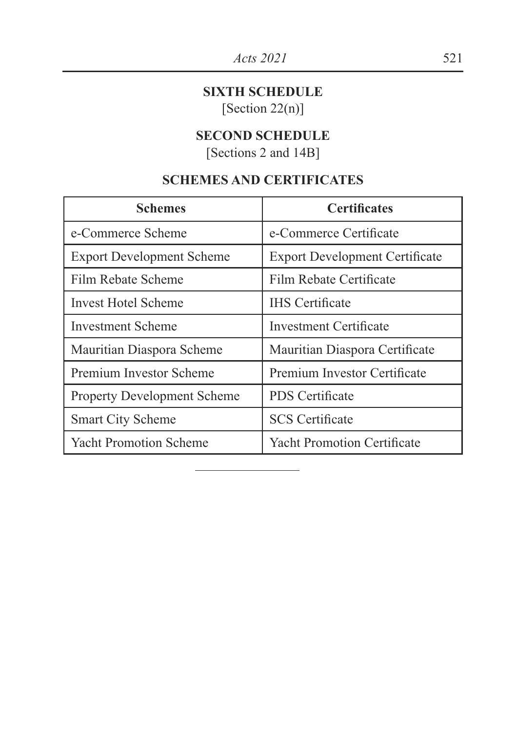#### **SIXTH SCHEDULE**

[Section 22(n)]

#### **SECOND SCHEDULE**

[Sections 2 and 14B]

#### **SCHEMES AND CERTIFICATES**

| <b>Schemes</b>                     | <b>Certificates</b>                   |
|------------------------------------|---------------------------------------|
| e-Commerce Scheme                  | e-Commerce Certificate                |
| <b>Export Development Scheme</b>   | <b>Export Development Certificate</b> |
| Film Rebate Scheme                 | Film Rebate Certificate               |
| Invest Hotel Scheme                | <b>IHS</b> Certificate                |
| Investment Scheme                  | <b>Investment Certificate</b>         |
| Mauritian Diaspora Scheme          | Mauritian Diaspora Certificate        |
| Premium Investor Scheme            | Premium Investor Certificate          |
| <b>Property Development Scheme</b> | <b>PDS</b> Certificate                |
| <b>Smart City Scheme</b>           | <b>SCS</b> Certificate                |
| <b>Yacht Promotion Scheme</b>      | <b>Yacht Promotion Certificate</b>    |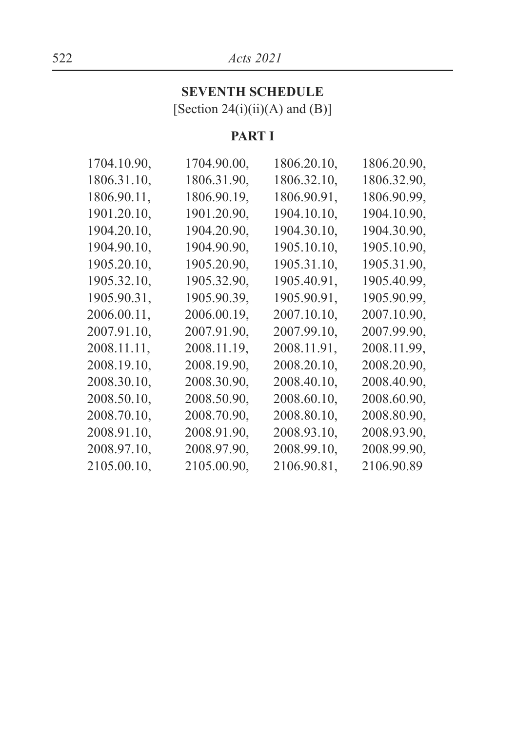#### 522 *Acts 2021*

#### **SEVENTH SCHEDULE** [Section  $24(i)(ii)(A)$  and  $(B)$ ]

#### **PART I**

| 1704.10.90, | 1704.90.00, | 1806.20.10, | 1806.20.90. |
|-------------|-------------|-------------|-------------|
| 1806.31.10. | 1806.31.90. | 1806.32.10, | 1806.32.90. |
| 1806.90.11, | 1806.90.19, | 1806.90.91. | 1806.90.99. |
| 1901.20.10, | 1901.20.90, | 1904.10.10. | 1904.10.90. |
| 1904.20.10. | 1904.20.90. | 1904.30.10. | 1904.30.90, |
| 1904.90.10. | 1904.90.90, | 1905.10.10. | 1905.10.90. |
| 1905.20.10. | 1905.20.90, | 1905.31.10. | 1905.31.90. |
| 1905.32.10, | 1905.32.90, | 1905.40.91, | 1905.40.99, |
| 1905.90.31, | 1905.90.39. | 1905.90.91, | 1905.90.99. |
| 2006.00.11. | 2006.00.19. | 2007.10.10, | 2007.10.90. |
| 2007.91.10. | 2007.91.90. | 2007.99.10. | 2007.99.90. |
| 2008.11.11, | 2008.11.19, | 2008.11.91, | 2008.11.99, |
| 2008.19.10. | 2008.19.90. | 2008.20.10. | 2008.20.90. |
| 2008.30.10, | 2008.30.90, | 2008.40.10. | 2008.40.90, |
| 2008.50.10, | 2008.50.90, | 2008.60.10. | 2008.60.90. |
| 2008.70.10, | 2008.70.90, | 2008.80.10, | 2008.80.90, |
| 2008.91.10, | 2008.91.90, | 2008.93.10. | 2008.93.90. |
| 2008.97.10, | 2008.97.90, | 2008.99.10, | 2008.99.90. |
| 2105.00.10, | 2105.00.90, | 2106.90.81, | 2106.90.89  |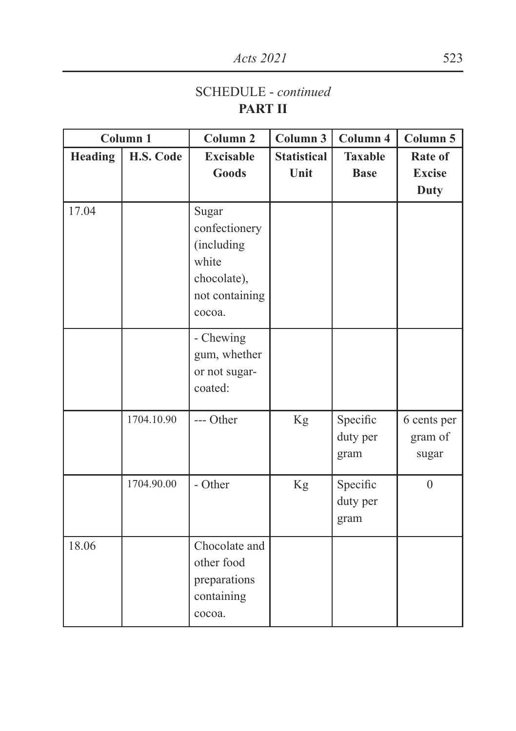#### SCHEDULE - *continued* **PART II**

|                | Column 1   | Column <sub>2</sub>                                                                      | Column 3           | Column 4                     | Column 5                        |
|----------------|------------|------------------------------------------------------------------------------------------|--------------------|------------------------------|---------------------------------|
| <b>Heading</b> | H.S. Code  | <b>Excisable</b>                                                                         | <b>Statistical</b> | <b>Taxable</b>               | Rate of                         |
|                |            | Goods                                                                                    | Unit               | <b>Base</b>                  | <b>Excise</b><br>Duty           |
| 17.04          |            | Sugar<br>confectionery<br>(including<br>white<br>chocolate),<br>not containing<br>cocoa. |                    |                              |                                 |
|                |            | - Chewing<br>gum, whether<br>or not sugar-<br>coated:                                    |                    |                              |                                 |
|                | 1704.10.90 | --- Other                                                                                | Kg                 | Specific<br>duty per<br>gram | 6 cents per<br>gram of<br>sugar |
|                | 1704.90.00 | - Other                                                                                  | Kg                 | Specific<br>duty per<br>gram | $\theta$                        |
| 18.06          |            | Chocolate and<br>other food<br>preparations<br>containing<br>cocoa.                      |                    |                              |                                 |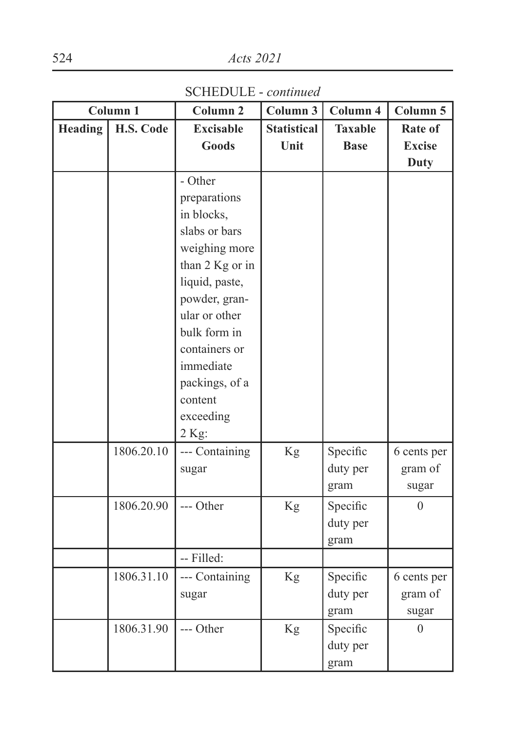SCHEDULE - *continued*

|                | Column 1   | Column <sub>2</sub> | Column 3           | Column 4       | Column 5         |
|----------------|------------|---------------------|--------------------|----------------|------------------|
| <b>Heading</b> | H.S. Code  | <b>Excisable</b>    | <b>Statistical</b> | <b>Taxable</b> | Rate of          |
|                |            | <b>Goods</b>        | Unit               | <b>Base</b>    | <b>Excise</b>    |
|                |            |                     |                    |                | <b>Duty</b>      |
|                |            | - Other             |                    |                |                  |
|                |            | preparations        |                    |                |                  |
|                |            | in blocks,          |                    |                |                  |
|                |            | slabs or bars       |                    |                |                  |
|                |            | weighing more       |                    |                |                  |
|                |            | than 2 Kg or in     |                    |                |                  |
|                |            | liquid, paste,      |                    |                |                  |
|                |            | powder, gran-       |                    |                |                  |
|                |            | ular or other       |                    |                |                  |
|                |            | bulk form in        |                    |                |                  |
|                |            | containers or       |                    |                |                  |
|                |            | immediate           |                    |                |                  |
|                |            | packings, of a      |                    |                |                  |
|                |            | content             |                    |                |                  |
|                |            | exceeding           |                    |                |                  |
|                |            | 2 Kg:               |                    |                |                  |
|                | 1806.20.10 | --- Containing      | Kg                 | Specific       | 6 cents per      |
|                |            | sugar               |                    | duty per       | gram of          |
|                |            |                     |                    | gram           | sugar            |
|                | 1806.20.90 | --- Other           | Kg                 | Specific       | $\boldsymbol{0}$ |
|                |            |                     |                    | duty per       |                  |
|                |            |                     |                    | gram           |                  |
|                |            | -- Filled:          |                    |                |                  |
|                | 1806.31.10 | --- Containing      | Kg                 | Specific       | 6 cents per      |
|                |            | sugar               |                    | duty per       | gram of          |
|                |            |                     |                    | gram           | sugar            |
|                | 1806.31.90 | --- Other           | Kg                 | Specific       | $\theta$         |
|                |            |                     |                    | duty per       |                  |
|                |            |                     |                    | gram           |                  |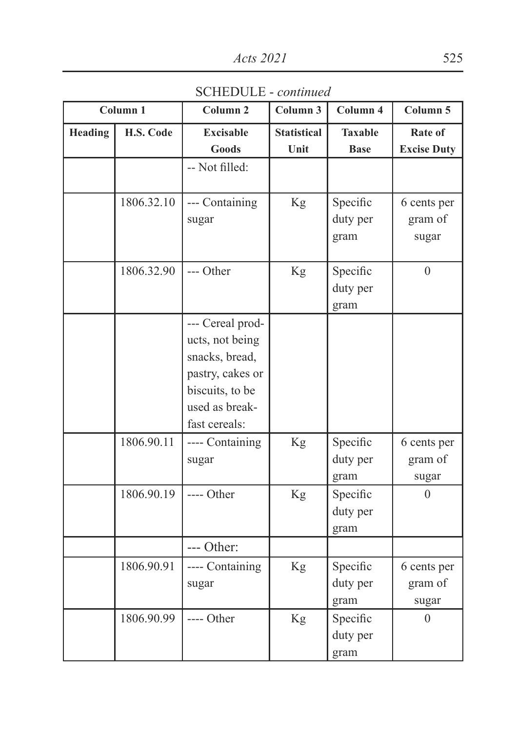SCHEDULE - *continued*

|         | Column 1   | Column <sub>2</sub>                                                                                                             | Column 3           | Column 4                     | Column 5                        |
|---------|------------|---------------------------------------------------------------------------------------------------------------------------------|--------------------|------------------------------|---------------------------------|
| Heading | H.S. Code  | <b>Excisable</b>                                                                                                                | <b>Statistical</b> | <b>Taxable</b>               | Rate of                         |
|         |            | <b>Goods</b>                                                                                                                    | Unit               | <b>Base</b>                  | <b>Excise Duty</b>              |
|         |            | -- Not filled:                                                                                                                  |                    |                              |                                 |
|         | 1806.32.10 | --- Containing<br>sugar                                                                                                         | Kg                 | Specific<br>duty per<br>gram | 6 cents per<br>gram of<br>sugar |
|         | 1806.32.90 | --- Other                                                                                                                       | Kg                 | Specific<br>duty per<br>gram | $\theta$                        |
|         |            | --- Cereal prod-<br>ucts, not being<br>snacks, bread,<br>pastry, cakes or<br>biscuits, to be<br>used as break-<br>fast cereals: |                    |                              |                                 |
|         | 1806.90.11 | ---- Containing<br>sugar                                                                                                        | Kg                 | Specific<br>duty per<br>gram | 6 cents per<br>gram of<br>sugar |
|         | 1806.90.19 | ---- Other                                                                                                                      | Kg                 | Specific<br>duty per<br>gram | $\theta$                        |
|         |            | --- Other:                                                                                                                      |                    |                              |                                 |
|         | 1806.90.91 | ---- Containing<br>sugar                                                                                                        | Kg                 | Specific<br>duty per<br>gram | 6 cents per<br>gram of<br>sugar |
|         | 1806.90.99 | ---- Other                                                                                                                      | Kg                 | Specific<br>duty per<br>gram | $\boldsymbol{0}$                |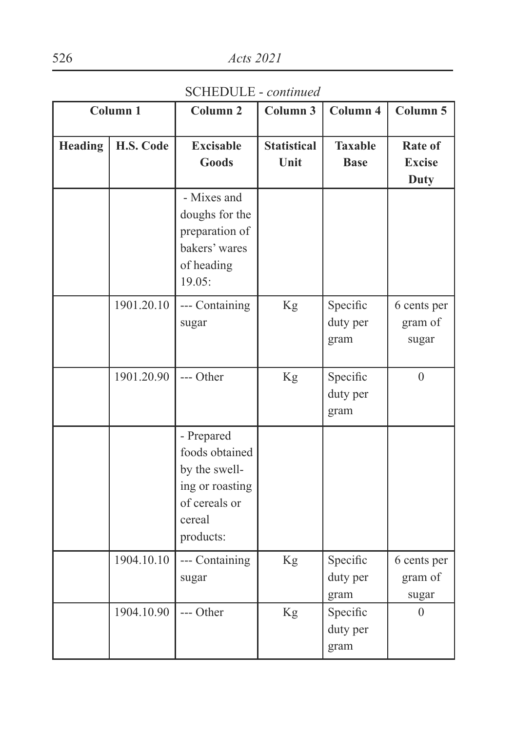SCHEDULE - *continued*

|         | Column <sub>1</sub> | Column <sub>2</sub>                                                                                      | Column 3                   | Column 4                      | Column 5                                |
|---------|---------------------|----------------------------------------------------------------------------------------------------------|----------------------------|-------------------------------|-----------------------------------------|
| Heading | H.S. Code           | <b>Excisable</b><br><b>Goods</b>                                                                         | <b>Statistical</b><br>Unit | <b>Taxable</b><br><b>Base</b> | Rate of<br><b>Excise</b><br><b>Duty</b> |
|         |                     | - Mixes and<br>doughs for the<br>preparation of<br>bakers' wares<br>of heading<br>19.05:                 |                            |                               |                                         |
|         | 1901.20.10          | --- Containing<br>sugar                                                                                  | Kg                         | Specific<br>duty per<br>gram  | 6 cents per<br>gram of<br>sugar         |
|         | 1901.20.90          | --- Other                                                                                                | Kg                         | Specific<br>duty per<br>gram  | $\overline{0}$                          |
|         |                     | - Prepared<br>foods obtained<br>by the swell-<br>ing or roasting<br>of cereals or<br>cereal<br>products: |                            |                               |                                         |
|         | 1904.10.10          | --- Containing<br>sugar                                                                                  | Kg                         | Specific<br>duty per<br>gram  | 6 cents per<br>gram of<br>sugar         |
|         | 1904.10.90          | --- Other                                                                                                | Kg                         | Specific<br>duty per<br>gram  | $\boldsymbol{0}$                        |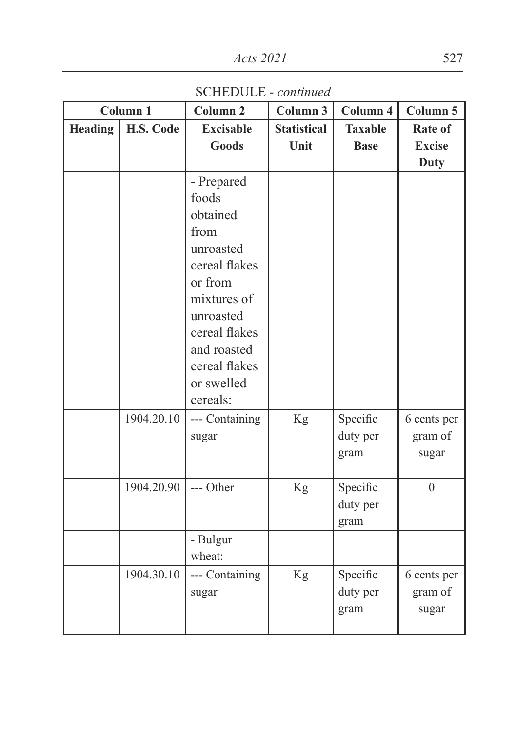SCHEDULE - *continued*

|                | Column <sub>1</sub> | Column <sub>2</sub>    | Column 3           | Column 4       | Column 5       |
|----------------|---------------------|------------------------|--------------------|----------------|----------------|
| <b>Heading</b> | H.S. Code           | <b>Excisable</b>       | <b>Statistical</b> | <b>Taxable</b> | Rate of        |
|                |                     | <b>Goods</b>           | Unit               | <b>Base</b>    | <b>Excise</b>  |
|                |                     |                        |                    |                | <b>Duty</b>    |
|                |                     | - Prepared             |                    |                |                |
|                |                     | foods                  |                    |                |                |
|                |                     | obtained               |                    |                |                |
|                |                     | from                   |                    |                |                |
|                |                     | unroasted              |                    |                |                |
|                |                     | cereal flakes          |                    |                |                |
|                |                     | or from                |                    |                |                |
|                |                     | mixtures of            |                    |                |                |
|                |                     | unroasted              |                    |                |                |
|                |                     | cereal flakes          |                    |                |                |
|                |                     | and roasted            |                    |                |                |
|                |                     | cereal flakes          |                    |                |                |
|                |                     | or swelled<br>cereals: |                    |                |                |
|                |                     |                        |                    |                |                |
|                | 1904.20.10          | --- Containing         | Kg                 | Specific       | 6 cents per    |
|                |                     | sugar                  |                    | duty per       | gram of        |
|                |                     |                        |                    | gram           | sugar          |
|                | 1904.20.90          | --- Other              | Kg                 | Specific       | $\overline{0}$ |
|                |                     |                        |                    | duty per       |                |
|                |                     |                        |                    | gram           |                |
|                |                     | - Bulgur               |                    |                |                |
|                |                     | wheat:                 |                    |                |                |
|                | 1904.30.10          | --- Containing         | Kg                 | Specific       | 6 cents per    |
|                |                     | sugar                  |                    | duty per       | gram of        |
|                |                     |                        |                    | gram           | sugar          |
|                |                     |                        |                    |                |                |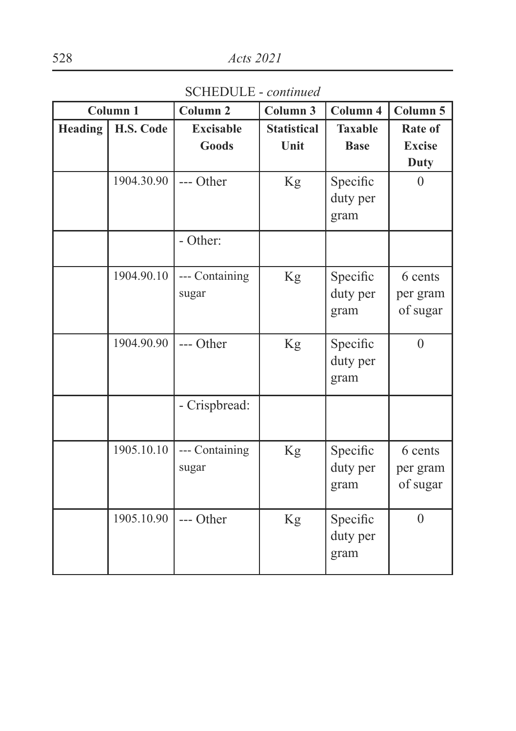SCHEDULE - *continued*

|                | Column 1   | Column <sub>2</sub>       | Column 3                   | Column 4                      | Column 5                                |
|----------------|------------|---------------------------|----------------------------|-------------------------------|-----------------------------------------|
| <b>Heading</b> | H.S. Code  | <b>Excisable</b><br>Goods | <b>Statistical</b><br>Unit | <b>Taxable</b><br><b>Base</b> | Rate of<br><b>Excise</b><br><b>Duty</b> |
|                | 1904.30.90 | --- Other                 | Kg                         | Specific<br>duty per<br>gram  | $\overline{0}$                          |
|                |            | - Other:                  |                            |                               |                                         |
|                | 1904.90.10 | --- Containing<br>sugar   | Kg                         | Specific<br>duty per<br>gram  | 6 cents<br>per gram<br>of sugar         |
|                | 1904.90.90 | --- Other                 | Kg                         | Specific<br>duty per<br>gram  | $\overline{0}$                          |
|                |            | - Crispbread:             |                            |                               |                                         |
|                | 1905.10.10 | --- Containing<br>sugar   | Kg                         | Specific<br>duty per<br>gram  | 6 cents<br>per gram<br>of sugar         |
|                | 1905.10.90 | --- Other                 | Kg                         | Specific<br>duty per<br>gram  | $\theta$                                |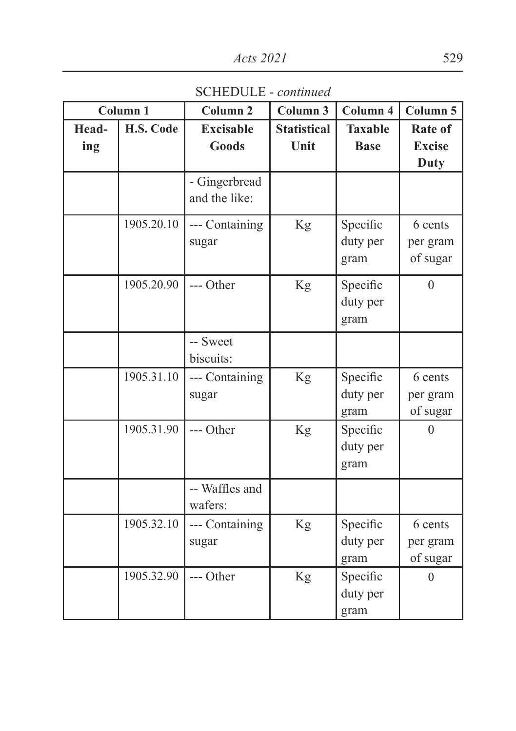SCHEDULE - *continued*

|              | Column <sub>1</sub> | Column <sub>2</sub>              | Column 3                   | Column 4                      | Column 5                         |
|--------------|---------------------|----------------------------------|----------------------------|-------------------------------|----------------------------------|
| Head-<br>ing | H.S. Code           | <b>Excisable</b><br><b>Goods</b> | <b>Statistical</b><br>Unit | <b>Taxable</b><br><b>Base</b> | Rate of<br><b>Excise</b><br>Duty |
|              |                     | - Gingerbread<br>and the like:   |                            |                               |                                  |
|              | 1905.20.10          | --- Containing<br>sugar          | Kg                         | Specific<br>duty per<br>gram  | 6 cents<br>per gram<br>of sugar  |
|              | 1905.20.90          | --- Other                        | Kg                         | Specific<br>duty per<br>gram  | $\overline{0}$                   |
|              |                     | -- Sweet<br>biscuits:            |                            |                               |                                  |
|              | 1905.31.10          | --- Containing<br>sugar          | Kg                         | Specific<br>duty per<br>gram  | 6 cents<br>per gram<br>of sugar  |
|              | 1905.31.90          | --- Other                        | Kg                         | Specific<br>duty per<br>gram  | $\overline{0}$                   |
|              |                     | -- Waffles and<br>wafers:        |                            |                               |                                  |
|              | 1905.32.10          | --- Containing<br>sugar          | Kg                         | Specific<br>duty per<br>gram  | 6 cents<br>per gram<br>of sugar  |
|              | 1905.32.90          | --- Other                        | Kg                         | Specific<br>duty per<br>gram  | $\mathbf{0}$                     |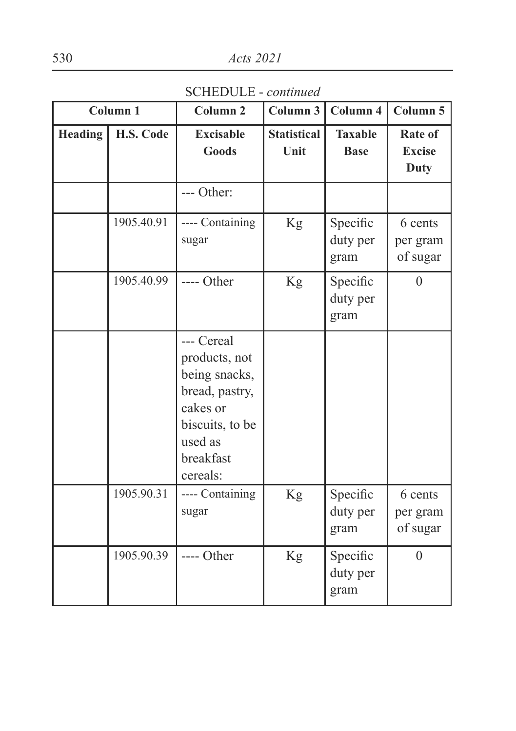SCHEDULE - *continued*

|         | Column <sub>1</sub> | Column <sub>2</sub>                                                                                                               | Column 3                   | Column 4                      | Column 5                         |
|---------|---------------------|-----------------------------------------------------------------------------------------------------------------------------------|----------------------------|-------------------------------|----------------------------------|
| Heading | H.S. Code           | <b>Excisable</b><br>Goods                                                                                                         | <b>Statistical</b><br>Unit | <b>Taxable</b><br><b>Base</b> | Rate of<br><b>Excise</b><br>Duty |
|         |                     | --- Other:                                                                                                                        |                            |                               |                                  |
|         | 1905.40.91          | ---- Containing<br>sugar                                                                                                          | Kg                         | Specific<br>duty per<br>gram  | 6 cents<br>per gram<br>of sugar  |
|         | 1905.40.99          | ---- Other                                                                                                                        | Kg                         | Specific<br>duty per<br>gram  | $\theta$                         |
|         |                     | --- Cereal<br>products, not<br>being snacks,<br>bread, pastry,<br>cakes or<br>biscuits, to be<br>used as<br>breakfast<br>cereals: |                            |                               |                                  |
|         | 1905.90.31          | ---- Containing<br>sugar                                                                                                          | $\rm Kg$                   | Specific<br>duty per<br>gram  | 6 cents<br>per gram<br>of sugar  |
|         | 1905.90.39          | ---- Other                                                                                                                        | Kg                         | Specific<br>duty per<br>gram  | $\boldsymbol{0}$                 |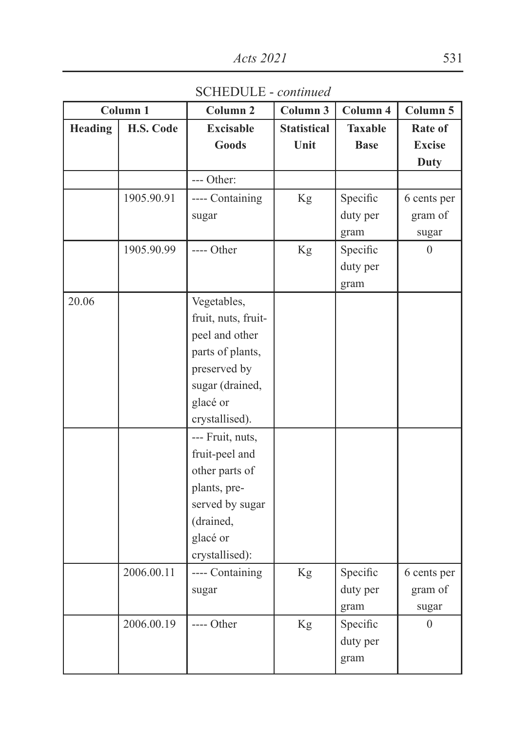SCHEDULE - *continued*

|                | Column 1   | Column <sub>2</sub> | Column 3           | Column 4       | Column 5         |
|----------------|------------|---------------------|--------------------|----------------|------------------|
| <b>Heading</b> | H.S. Code  | <b>Excisable</b>    | <b>Statistical</b> | <b>Taxable</b> | Rate of          |
|                |            | Goods               | Unit               | <b>Base</b>    | <b>Excise</b>    |
|                |            |                     |                    |                | <b>Duty</b>      |
|                |            | --- Other:          |                    |                |                  |
|                | 1905.90.91 | ---- Containing     | Kg                 | Specific       | 6 cents per      |
|                |            | sugar               |                    | duty per       | gram of          |
|                |            |                     |                    | gram           | sugar            |
|                | 1905.90.99 | ---- Other          | Kg                 | Specific       | $\overline{0}$   |
|                |            |                     |                    | duty per       |                  |
|                |            |                     |                    | gram           |                  |
| 20.06          |            | Vegetables,         |                    |                |                  |
|                |            | fruit, nuts, fruit- |                    |                |                  |
|                |            | peel and other      |                    |                |                  |
|                |            | parts of plants,    |                    |                |                  |
|                |            | preserved by        |                    |                |                  |
|                |            | sugar (drained,     |                    |                |                  |
|                |            | glacé or            |                    |                |                  |
|                |            | crystallised).      |                    |                |                  |
|                |            | --- Fruit, nuts,    |                    |                |                  |
|                |            | fruit-peel and      |                    |                |                  |
|                |            | other parts of      |                    |                |                  |
|                |            | plants, pre-        |                    |                |                  |
|                |            | served by sugar     |                    |                |                  |
|                |            | (drained,           |                    |                |                  |
|                |            | glacé or            |                    |                |                  |
|                |            | crystallised):      |                    |                |                  |
|                | 2006.00.11 | ---- Containing     | Kg                 | Specific       | 6 cents per      |
|                |            | sugar               |                    | duty per       | gram of          |
|                |            |                     |                    | gram           | sugar            |
|                | 2006.00.19 | ---- Other          | Kg                 | Specific       | $\boldsymbol{0}$ |
|                |            |                     |                    | duty per       |                  |
|                |            |                     |                    | gram           |                  |
|                |            |                     |                    |                |                  |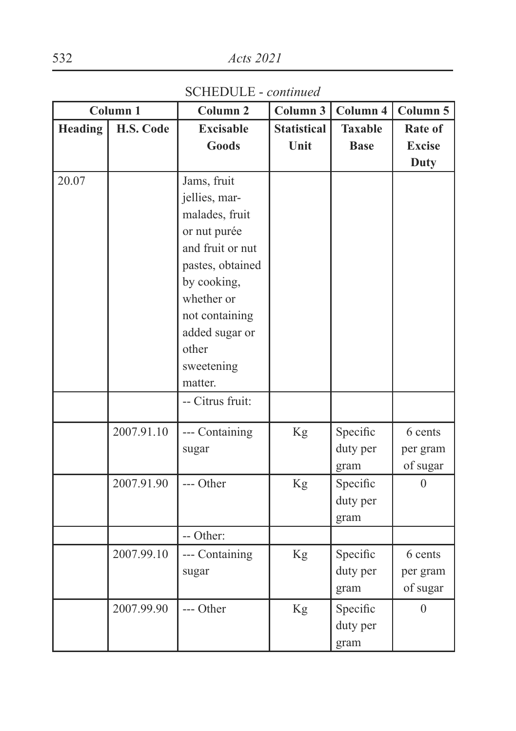SCHEDULE - *continued*

|                | Column 1   | Column <sub>2</sub> | Column 3           | Column 4       | Column 5      |
|----------------|------------|---------------------|--------------------|----------------|---------------|
| <b>Heading</b> | H.S. Code  | <b>Excisable</b>    | <b>Statistical</b> | <b>Taxable</b> | Rate of       |
|                |            | <b>Goods</b>        | Unit               | <b>Base</b>    | <b>Excise</b> |
|                |            |                     |                    |                | <b>Duty</b>   |
| 20.07          |            | Jams, fruit         |                    |                |               |
|                |            | jellies, mar-       |                    |                |               |
|                |            | malades, fruit      |                    |                |               |
|                |            | or nut purée        |                    |                |               |
|                |            | and fruit or nut    |                    |                |               |
|                |            | pastes, obtained    |                    |                |               |
|                |            | by cooking,         |                    |                |               |
|                |            | whether or          |                    |                |               |
|                |            | not containing      |                    |                |               |
|                |            | added sugar or      |                    |                |               |
|                |            | other               |                    |                |               |
|                |            | sweetening          |                    |                |               |
|                |            | matter.             |                    |                |               |
|                |            | -- Citrus fruit:    |                    |                |               |
|                | 2007.91.10 | --- Containing      | Kg                 | Specific       | 6 cents       |
|                |            | sugar               |                    | duty per       | per gram      |
|                |            |                     |                    | gram           | of sugar      |
|                | 2007.91.90 | --- Other           | <b>Kg</b>          | Specific       | $\theta$      |
|                |            |                     |                    | duty per       |               |
|                |            |                     |                    | gram           |               |
|                |            | -- Other:           |                    |                |               |
|                | 2007.99.10 | --- Containing      | Kg                 | Specific       | 6 cents       |
|                |            | sugar               |                    | duty per       | per gram      |
|                |            |                     |                    | gram           | of sugar      |
|                | 2007.99.90 | --- Other           | Kg                 | Specific       | $\theta$      |
|                |            |                     |                    | duty per       |               |
|                |            |                     |                    | gram           |               |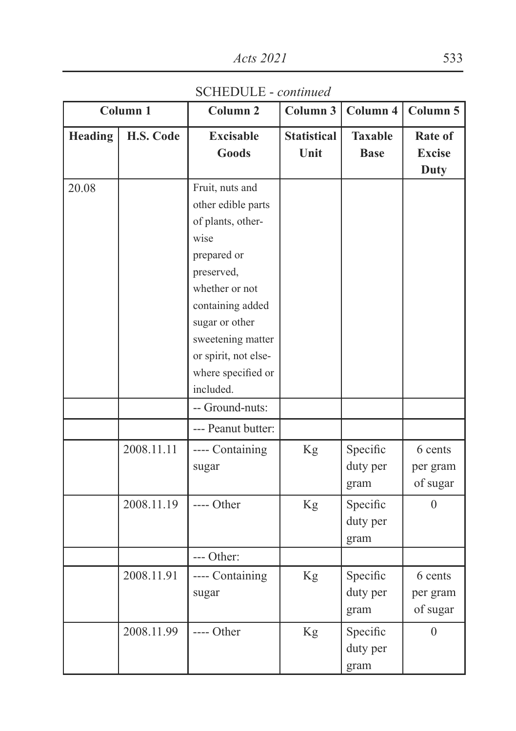SCHEDULE - *continued*

|         | Column 1   | Column <sub>2</sub>                                                                                                                                                                                                                     | Column 3                   | Column 4                      | Column 5                                |
|---------|------------|-----------------------------------------------------------------------------------------------------------------------------------------------------------------------------------------------------------------------------------------|----------------------------|-------------------------------|-----------------------------------------|
| Heading | H.S. Code  | <b>Excisable</b><br><b>Goods</b>                                                                                                                                                                                                        | <b>Statistical</b><br>Unit | <b>Taxable</b><br><b>Base</b> | Rate of<br><b>Excise</b><br><b>Duty</b> |
| 20.08   |            | Fruit, nuts and<br>other edible parts<br>of plants, other-<br>wise<br>prepared or<br>preserved,<br>whether or not<br>containing added<br>sugar or other<br>sweetening matter<br>or spirit, not else-<br>where specified or<br>included. |                            |                               |                                         |
|         |            | -- Ground-nuts:                                                                                                                                                                                                                         |                            |                               |                                         |
|         |            | --- Peanut butter:                                                                                                                                                                                                                      |                            |                               |                                         |
|         | 2008.11.11 | ---- Containing<br>sugar                                                                                                                                                                                                                | Kg                         | Specific<br>duty per<br>gram  | 6 cents<br>per gram<br>of sugar         |
|         | 2008.11.19 | ---- Other                                                                                                                                                                                                                              | Kg                         | Specific<br>duty per<br>gram  | $\overline{0}$                          |
|         |            | --- Other:                                                                                                                                                                                                                              |                            |                               |                                         |
|         | 2008.11.91 | ---- Containing<br>sugar                                                                                                                                                                                                                | Kg                         | Specific<br>duty per<br>gram  | 6 cents<br>per gram<br>of sugar         |
|         | 2008.11.99 | ---- Other                                                                                                                                                                                                                              | Kg                         | Specific<br>duty per<br>gram  | $\overline{0}$                          |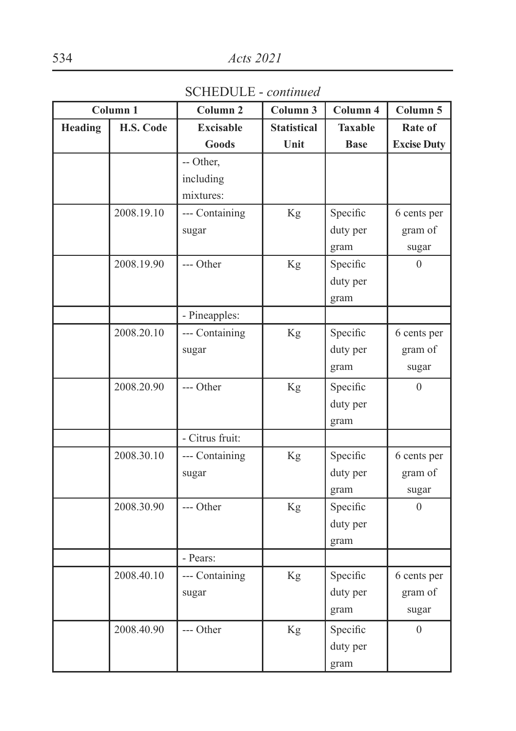SCHEDULE - *continued*

|         | Column <sub>1</sub> | Column <sub>2</sub> | Column 3           | Column 4       | Column 5           |
|---------|---------------------|---------------------|--------------------|----------------|--------------------|
| Heading | H.S. Code           | <b>Excisable</b>    | <b>Statistical</b> | <b>Taxable</b> | Rate of            |
|         |                     | Goods               | Unit               | <b>Base</b>    | <b>Excise Duty</b> |
|         |                     | -- Other,           |                    |                |                    |
|         |                     | including           |                    |                |                    |
|         |                     | mixtures:           |                    |                |                    |
|         | 2008.19.10          | --- Containing      | Kg                 | Specific       | 6 cents per        |
|         |                     | sugar               |                    | duty per       | gram of            |
|         |                     |                     |                    | gram           | sugar              |
|         | 2008.19.90          | --- Other           | Kg                 | Specific       | $\overline{0}$     |
|         |                     |                     |                    | duty per       |                    |
|         |                     |                     |                    | gram           |                    |
|         |                     | - Pineapples:       |                    |                |                    |
|         | 2008.20.10          | --- Containing      | Kg                 | Specific       | 6 cents per        |
|         |                     | sugar               |                    | duty per       | gram of            |
|         |                     |                     |                    | gram           | sugar              |
|         | 2008.20.90          | --- Other           | Kg                 | Specific       | $\overline{0}$     |
|         |                     |                     |                    | duty per       |                    |
|         |                     |                     |                    | gram           |                    |
|         |                     | - Citrus fruit:     |                    |                |                    |
|         | 2008.30.10          | --- Containing      | Kg                 | Specific       | 6 cents per        |
|         |                     | sugar               |                    | duty per       | gram of            |
|         |                     |                     |                    | gram           | sugar              |
|         | 2008.30.90          | --- Other           | Kg                 | Specific       | $\theta$           |
|         |                     |                     |                    | duty per       |                    |
|         |                     |                     |                    | gram           |                    |
|         |                     | - Pears:            |                    |                |                    |
|         | 2008.40.10          | --- Containing      | Kg                 | Specific       | 6 cents per        |
|         |                     | sugar               |                    | duty per       | gram of            |
|         |                     |                     |                    | gram           | sugar              |
|         | 2008.40.90          | --- Other           | Kg                 | Specific       | $\overline{0}$     |
|         |                     |                     |                    | duty per       |                    |
|         |                     |                     |                    | gram           |                    |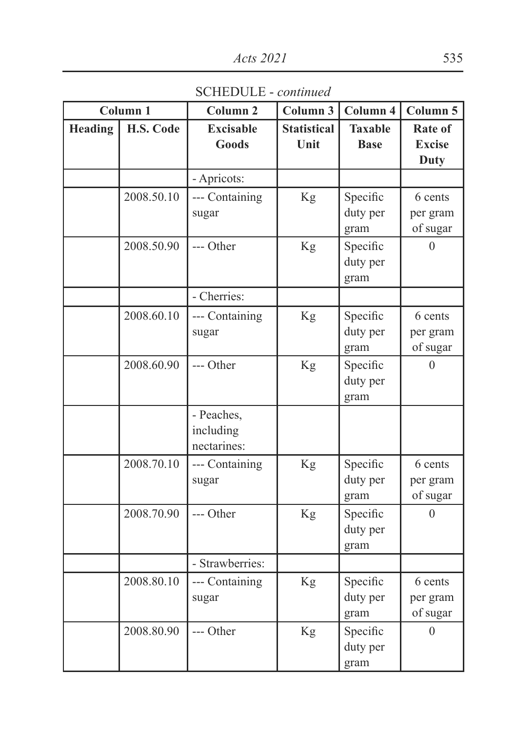SCHEDULE - *continued*

|                | Column 1   | Column <sub>2</sub>                    | Column 3                   | Column 4                      | Column 5                                |
|----------------|------------|----------------------------------------|----------------------------|-------------------------------|-----------------------------------------|
| <b>Heading</b> | H.S. Code  | <b>Excisable</b><br><b>Goods</b>       | <b>Statistical</b><br>Unit | <b>Taxable</b><br><b>Base</b> | Rate of<br><b>Excise</b><br><b>Duty</b> |
|                |            | - Apricots:                            |                            |                               |                                         |
|                | 2008.50.10 | --- Containing<br>sugar                | Kg                         | Specific<br>duty per<br>gram  | 6 cents<br>per gram<br>of sugar         |
|                | 2008.50.90 | --- Other                              | Kg                         | Specific<br>duty per<br>gram  | $\Omega$                                |
|                |            | - Cherries:                            |                            |                               |                                         |
|                | 2008.60.10 | --- Containing<br>sugar                | Kg                         | Specific<br>duty per<br>gram  | 6 cents<br>per gram<br>of sugar         |
|                | 2008.60.90 | --- Other                              | Kg                         | Specific<br>duty per<br>gram  | $\theta$                                |
|                |            | - Peaches,<br>including<br>nectarines: |                            |                               |                                         |
|                | 2008.70.10 | --- Containing<br>sugar                | Kg                         | Specific<br>duty per<br>gram  | 6 cents<br>per gram<br>of sugar         |
|                | 2008.70.90 | --- Other                              | Kg                         | Specific<br>duty per<br>gram  | $\Omega$                                |
|                |            | - Strawberries:                        |                            |                               |                                         |
|                | 2008.80.10 | --- Containing<br>sugar                | Kg                         | Specific<br>duty per<br>gram  | 6 cents<br>per gram<br>of sugar         |
|                | 2008.80.90 | --- Other                              | Kg                         | Specific<br>duty per<br>gram  | $\Omega$                                |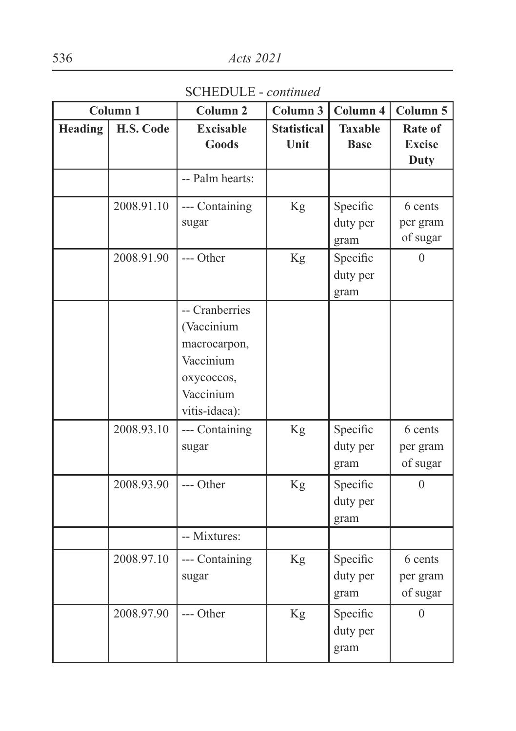SCHEDULE - *continued*

|                | Column 1   | Column <sub>2</sub>                                                                                   | Column $3$                 | Column $4$                    | Column 5                         |
|----------------|------------|-------------------------------------------------------------------------------------------------------|----------------------------|-------------------------------|----------------------------------|
| <b>Heading</b> | H.S. Code  | <b>Excisable</b><br>Goods                                                                             | <b>Statistical</b><br>Unit | <b>Taxable</b><br><b>Base</b> | Rate of<br><b>Excise</b><br>Duty |
|                |            | -- Palm hearts:                                                                                       |                            |                               |                                  |
|                | 2008.91.10 | --- Containing<br>sugar                                                                               | Kg                         | Specific<br>duty per<br>gram  | 6 cents<br>per gram<br>of sugar  |
|                | 2008.91.90 | --- Other                                                                                             | Kg                         | Specific<br>duty per<br>gram  | 0                                |
|                |            | -- Cranberries<br>(Vaccinium<br>macrocarpon,<br>Vaccinium<br>охусоссоs,<br>Vaccinium<br>vitis-idaea): |                            |                               |                                  |
|                | 2008.93.10 | --- Containing<br>sugar                                                                               | Kg                         | Specific<br>duty per<br>gram  | 6 cents<br>per gram<br>of sugar  |
|                | 2008.93.90 | --- Other                                                                                             | Kg                         | Specific<br>duty per<br>gram  | 0                                |
|                |            | -- Mixtures:                                                                                          |                            |                               |                                  |
|                | 2008.97.10 | --- Containing<br>sugar                                                                               | Kg                         | Specific<br>duty per<br>gram  | 6 cents<br>per gram<br>of sugar  |
|                | 2008.97.90 | --- Other                                                                                             | Kg                         | Specific<br>duty per<br>gram  | $\theta$                         |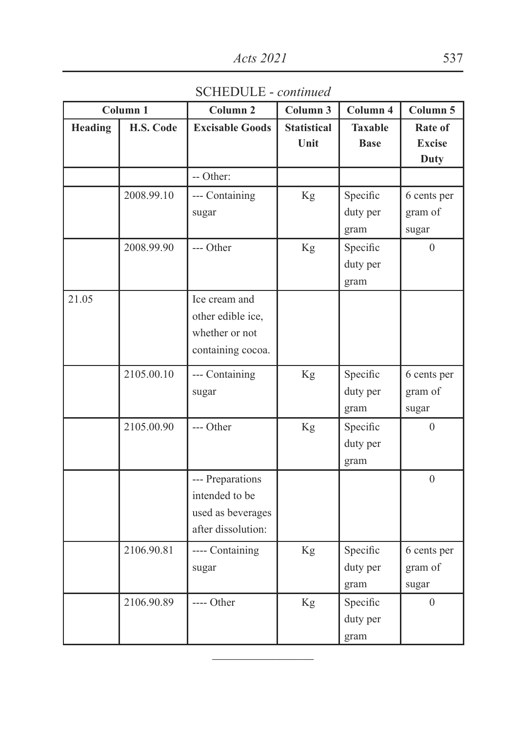SCHEDULE - *continued*

|                | Column 1   | Column <sub>2</sub>    | Column 3           | Column 4       | Column 5         |
|----------------|------------|------------------------|--------------------|----------------|------------------|
| <b>Heading</b> | H.S. Code  | <b>Excisable Goods</b> | <b>Statistical</b> | <b>Taxable</b> | Rate of          |
|                |            |                        | Unit               | <b>Base</b>    | <b>Excise</b>    |
|                |            |                        |                    |                | <b>Duty</b>      |
|                |            | -- Other:              |                    |                |                  |
|                | 2008.99.10 | --- Containing         | Kg                 | Specific       | 6 cents per      |
|                |            | sugar                  |                    | duty per       | gram of          |
|                |            |                        |                    | gram           | sugar            |
|                | 2008.99.90 | --- Other              | Kg                 | Specific       | $\theta$         |
|                |            |                        |                    | duty per       |                  |
|                |            |                        |                    | gram           |                  |
| 21.05          |            | Ice cream and          |                    |                |                  |
|                |            | other edible ice,      |                    |                |                  |
|                |            | whether or not         |                    |                |                  |
|                |            | containing cocoa.      |                    |                |                  |
|                | 2105.00.10 | --- Containing         | Kg                 | Specific       | 6 cents per      |
|                |            | sugar                  |                    | duty per       | gram of          |
|                |            |                        |                    | gram           | sugar            |
|                | 2105.00.90 | --- Other              | Kg                 | Specific       | $\theta$         |
|                |            |                        |                    | duty per       |                  |
|                |            |                        |                    | gram           |                  |
|                |            | --- Preparations       |                    |                | $\theta$         |
|                |            | intended to be         |                    |                |                  |
|                |            | used as beverages      |                    |                |                  |
|                |            | after dissolution:     |                    |                |                  |
|                | 2106.90.81 | ---- Containing        | Kg                 | Specific       | 6 cents per      |
|                |            | sugar                  |                    | duty per       | gram of          |
|                |            |                        |                    | gram           | sugar            |
|                | 2106.90.89 | ---- Other             | Kg                 | Specific       | $\boldsymbol{0}$ |
|                |            |                        |                    | duty per       |                  |
|                |            |                        |                    | gram           |                  |

 $\frac{1}{2}$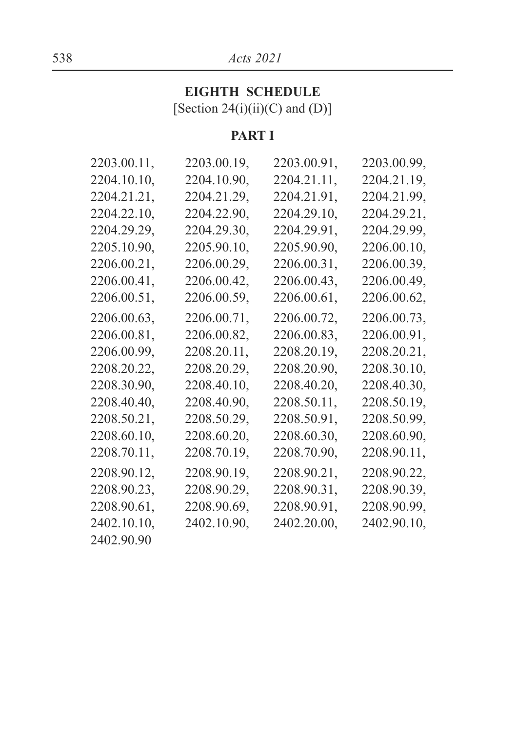## 538 *Acts 2021*

## **EIGHTH SCHEDULE**

[Section  $24(i)(ii)(C)$  and  $(D)]$ 

## **PART I**

| 2203.00.11, | 2203.00.19, | 2203.00.91, | 2203.00.99. |
|-------------|-------------|-------------|-------------|
| 2204.10.10, | 2204.10.90, | 2204.21.11, | 2204.21.19, |
| 2204.21.21, | 2204.21.29. | 2204.21.91, | 2204.21.99, |
| 2204.22.10. | 2204.22.90. | 2204.29.10, | 2204.29.21, |
| 2204.29.29. | 2204.29.30, | 2204.29.91, | 2204.29.99. |
| 2205.10.90. | 2205.90.10. | 2205.90.90, | 2206.00.10. |
| 2206.00.21, | 2206.00.29, | 2206.00.31, | 2206.00.39, |
| 2206.00.41, | 2206.00.42, | 2206.00.43. | 2206.00.49. |
| 2206.00.51, | 2206.00.59, | 2206.00.61, | 2206.00.62, |
| 2206.00.63. | 2206.00.71. | 2206.00.72. | 2206.00.73. |
| 2206.00.81, | 2206.00.82, | 2206.00.83, | 2206.00.91, |
| 2206.00.99, | 2208.20.11, | 2208.20.19, | 2208.20.21, |
| 2208.20.22, | 2208.20.29, | 2208.20.90, | 2208.30.10, |
| 2208.30.90. | 2208.40.10. | 2208.40.20, | 2208.40.30, |
| 2208.40.40. | 2208.40.90. | 2208.50.11, | 2208.50.19. |
| 2208.50.21, | 2208.50.29  | 2208.50.91, | 2208.50.99. |
| 2208.60.10. | 2208.60.20  | 2208.60.30, | 2208.60.90. |
| 2208.70.11, | 2208.70.19, | 2208.70.90, | 2208.90.11, |
| 2208.90.12. | 2208.90.19. | 2208.90.21, | 2208.90.22. |
| 2208.90.23, | 2208.90.29. | 2208.90.31, | 2208.90.39. |
| 2208.90.61, | 2208.90.69. | 2208.90.91, | 2208.90.99. |
| 2402.10.10, | 2402.10.90, | 2402.20.00, | 2402.90.10, |
| 2402.90.90  |             |             |             |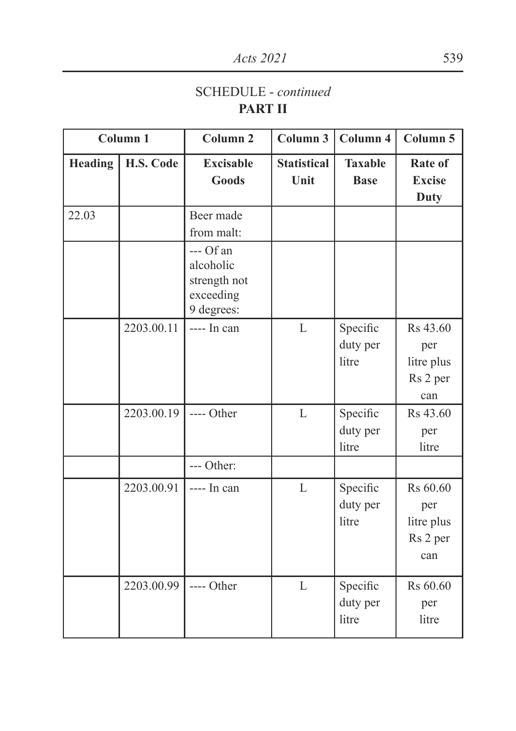## SCHEDULE - *continued* **PART II**

|         | Column 1   | Column <sub>2</sub>                                               | Column 3                   | Column 4                      | Column 5                                         |
|---------|------------|-------------------------------------------------------------------|----------------------------|-------------------------------|--------------------------------------------------|
| Heading | H.S. Code  | <b>Excisable</b><br><b>Goods</b>                                  | <b>Statistical</b><br>Unit | <b>Taxable</b><br><b>Base</b> | <b>Rate of</b><br><b>Excise</b><br>Duty          |
| 22.03   |            | Beer made<br>from malt:                                           |                            |                               |                                                  |
|         |            | $-$ Of an<br>alcoholic<br>strength not<br>exceeding<br>9 degrees: |                            |                               |                                                  |
|         | 2203.00.11 | ---- In can                                                       | L                          | Specific<br>duty per<br>litre | Rs 43.60<br>per<br>litre plus<br>Rs 2 per<br>can |
|         | 2203.00.19 | ---- Other                                                        | L                          | Specific<br>duty per<br>litre | Rs 43.60<br>per<br>litre                         |
|         |            | --- Other:                                                        |                            |                               |                                                  |
|         | 2203.00.91 | ---- In can                                                       | L                          | Specific<br>duty per<br>litre | Rs 60.60<br>per<br>litre plus<br>Rs 2 per<br>can |
|         | 2203.00.99 | ---- Other                                                        | $\mathbf{L}$               | Specific<br>duty per<br>litre | Rs 60.60<br>per<br>litre                         |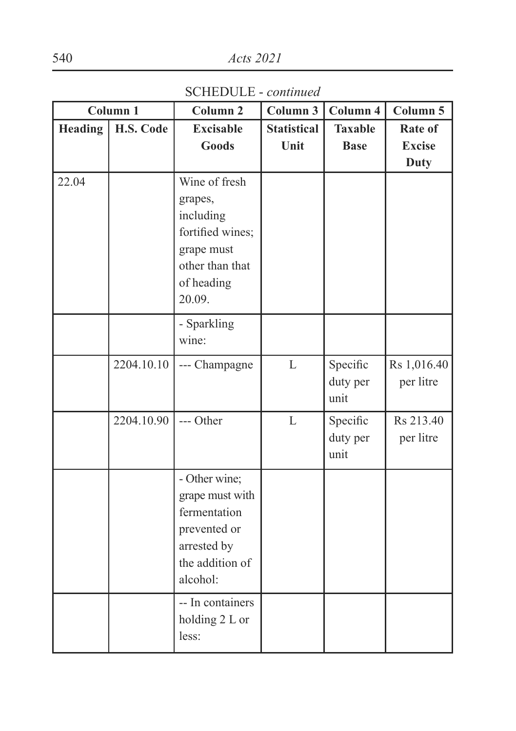SCHEDULE - *continued*

|                | Column 1   | Column <sub>2</sub>                                                                                                | Column $3$                 | Column 4                      | Column 5                                |
|----------------|------------|--------------------------------------------------------------------------------------------------------------------|----------------------------|-------------------------------|-----------------------------------------|
| <b>Heading</b> | H.S. Code  | <b>Excisable</b><br><b>Goods</b>                                                                                   | <b>Statistical</b><br>Unit | <b>Taxable</b><br><b>Base</b> | Rate of<br><b>Excise</b><br><b>Duty</b> |
| 22.04          |            | Wine of fresh<br>grapes,<br>including<br>fortified wines;<br>grape must<br>other than that<br>of heading<br>20.09. |                            |                               |                                         |
|                |            | - Sparkling<br>wine:                                                                                               |                            |                               |                                         |
|                | 2204.10.10 | --- Champagne                                                                                                      | L                          | Specific<br>duty per<br>unit  | Rs 1,016.40<br>per litre                |
|                | 2204.10.90 | --- Other                                                                                                          | L                          | Specific<br>duty per<br>unit  | Rs 213.40<br>per litre                  |
|                |            | - Other wine;<br>grape must with<br>fermentation<br>prevented or<br>arrested by<br>the addition of<br>alcohol:     |                            |                               |                                         |
|                |            | -- In containers<br>holding 2 L or<br>less:                                                                        |                            |                               |                                         |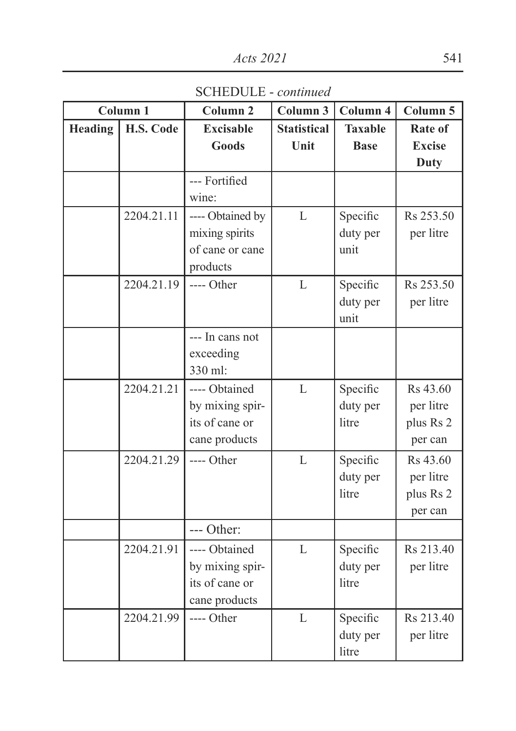SCHEDULE - *continued*

|         | Column <sub>1</sub> | Column <sub>2</sub> | Column 3           | Column 4       | Column 5      |
|---------|---------------------|---------------------|--------------------|----------------|---------------|
| Heading | H.S. Code           | <b>Excisable</b>    | <b>Statistical</b> | <b>Taxable</b> | Rate of       |
|         |                     | <b>Goods</b>        | Unit               | <b>Base</b>    | <b>Excise</b> |
|         |                     |                     |                    |                | <b>Duty</b>   |
|         |                     | --- Fortified       |                    |                |               |
|         |                     | wine:               |                    |                |               |
|         | 2204.21.11          | ---- Obtained by    | L                  | Specific       | Rs 253.50     |
|         |                     | mixing spirits      |                    | duty per       | per litre     |
|         |                     | of cane or cane     |                    | unit           |               |
|         |                     | products            |                    |                |               |
|         | 2204.21.19          | ---- Other          | $\mathbf{L}$       | Specific       | Rs 253.50     |
|         |                     |                     |                    | duty per       | per litre     |
|         |                     |                     |                    | unit           |               |
|         |                     | --- In cans not     |                    |                |               |
|         |                     | exceeding           |                    |                |               |
|         |                     | 330 ml:             |                    |                |               |
|         | 2204.21.21          | ---- Obtained       | L                  | Specific       | Rs 43.60      |
|         |                     | by mixing spir-     |                    | duty per       | per litre     |
|         |                     | its of cane or      |                    | litre          | plus Rs 2     |
|         |                     | cane products       |                    |                | per can       |
|         | 2204.21.29          | ---- Other          | L                  | Specific       | Rs 43.60      |
|         |                     |                     |                    | duty per       | per litre     |
|         |                     |                     |                    | litre          | plus Rs 2     |
|         |                     |                     |                    |                | per can       |
|         |                     | --- Other:          |                    |                |               |
|         | 2204.21.91          | ---- Obtained       | L                  | Specific       | Rs 213.40     |
|         |                     | by mixing spir-     |                    | duty per       | per litre     |
|         |                     | its of cane or      |                    | litre          |               |
|         |                     | cane products       |                    |                |               |
|         | 2204.21.99          | ---- Other          | L                  | Specific       | Rs 213.40     |
|         |                     |                     |                    | duty per       | per litre     |
|         |                     |                     |                    | litre          |               |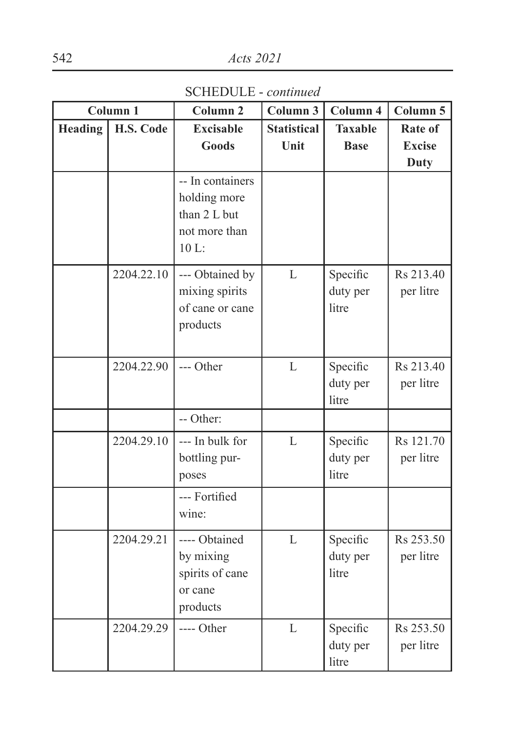SCHEDULE - *continued*

|         | Column <sub>1</sub> | Column <sub>2</sub>                                                       | Column 3                   | Column 4                      | Column 5                                |
|---------|---------------------|---------------------------------------------------------------------------|----------------------------|-------------------------------|-----------------------------------------|
| Heading | H.S. Code           | <b>Excisable</b><br><b>Goods</b>                                          | <b>Statistical</b><br>Unit | <b>Taxable</b><br><b>Base</b> | Rate of<br><b>Excise</b><br><b>Duty</b> |
|         |                     | -- In containers<br>holding more<br>than 2 L but<br>not more than<br>10 L |                            |                               |                                         |
|         | 2204.22.10          | --- Obtained by<br>mixing spirits<br>of cane or cane<br>products          | L                          | Specific<br>duty per<br>litre | Rs 213.40<br>per litre                  |
|         | 2204.22.90          | --- Other                                                                 | L                          | Specific<br>duty per<br>litre | Rs 213.40<br>per litre                  |
|         |                     | -- Other:                                                                 |                            |                               |                                         |
|         | 2204.29.10          | --- In bulk for<br>bottling pur-<br>poses                                 | L                          | Specific<br>duty per<br>litre | Rs 121.70<br>per litre                  |
|         |                     | --- Fortified<br>wine:                                                    |                            |                               |                                         |
|         | 2204.29.21          | ---- Obtained<br>by mixing<br>spirits of cane<br>or cane<br>products      | L                          | Specific<br>duty per<br>litre | Rs 253.50<br>per litre                  |
|         | 2204.29.29          | ---- Other                                                                | L                          | Specific<br>duty per<br>litre | Rs 253.50<br>per litre                  |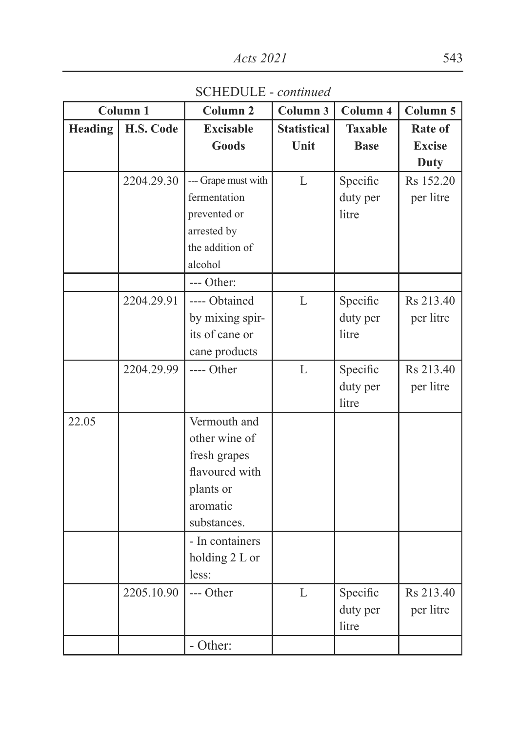SCHEDULE - *continued*

|         | Column <sub>1</sub> | Column <sub>2</sub> | Column 3           | Column 4       | Column 5      |
|---------|---------------------|---------------------|--------------------|----------------|---------------|
| Heading | H.S. Code           | <b>Excisable</b>    | <b>Statistical</b> | <b>Taxable</b> | Rate of       |
|         |                     | Goods               | Unit               | <b>Base</b>    | <b>Excise</b> |
|         |                     |                     |                    |                | <b>Duty</b>   |
|         | 2204.29.30          | --- Grape must with | L                  | Specific       | Rs 152.20     |
|         |                     | fermentation        |                    | duty per       | per litre     |
|         |                     | prevented or        |                    | litre          |               |
|         |                     | arrested by         |                    |                |               |
|         |                     | the addition of     |                    |                |               |
|         |                     | alcohol             |                    |                |               |
|         |                     | --- Other:          |                    |                |               |
|         | 2204.29.91          | ---- Obtained       | $\mathbf{L}$       | Specific       | Rs 213.40     |
|         |                     | by mixing spir-     |                    | duty per       | per litre     |
|         |                     | its of cane or      |                    | litre          |               |
|         |                     | cane products       |                    |                |               |
|         | 2204.29.99          | ---- Other          | L                  | Specific       | Rs 213.40     |
|         |                     |                     |                    | duty per       | per litre     |
|         |                     |                     |                    | litre          |               |
| 22.05   |                     | Vermouth and        |                    |                |               |
|         |                     | other wine of       |                    |                |               |
|         |                     | fresh grapes        |                    |                |               |
|         |                     | flavoured with      |                    |                |               |
|         |                     | plants or           |                    |                |               |
|         |                     | aromatic            |                    |                |               |
|         |                     | substances.         |                    |                |               |
|         |                     | - In containers     |                    |                |               |
|         |                     | holding 2 L or      |                    |                |               |
|         |                     | less:               |                    |                |               |
|         | 2205.10.90          | --- Other           | $\mathbf{L}$       | Specific       | Rs 213.40     |
|         |                     |                     |                    | duty per       | per litre     |
|         |                     |                     |                    | litre          |               |
|         |                     | - Other:            |                    |                |               |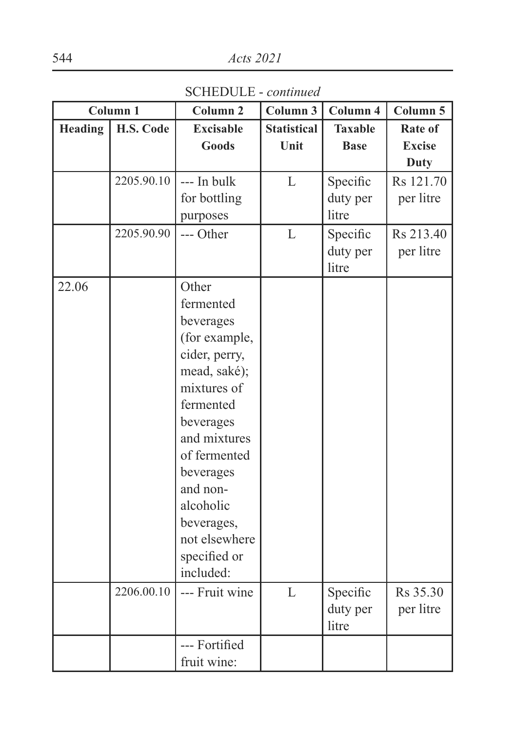SCHEDULE - *continued*

|                | Column 1   | Column <sub>2</sub> | Column 3           | Column 4          | Column 5      |
|----------------|------------|---------------------|--------------------|-------------------|---------------|
| <b>Heading</b> | H.S. Code  | <b>Excisable</b>    | <b>Statistical</b> | <b>Taxable</b>    | Rate of       |
|                |            | <b>Goods</b>        | Unit               | <b>Base</b>       | <b>Excise</b> |
|                |            |                     |                    |                   | <b>Duty</b>   |
|                | 2205.90.10 | --- In bulk         | L                  | Specific          | Rs 121.70     |
|                |            | for bottling        |                    | duty per          | per litre     |
|                |            | purposes            |                    | litre             |               |
|                | 2205.90.90 | --- Other           | L                  | Specific          | Rs 213.40     |
|                |            |                     |                    | duty per          | per litre     |
|                |            |                     |                    | litre             |               |
| 22.06          |            | Other               |                    |                   |               |
|                |            | fermented           |                    |                   |               |
|                |            | beverages           |                    |                   |               |
|                |            | (for example,       |                    |                   |               |
|                |            | cider, perry,       |                    |                   |               |
|                |            | mead, saké);        |                    |                   |               |
|                |            | mixtures of         |                    |                   |               |
|                |            | fermented           |                    |                   |               |
|                |            | beverages           |                    |                   |               |
|                |            | and mixtures        |                    |                   |               |
|                |            | of fermented        |                    |                   |               |
|                |            | beverages           |                    |                   |               |
|                |            | and non-            |                    |                   |               |
|                |            | alcoholic           |                    |                   |               |
|                |            | beverages,          |                    |                   |               |
|                |            | not elsewhere       |                    |                   |               |
|                |            | specified or        |                    |                   |               |
|                |            | included:           |                    |                   |               |
|                | 2206.00.10 | --- Fruit wine      | L                  | Specific          | Rs 35.30      |
|                |            |                     |                    | duty per<br>litre | per litre     |
|                |            | --- Fortified       |                    |                   |               |
|                |            | fruit wine:         |                    |                   |               |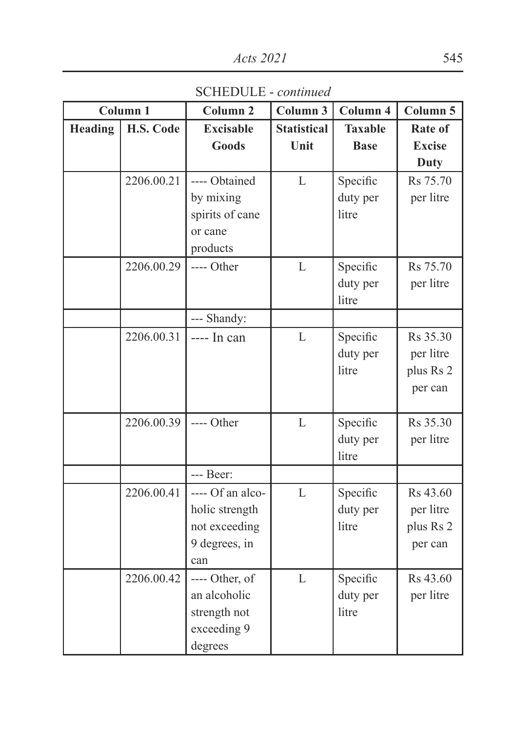SCHEDULE - *continued*

|                | Column <sub>1</sub> | Column <sub>2</sub> | Column 3           | Column 4       | Column 5      |
|----------------|---------------------|---------------------|--------------------|----------------|---------------|
| <b>Heading</b> | H.S. Code           | <b>Excisable</b>    | <b>Statistical</b> | <b>Taxable</b> | Rate of       |
|                |                     | <b>Goods</b>        | Unit               | <b>Base</b>    | <b>Excise</b> |
|                |                     |                     |                    |                | <b>Duty</b>   |
|                | 2206.00.21          | ---- Obtained       | L                  | Specific       | Rs 75.70      |
|                |                     | by mixing           |                    | duty per       | per litre     |
|                |                     | spirits of cane     |                    | litre          |               |
|                |                     | or cane             |                    |                |               |
|                |                     | products            |                    |                |               |
|                | 2206.00.29          | ---- Other          | L                  | Specific       | Rs 75.70      |
|                |                     |                     |                    | duty per       | per litre     |
|                |                     |                     |                    | litre          |               |
|                |                     | --- Shandy:         |                    |                |               |
|                | 2206.00.31          | ---- In can         | L                  | Specific       | Rs 35.30      |
|                |                     |                     |                    | duty per       | per litre     |
|                |                     |                     |                    | litre          | plus Rs 2     |
|                |                     |                     |                    |                | per can       |
|                |                     |                     |                    |                |               |
|                | 2206.00.39          | ---- Other          | L                  | Specific       | Rs 35.30      |
|                |                     |                     |                    | duty per       | per litre     |
|                |                     |                     |                    | litre          |               |
|                |                     | --- Beer:           |                    |                |               |
|                | 2206.00.41          | ---- Of an alco-    | L                  | Specific       | Rs 43.60      |
|                |                     | holic strength      |                    | duty per       | per litre     |
|                |                     | not exceeding       |                    | litre          | plus Rs 2     |
|                |                     | 9 degrees, in       |                    |                | per can       |
|                |                     | can                 |                    |                |               |
|                | 2206.00.42          | ---- Other, of      | L                  | Specific       | Rs 43.60      |
|                |                     | an alcoholic        |                    | duty per       | per litre     |
|                |                     | strength not        |                    | litre          |               |
|                |                     | exceeding 9         |                    |                |               |
|                |                     | degrees             |                    |                |               |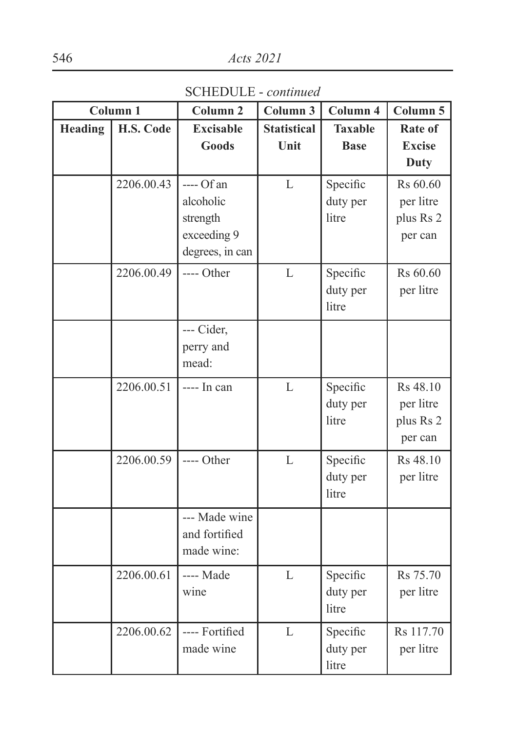SCHEDULE - *continued*

|         | Column <sub>1</sub> | Column <sub>2</sub> | Column 3           | Column 4       | Column 5      |
|---------|---------------------|---------------------|--------------------|----------------|---------------|
| Heading | H.S. Code           | <b>Excisable</b>    | <b>Statistical</b> | <b>Taxable</b> | Rate of       |
|         |                     | Goods               | Unit               | <b>Base</b>    | <b>Excise</b> |
|         |                     |                     |                    |                | <b>Duty</b>   |
|         | 2206.00.43          | $---$ Of an         | L                  | Specific       | Rs 60.60      |
|         |                     | alcoholic           |                    | duty per       | per litre     |
|         |                     | strength            |                    | litre          | plus Rs 2     |
|         |                     | exceeding 9         |                    |                | per can       |
|         |                     | degrees, in can     |                    |                |               |
|         | 2206.00.49          | ---- Other          | L                  | Specific       | Rs 60.60      |
|         |                     |                     |                    | duty per       | per litre     |
|         |                     |                     |                    | litre          |               |
|         |                     | --- Cider,          |                    |                |               |
|         |                     | perry and           |                    |                |               |
|         |                     | mead:               |                    |                |               |
|         | 2206.00.51          | $--- In can$        | $\mathbf{L}$       | Specific       | Rs 48.10      |
|         |                     |                     |                    | duty per       | per litre     |
|         |                     |                     |                    | litre          | plus Rs 2     |
|         |                     |                     |                    |                | per can       |
|         | 2206.00.59          | ---- Other          | L                  | Specific       | Rs 48.10      |
|         |                     |                     |                    | duty per       | per litre     |
|         |                     |                     |                    | litre          |               |
|         |                     | --- Made wine       |                    |                |               |
|         |                     | and fortified       |                    |                |               |
|         |                     | made wine:          |                    |                |               |
|         | 2206.00.61          | ---- Made           | L                  | Specific       | Rs 75.70      |
|         |                     | wine                |                    | duty per       | per litre     |
|         |                     |                     |                    | litre          |               |
|         | 2206.00.62          | ---- Fortified      | L                  | Specific       | Rs 117.70     |
|         |                     | made wine           |                    | duty per       | per litre     |
|         |                     |                     |                    | litre          |               |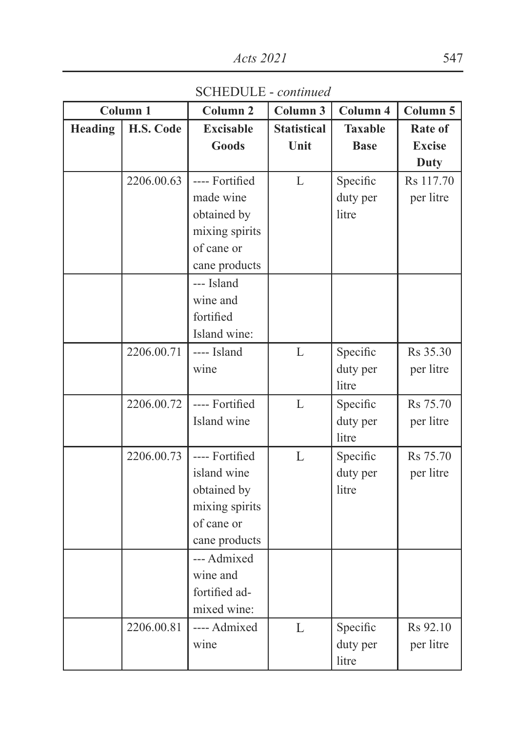SCHEDULE - *continued*

|                | Column <sub>1</sub> | Column <sub>2</sub> | Column 3           | Column 4       | Column 5      |
|----------------|---------------------|---------------------|--------------------|----------------|---------------|
| <b>Heading</b> | H.S. Code           | <b>Excisable</b>    | <b>Statistical</b> | <b>Taxable</b> | Rate of       |
|                |                     | <b>Goods</b>        | Unit               | <b>Base</b>    | <b>Excise</b> |
|                |                     |                     |                    |                | Duty          |
|                | 2206.00.63          | ---- Fortified      | $\mathbf{L}$       | Specific       | Rs 117.70     |
|                |                     | made wine           |                    | duty per       | per litre     |
|                |                     | obtained by         |                    | litre          |               |
|                |                     | mixing spirits      |                    |                |               |
|                |                     | of cane or          |                    |                |               |
|                |                     | cane products       |                    |                |               |
|                |                     | --- Island          |                    |                |               |
|                |                     | wine and            |                    |                |               |
|                |                     | fortified           |                    |                |               |
|                |                     | Island wine:        |                    |                |               |
|                | 2206.00.71          | ---- Island         | L                  | Specific       | Rs 35.30      |
|                |                     | wine                |                    | duty per       | per litre     |
|                |                     |                     |                    | litre          |               |
|                | 2206.00.72          | ---- Fortified      | L                  | Specific       | Rs 75.70      |
|                |                     | Island wine         |                    | duty per       | per litre     |
|                |                     |                     |                    | litre          |               |
|                | 2206.00.73          | ---- Fortified      | L                  | Specific       | Rs 75.70      |
|                |                     | island wine         |                    | duty per       | per litre     |
|                |                     | obtained by         |                    | litre          |               |
|                |                     | mixing spirits      |                    |                |               |
|                |                     | of cane or          |                    |                |               |
|                |                     | cane products       |                    |                |               |
|                |                     | --- Admixed         |                    |                |               |
|                |                     | wine and            |                    |                |               |
|                |                     | fortified ad-       |                    |                |               |
|                |                     | mixed wine:         |                    |                |               |
|                | 2206.00.81          | ---- Admixed        | L                  | Specific       | Rs 92.10      |
|                |                     | wine                |                    | duty per       | per litre     |
|                |                     |                     |                    | litre          |               |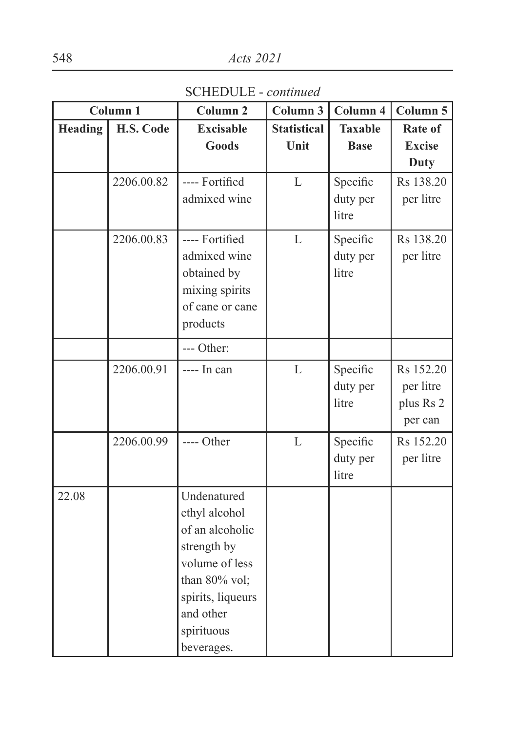SCHEDULE - *continued*

|                | Column 1   | Column <sub>2</sub> | Column 3           | Column 4       | Column 5      |
|----------------|------------|---------------------|--------------------|----------------|---------------|
| <b>Heading</b> | H.S. Code  | <b>Excisable</b>    | <b>Statistical</b> | <b>Taxable</b> | Rate of       |
|                |            | <b>Goods</b>        | Unit               | <b>Base</b>    | <b>Excise</b> |
|                |            |                     |                    |                | Duty          |
|                | 2206.00.82 | ---- Fortified      | L                  | Specific       | Rs 138.20     |
|                |            | admixed wine        |                    | duty per       | per litre     |
|                |            |                     |                    | litre          |               |
|                | 2206.00.83 | ---- Fortified      | $\mathbf{L}$       | Specific       | Rs 138.20     |
|                |            | admixed wine        |                    | duty per       | per litre     |
|                |            | obtained by         |                    | litre          |               |
|                |            | mixing spirits      |                    |                |               |
|                |            | of cane or cane     |                    |                |               |
|                |            | products            |                    |                |               |
|                |            | --- Other:          |                    |                |               |
|                | 2206.00.91 | ---- In can         | L                  | Specific       | Rs 152.20     |
|                |            |                     |                    | duty per       | per litre     |
|                |            |                     |                    | litre          | plus Rs 2     |
|                |            |                     |                    |                | per can       |
|                | 2206.00.99 | ---- Other          | L                  | Specific       | Rs 152.20     |
|                |            |                     |                    | duty per       | per litre     |
|                |            |                     |                    | litre          |               |
| 22.08          |            | Undenatured         |                    |                |               |
|                |            | ethyl alcohol       |                    |                |               |
|                |            | of an alcoholic     |                    |                |               |
|                |            | strength by         |                    |                |               |
|                |            | volume of less      |                    |                |               |
|                |            | than 80% vol;       |                    |                |               |
|                |            | spirits, liqueurs   |                    |                |               |
|                |            | and other           |                    |                |               |
|                |            | spirituous          |                    |                |               |
|                |            | beverages.          |                    |                |               |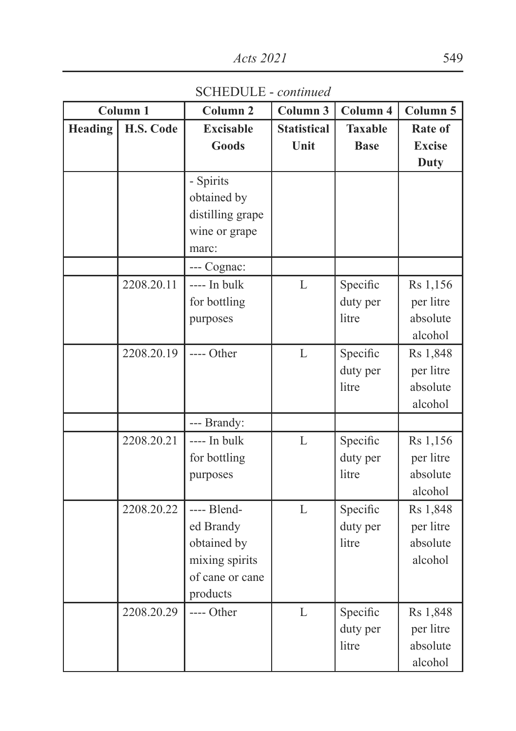SCHEDULE - *continued*

|         | Column <sub>1</sub> | Column <sub>2</sub> | Column 3           | Column 4       | Column 5      |
|---------|---------------------|---------------------|--------------------|----------------|---------------|
| Heading | H.S. Code           | <b>Excisable</b>    | <b>Statistical</b> | <b>Taxable</b> | Rate of       |
|         |                     | <b>Goods</b>        | Unit               | <b>Base</b>    | <b>Excise</b> |
|         |                     |                     |                    |                | <b>Duty</b>   |
|         |                     | - Spirits           |                    |                |               |
|         |                     | obtained by         |                    |                |               |
|         |                     | distilling grape    |                    |                |               |
|         |                     | wine or grape       |                    |                |               |
|         |                     | marc:               |                    |                |               |
|         |                     | --- Cognac:         |                    |                |               |
|         | 2208.20.11          | ---- In bulk        | L                  | Specific       | Rs 1,156      |
|         |                     | for bottling        |                    | duty per       | per litre     |
|         |                     | purposes            |                    | litre          | absolute      |
|         |                     |                     |                    |                | alcohol       |
|         | 2208.20.19          | ---- Other          | L                  | Specific       | Rs 1,848      |
|         |                     |                     |                    | duty per       | per litre     |
|         |                     |                     |                    | litre          | absolute      |
|         |                     |                     |                    |                | alcohol       |
|         |                     | --- Brandy:         |                    |                |               |
|         | 2208.20.21          | ---- In bulk        | L                  | Specific       | Rs 1,156      |
|         |                     | for bottling        |                    | duty per       | per litre     |
|         |                     | purposes            |                    | litre          | absolute      |
|         |                     |                     |                    |                | alcohol       |
|         | 2208.20.22          | ---- Blend-         | L                  | Specific       | Rs 1,848      |
|         |                     | ed Brandy           |                    | duty per       | per litre     |
|         |                     | obtained by         |                    | litre          | absolute      |
|         |                     | mixing spirits      |                    |                | alcohol       |
|         |                     | of cane or cane     |                    |                |               |
|         |                     | products            |                    |                |               |
|         | 2208.20.29          | ---- Other          | $\overline{L}$     | Specific       | Rs 1,848      |
|         |                     |                     |                    | duty per       | per litre     |
|         |                     |                     |                    | litre          | absolute      |
|         |                     |                     |                    |                | alcohol       |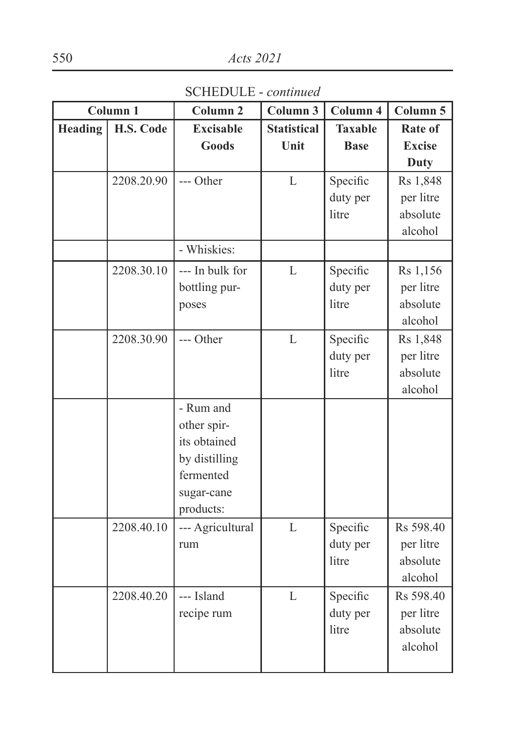SCHEDULE - *continued*

|         | Column 1   | Column <sub>2</sub> | Column 3           | Column 4       | Column 5      |
|---------|------------|---------------------|--------------------|----------------|---------------|
| Heading | H.S. Code  | <b>Excisable</b>    | <b>Statistical</b> | <b>Taxable</b> | Rate of       |
|         |            | <b>Goods</b>        | Unit               | <b>Base</b>    | <b>Excise</b> |
|         |            |                     |                    |                | <b>Duty</b>   |
|         | 2208.20.90 | --- Other           | L                  | Specific       | Rs 1,848      |
|         |            |                     |                    | duty per       | per litre     |
|         |            |                     |                    | litre          | absolute      |
|         |            |                     |                    |                | alcohol       |
|         |            | - Whiskies:         |                    |                |               |
|         | 2208.30.10 | --- In bulk for     | $\mathbf L$        | Specific       | Rs 1,156      |
|         |            | bottling pur-       |                    | duty per       | per litre     |
|         |            | poses               |                    | litre          | absolute      |
|         |            |                     |                    |                | alcohol       |
|         | 2208.30.90 | --- Other           | $\mathbf{L}$       | Specific       | Rs 1,848      |
|         |            |                     |                    | duty per       | per litre     |
|         |            |                     |                    | litre          | absolute      |
|         |            |                     |                    |                | alcohol       |
|         |            | - Rum and           |                    |                |               |
|         |            | other spir-         |                    |                |               |
|         |            | its obtained        |                    |                |               |
|         |            | by distilling       |                    |                |               |
|         |            | fermented           |                    |                |               |
|         |            | sugar-cane          |                    |                |               |
|         |            | products:           |                    |                |               |
|         | 2208.40.10 | --- Agricultural    | $\overline{L}$     | Specific       | Rs 598.40     |
|         |            | rum                 |                    | duty per       | per litre     |
|         |            |                     |                    | litre          | absolute      |
|         |            |                     |                    |                | alcohol       |
|         | 2208.40.20 | --- Island          | $\overline{L}$     | Specific       | Rs 598.40     |
|         |            | recipe rum          |                    | duty per       | per litre     |
|         |            |                     |                    | litre          | absolute      |
|         |            |                     |                    |                | alcohol       |
|         |            |                     |                    |                |               |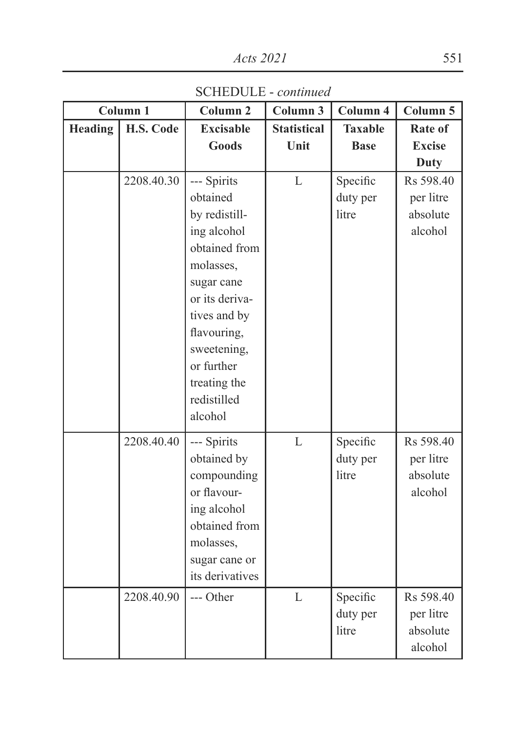SCHEDULE - *continued*

|         | Column 1   | Column <sub>2</sub>         | Column 3           | Column 4       | Column 5      |
|---------|------------|-----------------------------|--------------------|----------------|---------------|
| Heading | H.S. Code  | <b>Excisable</b>            | <b>Statistical</b> | <b>Taxable</b> | Rate of       |
|         |            | <b>Goods</b>                | Unit               | <b>Base</b>    | <b>Excise</b> |
|         |            |                             |                    |                | <b>Duty</b>   |
|         | 2208.40.30 | --- Spirits                 | $\Gamma$           | Specific       | Rs 598.40     |
|         |            | obtained                    |                    | duty per       | per litre     |
|         |            | by redistill-               |                    | litre          | absolute      |
|         |            | ing alcohol                 |                    |                | alcohol       |
|         |            | obtained from               |                    |                |               |
|         |            | molasses,                   |                    |                |               |
|         |            | sugar cane                  |                    |                |               |
|         |            | or its deriva-              |                    |                |               |
|         |            | tives and by                |                    |                |               |
|         |            | flavouring,                 |                    |                |               |
|         |            | sweetening,                 |                    |                |               |
|         |            | or further                  |                    |                |               |
|         |            | treating the<br>redistilled |                    |                |               |
|         |            | alcohol                     |                    |                |               |
|         |            |                             |                    |                |               |
|         | 2208.40.40 | --- Spirits                 | L                  | Specific       | Rs 598.40     |
|         |            | obtained by                 |                    | duty per       | per litre     |
|         |            | compounding                 |                    | litre          | absolute      |
|         |            | or flavour-                 |                    |                | alcohol       |
|         |            | ing alcohol                 |                    |                |               |
|         |            | obtained from               |                    |                |               |
|         |            | molasses,                   |                    |                |               |
|         |            | sugar cane or               |                    |                |               |
|         |            | its derivatives             |                    |                |               |
|         | 2208.40.90 | $---$ Other                 | L                  | Specific       | Rs 598.40     |
|         |            |                             |                    | duty per       | per litre     |
|         |            |                             |                    | litre          | absolute      |
|         |            |                             |                    |                | alcohol       |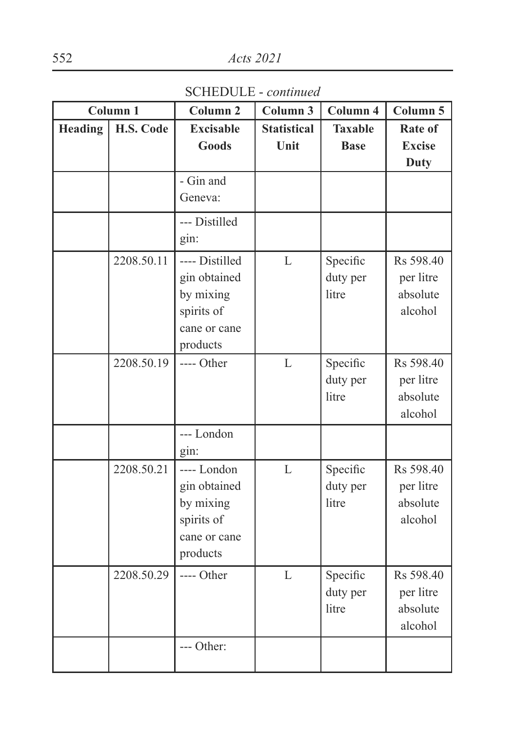SCHEDULE - *continued*

|                | Column <sub>1</sub> | Column <sub>2</sub>                                                                   | Column 3                   | Column 4                      | Column 5                                      |
|----------------|---------------------|---------------------------------------------------------------------------------------|----------------------------|-------------------------------|-----------------------------------------------|
| <b>Heading</b> | H.S. Code           | <b>Excisable</b><br>Goods                                                             | <b>Statistical</b><br>Unit | <b>Taxable</b><br><b>Base</b> | Rate of<br><b>Excise</b><br>Duty              |
|                |                     | - Gin and<br>Geneva:                                                                  |                            |                               |                                               |
|                |                     | --- Distilled<br>gin:                                                                 |                            |                               |                                               |
|                | 2208.50.11          | ---- Distilled<br>gin obtained<br>by mixing<br>spirits of<br>cane or cane<br>products | L                          | Specific<br>duty per<br>litre | Rs 598.40<br>per litre<br>absolute<br>alcohol |
|                | 2208.50.19          | ---- Other                                                                            | L                          | Specific<br>duty per<br>litre | Rs 598.40<br>per litre<br>absolute<br>alcohol |
|                |                     | --- London<br>gin:                                                                    |                            |                               |                                               |
|                | 2208.50.21          | ---- London<br>gin obtained<br>by mixing<br>spirits of<br>cane or cane<br>products    | $\mathbf{L}$               | Specific<br>duty per<br>litre | Rs 598.40<br>per litre<br>absolute<br>alcohol |
|                | 2208.50.29          | ---- Other                                                                            | L                          | Specific<br>duty per<br>litre | Rs 598.40<br>per litre<br>absolute<br>alcohol |
|                |                     | --- Other:                                                                            |                            |                               |                                               |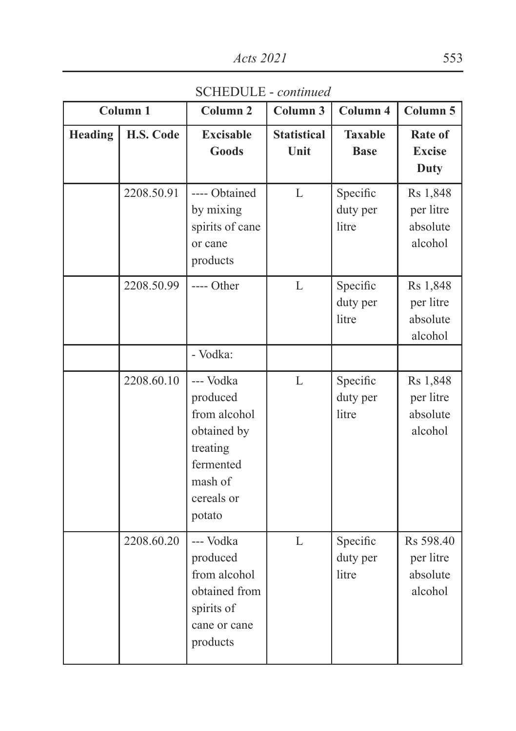SCHEDULE - *continued*

|         | Column <sub>1</sub> | Column <sub>2</sub>                                                                                              | Column 3                   | Column 4                      | Column 5                                      |
|---------|---------------------|------------------------------------------------------------------------------------------------------------------|----------------------------|-------------------------------|-----------------------------------------------|
| Heading | H.S. Code           | <b>Excisable</b><br>Goods                                                                                        | <b>Statistical</b><br>Unit | <b>Taxable</b><br><b>Base</b> | Rate of<br><b>Excise</b><br>Duty              |
|         | 2208.50.91          | ---- Obtained<br>by mixing<br>spirits of cane<br>or cane<br>products                                             | L                          | Specific<br>duty per<br>litre | Rs 1,848<br>per litre<br>absolute<br>alcohol  |
|         | 2208.50.99          | ---- Other<br>- Vodka:                                                                                           | L                          | Specific<br>duty per<br>litre | Rs 1,848<br>per litre<br>absolute<br>alcohol  |
|         | 2208.60.10          | --- Vodka<br>produced<br>from alcohol<br>obtained by<br>treating<br>fermented<br>mash of<br>cereals or<br>potato | $\mathbf{L}$               | Specific<br>duty per<br>litre | Rs 1,848<br>per litre<br>absolute<br>alcohol  |
|         | 2208.60.20          | --- Vodka<br>produced<br>from alcohol<br>obtained from<br>spirits of<br>cane or cane<br>products                 | L                          | Specific<br>duty per<br>litre | Rs 598.40<br>per litre<br>absolute<br>alcohol |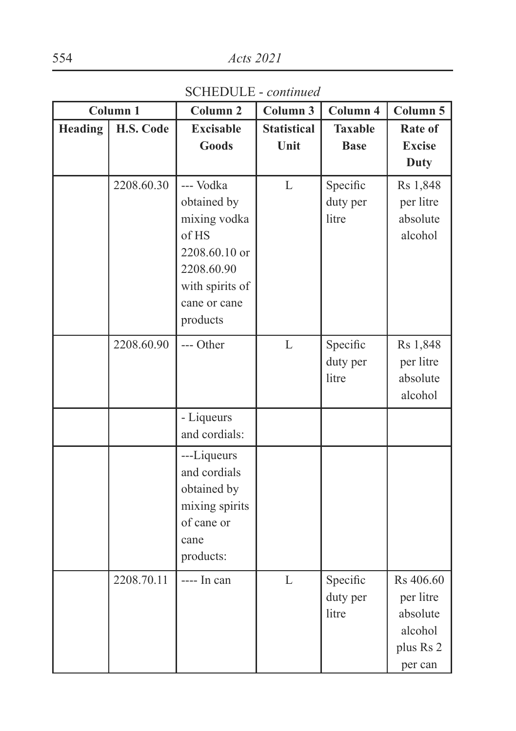SCHEDULE - *continued*

|         | Column 1   | Column <sub>2</sub> | Column 3           | Column 4       | Column 5      |
|---------|------------|---------------------|--------------------|----------------|---------------|
| Heading | H.S. Code  | <b>Excisable</b>    | <b>Statistical</b> | <b>Taxable</b> | Rate of       |
|         |            | <b>Goods</b>        | Unit               | <b>Base</b>    | <b>Excise</b> |
|         |            |                     |                    |                | <b>Duty</b>   |
|         | 2208.60.30 | --- Vodka           | $\mathbf{L}$       | Specific       | Rs 1,848      |
|         |            | obtained by         |                    | duty per       | per litre     |
|         |            | mixing vodka        |                    | litre          | absolute      |
|         |            | of HS               |                    |                | alcohol       |
|         |            | 2208.60.10 or       |                    |                |               |
|         |            | 2208.60.90          |                    |                |               |
|         |            | with spirits of     |                    |                |               |
|         |            | cane or cane        |                    |                |               |
|         |            | products            |                    |                |               |
|         | 2208.60.90 | --- Other           | $\mathbf{L}$       | Specific       | Rs 1,848      |
|         |            |                     |                    | duty per       | per litre     |
|         |            |                     |                    | litre          | absolute      |
|         |            |                     |                    |                | alcohol       |
|         |            | - Liqueurs          |                    |                |               |
|         |            | and cordials:       |                    |                |               |
|         |            | ---Liqueurs         |                    |                |               |
|         |            | and cordials        |                    |                |               |
|         |            | obtained by         |                    |                |               |
|         |            | mixing spirits      |                    |                |               |
|         |            | of cane or          |                    |                |               |
|         |            | cane                |                    |                |               |
|         |            | products:           |                    |                |               |
|         | 2208.70.11 | $--- In can$        | L                  | Specific       | Rs 406.60     |
|         |            |                     |                    | duty per       | per litre     |
|         |            |                     |                    | litre          | absolute      |
|         |            |                     |                    |                | alcohol       |
|         |            |                     |                    |                | plus Rs 2     |
|         |            |                     |                    |                | per can       |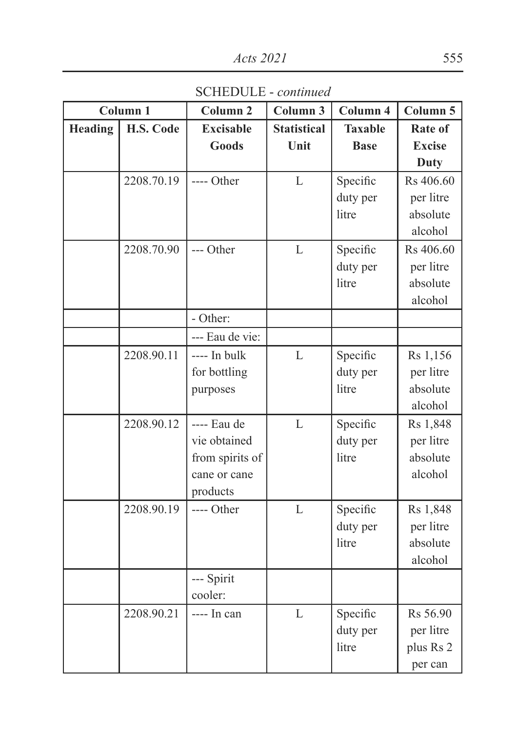SCHEDULE - *continued*

|         | Column <sub>1</sub> | Column <sub>2</sub> | Column 3           | Column 4       | Column 5      |
|---------|---------------------|---------------------|--------------------|----------------|---------------|
| Heading | H.S. Code           | <b>Excisable</b>    | <b>Statistical</b> | <b>Taxable</b> | Rate of       |
|         |                     | <b>Goods</b>        | Unit               | <b>Base</b>    | <b>Excise</b> |
|         |                     |                     |                    |                | Duty          |
|         | 2208.70.19          | ---- Other          | L                  | Specific       | Rs 406.60     |
|         |                     |                     |                    | duty per       | per litre     |
|         |                     |                     |                    | litre          | absolute      |
|         |                     |                     |                    |                | alcohol       |
|         | 2208.70.90          | --- Other           | L                  | Specific       | Rs 406.60     |
|         |                     |                     |                    | duty per       | per litre     |
|         |                     |                     |                    | litre          | absolute      |
|         |                     |                     |                    |                | alcohol       |
|         |                     | - Other:            |                    |                |               |
|         |                     | --- Eau de vie:     |                    |                |               |
|         | 2208.90.11          | ---- In bulk        | L                  | Specific       | Rs 1,156      |
|         |                     | for bottling        |                    | duty per       | per litre     |
|         |                     | purposes            |                    | litre          | absolute      |
|         |                     |                     |                    |                | alcohol       |
|         | 2208.90.12          | ---- Eau de         | L                  | Specific       | Rs 1,848      |
|         |                     | vie obtained        |                    | duty per       | per litre     |
|         |                     | from spirits of     |                    | litre          | absolute      |
|         |                     | cane or cane        |                    |                | alcohol       |
|         |                     | products            |                    |                |               |
|         | 2208.90.19          | ---- Other          | L                  | Specific       | Rs 1,848      |
|         |                     |                     |                    | duty per       | per litre     |
|         |                     |                     |                    | litre          | absolute      |
|         |                     |                     |                    |                | alcohol       |
|         |                     | --- Spirit          |                    |                |               |
|         |                     | cooler:             |                    |                |               |
|         | 2208.90.21          | ---- In can         | L                  | Specific       | Rs 56.90      |
|         |                     |                     |                    | duty per       | per litre     |
|         |                     |                     |                    | litre          | plus Rs 2     |
|         |                     |                     |                    |                | per can       |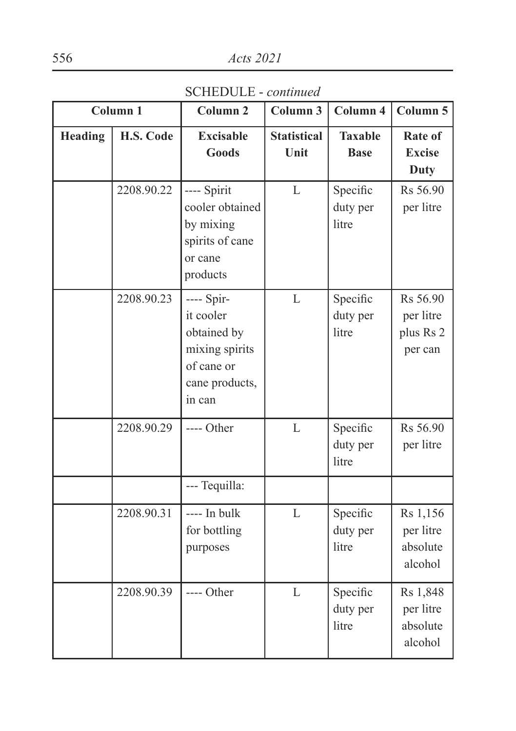SCHEDULE - *continued*

|                | Column <sub>1</sub> | Column <sub>2</sub>                                                                                | Column 3                   | Column 4                      | Column 5                                      |
|----------------|---------------------|----------------------------------------------------------------------------------------------------|----------------------------|-------------------------------|-----------------------------------------------|
| <b>Heading</b> | H.S. Code           | <b>Excisable</b><br><b>Goods</b>                                                                   | <b>Statistical</b><br>Unit | <b>Taxable</b><br><b>Base</b> | Rate of<br><b>Excise</b><br><b>Duty</b>       |
|                | 2208.90.22          | ---- Spirit<br>cooler obtained<br>by mixing<br>spirits of cane<br>or cane<br>products              | L                          | Specific<br>duty per<br>litre | Rs 56.90<br>per litre                         |
|                | 2208.90.23          | ---- Spir-<br>it cooler<br>obtained by<br>mixing spirits<br>of cane or<br>cane products,<br>in can | L                          | Specific<br>duty per<br>litre | Rs 56.90<br>per litre<br>plus Rs 2<br>per can |
|                | 2208.90.29          | ---- Other                                                                                         | L                          | Specific<br>duty per<br>litre | Rs 56.90<br>per litre                         |
|                |                     | --- Tequilla:                                                                                      |                            |                               |                                               |
|                | 2208.90.31          | ---- In bulk<br>for bottling<br>purposes                                                           | L                          | Specific<br>duty per<br>litre | Rs 1,156<br>per litre<br>absolute<br>alcohol  |
|                | 2208.90.39          | ---- Other                                                                                         | L                          | Specific<br>duty per<br>litre | Rs 1,848<br>per litre<br>absolute<br>alcohol  |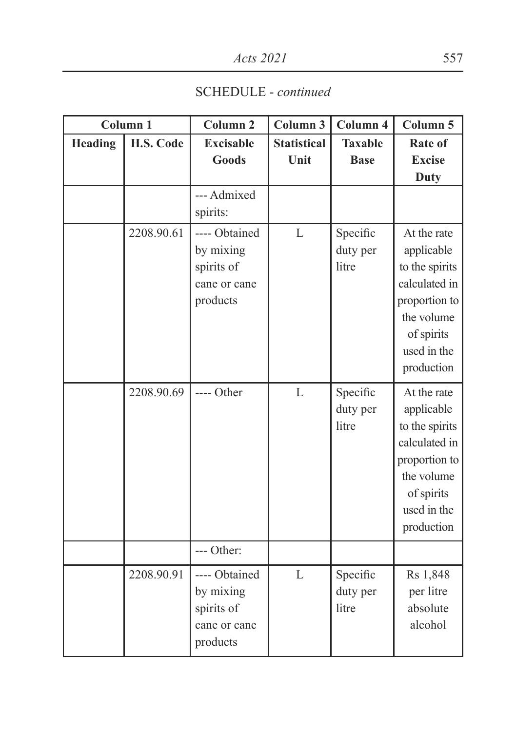SCHEDULE - *continued*

| Column <sub>1</sub> |            | Column <sub>2</sub>                                                  | Column 3                   | Column 4                      | Column 5                                                                                                                               |
|---------------------|------------|----------------------------------------------------------------------|----------------------------|-------------------------------|----------------------------------------------------------------------------------------------------------------------------------------|
| <b>Heading</b>      | H.S. Code  | <b>Excisable</b><br><b>Goods</b>                                     | <b>Statistical</b><br>Unit | <b>Taxable</b><br><b>Base</b> | Rate of<br><b>Excise</b>                                                                                                               |
|                     |            |                                                                      |                            |                               | <b>Duty</b>                                                                                                                            |
|                     |            | --- Admixed<br>spirits:                                              |                            |                               |                                                                                                                                        |
|                     | 2208.90.61 | ---- Obtained<br>by mixing<br>spirits of<br>cane or cane<br>products | L                          | Specific<br>duty per<br>litre | At the rate<br>applicable<br>to the spirits<br>calculated in<br>proportion to<br>the volume<br>of spirits<br>used in the<br>production |
|                     | 2208.90.69 | ---- Other                                                           | L                          | Specific<br>duty per<br>litre | At the rate<br>applicable<br>to the spirits<br>calculated in<br>proportion to<br>the volume<br>of spirits<br>used in the<br>production |
|                     |            | --- Other:                                                           |                            |                               |                                                                                                                                        |
|                     | 2208.90.91 | ---- Obtained<br>by mixing<br>spirits of<br>cane or cane<br>products | $\mathbf{L}$               | Specific<br>duty per<br>litre | Rs 1,848<br>per litre<br>absolute<br>alcohol                                                                                           |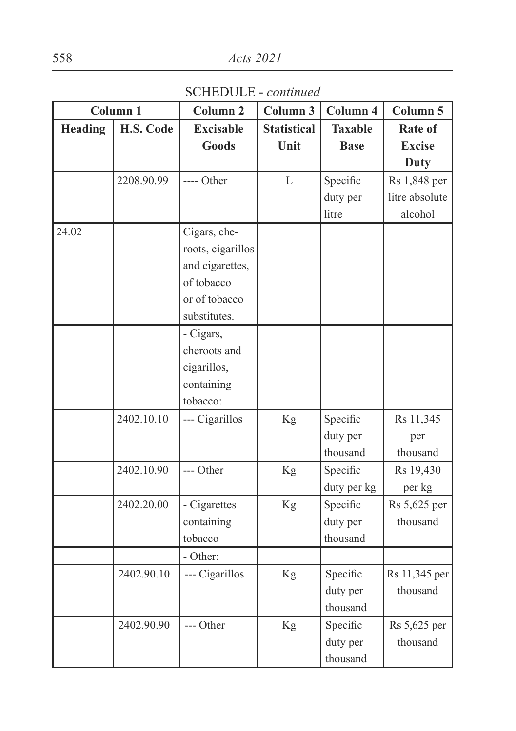SCHEDULE - *continued*

| Column 1 |            | Column <sub>2</sub> | Column 3           | Column 4       | Column 5       |
|----------|------------|---------------------|--------------------|----------------|----------------|
| Heading  | H.S. Code  | <b>Excisable</b>    | <b>Statistical</b> | <b>Taxable</b> | Rate of        |
|          |            | <b>Goods</b>        | Unit               | <b>Base</b>    | <b>Excise</b>  |
|          |            |                     |                    |                | <b>Duty</b>    |
|          | 2208.90.99 | ---- Other          | L                  | Specific       | Rs 1,848 per   |
|          |            |                     |                    | duty per       | litre absolute |
|          |            |                     |                    | litre          | alcohol        |
| 24.02    |            | Cigars, che-        |                    |                |                |
|          |            | roots, cigarillos   |                    |                |                |
|          |            | and cigarettes,     |                    |                |                |
|          |            | of tobacco          |                    |                |                |
|          |            | or of tobacco       |                    |                |                |
|          |            | substitutes.        |                    |                |                |
|          |            | - Cigars,           |                    |                |                |
|          |            | cheroots and        |                    |                |                |
|          |            | cigarillos,         |                    |                |                |
|          |            | containing          |                    |                |                |
|          |            | tobacco:            |                    |                |                |
|          | 2402.10.10 | --- Cigarillos      | Kg                 | Specific       | Rs 11,345      |
|          |            |                     |                    | duty per       | per            |
|          |            |                     |                    | thousand       | thousand       |
|          | 2402.10.90 | --- Other           | Kg                 | Specific       | Rs 19,430      |
|          |            |                     |                    | duty per kg    | per kg         |
|          | 2402.20.00 | - Cigarettes        | Kg                 | Specific       | Rs 5,625 per   |
|          |            | containing          |                    | duty per       | thousand       |
|          |            | tobacco             |                    | thousand       |                |
|          |            | - Other:            |                    |                |                |
|          | 2402.90.10 | --- Cigarillos      | Kg                 | Specific       | Rs 11,345 per  |
|          |            |                     |                    | duty per       | thousand       |
|          |            |                     |                    | thousand       |                |
|          | 2402.90.90 | --- Other           | Kg                 | Specific       | Rs 5,625 per   |
|          |            |                     |                    | duty per       | thousand       |
|          |            |                     |                    | thousand       |                |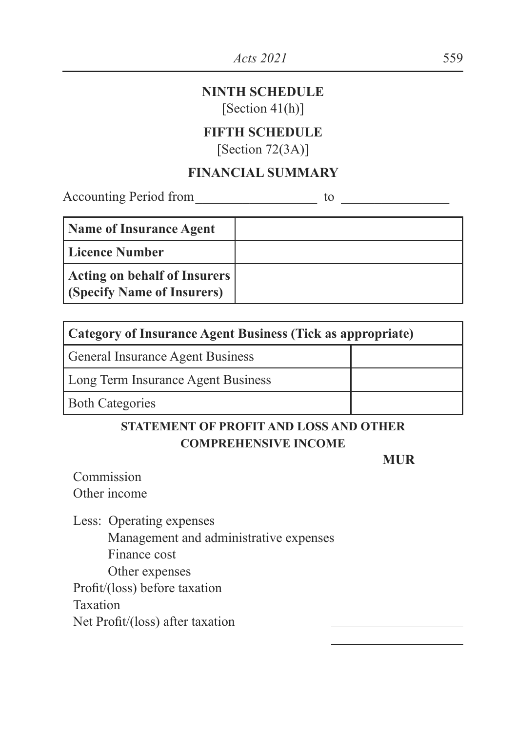### **NINTH SCHEDULE**

[Section 41(h)]

## **FIFTH SCHEDULE**

 $[Section 72(3A)]$ 

## **FINANCIAL SUMMARY**

Accounting Period from \_\_\_\_\_\_\_\_\_\_\_\_\_\_\_\_\_\_ to \_\_\_\_\_\_\_\_\_\_\_\_\_\_\_\_

| <b>Name of Insurance Agent</b>                             |  |
|------------------------------------------------------------|--|
| Licence Number                                             |  |
| Acting on behalf of Insurers<br>(Specify Name of Insurers) |  |

| Category of Insurance Agent Business (Tick as appropriate) |  |  |
|------------------------------------------------------------|--|--|
| <b>General Insurance Agent Business</b>                    |  |  |
| Long Term Insurance Agent Business                         |  |  |
| <b>Both Categories</b>                                     |  |  |

## **STATEMENT OF PROFIT AND LOSS AND OTHER COMPREHENSIVE INCOME**

**MUR** 

Commission Other income

Less: Operating expenses

Management and administrative expenses Finance cost Other expenses Profit/(loss) before taxation Taxation

Net Profit/(loss) after taxation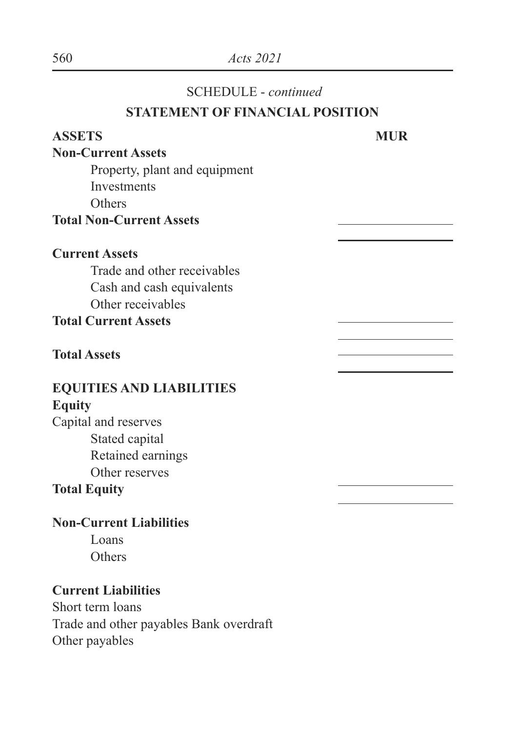### SCHEDULE - *continued*

## **STATEMENT OF FINANCIAL POSITION**

# **ASSETS MUR Non-Current Assets** Property, plant and equipment Investments **Others Total Non-Current Assets Current Assets** Trade and other receivables Cash and cash equivalents Other receivables **Total Current Assets Total Assets EQUITIES AND LIABILITIES Equity** Capital and reserves Stated capital Retained earnings Other reserves **Total Equity Non-Current Liabilities**

Loans **Others** 

## **Current Liabilities**

Short term loans Trade and other payables Bank overdraft Other payables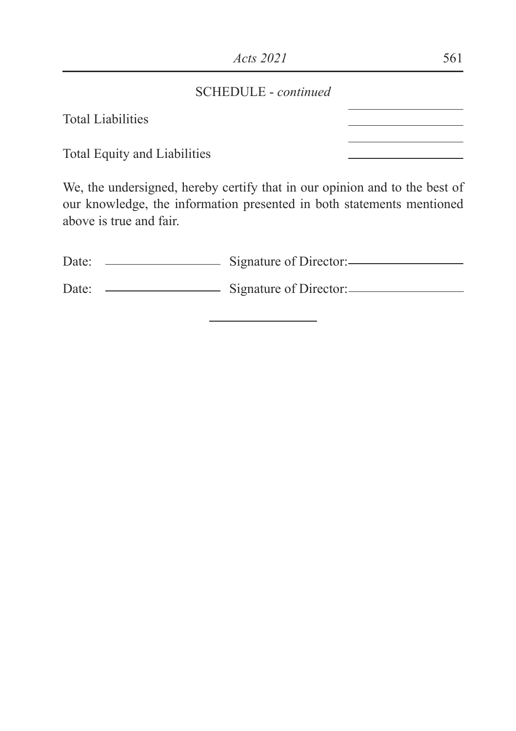### SCHEDULE - *continued*

Total Liabilities

Total Equity and Liabilities

We, the undersigned, hereby certify that in our opinion and to the best of our knowledge, the information presented in both statements mentioned above is true and fair.

| Date: | Signature of Director:- |  |
|-------|-------------------------|--|
| Date: | Signature of Director:  |  |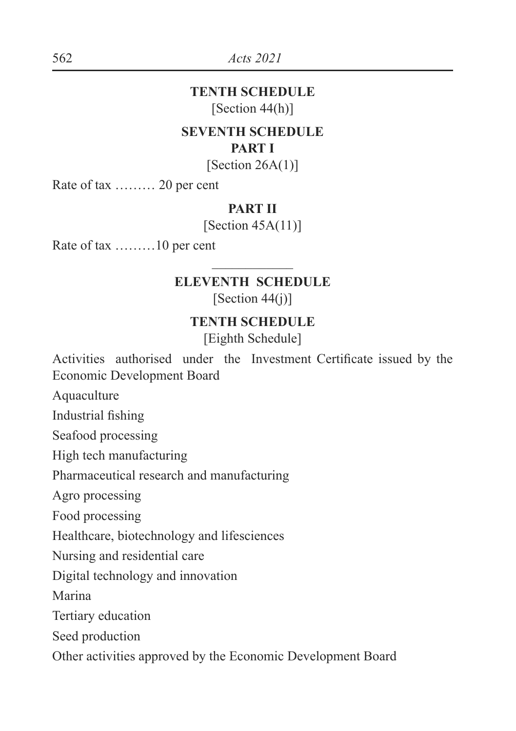### **TENTH SCHEDULE** [Section 44(h)]

#### **SEVENTH SCHEDULE PART I**

[Section  $26A(1)$ ]

Rate of tax ……… 20 per cent

### **PART II**

 $[Section 45A(11)]$ 

Rate of tax ………10 per cent

## $\frac{1}{2}$ **ELEVENTH SCHEDULE**

 $[Section 44(i)]$ 

### **TENTH SCHEDULE**

[Eighth Schedule]

Activities authorised under the Investment Certificate issued by the Economic Development Board

Aquaculture

Industrial fishing

Seafood processing

High tech manufacturing

Pharmaceutical research and manufacturing

Agro processing

Food processing

Healthcare, biotechnology and lifesciences

Nursing and residential care

Digital technology and innovation

Marina

Tertiary education

Seed production

Other activities approved by the Economic Development Board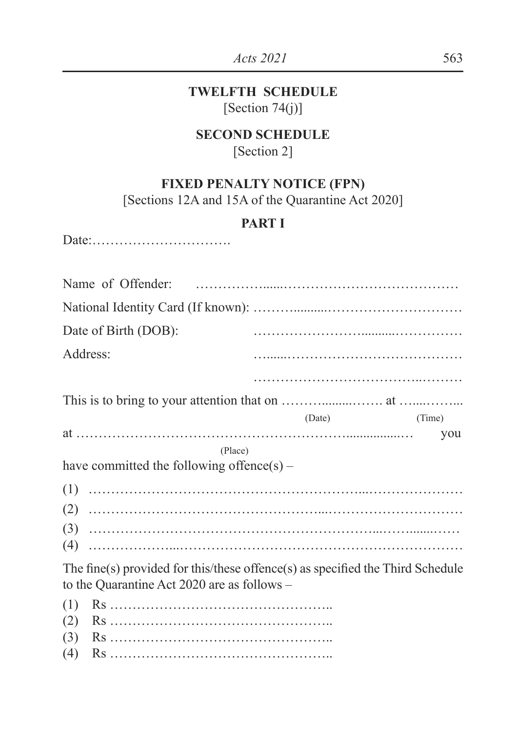## **TWELFTH SCHEDULE** [Section  $74(j)$ ]

### **SECOND SCHEDULE**

[Section 2]

## **FIXED PENALTY NOTICE (FPN)**

[Sections 12A and 15A of the Quarantine Act 2020]

## **PART I**

Date:………………………….

| Name of Offender:                                                              |        |        |
|--------------------------------------------------------------------------------|--------|--------|
|                                                                                |        |        |
| Date of Birth (DOB):                                                           |        |        |
| Address:                                                                       |        |        |
|                                                                                |        |        |
|                                                                                |        |        |
|                                                                                | (Date) | (Time) |
|                                                                                |        | you    |
| (Place)                                                                        |        |        |
| have committed the following offence(s) –                                      |        |        |
|                                                                                |        |        |
|                                                                                |        |        |
|                                                                                |        |        |
|                                                                                |        |        |
| The fine(s) provided for this/these offence(s) as specified the Third Schedule |        |        |
| to the Quarantine Act 2020 are as follows –                                    |        |        |
| (1)                                                                            |        |        |
| (2)                                                                            |        |        |
| (3)                                                                            |        |        |
| (4)                                                                            |        |        |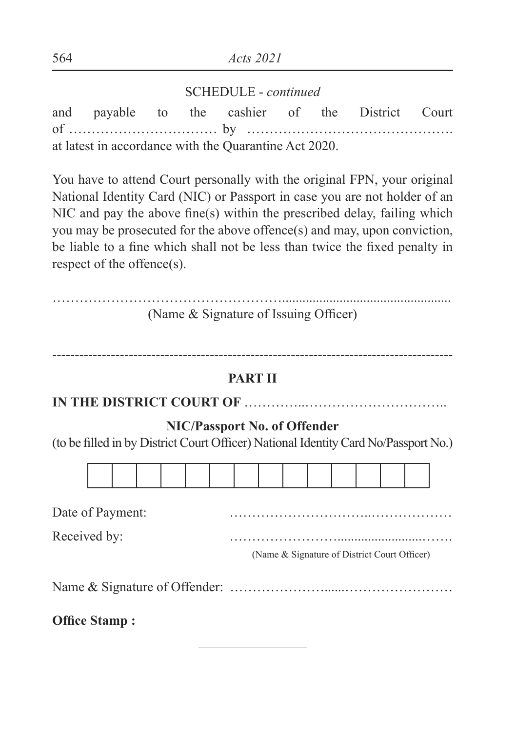### SCHEDULE - *continued*

and payable to the cashier of the District Court of …………………………… by ………………………………………. at latest in accordance with the Quarantine Act 2020.

You have to attend Court personally with the original FPN, your original National Identity Card (NIC) or Passport in case you are not holder of an NIC and pay the above fine(s) within the prescribed delay, failing which you may be prosecuted for the above offence(s) and may, upon conviction, be liable to a fine which shall not be less than twice the fixed penalty in respect of the offence(s).

| (Name & Signature of Issuing Officer) |  |
|---------------------------------------|--|

-----------------------------------------------------------------------------------------

### **PART II**

**IN THE DISTRICT COURT OF** …………..…………………………..

### **NIC/Passport No. of Offender**

(to be filled in by District Court Officer) National Identity Card No/Passport No.)



Date of Payment:

Received by: example and the contract of the contract of the Received by:

(Name & Signature of District Court Officer)

Name & Signature of Offender: …………………......……………………

**2Office Stamp:**